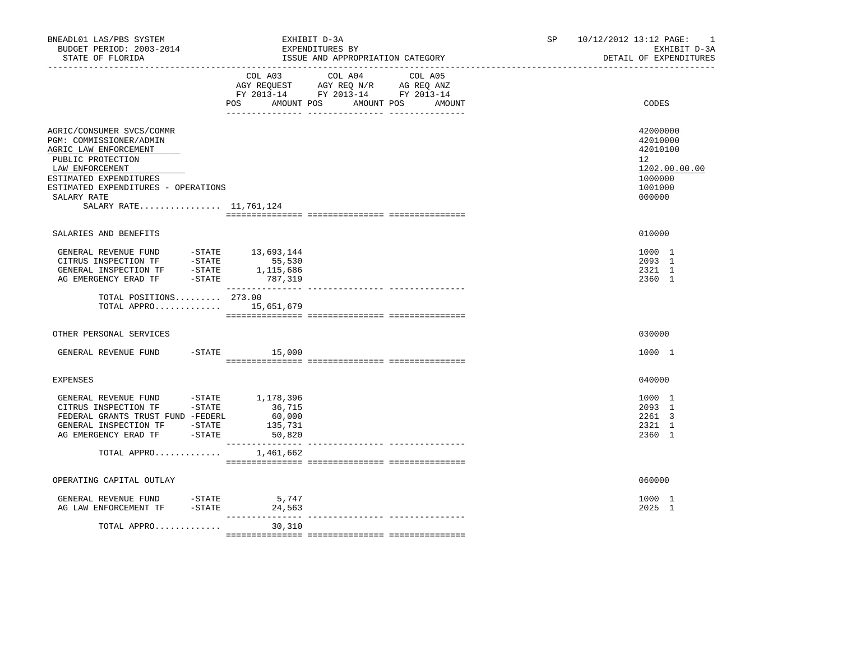| BNEADL01 LAS/PBS SYSTEM<br>BUDGET PERIOD: 2003-2014<br>STATE OF FLORIDA                                                                                                                                                                                                                |                                       | EXHIBIT D-3A<br>EXPENDITURES BY<br>ISSUE AND APPROPRIATION CATEGORY                                                  | SP and the set of the set of the set of the set of the set of the set of the set of the set of the set of the set of the set of the set of the set of the set of the set of the set of the set of the set of the set of the se | 10/12/2012 13:12 PAGE: 1<br>EXHIBIT D-3A<br>DETAIL OF EXPENDITURES                                   |
|----------------------------------------------------------------------------------------------------------------------------------------------------------------------------------------------------------------------------------------------------------------------------------------|---------------------------------------|----------------------------------------------------------------------------------------------------------------------|--------------------------------------------------------------------------------------------------------------------------------------------------------------------------------------------------------------------------------|------------------------------------------------------------------------------------------------------|
|                                                                                                                                                                                                                                                                                        | COL A03<br>POS AMOUNT POS             | COL A04<br>COL A05<br>AGY REQUEST AGY REQ N/R AG REQ ANZ<br>FY 2013-14 FY 2013-14 FY 2013-14<br>AMOUNT POS<br>AMOUNT |                                                                                                                                                                                                                                | CODES                                                                                                |
| AGRIC/CONSUMER SVCS/COMMR<br>PGM: COMMISSIONER/ADMIN<br>AGRIC LAW ENFORCEMENT<br>PUBLIC PROTECTION<br>LAW ENFORCEMENT<br>ESTIMATED EXPENDITURES<br>ESTIMATED EXPENDITURES - OPERATIONS<br>SALARY RATE<br>SALARY RATE 11,761,124                                                        |                                       |                                                                                                                      |                                                                                                                                                                                                                                | 42000000<br>42010000<br>42010100<br>12 <sup>°</sup><br>1202.00.00.00<br>1000000<br>1001000<br>000000 |
| SALARIES AND BENEFITS                                                                                                                                                                                                                                                                  |                                       |                                                                                                                      |                                                                                                                                                                                                                                | 010000                                                                                               |
| $\begin{tabular}{llllll} \multicolumn{2}{llll} \texttt{GENERAL REVIEW FUND} & & & -\texttt{STATE} & & 13,693,144 \\ \texttt{CITRUS INSPECTION TF} & & -\texttt{STATE} & & 55,530 \\ \end{tabular}$<br>CHRISTER INSPECTION TF - STATE 1,115,686<br>AG EMERGENCY ERAD TF - STATE 787,319 |                                       |                                                                                                                      |                                                                                                                                                                                                                                | 1000 1<br>2093 1<br>2321 1<br>2360 1                                                                 |
| TOTAL POSITIONS 273.00<br>TOTAL APPRO 15,651,679                                                                                                                                                                                                                                       |                                       |                                                                                                                      |                                                                                                                                                                                                                                |                                                                                                      |
| OTHER PERSONAL SERVICES                                                                                                                                                                                                                                                                |                                       |                                                                                                                      |                                                                                                                                                                                                                                | 030000                                                                                               |
| GENERAL REVENUE FUND                                                                                                                                                                                                                                                                   | $-$ STATE $15,000$                    |                                                                                                                      |                                                                                                                                                                                                                                | 1000 1                                                                                               |
| <b>EXPENSES</b>                                                                                                                                                                                                                                                                        |                                       |                                                                                                                      |                                                                                                                                                                                                                                | 040000                                                                                               |
| GENERAL REVENUE FUND -STATE $1,178,396$<br>CITRUS INSPECTION TF -STATE 36,715<br>FEDERAL GRANTS TRUST FUND -FEDERL<br>GENERAL INSPECTION TF -STATE<br>AG EMERGENCY ERAD TF -STATE                                                                                                      | 36,715<br>60,000<br>135,731<br>50,820 |                                                                                                                      |                                                                                                                                                                                                                                | 1000 1<br>2093 1<br>2261 3<br>2321 1<br>2360 1                                                       |
| TOTAL APPRO                                                                                                                                                                                                                                                                            | 1,461,662                             |                                                                                                                      |                                                                                                                                                                                                                                |                                                                                                      |
| OPERATING CAPITAL OUTLAY                                                                                                                                                                                                                                                               |                                       |                                                                                                                      |                                                                                                                                                                                                                                | 060000                                                                                               |
| GENERAL REVENUE FUND<br>AG LAW ENFORCEMENT TF -STATE 24,563                                                                                                                                                                                                                            | 5,747<br>$-$ STATE                    |                                                                                                                      |                                                                                                                                                                                                                                | 1000 1<br>2025 1                                                                                     |
| TOTAL APPRO                                                                                                                                                                                                                                                                            | 30,310                                |                                                                                                                      |                                                                                                                                                                                                                                |                                                                                                      |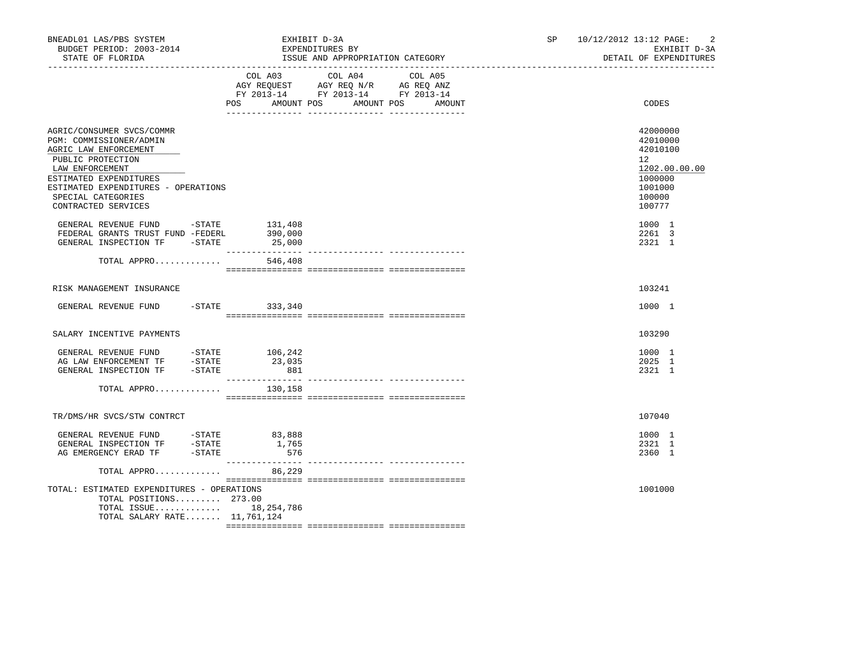| BNEADL01 LAS/PBS SYSTEM<br>BUDGET PERIOD: 2003-2014<br>STATE OF FLORIDA                                                                                                                                                             |                          | EXHIBIT D-3A<br>EXPENDITURES BY<br>ISSUE AND APPROPRIATION CATEGORY<br>_________________________________ |                                 | SP and the set of the set of the set of the set of the set of the set of the set of the set of the set of the set of the set of the set of the set of the set of the set of the set of the set of the set of the set of the se | 10/12/2012 13:12 PAGE:<br>$\overline{2}$<br>EXHIBIT D-3A<br>DETAIL OF EXPENDITURES                |
|-------------------------------------------------------------------------------------------------------------------------------------------------------------------------------------------------------------------------------------|--------------------------|----------------------------------------------------------------------------------------------------------|---------------------------------|--------------------------------------------------------------------------------------------------------------------------------------------------------------------------------------------------------------------------------|---------------------------------------------------------------------------------------------------|
|                                                                                                                                                                                                                                     | <b>POS</b><br>AMOUNT POS | COL A03 COL A04<br>AGY REQUEST AGY REQ N/R AG REQ ANZ<br>FY 2013-14 FY 2013-14 FY 2013-14                | COL A05<br>AMOUNT POS<br>AMOUNT |                                                                                                                                                                                                                                | CODES                                                                                             |
| AGRIC/CONSUMER SVCS/COMMR<br>PGM: COMMISSIONER/ADMIN<br>AGRIC LAW ENFORCEMENT<br>PUBLIC PROTECTION<br>LAW ENFORCEMENT<br>ESTIMATED EXPENDITURES<br>ESTIMATED EXPENDITURES - OPERATIONS<br>SPECIAL CATEGORIES<br>CONTRACTED SERVICES |                          |                                                                                                          |                                 |                                                                                                                                                                                                                                | 42000000<br>42010000<br>42010100<br>12<br>1202.00.00.00<br>1000000<br>1001000<br>100000<br>100777 |
| GENERAL REVENUE FUND -STATE 131,408<br>FEDERAL GRANTS TRUST FUND -FEDERL<br>GENERAL INSPECTION TF - STATE                                                                                                                           | 390,000<br>25,000        |                                                                                                          |                                 |                                                                                                                                                                                                                                | 1000 1<br>2261 3<br>2321 1                                                                        |
| TOTAL APPRO                                                                                                                                                                                                                         | 546,408                  |                                                                                                          |                                 |                                                                                                                                                                                                                                |                                                                                                   |
| RISK MANAGEMENT INSURANCE                                                                                                                                                                                                           |                          |                                                                                                          |                                 |                                                                                                                                                                                                                                | 103241                                                                                            |
| GENERAL REVENUE FUND                                                                                                                                                                                                                | $-STATE$ 333,340         |                                                                                                          |                                 |                                                                                                                                                                                                                                | 1000 1                                                                                            |
| SALARY INCENTIVE PAYMENTS                                                                                                                                                                                                           |                          |                                                                                                          |                                 |                                                                                                                                                                                                                                | 103290                                                                                            |
| GENERAL REVENUE FUND - STATE 106,242<br>AG LAW ENFORCEMENT TF -STATE<br>GENERAL INSPECTION TF -STATE                                                                                                                                | 23,035<br>881            |                                                                                                          |                                 |                                                                                                                                                                                                                                | 1000 1<br>2025 1<br>2321 1                                                                        |
| TOTAL APPRO                                                                                                                                                                                                                         | 130,158                  |                                                                                                          |                                 |                                                                                                                                                                                                                                |                                                                                                   |
| TR/DMS/HR SVCS/STW CONTRCT                                                                                                                                                                                                          |                          |                                                                                                          |                                 |                                                                                                                                                                                                                                | 107040                                                                                            |
| AG EMERGENCY ERAD TF - STATE                                                                                                                                                                                                        | 576                      |                                                                                                          |                                 |                                                                                                                                                                                                                                | 1000 1<br>2321 1<br>2360 1                                                                        |
| TOTAL APPRO                                                                                                                                                                                                                         | 86,229                   |                                                                                                          |                                 |                                                                                                                                                                                                                                |                                                                                                   |
| TOTAL: ESTIMATED EXPENDITURES - OPERATIONS<br>TOTAL POSITIONS 273.00<br>TOTAL ISSUE 18, 254, 786<br>TOTAL SALARY RATE 11,761,124                                                                                                    |                          |                                                                                                          |                                 |                                                                                                                                                                                                                                | 1001000                                                                                           |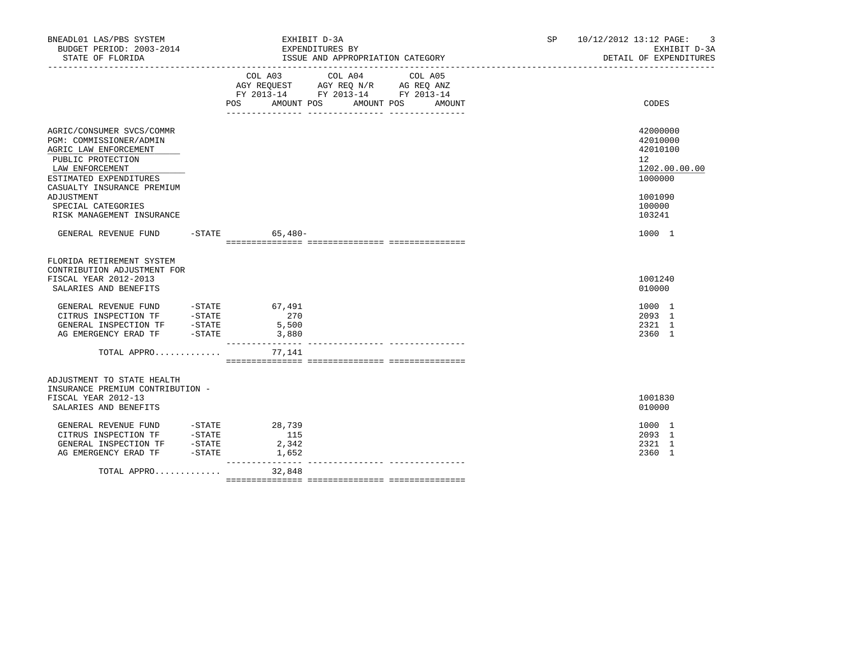| BNEADL01 LAS/PBS SYSTEM<br>BUDGET PERIOD: 2003-2014<br>STATE OF FLORIDA                                                                                                                                                                        | EXHIBIT D-3A<br>EXPENDITURES BY<br>ISSUE AND APPROPRIATION CATEGORY                                                                      | SP and the set of the set of the set of the set of the set of the set of the set of the set of the set of the set of the set of the set of the set of the set of the set of the set of the set of the set of the set of the se | 10/12/2012 13:12 PAGE:<br>-3<br>EXHIBIT D-3A<br>DETAIL OF EXPENDITURES                                         |
|------------------------------------------------------------------------------------------------------------------------------------------------------------------------------------------------------------------------------------------------|------------------------------------------------------------------------------------------------------------------------------------------|--------------------------------------------------------------------------------------------------------------------------------------------------------------------------------------------------------------------------------|----------------------------------------------------------------------------------------------------------------|
|                                                                                                                                                                                                                                                | COL A03 COL A04 COL A05<br>AGY REQUEST AGY REQ N/R AG REQ ANZ<br>FY 2013-14 FY 2013-14 FY 2013-14<br>POS AMOUNT POS AMOUNT POS<br>AMOUNT |                                                                                                                                                                                                                                | CODES                                                                                                          |
| AGRIC/CONSUMER SVCS/COMMR<br>PGM: COMMISSIONER/ADMIN<br>AGRIC LAW ENFORCEMENT<br>PUBLIC PROTECTION<br>LAW ENFORCEMENT<br>ESTIMATED EXPENDITURES<br>CASUALTY INSURANCE PREMIUM<br>ADJUSTMENT<br>SPECIAL CATEGORIES<br>RISK MANAGEMENT INSURANCE |                                                                                                                                          |                                                                                                                                                                                                                                | 42000000<br>42010000<br>42010100<br>12 <sup>°</sup><br>1202.00.00.00<br>1000000<br>1001090<br>100000<br>103241 |
| GENERAL REVENUE FUND -STATE 65,480-                                                                                                                                                                                                            |                                                                                                                                          |                                                                                                                                                                                                                                | 1000 1                                                                                                         |
| FLORIDA RETIREMENT SYSTEM<br>CONTRIBUTION ADJUSTMENT FOR<br>FISCAL YEAR 2012-2013<br>SALARIES AND BENEFITS                                                                                                                                     |                                                                                                                                          |                                                                                                                                                                                                                                | 1001240<br>010000                                                                                              |
| GENERAL REVENUE FUND -STATE 67,491<br>CITRUS INSPECTION TF -STATE 270<br>GENERAL INSPECTION TF -STATE 5,500<br>AG EMERGENCY ERAD TF -STATE 3,880                                                                                               | ________________                                                                                                                         |                                                                                                                                                                                                                                | 1000 1<br>2093 1<br>2321 1<br>2360 1                                                                           |
| TOTAL APPRO                                                                                                                                                                                                                                    | 77,141                                                                                                                                   |                                                                                                                                                                                                                                |                                                                                                                |
| ADJUSTMENT TO STATE HEALTH<br>INSURANCE PREMIUM CONTRIBUTION -<br>FISCAL YEAR 2012-13<br>SALARIES AND BENEFITS                                                                                                                                 |                                                                                                                                          |                                                                                                                                                                                                                                | 1001830<br>010000                                                                                              |
| GENERAL REVENUE FUND -STATE<br>CITRUS INSPECTION TF -STATE<br>CITRUS INSPECTION I.<br>GENERAL INSPECTION TF -STATE<br>A TEMPROFNOY ERAD TF -STATE                                                                                              | 28,739<br>115<br>2,342<br>1,652                                                                                                          |                                                                                                                                                                                                                                | 1000 1<br>2093 1<br>2321 1<br>2360 1                                                                           |
| TOTAL APPRO                                                                                                                                                                                                                                    | 32,848                                                                                                                                   |                                                                                                                                                                                                                                |                                                                                                                |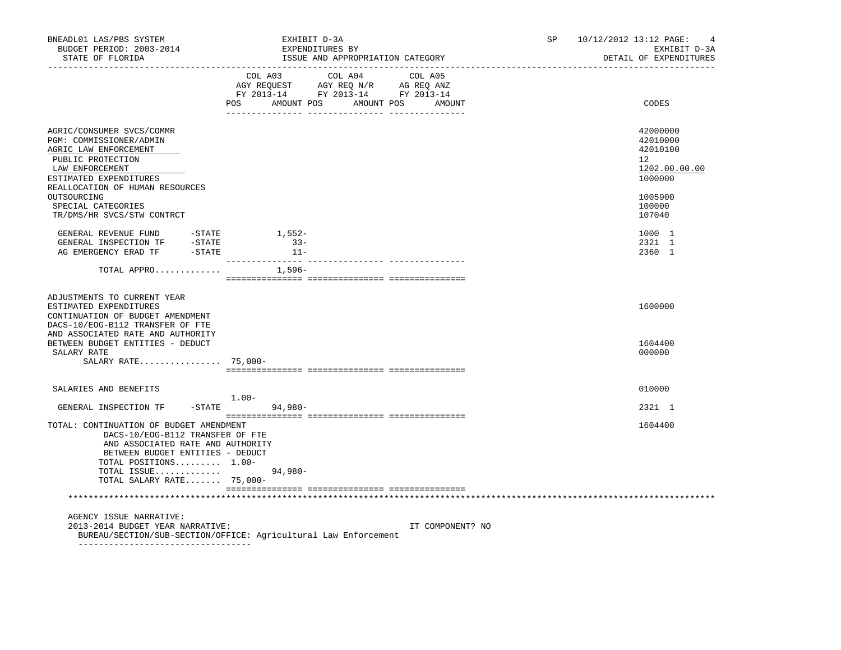| BNEADL01 LAS/PBS SYSTEM<br>BUDGET PERIOD: 2003-2014<br>STATE OF FLORIDA                                                                                                                                                                               | EXHIBIT D-3A<br>EXPENDITURES BY<br>ISSUE AND APPROPRIATION CATEGORY                                                                                                                                                                                                  | SP and the set of the set of the set of the set of the set of the set of the set of the set of the set of the set of the set of the set of the set of the set of the set of the set of the set of the set of the set of the se<br>10/12/2012 13:12 PAGE:<br>$\overline{4}$<br>EXHIBIT D-3A<br>DETAIL OF EXPENDITURES |
|-------------------------------------------------------------------------------------------------------------------------------------------------------------------------------------------------------------------------------------------------------|----------------------------------------------------------------------------------------------------------------------------------------------------------------------------------------------------------------------------------------------------------------------|----------------------------------------------------------------------------------------------------------------------------------------------------------------------------------------------------------------------------------------------------------------------------------------------------------------------|
|                                                                                                                                                                                                                                                       | COL A03 COL A04 COL A05<br>$\begin{tabular}{lllllll} AGY & \texttt{REQUEST} & \texttt{AGY} & \texttt{REG} & \texttt{N/R} & \texttt{AG} & \texttt{REQ} & \texttt{ANZ} \end{tabular}$<br>FY 2013-14 FY 2013-14 FY 2013-14<br>POS<br>AMOUNT POS<br>AMOUNT POS<br>AMOUNT | CODES                                                                                                                                                                                                                                                                                                                |
| AGRIC/CONSUMER SVCS/COMMR<br>PGM: COMMISSIONER/ADMIN<br>AGRIC LAW ENFORCEMENT<br>PUBLIC PROTECTION<br>LAW ENFORCEMENT<br>ESTIMATED EXPENDITURES<br>REALLOCATION OF HUMAN RESOURCES<br>OUTSOURCING<br>SPECIAL CATEGORIES<br>TR/DMS/HR SVCS/STW CONTRCT |                                                                                                                                                                                                                                                                      | 42000000<br>42010000<br>42010100<br>$12^{\circ}$<br>1202.00.00.00<br>1000000<br>1005900<br>100000<br>107040                                                                                                                                                                                                          |
| GENERAL REVENUE FUND -STATE<br>GENERAL INSPECTION TF -STATE<br>AG EMERGENCY ERAD TF - STATE                                                                                                                                                           | 1,552-<br>$33 -$<br>$11 -$<br>--------------- --                                                                                                                                                                                                                     | 1000 1<br>2321 1<br>2360 1                                                                                                                                                                                                                                                                                           |
| TOTAL APPRO                                                                                                                                                                                                                                           | 1,596–                                                                                                                                                                                                                                                               |                                                                                                                                                                                                                                                                                                                      |
| ADJUSTMENTS TO CURRENT YEAR<br>ESTIMATED EXPENDITURES<br>CONTINUATION OF BUDGET AMENDMENT<br>DACS-10/EOG-B112 TRANSFER OF FTE<br>AND ASSOCIATED RATE AND AUTHORITY<br>BETWEEN BUDGET ENTITIES - DEDUCT                                                |                                                                                                                                                                                                                                                                      | 1600000<br>1604400                                                                                                                                                                                                                                                                                                   |
| SALARY RATE<br>SALARY RATE 75,000-                                                                                                                                                                                                                    |                                                                                                                                                                                                                                                                      | 000000                                                                                                                                                                                                                                                                                                               |
| SALARIES AND BENEFITS                                                                                                                                                                                                                                 |                                                                                                                                                                                                                                                                      | 010000                                                                                                                                                                                                                                                                                                               |
| GENERAL INSPECTION TF                                                                                                                                                                                                                                 | $1.00-$<br>$-STATE$<br>94,980-                                                                                                                                                                                                                                       | 2321 1                                                                                                                                                                                                                                                                                                               |
| TOTAL: CONTINUATION OF BUDGET AMENDMENT<br>DACS-10/EOG-B112 TRANSFER OF FTE<br>AND ASSOCIATED RATE AND AUTHORITY<br>BETWEEN BUDGET ENTITIES - DEDUCT<br>TOTAL POSITIONS 1.00-<br>TOTAL ISSUE<br>TOTAL SALARY RATE $75,000-$                           | 94,980-                                                                                                                                                                                                                                                              | 1604400                                                                                                                                                                                                                                                                                                              |
|                                                                                                                                                                                                                                                       |                                                                                                                                                                                                                                                                      |                                                                                                                                                                                                                                                                                                                      |
| AGENCY ISSUE NARRATIVE:<br>2013-2014 BUDGET YEAR NARRATIVE:                                                                                                                                                                                           | IT COMPONENT? NO<br>BUREAU/SECTION/SUB-SECTION/OFFICE: Agricultural Law Enforcement                                                                                                                                                                                  |                                                                                                                                                                                                                                                                                                                      |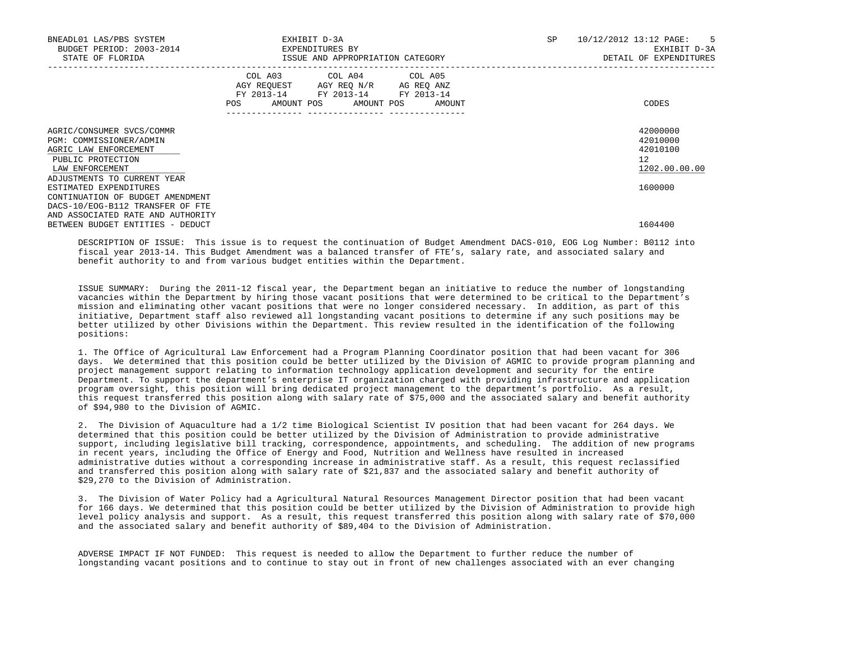| BNEADL01 LAS/PBS SYSTEM<br>BUDGET PERIOD: 2003-2014<br>STATE OF FLORIDA                                                                                                 | EXHIBIT D-3A<br>EXPENDITURES BY<br>ISSUE AND APPROPRIATION CATEGORY                                                                         | 10/12/2012 13:12 PAGE: 5<br>SP<br>EXHIBIT D-3A<br>DETAIL OF EXPENDITURES |
|-------------------------------------------------------------------------------------------------------------------------------------------------------------------------|---------------------------------------------------------------------------------------------------------------------------------------------|--------------------------------------------------------------------------|
|                                                                                                                                                                         | COL A03 COL A04 COL A05<br>AGY REQUEST AGY REQ N/R AG REQ ANZ<br>FY 2013-14 FY 2013-14 FY 2013-14<br>AMOUNT POS AMOUNT POS<br>POS<br>AMOUNT | CODES                                                                    |
| AGRIC/CONSUMER SVCS/COMMR<br>PGM: COMMISSIONER/ADMIN<br>AGRIC LAW ENFORCEMENT<br>PUBLIC PROTECTION<br>LAW ENFORCEMENT<br>ADJUSTMENTS TO CURRENT YEAR                    |                                                                                                                                             | 42000000<br>42010000<br>42010100<br>12 <sup>°</sup><br>1202.00.00.00     |
| ESTIMATED EXPENDITURES<br>CONTINUATION OF BUDGET AMENDMENT<br>DACS-10/EOG-B112 TRANSFER OF FTE<br>AND ASSOCIATED RATE AND AUTHORITY<br>BETWEEN BUDGET ENTITIES - DEDUCT |                                                                                                                                             | 1600000<br>1604400                                                       |

 DESCRIPTION OF ISSUE: This issue is to request the continuation of Budget Amendment DACS-010, EOG Log Number: B0112 into fiscal year 2013-14. This Budget Amendment was a balanced transfer of FTE's, salary rate, and associated salary and benefit authority to and from various budget entities within the Department.

 ISSUE SUMMARY: During the 2011-12 fiscal year, the Department began an initiative to reduce the number of longstanding vacancies within the Department by hiring those vacant positions that were determined to be critical to the Department's mission and eliminating other vacant positions that were no longer considered necessary. In addition, as part of this initiative, Department staff also reviewed all longstanding vacant positions to determine if any such positions may be better utilized by other Divisions within the Department. This review resulted in the identification of the following positions:

 1. The Office of Agricultural Law Enforcement had a Program Planning Coordinator position that had been vacant for 306 days. We determined that this position could be better utilized by the Division of AGMIC to provide program planning and project management support relating to information technology application development and security for the entire Department. To support the department's enterprise IT organization charged with providing infrastructure and application program oversight, this position will bring dedicated project management to the department's portfolio. As a result, this request transferred this position along with salary rate of \$75,000 and the associated salary and benefit authority of \$94,980 to the Division of AGMIC.

 2. The Division of Aquaculture had a 1/2 time Biological Scientist IV position that had been vacant for 264 days. We determined that this position could be better utilized by the Division of Administration to provide administrative support, including legislative bill tracking, correspondence, appointments, and scheduling. The addition of new programs in recent years, including the Office of Energy and Food, Nutrition and Wellness have resulted in increased administrative duties without a corresponding increase in administrative staff. As a result, this request reclassified and transferred this position along with salary rate of \$21,837 and the associated salary and benefit authority of \$29,270 to the Division of Administration.

 3. The Division of Water Policy had a Agricultural Natural Resources Management Director position that had been vacant for 166 days. We determined that this position could be better utilized by the Division of Administration to provide high level policy analysis and support. As a result, this request transferred this position along with salary rate of \$70,000 and the associated salary and benefit authority of \$89,404 to the Division of Administration.

 ADVERSE IMPACT IF NOT FUNDED: This request is needed to allow the Department to further reduce the number of longstanding vacant positions and to continue to stay out in front of new challenges associated with an ever changing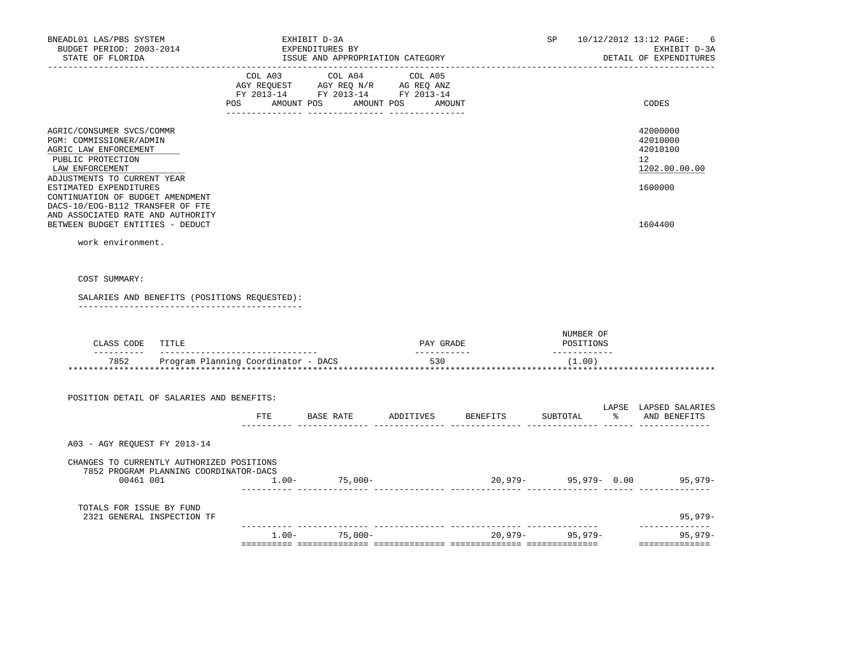| BNEADL01 LAS/PBS SYSTEM<br>BUDGET PERIOD: 2003-2014<br>STATE OF FLORIDA                                                                                                                                            |     | EXHIBIT D-3A<br>EXPENDITURES BY<br>ISSUE AND APPROPRIATION CATEGORY                                                                                                                            |                    |          | SP                       | 10/12/2012 13:12 PAGE:<br>-6<br>EXHIBIT D-3A<br>DETAIL OF EXPENDITURES |
|--------------------------------------------------------------------------------------------------------------------------------------------------------------------------------------------------------------------|-----|------------------------------------------------------------------------------------------------------------------------------------------------------------------------------------------------|--------------------|----------|--------------------------|------------------------------------------------------------------------|
| --------------------                                                                                                                                                                                               |     | $\begin{tabular}{lcccc} COL A03 & COL A04 & COL A05 \\ AGY REQUEST & AGY REQ N/R & AG REQ ANZ \\ FY & 2013-14 & FY & 2013-14 & FY & 2013-14 \end{tabular}$<br>POS AMOUNT POS AMOUNT POS AMOUNT |                    |          |                          | CODES                                                                  |
| AGRIC/CONSUMER SVCS/COMMR<br>PGM: COMMISSIONER/ADMIN<br>AGRIC LAW ENFORCEMENT<br>PUBLIC PROTECTION<br>LAW ENFORCEMENT<br>ADJUSTMENTS TO CURRENT YEAR<br>ESTIMATED EXPENDITURES<br>CONTINUATION OF BUDGET AMENDMENT |     |                                                                                                                                                                                                |                    |          |                          | 42000000<br>42010000<br>42010100<br>12<br>1202.00.00.00<br>1600000     |
| DACS-10/EOG-B112 TRANSFER OF FTE<br>AND ASSOCIATED RATE AND AUTHORITY<br>BETWEEN BUDGET ENTITIES - DEDUCT<br>work environment.                                                                                     |     |                                                                                                                                                                                                |                    |          |                          | 1604400                                                                |
| SALARIES AND BENEFITS (POSITIONS REQUESTED):<br>CLASS CODE TITLE                                                                                                                                                   |     |                                                                                                                                                                                                | PAY GRADE          |          | NUMBER OF<br>POSITIONS   |                                                                        |
| 7852 Program Planning Coordinator - DACS                                                                                                                                                                           |     |                                                                                                                                                                                                | ___________<br>530 |          | ______________<br>(1.00) |                                                                        |
| POSITION DETAIL OF SALARIES AND BENEFITS:                                                                                                                                                                          | ETE | BASE RATE                                                                                                                                                                                      | ADDITIVES          | BENEFITS | SUBTOTAL                 | LAPSE LAPSED SALARIES<br>% AND BENEFITS                                |
| A03 - AGY REQUEST FY 2013-14                                                                                                                                                                                       |     |                                                                                                                                                                                                |                    |          |                          |                                                                        |
| CHANGES TO CURRENTLY AUTHORIZED POSITIONS<br>7852 PROGRAM PLANNING COORDINATOR-DACS<br>00461 001                                                                                                                   |     | $1.00 - 75,000 -$                                                                                                                                                                              |                    |          |                          | 20,979- 95,979- 0.00 95,979-                                           |
| TOTALS FOR ISSUE BY FUND<br>2321 GENERAL INSPECTION TF                                                                                                                                                             |     |                                                                                                                                                                                                |                    |          |                          | 95,979-                                                                |
|                                                                                                                                                                                                                    |     | $1.00 - 75,000 -$                                                                                                                                                                              |                    |          | 20,979- 95,979-          | -----------<br>95,979-<br>==============                               |
|                                                                                                                                                                                                                    |     |                                                                                                                                                                                                |                    |          |                          |                                                                        |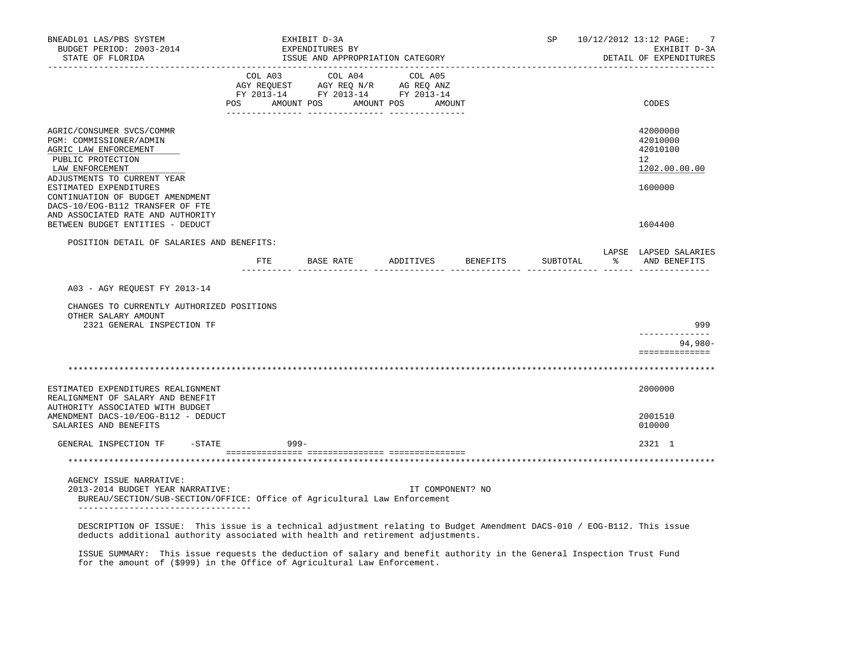| BNEADL01 LAS/PBS SYSTEM<br>BUDGET PERIOD: 2003-2014<br>STATE OF FLORIDA                                                                                                                                                                           |     |            | EXHIBIT D-3A<br>EXPENDITURES BY<br>ISSUE AND APPROPRIATION CATEGORY                                             |                  |                    | SP       |                      | 10/12/2012 13:12 PAGE:<br>7<br>EXHIBIT D-3A<br>DETAIL OF EXPENDITURES |
|---------------------------------------------------------------------------------------------------------------------------------------------------------------------------------------------------------------------------------------------------|-----|------------|-----------------------------------------------------------------------------------------------------------------|------------------|--------------------|----------|----------------------|-----------------------------------------------------------------------|
|                                                                                                                                                                                                                                                   | POS | AMOUNT POS | COL A03 COL A04 COL A05<br>AGY REQUEST AGY REQ N/R AG REQ ANZ<br>FY 2013-14 FY 2013-14 FY 2013-14<br>AMOUNT POS | AMOUNT           |                    |          |                      | CODES                                                                 |
| AGRIC/CONSUMER SVCS/COMMR<br>PGM: COMMISSIONER/ADMIN<br>AGRIC LAW ENFORCEMENT<br>PUBLIC PROTECTION<br>LAW ENFORCEMENT                                                                                                                             |     |            |                                                                                                                 |                  |                    |          |                      | 42000000<br>42010000<br>42010100<br>12<br>1202.00.00.00               |
| ADJUSTMENTS TO CURRENT YEAR<br>ESTIMATED EXPENDITURES<br>CONTINUATION OF BUDGET AMENDMENT<br>DACS-10/EOG-B112 TRANSFER OF FTE<br>AND ASSOCIATED RATE AND AUTHORITY<br>BETWEEN BUDGET ENTITIES - DEDUCT                                            |     |            |                                                                                                                 |                  |                    |          |                      | 1600000<br>1604400                                                    |
|                                                                                                                                                                                                                                                   |     |            |                                                                                                                 |                  |                    |          |                      |                                                                       |
| POSITION DETAIL OF SALARIES AND BENEFITS:                                                                                                                                                                                                         |     |            | FTE BASE RATE                                                                                                   |                  | ADDITIVES BENEFITS | SUBTOTAL | $\sim$ $\sim$ $\sim$ | LAPSE LAPSED SALARIES<br>AND BENEFITS                                 |
| A03 - AGY REQUEST FY 2013-14<br>CHANGES TO CURRENTLY AUTHORIZED POSITIONS<br>OTHER SALARY AMOUNT<br>2321 GENERAL INSPECTION TF                                                                                                                    |     |            |                                                                                                                 |                  |                    |          |                      | 999                                                                   |
|                                                                                                                                                                                                                                                   |     |            |                                                                                                                 |                  |                    |          |                      | $94,980 -$<br>==============                                          |
|                                                                                                                                                                                                                                                   |     |            |                                                                                                                 |                  |                    |          |                      |                                                                       |
| ESTIMATED EXPENDITURES REALIGNMENT<br>REALIGNMENT OF SALARY AND BENEFIT<br>AUTHORITY ASSOCIATED WITH BUDGET                                                                                                                                       |     |            |                                                                                                                 |                  |                    |          |                      | 2000000                                                               |
| AMENDMENT DACS-10/EOG-B112 - DEDUCT<br>SALARIES AND BENEFITS                                                                                                                                                                                      |     |            |                                                                                                                 |                  |                    |          |                      | 2001510<br>010000                                                     |
| GENERAL INSPECTION TF<br>$-$ STATE                                                                                                                                                                                                                |     | $999 -$    |                                                                                                                 |                  |                    |          |                      | 2321 1                                                                |
|                                                                                                                                                                                                                                                   |     |            |                                                                                                                 |                  |                    |          |                      |                                                                       |
| AGENCY ISSUE NARRATIVE:<br>2013-2014 BUDGET YEAR NARRATIVE:<br>BUREAU/SECTION/SUB-SECTION/OFFICE: Office of Agricultural Law Enforcement                                                                                                          |     |            |                                                                                                                 | IT COMPONENT? NO |                    |          |                      |                                                                       |
| -----------------------------------<br>DESCRIPTION OF ISSUE: This issue is a technical adjustment relating to Budget Amendment DACS-010 / EOG-B112. This issue<br>deducts additional authority associated with health and retirement adjustments. |     |            |                                                                                                                 |                  |                    |          |                      |                                                                       |

 ISSUE SUMMARY: This issue requests the deduction of salary and benefit authority in the General Inspection Trust Fund for the amount of (\$999) in the Office of Agricultural Law Enforcement.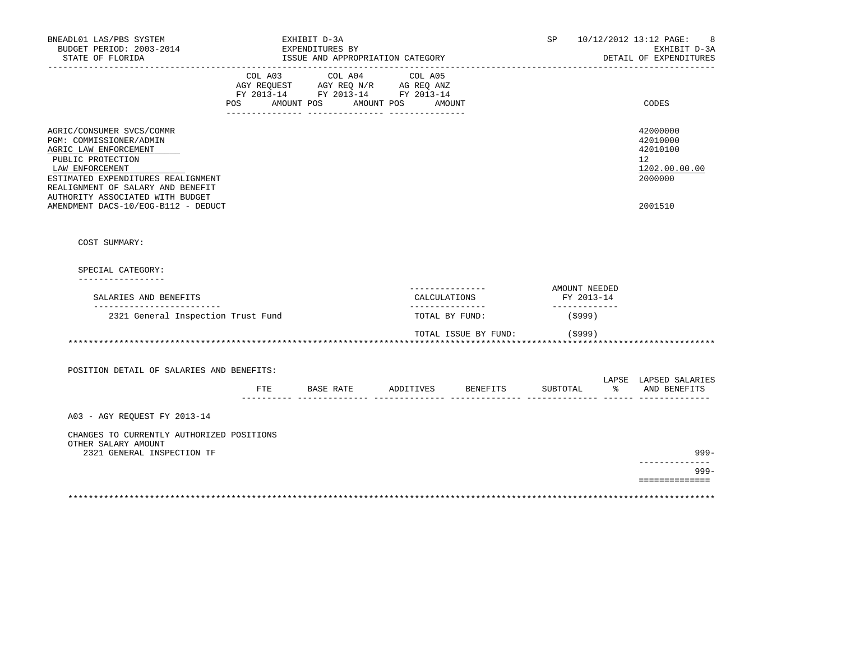| BNEADL01 LAS/PBS SYSTEM<br>BUDGET PERIOD: 2003-2014<br>STATE OF FLORIDA<br>-------------------                                                                                                                                                                              |                | EXHIBIT D-3A<br>EXPENDITURES BY<br>ISSUE AND APPROPRIATION CATEGORY                               |                      |                                                     | SP                                           |               | 10/12/2012 13:12 PAGE:<br>8<br>EXHIBIT D-3A<br>DETAIL OF EXPENDITURES         |
|-----------------------------------------------------------------------------------------------------------------------------------------------------------------------------------------------------------------------------------------------------------------------------|----------------|---------------------------------------------------------------------------------------------------|----------------------|-----------------------------------------------------|----------------------------------------------|---------------|-------------------------------------------------------------------------------|
|                                                                                                                                                                                                                                                                             | POS AMOUNT POS | COL A03 COL A04 COL A05<br>AGY REQUEST AGY REQ N/R AG REQ ANZ<br>FY 2013-14 FY 2013-14 FY 2013-14 | AMOUNT POS<br>AMOUNT |                                                     |                                              |               | CODES                                                                         |
| AGRIC/CONSUMER SVCS/COMMR<br>PGM: COMMISSIONER/ADMIN<br>AGRIC LAW ENFORCEMENT<br>PUBLIC PROTECTION<br>LAW ENFORCEMENT<br>ESTIMATED EXPENDITURES REALIGNMENT<br>REALIGNMENT OF SALARY AND BENEFIT<br>AUTHORITY ASSOCIATED WITH BUDGET<br>AMENDMENT DACS-10/EOG-B112 - DEDUCT |                |                                                                                                   |                      |                                                     |                                              |               | 42000000<br>42010000<br>42010100<br>12<br>1202.00.00.00<br>2000000<br>2001510 |
| COST SUMMARY:                                                                                                                                                                                                                                                               |                |                                                                                                   |                      |                                                     |                                              |               |                                                                               |
| SPECIAL CATEGORY:<br>_________________                                                                                                                                                                                                                                      |                |                                                                                                   |                      |                                                     |                                              |               |                                                                               |
| SALARIES AND BENEFITS<br>___________________________                                                                                                                                                                                                                        |                |                                                                                                   |                      | ----------------<br>CALCULATIONS<br>_______________ | AMOUNT NEEDED<br>FY 2013-14<br>_____________ |               |                                                                               |
| 2321 General Inspection Trust Fund                                                                                                                                                                                                                                          |                |                                                                                                   |                      | TOTAL BY FUND:                                      | (5999)                                       |               |                                                                               |
| POSITION DETAIL OF SALARIES AND BENEFITS:                                                                                                                                                                                                                                   |                |                                                                                                   |                      | TOTAL ISSUE BY FUND:                                | (\$999)<br>**************************        |               | LAPSE LAPSED SALARIES                                                         |
|                                                                                                                                                                                                                                                                             |                | FTE BASE RATE ADDITIVES BENEFITS                                                                  |                      |                                                     | SUBTOTAL                                     | $\frac{1}{6}$ | AND BENEFITS                                                                  |
| A03 - AGY REOUEST FY 2013-14<br>CHANGES TO CURRENTLY AUTHORIZED POSITIONS                                                                                                                                                                                                   |                |                                                                                                   |                      |                                                     |                                              |               |                                                                               |
| OTHER SALARY AMOUNT<br>2321 GENERAL INSPECTION TF                                                                                                                                                                                                                           |                |                                                                                                   |                      |                                                     |                                              |               | $999 -$                                                                       |
|                                                                                                                                                                                                                                                                             |                |                                                                                                   |                      |                                                     |                                              |               | --------------<br>$999 -$                                                     |
|                                                                                                                                                                                                                                                                             |                |                                                                                                   |                      |                                                     |                                              |               | ==============                                                                |
|                                                                                                                                                                                                                                                                             |                |                                                                                                   |                      |                                                     |                                              |               |                                                                               |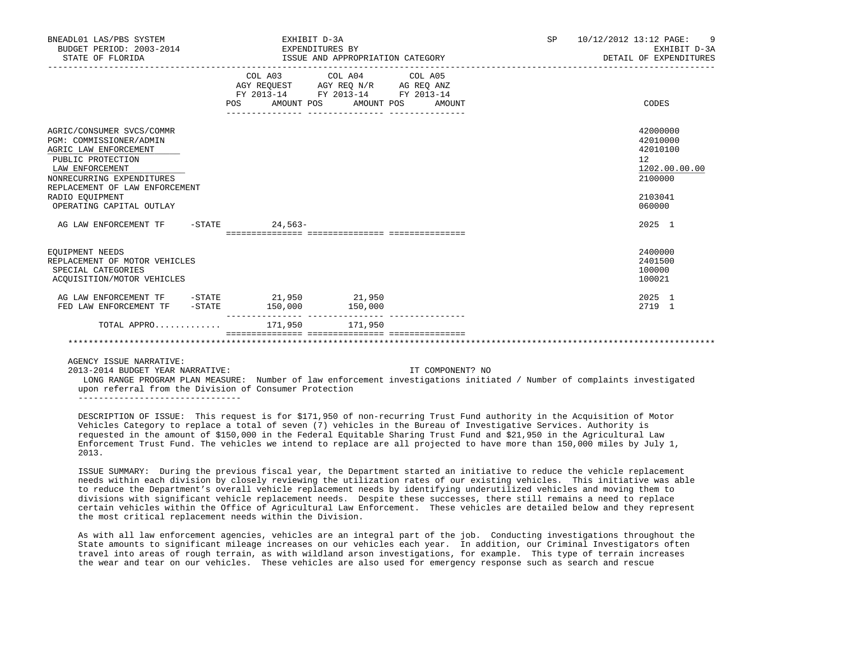| BNEADL01 LAS/PBS SYSTEM<br>BUDGET PERIOD: 2003-2014<br>STATE OF FLORIDA                                                                                                                                                             | EXHIBIT D-3A<br>EXPENDITURES BY                                                                                                                                                      | ISSUE AND APPROPRIATION CATEGORY |                  | SP 10/12/2012 13:12 PAGE:<br>-9<br>EXHIBIT D-3A<br>DETAIL OF EXPENDITURES               |
|-------------------------------------------------------------------------------------------------------------------------------------------------------------------------------------------------------------------------------------|--------------------------------------------------------------------------------------------------------------------------------------------------------------------------------------|----------------------------------|------------------|-----------------------------------------------------------------------------------------|
|                                                                                                                                                                                                                                     | $\begin{tabular}{lllllll} AGY & \texttt{REGUEST} & \texttt{AGY REQ N/R} & \texttt{AG REQ ANZ} \end{tabular}$<br>FY 2013-14 FY 2013-14 FY 2013-14<br>POS AMOUNT POS AMOUNT POS AMOUNT | COL A03 COL A04 COL A05          |                  | CODES                                                                                   |
| AGRIC/CONSUMER SVCS/COMMR<br>PGM: COMMISSIONER/ADMIN<br>AGRIC LAW ENFORCEMENT<br>PUBLIC PROTECTION<br>LAW ENFORCEMENT<br>NONRECURRING EXPENDITURES<br>REPLACEMENT OF LAW ENFORCEMENT<br>RADIO EOUIPMENT<br>OPERATING CAPITAL OUTLAY |                                                                                                                                                                                      |                                  |                  | 42000000<br>42010000<br>42010100<br>12<br>1202.00.00.00<br>2100000<br>2103041<br>060000 |
| AG LAW ENFORCEMENT TF -STATE 24,563-                                                                                                                                                                                                |                                                                                                                                                                                      |                                  |                  | 2025 1                                                                                  |
| EOUIPMENT NEEDS<br>REPLACEMENT OF MOTOR VEHICLES<br>SPECIAL CATEGORIES<br>ACQUISITION/MOTOR VEHICLES                                                                                                                                |                                                                                                                                                                                      |                                  |                  | 2400000<br>2401500<br>100000<br>100021                                                  |
| AG LAW ENFORCEMENT TF - STATE 21,950 21,950<br>FED LAW ENFORCEMENT TF -STATE 150,000 150,000                                                                                                                                        |                                                                                                                                                                                      |                                  |                  | 2025 1<br>2719 1                                                                        |
| TOTAL APPRO                                                                                                                                                                                                                         | 171,950 171,950                                                                                                                                                                      |                                  |                  |                                                                                         |
|                                                                                                                                                                                                                                     |                                                                                                                                                                                      |                                  |                  |                                                                                         |
| AGENCY ISSUE NARRATIVE:<br>2013-2014 BUDGET YEAR NARRATIVE:<br>LONG RANGE REQUIRE NUMBRAGUES' Number of law opforgoment invostigations initiated / Number of somplaints invostigated                                                |                                                                                                                                                                                      |                                  | IT COMPONENT? NO |                                                                                         |

PROGRAM PLAN MEASURE: Number of law enforcement investigations initiated / Number of complaints investigated upon referral from the Division of Consumer Protection --------------------------------

 DESCRIPTION OF ISSUE: This request is for \$171,950 of non-recurring Trust Fund authority in the Acquisition of Motor Vehicles Category to replace a total of seven (7) vehicles in the Bureau of Investigative Services. Authority is requested in the amount of \$150,000 in the Federal Equitable Sharing Trust Fund and \$21,950 in the Agricultural Law Enforcement Trust Fund. The vehicles we intend to replace are all projected to have more than 150,000 miles by July 1, 2013.

 ISSUE SUMMARY: During the previous fiscal year, the Department started an initiative to reduce the vehicle replacement needs within each division by closely reviewing the utilization rates of our existing vehicles. This initiative was able to reduce the Department's overall vehicle replacement needs by identifying underutilized vehicles and moving them to divisions with significant vehicle replacement needs. Despite these successes, there still remains a need to replace certain vehicles within the Office of Agricultural Law Enforcement. These vehicles are detailed below and they represent the most critical replacement needs within the Division.

 As with all law enforcement agencies, vehicles are an integral part of the job. Conducting investigations throughout the State amounts to significant mileage increases on our vehicles each year. In addition, our Criminal Investigators often travel into areas of rough terrain, as with wildland arson investigations, for example. This type of terrain increases the wear and tear on our vehicles. These vehicles are also used for emergency response such as search and rescue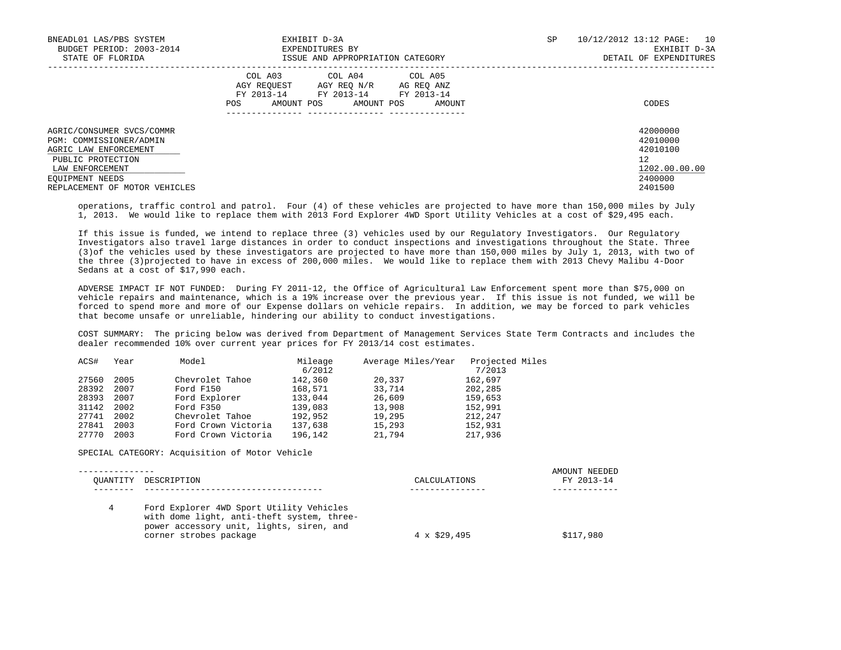| BNEADL01 LAS/PBS SYSTEM<br>BUDGET PERIOD: 2003-2014<br>STATE OF FLORIDA                                                                                                   | EXHIBIT D-3A<br>EXPENDITURES BY<br>ISSUE AND APPROPRIATION CATEGORY                                                                                           | SP | 10/12/2012 13:12 PAGE:<br>10<br>EXHIBIT D-3A<br>DETAIL OF EXPENDITURES        |
|---------------------------------------------------------------------------------------------------------------------------------------------------------------------------|---------------------------------------------------------------------------------------------------------------------------------------------------------------|----|-------------------------------------------------------------------------------|
|                                                                                                                                                                           | COL A04 COL A05<br>COL A03<br>AGY REOUEST<br>AGY REO N/R<br>AG REO ANZ<br>FY 2013-14<br>FY 2013-14<br>FY 2013-14<br>AMOUNT POS<br>AMOUNT POS<br>AMOUNT<br>POS |    | CODES                                                                         |
| AGRIC/CONSUMER SVCS/COMMR<br>PGM: COMMISSIONER/ADMIN<br>AGRIC LAW ENFORCEMENT<br>PUBLIC PROTECTION<br>LAW ENFORCEMENT<br>EQUIPMENT NEEDS<br>REPLACEMENT OF MOTOR VEHICLES |                                                                                                                                                               |    | 42000000<br>42010000<br>42010100<br>12<br>1202.00.00.00<br>2400000<br>2401500 |

 operations, traffic control and patrol. Four (4) of these vehicles are projected to have more than 150,000 miles by July 1, 2013. We would like to replace them with 2013 Ford Explorer 4WD Sport Utility Vehicles at a cost of \$29,495 each.

 If this issue is funded, we intend to replace three (3) vehicles used by our Regulatory Investigators. Our Regulatory Investigators also travel large distances in order to conduct inspections and investigations throughout the State. Three (3)of the vehicles used by these investigators are projected to have more than 150,000 miles by July 1, 2013, with two of the three (3)projected to have in excess of 200,000 miles. We would like to replace them with 2013 Chevy Malibu 4-Door Sedans at a cost of \$17,990 each.

 ADVERSE IMPACT IF NOT FUNDED: During FY 2011-12, the Office of Agricultural Law Enforcement spent more than \$75,000 on vehicle repairs and maintenance, which is a 19% increase over the previous year. If this issue is not funded, we will be forced to spend more and more of our Expense dollars on vehicle repairs. In addition, we may be forced to park vehicles that become unsafe or unreliable, hindering our ability to conduct investigations.

 COST SUMMARY: The pricing below was derived from Department of Management Services State Term Contracts and includes the dealer recommended 10% over current year prices for FY 2013/14 cost estimates.

| ACS#  | Year | Model               | Mileage | Average Miles/Year | Projected Miles |
|-------|------|---------------------|---------|--------------------|-----------------|
|       |      |                     | 6/2012  |                    | 7/2013          |
| 27560 | 2005 | Chevrolet Tahoe     | 142,360 | 20,337             | 162,697         |
| 28392 | 2007 | Ford F150           | 168,571 | 33,714             | 202,285         |
| 28393 | 2007 | Ford Explorer       | 133,044 | 26,609             | 159,653         |
| 31142 | 2002 | Ford F350           | 139,083 | 13,908             | 152,991         |
| 27741 | 2002 | Chevrolet Tahoe     | 192,952 | 19,295             | 212,247         |
| 27841 | 2003 | Ford Crown Victoria | 137,638 | 15,293             | 152,931         |
| 27770 | 2003 | Ford Crown Victoria | 196,142 | 21,794             | 217,936         |

SPECIAL CATEGORY: Acquisition of Motor Vehicle

| OUANTITY DESCRIPTION                                                                                                                                         | CALCULATIONS        | AMOUNT NEEDED<br>FY 2013-14 |
|--------------------------------------------------------------------------------------------------------------------------------------------------------------|---------------------|-----------------------------|
|                                                                                                                                                              |                     |                             |
| Ford Explorer 4WD Sport Utility Vehicles<br>with dome light, anti-theft system, three-<br>power accessory unit, lights, siren, and<br>corner strobes package | $4 \times \$29.495$ | \$117,980                   |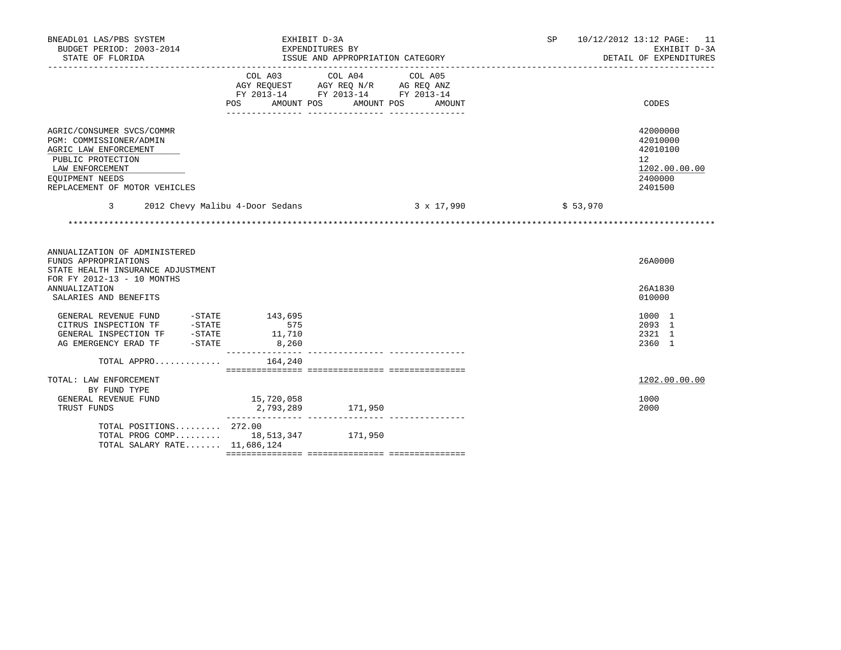| BNEADL01 LAS/PBS SYSTEM<br>BUDGET PERIOD: 2003-2014<br>STATE OF FLORIDA                                                                                                   | EXHIBIT D-3A<br>EXPENDITURES BY                                                          | ISSUE AND APPROPRIATION CATEGORY |                   | SP       | 10/12/2012 13:12 PAGE: 11<br>EXHIBIT D-3A<br>DETAIL OF EXPENDITURES                        |  |
|---------------------------------------------------------------------------------------------------------------------------------------------------------------------------|------------------------------------------------------------------------------------------|----------------------------------|-------------------|----------|--------------------------------------------------------------------------------------------|--|
|                                                                                                                                                                           | COL A03<br>AGY REQUEST AGY REQ N/R AG REQ ANZ<br>FY 2013-14 FY 2013-14 FY 2013-14<br>POS | COL A04<br>AMOUNT POS AMOUNT POS | COL A05<br>AMOUNT |          | CODES                                                                                      |  |
| AGRIC/CONSUMER SVCS/COMMR<br>PGM: COMMISSIONER/ADMIN<br>AGRIC LAW ENFORCEMENT<br>PUBLIC PROTECTION<br>LAW ENFORCEMENT<br>EOUIPMENT NEEDS<br>REPLACEMENT OF MOTOR VEHICLES |                                                                                          |                                  |                   |          | 42000000<br>42010000<br>42010100<br>12 <sup>°</sup><br>1202.00.00.00<br>2400000<br>2401500 |  |
| $\overline{3}$<br>2012 Chevy Malibu 4-Door Sedans                                                                                                                         |                                                                                          | $3 \times 17,990$                |                   | \$53,970 |                                                                                            |  |
|                                                                                                                                                                           |                                                                                          |                                  |                   |          |                                                                                            |  |
| ANNUALIZATION OF ADMINISTERED<br>FUNDS APPROPRIATIONS<br>STATE HEALTH INSURANCE ADJUSTMENT<br>FOR FY 2012-13 - 10 MONTHS<br><b>ANNUALIZATION</b>                          |                                                                                          |                                  |                   |          | 26A0000<br>26A1830                                                                         |  |
| SALARIES AND BENEFITS                                                                                                                                                     |                                                                                          |                                  |                   |          | 010000                                                                                     |  |
| GENERAL REVENUE FUND -STATE<br>CITRUS INSPECTION TF -STATE<br>GENERAL INSPECTION TF -STATE<br>$-STATE$<br>AG EMERGENCY ERAD TF                                            | 143,695<br>575<br>11,710<br>8,260                                                        |                                  |                   |          | 1000 1<br>2093 1<br>2321 1<br>2360 1                                                       |  |
| TOTAL APPRO                                                                                                                                                               | 164,240                                                                                  |                                  |                   |          |                                                                                            |  |
| TOTAL: LAW ENFORCEMENT<br>BY FUND TYPE<br>GENERAL REVENUE FUND<br>TRUST FUNDS                                                                                             | 15,720,058<br>2,793,289 171,950                                                          |                                  |                   |          | 1202.00.00.00<br>1000<br>2000                                                              |  |
| TOTAL POSITIONS 272.00<br>TOTAL PROG COMP 18,513,347 171,950<br>TOTAL SALARY RATE 11,686,124                                                                              |                                                                                          |                                  |                   |          |                                                                                            |  |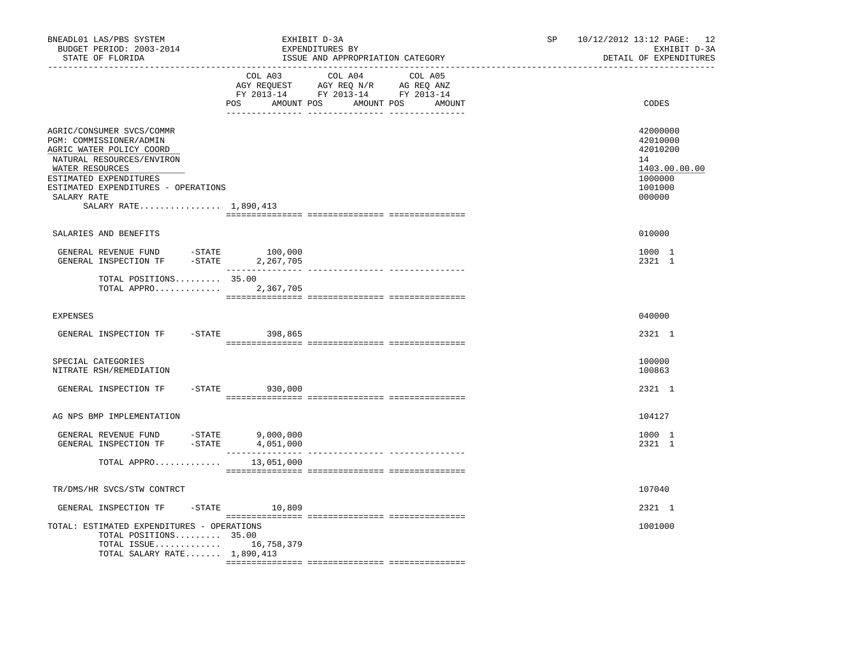| BNEADL01 LAS/PBS SYSTEM<br>BUDGET PERIOD: 2003-2014<br>STATE OF FLORIDA                                                                                                                                                                   | EXHIBIT D-3A<br>EXPENDITURES BY<br>ISSUE AND APPROPRIATION CATEGORY<br>------------------- |                                                                                         |  |  |
|-------------------------------------------------------------------------------------------------------------------------------------------------------------------------------------------------------------------------------------------|--------------------------------------------------------------------------------------------|-----------------------------------------------------------------------------------------|--|--|
|                                                                                                                                                                                                                                           | COL A03 COL A04 COL A05<br>POS AMOUNT POS AMOUNT POS                                       | CODES<br>AMOUNT                                                                         |  |  |
| AGRIC/CONSUMER SVCS/COMMR<br>PGM: COMMISSIONER/ADMIN<br>AGRIC WATER POLICY COORD<br>NATURAL RESOURCES/ENVIRON<br>WATER RESOURCES<br>ESTIMATED EXPENDITURES<br>ESTIMATED EXPENDITURES - OPERATIONS<br>SALARY RATE<br>SALARY RATE 1,890,413 |                                                                                            | 42000000<br>42010000<br>42010200<br>14<br>1403.00.00.00<br>1000000<br>1001000<br>000000 |  |  |
| SALARIES AND BENEFITS                                                                                                                                                                                                                     |                                                                                            | 010000                                                                                  |  |  |
| GENERAL REVENUE FUND -STATE 100,000<br>GENERAL INSPECTION TF                                                                                                                                                                              | -STATE 2,267,705                                                                           | 1000 1<br>2321 1                                                                        |  |  |
| TOTAL POSITIONS 35.00<br>TOTAL APPRO 2,367,705                                                                                                                                                                                            |                                                                                            |                                                                                         |  |  |
| <b>EXPENSES</b>                                                                                                                                                                                                                           |                                                                                            | 040000                                                                                  |  |  |
| GENERAL INSPECTION TF                                                                                                                                                                                                                     | $-STATE$ 398,865                                                                           | 2321 1                                                                                  |  |  |
| SPECIAL CATEGORIES<br>NITRATE RSH/REMEDIATION                                                                                                                                                                                             |                                                                                            | 100000<br>100863                                                                        |  |  |
| GENERAL INSPECTION TF                                                                                                                                                                                                                     | $-STATE$ 930,000                                                                           | 2321 1                                                                                  |  |  |
| AG NPS BMP IMPLEMENTATION                                                                                                                                                                                                                 |                                                                                            | 104127                                                                                  |  |  |
| GENERAL REVENUE FUND $-$ STATE 9,000,000<br>GENERAL INSPECTION TF $-$ STATE 4,051,000                                                                                                                                                     |                                                                                            | 1000 1<br>2321 1                                                                        |  |  |
| TOTAL APPRO $13,051,000$                                                                                                                                                                                                                  |                                                                                            |                                                                                         |  |  |
| TR/DMS/HR SVCS/STW CONTRCT                                                                                                                                                                                                                |                                                                                            | 107040                                                                                  |  |  |
| GENERAL INSPECTION TF                                                                                                                                                                                                                     | $-STATE$ 10,809                                                                            | 2321 1                                                                                  |  |  |
| TOTAL: ESTIMATED EXPENDITURES - OPERATIONS<br>TOTAL POSITIONS 35.00<br>TOTAL ISSUE 16,758,379<br>TOTAL SALARY RATE 1,890,413                                                                                                              |                                                                                            | 1001000                                                                                 |  |  |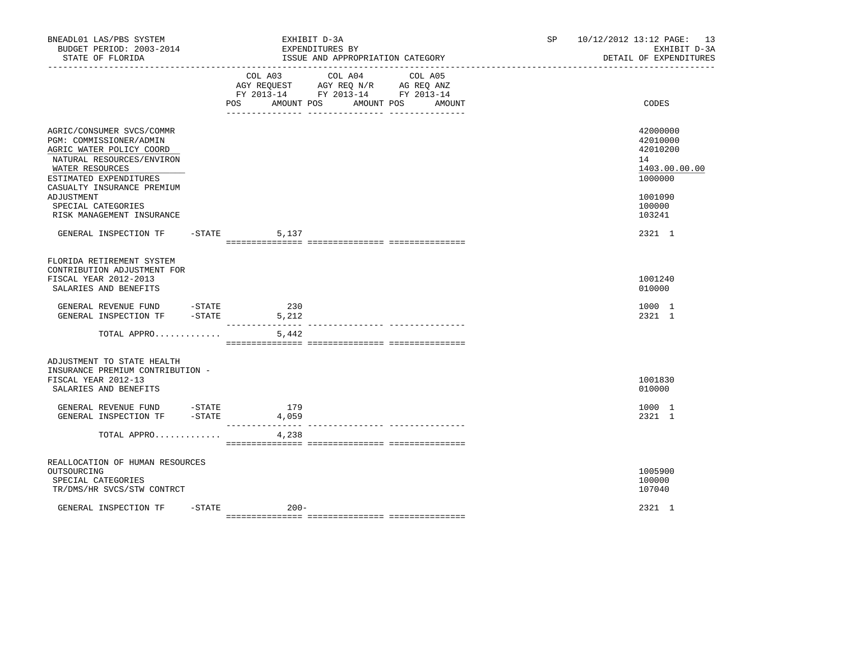| BNEADL01 LAS/PBS SYSTEM<br>BUDGET PERIOD: 2003-2014<br>STATE OF FLORIDA<br>---------------------                                                                                                                                                          |           |                                          | EXHIBIT D-3A<br>EXPENDITURES BY<br>ISSUE AND APPROPRIATION CATEGORY<br>-------------------------------------- |                                                                         | SP | 10/12/2012 13:12 PAGE: 13<br>EXHIBIT D-3A<br>DETAIL OF EXPENDITURES                               |
|-----------------------------------------------------------------------------------------------------------------------------------------------------------------------------------------------------------------------------------------------------------|-----------|------------------------------------------|---------------------------------------------------------------------------------------------------------------|-------------------------------------------------------------------------|----|---------------------------------------------------------------------------------------------------|
|                                                                                                                                                                                                                                                           |           | COL A03<br><b>POS</b><br>AMOUNT POS      | COL A04<br>AGY REQUEST AGY REQ N/R AG REQ ANZ<br>FY 2013-14 FY 2013-14 FY 2013-14                             | COL A05<br>AMOUNT POS<br>AMOUNT<br>___ ________________ _______________ |    | CODES                                                                                             |
| AGRIC/CONSUMER SVCS/COMMR<br>PGM: COMMISSIONER/ADMIN<br>AGRIC WATER POLICY COORD<br>NATURAL RESOURCES/ENVIRON<br>WATER RESOURCES<br>ESTIMATED EXPENDITURES<br>CASUALTY INSURANCE PREMIUM<br>ADJUSTMENT<br>SPECIAL CATEGORIES<br>RISK MANAGEMENT INSURANCE |           |                                          |                                                                                                               |                                                                         |    | 42000000<br>42010000<br>42010200<br>14<br>1403.00.00.00<br>1000000<br>1001090<br>100000<br>103241 |
| GENERAL INSPECTION TF                                                                                                                                                                                                                                     |           | $-$ STATE<br>5,137                       |                                                                                                               |                                                                         |    | 2321 1                                                                                            |
| FLORIDA RETIREMENT SYSTEM<br>CONTRIBUTION ADJUSTMENT FOR<br>FISCAL YEAR 2012-2013<br>SALARIES AND BENEFITS<br>GENERAL REVENUE FUND -STATE<br>GENERAL INSPECTION TF<br>TOTAL APPRO                                                                         | $-STATE$  | 230<br>5,212<br>---------------<br>5,442 |                                                                                                               |                                                                         |    | 1001240<br>010000<br>1000 1<br>2321 1                                                             |
| ADJUSTMENT TO STATE HEALTH<br>INSURANCE PREMIUM CONTRIBUTION -<br>FISCAL YEAR 2012-13<br>SALARIES AND BENEFITS<br>GENERAL REVENUE FUND -STATE<br>GENERAL INSPECTION TF                                                                                    | $-$ STATE | 179<br>4,059                             |                                                                                                               |                                                                         |    | 1001830<br>010000<br>1000 1<br>2321 1                                                             |
| TOTAL APPRO                                                                                                                                                                                                                                               |           | 4,238                                    |                                                                                                               | ---------------- ----------------                                       |    |                                                                                                   |
| REALLOCATION OF HUMAN RESOURCES<br>OUTSOURCING<br>SPECIAL CATEGORIES<br>TR/DMS/HR SVCS/STW CONTRCT                                                                                                                                                        |           |                                          |                                                                                                               |                                                                         |    | 1005900<br>100000<br>107040                                                                       |
| GENERAL INSPECTION TF                                                                                                                                                                                                                                     | $-$ STATE | $200 -$                                  |                                                                                                               |                                                                         |    | 2321 1                                                                                            |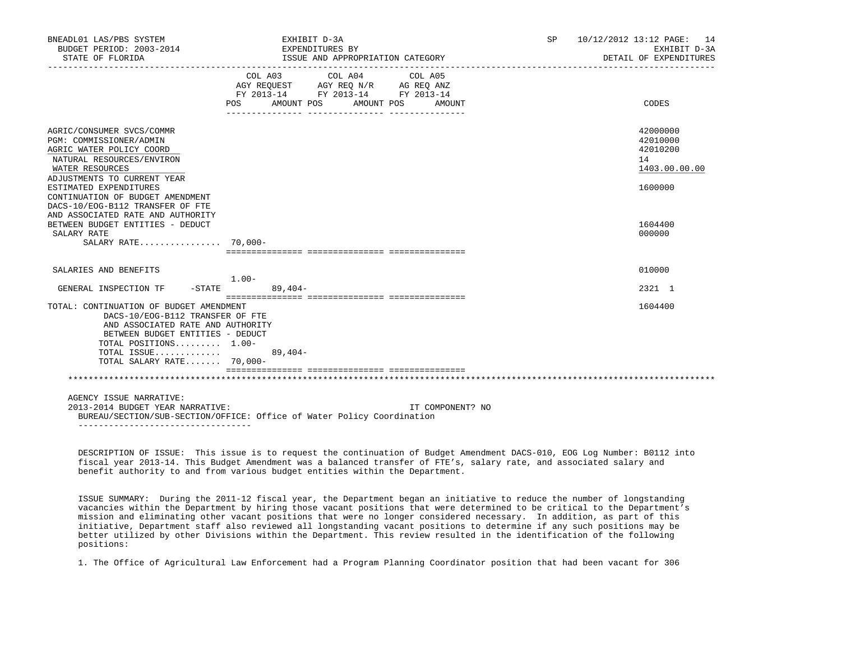| BNEADL01 LAS/PBS SYSTEM<br>BUDGET PERIOD: 2003-2014<br>STATE OF FLORIDA                                                                                                                                                   |                         | EXHIBIT D-3A<br>EXPENDITURES BY<br>ISSUE AND APPROPRIATION CATEGORY                                                                                                                                                                                                                                                     |  |                   | SP 10/12/2012 13:12 PAGE: 14 | EXHIBIT D-3A<br>DETAIL OF EXPENDITURES                       |
|---------------------------------------------------------------------------------------------------------------------------------------------------------------------------------------------------------------------------|-------------------------|-------------------------------------------------------------------------------------------------------------------------------------------------------------------------------------------------------------------------------------------------------------------------------------------------------------------------|--|-------------------|------------------------------|--------------------------------------------------------------|
|                                                                                                                                                                                                                           | POS AMOUNT POS          | $\begin{tabular}{lllllllllllll} &\multicolumn{4}{c}{\text{COL A03}} &\multicolumn{4}{c}{\text{COL A04}} &\multicolumn{4}{c}{\text{COL A05}} \\ \multicolumn{4}{c}{\text{AGY REQUEST}} &\multicolumn{4}{c}{\text{AGY REQ N/R}} &\multicolumn{4}{c}{\text{AG REQ ANZ}} \end{tabular}$<br>FY 2013-14 FY 2013-14 FY 2013-14 |  | AMOUNT POS AMOUNT |                              | CODES                                                        |
| AGRIC/CONSUMER SVCS/COMMR<br>PGM: COMMISSIONER/ADMIN<br>AGRIC WATER POLICY COORD<br>NATURAL RESOURCES/ENVIRON<br>WATER RESOURCES<br>ADJUSTMENTS TO CURRENT YEAR<br>ESTIMATED EXPENDITURES                                 |                         |                                                                                                                                                                                                                                                                                                                         |  |                   | 14                           | 42000000<br>42010000<br>42010200<br>1403.00.00.00<br>1600000 |
| CONTINUATION OF BUDGET AMENDMENT<br>DACS-10/EOG-B112 TRANSFER OF FTE<br>AND ASSOCIATED RATE AND AUTHORITY<br>BETWEEN BUDGET ENTITIES - DEDUCT<br>SALARY RATE<br>SALARY RATE $70.000 -$                                    |                         |                                                                                                                                                                                                                                                                                                                         |  |                   |                              | 1604400<br>000000                                            |
| SALARIES AND BENEFITS                                                                                                                                                                                                     |                         |                                                                                                                                                                                                                                                                                                                         |  |                   |                              | 010000                                                       |
| GENERAL INSPECTION TF                                                                                                                                                                                                     | 1.00-<br>-STATE 89,404- |                                                                                                                                                                                                                                                                                                                         |  |                   |                              | 2321 1                                                       |
| TOTAL: CONTINUATION OF BUDGET AMENDMENT<br>DACS-10/EOG-B112 TRANSFER OF FTE<br>AND ASSOCIATED RATE AND AUTHORITY<br>BETWEEN BUDGET ENTITIES - DEDUCT<br>TOTAL POSITIONS 1.00-<br>TOTAL ISSUE<br>TOTAL SALARY RATE 70,000- |                         | $89,404-$                                                                                                                                                                                                                                                                                                               |  |                   |                              | 1604400                                                      |
|                                                                                                                                                                                                                           |                         |                                                                                                                                                                                                                                                                                                                         |  |                   |                              |                                                              |
| AGENCY ISSUE NARRATIVE:<br>2013-2014 BUDGET YEAR NARRATIVE:<br>BUREAU/SECTION/SUB-SECTION/OFFICE: Office of Water Policy Coordination<br>____________________________________                                             |                         |                                                                                                                                                                                                                                                                                                                         |  | IT COMPONENT? NO  |                              |                                                              |

 DESCRIPTION OF ISSUE: This issue is to request the continuation of Budget Amendment DACS-010, EOG Log Number: B0112 into fiscal year 2013-14. This Budget Amendment was a balanced transfer of FTE's, salary rate, and associated salary and benefit authority to and from various budget entities within the Department.

 ISSUE SUMMARY: During the 2011-12 fiscal year, the Department began an initiative to reduce the number of longstanding vacancies within the Department by hiring those vacant positions that were determined to be critical to the Department's mission and eliminating other vacant positions that were no longer considered necessary. In addition, as part of this initiative, Department staff also reviewed all longstanding vacant positions to determine if any such positions may be better utilized by other Divisions within the Department. This review resulted in the identification of the following positions:

1. The Office of Agricultural Law Enforcement had a Program Planning Coordinator position that had been vacant for 306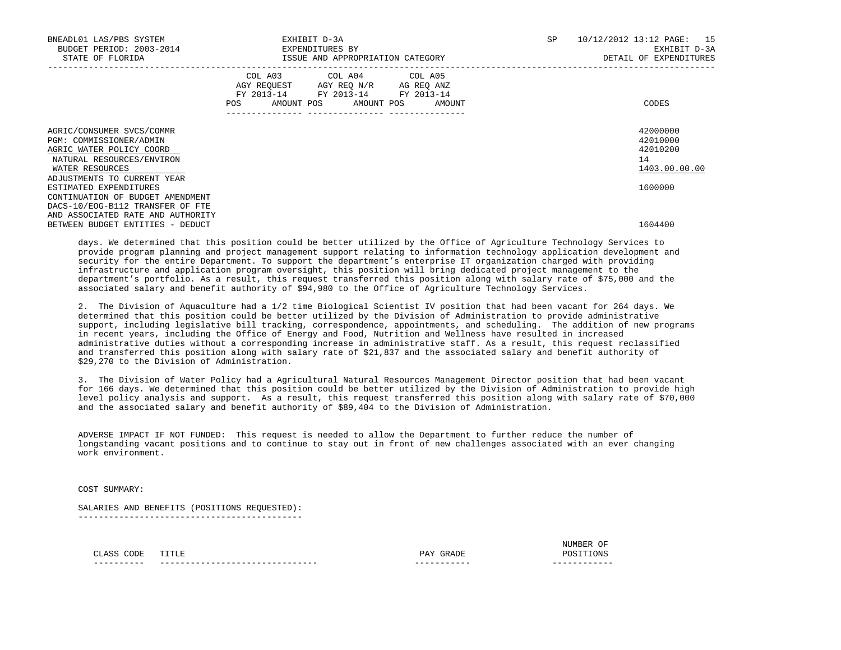| BNEADL01 LAS/PBS SYSTEM<br>BUDGET PERIOD: 2003-2014<br>STATE OF FLORIDA                                                                                         | EXHIBIT D-3A<br>EXPENDITURES BY<br>ISSUE AND APPROPRIATION CATEGORY                                                                                                                                                                                 | SP | 10/12/2012 13:12 PAGE: 15<br>EXHIBIT D-3A<br>DETAIL OF EXPENDITURES |
|-----------------------------------------------------------------------------------------------------------------------------------------------------------------|-----------------------------------------------------------------------------------------------------------------------------------------------------------------------------------------------------------------------------------------------------|----|---------------------------------------------------------------------|
|                                                                                                                                                                 | COL A03 COL A04 COL A05<br>AGY REQUEST AGY REQ N/R AG REQ ANZ<br>FY 2013-14 FY 2013-14 FY 2013-14<br>POS FOR THE POST OF THE STATE STATE STATE STATE STATE STATE STATE STATE STATE STATE STATE STATE STATE STATE ST<br>AMOUNT POS AMOUNT POS AMOUNT |    | CODES                                                               |
| AGRIC/CONSUMER SVCS/COMMR<br>PGM: COMMISSIONER/ADMIN<br>AGRIC WATER POLICY COORD<br>NATURAL RESOURCES/ENVIRON<br>WATER RESOURCES<br>ADJUSTMENTS TO CURRENT YEAR |                                                                                                                                                                                                                                                     |    | 42000000<br>42010000<br>42010200<br>14<br>1403.00.00.00             |
| ESTIMATED EXPENDITURES<br>CONTINUATION OF BUDGET AMENDMENT<br>DACS-10/EOG-B112 TRANSFER OF FTE<br>AND ASSOCIATED RATE AND AUTHORITY                             |                                                                                                                                                                                                                                                     |    | 1600000                                                             |
| BETWEEN BUDGET ENTITIES - DEDUCT                                                                                                                                |                                                                                                                                                                                                                                                     |    | 1604400                                                             |

 days. We determined that this position could be better utilized by the Office of Agriculture Technology Services to provide program planning and project management support relating to information technology application development and security for the entire Department. To support the department's enterprise IT organization charged with providing infrastructure and application program oversight, this position will bring dedicated project management to the department's portfolio. As a result, this request transferred this position along with salary rate of \$75,000 and the associated salary and benefit authority of \$94,980 to the Office of Agriculture Technology Services.

 2. The Division of Aquaculture had a 1/2 time Biological Scientist IV position that had been vacant for 264 days. We determined that this position could be better utilized by the Division of Administration to provide administrative support, including legislative bill tracking, correspondence, appointments, and scheduling. The addition of new programs in recent years, including the Office of Energy and Food, Nutrition and Wellness have resulted in increased administrative duties without a corresponding increase in administrative staff. As a result, this request reclassified and transferred this position along with salary rate of \$21,837 and the associated salary and benefit authority of \$29,270 to the Division of Administration.

 3. The Division of Water Policy had a Agricultural Natural Resources Management Director position that had been vacant for 166 days. We determined that this position could be better utilized by the Division of Administration to provide high level policy analysis and support. As a result, this request transferred this position along with salary rate of \$70,000 and the associated salary and benefit authority of \$89,404 to the Division of Administration.

 ADVERSE IMPACT IF NOT FUNDED: This request is needed to allow the Department to further reduce the number of longstanding vacant positions and to continue to stay out in front of new challenges associated with an ever changing work environment.

COST SUMMARY:

 SALARIES AND BENEFITS (POSITIONS REQUESTED): --------------------------------------------

| __________ | -----------------------------<br>--- | -----------<br>______ | ----<br>--- |
|------------|--------------------------------------|-----------------------|-------------|
|            |                                      | 'nъ                   |             |
|            |                                      |                       |             |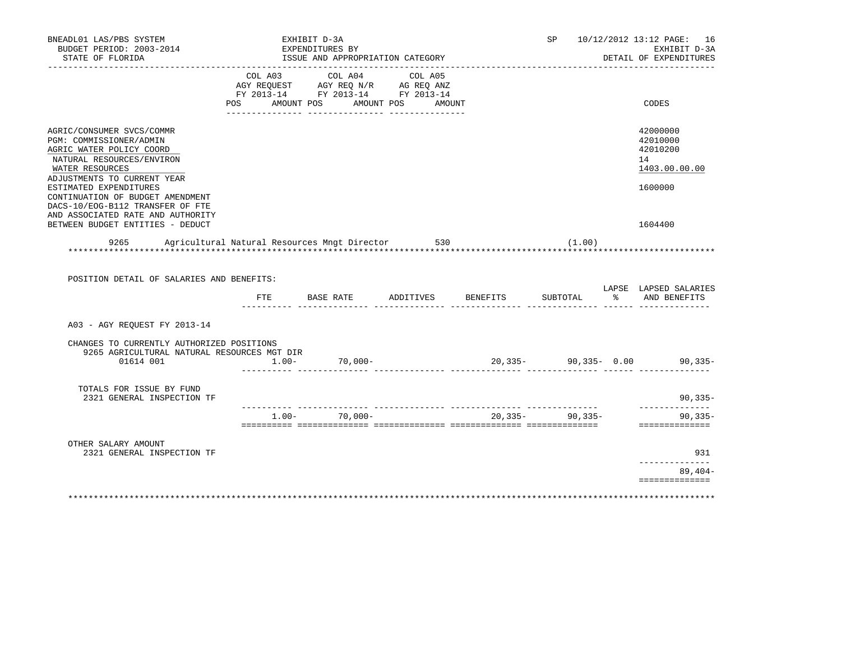|                                           | EXPENDITURES BY<br>ISSUE AND APPROPRIATION CATEGORY |                                                                                       |                                                                        |                                                         |                                                                                          | SP 10/12/2012 13:12 PAGE: 16<br>EXHIBIT D-3A<br>DETAIL OF EXPENDITURES |
|-------------------------------------------|-----------------------------------------------------|---------------------------------------------------------------------------------------|------------------------------------------------------------------------|---------------------------------------------------------|------------------------------------------------------------------------------------------|------------------------------------------------------------------------|
|                                           | COL A03 COL A04 COL A05                             |                                                                                       |                                                                        |                                                         |                                                                                          | CODES                                                                  |
|                                           |                                                     |                                                                                       |                                                                        |                                                         |                                                                                          | 42000000<br>42010000<br>42010200<br>14<br>1403.00.00.00                |
|                                           |                                                     |                                                                                       |                                                                        |                                                         |                                                                                          | 1600000<br>1604400                                                     |
|                                           |                                                     |                                                                                       |                                                                        |                                                         |                                                                                          |                                                                        |
| POSITION DETAIL OF SALARIES AND BENEFITS: |                                                     |                                                                                       |                                                                        |                                                         |                                                                                          | LAPSE LAPSED SALARIES                                                  |
| FTE                                       |                                                     |                                                                                       |                                                                        |                                                         |                                                                                          | % AND BENEFITS                                                         |
|                                           |                                                     |                                                                                       |                                                                        |                                                         |                                                                                          |                                                                        |
| CHANGES TO CURRENTLY AUTHORIZED POSITIONS |                                                     |                                                                                       |                                                                        |                                                         |                                                                                          |                                                                        |
|                                           |                                                     |                                                                                       |                                                                        |                                                         |                                                                                          | $90, 335 -$                                                            |
|                                           |                                                     |                                                                                       |                                                                        |                                                         |                                                                                          | ______________<br>$90, 335 -$<br>==============                        |
|                                           |                                                     |                                                                                       |                                                                        |                                                         |                                                                                          |                                                                        |
|                                           |                                                     |                                                                                       |                                                                        |                                                         |                                                                                          |                                                                        |
|                                           |                                                     |                                                                                       |                                                                        |                                                         |                                                                                          | 931<br>______________<br>89,404-                                       |
|                                           |                                                     | 9265 AGRICULTURAL NATURAL RESOURCES MGT DIR<br>$1.00 - 70,000 -$<br>$1.00 - 70.000 -$ | AGY REQUEST AGY REQ N/R AG REQ ANZ<br>FY 2013-14 FY 2013-14 FY 2013-14 | POS AMOUNT POS AMOUNT POS AMOUNT<br>BASE RATE ADDITIVES | 9265 Agricultural Natural Resources Mngt Director 530 530 (1.00)<br>BENEFITS<br>SUBTOTAL | $20,335-$ 90,335- 0.00 90,335-<br>$20.335 - 90.335 -$                  |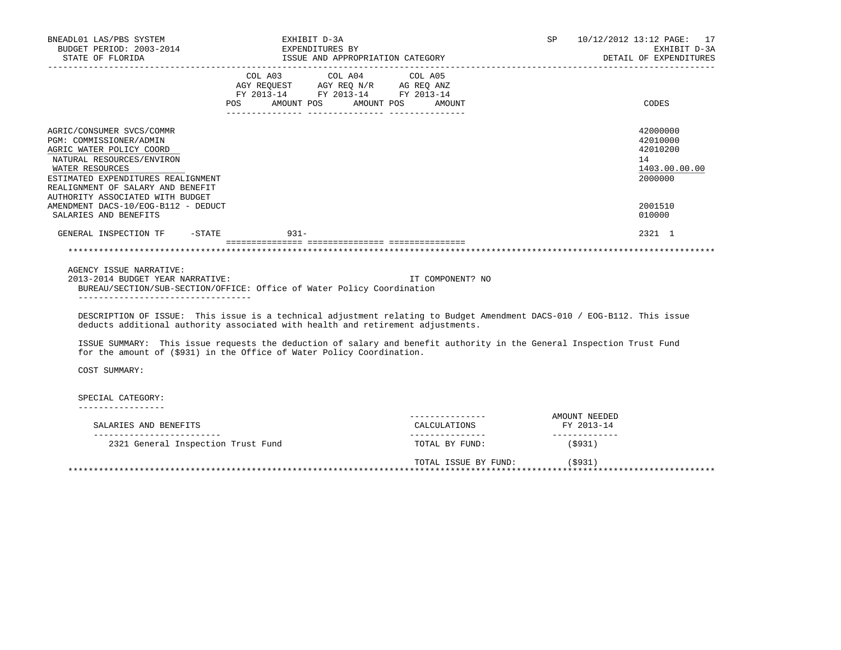| BNEADL01 LAS/PBS SYSTEM                                                                                                                                                                                                                                                                | EXHIBIT D-3A                                                                                                                                                                                               |                                  |                             | SP 10/12/2012 13:12 PAGE: 17                                                  |
|----------------------------------------------------------------------------------------------------------------------------------------------------------------------------------------------------------------------------------------------------------------------------------------|------------------------------------------------------------------------------------------------------------------------------------------------------------------------------------------------------------|----------------------------------|-----------------------------|-------------------------------------------------------------------------------|
| BUDGET PERIOD: 2003-2014<br>STATE OF FLORIDA                                                                                                                                                                                                                                           | EXPENDITURES BY                                                                                                                                                                                            | ISSUE AND APPROPRIATION CATEGORY |                             | EXHIBIT D-3A<br>DETAIL OF EXPENDITURES                                        |
|                                                                                                                                                                                                                                                                                        | COL A03 COL A04 COL A05<br>AGY REQUEST AGY REQ N/R AG REQ ANZ<br>FY 2013-14 FY 2013-14 FY 2013-14<br>AMOUNT POS AMOUNT POS<br>POS                                                                          | AMOUNT                           |                             | CODES                                                                         |
| AGRIC/CONSUMER SVCS/COMMR<br>PGM: COMMISSIONER/ADMIN<br>AGRIC WATER POLICY COORD<br>NATURAL RESOURCES/ENVIRON<br>WATER RESOURCES<br>ESTIMATED EXPENDITURES REALIGNMENT<br>REALIGNMENT OF SALARY AND BENEFIT<br>AUTHORITY ASSOCIATED WITH BUDGET<br>AMENDMENT DACS-10/EOG-B112 - DEDUCT |                                                                                                                                                                                                            |                                  |                             | 42000000<br>42010000<br>42010200<br>14<br>1403.00.00.00<br>2000000<br>2001510 |
| SALARIES AND BENEFITS<br>GENERAL INSPECTION TF -STATE 931-                                                                                                                                                                                                                             |                                                                                                                                                                                                            |                                  |                             | 010000<br>2321 1                                                              |
| AGENCY ISSUE NARRATIVE:<br>2013-2014 BUDGET YEAR NARRATIVE:<br>------------------------------------                                                                                                                                                                                    | BUREAU/SECTION/SUB-SECTION/OFFICE: Office of Water Policy Coordination                                                                                                                                     | IT COMPONENT? NO                 |                             |                                                                               |
|                                                                                                                                                                                                                                                                                        | DESCRIPTION OF ISSUE: This issue is a technical adjustment relating to Budget Amendment DACS-010 / EOG-B112. This issue<br>deducts additional authority associated with health and retirement adjustments. |                                  |                             |                                                                               |
|                                                                                                                                                                                                                                                                                        | ISSUE SUMMARY: This issue requests the deduction of salary and benefit authority in the General Inspection Trust Fund<br>for the amount of (\$931) in the Office of Water Policy Coordination.             |                                  |                             |                                                                               |
| COST SUMMARY:                                                                                                                                                                                                                                                                          |                                                                                                                                                                                                            |                                  |                             |                                                                               |
| SPECIAL CATEGORY:<br>----------------                                                                                                                                                                                                                                                  |                                                                                                                                                                                                            |                                  |                             |                                                                               |
| SALARIES AND BENEFITS                                                                                                                                                                                                                                                                  |                                                                                                                                                                                                            | CALCULATIONS                     | AMOUNT NEEDED<br>FY 2013-14 |                                                                               |
| 2321 General Inspection Trust Fund                                                                                                                                                                                                                                                     |                                                                                                                                                                                                            | TOTAL BY FUND:                   | ______________<br>(\$931)   |                                                                               |
|                                                                                                                                                                                                                                                                                        |                                                                                                                                                                                                            |                                  |                             |                                                                               |

 TOTAL ISSUE BY FUND: (\$931) \*\*\*\*\*\*\*\*\*\*\*\*\*\*\*\*\*\*\*\*\*\*\*\*\*\*\*\*\*\*\*\*\*\*\*\*\*\*\*\*\*\*\*\*\*\*\*\*\*\*\*\*\*\*\*\*\*\*\*\*\*\*\*\*\*\*\*\*\*\*\*\*\*\*\*\*\*\*\*\*\*\*\*\*\*\*\*\*\*\*\*\*\*\*\*\*\*\*\*\*\*\*\*\*\*\*\*\*\*\*\*\*\*\*\*\*\*\*\*\*\*\*\*\*\*\*\*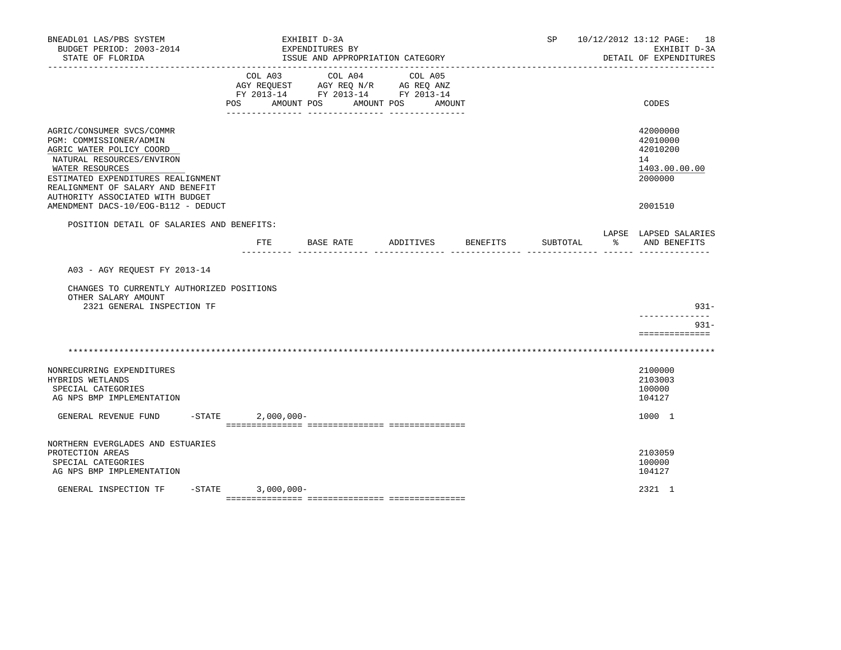| BNEADL01 LAS/PBS SYSTEM<br>BUDGET PERIOD: 2003-2014<br>STATE OF FLORIDA                                                                                                                                                                         |                     |              | EXHIBIT D-3A<br>EXPENDITURES BY | ISSUE AND APPROPRIATION CATEGORY                                                                           |           |        |                 | SP       |               | 10/12/2012 13:12 PAGE: 18<br>EXHIBIT D-3A<br>DETAIL OF EXPENDITURES |
|-------------------------------------------------------------------------------------------------------------------------------------------------------------------------------------------------------------------------------------------------|---------------------|--------------|---------------------------------|------------------------------------------------------------------------------------------------------------|-----------|--------|-----------------|----------|---------------|---------------------------------------------------------------------|
|                                                                                                                                                                                                                                                 | COL A03<br>POS      |              |                                 | COL A04<br>AGY REQUEST AGY REQ N/R AG REQ ANZ<br>FY 2013-14 FY 2013-14 FY 2013-14<br>AMOUNT POS AMOUNT POS | COL A05   | AMOUNT |                 |          |               | CODES                                                               |
| AGRIC/CONSUMER SVCS/COMMR<br>PGM: COMMISSIONER/ADMIN<br>AGRIC WATER POLICY COORD<br>NATURAL RESOURCES/ENVIRON<br>WATER RESOURCES<br>ESTIMATED EXPENDITURES REALIGNMENT<br>REALIGNMENT OF SALARY AND BENEFIT<br>AUTHORITY ASSOCIATED WITH BUDGET |                     |              |                                 |                                                                                                            |           |        |                 |          |               | 42000000<br>42010000<br>42010200<br>14<br>1403.00.00.00<br>2000000  |
| AMENDMENT DACS-10/EOG-B112 - DEDUCT                                                                                                                                                                                                             |                     |              |                                 |                                                                                                            |           |        |                 |          |               | 2001510                                                             |
| POSITION DETAIL OF SALARIES AND BENEFITS:                                                                                                                                                                                                       | FTE                 |              | BASE RATE                       |                                                                                                            | ADDITIVES |        | <b>BENEFITS</b> | SUBTOTAL | $\frac{1}{6}$ | LAPSE LAPSED SALARIES<br>AND BENEFITS                               |
| A03 - AGY REQUEST FY 2013-14<br>CHANGES TO CURRENTLY AUTHORIZED POSITIONS<br>OTHER SALARY AMOUNT<br>2321 GENERAL INSPECTION TF                                                                                                                  |                     |              |                                 |                                                                                                            |           |        |                 |          |               | $931 -$<br>--------------<br>$931 -$<br>==============              |
|                                                                                                                                                                                                                                                 |                     |              |                                 |                                                                                                            |           |        |                 |          |               |                                                                     |
| NONRECURRING EXPENDITURES<br>HYBRIDS WETLANDS<br>SPECIAL CATEGORIES<br>AG NPS BMP IMPLEMENTATION                                                                                                                                                |                     |              |                                 |                                                                                                            |           |        |                 |          |               | 2100000<br>2103003<br>100000<br>104127                              |
| $-$ STATE<br>GENERAL REVENUE FUND                                                                                                                                                                                                               |                     | $2,000,000-$ |                                 |                                                                                                            |           |        |                 |          |               | 1000 1                                                              |
| NORTHERN EVERGLADES AND ESTUARIES<br>PROTECTION AREAS<br>SPECIAL CATEGORIES<br>AG NPS BMP IMPLEMENTATION                                                                                                                                        |                     |              |                                 |                                                                                                            |           |        |                 |          |               | 2103059<br>100000<br>104127                                         |
| GENERAL INSPECTION TF                                                                                                                                                                                                                           | $-STATE$ 3,000,000- |              |                                 |                                                                                                            |           |        |                 |          |               | 2321 1                                                              |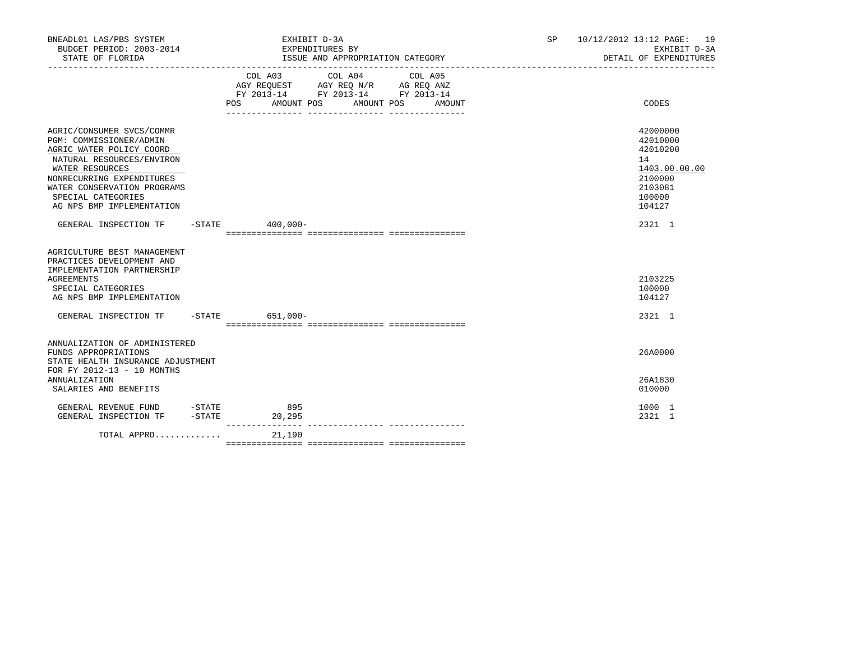| BNEADL01 LAS/PBS SYSTEM<br>BUDGET PERIOD: 2003-2014<br>STATE OF FLORIDA                                                                                                                                                                         |                   | EXHIBIT D-3A                                                                                                  | EXPENDITURES BY<br>ISSUE AND APPROPRIATION CATEGORY |         |        | <b>SP</b> | 10/12/2012 13:12 PAGE: 19<br>EXHIBIT D-3A<br>DETAIL OF EXPENDITURES                               |
|-------------------------------------------------------------------------------------------------------------------------------------------------------------------------------------------------------------------------------------------------|-------------------|---------------------------------------------------------------------------------------------------------------|-----------------------------------------------------|---------|--------|-----------|---------------------------------------------------------------------------------------------------|
|                                                                                                                                                                                                                                                 |                   | COL A03<br>AGY REQUEST AGY REQ N/R AG REQ ANZ<br>FY 2013-14 FY 2013-14 FY 2013-14<br><b>POS</b><br>AMOUNT POS | COL A04<br>AMOUNT POS                               | COL A05 | AMOUNT |           | CODES                                                                                             |
| AGRIC/CONSUMER SVCS/COMMR<br>PGM: COMMISSIONER/ADMIN<br>AGRIC WATER POLICY COORD<br>NATURAL RESOURCES/ENVIRON<br>WATER RESOURCES<br>NONRECURRING EXPENDITURES<br>WATER CONSERVATION PROGRAMS<br>SPECIAL CATEGORIES<br>AG NPS BMP IMPLEMENTATION |                   |                                                                                                               |                                                     |         |        |           | 42000000<br>42010000<br>42010200<br>14<br>1403.00.00.00<br>2100000<br>2103081<br>100000<br>104127 |
| GENERAL INSPECTION TF -STATE 400,000-                                                                                                                                                                                                           |                   |                                                                                                               |                                                     |         |        |           | 2321 1                                                                                            |
| AGRICULTURE BEST MANAGEMENT<br>PRACTICES DEVELOPMENT AND<br>IMPLEMENTATION PARTNERSHIP<br><b>AGREEMENTS</b><br>SPECIAL CATEGORIES<br>AG NPS BMP IMPLEMENTATION                                                                                  |                   |                                                                                                               |                                                     |         |        |           | 2103225<br>100000<br>104127                                                                       |
| GENERAL INSPECTION TF                                                                                                                                                                                                                           |                   | -STATE 651,000-                                                                                               |                                                     |         |        |           | 2321 1                                                                                            |
| ANNUALIZATION OF ADMINISTERED<br>FUNDS APPROPRIATIONS<br>STATE HEALTH INSURANCE ADJUSTMENT<br>FOR FY 2012-13 - 10 MONTHS                                                                                                                        |                   |                                                                                                               |                                                     |         |        |           | 26A0000                                                                                           |
| <b>ANNUALIZATION</b><br>SALARIES AND BENEFITS                                                                                                                                                                                                   |                   |                                                                                                               |                                                     |         |        |           | 26A1830<br>010000                                                                                 |
| GENERAL REVENUE FUND -STATE<br>GENERAL INSPECTION TF                                                                                                                                                                                            | $-\mathtt{STATE}$ | 895<br>20,295                                                                                                 |                                                     |         |        |           | 1000 1<br>2321 1                                                                                  |
| TOTAL APPRO                                                                                                                                                                                                                                     |                   | ----------------<br>21,190                                                                                    |                                                     |         |        |           |                                                                                                   |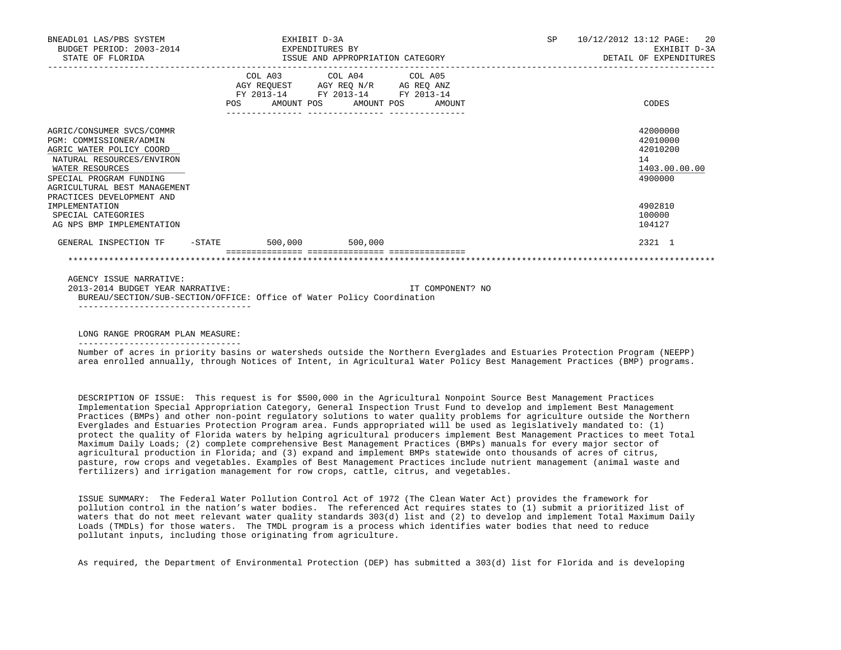| BNEADL01 LAS/PBS SYSTEM<br>BUDGET PERIOD: 2003-2014<br>STATE OF FLORIDA                                                                                                                                                                    |     | EXHIBIT D-3A<br>EXPENDITURES BY | ISSUE AND APPROPRIATION CATEGORY                                                                                           |                  | <b>SP</b> | 10/12/2012 13:12 PAGE:<br>-20<br>EXHIBIT D-3A<br>DETAIL OF EXPENDITURES       |
|--------------------------------------------------------------------------------------------------------------------------------------------------------------------------------------------------------------------------------------------|-----|---------------------------------|----------------------------------------------------------------------------------------------------------------------------|------------------|-----------|-------------------------------------------------------------------------------|
|                                                                                                                                                                                                                                            | POS |                                 | COL A03 COL A04 COL A05<br>AGY REQUEST AGY REQ N/R AG REQ ANZ<br>FY 2013-14 FY 2013-14 FY 2013-14<br>AMOUNT POS AMOUNT POS | AMOUNT           |           | CODES                                                                         |
| AGRIC/CONSUMER SVCS/COMMR<br>PGM: COMMISSIONER/ADMIN<br>AGRIC WATER POLICY COORD<br>NATURAL RESOURCES/ENVIRON<br>WATER RESOURCES<br>SPECIAL PROGRAM FUNDING<br>AGRICULTURAL BEST MANAGEMENT<br>PRACTICES DEVELOPMENT AND<br>IMPLEMENTATION |     |                                 |                                                                                                                            |                  |           | 42000000<br>42010000<br>42010200<br>14<br>1403.00.00.00<br>4900000<br>4902810 |
| SPECIAL CATEGORIES<br>AG NPS BMP IMPLEMENTATION                                                                                                                                                                                            |     |                                 |                                                                                                                            |                  |           | 100000<br>104127                                                              |
| GENERAL INSPECTION TF                                                                                                                                                                                                                      |     | $-$ STATE 500,000 500,000       |                                                                                                                            |                  |           | 2321 1                                                                        |
|                                                                                                                                                                                                                                            |     |                                 |                                                                                                                            |                  |           |                                                                               |
| AGENCY ISSUE NARRATIVE:<br>2013-2014 BUDGET YEAR NARRATIVE:<br>BUREAU/SECTION/SUB-SECTION/OFFICE: Office of Water Policy Coordination                                                                                                      |     |                                 |                                                                                                                            | IT COMPONENT? NO |           |                                                                               |

LONG RANGE PROGRAM PLAN MEASURE:

--------------------------------

 Number of acres in priority basins or watersheds outside the Northern Everglades and Estuaries Protection Program (NEEPP) area enrolled annually, through Notices of Intent, in Agricultural Water Policy Best Management Practices (BMP) programs.

 DESCRIPTION OF ISSUE: This request is for \$500,000 in the Agricultural Nonpoint Source Best Management Practices Implementation Special Appropriation Category, General Inspection Trust Fund to develop and implement Best Management Practices (BMPs) and other non-point regulatory solutions to water quality problems for agriculture outside the Northern Everglades and Estuaries Protection Program area. Funds appropriated will be used as legislatively mandated to: (1) protect the quality of Florida waters by helping agricultural producers implement Best Management Practices to meet Total Maximum Daily Loads; (2) complete comprehensive Best Management Practices (BMPs) manuals for every major sector of agricultural production in Florida; and (3) expand and implement BMPs statewide onto thousands of acres of citrus, pasture, row crops and vegetables. Examples of Best Management Practices include nutrient management (animal waste and fertilizers) and irrigation management for row crops, cattle, citrus, and vegetables.

 ISSUE SUMMARY: The Federal Water Pollution Control Act of 1972 (The Clean Water Act) provides the framework for pollution control in the nation's water bodies. The referenced Act requires states to (1) submit a prioritized list of waters that do not meet relevant water quality standards 303(d) list and (2) to develop and implement Total Maximum Daily Loads (TMDLs) for those waters. The TMDL program is a process which identifies water bodies that need to reduce pollutant inputs, including those originating from agriculture.

As required, the Department of Environmental Protection (DEP) has submitted a 303(d) list for Florida and is developing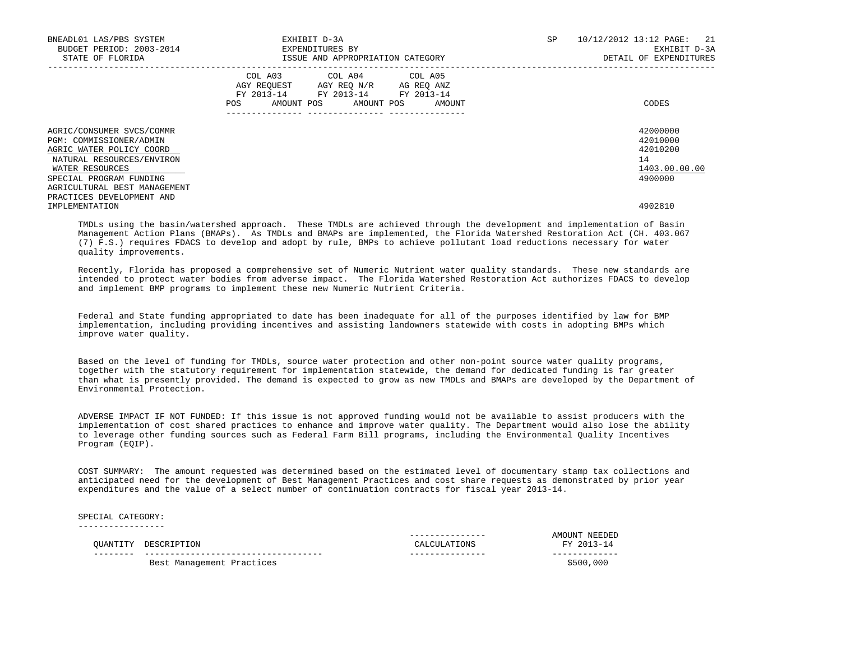| BNEADL01 LAS/PBS SYSTEM<br>BUDGET PERIOD: 2003-2014<br>STATE OF FLORIDA                                                          | EXHIBIT D-3A<br>EXPENDITURES BY<br>ISSUE AND APPROPRIATION CATEGORY                                                                                  | 10/12/2012 13:12 PAGE: 21<br>SP<br>EXHIBIT D-3A<br>DETAIL OF EXPENDITURES |
|----------------------------------------------------------------------------------------------------------------------------------|------------------------------------------------------------------------------------------------------------------------------------------------------|---------------------------------------------------------------------------|
|                                                                                                                                  | COL A03<br>COL A04 COL A05<br>AGY REOUEST<br>AGY REQ N/R AG REQ ANZ<br>FY 2013-14 FY 2013-14 FY 2013-14<br>AMOUNT POS<br>AMOUNT POS<br>POS<br>AMOUNT | CODES                                                                     |
| AGRIC/CONSUMER SVCS/COMMR<br>PGM: COMMISSIONER/ADMIN<br>AGRIC WATER POLICY COORD<br>NATURAL RESOURCES/ENVIRON<br>WATER RESOURCES |                                                                                                                                                      | 42000000<br>42010000<br>42010200<br>14<br>1403.00.00.00                   |
| SPECIAL PROGRAM FUNDING<br>AGRICULTURAL BEST MANAGEMENT<br>PRACTICES DEVELOPMENT AND<br>IMPLEMENTATION                           |                                                                                                                                                      | 4900000<br>4902810                                                        |

 TMDLs using the basin/watershed approach. These TMDLs are achieved through the development and implementation of Basin Management Action Plans (BMAPs). As TMDLs and BMAPs are implemented, the Florida Watershed Restoration Act (CH. 403.067 (7) F.S.) requires FDACS to develop and adopt by rule, BMPs to achieve pollutant load reductions necessary for water quality improvements.

 Recently, Florida has proposed a comprehensive set of Numeric Nutrient water quality standards. These new standards are intended to protect water bodies from adverse impact. The Florida Watershed Restoration Act authorizes FDACS to develop and implement BMP programs to implement these new Numeric Nutrient Criteria.

 Federal and State funding appropriated to date has been inadequate for all of the purposes identified by law for BMP implementation, including providing incentives and assisting landowners statewide with costs in adopting BMPs which improve water quality.

 Based on the level of funding for TMDLs, source water protection and other non-point source water quality programs, together with the statutory requirement for implementation statewide, the demand for dedicated funding is far greater than what is presently provided. The demand is expected to grow as new TMDLs and BMAPs are developed by the Department of Environmental Protection.

 ADVERSE IMPACT IF NOT FUNDED: If this issue is not approved funding would not be available to assist producers with the implementation of cost shared practices to enhance and improve water quality. The Department would also lose the ability to leverage other funding sources such as Federal Farm Bill programs, including the Environmental Quality Incentives Program (EQIP).

 COST SUMMARY: The amount requested was determined based on the estimated level of documentary stamp tax collections and anticipated need for the development of Best Management Practices and cost share requests as demonstrated by prior year expenditures and the value of a select number of continuation contracts for fiscal year 2013-14.

 SPECIAL CATEGORY: -----------------

|          |                           |              | AMOUNT NEEDED |
|----------|---------------------------|--------------|---------------|
| OUANTITY | DESCRIPTION               | CALCULATIONS | FY 2013-14    |
|          |                           |              |               |
|          | Best Management Practices |              | \$500,000     |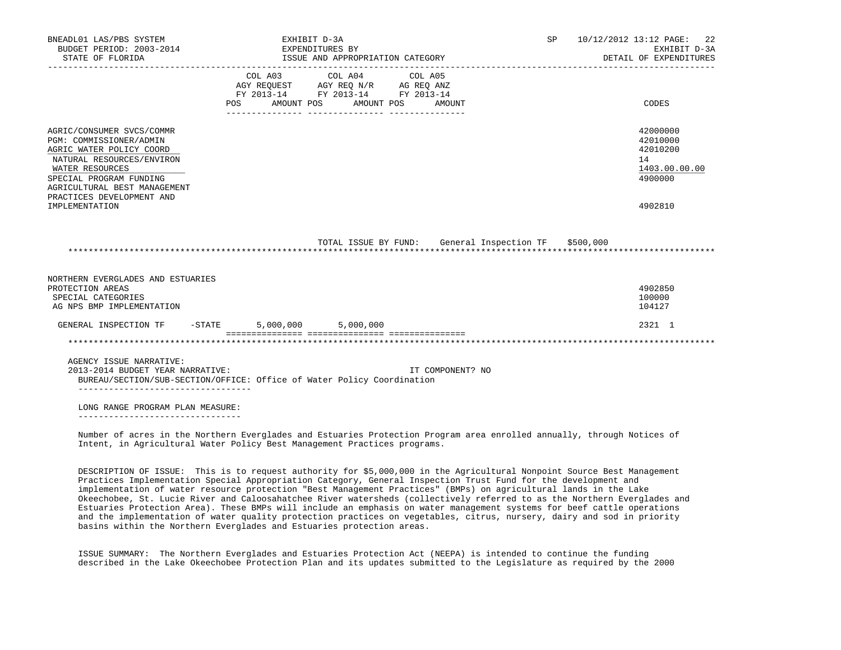| BNEADL01 LAS/PBS SYSTEM<br>BUDGET PERIOD: 2003-2014<br>STATE OF FLORIDA                                                                                                                                                                    | EXHIBIT D-3A<br>EXPENDITURES BY | ISSUE AND APPROPRIATION CATEGORY                                                                                |                                                      | SP 10/12/2012 13:12 PAGE: 22<br>EXHIBIT D-3A<br>DETAIL OF EXPENDITURES        |
|--------------------------------------------------------------------------------------------------------------------------------------------------------------------------------------------------------------------------------------------|---------------------------------|-----------------------------------------------------------------------------------------------------------------|------------------------------------------------------|-------------------------------------------------------------------------------|
|                                                                                                                                                                                                                                            | POS AMOUNT POS                  | COL A03 COL A04 COL A05<br>AGY REQUEST AGY REQ N/R AG REQ ANZ<br>FY 2013-14 FY 2013-14 FY 2013-14<br>AMOUNT POS | AMOUNT                                               | CODES                                                                         |
| AGRIC/CONSUMER SVCS/COMMR<br>PGM: COMMISSIONER/ADMIN<br>AGRIC WATER POLICY COORD<br>NATURAL RESOURCES/ENVIRON<br>WATER RESOURCES<br>SPECIAL PROGRAM FUNDING<br>AGRICULTURAL BEST MANAGEMENT<br>PRACTICES DEVELOPMENT AND<br>IMPLEMENTATION |                                 |                                                                                                                 |                                                      | 42000000<br>42010000<br>42010200<br>14<br>1403.00.00.00<br>4900000<br>4902810 |
|                                                                                                                                                                                                                                            |                                 |                                                                                                                 | TOTAL ISSUE BY FUND: General Inspection TF \$500,000 |                                                                               |
| NORTHERN EVERGLADES AND ESTUARIES<br>PROTECTION AREAS<br>SPECIAL CATEGORIES<br>AG NPS BMP IMPLEMENTATION                                                                                                                                   |                                 |                                                                                                                 |                                                      | 4902850<br>100000<br>104127                                                   |
| GENERAL INSPECTION TF -STATE                                                                                                                                                                                                               |                                 | 5,000,000 5,000,000                                                                                             |                                                      | 2321 1                                                                        |
|                                                                                                                                                                                                                                            |                                 |                                                                                                                 |                                                      |                                                                               |
| AGENCY ISSUE NARRATIVE:<br>2013-2014 BUDGET YEAR NARRATIVE:<br>BUREAU/SECTION/SUB-SECTION/OFFICE: Office of Water Policy Coordination                                                                                                      |                                 |                                                                                                                 | IT COMPONENT? NO                                     |                                                                               |
| ___________________________________<br>LONG RANGE PROGRAM PLAN MEASURE:                                                                                                                                                                    |                                 |                                                                                                                 |                                                      |                                                                               |

 Number of acres in the Northern Everglades and Estuaries Protection Program area enrolled annually, through Notices of Intent, in Agricultural Water Policy Best Management Practices programs.

 DESCRIPTION OF ISSUE: This is to request authority for \$5,000,000 in the Agricultural Nonpoint Source Best Management Practices Implementation Special Appropriation Category, General Inspection Trust Fund for the development and implementation of water resource protection "Best Management Practices" (BMPs) on agricultural lands in the Lake Okeechobee, St. Lucie River and Caloosahatchee River watersheds (collectively referred to as the Northern Everglades and Estuaries Protection Area). These BMPs will include an emphasis on water management systems for beef cattle operations and the implementation of water quality protection practices on vegetables, citrus, nursery, dairy and sod in priority basins within the Northern Everglades and Estuaries protection areas.

 ISSUE SUMMARY: The Northern Everglades and Estuaries Protection Act (NEEPA) is intended to continue the funding described in the Lake Okeechobee Protection Plan and its updates submitted to the Legislature as required by the 2000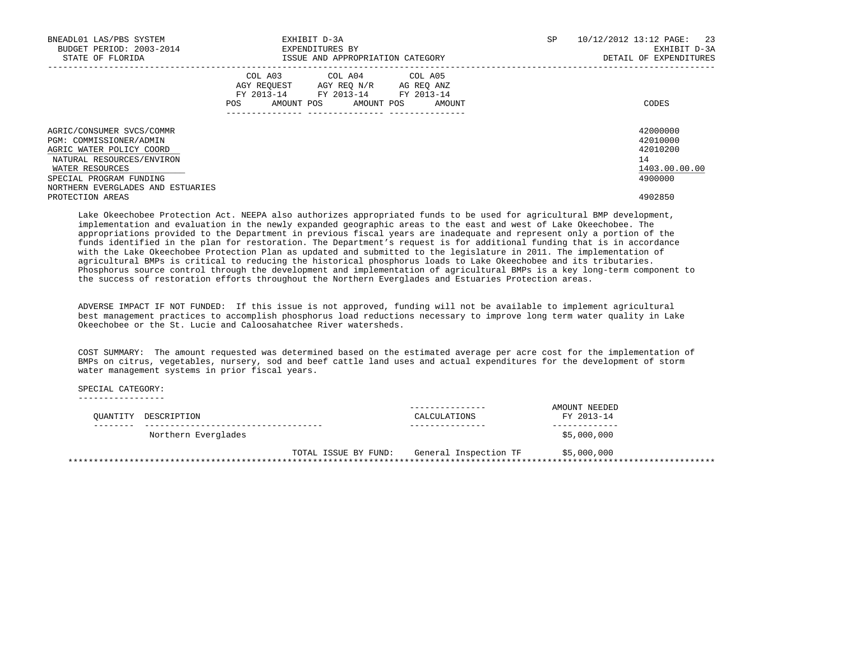| BNEADL01 LAS/PBS SYSTEM<br>BUDGET PERIOD: 2003-2014<br>STATE OF FLORIDA                                                                                                                          | EXHIBIT D-3A<br>EXPENDITURES BY<br>ISSUE AND APPROPRIATION CATEGORY                                                                            | SP. | 10/12/2012 13:12 PAGE:<br>23<br>EXHIBIT D-3A<br>DETAIL OF EXPENDITURES |
|--------------------------------------------------------------------------------------------------------------------------------------------------------------------------------------------------|------------------------------------------------------------------------------------------------------------------------------------------------|-----|------------------------------------------------------------------------|
|                                                                                                                                                                                                  | COL A03 COL A04 COL A05<br>AGY REQUEST AGY REO N/R AG REO ANZ<br>FY 2013-14 FY 2013-14 FY 2013-14<br>AMOUNT POS<br>AMOUNT POS<br>POS<br>AMOUNT |     | CODES                                                                  |
| AGRIC/CONSUMER SVCS/COMMR<br>PGM: COMMISSIONER/ADMIN<br>AGRIC WATER POLICY COORD<br>NATURAL RESOURCES/ENVIRON<br>WATER RESOURCES<br>SPECIAL PROGRAM FUNDING<br>NORTHERN EVERGLADES AND ESTUARIES |                                                                                                                                                |     | 42000000<br>42010000<br>42010200<br>14<br>1403.00.00.00<br>4900000     |
| PROTECTION AREAS                                                                                                                                                                                 |                                                                                                                                                |     | 4902850                                                                |

 Lake Okeechobee Protection Act. NEEPA also authorizes appropriated funds to be used for agricultural BMP development, implementation and evaluation in the newly expanded geographic areas to the east and west of Lake Okeechobee. The appropriations provided to the Department in previous fiscal years are inadequate and represent only a portion of the funds identified in the plan for restoration. The Department's request is for additional funding that is in accordance with the Lake Okeechobee Protection Plan as updated and submitted to the legislature in 2011. The implementation of agricultural BMPs is critical to reducing the historical phosphorus loads to Lake Okeechobee and its tributaries. Phosphorus source control through the development and implementation of agricultural BMPs is a key long-term component to the success of restoration efforts throughout the Northern Everglades and Estuaries Protection areas.

 ADVERSE IMPACT IF NOT FUNDED: If this issue is not approved, funding will not be available to implement agricultural best management practices to accomplish phosphorus load reductions necessary to improve long term water quality in Lake Okeechobee or the St. Lucie and Caloosahatchee River watersheds.

 COST SUMMARY: The amount requested was determined based on the estimated average per acre cost for the implementation of BMPs on citrus, vegetables, nursery, sod and beef cattle land uses and actual expenditures for the development of storm water management systems in prior fiscal years.

SPECIAL CATEGORY:

-----------------

| OUANTITY DESCRIPTION | CALCULATIONS                               | AMOUNT NEEDED<br>FY 2013-14 |
|----------------------|--------------------------------------------|-----------------------------|
| Northern Everglades  |                                            | \$5,000,000                 |
|                      | TOTAL ISSUE BY FUND: General Inspection TF | \$5,000,000                 |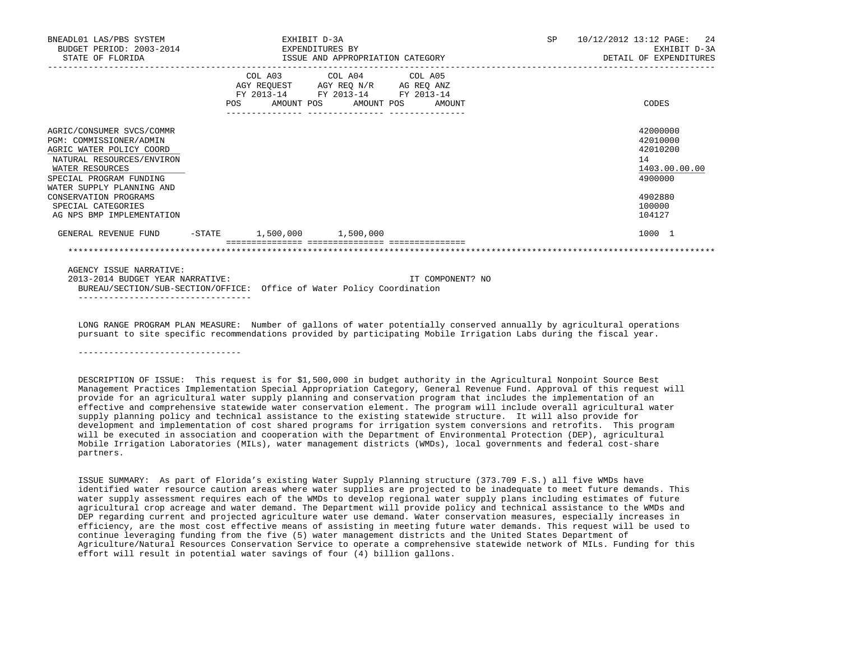| BNEADL01 LAS/PBS SYSTEM<br>BUDGET PERIOD: 2003-2014<br>STATE OF FLORIDA                                                                                                                                                                                              |     | EXPENDITURES BY | EXHIBIT D-3A | ISSUE AND APPROPRIATION CATEGORY                                                                  |                   | SP. | 10/12/2012 13:12 PAGE: 24<br>EXHIBIT D-3A<br>DETAIL OF EXPENDITURES                               |
|----------------------------------------------------------------------------------------------------------------------------------------------------------------------------------------------------------------------------------------------------------------------|-----|-----------------|--------------|---------------------------------------------------------------------------------------------------|-------------------|-----|---------------------------------------------------------------------------------------------------|
|                                                                                                                                                                                                                                                                      | POS | AMOUNT POS      |              | COL A03 COL A04 COL A05<br>AGY REQUEST AGY REQ N/R AG REQ ANZ<br>FY 2013-14 FY 2013-14 FY 2013-14 | AMOUNT POS AMOUNT |     | CODES                                                                                             |
| AGRIC/CONSUMER SVCS/COMMR<br>PGM: COMMISSIONER/ADMIN<br>AGRIC WATER POLICY COORD<br>NATURAL RESOURCES/ENVIRON<br>WATER RESOURCES<br>SPECIAL PROGRAM FUNDING<br>WATER SUPPLY PLANNING AND<br>CONSERVATION PROGRAMS<br>SPECIAL CATEGORIES<br>AG NPS BMP IMPLEMENTATION |     |                 |              |                                                                                                   |                   |     | 42000000<br>42010000<br>42010200<br>14<br>1403.00.00.00<br>4900000<br>4902880<br>100000<br>104127 |
| GENERAL REVENUE FUND -STATE 1,500,000 1,500,000                                                                                                                                                                                                                      |     |                 |              |                                                                                                   |                   |     | 1000 1                                                                                            |
| AGENCY ISSUE NARRATIVE:                                                                                                                                                                                                                                              |     |                 |              |                                                                                                   |                   |     |                                                                                                   |
| 2013-2014 BUDGET YEAR NARRATIVE:<br>BUREAU/SECTION/SUB-SECTION/OFFICE: Office of Water Policy Coordination                                                                                                                                                           |     |                 |              |                                                                                                   | IT COMPONENT? NO  |     |                                                                                                   |

 LONG RANGE PROGRAM PLAN MEASURE: Number of gallons of water potentially conserved annually by agricultural operations pursuant to site specific recommendations provided by participating Mobile Irrigation Labs during the fiscal year.

--------------------------------

 DESCRIPTION OF ISSUE: This request is for \$1,500,000 in budget authority in the Agricultural Nonpoint Source Best Management Practices Implementation Special Appropriation Category, General Revenue Fund. Approval of this request will provide for an agricultural water supply planning and conservation program that includes the implementation of an effective and comprehensive statewide water conservation element. The program will include overall agricultural water supply planning policy and technical assistance to the existing statewide structure. It will also provide for development and implementation of cost shared programs for irrigation system conversions and retrofits. This program will be executed in association and cooperation with the Department of Environmental Protection (DEP), agricultural Mobile Irrigation Laboratories (MILs), water management districts (WMDs), local governments and federal cost-share partners.

 ISSUE SUMMARY: As part of Florida's existing Water Supply Planning structure (373.709 F.S.) all five WMDs have identified water resource caution areas where water supplies are projected to be inadequate to meet future demands. This water supply assessment requires each of the WMDs to develop regional water supply plans including estimates of future agricultural crop acreage and water demand. The Department will provide policy and technical assistance to the WMDs and DEP regarding current and projected agriculture water use demand. Water conservation measures, especially increases in efficiency, are the most cost effective means of assisting in meeting future water demands. This request will be used to continue leveraging funding from the five (5) water management districts and the United States Department of Agriculture/Natural Resources Conservation Service to operate a comprehensive statewide network of MILs. Funding for this effort will result in potential water savings of four (4) billion gallons.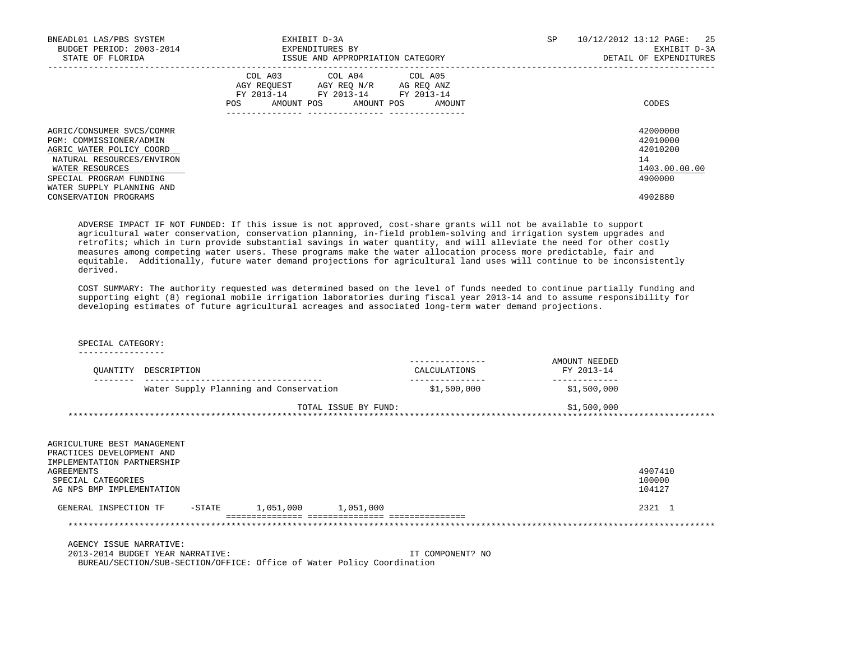| BNEADL01 LAS/PBS SYSTEM<br>BUDGET PERIOD: 2003-2014<br>STATE OF FLORIDA                                                                                                                  | EXHIBIT D-3A<br>EXPENDITURES BY<br>ISSUE AND APPROPRIATION CATEGORY                                                                               | SP<br>10/12/2012 13:12 PAGE:<br>25<br>EXHIBIT D-3A<br>DETAIL OF EXPENDITURES |
|------------------------------------------------------------------------------------------------------------------------------------------------------------------------------------------|---------------------------------------------------------------------------------------------------------------------------------------------------|------------------------------------------------------------------------------|
|                                                                                                                                                                                          | COL A03<br>COL A04 COL A05<br>AGY REOUEST AGY REO N/R<br>AG REO ANZ<br>FY 2013-14 FY 2013-14 FY 2013-14<br>AMOUNT POS AMOUNT POS<br>POS<br>AMOUNT | CODES                                                                        |
| AGRIC/CONSUMER SVCS/COMMR<br>PGM: COMMISSIONER/ADMIN<br>AGRIC WATER POLICY COORD<br>NATURAL RESOURCES/ENVIRON<br>WATER RESOURCES<br>SPECIAL PROGRAM FUNDING<br>WATER SUPPLY PLANNING AND |                                                                                                                                                   | 42000000<br>42010000<br>42010200<br>14<br>1403.00.00.00<br>4900000           |
| CONSERVATION PROGRAMS                                                                                                                                                                    |                                                                                                                                                   | 4902880                                                                      |

 ADVERSE IMPACT IF NOT FUNDED: If this issue is not approved, cost-share grants will not be available to support agricultural water conservation, conservation planning, in-field problem-solving and irrigation system upgrades and retrofits; which in turn provide substantial savings in water quantity, and will alleviate the need for other costly measures among competing water users. These programs make the water allocation process more predictable, fair and equitable. Additionally, future water demand projections for agricultural land uses will continue to be inconsistently derived.

 COST SUMMARY: The authority requested was determined based on the level of funds needed to continue partially funding and supporting eight (8) regional mobile irrigation laboratories during fiscal year 2013-14 and to assume responsibility for developing estimates of future agricultural acreages and associated long-term water demand projections.

## SPECIAL CATEGORY:

-----------------

| OUANTITY                                                                                                                                                | DESCRIPTION                            |           |                      | ----------------<br>CALCULATIONS | AMOUNT NEEDED<br>FY 2013-14 |                             |
|---------------------------------------------------------------------------------------------------------------------------------------------------------|----------------------------------------|-----------|----------------------|----------------------------------|-----------------------------|-----------------------------|
|                                                                                                                                                         | Water Supply Planning and Conservation |           |                      | \$1,500,000                      | \$1,500,000                 |                             |
|                                                                                                                                                         |                                        |           | TOTAL ISSUE BY FUND: |                                  | \$1,500,000                 |                             |
| AGRICULTURE BEST MANAGEMENT<br>PRACTICES DEVELOPMENT AND<br>IMPLEMENTATION PARTNERSHIP<br>AGREEMENTS<br>SPECIAL CATEGORIES<br>AG NPS BMP IMPLEMENTATION |                                        |           |                      |                                  |                             | 4907410<br>100000<br>104127 |
| GENERAL INSPECTION TF                                                                                                                                   | $-$ STATE                              | 1,051,000 | 1,051,000            |                                  |                             | 2321 1                      |

 =============== =============== =============== \*\*\*\*\*\*\*\*\*\*\*\*\*\*\*\*\*\*\*\*\*\*\*\*\*\*\*\*\*\*\*\*\*\*\*\*\*\*\*\*\*\*\*\*\*\*\*\*\*\*\*\*\*\*\*\*\*\*\*\*\*\*\*\*\*\*\*\*\*\*\*\*\*\*\*\*\*\*\*\*\*\*\*\*\*\*\*\*\*\*\*\*\*\*\*\*\*\*\*\*\*\*\*\*\*\*\*\*\*\*\*\*\*\*\*\*\*\*\*\*\*\*\*\*\*\*\*

AGENCY ISSUE NARRATIVE:

 2013-2014 BUDGET YEAR NARRATIVE: IT COMPONENT? NO BUREAU/SECTION/SUB-SECTION/OFFICE: Office of Water Policy Coordination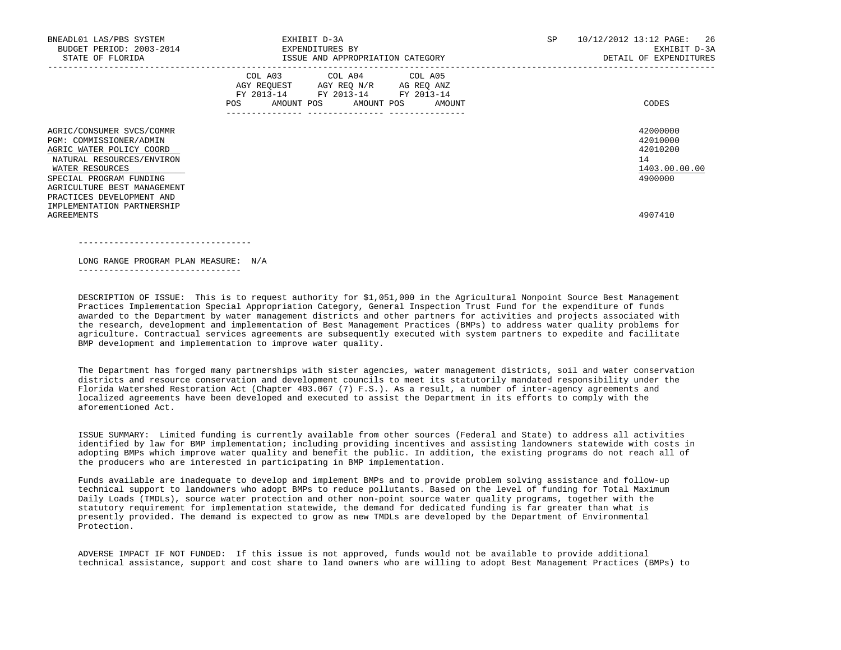| BNEADL01 LAS/PBS SYSTEM<br>BUDGET PERIOD: 2003-2014<br>STATE OF FLORIDA                                                                                                                                                 | EXHIBIT D-3A<br>EXPENDITURES BY<br>ISSUE AND APPROPRIATION CATEGORY                                                                      | 10/12/2012 13:12 PAGE: 26<br><b>SP</b><br>EXHIBIT D-3A<br>DETAIL OF EXPENDITURES |
|-------------------------------------------------------------------------------------------------------------------------------------------------------------------------------------------------------------------------|------------------------------------------------------------------------------------------------------------------------------------------|----------------------------------------------------------------------------------|
|                                                                                                                                                                                                                         | COL A03 COL A04 COL A05<br>AGY REQUEST AGY REQ N/R AG REQ ANZ<br>FY 2013-14 FY 2013-14 FY 2013-14<br>AMOUNT POS AMOUNT POS AMOUNT<br>POS | CODES                                                                            |
| AGRIC/CONSUMER SVCS/COMMR<br>PGM: COMMISSIONER/ADMIN<br>AGRIC WATER POLICY COORD<br>NATURAL RESOURCES/ENVIRON<br>WATER RESOURCES<br>SPECIAL PROGRAM FUNDING<br>AGRICULTURE BEST MANAGEMENT<br>PRACTICES DEVELOPMENT AND |                                                                                                                                          | 42000000<br>42010000<br>42010200<br>14<br>1403.00.00.00<br>4900000               |
| IMPLEMENTATION PARTNERSHIP<br><b>AGREEMENTS</b>                                                                                                                                                                         |                                                                                                                                          | 4907410                                                                          |

LONG RANGE PROGRAM PLAN MEASURE: N/A

----------------------------------

--------------------------------

 DESCRIPTION OF ISSUE: This is to request authority for \$1,051,000 in the Agricultural Nonpoint Source Best Management Practices Implementation Special Appropriation Category, General Inspection Trust Fund for the expenditure of funds awarded to the Department by water management districts and other partners for activities and projects associated with the research, development and implementation of Best Management Practices (BMPs) to address water quality problems for agriculture. Contractual services agreements are subsequently executed with system partners to expedite and facilitate BMP development and implementation to improve water quality.

 The Department has forged many partnerships with sister agencies, water management districts, soil and water conservation districts and resource conservation and development councils to meet its statutorily mandated responsibility under the Florida Watershed Restoration Act (Chapter 403.067 (7) F.S.). As a result, a number of inter-agency agreements and localized agreements have been developed and executed to assist the Department in its efforts to comply with the aforementioned Act.

 ISSUE SUMMARY: Limited funding is currently available from other sources (Federal and State) to address all activities identified by law for BMP implementation; including providing incentives and assisting landowners statewide with costs in adopting BMPs which improve water quality and benefit the public. In addition, the existing programs do not reach all of the producers who are interested in participating in BMP implementation.

 Funds available are inadequate to develop and implement BMPs and to provide problem solving assistance and follow-up technical support to landowners who adopt BMPs to reduce pollutants. Based on the level of funding for Total Maximum Daily Loads (TMDLs), source water protection and other non-point source water quality programs, together with the statutory requirement for implementation statewide, the demand for dedicated funding is far greater than what is presently provided. The demand is expected to grow as new TMDLs are developed by the Department of Environmental Protection.

 ADVERSE IMPACT IF NOT FUNDED: If this issue is not approved, funds would not be available to provide additional technical assistance, support and cost share to land owners who are willing to adopt Best Management Practices (BMPs) to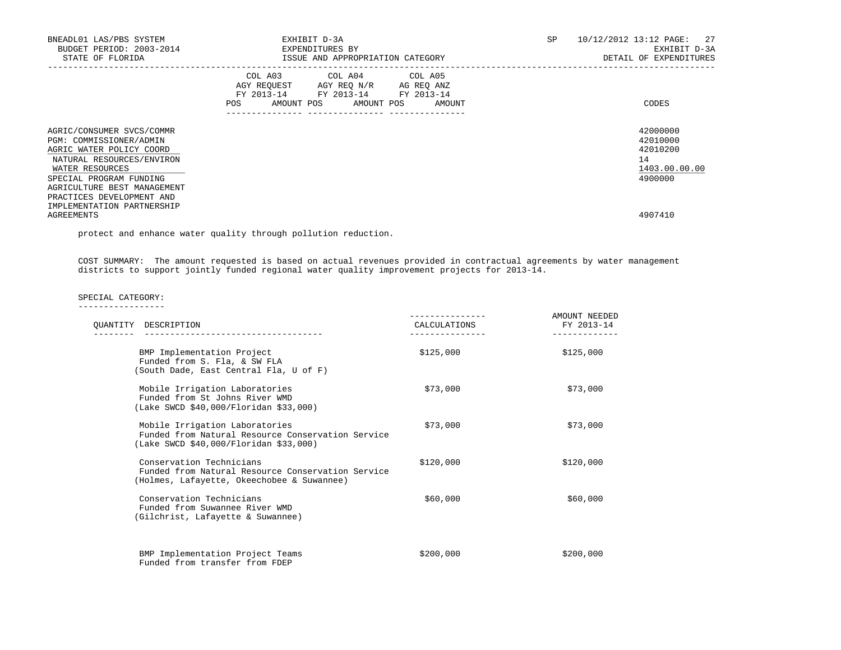| BNEADL01 LAS/PBS SYSTEM<br>BUDGET PERIOD: 2003-2014<br>STATE OF FLORIDA                                                                                                                                                                               | EXHIBIT D-3A<br>EXPENDITURES BY<br>ISSUE AND APPROPRIATION CATEGORY                                                                         | 10/12/2012 13:12 PAGE: 27<br><b>SP</b><br>EXHIBIT D-3A<br>DETAIL OF EXPENDITURES |
|-------------------------------------------------------------------------------------------------------------------------------------------------------------------------------------------------------------------------------------------------------|---------------------------------------------------------------------------------------------------------------------------------------------|----------------------------------------------------------------------------------|
|                                                                                                                                                                                                                                                       | COL A03 COL A04 COL A05<br>AGY REOUEST AGY REO N/R AG REO ANZ<br>FY 2013-14 FY 2013-14 FY 2013-14<br>AMOUNT POS AMOUNT POS<br>POS<br>AMOUNT | CODES                                                                            |
| AGRIC/CONSUMER SVCS/COMMR<br>PGM: COMMISSIONER/ADMIN<br>AGRIC WATER POLICY COORD<br>NATURAL RESOURCES/ENVIRON<br>WATER RESOURCES<br>SPECIAL PROGRAM FUNDING<br>AGRICULTURE BEST MANAGEMENT<br>PRACTICES DEVELOPMENT AND<br>IMPLEMENTATION PARTNERSHIP |                                                                                                                                             | 42000000<br>42010000<br>42010200<br>14<br>1403.00.00.00<br>4900000               |
| AGREEMENTS                                                                                                                                                                                                                                            |                                                                                                                                             | 4907410                                                                          |

protect and enhance water quality through pollution reduction.

 COST SUMMARY: The amount requested is based on actual revenues provided in contractual agreements by water management districts to support jointly funded regional water quality improvement projects for 2013-14.

SPECIAL CATEGORY:

| OUANTITY DESCRIPTION                                                                                                          | CALCULATIONS | AMOUNT NEEDED<br>FY 2013-14 |
|-------------------------------------------------------------------------------------------------------------------------------|--------------|-----------------------------|
| BMP Implementation Project<br>Funded from S. Fla, & SW FLA<br>(South Dade, East Central Fla, U of F)                          | \$125,000    | \$125,000                   |
| Mobile Irrigation Laboratories<br>Funded from St Johns River WMD<br>(Lake SWCD \$40,000/Floridan \$33,000)                    | \$73,000     | \$73,000                    |
| Mobile Irrigation Laboratories<br>Funded from Natural Resource Conservation Service<br>(Lake SWCD \$40,000/Floridan \$33,000) | \$73,000     | \$73,000                    |
| Conservation Technicians<br>Funded from Natural Resource Conservation Service<br>(Holmes, Lafayette, Okeechobee & Suwannee)   | \$120,000    | \$120,000                   |
| Conservation Technicians<br>Funded from Suwannee River WMD<br>(Gilchrist, Lafayette & Suwannee)                               | \$60.000     | \$60,000                    |
| BMP Implementation Project Teams<br>Funded from transfer from FDEP                                                            | \$200,000    | \$200,000                   |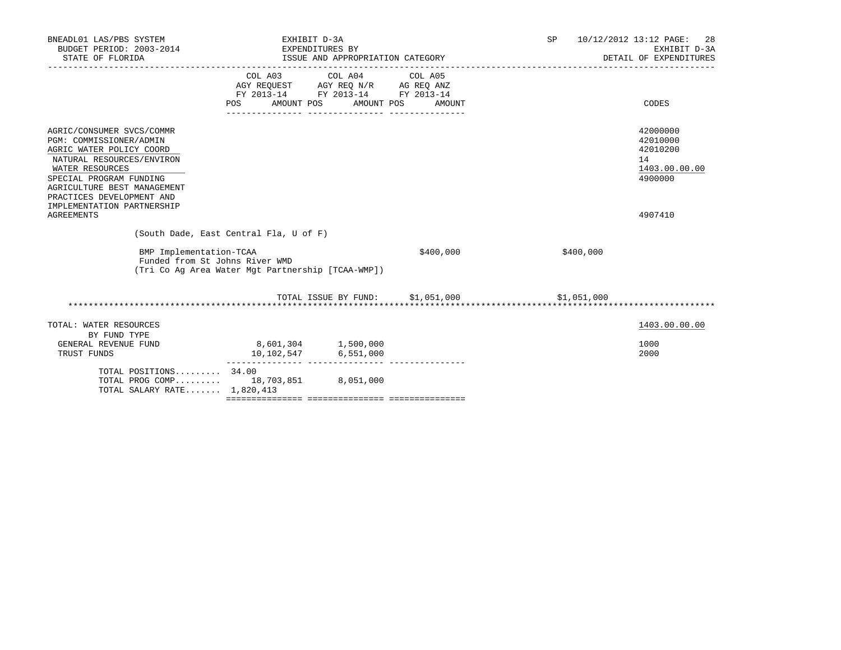| BNEADL01 LAS/PBS SYSTEM<br>BUDGET PERIOD: 2003-2014<br>STATE OF FLORIDA                                                                                                                                                                                                    | EXHIBIT D-3A                                                                                                  | EXPENDITURES BY<br>ISSUE AND APPROPRIATION CATEGORY | SP        | 10/12/2012 13:12 PAGE:<br>28<br>EXHIBIT D-3A<br>DETAIL OF EXPENDITURES |                                                                               |
|----------------------------------------------------------------------------------------------------------------------------------------------------------------------------------------------------------------------------------------------------------------------------|---------------------------------------------------------------------------------------------------------------|-----------------------------------------------------|-----------|------------------------------------------------------------------------|-------------------------------------------------------------------------------|
|                                                                                                                                                                                                                                                                            | COL A03<br>AGY REQUEST AGY REQ N/R AG REQ ANZ<br>FY 2013-14 FY 2013-14 FY 2013-14<br>AMOUNT POS<br><b>POS</b> | COL A04 COL A05<br>AMOUNT POS                       | AMOUNT    |                                                                        | CODES                                                                         |
| AGRIC/CONSUMER SVCS/COMMR<br>PGM: COMMISSIONER/ADMIN<br>AGRIC WATER POLICY COORD<br>NATURAL RESOURCES/ENVIRON<br>WATER RESOURCES<br>SPECIAL PROGRAM FUNDING<br>AGRICULTURE BEST MANAGEMENT<br>PRACTICES DEVELOPMENT AND<br>IMPLEMENTATION PARTNERSHIP<br><b>AGREEMENTS</b> |                                                                                                               |                                                     |           |                                                                        | 42000000<br>42010000<br>42010200<br>14<br>1403.00.00.00<br>4900000<br>4907410 |
|                                                                                                                                                                                                                                                                            | (South Dade, East Central Fla, U of F)                                                                        |                                                     |           |                                                                        |                                                                               |
| BMP Implementation-TCAA<br>Funded from St Johns River WMD                                                                                                                                                                                                                  | (Tri Co Ag Area Water Mgt Partnership [TCAA-WMP])                                                             |                                                     | \$400,000 | \$400,000                                                              |                                                                               |
|                                                                                                                                                                                                                                                                            |                                                                                                               | TOTAL ISSUE BY FUND: \$1,051,000                    |           | \$1,051,000                                                            |                                                                               |
| TOTAL: WATER RESOURCES<br>BY FUND TYPE<br>GENERAL REVENUE FUND<br>TRUST FUNDS                                                                                                                                                                                              | 8,601,304 1,500,000                                                                                           | $10, 102, 547$ $6, 551, 000$                        |           |                                                                        | 1403.00.00.00<br>1000<br>2000                                                 |
| TOTAL POSITIONS 34.00<br>TOTAL PROG COMP 18,703,851 8,051,000<br>TOTAL SALARY RATE 1,820,413                                                                                                                                                                               |                                                                                                               |                                                     |           |                                                                        |                                                                               |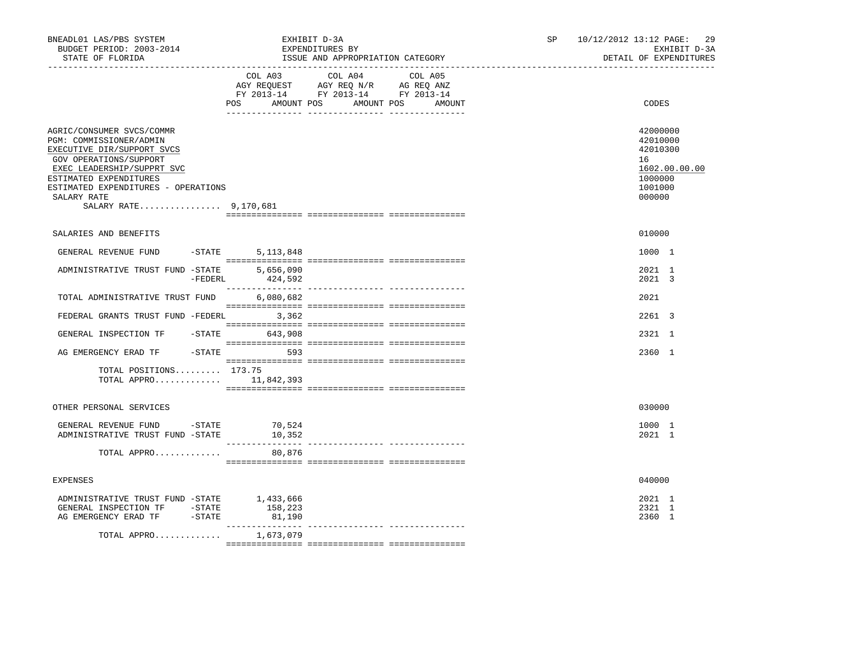| BNEADL01 LAS/PBS SYSTEM<br>BUDGET PERIOD: 2003-2014<br>STATE OF FLORIDA                                                                                                                                                                                     |           |                                  | EXHIBIT D-3A<br>EXPENDITURES BY<br>ISSUE AND APPROPRIATION CATEGORY                               |  | SP. | 10/12/2012 13:12 PAGE: |                                                                        | -29<br>EXHIBIT D-3A<br>DETAIL OF EXPENDITURES |
|-------------------------------------------------------------------------------------------------------------------------------------------------------------------------------------------------------------------------------------------------------------|-----------|----------------------------------|---------------------------------------------------------------------------------------------------|--|-----|------------------------|------------------------------------------------------------------------|-----------------------------------------------|
|                                                                                                                                                                                                                                                             |           | POS AMOUNT POS AMOUNT POS AMOUNT | COL A03 COL A04 COL A05<br>AGY REQUEST AGY REQ N/R AG REQ ANZ<br>FY 2013-14 FY 2013-14 FY 2013-14 |  |     |                        | CODES                                                                  |                                               |
| AGRIC/CONSUMER SVCS/COMMR<br>PGM: COMMISSIONER/ADMIN<br>EXECUTIVE DIR/SUPPORT SVCS<br>GOV OPERATIONS/SUPPORT<br>EXEC LEADERSHIP/SUPPRT SVC<br>ESTIMATED EXPENDITURES<br>ESTIMATED EXPENDITURES - OPERATIONS<br>SALARY RATE<br>SALARY RATE 9,170,681         |           |                                  |                                                                                                   |  |     |                        | 42000000<br>42010000<br>42010300<br>16<br>1000000<br>1001000<br>000000 | 1602.00.00.00                                 |
| SALARIES AND BENEFITS                                                                                                                                                                                                                                       |           |                                  |                                                                                                   |  |     |                        | 010000                                                                 |                                               |
| GENERAL REVENUE FUND                                                                                                                                                                                                                                        | $-STATE$  | 5, 113, 848                      |                                                                                                   |  |     |                        | 1000 1                                                                 |                                               |
| ADMINISTRATIVE TRUST FUND -STATE                                                                                                                                                                                                                            | $-FEDERL$ | 5,656,090<br>424,592             |                                                                                                   |  |     |                        | 2021 1<br>2021 3                                                       |                                               |
| TOTAL ADMINISTRATIVE TRUST FUND                                                                                                                                                                                                                             |           | 6,080,682                        |                                                                                                   |  |     |                        | 2021                                                                   |                                               |
| FEDERAL GRANTS TRUST FUND -FEDERL 3,362                                                                                                                                                                                                                     |           |                                  |                                                                                                   |  |     |                        | $2261$ 3                                                               |                                               |
| GENERAL INSPECTION TF -STATE 643,908                                                                                                                                                                                                                        |           |                                  |                                                                                                   |  |     |                        | 2321 1                                                                 |                                               |
| AG EMERGENCY ERAD TF - STATE 593                                                                                                                                                                                                                            |           |                                  |                                                                                                   |  |     |                        | 2360 1                                                                 |                                               |
| TOTAL POSITIONS 173.75<br>TOTAL APPRO $11,842,393$                                                                                                                                                                                                          |           |                                  |                                                                                                   |  |     |                        |                                                                        |                                               |
| OTHER PERSONAL SERVICES                                                                                                                                                                                                                                     |           |                                  |                                                                                                   |  |     |                        | 030000                                                                 |                                               |
| GENERAL REVENUE FUND -STATE<br>ADMINISTRATIVE TRUST FUND -STATE                                                                                                                                                                                             |           | 70,524<br>10,352                 |                                                                                                   |  |     |                        | 1000 1<br>2021 1                                                       |                                               |
| TOTAL APPRO                                                                                                                                                                                                                                                 |           | 80,876                           |                                                                                                   |  |     |                        |                                                                        |                                               |
| <b>EXPENSES</b>                                                                                                                                                                                                                                             |           |                                  |                                                                                                   |  |     |                        | 040000                                                                 |                                               |
| ADMINISTRATIVE TRUST FUND -STATE 1,433,666<br>$\begin{tabular}{llllll} \multicolumn{2}{llll} \textbf{GENERAL} & \textbf{INSPECTION} & \textbf{TF} & & -STATE \\ \textbf{AG} & \textbf{EMERGENCY} & \textbf{ERAD} & \textbf{TF} & & -STATE \\ \end{tabular}$ |           | 158,223<br>81,190                |                                                                                                   |  |     |                        | 2021 1<br>2321 1<br>2360 1                                             |                                               |
| TOTAL APPRO                                                                                                                                                                                                                                                 |           | 1,673,079                        |                                                                                                   |  |     |                        |                                                                        |                                               |
|                                                                                                                                                                                                                                                             |           |                                  |                                                                                                   |  |     |                        |                                                                        |                                               |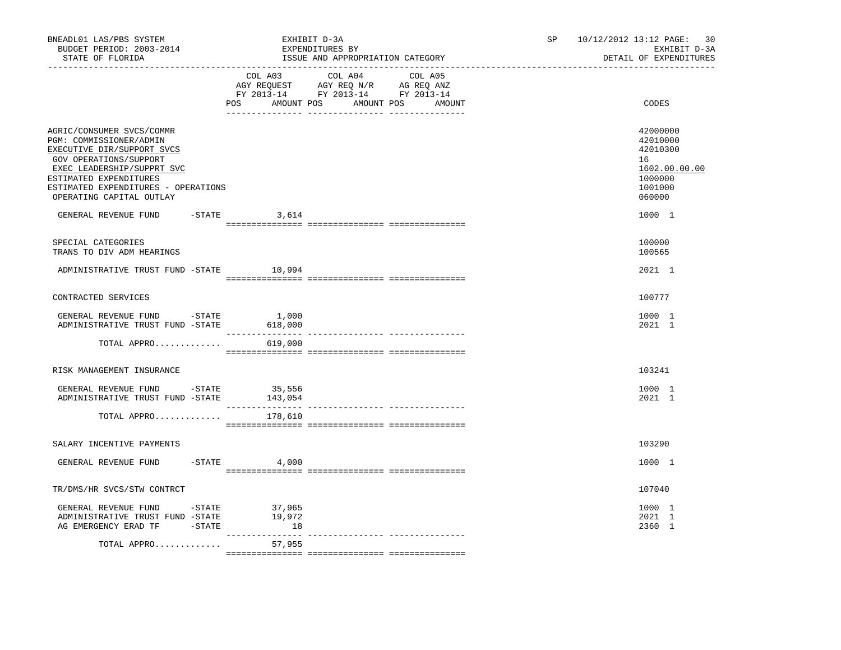| BNEADL01 LAS/PBS SYSTEM<br>BUDGET PERIOD: 2003-2014<br>STATE OF FLORIDA                                                                                                                                                                 |                   | EXHIBIT D-3A<br>EXPENDITURES BY<br>ISSUE AND APPROPRIATION CATEGORY  | 10/12/2012 13:12 PAGE:<br>SP and the set of the set of the set of the set of the set of the set of the set of the set of the set of the set of the set of the set of the set of the set of the set of the set of the set of the set of the set of the se | 30<br>EXHIBIT D-3A<br>DETAIL OF EXPENDITURES |  |  |
|-----------------------------------------------------------------------------------------------------------------------------------------------------------------------------------------------------------------------------------------|-------------------|----------------------------------------------------------------------|----------------------------------------------------------------------------------------------------------------------------------------------------------------------------------------------------------------------------------------------------------|----------------------------------------------|--|--|
|                                                                                                                                                                                                                                         |                   | FY 2013-14 FY 2013-14 FY 2013-14<br>POS AMOUNT POS AMOUNT POS AMOUNT | CODES                                                                                                                                                                                                                                                    |                                              |  |  |
| AGRIC/CONSUMER SVCS/COMMR<br>PGM: COMMISSIONER/ADMIN<br>EXECUTIVE DIR/SUPPORT SVCS<br>GOV OPERATIONS/SUPPORT<br>EXEC LEADERSHIP/SUPPRT SVC<br>ESTIMATED EXPENDITURES<br>ESTIMATED EXPENDITURES - OPERATIONS<br>OPERATING CAPITAL OUTLAY |                   |                                                                      | 42000000<br>42010000<br>42010300<br>16<br>1602.00.00.00<br>1000000<br>1001000<br>060000                                                                                                                                                                  |                                              |  |  |
| GENERAL REVENUE FUND                                                                                                                                                                                                                    | $-$ STATE 3,614   |                                                                      | 1000 1                                                                                                                                                                                                                                                   |                                              |  |  |
| SPECIAL CATEGORIES<br>TRANS TO DIV ADM HEARINGS                                                                                                                                                                                         |                   |                                                                      | 100000<br>100565                                                                                                                                                                                                                                         |                                              |  |  |
| ADMINISTRATIVE TRUST FUND -STATE 10,994                                                                                                                                                                                                 |                   |                                                                      | 2021 1                                                                                                                                                                                                                                                   |                                              |  |  |
| CONTRACTED SERVICES                                                                                                                                                                                                                     |                   |                                                                      | 100777                                                                                                                                                                                                                                                   |                                              |  |  |
| ${\tt GENERAL}\;\; {\tt REVENUE}\;\;{\tt FUND}\;\qquad\qquad\texttt{-STATE}\;\qquad\qquad\texttt{1,000}$<br>ADMINISTRATIVE TRUST FUND -STATE                                                                                            | 618,000           |                                                                      | 1000 1<br>2021 1                                                                                                                                                                                                                                         |                                              |  |  |
| TOTAL APPRO $619,000$                                                                                                                                                                                                                   |                   |                                                                      |                                                                                                                                                                                                                                                          |                                              |  |  |
| RISK MANAGEMENT INSURANCE                                                                                                                                                                                                               |                   |                                                                      | 103241                                                                                                                                                                                                                                                   |                                              |  |  |
| GENERAL REVENUE FUND -STATE<br>ADMINISTRATIVE TRUST FUND -STATE                                                                                                                                                                         | 35,556<br>143,054 |                                                                      | 1000 1<br>2021 1                                                                                                                                                                                                                                         |                                              |  |  |
| TOTAL APPRO                                                                                                                                                                                                                             | 178,610           |                                                                      |                                                                                                                                                                                                                                                          |                                              |  |  |
| SALARY INCENTIVE PAYMENTS                                                                                                                                                                                                               |                   |                                                                      | 103290                                                                                                                                                                                                                                                   |                                              |  |  |
| GENERAL REVENUE FUND                                                                                                                                                                                                                    | $-STATE$ 4,000    |                                                                      | 1000 1                                                                                                                                                                                                                                                   |                                              |  |  |
| TR/DMS/HR SVCS/STW CONTRCT                                                                                                                                                                                                              |                   |                                                                      | 107040                                                                                                                                                                                                                                                   |                                              |  |  |
| GENERAL REVENUE FUND - STATE<br>ADMINISTRATIVE TRUST FUND -STATE<br>AG EMERGENCY ERAD TF $-$ STATE $18$                                                                                                                                 | 37,965<br>19,972  |                                                                      | 1000 1<br>2021 1<br>2360 1                                                                                                                                                                                                                               |                                              |  |  |
| TOTAL APPRO                                                                                                                                                                                                                             | 57,955            |                                                                      |                                                                                                                                                                                                                                                          |                                              |  |  |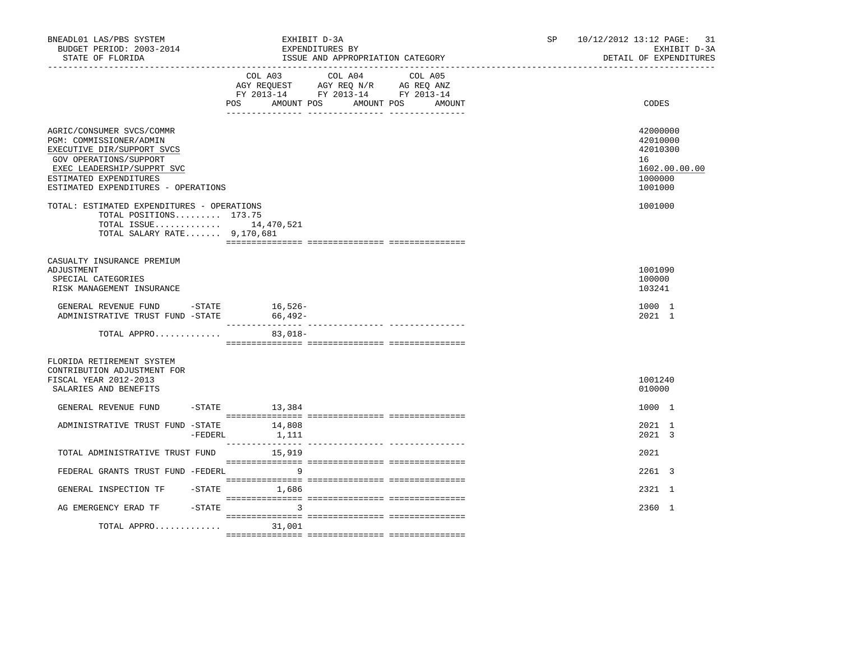| BNEADL01 LAS/PBS SYSTEM<br>BUDGET PERIOD: 2003-2014<br>STATE OF FLORIDA                                                                                                                                     | EXHIBIT D-3A<br>EXPENDITURES BY<br>ISSUE AND APPROPRIATION CATEGORY                                                                  | SP <sub>2</sub> | 10/12/2012 13:12 PAGE: 31<br>EXHIBIT D-3A<br>DETAIL OF EXPENDITURES           |
|-------------------------------------------------------------------------------------------------------------------------------------------------------------------------------------------------------------|--------------------------------------------------------------------------------------------------------------------------------------|-----------------|-------------------------------------------------------------------------------|
|                                                                                                                                                                                                             | COL A03 COL A04 COL A05<br>AGY REQUEST AGY REQ N/R AG REQ ANZ<br>FY 2013-14 FY 2013-14 FY 2013-14<br>AMOUNT POS<br>POS<br>AMOUNT POS | AMOUNT          | CODES                                                                         |
| AGRIC/CONSUMER SVCS/COMMR<br>PGM: COMMISSIONER/ADMIN<br>EXECUTIVE DIR/SUPPORT SVCS<br>GOV OPERATIONS/SUPPORT<br>EXEC LEADERSHIP/SUPPRT SVC<br>ESTIMATED EXPENDITURES<br>ESTIMATED EXPENDITURES - OPERATIONS |                                                                                                                                      |                 | 42000000<br>42010000<br>42010300<br>16<br>1602.00.00.00<br>1000000<br>1001000 |
| TOTAL: ESTIMATED EXPENDITURES - OPERATIONS<br>TOTAL POSITIONS 173.75<br>TOTAL ISSUE 14,470,521<br>TOTAL SALARY RATE 9,170,681                                                                               |                                                                                                                                      |                 | 1001000                                                                       |
| CASUALTY INSURANCE PREMIUM<br>ADJUSTMENT<br>SPECIAL CATEGORIES<br>RISK MANAGEMENT INSURANCE                                                                                                                 |                                                                                                                                      |                 | 1001090<br>100000<br>103241                                                   |
| GENERAL REVENUE FUND - STATE<br>ADMINISTRATIVE TRUST FUND -STATE                                                                                                                                            | 16,526-<br>66,492-                                                                                                                   |                 | 1000 1<br>2021 1                                                              |
| TOTAL APPRO                                                                                                                                                                                                 | $83,018-$                                                                                                                            |                 |                                                                               |
| FLORIDA RETIREMENT SYSTEM<br>CONTRIBUTION ADJUSTMENT FOR<br>FISCAL YEAR 2012-2013<br>SALARIES AND BENEFITS                                                                                                  |                                                                                                                                      |                 | 1001240<br>010000                                                             |
| GENERAL REVENUE FUND                                                                                                                                                                                        | $-STATE$ 13,384                                                                                                                      |                 | 1000 1                                                                        |
| ADMINISTRATIVE TRUST FUND -STATE 14,808<br>$-$ FEDERL                                                                                                                                                       | 1,111                                                                                                                                |                 | 2021 1<br>2021 3                                                              |
| TOTAL ADMINISTRATIVE TRUST FUND                                                                                                                                                                             | 15,919                                                                                                                               |                 | 2021                                                                          |
| FEDERAL GRANTS TRUST FUND -FEDERL                                                                                                                                                                           | -9                                                                                                                                   |                 | $2261$ 3                                                                      |
| GENERAL INSPECTION TF                                                                                                                                                                                       | $-$ STATE $1,686$                                                                                                                    |                 | 2321 1                                                                        |
| AG EMERGENCY ERAD TF - STATE<br>TOTAL APPRO                                                                                                                                                                 | $\overline{3}$<br>31,001                                                                                                             |                 | 2360 1                                                                        |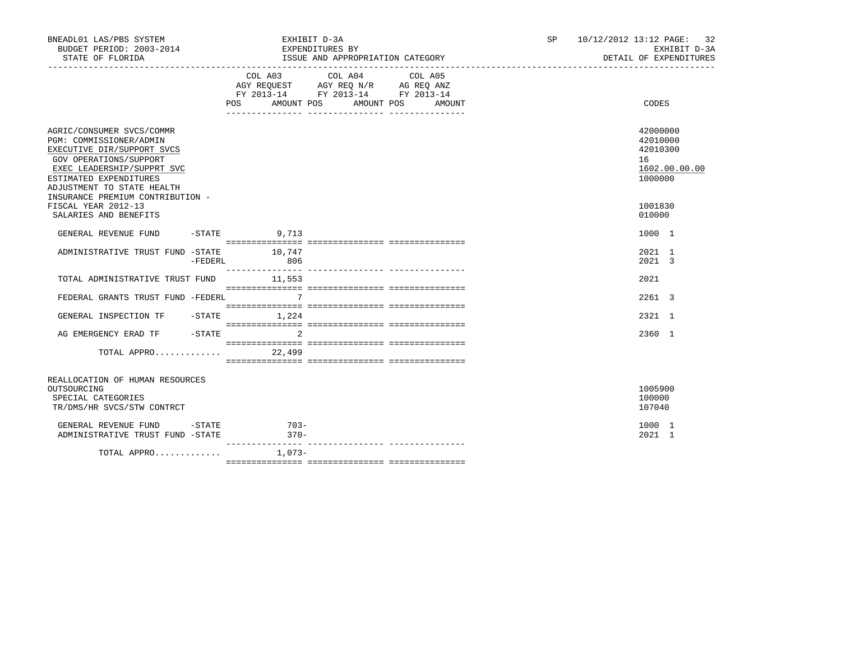| BNEADL01 LAS/PBS SYSTEM<br>BUDGET PERIOD: 2003-2014<br>STATE OF FLORIDA                                                                                                                                                                                                                |            |                  | EXHIBIT D-3A<br>EXPENDITURES BY<br>ISSUE AND APPROPRIATION CATEGORY                                                                  | SP and the set of the set of the set of the set of the set of the set of the set of the set of the set of the set of the set of the set of the set of the set of the set of the set of the set of the set of the set of the se | 10/12/2012 13:12 PAGE: 32 |                                                                        | EXHIBIT D-3A<br>DETAIL OF EXPENDITURES |
|----------------------------------------------------------------------------------------------------------------------------------------------------------------------------------------------------------------------------------------------------------------------------------------|------------|------------------|--------------------------------------------------------------------------------------------------------------------------------------|--------------------------------------------------------------------------------------------------------------------------------------------------------------------------------------------------------------------------------|---------------------------|------------------------------------------------------------------------|----------------------------------------|
|                                                                                                                                                                                                                                                                                        |            | POS              | COL A03 COL A04 COL A05<br>AGY REQUEST AGY REQ N/R AG REQ ANZ<br>FY 2013-14 FY 2013-14 FY 2013-14<br>AMOUNT POS AMOUNT POS<br>AMOUNT |                                                                                                                                                                                                                                |                           | CODES                                                                  |                                        |
| AGRIC/CONSUMER SVCS/COMMR<br>PGM: COMMISSIONER/ADMIN<br>EXECUTIVE DIR/SUPPORT SVCS<br>GOV OPERATIONS/SUPPORT<br>EXEC LEADERSHIP/SUPPRT SVC<br>ESTIMATED EXPENDITURES<br>ADJUSTMENT TO STATE HEALTH<br>INSURANCE PREMIUM CONTRIBUTION -<br>FISCAL YEAR 2012-13<br>SALARIES AND BENEFITS |            |                  |                                                                                                                                      |                                                                                                                                                                                                                                |                           | 42000000<br>42010000<br>42010300<br>16<br>1000000<br>1001830<br>010000 | 1602.00.00.00                          |
| GENERAL REVENUE FUND -STATE 9,713                                                                                                                                                                                                                                                      |            |                  |                                                                                                                                      |                                                                                                                                                                                                                                |                           | 1000 1                                                                 |                                        |
| ADMINISTRATIVE TRUST FUND -STATE 10,747                                                                                                                                                                                                                                                | $-$ FEDERL | 806              |                                                                                                                                      |                                                                                                                                                                                                                                |                           | 2021 1<br>2021 3                                                       |                                        |
| TOTAL ADMINISTRATIVE TRUST FUND 11,553                                                                                                                                                                                                                                                 |            |                  |                                                                                                                                      |                                                                                                                                                                                                                                |                           | 2021                                                                   |                                        |
| FEDERAL GRANTS TRUST FUND -FEDERL                                                                                                                                                                                                                                                      |            | $\overline{7}$   |                                                                                                                                      |                                                                                                                                                                                                                                |                           | 2261 3                                                                 |                                        |
| GENERAL INSPECTION TF -STATE 1,224                                                                                                                                                                                                                                                     |            |                  |                                                                                                                                      |                                                                                                                                                                                                                                |                           | 2321 1                                                                 |                                        |
| AG EMERGENCY ERAD TF                                                                                                                                                                                                                                                                   |            | $-$ STATE<br>2   |                                                                                                                                      |                                                                                                                                                                                                                                |                           | 2360 1                                                                 |                                        |
| TOTAL APPRO                                                                                                                                                                                                                                                                            |            | 22,499           |                                                                                                                                      |                                                                                                                                                                                                                                |                           |                                                                        |                                        |
| REALLOCATION OF HUMAN RESOURCES<br>OUTSOURCING<br>SPECIAL CATEGORIES<br>TR/DMS/HR SVCS/STW CONTRCT                                                                                                                                                                                     |            |                  |                                                                                                                                      |                                                                                                                                                                                                                                |                           | 1005900<br>100000<br>107040                                            |                                        |
| GENERAL REVENUE FUND -STATE<br>ADMINISTRATIVE TRUST FUND -STATE                                                                                                                                                                                                                        |            | $703-$<br>$370-$ |                                                                                                                                      |                                                                                                                                                                                                                                |                           | 1000 1<br>2021 1                                                       |                                        |
| TOTAL APPRO $1,073-$                                                                                                                                                                                                                                                                   |            |                  |                                                                                                                                      |                                                                                                                                                                                                                                |                           |                                                                        |                                        |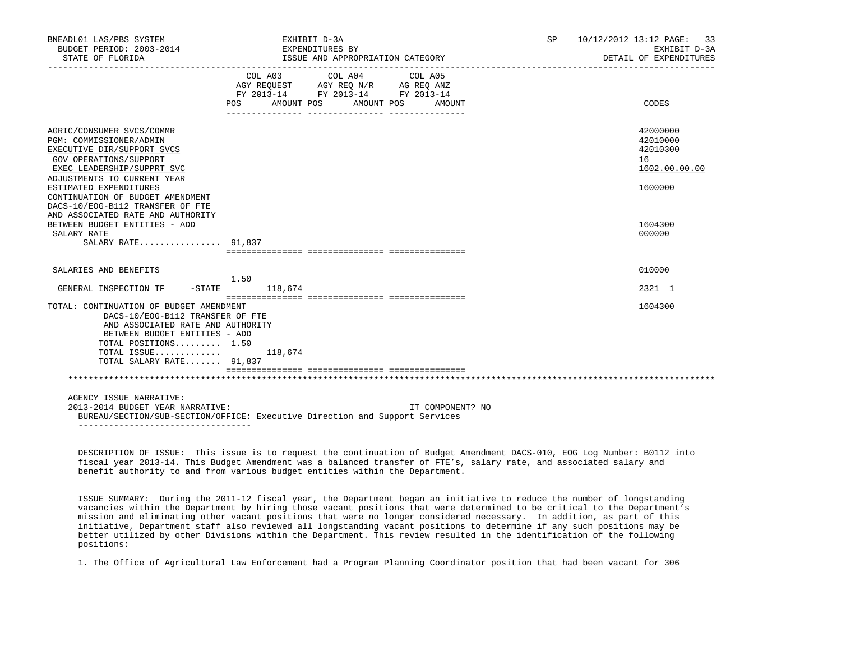| BNEADL01 LAS/PBS SYSTEM<br>BUDGET PERIOD: 2003-2014<br>STATE OF FLORIDA                                                                                                                                                                 | EXHIBIT D-3A<br>EXPENDITURES BY<br>ISSUE AND APPROPRIATION CATEGORY | SP <sub>2</sub><br>$10/12/2012$ 13:12 PAGE: 33<br>EXHIBIT D-3A<br>DETAIL OF EXPENDITURES          |                  |  |                                                                    |
|-----------------------------------------------------------------------------------------------------------------------------------------------------------------------------------------------------------------------------------------|---------------------------------------------------------------------|---------------------------------------------------------------------------------------------------|------------------|--|--------------------------------------------------------------------|
|                                                                                                                                                                                                                                         | POS AMOUNT POS AMOUNT POS AMOUNT                                    | COL A03 COL A04 COL A05<br>AGY REQUEST AGY REQ N/R AG REQ ANZ<br>FY 2013-14 FY 2013-14 FY 2013-14 |                  |  | CODES                                                              |
| AGRIC/CONSUMER SVCS/COMMR<br>PGM: COMMISSIONER/ADMIN<br>EXECUTIVE DIR/SUPPORT SVCS<br>GOV OPERATIONS/SUPPORT<br>EXEC LEADERSHIP/SUPPRT SVC<br>ADJUSTMENTS TO CURRENT YEAR<br>ESTIMATED EXPENDITURES<br>CONTINUATION OF BUDGET AMENDMENT |                                                                     |                                                                                                   |                  |  | 42000000<br>42010000<br>42010300<br>16<br>1602.00.00.00<br>1600000 |
| DACS-10/EOG-B112 TRANSFER OF FTE<br>AND ASSOCIATED RATE AND AUTHORITY<br>BETWEEN BUDGET ENTITIES - ADD<br>SALARY RATE<br>SALARY RATE 91,837                                                                                             |                                                                     |                                                                                                   |                  |  | 1604300<br>000000                                                  |
| SALARIES AND BENEFITS                                                                                                                                                                                                                   |                                                                     |                                                                                                   |                  |  | 010000                                                             |
| GENERAL INSPECTION TF                                                                                                                                                                                                                   | 1.50<br>$-$ STATE 118,674                                           |                                                                                                   |                  |  | 2321 1                                                             |
| TOTAL: CONTINUATION OF BUDGET AMENDMENT<br>DACS-10/EOG-B112 TRANSFER OF FTE<br>AND ASSOCIATED RATE AND AUTHORITY<br>BETWEEN BUDGET ENTITIES - ADD<br>TOTAL POSITIONS 1.50<br>TOTAL ISSUE<br>TOTAL SALARY RATE 91,837                    | 118,674                                                             |                                                                                                   |                  |  | 1604300                                                            |
|                                                                                                                                                                                                                                         |                                                                     |                                                                                                   |                  |  |                                                                    |
| AGENCY ISSUE NARRATIVE:<br>2013-2014 BUDGET YEAR NARRATIVE:<br>BUREAU/SECTION/SUB-SECTION/OFFICE: Executive Direction and Support Services<br>___________________________________                                                       |                                                                     |                                                                                                   | IT COMPONENT? NO |  |                                                                    |

 DESCRIPTION OF ISSUE: This issue is to request the continuation of Budget Amendment DACS-010, EOG Log Number: B0112 into fiscal year 2013-14. This Budget Amendment was a balanced transfer of FTE's, salary rate, and associated salary and benefit authority to and from various budget entities within the Department.

 ISSUE SUMMARY: During the 2011-12 fiscal year, the Department began an initiative to reduce the number of longstanding vacancies within the Department by hiring those vacant positions that were determined to be critical to the Department's mission and eliminating other vacant positions that were no longer considered necessary. In addition, as part of this initiative, Department staff also reviewed all longstanding vacant positions to determine if any such positions may be better utilized by other Divisions within the Department. This review resulted in the identification of the following positions:

1. The Office of Agricultural Law Enforcement had a Program Planning Coordinator position that had been vacant for 306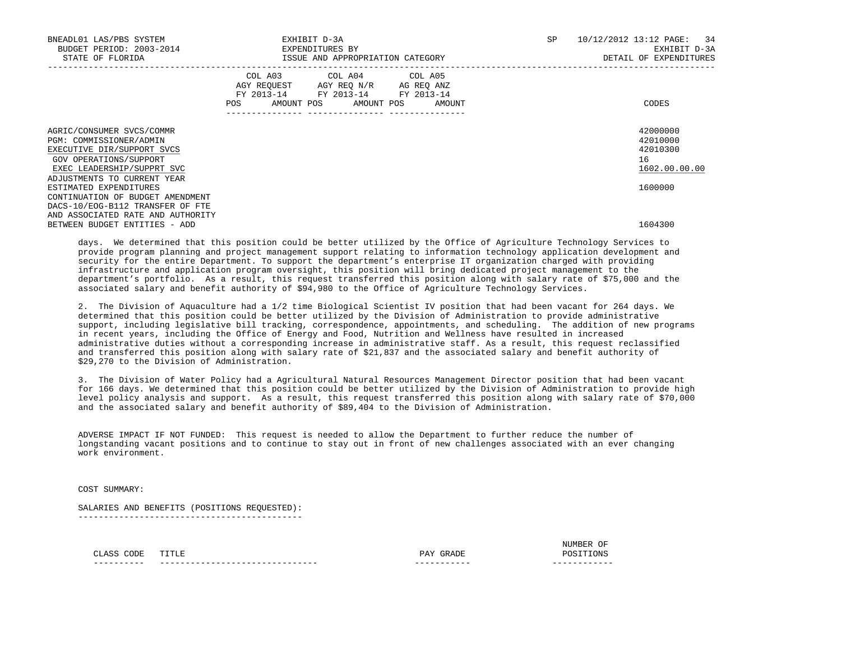| BNEADL01 LAS/PBS SYSTEM<br>BUDGET PERIOD: 2003-2014<br>STATE OF FLORIDA                                                                                                   | EXHIBIT D-3A<br>EXPENDITURES BY<br>ISSUE AND APPROPRIATION CATEGORY                                                                      | SP<br>10/12/2012 13:12 PAGE: 34<br>EXHIBIT D-3A<br>DETAIL OF EXPENDITURES |
|---------------------------------------------------------------------------------------------------------------------------------------------------------------------------|------------------------------------------------------------------------------------------------------------------------------------------|---------------------------------------------------------------------------|
|                                                                                                                                                                           | COL A03 COL A04 COL A05<br>AGY REQUEST AGY REQ N/R AG REQ ANZ<br>FY 2013-14 FY 2013-14 FY 2013-14<br>AMOUNT POS AMOUNT POS AMOUNT<br>POS | CODES                                                                     |
| AGRIC/CONSUMER SVCS/COMMR<br>PGM: COMMISSIONER/ADMIN<br>EXECUTIVE DIR/SUPPORT SVCS<br>GOV OPERATIONS/SUPPORT<br>EXEC LEADERSHIP/SUPPRT SVC<br>ADJUSTMENTS TO CURRENT YEAR |                                                                                                                                          | 42000000<br>42010000<br>42010300<br>16<br>1602.00.00.00                   |
| ESTIMATED EXPENDITURES<br>CONTINUATION OF BUDGET AMENDMENT<br>DACS-10/EOG-B112 TRANSFER OF FTE<br>AND ASSOCIATED RATE AND AUTHORITY<br>BETWEEN BUDGET ENTITIES - ADD      |                                                                                                                                          | 1600000<br>1604300                                                        |

 days. We determined that this position could be better utilized by the Office of Agriculture Technology Services to provide program planning and project management support relating to information technology application development and security for the entire Department. To support the department's enterprise IT organization charged with providing infrastructure and application program oversight, this position will bring dedicated project management to the department's portfolio. As a result, this request transferred this position along with salary rate of \$75,000 and the associated salary and benefit authority of \$94,980 to the Office of Agriculture Technology Services.

 2. The Division of Aquaculture had a 1/2 time Biological Scientist IV position that had been vacant for 264 days. We determined that this position could be better utilized by the Division of Administration to provide administrative support, including legislative bill tracking, correspondence, appointments, and scheduling. The addition of new programs in recent years, including the Office of Energy and Food, Nutrition and Wellness have resulted in increased administrative duties without a corresponding increase in administrative staff. As a result, this request reclassified and transferred this position along with salary rate of \$21,837 and the associated salary and benefit authority of \$29,270 to the Division of Administration.

 3. The Division of Water Policy had a Agricultural Natural Resources Management Director position that had been vacant for 166 days. We determined that this position could be better utilized by the Division of Administration to provide high level policy analysis and support. As a result, this request transferred this position along with salary rate of \$70,000 and the associated salary and benefit authority of \$89,404 to the Division of Administration.

 ADVERSE IMPACT IF NOT FUNDED: This request is needed to allow the Department to further reduce the number of longstanding vacant positions and to continue to stay out in front of new challenges associated with an ever changing work environment.

COST SUMMARY:

 SALARIES AND BENEFITS (POSITIONS REQUESTED): --------------------------------------------

| __________ | -----------------------<br>--- | ----------- | ----<br>--- |
|------------|--------------------------------|-------------|-------------|
|            |                                |             |             |
|            |                                |             | <b>IIVI</b> |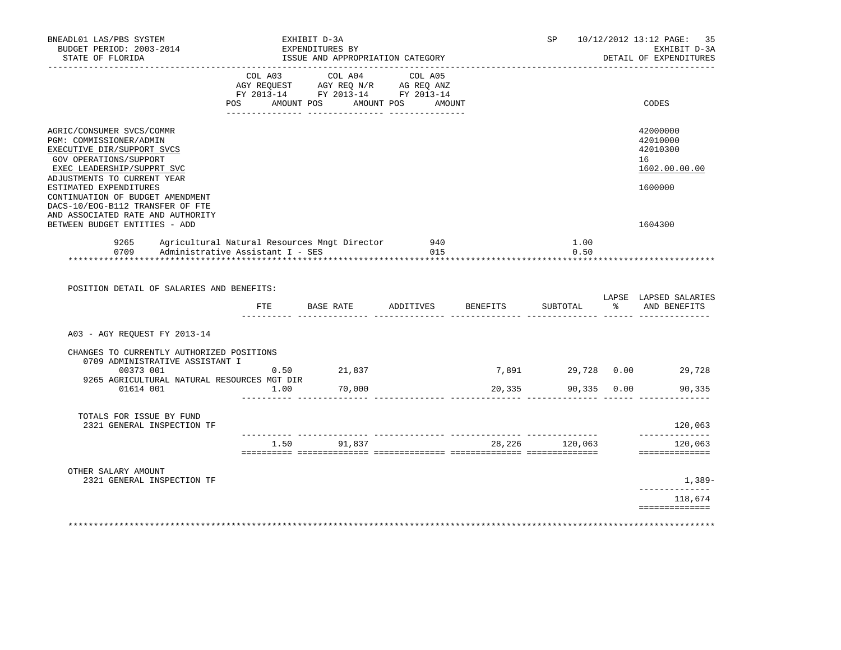| BNEADL01 LAS/PBS SYSTEM<br>BUDGET PERIOD: 2003-2014<br>STATE OF FLORIDA                                                                                                                             | EXHIBIT D-3A<br>EXPENDITURES BY<br>ISSUE AND APPROPRIATION CATEGORY              | SP            |                                                                                                                                                                                                                                                                               | 10/12/2012 13:12 PAGE: 35<br>EXHIBIT D-3A<br>DETAIL OF EXPENDITURES |                                                       |      |                                                         |
|-----------------------------------------------------------------------------------------------------------------------------------------------------------------------------------------------------|----------------------------------------------------------------------------------|---------------|-------------------------------------------------------------------------------------------------------------------------------------------------------------------------------------------------------------------------------------------------------------------------------|---------------------------------------------------------------------|-------------------------------------------------------|------|---------------------------------------------------------|
|                                                                                                                                                                                                     | POS<br>AMOUNT POS                                                                |               | COL A03 COL A04 COL A05<br>$\begin{tabular}{lllllll} \bf AGY \;\; REQUEST \hspace{1cm} AGY \;\; REQ \;\; N/R \hspace{1cm} AG \;\; REQ \;\; ANZ \\ \hline \tt FY \;\; 2013-14 \hspace{1cm} FY \;\; 2013-14 \hspace{1cm} FY \;\; 2013-14 \end{tabular}$<br>AMOUNT POS<br>AMOUNT |                                                                     |                                                       |      | CODES                                                   |
| AGRIC/CONSUMER SVCS/COMMR<br>PGM: COMMISSIONER/ADMIN<br>EXECUTIVE DIR/SUPPORT SVCS<br>GOV OPERATIONS/SUPPORT<br>EXEC LEADERSHIP/SUPPRT SVC                                                          |                                                                                  |               |                                                                                                                                                                                                                                                                               |                                                                     |                                                       |      | 42000000<br>42010000<br>42010300<br>16<br>1602.00.00.00 |
| ADJUSTMENTS TO CURRENT YEAR<br>ESTIMATED EXPENDITURES<br>CONTINUATION OF BUDGET AMENDMENT<br>DACS-10/EOG-B112 TRANSFER OF FTE<br>AND ASSOCIATED RATE AND AUTHORITY<br>BETWEEN BUDGET ENTITIES - ADD |                                                                                  |               |                                                                                                                                                                                                                                                                               |                                                                     |                                                       |      | 1600000<br>1604300                                      |
| 9265<br>0709<br>****************************                                                                                                                                                        | Agricultural Natural Resources Mngt Director<br>Administrative Assistant I - SES |               | 940<br>015<br>*************************************                                                                                                                                                                                                                           |                                                                     | 1.00<br>0.50<br>* * * * * * * * * * * * * * * * * * * |      |                                                         |
| POSITION DETAIL OF SALARIES AND BENEFITS:                                                                                                                                                           |                                                                                  |               | FTE BASE RATE ADDITIVES BENEFITS                                                                                                                                                                                                                                              |                                                                     | SUBTOTAL                                              |      | LAPSE LAPSED SALARIES<br>% AND BENEFITS                 |
| A03 - AGY REQUEST FY 2013-14                                                                                                                                                                        |                                                                                  |               |                                                                                                                                                                                                                                                                               |                                                                     |                                                       |      |                                                         |
| CHANGES TO CURRENTLY AUTHORIZED POSITIONS<br>0709 ADMINISTRATIVE ASSISTANT I                                                                                                                        |                                                                                  |               |                                                                                                                                                                                                                                                                               |                                                                     |                                                       |      |                                                         |
| 00373 001<br>9265 AGRICULTURAL NATURAL RESOURCES MGT DIR                                                                                                                                            |                                                                                  | $0.50$ 21,837 |                                                                                                                                                                                                                                                                               |                                                                     | 7,891                                                 |      | 29,728 0.00 29,728                                      |
| 01614 001                                                                                                                                                                                           | 1.00                                                                             | 70,000        |                                                                                                                                                                                                                                                                               | 20,335                                                              | 90,335                                                | 0.00 | 90,335                                                  |
| TOTALS FOR ISSUE BY FUND<br>2321 GENERAL INSPECTION TF                                                                                                                                              |                                                                                  |               |                                                                                                                                                                                                                                                                               |                                                                     | __________ ________________                           |      | 120,063<br>------------                                 |
|                                                                                                                                                                                                     |                                                                                  | 1.50 91,837   |                                                                                                                                                                                                                                                                               |                                                                     | 28,226 120,063                                        |      | 120,063<br>==============                               |
| OTHER SALARY AMOUNT<br>2321 GENERAL INSPECTION TF                                                                                                                                                   |                                                                                  |               |                                                                                                                                                                                                                                                                               |                                                                     |                                                       |      | $1,389-$                                                |
|                                                                                                                                                                                                     |                                                                                  |               |                                                                                                                                                                                                                                                                               |                                                                     |                                                       |      | -----------<br>118,674<br>==============                |
|                                                                                                                                                                                                     |                                                                                  |               |                                                                                                                                                                                                                                                                               |                                                                     |                                                       |      |                                                         |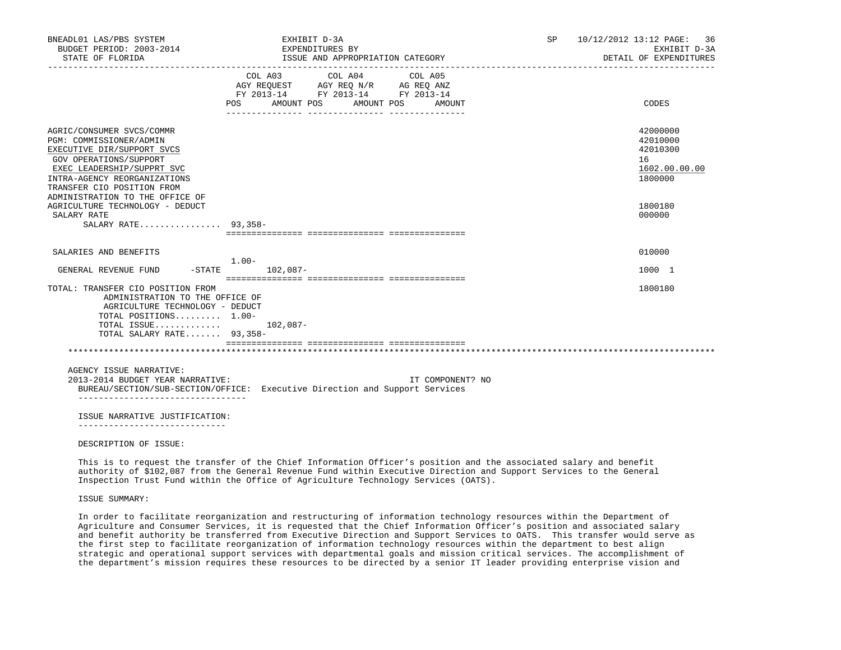| BNEADL01 LAS/PBS SYSTEM<br>BUDGET PERIOD: 2003-2014<br>STATE OF FLORIDA                                                                                                                                                                     |          | EXHIBIT D-3A<br>EXPENDITURES BY                                                                 | ISSUE AND APPROPRIATION CATEGORY |                   | SP | 10/12/2012 13:12 PAGE: 36<br>EXHIBIT D-3A<br>DETAIL OF EXPENDITURES |
|---------------------------------------------------------------------------------------------------------------------------------------------------------------------------------------------------------------------------------------------|----------|-------------------------------------------------------------------------------------------------|----------------------------------|-------------------|----|---------------------------------------------------------------------|
|                                                                                                                                                                                                                                             | POS      | COL A03<br>AGY REQUEST AGY REQ N/R AG REQ ANZ<br>FY 2013-14 FY 2013-14 FY 2013-14<br>AMOUNT POS | COL A04<br>AMOUNT POS            | COL A05<br>AMOUNT |    | CODES                                                               |
| AGRIC/CONSUMER SVCS/COMMR<br>PGM: COMMISSIONER/ADMIN<br>EXECUTIVE DIR/SUPPORT SVCS<br>GOV OPERATIONS/SUPPORT<br>EXEC LEADERSHIP/SUPPRT SVC<br>INTRA-AGENCY REORGANIZATIONS<br>TRANSFER CIO POSITION FROM<br>ADMINISTRATION TO THE OFFICE OF |          |                                                                                                 |                                  |                   |    | 42000000<br>42010000<br>42010300<br>16<br>1602.00.00.00<br>1800000  |
| AGRICULTURE TECHNOLOGY - DEDUCT<br>SALARY RATE<br>SALARY RATE 93,358-                                                                                                                                                                       |          |                                                                                                 |                                  |                   |    | 1800180<br>000000                                                   |
| SALARIES AND BENEFITS<br>$-$ STATE<br>GENERAL REVENUE FUND                                                                                                                                                                                  | $1.00 -$ | $102,087-$                                                                                      |                                  |                   |    | 010000<br>1000 1                                                    |
| TOTAL: TRANSFER CIO POSITION FROM<br>ADMINISTRATION TO THE OFFICE OF<br>AGRICULTURE TECHNOLOGY - DEDUCT<br>TOTAL POSITIONS 1.00-<br>TOTAL ISSUE<br>TOTAL SALARY RATE 93,358-                                                                |          | $102,087-$                                                                                      |                                  |                   |    | 1800180                                                             |
| AGENCY ISSUE NARRATIVE:                                                                                                                                                                                                                     |          |                                                                                                 |                                  |                   |    |                                                                     |
| 2013-2014 BUDGET YEAR NARRATIVE:<br>BUREAU/SECTION/SUB-SECTION/OFFICE: Executive Direction and Support Services                                                                                                                             |          |                                                                                                 |                                  | IT COMPONENT? NO  |    |                                                                     |
| ISSUE NARRATIVE JUSTIFICATION:                                                                                                                                                                                                              |          |                                                                                                 |                                  |                   |    |                                                                     |
| DESCRIPTION OF ISSUE:                                                                                                                                                                                                                       |          |                                                                                                 |                                  |                   |    |                                                                     |

 This is to request the transfer of the Chief Information Officer's position and the associated salary and benefit authority of \$102,087 from the General Revenue Fund within Executive Direction and Support Services to the General Inspection Trust Fund within the Office of Agriculture Technology Services (OATS).

ISSUE SUMMARY:

 In order to facilitate reorganization and restructuring of information technology resources within the Department of Agriculture and Consumer Services, it is requested that the Chief Information Officer's position and associated salary and benefit authority be transferred from Executive Direction and Support Services to OATS. This transfer would serve as the first step to facilitate reorganization of information technology resources within the department to best align strategic and operational support services with departmental goals and mission critical services. The accomplishment of the department's mission requires these resources to be directed by a senior IT leader providing enterprise vision and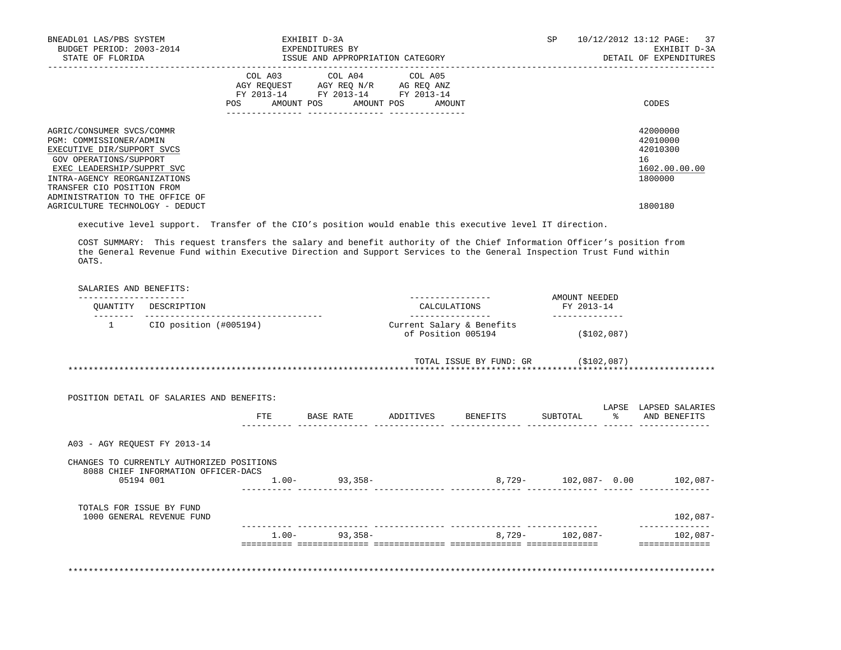| BNEADL01 LAS/PBS SYSTEM<br>BUDGET PERIOD: 2003-2014<br>STATE OF FLORIDA                                                                                                                                                                     | EXHIBIT D-3A<br>EXPENDITURES BY<br>ISSUE AND APPROPRIATION CATEGORY                                                                   | SP<br>10/12/2012 13:12 PAGE: 37<br>EXHIBIT D-3A<br>DETAIL OF EXPENDITURES |
|---------------------------------------------------------------------------------------------------------------------------------------------------------------------------------------------------------------------------------------------|---------------------------------------------------------------------------------------------------------------------------------------|---------------------------------------------------------------------------|
|                                                                                                                                                                                                                                             | COL A03 COL A04 COL A05<br>AGY REQUEST AGY REQ N/R AG REQ ANZ<br>FY 2013-14 FY 2013-14 FY 2013-14<br>POS AMOUNT POS AMOUNT POS AMOUNT | CODES                                                                     |
| AGRIC/CONSUMER SVCS/COMMR<br>PGM: COMMISSIONER/ADMIN<br>EXECUTIVE DIR/SUPPORT SVCS<br>GOV OPERATIONS/SUPPORT<br>EXEC LEADERSHIP/SUPPRT SVC<br>INTRA-AGENCY REORGANIZATIONS<br>TRANSFER CIO POSITION FROM<br>ADMINISTRATION TO THE OFFICE OF |                                                                                                                                       | 42000000<br>42010000<br>42010300<br>16<br>1602.00.00.00<br>1800000        |
| AGRICULTURE TECHNOLOGY - DEDUCT                                                                                                                                                                                                             |                                                                                                                                       | 1800180                                                                   |

executive level support. Transfer of the CIO's position would enable this executive level IT direction.

 COST SUMMARY: This request transfers the salary and benefit authority of the Chief Information Officer's position from the General Revenue Fund within Executive Direction and Support Services to the General Inspection Trust Fund within OATS.

|                          | OUANTITY DESCRIPTION                                                                          |     |                   | CALCULATIONS                                    |                                     | AMOUNT NEEDED<br>FY 2013-14      |  |                                       |
|--------------------------|-----------------------------------------------------------------------------------------------|-----|-------------------|-------------------------------------------------|-------------------------------------|----------------------------------|--|---------------------------------------|
| 1                        | CIO position (#005194)                                                                        |     |                   | Current Salary & Benefits<br>of Position 005194 |                                     | (\$102,087)                      |  |                                       |
|                          |                                                                                               |     |                   |                                                 | TOTAL ISSUE BY FUND: GR (\$102,087) |                                  |  |                                       |
|                          | POSITION DETAIL OF SALARIES AND BENEFITS:                                                     |     |                   |                                                 |                                     |                                  |  |                                       |
|                          |                                                                                               | FTE | <b>BASE RATE</b>  | ADDITIVES                                       | BENEFITS                            | $\sim$ $\sim$<br>SUBTOTAL        |  | LAPSE LAPSED SALARIES<br>AND BENEFITS |
|                          | A03 - AGY REOUEST FY 2013-14                                                                  |     |                   |                                                 |                                     |                                  |  |                                       |
|                          | CHANGES TO CURRENTLY AUTHORIZED POSITIONS<br>8088 CHIEF INFORMATION OFFICER-DACS<br>05194 001 |     | $1.00 - 93,358 -$ |                                                 |                                     | $8,729 102,087-$ 0.00 $102,087-$ |  |                                       |
| TOTALS FOR ISSUE BY FUND | 1000 GENERAL REVENUE FUND                                                                     |     |                   |                                                 |                                     | ______________                   |  | $102,087-$                            |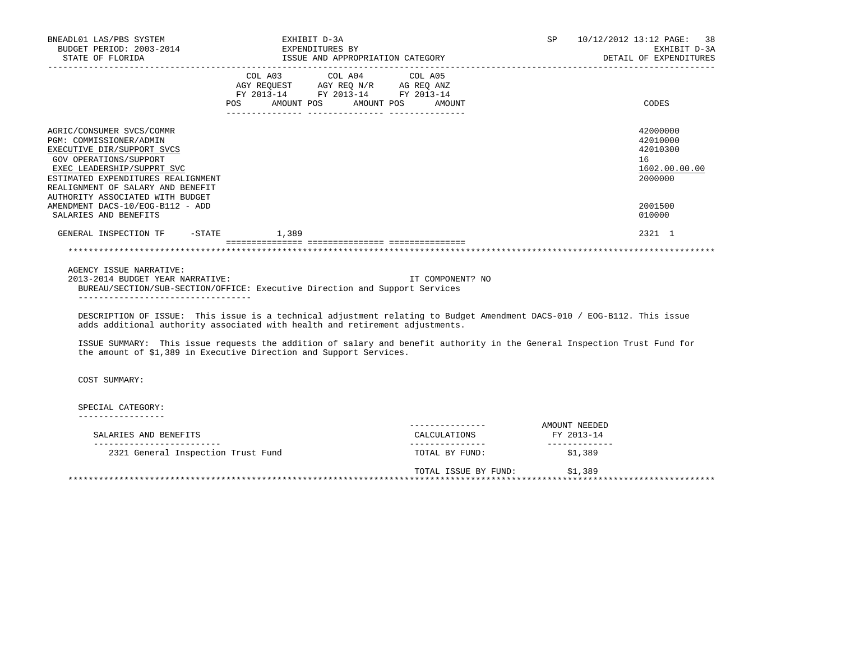| BNEADL01 LAS/PBS SYSTEM<br>BUDGET PERIOD: 2003-2014<br>STATE OF FLORIDA                                                                                                                                               | EXHIBIT D-3A                                                         | EXPENDITURES BY<br>ISSUE AND APPROPRIATION CATEGORY |                                                                                                                          | SP 10/12/2012 13:12 PAGE: 38<br>EXHIBIT D-3A<br>DETAIL OF EXPENDITURES |
|-----------------------------------------------------------------------------------------------------------------------------------------------------------------------------------------------------------------------|----------------------------------------------------------------------|-----------------------------------------------------|--------------------------------------------------------------------------------------------------------------------------|------------------------------------------------------------------------|
|                                                                                                                                                                                                                       | FY 2013-14 FY 2013-14 FY 2013-14<br>POS AMOUNT POS AMOUNT POS AMOUNT |                                                     |                                                                                                                          | CODES                                                                  |
| AGRIC/CONSUMER SVCS/COMMR<br>PGM: COMMISSIONER/ADMIN<br>EXECUTIVE DIR/SUPPORT SVCS<br>GOV OPERATIONS/SUPPORT<br>EXEC LEADERSHIP/SUPPRT SVC<br>ESTIMATED EXPENDITURES REALIGNMENT<br>REALIGNMENT OF SALARY AND BENEFIT |                                                                      |                                                     |                                                                                                                          | 42000000<br>42010000<br>42010300<br>16<br>1602.00.00.00<br>2000000     |
| AUTHORITY ASSOCIATED WITH BUDGET<br>AMENDMENT DACS-10/EOG-B112 - ADD<br>SALARIES AND BENEFITS                                                                                                                         |                                                                      |                                                     |                                                                                                                          | 2001500<br>010000                                                      |
| GENERAL INSPECTION TF -STATE 1,389                                                                                                                                                                                    |                                                                      |                                                     |                                                                                                                          | 2321 1                                                                 |
|                                                                                                                                                                                                                       |                                                                      |                                                     |                                                                                                                          |                                                                        |
| AGENCY ISSUE NARRATIVE:<br>2013-2014 BUDGET YEAR NARRATIVE:<br>BUREAU/SECTION/SUB-SECTION/OFFICE: Executive Direction and Support Services<br>___________________________________                                     |                                                                      | IT COMPONENT? NO                                    |                                                                                                                          |                                                                        |
| adds additional authority associated with health and retirement adjustments.                                                                                                                                          |                                                                      |                                                     | DESCRIPTION OF ISSUE: This issue is a technical adjustment relating to Budget Amendment DACS-010 / EOG-B112. This issue  |                                                                        |
| the amount of \$1,389 in Executive Direction and Support Services.                                                                                                                                                    |                                                                      |                                                     | ISSUE SUMMARY: This issue requests the addition of salary and benefit authority in the General Inspection Trust Fund for |                                                                        |
| COST SUMMARY:                                                                                                                                                                                                         |                                                                      |                                                     |                                                                                                                          |                                                                        |
| SPECIAL CATEGORY:<br>-----------------                                                                                                                                                                                |                                                                      |                                                     |                                                                                                                          |                                                                        |
| SALARIES AND BENEFITS<br>__________________________                                                                                                                                                                   |                                                                      | ---------------<br>CALCULATIONS                     | AMOUNT NEEDED<br>FY 2013-14<br>-------------                                                                             |                                                                        |

 TOTAL ISSUE BY FUND: \$1,389 \*\*\*\*\*\*\*\*\*\*\*\*\*\*\*\*\*\*\*\*\*\*\*\*\*\*\*\*\*\*\*\*\*\*\*\*\*\*\*\*\*\*\*\*\*\*\*\*\*\*\*\*\*\*\*\*\*\*\*\*\*\*\*\*\*\*\*\*\*\*\*\*\*\*\*\*\*\*\*\*\*\*\*\*\*\*\*\*\*\*\*\*\*\*\*\*\*\*\*\*\*\*\*\*\*\*\*\*\*\*\*\*\*\*\*\*\*\*\*\*\*\*\*\*\*\*\*

2321 General Inspection Trust Fund TOTAL BY FUND: \$1,389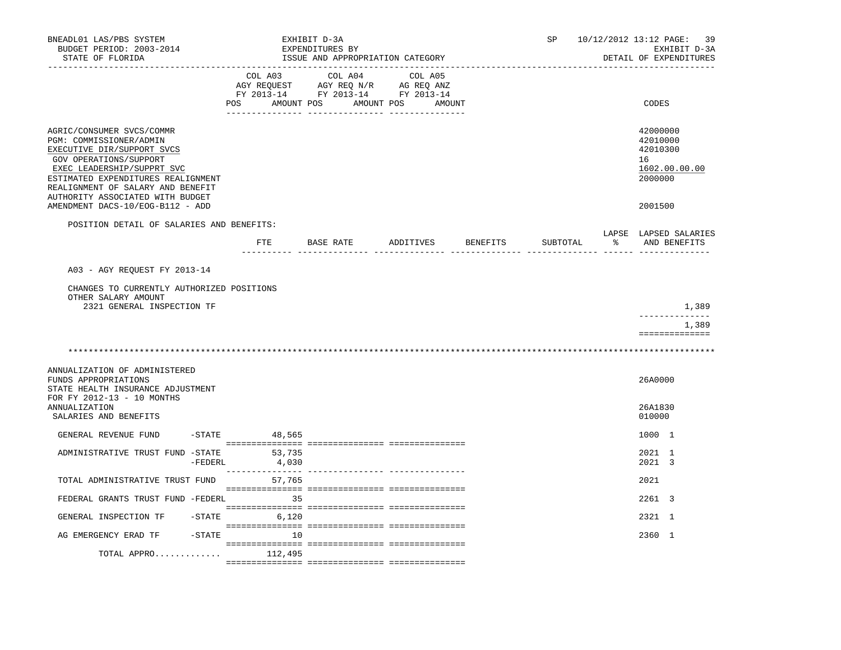| BNEADL01 LAS/PBS SYSTEM<br>BUDGET PERIOD: 2003-2014<br>STATE OF FLORIDA                                                                                                                                                                                   |                  | EXHIBIT D-3A<br>EXPENDITURES BY<br>ISSUE AND APPROPRIATION CATEGORY                                    |                              | SP       | 10/12/2012 13:12 PAGE: 39<br>EXHIBIT D-3A<br>DETAIL OF EXPENDITURES |
|-----------------------------------------------------------------------------------------------------------------------------------------------------------------------------------------------------------------------------------------------------------|------------------|--------------------------------------------------------------------------------------------------------|------------------------------|----------|---------------------------------------------------------------------|
|                                                                                                                                                                                                                                                           | COL A03<br>POS   | AGY REQUEST AGY REQ N/R AG REQ ANZ<br>FY 2013-14 FY 2013-14 FY 2013-14<br>AMOUNT POS AMOUNT POS AMOUNT | COL A04 COL A05              |          | CODES                                                               |
| AGRIC/CONSUMER SVCS/COMMR<br>PGM: COMMISSIONER/ADMIN<br>EXECUTIVE DIR/SUPPORT SVCS<br>GOV OPERATIONS/SUPPORT<br>EXEC LEADERSHIP/SUPPRT SVC<br>ESTIMATED EXPENDITURES REALIGNMENT<br>REALIGNMENT OF SALARY AND BENEFIT<br>AUTHORITY ASSOCIATED WITH BUDGET |                  |                                                                                                        |                              |          | 42000000<br>42010000<br>42010300<br>16<br>1602.00.00.00<br>2000000  |
| AMENDMENT DACS-10/EOG-B112 - ADD                                                                                                                                                                                                                          |                  |                                                                                                        |                              |          | 2001500                                                             |
| POSITION DETAIL OF SALARIES AND BENEFITS:                                                                                                                                                                                                                 |                  |                                                                                                        |                              |          | LAPSE LAPSED SALARIES                                               |
|                                                                                                                                                                                                                                                           | ETE              |                                                                                                        | BASE RATE ADDITIVES BENEFITS | SUBTOTAL | AND BENEFITS                                                        |
| A03 - AGY REOUEST FY 2013-14                                                                                                                                                                                                                              |                  |                                                                                                        |                              |          |                                                                     |
| CHANGES TO CURRENTLY AUTHORIZED POSITIONS<br>OTHER SALARY AMOUNT<br>2321 GENERAL INSPECTION TF                                                                                                                                                            |                  |                                                                                                        |                              |          | 1,389                                                               |
|                                                                                                                                                                                                                                                           |                  |                                                                                                        |                              |          | 1,389                                                               |
|                                                                                                                                                                                                                                                           |                  |                                                                                                        |                              |          | ==============                                                      |
| ANNUALIZATION OF ADMINISTERED<br>FUNDS APPROPRIATIONS<br>STATE HEALTH INSURANCE ADJUSTMENT                                                                                                                                                                |                  |                                                                                                        |                              |          | 26A0000                                                             |
| FOR FY 2012-13 - 10 MONTHS<br><b>ANNUALIZATION</b><br>SALARIES AND BENEFITS                                                                                                                                                                               |                  |                                                                                                        |                              |          | 26A1830<br>010000                                                   |
| GENERAL REVENUE FUND                                                                                                                                                                                                                                      | $-$ STATE 48,565 |                                                                                                        |                              |          | 1000 1                                                              |
| ADMINISTRATIVE TRUST FUND -STATE<br>$-FEDERL$                                                                                                                                                                                                             | 53,735<br>4,030  |                                                                                                        |                              |          | 2021 1<br>2021 3                                                    |
| TOTAL ADMINISTRATIVE TRUST FUND                                                                                                                                                                                                                           | 57,765           |                                                                                                        |                              |          | 2021                                                                |
| FEDERAL GRANTS TRUST FUND -FEDERL                                                                                                                                                                                                                         | 35               |                                                                                                        |                              |          | 2261 3                                                              |
| GENERAL INSPECTION TF                                                                                                                                                                                                                                     | $-STATE$ 6,120   |                                                                                                        |                              |          | 2321 1                                                              |
| AG EMERGENCY ERAD TF                                                                                                                                                                                                                                      | $-STATE$         | 10                                                                                                     |                              |          | 2360 1                                                              |
| TOTAL APPRO                                                                                                                                                                                                                                               | 112,495          |                                                                                                        |                              |          |                                                                     |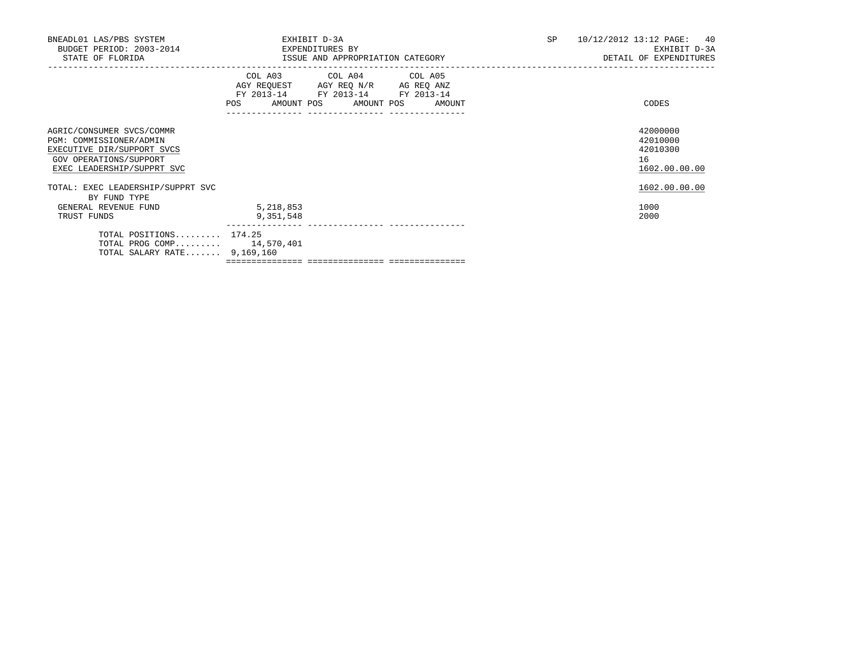| BNEADL01 LAS/PBS SYSTEM<br>BUDGET PERIOD: 2003-2014<br>STATE OF FLORIDA                                                                    | EXHIBIT D-3A<br>EXPENDITURES BY<br>ISSUE AND APPROPRIATION CATEGORY |                                                                                                                                       |  | 10/12/2012 13:12 PAGE: 40<br>EXHIBIT D-3A<br>DETAIL OF EXPENDITURES |
|--------------------------------------------------------------------------------------------------------------------------------------------|---------------------------------------------------------------------|---------------------------------------------------------------------------------------------------------------------------------------|--|---------------------------------------------------------------------|
|                                                                                                                                            | _____________________________________                               | COL A03 COL A04 COL A05<br>AGY REQUEST AGY REQ N/R AG REQ ANZ<br>FY 2013-14 FY 2013-14 FY 2013-14<br>POS AMOUNT POS AMOUNT POS AMOUNT |  | CODES                                                               |
| AGRIC/CONSUMER SVCS/COMMR<br>PGM: COMMISSIONER/ADMIN<br>EXECUTIVE DIR/SUPPORT SVCS<br>GOV OPERATIONS/SUPPORT<br>EXEC LEADERSHIP/SUPPRT SVC |                                                                     |                                                                                                                                       |  | 42000000<br>42010000<br>42010300<br>16<br>1602.00.00.00             |
| TOTAL: EXEC LEADERSHIP/SUPPRT SVC                                                                                                          |                                                                     |                                                                                                                                       |  | 1602.00.00.00                                                       |
| BY FUND TYPE<br>GENERAL REVENUE FUND<br>TRUST FUNDS                                                                                        | 5,218,853<br>9,351,548                                              |                                                                                                                                       |  | 1000<br>2000                                                        |
| TOTAL POSITIONS 174.25<br>TOTAL PROG COMP 14,570,401<br>TOTAL SALARY RATE 9,169,160                                                        |                                                                     |                                                                                                                                       |  |                                                                     |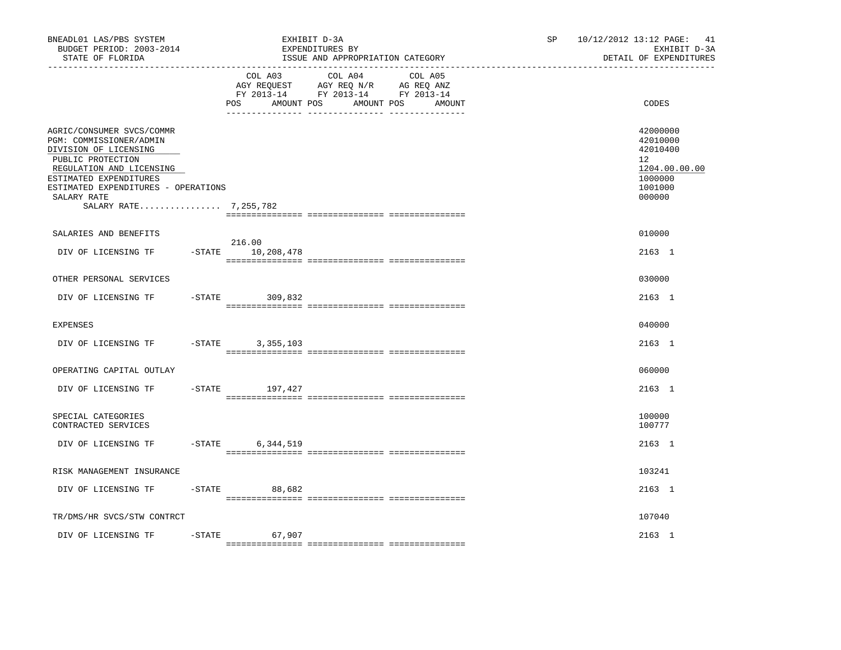| BNEADL01 LAS/PBS SYSTEM<br>BUDGET PERIOD: 2003-2014<br>STATE OF FLORIDA<br>------------------                                                                                                                                           |                                   | EXHIBIT D-3A<br>EXPENDITURES BY<br>ISSUE AND APPROPRIATION CATEGORY                                                  | SP. | 10/12/2012 13:12 PAGE:<br>41<br>EXHIBIT D-3A<br>DETAIL OF EXPENDITURES                  |
|-----------------------------------------------------------------------------------------------------------------------------------------------------------------------------------------------------------------------------------------|-----------------------------------|----------------------------------------------------------------------------------------------------------------------|-----|-----------------------------------------------------------------------------------------|
|                                                                                                                                                                                                                                         | COL A03<br>POS<br>AMOUNT POS      | COL A04<br>COL A05<br>AGY REQUEST AGY REQ N/R AG REQ ANZ<br>FY 2013-14 FY 2013-14 FY 2013-14<br>AMOUNT POS<br>AMOUNT |     | CODES                                                                                   |
| AGRIC/CONSUMER SVCS/COMMR<br>PGM: COMMISSIONER/ADMIN<br>DIVISION OF LICENSING<br>PUBLIC PROTECTION<br>REGULATION AND LICENSING<br>ESTIMATED EXPENDITURES<br>ESTIMATED EXPENDITURES - OPERATIONS<br>SALARY RATE<br>SALARY RATE 7,255,782 |                                   |                                                                                                                      |     | 42000000<br>42010000<br>42010400<br>12<br>1204.00.00.00<br>1000000<br>1001000<br>000000 |
| SALARIES AND BENEFITS                                                                                                                                                                                                                   |                                   |                                                                                                                      |     | 010000                                                                                  |
| DIV OF LICENSING TF                                                                                                                                                                                                                     | 216.00<br>$-$ STATE<br>10,208,478 |                                                                                                                      |     | 2163 1                                                                                  |
| OTHER PERSONAL SERVICES                                                                                                                                                                                                                 |                                   |                                                                                                                      |     | 030000                                                                                  |
| DIV OF LICENSING TF                                                                                                                                                                                                                     | $-$ STATE<br>309,832              |                                                                                                                      |     | 2163 1                                                                                  |
| <b>EXPENSES</b>                                                                                                                                                                                                                         |                                   |                                                                                                                      |     | 040000                                                                                  |
| DIV OF LICENSING TF                                                                                                                                                                                                                     | $-STATE$<br>3,355,103             |                                                                                                                      |     | 2163 1                                                                                  |
| OPERATING CAPITAL OUTLAY                                                                                                                                                                                                                |                                   |                                                                                                                      |     | 060000                                                                                  |
| DIV OF LICENSING TF                                                                                                                                                                                                                     | $-$ STATE<br>197,427              |                                                                                                                      |     | 2163 1                                                                                  |
| SPECIAL CATEGORIES<br>CONTRACTED SERVICES                                                                                                                                                                                               |                                   |                                                                                                                      |     | 100000<br>100777                                                                        |
| DIV OF LICENSING TF                                                                                                                                                                                                                     | $-$ STATE<br>6,344,519            |                                                                                                                      |     | 2163 1                                                                                  |
| RISK MANAGEMENT INSURANCE                                                                                                                                                                                                               |                                   |                                                                                                                      |     | 103241                                                                                  |
| DIV OF LICENSING TF<br>$-$ STATE                                                                                                                                                                                                        | 88,682                            |                                                                                                                      |     | 2163 1                                                                                  |
| TR/DMS/HR SVCS/STW CONTRCT                                                                                                                                                                                                              |                                   |                                                                                                                      |     | 107040                                                                                  |
| DIV OF LICENSING TF<br>$-$ STATE                                                                                                                                                                                                        | 67,907                            |                                                                                                                      |     | 2163 1                                                                                  |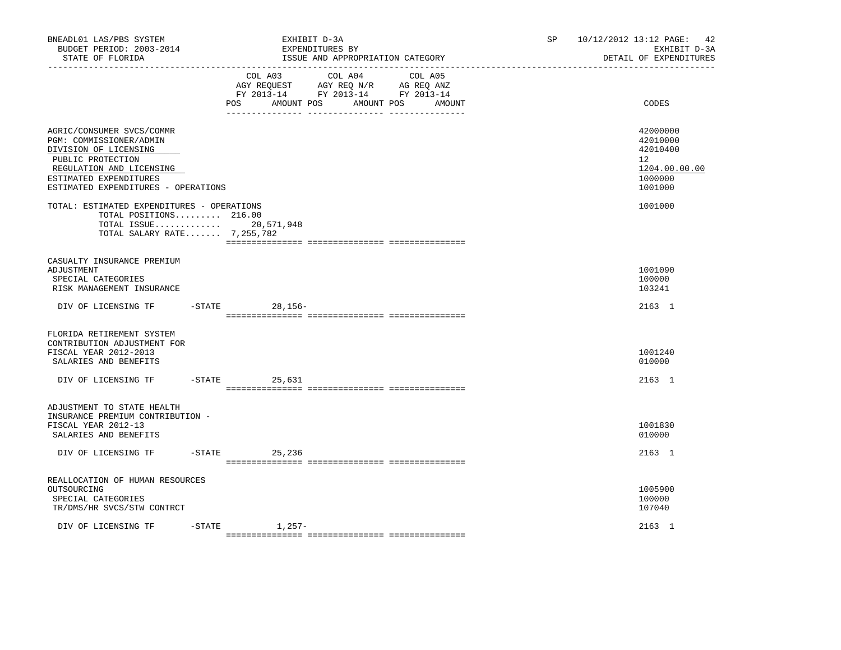| BNEADL01 LAS/PBS SYSTEM<br>BUDGET PERIOD: 2003-2014<br>STATE OF FLORIDA<br>.                                                                                                                    |                 | EXHIBIT D-3A<br>EXPENDITURES BY<br>ISSUE AND APPROPRIATION CATEGORY                                                              |        | SP. | 42<br>10/12/2012 13:12 PAGE:<br>EXHIBIT D-3A<br>DETAIL OF EXPENDITURES                  |
|-------------------------------------------------------------------------------------------------------------------------------------------------------------------------------------------------|-----------------|----------------------------------------------------------------------------------------------------------------------------------|--------|-----|-----------------------------------------------------------------------------------------|
|                                                                                                                                                                                                 | POS             | COL A03<br>COL A04 COL A05<br>AGY REQUEST AGY REQ N/R AG REQ ANZ<br>FY 2013-14 FY 2013-14 FY 2013-14<br>AMOUNT POS<br>AMOUNT POS | AMOUNT |     | CODES                                                                                   |
| AGRIC/CONSUMER SVCS/COMMR<br>PGM: COMMISSIONER/ADMIN<br>DIVISION OF LICENSING<br>PUBLIC PROTECTION<br>REGULATION AND LICENSING<br>ESTIMATED EXPENDITURES<br>ESTIMATED EXPENDITURES - OPERATIONS |                 |                                                                                                                                  |        |     | 42000000<br>42010000<br>42010400<br>$12^{\circ}$<br>1204.00.00.00<br>1000000<br>1001000 |
| TOTAL: ESTIMATED EXPENDITURES - OPERATIONS<br>TOTAL POSITIONS 216.00<br>TOTAL ISSUE 20,571,948<br>TOTAL SALARY RATE 7,255,782                                                                   |                 |                                                                                                                                  |        |     | 1001000                                                                                 |
| CASUALTY INSURANCE PREMIUM<br>ADJUSTMENT<br>SPECIAL CATEGORIES<br>RISK MANAGEMENT INSURANCE                                                                                                     |                 |                                                                                                                                  |        |     | 1001090<br>100000<br>103241                                                             |
| DIV OF LICENSING TF                                                                                                                                                                             | -STATE 28,156-  |                                                                                                                                  |        |     | 2163 1                                                                                  |
| FLORIDA RETIREMENT SYSTEM<br>CONTRIBUTION ADJUSTMENT FOR<br>FISCAL YEAR 2012-2013<br>SALARIES AND BENEFITS<br>DIV OF LICENSING TF                                                               | $-STATE$ 25,631 |                                                                                                                                  |        |     | 1001240<br>010000<br>2163 1                                                             |
| ADJUSTMENT TO STATE HEALTH<br>INSURANCE PREMIUM CONTRIBUTION -<br>FISCAL YEAR 2012-13<br>SALARIES AND BENEFITS                                                                                  |                 |                                                                                                                                  |        |     | 1001830<br>010000                                                                       |
| DIV OF LICENSING TF                                                                                                                                                                             | $-$ STATE       | 25,236                                                                                                                           |        |     | 2163 1                                                                                  |
| REALLOCATION OF HUMAN RESOURCES<br>OUTSOURCING<br>SPECIAL CATEGORIES<br>TR/DMS/HR SVCS/STW CONTRCT                                                                                              | $-STATE$        |                                                                                                                                  |        |     | 1005900<br>100000<br>107040                                                             |
| DIV OF LICENSING TF                                                                                                                                                                             |                 | $1,257-$                                                                                                                         |        |     | 2163 1                                                                                  |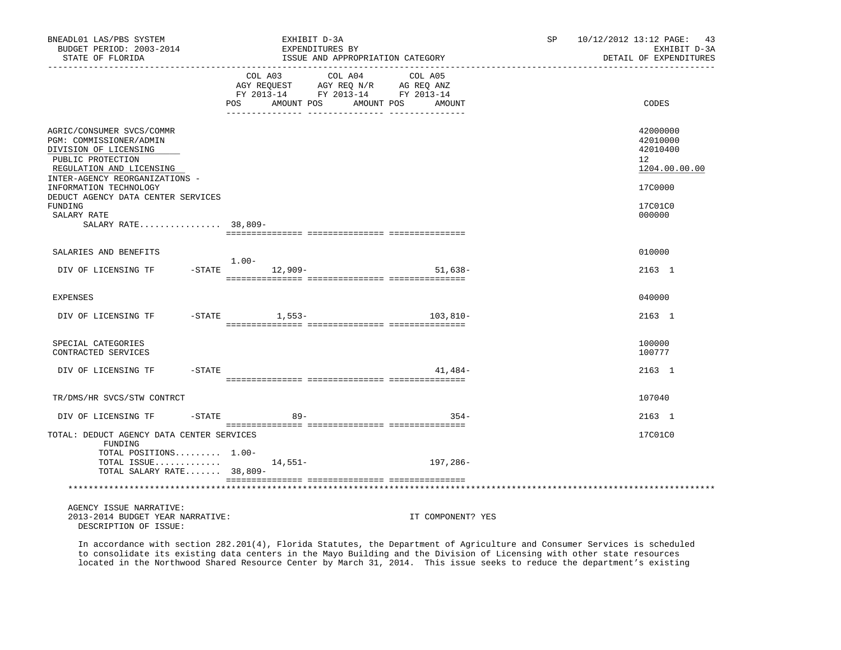| BNEADL01 LAS/PBS SYSTEM<br>BUDGET PERIOD: 2003-2014<br>STATE OF FLORIDA                                                                                          | EXHIBIT D-3A<br>EXPENDITURES BY                                                                                                                                                                                                                                                                             | ISSUE AND APPROPRIATION CATEGORY | SP <sub>2</sub> | 10/12/2012 13:12 PAGE: 43<br>EXHIBIT D-3A<br>DETAIL OF EXPENDITURES |
|------------------------------------------------------------------------------------------------------------------------------------------------------------------|-------------------------------------------------------------------------------------------------------------------------------------------------------------------------------------------------------------------------------------------------------------------------------------------------------------|----------------------------------|-----------------|---------------------------------------------------------------------|
|                                                                                                                                                                  | COL A03 COL A04 COL A05<br>$\begin{tabular}{lllllll} \bf AGY \,\, &\bf REGUEST \,\, &\bf AGY \,\, &\bf REQ \,\, &\bf N/R \,\, &\bf AG \,\, &\bf REQ \,\, &\bf ANZ \,\, \\ \bf FY \,\, &\bf 2013-14 \,\, &\bf FY \,\, &\bf 2013-14 \,\, &\bf FY \,\, &\bf 2013-14 \end{tabular}$<br><b>POS</b><br>AMOUNT POS | AMOUNT POS<br>AMOUNT             |                 | CODES                                                               |
| AGRIC/CONSUMER SVCS/COMMR<br>PGM: COMMISSIONER/ADMIN<br>DIVISION OF LICENSING<br>PUBLIC PROTECTION<br>REGULATION AND LICENSING<br>INTER-AGENCY REORGANIZATIONS - |                                                                                                                                                                                                                                                                                                             |                                  |                 | 42000000<br>42010000<br>42010400<br>12<br>1204.00.00.00             |
| INFORMATION TECHNOLOGY<br>DEDUCT AGENCY DATA CENTER SERVICES<br>FUNDING<br>SALARY RATE<br>SALARY RATE 38,809-                                                    |                                                                                                                                                                                                                                                                                                             |                                  |                 | 17C0000<br>17C01C0<br>000000                                        |
|                                                                                                                                                                  |                                                                                                                                                                                                                                                                                                             |                                  |                 |                                                                     |
| SALARIES AND BENEFITS                                                                                                                                            | $1.00-$                                                                                                                                                                                                                                                                                                     |                                  |                 | 010000                                                              |
| DIV OF LICENSING TF                                                                                                                                              | $-$ STATE $12,909-$                                                                                                                                                                                                                                                                                         | $51.638 -$                       |                 | 2163 1                                                              |
| <b>EXPENSES</b>                                                                                                                                                  |                                                                                                                                                                                                                                                                                                             |                                  |                 | 040000                                                              |
| DIV OF LICENSING TF                                                                                                                                              | -STATE 1,553-                                                                                                                                                                                                                                                                                               | 103,810-                         |                 | 2163 1                                                              |
| SPECIAL CATEGORIES<br>CONTRACTED SERVICES                                                                                                                        |                                                                                                                                                                                                                                                                                                             |                                  |                 | 100000<br>100777                                                    |
| DIV OF LICENSING TF<br>-STATE                                                                                                                                    |                                                                                                                                                                                                                                                                                                             | 41,484-                          |                 | 2163 1                                                              |
| TR/DMS/HR SVCS/STW CONTRCT                                                                                                                                       |                                                                                                                                                                                                                                                                                                             |                                  |                 | 107040                                                              |
| DIV OF LICENSING TF                                                                                                                                              | $-STATE$<br>$89-$                                                                                                                                                                                                                                                                                           | $354 -$                          |                 | 2163 1                                                              |
| TOTAL: DEDUCT AGENCY DATA CENTER SERVICES<br>FUNDING<br>TOTAL POSITIONS 1.00-                                                                                    |                                                                                                                                                                                                                                                                                                             |                                  |                 | 17C01C0                                                             |
| TOTAL ISSUE $14,551-$<br>TOTAL SALARY RATE 38,809-                                                                                                               |                                                                                                                                                                                                                                                                                                             | 197,286-                         |                 |                                                                     |
|                                                                                                                                                                  |                                                                                                                                                                                                                                                                                                             |                                  |                 |                                                                     |
| AGENCY ISSUE NARRATIVE:<br>2013-2014 BUDGET YEAR NARRATIVE:<br>DESCRIPTION OF ISSUE:                                                                             |                                                                                                                                                                                                                                                                                                             | IT COMPONENT? YES                |                 |                                                                     |

 In accordance with section 282.201(4), Florida Statutes, the Department of Agriculture and Consumer Services is scheduled to consolidate its existing data centers in the Mayo Building and the Division of Licensing with other state resources located in the Northwood Shared Resource Center by March 31, 2014. This issue seeks to reduce the department's existing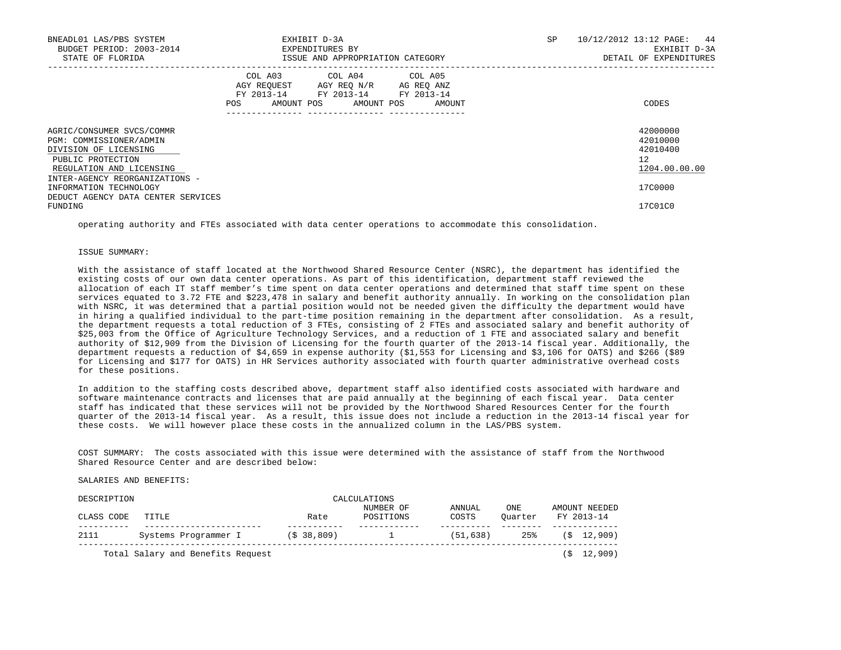| BNEADL01 LAS/PBS SYSTEM<br>BUDGET PERIOD: 2003-2014<br>STATE OF FLORIDA                                                        | EXHIBIT D-3A<br>EXPENDITURES BY<br>ISSUE AND APPROPRIATION CATEGORY                                                                            | 10/12/2012 13:12 PAGE: 44<br>SP<br>EXHIBIT D-3A<br>DETAIL OF EXPENDITURES |
|--------------------------------------------------------------------------------------------------------------------------------|------------------------------------------------------------------------------------------------------------------------------------------------|---------------------------------------------------------------------------|
|                                                                                                                                | COL A03 COL A04 COL A05<br>AGY REQUEST AGY REO N/R AG REO ANZ<br>FY 2013-14 FY 2013-14 FY 2013-14<br>POS<br>AMOUNT POS<br>AMOUNT POS<br>AMOUNT | CODES                                                                     |
| AGRIC/CONSUMER SVCS/COMMR<br>PGM: COMMISSIONER/ADMIN<br>DIVISION OF LICENSING<br>PUBLIC PROTECTION<br>REGULATION AND LICENSING |                                                                                                                                                | 42000000<br>42010000<br>42010400<br>12<br>1204.00.00.00                   |
| INTER-AGENCY REORGANIZATIONS -<br>INFORMATION TECHNOLOGY<br>DEDUCT AGENCY DATA CENTER SERVICES<br>FUNDING                      |                                                                                                                                                | 17C0000<br>17C01C0                                                        |

operating authority and FTEs associated with data center operations to accommodate this consolidation.

### ISSUE SUMMARY:

 With the assistance of staff located at the Northwood Shared Resource Center (NSRC), the department has identified the existing costs of our own data center operations. As part of this identification, department staff reviewed the allocation of each IT staff member's time spent on data center operations and determined that staff time spent on these services equated to 3.72 FTE and \$223,478 in salary and benefit authority annually. In working on the consolidation plan with NSRC, it was determined that a partial position would not be needed given the difficulty the department would have in hiring a qualified individual to the part-time position remaining in the department after consolidation. As a result, the department requests a total reduction of 3 FTEs, consisting of 2 FTEs and associated salary and benefit authority of \$25,003 from the Office of Agriculture Technology Services, and a reduction of 1 FTE and associated salary and benefit authority of \$12,909 from the Division of Licensing for the fourth quarter of the 2013-14 fiscal year. Additionally, the department requests a reduction of \$4,659 in expense authority (\$1,553 for Licensing and \$3,106 for OATS) and \$266 (\$89 for Licensing and \$177 for OATS) in HR Services authority associated with fourth quarter administrative overhead costs for these positions.

 In addition to the staffing costs described above, department staff also identified costs associated with hardware and software maintenance contracts and licenses that are paid annually at the beginning of each fiscal year. Data center staff has indicated that these services will not be provided by the Northwood Shared Resources Center for the fourth quarter of the 2013-14 fiscal year. As a result, this issue does not include a reduction in the 2013-14 fiscal year for these costs. We will however place these costs in the annualized column in the LAS/PBS system.

 COST SUMMARY: The costs associated with this issue were determined with the assistance of staff from the Northwood Shared Resource Center and are described below:

## SALARIES AND BENEFITS:

| DESCRIPTION |                                   |                        | CALCULATIONS           |                        |                |                             |
|-------------|-----------------------------------|------------------------|------------------------|------------------------|----------------|-----------------------------|
| CLASS CODE  | TITLE                             | Rate                   | NUMBER OF<br>POSITIONS | <b>ANNUAL</b><br>COSTS | ONE<br>Ouarter | AMOUNT NEEDED<br>FY 2013-14 |
| 2111        | Systems Programmer I              | (S <sub>38.809</sub> ) |                        | (51, 638)              | 25%            | (S 12, 909)                 |
|             | Total Salary and Benefits Request |                        |                        |                        |                | (S 12, 909)                 |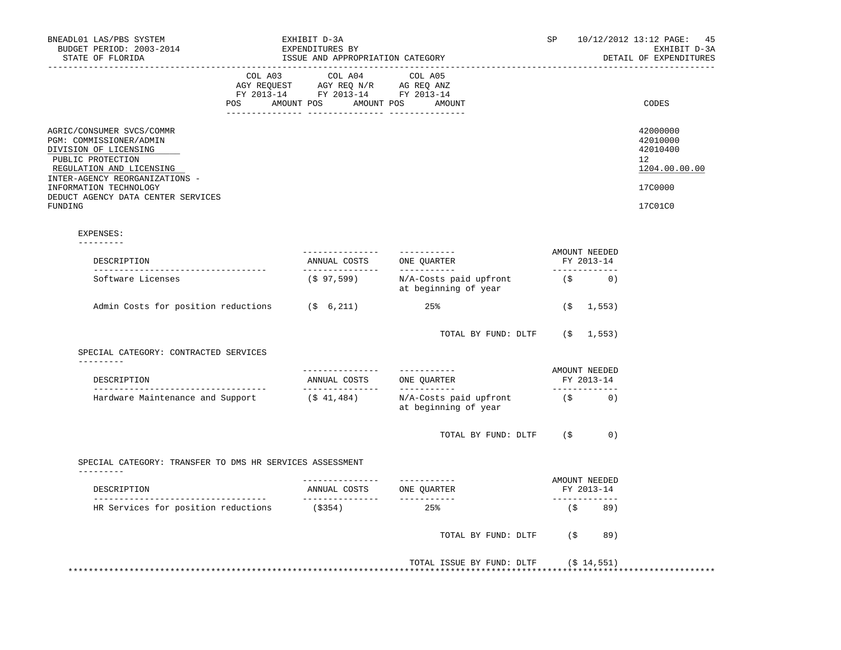| BNEADL01 LAS/PBS SYSTEM<br>BUDGET PERIOD: 2003-2014                                                                                                                                        |         | EXHIBIT D-3A<br>EXPENDITURES BY                                                                                                                                                                                      |                                                              | SP |                                               | 10/12/2012 13:12 PAGE: 45<br>EXHIBIT D-3A                          |
|--------------------------------------------------------------------------------------------------------------------------------------------------------------------------------------------|---------|----------------------------------------------------------------------------------------------------------------------------------------------------------------------------------------------------------------------|--------------------------------------------------------------|----|-----------------------------------------------|--------------------------------------------------------------------|
| STATE OF FLORIDA                                                                                                                                                                           |         | ISSUE AND APPROPRIATION CATEGORY                                                                                                                                                                                     |                                                              |    | DETAIL OF EXPENDITURES                        |                                                                    |
|                                                                                                                                                                                            | COL A03 | COL A04 COL A05<br>$\begin{tabular}{lllllll} \bf AGY \,\,\, REQUEST \,\,\, & \bf AGY \,\, REQ \,\, N/R & \,\, AC \,\, REQ \,\, ANZ \\ \bf FY \,\, 2013-14 & \bf FY \,\, 2013-14 & \bf FY \,\, 2013-14 \end{tabular}$ |                                                              |    |                                               |                                                                    |
|                                                                                                                                                                                            |         | POS AMOUNT POS AMOUNT POS AMOUNT                                                                                                                                                                                     |                                                              |    |                                               | CODES                                                              |
| AGRIC/CONSUMER SVCS/COMMR<br>PGM: COMMISSIONER/ADMIN<br>DIVISION OF LICENSING<br>PUBLIC PROTECTION<br>REGULATION AND LICENSING<br>INTER-AGENCY REORGANIZATIONS -<br>INFORMATION TECHNOLOGY |         |                                                                                                                                                                                                                      |                                                              |    |                                               | 42000000<br>42010000<br>42010400<br>12<br>1204.00.00.00<br>17C0000 |
| DEDUCT AGENCY DATA CENTER SERVICES<br>FUNDING                                                                                                                                              |         |                                                                                                                                                                                                                      |                                                              |    |                                               | 17C01C0                                                            |
| EXPENSES:                                                                                                                                                                                  |         |                                                                                                                                                                                                                      |                                                              |    |                                               |                                                                    |
| ----------<br>DESCRIPTION<br>______________________________________                                                                                                                        |         |                                                                                                                                                                                                                      | ----------<br>ANNUAL COSTS ONE QUARTER                       |    | AMOUNT NEEDED<br>FY 2013-14<br>______________ |                                                                    |
| Software Licenses                                                                                                                                                                          |         |                                                                                                                                                                                                                      | $(S 97, 599)$ N/A-Costs paid upfront<br>at beginning of year |    | $(S \t 0)$                                    |                                                                    |
| Admin Costs for position reductions (\$ 6,211)                                                                                                                                             |         |                                                                                                                                                                                                                      | 25%                                                          |    | $($ \$1,553)                                  |                                                                    |
|                                                                                                                                                                                            |         |                                                                                                                                                                                                                      | TOTAL BY FUND: DLTF (\$ 1,553)                               |    |                                               |                                                                    |
| SPECIAL CATEGORY: CONTRACTED SERVICES<br>----------                                                                                                                                        |         |                                                                                                                                                                                                                      |                                                              |    |                                               |                                                                    |
| DESCRIPTION<br>_____________________________________                                                                                                                                       |         | ---------------<br>ANNUAL COSTS ONE QUARTER                                                                                                                                                                          | -----------                                                  |    | AMOUNT NEEDED<br>FY 2013-14<br>-------------  |                                                                    |
| Hardware Maintenance and Support                                                                                                                                                           |         | ( \$ 41, 484)                                                                                                                                                                                                        | N/A-Costs paid upfront<br>at beginning of year               |    | $(S \t 0)$                                    |                                                                    |
|                                                                                                                                                                                            |         |                                                                                                                                                                                                                      | TOTAL BY FUND: DLTF (\$                                      |    | 0)                                            |                                                                    |
| SPECIAL CATEGORY: TRANSFER TO DMS HR SERVICES ASSESSMENT<br>---------                                                                                                                      |         |                                                                                                                                                                                                                      |                                                              |    |                                               |                                                                    |
| DESCRIPTION                                                                                                                                                                                |         |                                                                                                                                                                                                                      | ------------                                                 |    | AMOUNT NEEDED<br>FY 2013-14<br>-------------  |                                                                    |
| HR Services for position reductions                                                                                                                                                        |         | $($ \$354)                                                                                                                                                                                                           | 25%                                                          |    | (\$89)                                        |                                                                    |
|                                                                                                                                                                                            |         |                                                                                                                                                                                                                      | TOTAL BY FUND: DLTF                                          | (S | 89)                                           |                                                                    |
|                                                                                                                                                                                            |         |                                                                                                                                                                                                                      | TOTAL ISSUE BY FUND: DLTF (\$14,551)                         |    |                                               |                                                                    |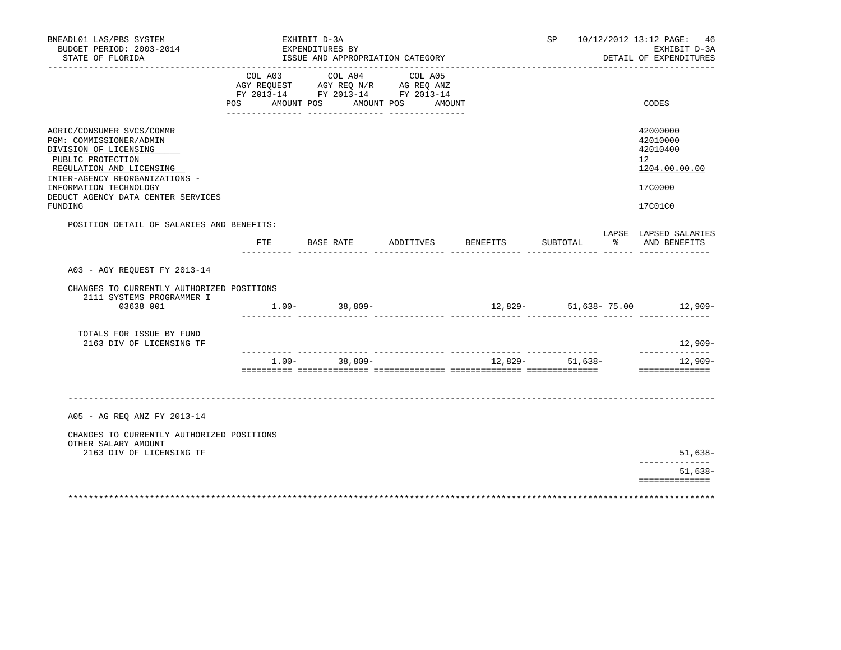| COL A03<br>AGY REQUEST AGY REQ N/R AG REQ ANZ<br>FY 2013-14 FY 2013-14 FY 2013-14<br>POS AMOUNT POS AMOUNT POS AMOUNT |                                                                                                                                     | COL A04 | COL A05                                                 |  |                    |          |                                                         |
|-----------------------------------------------------------------------------------------------------------------------|-------------------------------------------------------------------------------------------------------------------------------------|---------|---------------------------------------------------------|--|--------------------|----------|---------------------------------------------------------|
|                                                                                                                       |                                                                                                                                     |         |                                                         |  |                    |          | CODES                                                   |
|                                                                                                                       |                                                                                                                                     |         |                                                         |  |                    |          | 42000000<br>42010000<br>42010400<br>12<br>1204.00.00.00 |
|                                                                                                                       |                                                                                                                                     |         |                                                         |  |                    |          | 17C0000<br>17C01C0                                      |
|                                                                                                                       |                                                                                                                                     |         |                                                         |  |                    |          | LAPSE LAPSED SALARIES<br>% AND BENEFITS                 |
|                                                                                                                       |                                                                                                                                     |         |                                                         |  |                    |          |                                                         |
|                                                                                                                       |                                                                                                                                     |         |                                                         |  |                    |          |                                                         |
|                                                                                                                       |                                                                                                                                     |         |                                                         |  |                    |          |                                                         |
|                                                                                                                       |                                                                                                                                     |         |                                                         |  |                    |          | $12,909-$<br>--------------                             |
|                                                                                                                       |                                                                                                                                     |         |                                                         |  |                    |          | 12,909-<br>==============                               |
|                                                                                                                       |                                                                                                                                     |         |                                                         |  |                    |          |                                                         |
|                                                                                                                       |                                                                                                                                     |         |                                                         |  |                    |          |                                                         |
|                                                                                                                       |                                                                                                                                     |         |                                                         |  |                    |          | $51,638-$<br>. <u>.</u> .                               |
|                                                                                                                       |                                                                                                                                     |         |                                                         |  |                    |          | $51,638-$<br>==============                             |
|                                                                                                                       | POSITION DETAIL OF SALARIES AND BENEFITS:<br>CHANGES TO CURRENTLY AUTHORIZED POSITIONS<br>CHANGES TO CURRENTLY AUTHORIZED POSITIONS |         | FTE BASE RATE<br>$1.00 - 38,809 -$<br>$1.00 - 38,809 -$ |  | ADDITIVES BENEFITS | SUBTOTAL | $12,829-51,638-75.00$ 12,909<br>12,829- 51,638-         |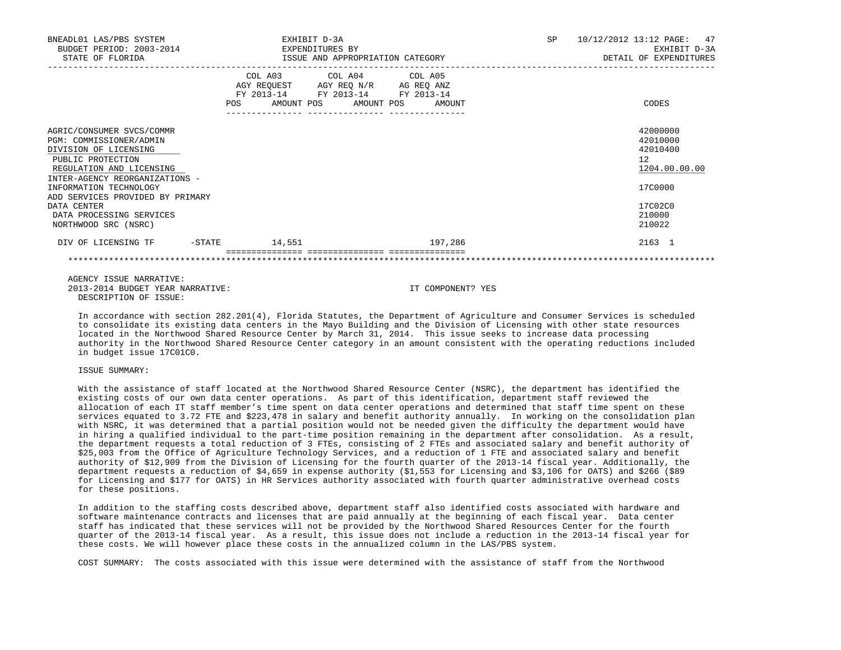| BNEADL01 LAS/PBS SYSTEM<br>BUDGET PERIOD: 2003-2014<br>STATE OF FLORIDA                                                                                          |           | EXHIBIT D-3A<br>EXPENDITURES BY<br>ISSUE AND APPROPRIATION CATEGORY                                                        |  |         | SP | 10/12/2012 13:12 PAGE:<br>47<br>EXHIBIT D-3A<br>DETAIL OF EXPENDITURES |
|------------------------------------------------------------------------------------------------------------------------------------------------------------------|-----------|----------------------------------------------------------------------------------------------------------------------------|--|---------|----|------------------------------------------------------------------------|
|                                                                                                                                                                  | POS       | COL A03 COL A04 COL A05<br>AGY REQUEST AGY REQ N/R AG REQ ANZ<br>FY 2013-14 FY 2013-14 FY 2013-14<br>AMOUNT POS AMOUNT POS |  | AMOUNT  |    | CODES                                                                  |
| AGRIC/CONSUMER SVCS/COMMR<br>PGM: COMMISSIONER/ADMIN<br>DIVISION OF LICENSING<br>PUBLIC PROTECTION<br>REGULATION AND LICENSING<br>INTER-AGENCY REORGANIZATIONS - |           |                                                                                                                            |  |         |    | 42000000<br>42010000<br>42010400<br>12<br>1204.00.00.00                |
| INFORMATION TECHNOLOGY<br>ADD SERVICES PROVIDED BY PRIMARY<br>DATA CENTER<br>DATA PROCESSING SERVICES<br>NORTHWOOD SRC (NSRC)                                    |           |                                                                                                                            |  |         |    | 17C0000<br>17C02C0<br>210000<br>210022                                 |
| DIV OF LICENSING TF                                                                                                                                              | $-$ STATE | 14,551                                                                                                                     |  | 197,286 |    | 2163 1                                                                 |

 AGENCY ISSUE NARRATIVE: 2013-2014 BUDGET YEAR NARRATIVE: IT COMPONENT? YES DESCRIPTION OF ISSUE:

 In accordance with section 282.201(4), Florida Statutes, the Department of Agriculture and Consumer Services is scheduled to consolidate its existing data centers in the Mayo Building and the Division of Licensing with other state resources located in the Northwood Shared Resource Center by March 31, 2014. This issue seeks to increase data processing authority in the Northwood Shared Resource Center category in an amount consistent with the operating reductions included in budget issue 17C01C0.

## ISSUE SUMMARY:

 With the assistance of staff located at the Northwood Shared Resource Center (NSRC), the department has identified the existing costs of our own data center operations. As part of this identification, department staff reviewed the allocation of each IT staff member's time spent on data center operations and determined that staff time spent on these services equated to 3.72 FTE and \$223,478 in salary and benefit authority annually. In working on the consolidation plan with NSRC, it was determined that a partial position would not be needed given the difficulty the department would have in hiring a qualified individual to the part-time position remaining in the department after consolidation. As a result, the department requests a total reduction of 3 FTEs, consisting of 2 FTEs and associated salary and benefit authority of \$25,003 from the Office of Agriculture Technology Services, and a reduction of 1 FTE and associated salary and benefit authority of \$12,909 from the Division of Licensing for the fourth quarter of the 2013-14 fiscal year. Additionally, the department requests a reduction of \$4,659 in expense authority (\$1,553 for Licensing and \$3,106 for OATS) and \$266 (\$89 for Licensing and \$177 for OATS) in HR Services authority associated with fourth quarter administrative overhead costs for these positions.

 In addition to the staffing costs described above, department staff also identified costs associated with hardware and software maintenance contracts and licenses that are paid annually at the beginning of each fiscal year. Data center staff has indicated that these services will not be provided by the Northwood Shared Resources Center for the fourth quarter of the 2013-14 fiscal year. As a result, this issue does not include a reduction in the 2013-14 fiscal year for these costs. We will however place these costs in the annualized column in the LAS/PBS system.

COST SUMMARY: The costs associated with this issue were determined with the assistance of staff from the Northwood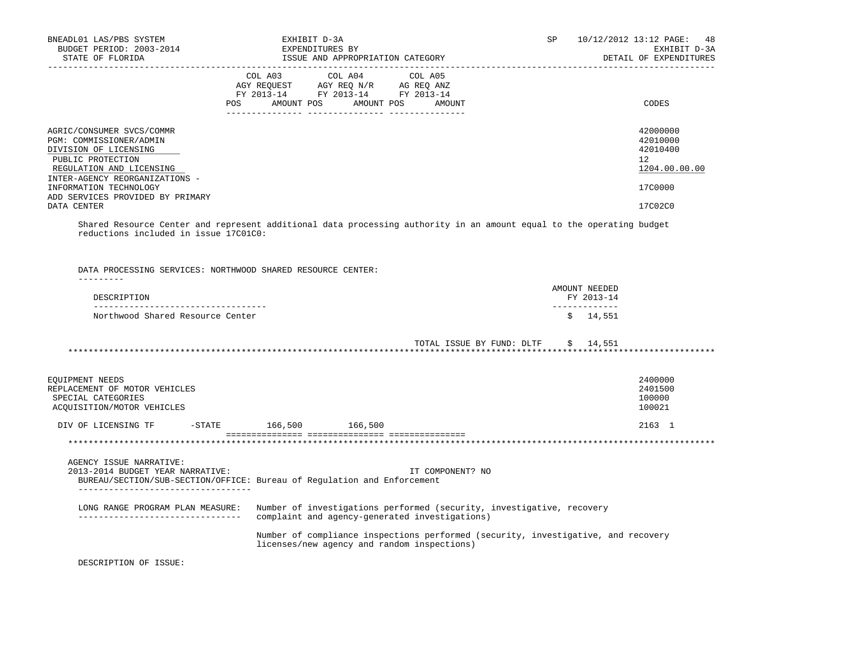| BNEADL01 LAS/PBS SYSTEM<br>BUDGET PERIOD: 2003-2014<br>STATE OF FLORIDA                                                        | EXHIBIT D-3A<br>EXPENDITURES BY<br>ISSUE AND APPROPRIATION CATEGORY                                                                     | SP<br>10/12/2012 13:12 PAGE:<br>48<br>EXHIBIT D-3A<br>DETAIL OF EXPENDITURES                                         |
|--------------------------------------------------------------------------------------------------------------------------------|-----------------------------------------------------------------------------------------------------------------------------------------|----------------------------------------------------------------------------------------------------------------------|
| POS                                                                                                                            | COL A03<br>COL A04<br>COL A05<br>AGY REQUEST AGY REQ N/R AG REQ ANZ<br>FY 2013-14 FY 2013-14 FY 2013-14<br>AMOUNT POS AMOUNT POS AMOUNT | CODES                                                                                                                |
| AGRIC/CONSUMER SVCS/COMMR<br>PGM: COMMISSIONER/ADMIN<br>DIVISION OF LICENSING<br>PUBLIC PROTECTION<br>REGULATION AND LICENSING |                                                                                                                                         | 42000000<br>42010000<br>42010400<br>12<br>1204.00.00.00                                                              |
| INTER-AGENCY REORGANIZATIONS -<br>INFORMATION TECHNOLOGY                                                                       |                                                                                                                                         | 17C0000                                                                                                              |
| ADD SERVICES PROVIDED BY PRIMARY<br>DATA CENTER                                                                                |                                                                                                                                         | 17C02C0                                                                                                              |
| reductions included in issue 17C01C0:<br>DATA PROCESSING SERVICES: NORTHWOOD SHARED RESOURCE CENTER:                           |                                                                                                                                         | Shared Resource Center and represent additional data processing authority in an amount equal to the operating budget |
| ---------                                                                                                                      |                                                                                                                                         | AMOUNT NEEDED                                                                                                        |
| DESCRIPTION<br>____________________________________                                                                            |                                                                                                                                         | FY 2013-14                                                                                                           |
| Northwood Shared Resource Center                                                                                               |                                                                                                                                         | \$14,551                                                                                                             |
|                                                                                                                                |                                                                                                                                         | TOTAL ISSUE BY FUND: DLTF<br>\$14,551                                                                                |
| EQUIPMENT NEEDS<br>REPLACEMENT OF MOTOR VEHICLES<br>SPECIAL CATEGORIES<br>ACQUISITION/MOTOR VEHICLES                           |                                                                                                                                         | 2400000<br>2401500<br>100000<br>100021                                                                               |
| DIV OF LICENSING TF $-$ STATE $166,500$ $166,500$                                                                              |                                                                                                                                         | 2163 1                                                                                                               |
|                                                                                                                                |                                                                                                                                         |                                                                                                                      |
| AGENCY ISSUE NARRATIVE:<br>2013-2014 BUDGET YEAR NARRATIVE:                                                                    | IT COMPONENT? NO<br>BUREAU/SECTION/SUB-SECTION/OFFICE: Bureau of Regulation and Enforcement                                             |                                                                                                                      |
| LONG RANGE PROGRAM PLAN MEASURE:                                                                                               | Number of investigations performed (security, investigative, recovery<br>complaint and agency-generated investigations)                 |                                                                                                                      |
|                                                                                                                                | licenses/new agency and random inspections)                                                                                             | Number of compliance inspections performed (security, investigative, and recovery                                    |
| DESCRIPTION OF ISSUE:                                                                                                          |                                                                                                                                         |                                                                                                                      |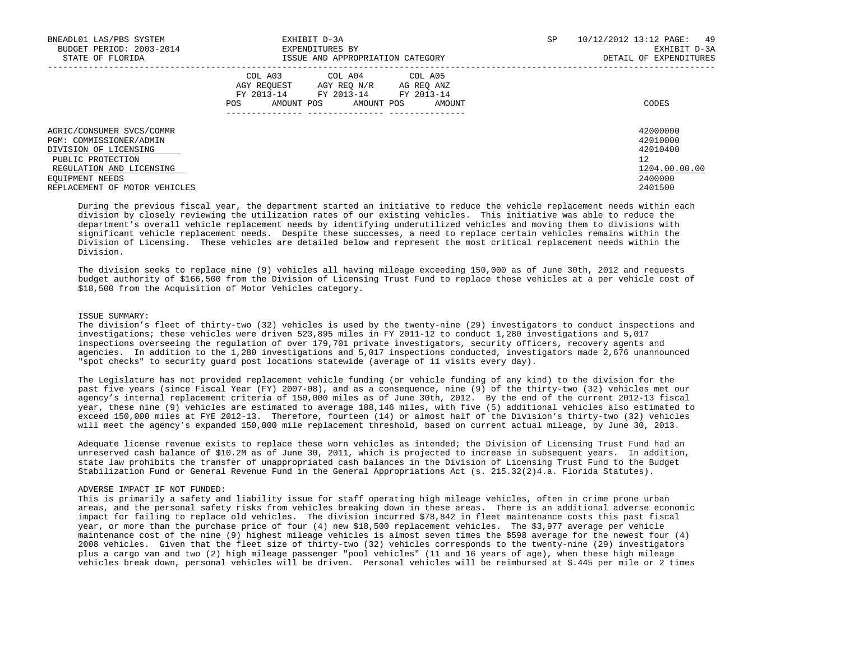| BNEADL01 LAS/PBS SYSTEM<br>BUDGET PERIOD: 2003-2014<br>STATE OF FLORIDA                                                                                                            | EXHIBIT D-3A<br>EXPENDITURES BY<br>ISSUE AND APPROPRIATION CATEGORY                                                                            | <b>SP</b> | 10/12/2012 13:12 PAGE: 49<br>EXHIBIT D-3A<br>DETAIL OF EXPENDITURES           |
|------------------------------------------------------------------------------------------------------------------------------------------------------------------------------------|------------------------------------------------------------------------------------------------------------------------------------------------|-----------|-------------------------------------------------------------------------------|
|                                                                                                                                                                                    | COL A03 COL A04 COL A05<br>AGY REOUEST AGY REO N/R AG REO ANZ<br>FY 2013-14 FY 2013-14 FY 2013-14<br>AMOUNT POS<br>AMOUNT POS<br>AMOUNT<br>POS |           | CODES                                                                         |
| AGRIC/CONSUMER SVCS/COMMR<br>PGM: COMMISSIONER/ADMIN<br>DIVISION OF LICENSING<br>PUBLIC PROTECTION<br>REGULATION AND LICENSING<br>EOUIPMENT NEEDS<br>REPLACEMENT OF MOTOR VEHICLES |                                                                                                                                                |           | 42000000<br>42010000<br>42010400<br>12<br>1204.00.00.00<br>2400000<br>2401500 |

 During the previous fiscal year, the department started an initiative to reduce the vehicle replacement needs within each division by closely reviewing the utilization rates of our existing vehicles. This initiative was able to reduce the department's overall vehicle replacement needs by identifying underutilized vehicles and moving them to divisions with significant vehicle replacement needs. Despite these successes, a need to replace certain vehicles remains within the Division of Licensing. These vehicles are detailed below and represent the most critical replacement needs within the Division.

 The division seeks to replace nine (9) vehicles all having mileage exceeding 150,000 as of June 30th, 2012 and requests budget authority of \$166,500 from the Division of Licensing Trust Fund to replace these vehicles at a per vehicle cost of \$18,500 from the Acquisition of Motor Vehicles category.

## ISSUE SUMMARY:

 The division's fleet of thirty-two (32) vehicles is used by the twenty-nine (29) investigators to conduct inspections and investigations; these vehicles were driven 523,895 miles in FY 2011-12 to conduct 1,280 investigations and 5,017 inspections overseeing the regulation of over 179,701 private investigators, security officers, recovery agents and agencies. In addition to the 1,280 investigations and 5,017 inspections conducted, investigators made 2,676 unannounced "spot checks" to security guard post locations statewide (average of 11 visits every day).

 The Legislature has not provided replacement vehicle funding (or vehicle funding of any kind) to the division for the past five years (since Fiscal Year (FY) 2007-08), and as a consequence, nine (9) of the thirty-two (32) vehicles met our agency's internal replacement criteria of 150,000 miles as of June 30th, 2012. By the end of the current 2012-13 fiscal year, these nine (9) vehicles are estimated to average 188,146 miles, with five (5) additional vehicles also estimated to exceed 150,000 miles at FYE 2012-13. Therefore, fourteen (14) or almost half of the Division's thirty-two (32) vehicles will meet the agency's expanded 150,000 mile replacement threshold, based on current actual mileage, by June 30, 2013.

 Adequate license revenue exists to replace these worn vehicles as intended; the Division of Licensing Trust Fund had an unreserved cash balance of \$10.2M as of June 30, 2011, which is projected to increase in subsequent years. In addition, state law prohibits the transfer of unappropriated cash balances in the Division of Licensing Trust Fund to the Budget Stabilization Fund or General Revenue Fund in the General Appropriations Act (s. 215.32(2)4.a. Florida Statutes).

## ADVERSE IMPACT IF NOT FUNDED:

 This is primarily a safety and liability issue for staff operating high mileage vehicles, often in crime prone urban areas, and the personal safety risks from vehicles breaking down in these areas. There is an additional adverse economic impact for failing to replace old vehicles. The division incurred \$78,842 in fleet maintenance costs this past fiscal year, or more than the purchase price of four (4) new \$18,500 replacement vehicles. The \$3,977 average per vehicle maintenance cost of the nine (9) highest mileage vehicles is almost seven times the \$598 average for the newest four (4) 2008 vehicles. Given that the fleet size of thirty-two (32) vehicles corresponds to the twenty-nine (29) investigators plus a cargo van and two (2) high mileage passenger "pool vehicles" (11 and 16 years of age), when these high mileage vehicles break down, personal vehicles will be driven. Personal vehicles will be reimbursed at \$.445 per mile or 2 times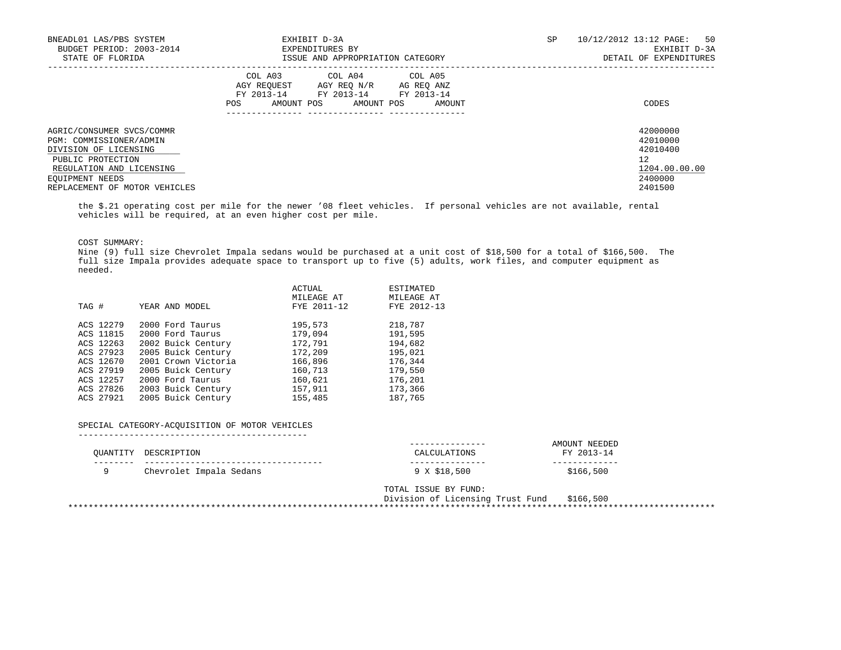| EXHIBIT D-3A<br>EXPENDITURES BY<br>ISSUE AND APPROPRIATION CATEGORY                                                                                  | SP | 10/12/2012 13:12 PAGE: 50<br>EXHIBIT D-3A<br>DETAIL OF EXPENDITURES           |
|------------------------------------------------------------------------------------------------------------------------------------------------------|----|-------------------------------------------------------------------------------|
| COL A03<br>COL A04 COL A05<br>AGY REQUEST AGY REQ N/R AG REQ ANZ<br>FY 2013-14<br>FY 2013-14 FY 2013-14<br>AMOUNT POS<br>POS<br>AMOUNT POS<br>AMOUNT |    | CODES                                                                         |
|                                                                                                                                                      |    | 42000000<br>42010000<br>42010400<br>12<br>1204.00.00.00<br>2400000<br>2401500 |
|                                                                                                                                                      |    |                                                                               |

 the \$.21 operating cost per mile for the newer '08 fleet vehicles. If personal vehicles are not available, rental vehicles will be required, at an even higher cost per mile.

COST SUMMARY:

 Nine (9) full size Chevrolet Impala sedans would be purchased at a unit cost of \$18,500 for a total of \$166,500. The full size Impala provides adequate space to transport up to five (5) adults, work files, and computer equipment as needed.

|       |           |                     | ACTUAL<br>MILEAGE AT | ESTIMATED<br>MILEAGE AT |
|-------|-----------|---------------------|----------------------|-------------------------|
| TAG # |           | YEAR AND MODEL      | FYE 2011-12          | FYE 2012-13             |
|       | ACS 12279 | 2000 Ford Taurus    | 195,573              | 218,787                 |
|       | ACS 11815 | 2000 Ford Taurus    | 179,094              | 191,595                 |
|       | ACS 12263 | 2002 Buick Century  | 172,791              | 194,682                 |
|       | ACS 27923 | 2005 Buick Century  | 172,209              | 195,021                 |
|       | ACS 12670 | 2001 Crown Victoria | 166,896              | 176,344                 |
|       | ACS 27919 | 2005 Buick Century  | 160,713              | 179,550                 |
|       | ACS 12257 | 2000 Ford Taurus    | 160,621              | 176,201                 |
|       | ACS 27826 | 2003 Buick Century  | 157,911              | 173,366                 |
|       | ACS 27921 | 2005 Buick Century  | 155,485              | 187,765                 |

## SPECIAL CATEGORY-ACQUISITION OF MOTOR VEHICLES

---------------------------------------------

|             | OUANTITY DESCRIPTION    | --------------<br>CALCULATIONS  | AMOUNT NEEDED<br>FY 2013-14 |
|-------------|-------------------------|---------------------------------|-----------------------------|
| ------<br>a | Chevrolet Impala Sedans | ---------------<br>9 X \$18,500 | \$166,500                   |

 TOTAL ISSUE BY FUND: Division of Licensing Trust Fund \$166,500 \*\*\*\*\*\*\*\*\*\*\*\*\*\*\*\*\*\*\*\*\*\*\*\*\*\*\*\*\*\*\*\*\*\*\*\*\*\*\*\*\*\*\*\*\*\*\*\*\*\*\*\*\*\*\*\*\*\*\*\*\*\*\*\*\*\*\*\*\*\*\*\*\*\*\*\*\*\*\*\*\*\*\*\*\*\*\*\*\*\*\*\*\*\*\*\*\*\*\*\*\*\*\*\*\*\*\*\*\*\*\*\*\*\*\*\*\*\*\*\*\*\*\*\*\*\*\*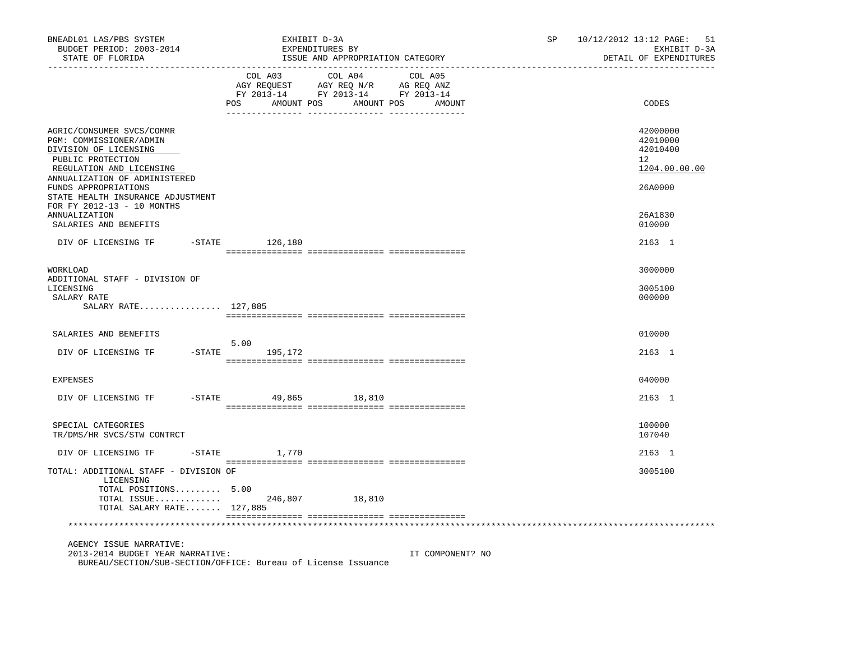| BNEADL01 LAS/PBS SYSTEM<br>BUDGET PERIOD: 2003-2014<br>STATE OF FLORIDA                                                                                                                                                                                    |                              | EXHIBIT D-3A<br>EXPENDITURES BY<br>ISSUE AND APPROPRIATION CATEGORY                                                              | SP | 10/12/2012 13:12 PAGE: 51<br>EXHIBIT D-3A<br>DETAIL OF EXPENDITURES          |
|------------------------------------------------------------------------------------------------------------------------------------------------------------------------------------------------------------------------------------------------------------|------------------------------|----------------------------------------------------------------------------------------------------------------------------------|----|------------------------------------------------------------------------------|
|                                                                                                                                                                                                                                                            | COL A03                      | COL A04 COL A05<br>AGY REQUEST AGY REQ N/R AG REQ ANZ<br>FY 2013-14 FY 2013-14 FY 2013-14<br>POS AMOUNT POS AMOUNT POS<br>AMOUNT |    | CODES                                                                        |
| AGRIC/CONSUMER SVCS/COMMR<br>PGM: COMMISSIONER/ADMIN<br>DIVISION OF LICENSING<br>PUBLIC PROTECTION<br>REGULATION AND LICENSING<br>ANNUALIZATION OF ADMINISTERED<br>FUNDS APPROPRIATIONS<br>STATE HEALTH INSURANCE ADJUSTMENT<br>FOR FY 2012-13 - 10 MONTHS |                              |                                                                                                                                  |    | 42000000<br>42010000<br>42010400<br>$12^{\circ}$<br>1204.00.00.00<br>26A0000 |
| <b>ANNUALIZATION</b><br>SALARIES AND BENEFITS                                                                                                                                                                                                              |                              |                                                                                                                                  |    | 26A1830<br>010000                                                            |
| DIV OF LICENSING TF -STATE 126,180                                                                                                                                                                                                                         |                              |                                                                                                                                  |    | 2163 1                                                                       |
| WORKLOAD<br>ADDITIONAL STAFF - DIVISION OF<br>LICENSING<br>SALARY RATE<br>SALARY RATE 127,885                                                                                                                                                              |                              |                                                                                                                                  |    | 3000000<br>3005100<br>000000                                                 |
| SALARIES AND BENEFITS                                                                                                                                                                                                                                      |                              |                                                                                                                                  |    | 010000                                                                       |
| DIV OF LICENSING TF                                                                                                                                                                                                                                        | 5.00<br>$-$ STATE<br>195,172 |                                                                                                                                  |    | 2163 1                                                                       |
| <b>EXPENSES</b>                                                                                                                                                                                                                                            |                              |                                                                                                                                  |    | 040000                                                                       |
| DIV OF LICENSING TF                                                                                                                                                                                                                                        | $-STATE$                     | 49,865 18,810                                                                                                                    |    | 2163 1                                                                       |
| SPECIAL CATEGORIES<br>TR/DMS/HR SVCS/STW CONTRCT                                                                                                                                                                                                           |                              |                                                                                                                                  |    | 100000<br>107040                                                             |
| DIV OF LICENSING TF                                                                                                                                                                                                                                        | $-$ STATE $1,770$            |                                                                                                                                  |    | 2163 1                                                                       |
| TOTAL: ADDITIONAL STAFF - DIVISION OF<br>LICENSING                                                                                                                                                                                                         |                              |                                                                                                                                  |    | 3005100                                                                      |
| TOTAL POSITIONS 5.00<br>TOTAL ISSUE $246,807$<br>TOTAL SALARY RATE 127,885                                                                                                                                                                                 |                              | 18,810                                                                                                                           |    |                                                                              |
|                                                                                                                                                                                                                                                            |                              |                                                                                                                                  |    |                                                                              |
| AGENCY ISSUE NARRATIVE:<br>2013-2014 BUDGET YEAR NARRATIVE:<br>BUREAU/SECTION/SUB-SECTION/OFFICE: Bureau of License Issuance                                                                                                                               |                              | IT COMPONENT? NO                                                                                                                 |    |                                                                              |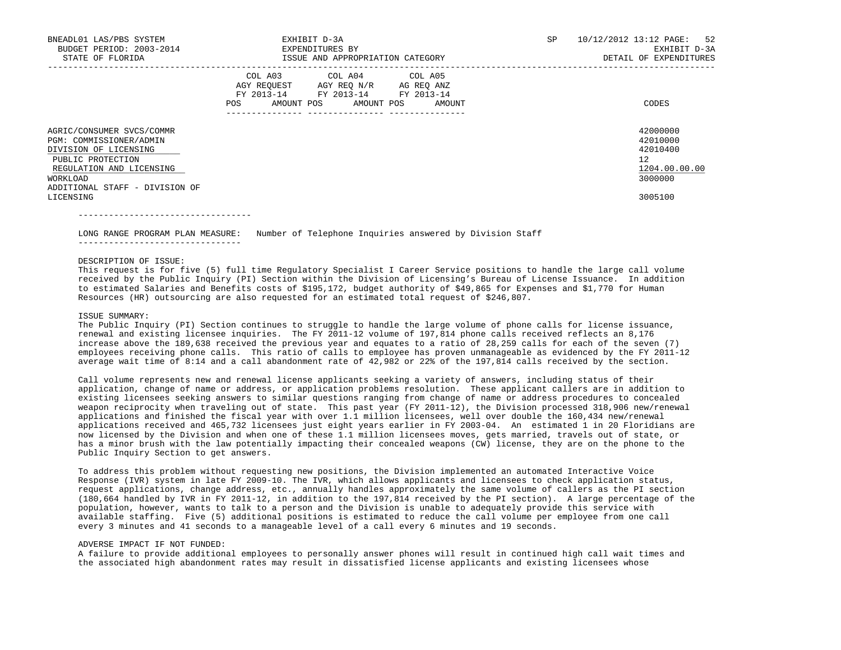| BNEADL01 LAS/PBS SYSTEM<br>BUDGET PERIOD: 2003-2014<br>STATE OF FLORIDA                                                                                                                   | EXHIBIT D-3A<br>EXPENDITURES BY<br>ISSUE AND APPROPRIATION CATEGORY                                                                            | SP | 10/12/2012 13:12 PAGE: 52<br>EXHIBIT D-3A<br>DETAIL OF EXPENDITURES           |
|-------------------------------------------------------------------------------------------------------------------------------------------------------------------------------------------|------------------------------------------------------------------------------------------------------------------------------------------------|----|-------------------------------------------------------------------------------|
|                                                                                                                                                                                           | COL A03 COL A04 COL A05<br>AGY REQUEST AGY REQ N/R AG REQ ANZ<br>FY 2013-14 FY 2013-14 FY 2013-14<br>AMOUNT POS<br>POS<br>AMOUNT POS<br>AMOUNT |    | CODES                                                                         |
| AGRIC/CONSUMER SVCS/COMMR<br>PGM: COMMISSIONER/ADMIN<br>DIVISION OF LICENSING<br>PUBLIC PROTECTION<br>REGULATION AND LICENSING<br>WORKLOAD<br>ADDITIONAL STAFF - DIVISION OF<br>LICENSING |                                                                                                                                                |    | 42000000<br>42010000<br>42010400<br>12<br>1204.00.00.00<br>3000000<br>3005100 |

LONG RANGE PROGRAM PLAN MEASURE: Number of Telephone Inquiries answered by Division Staff

#### DESCRIPTION OF ISSUE:

----------------------------------

--------------------------------

 This request is for five (5) full time Regulatory Specialist I Career Service positions to handle the large call volume received by the Public Inquiry (PI) Section within the Division of Licensing's Bureau of License Issuance. In addition to estimated Salaries and Benefits costs of \$195,172, budget authority of \$49,865 for Expenses and \$1,770 for Human Resources (HR) outsourcing are also requested for an estimated total request of \$246,807.

## ISSUE SUMMARY:

 The Public Inquiry (PI) Section continues to struggle to handle the large volume of phone calls for license issuance, renewal and existing licensee inquiries. The FY 2011-12 volume of 197,814 phone calls received reflects an 8,176 increase above the 189,638 received the previous year and equates to a ratio of 28,259 calls for each of the seven (7) employees receiving phone calls. This ratio of calls to employee has proven unmanageable as evidenced by the FY 2011-12 average wait time of 8:14 and a call abandonment rate of 42,982 or 22% of the 197,814 calls received by the section.

 Call volume represents new and renewal license applicants seeking a variety of answers, including status of their application, change of name or address, or application problems resolution. These applicant callers are in addition to existing licensees seeking answers to similar questions ranging from change of name or address procedures to concealed weapon reciprocity when traveling out of state. This past year (FY 2011-12), the Division processed 318,906 new/renewal applications and finished the fiscal year with over 1.1 million licensees, well over double the 160,434 new/renewal applications received and 465,732 licensees just eight years earlier in FY 2003-04. An estimated 1 in 20 Floridians are now licensed by the Division and when one of these 1.1 million licensees moves, gets married, travels out of state, or has a minor brush with the law potentially impacting their concealed weapons (CW) license, they are on the phone to the Public Inquiry Section to get answers.

 To address this problem without requesting new positions, the Division implemented an automated Interactive Voice Response (IVR) system in late FY 2009-10. The IVR, which allows applicants and licensees to check application status, request applications, change address, etc., annually handles approximately the same volume of callers as the PI section (180,664 handled by IVR in FY 2011-12, in addition to the 197,814 received by the PI section). A large percentage of the population, however, wants to talk to a person and the Division is unable to adequately provide this service with available staffing. Five (5) additional positions is estimated to reduce the call volume per employee from one call every 3 minutes and 41 seconds to a manageable level of a call every 6 minutes and 19 seconds.

## ADVERSE IMPACT IF NOT FUNDED:

 A failure to provide additional employees to personally answer phones will result in continued high call wait times and the associated high abandonment rates may result in dissatisfied license applicants and existing licensees whose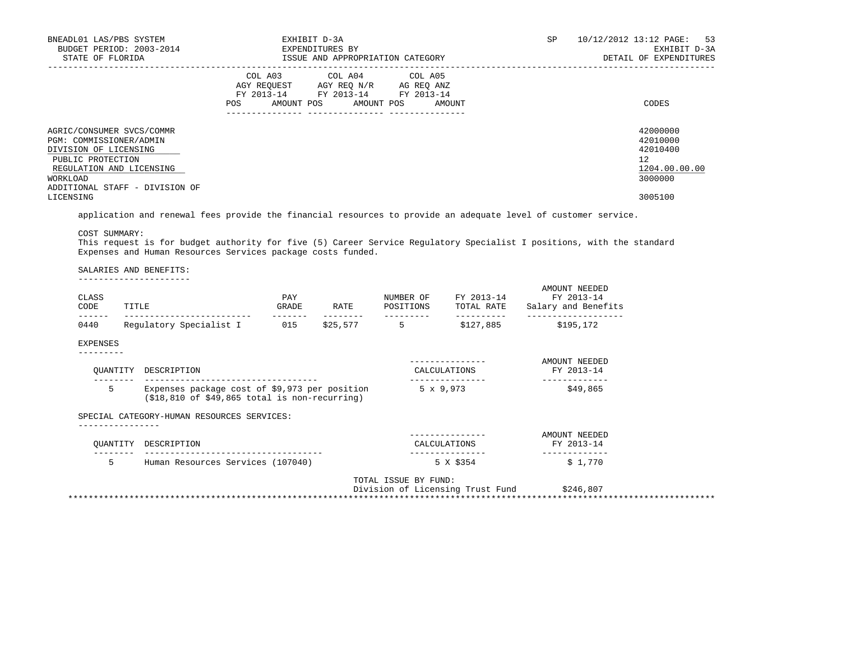| BNEADL01 LAS/PBS SYSTEM<br>BUDGET PERIOD: 2003-2014<br>STATE OF FLORIDA                                                                    | EXHIBIT D-3A<br>EXPENDITURES BY<br>ISSUE AND APPROPRIATION CATEGORY                                                                          | 10/12/2012 13:12 PAGE: 53<br>SP<br>EXHIBIT D-3A<br>DETAIL OF EXPENDITURES |
|--------------------------------------------------------------------------------------------------------------------------------------------|----------------------------------------------------------------------------------------------------------------------------------------------|---------------------------------------------------------------------------|
|                                                                                                                                            | COL A03 COL A04 COL A05<br>AGY REQUEST AGY REQ N/R AG REQ ANZ<br>FY 2013-14 FY 2013-14 FY 2013-14<br>AMOUNT POS AMOUNT POS AMOUNT<br>POS FOR | CODES                                                                     |
| AGRIC/CONSUMER SVCS/COMMR<br>PGM: COMMISSIONER/ADMIN<br>DIVISION OF LICENSING<br>PUBLIC PROTECTION<br>REGULATION AND LICENSING<br>WORKLOAD |                                                                                                                                              | 42000000<br>42010000<br>42010400<br>12<br>1204.00.00.00<br>3000000        |
| ADDITIONAL STAFF - DIVISION OF<br>LICENSING                                                                                                |                                                                                                                                              | 3005100                                                                   |

application and renewal fees provide the financial resources to provide an adequate level of customer service.

COST SUMMARY:

 This request is for budget authority for five (5) Career Service Regulatory Specialist I positions, with the standard Expenses and Human Resources Services package costs funded.

#### SALARIES AND BENEFITS:

----------------------

| CLASS<br>CODE | TITLE                                                                                                | PAY<br>GRADE | RATE     | NUMBER OF<br>POSITIONS | FY 2013-14<br>TOTAL RATE         | AMOUNT NEEDED<br>FY 2013-14<br>Salary and Benefits |
|---------------|------------------------------------------------------------------------------------------------------|--------------|----------|------------------------|----------------------------------|----------------------------------------------------|
| 0440          | Regulatory Specialist I 015                                                                          |              | \$25,577 | $5^{\circ}$            | \$127,885                        | \$195,172                                          |
| EXPENSES      |                                                                                                      |              |          |                        |                                  |                                                    |
| OUANTITY      | DESCRIPTION<br>-----------------------------                                                         |              |          |                        | CALCULATIONS                     | AMOUNT NEEDED<br>FY 2013-14                        |
| 5             | Expenses package cost of \$9,973 per position<br>$( $18, 810$ of $ $49, 865$ total is non-recurring) |              |          |                        | $5 \times 9,973$                 | \$49,865                                           |
|               | SPECIAL CATEGORY-HUMAN RESOURCES SERVICES:                                                           |              |          |                        |                                  |                                                    |
| OUANTITY      | DESCRIPTION                                                                                          |              |          |                        | CALCULATIONS                     | AMOUNT NEEDED<br>FY 2013-14                        |
| 5.            | Human Resources Services (107040)                                                                    |              |          |                        | 5 X \$354                        | \$1,770                                            |
|               |                                                                                                      |              |          | TOTAL ISSUE BY FUND:   | Division of Licensing Trust Fund | \$246,807                                          |

\*\*\*\*\*\*\*\*\*\*\*\*\*\*\*\*\*\*\*\*\*\*\*\*\*\*\*\*\*\*\*\*\*\*\*\*\*\*\*\*\*\*\*\*\*\*\*\*\*\*\*\*\*\*\*\*\*\*\*\*\*\*\*\*\*\*\*\*\*\*\*\*\*\*\*\*\*\*\*\*\*\*\*\*\*\*\*\*\*\*\*\*\*\*\*\*\*\*\*\*\*\*\*\*\*\*\*\*\*\*\*\*\*\*\*\*\*\*\*\*\*\*\*\*\*\*\*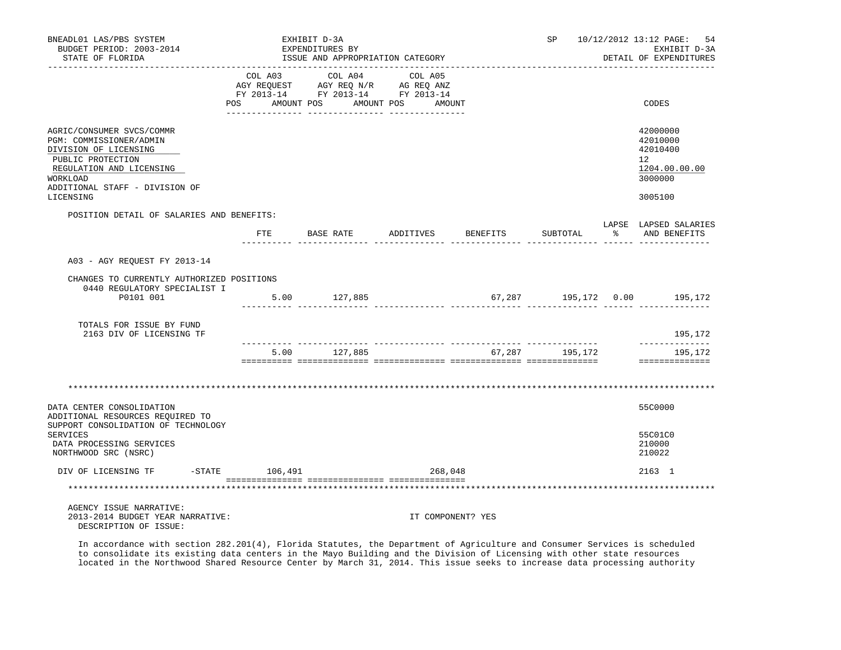| BNEADL01 LAS/PBS SYSTEM<br>BUDGET PERIOD: 2003-2014<br>STATE OF FLORIDA                                                                                                                   |                | EXHIBIT D-3A<br>EXPENDITURES BY | ISSUE AND APPROPRIATION CATEGORY                                                                                          |          | SP             | 10/12/2012 13:12 PAGE:<br>-54<br>EXHIBIT D-3A<br>DETAIL OF EXPENDITURES       |
|-------------------------------------------------------------------------------------------------------------------------------------------------------------------------------------------|----------------|---------------------------------|---------------------------------------------------------------------------------------------------------------------------|----------|----------------|-------------------------------------------------------------------------------|
|                                                                                                                                                                                           | <b>POS</b>     | AMOUNT POS                      | COL A03 COL A04 COL A05<br>AGY REQUEST AGY REQ N/R AG REQ ANZ<br>FY 2013-14 FY 2013-14 FY 2013-14<br>AMOUNT POS<br>AMOUNT |          |                | CODES                                                                         |
| AGRIC/CONSUMER SVCS/COMMR<br>PGM: COMMISSIONER/ADMIN<br>DIVISION OF LICENSING<br>PUBLIC PROTECTION<br>REGULATION AND LICENSING<br>WORKLOAD<br>ADDITIONAL STAFF - DIVISION OF<br>LICENSING |                |                                 |                                                                                                                           |          |                | 42000000<br>42010000<br>42010400<br>12<br>1204.00.00.00<br>3000000<br>3005100 |
| POSITION DETAIL OF SALARIES AND BENEFITS:                                                                                                                                                 | ETE            | BASE RATE                       | ADDITIVES                                                                                                                 | BENEFITS | SUBTOTAL       | LAPSE LAPSED SALARIES<br>% AND BENEFITS                                       |
| A03 - AGY REQUEST FY 2013-14<br>CHANGES TO CURRENTLY AUTHORIZED POSITIONS<br>0440 REGULATORY SPECIALIST I<br>P0101 001                                                                    |                | 5.00 127,885                    | . <u></u>                                                                                                                 |          |                | 67,287 195,172 0.00 195,172                                                   |
| TOTALS FOR ISSUE BY FUND<br>2163 DIV OF LICENSING TF                                                                                                                                      |                |                                 |                                                                                                                           |          |                | 195,172                                                                       |
|                                                                                                                                                                                           |                | 5.00 127,885                    |                                                                                                                           |          | 67,287 195,172 | --------------<br>195,172<br>==============                                   |
|                                                                                                                                                                                           |                |                                 |                                                                                                                           |          |                |                                                                               |
| DATA CENTER CONSOLIDATION<br>ADDITIONAL RESOURCES REQUIRED TO                                                                                                                             |                |                                 |                                                                                                                           |          |                | 55C0000                                                                       |
| SUPPORT CONSOLIDATION OF TECHNOLOGY<br><b>SERVICES</b><br>DATA PROCESSING SERVICES<br>NORTHWOOD SRC (NSRC)                                                                                |                |                                 |                                                                                                                           |          |                | 55C01C0<br>210000<br>210022                                                   |
| DIV OF LICENSING TF                                                                                                                                                                       | -STATE 106,491 |                                 | 268,048                                                                                                                   |          |                | 2163 1                                                                        |
|                                                                                                                                                                                           |                |                                 |                                                                                                                           |          |                |                                                                               |
| AGENCY ISSUE NARRATIVE:<br>2013-2014 BUDGET YEAR NARRATIVE:<br>DESCRIPTION OF ISSUE:                                                                                                      |                |                                 | IT COMPONENT? YES                                                                                                         |          |                |                                                                               |

 In accordance with section 282.201(4), Florida Statutes, the Department of Agriculture and Consumer Services is scheduled to consolidate its existing data centers in the Mayo Building and the Division of Licensing with other state resources located in the Northwood Shared Resource Center by March 31, 2014. This issue seeks to increase data processing authority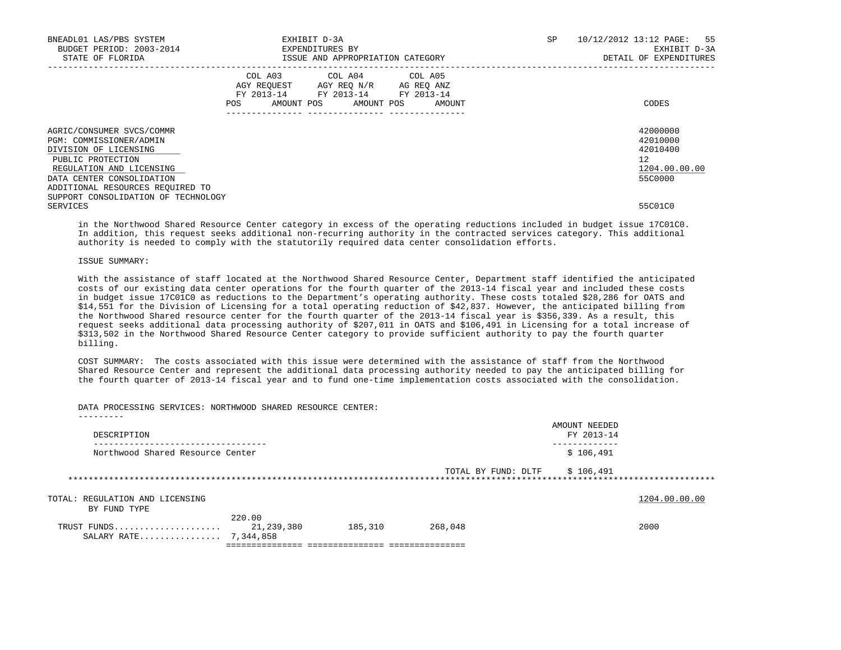| BNEADL01 LAS/PBS SYSTEM<br>BUDGET PERIOD: 2003-2014<br>STATE OF FLORIDA                                                                                                                         |     | EXHIBIT D-3A<br>EXPENDITURES BY<br>ISSUE AND APPROPRIATION CATEGORY                                                                  | SP<br>10/12/2012 13:12 PAGE: 55<br>DETAIL OF EXPENDITURES | EXHIBIT D-3A  |
|-------------------------------------------------------------------------------------------------------------------------------------------------------------------------------------------------|-----|--------------------------------------------------------------------------------------------------------------------------------------|-----------------------------------------------------------|---------------|
|                                                                                                                                                                                                 | POS | COL A03 COL A04 COL A05<br>AGY REOUEST AGY REO N/R AG REO ANZ<br>FY 2013-14 FY 2013-14 FY 2013-14<br>AMOUNT POS AMOUNT POS<br>AMOUNT | CODES                                                     |               |
| AGRIC/CONSUMER SVCS/COMMR<br>PGM: COMMISSIONER/ADMIN<br>DIVISION OF LICENSING<br>PUBLIC PROTECTION<br>REGULATION AND LICENSING<br>DATA CENTER CONSOLIDATION<br>ADDITIONAL RESOURCES REQUIRED TO |     |                                                                                                                                      | 42000000<br>42010000<br>42010400<br>12.<br>55C0000        | 1204.00.00.00 |
| SUPPORT CONSOLIDATION OF TECHNOLOGY<br>SERVICES                                                                                                                                                 |     |                                                                                                                                      | 55C01C0                                                   |               |

 in the Northwood Shared Resource Center category in excess of the operating reductions included in budget issue 17C01C0. In addition, this request seeks additional non-recurring authority in the contracted services category. This additional authority is needed to comply with the statutorily required data center consolidation efforts.

## ISSUE SUMMARY:

 With the assistance of staff located at the Northwood Shared Resource Center, Department staff identified the anticipated costs of our existing data center operations for the fourth quarter of the 2013-14 fiscal year and included these costs in budget issue 17C01C0 as reductions to the Department's operating authority. These costs totaled \$28,286 for OATS and \$14,551 for the Division of Licensing for a total operating reduction of \$42,837. However, the anticipated billing from the Northwood Shared resource center for the fourth quarter of the 2013-14 fiscal year is \$356,339. As a result, this request seeks additional data processing authority of \$207,011 in OATS and \$106,491 in Licensing for a total increase of \$313,502 in the Northwood Shared Resource Center category to provide sufficient authority to pay the fourth quarter billing.

 COST SUMMARY: The costs associated with this issue were determined with the assistance of staff from the Northwood Shared Resource Center and represent the additional data processing authority needed to pay the anticipated billing for the fourth quarter of 2013-14 fiscal year and to fund one-time implementation costs associated with the consolidation.

DATA PROCESSING SERVICES: NORTHWOOD SHARED RESOURCE CENTER:

| DESCRIPTION                          |                      |         |                     | AMOUNT NEEDED<br>FY 2013-14 |               |
|--------------------------------------|----------------------|---------|---------------------|-----------------------------|---------------|
| Northwood Shared Resource Center     |                      |         |                     | \$106,491                   |               |
|                                      |                      |         | TOTAL BY FUND: DLTF | \$106,491                   |               |
|                                      |                      |         |                     |                             |               |
| TOTAL: REGULATION AND LICENSING      |                      |         |                     |                             | 1204.00.00.00 |
| BY FUND TYPE                         |                      |         |                     |                             |               |
| TRUST FUNDS<br>SALARY RATE 7,344,858 | 220.00<br>21,239,380 | 185,310 | 268,048             |                             | 2000          |
|                                      |                      |         |                     |                             |               |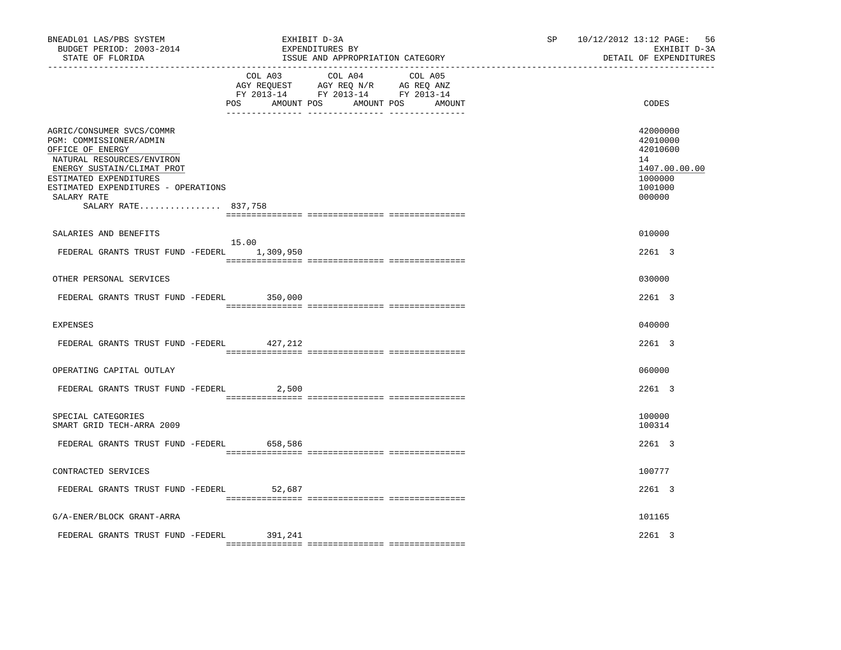| BNEADL01 LAS/PBS SYSTEM<br>BUDGET PERIOD: 2003-2014<br>STATE OF FLORIDA                                                                                                                                                                    | EXHIBIT D-3A<br>EXPENDITURES BY                                                                                        | ISSUE AND APPROPRIATION CATEGORY | SP | 10/12/2012 13:12 PAGE: 56<br>EXHIBIT D-3A<br>DETAIL OF EXPENDITURES                     |
|--------------------------------------------------------------------------------------------------------------------------------------------------------------------------------------------------------------------------------------------|------------------------------------------------------------------------------------------------------------------------|----------------------------------|----|-----------------------------------------------------------------------------------------|
|                                                                                                                                                                                                                                            | COL A03 COL A04 COL A05<br>AGY REQUEST AGY REQ N/R AG REQ ANZ<br>FY 2013-14 FY 2013-14 FY 2013-14<br>AMOUNT POS<br>POS | AMOUNT POS<br>AMOUNT             |    | CODES                                                                                   |
| AGRIC/CONSUMER SVCS/COMMR<br>PGM: COMMISSIONER/ADMIN<br>OFFICE OF ENERGY<br>NATURAL RESOURCES/ENVIRON<br>ENERGY SUSTAIN/CLIMAT PROT<br>ESTIMATED EXPENDITURES<br>ESTIMATED EXPENDITURES - OPERATIONS<br>SALARY RATE<br>SALARY RATE 837,758 |                                                                                                                        |                                  |    | 42000000<br>42010000<br>42010600<br>14<br>1407.00.00.00<br>1000000<br>1001000<br>000000 |
|                                                                                                                                                                                                                                            |                                                                                                                        |                                  |    |                                                                                         |
| SALARIES AND BENEFITS<br>FEDERAL GRANTS TRUST FUND -FEDERL 1,309,950                                                                                                                                                                       | 15.00                                                                                                                  |                                  |    | 010000<br>2261 3                                                                        |
| OTHER PERSONAL SERVICES                                                                                                                                                                                                                    |                                                                                                                        |                                  |    | 030000                                                                                  |
| FEDERAL GRANTS TRUST FUND -FEDERL 350,000                                                                                                                                                                                                  |                                                                                                                        |                                  |    | 2261 3                                                                                  |
| <b>EXPENSES</b>                                                                                                                                                                                                                            |                                                                                                                        |                                  |    | 040000                                                                                  |
| FEDERAL GRANTS TRUST FUND -FEDERL 427,212                                                                                                                                                                                                  |                                                                                                                        |                                  |    | 2261 3                                                                                  |
| OPERATING CAPITAL OUTLAY                                                                                                                                                                                                                   |                                                                                                                        |                                  |    | 060000                                                                                  |
| FEDERAL GRANTS TRUST FUND -FEDERL                                                                                                                                                                                                          | 2,500                                                                                                                  |                                  |    | 2261 3                                                                                  |
| SPECIAL CATEGORIES<br>SMART GRID TECH-ARRA 2009                                                                                                                                                                                            |                                                                                                                        |                                  |    | 100000<br>100314                                                                        |
| FEDERAL GRANTS TRUST FUND -FEDERL 658,586                                                                                                                                                                                                  |                                                                                                                        |                                  |    | 2261 3                                                                                  |
| CONTRACTED SERVICES                                                                                                                                                                                                                        |                                                                                                                        |                                  |    | 100777                                                                                  |
| FEDERAL GRANTS TRUST FUND -FEDERL 52,687                                                                                                                                                                                                   |                                                                                                                        |                                  |    | 2261 3                                                                                  |
| G/A-ENER/BLOCK GRANT-ARRA                                                                                                                                                                                                                  |                                                                                                                        |                                  |    | 101165                                                                                  |
| FEDERAL GRANTS TRUST FUND -FEDERL                                                                                                                                                                                                          | 391,241                                                                                                                |                                  |    | $2261$ 3                                                                                |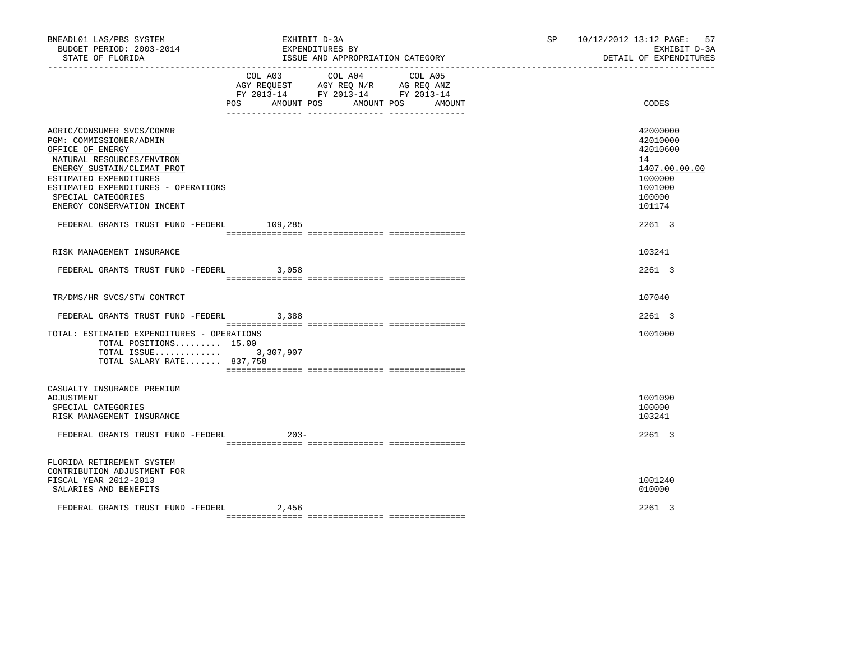| BNEADL01 LAS/PBS SYSTEM<br>BUDGET PERIOD: 2003-2014<br>STATE OF FLORIDA                                                                                                                                                                                                                               | EXHIBIT D-3A<br>EXPENDITURES BY<br>ISSUE AND APPROPRIATION CATEGORY                                                                  | SP and the set of the set of the set of the set of the set of the set of the set of the set of the set of the set of the set of the set of the set of the set of the set of the set of the set of the set of the set of the se | 57<br>10/12/2012 13:12 PAGE:<br>EXHIBIT D-3A<br>DETAIL OF EXPENDITURES                                      |
|-------------------------------------------------------------------------------------------------------------------------------------------------------------------------------------------------------------------------------------------------------------------------------------------------------|--------------------------------------------------------------------------------------------------------------------------------------|--------------------------------------------------------------------------------------------------------------------------------------------------------------------------------------------------------------------------------|-------------------------------------------------------------------------------------------------------------|
|                                                                                                                                                                                                                                                                                                       | COL A04 COL A05<br>COL A03<br>AGY REQUEST AGY REQ N/R AG REQ ANZ<br>FY 2013-14 FY 2013-14 FY 2013-14<br>POS AMOUNT POS<br>AMOUNT POS | AMOUNT                                                                                                                                                                                                                         | CODES                                                                                                       |
| AGRIC/CONSUMER SVCS/COMMR<br>PGM: COMMISSIONER/ADMIN<br>OFFICE OF ENERGY<br>NATURAL RESOURCES/ENVIRON<br>ENERGY SUSTAIN/CLIMAT PROT<br>ESTIMATED EXPENDITURES<br>ESTIMATED EXPENDITURES - OPERATIONS<br>SPECIAL CATEGORIES<br>ENERGY CONSERVATION INCENT<br>FEDERAL GRANTS TRUST FUND -FEDERL 109,285 |                                                                                                                                      |                                                                                                                                                                                                                                | 42000000<br>42010000<br>42010600<br>14<br>1407.00.00.00<br>1000000<br>1001000<br>100000<br>101174<br>2261 3 |
| RISK MANAGEMENT INSURANCE                                                                                                                                                                                                                                                                             |                                                                                                                                      |                                                                                                                                                                                                                                | 103241                                                                                                      |
| FEDERAL GRANTS TRUST FUND -FEDERL 3,058                                                                                                                                                                                                                                                               |                                                                                                                                      |                                                                                                                                                                                                                                | 2261 3                                                                                                      |
| TR/DMS/HR SVCS/STW CONTRCT                                                                                                                                                                                                                                                                            |                                                                                                                                      |                                                                                                                                                                                                                                | 107040                                                                                                      |
| FEDERAL GRANTS TRUST FUND -FEDERL                                                                                                                                                                                                                                                                     | 3,388                                                                                                                                |                                                                                                                                                                                                                                | 2261 3                                                                                                      |
| TOTAL: ESTIMATED EXPENDITURES - OPERATIONS<br>TOTAL POSITIONS 15.00<br>TOTAL ISSUE 3,307,907<br>TOTAL SALARY RATE 837,758                                                                                                                                                                             |                                                                                                                                      |                                                                                                                                                                                                                                | 1001000                                                                                                     |
| CASUALTY INSURANCE PREMIUM<br>ADJUSTMENT<br>SPECIAL CATEGORIES<br>RISK MANAGEMENT INSURANCE                                                                                                                                                                                                           |                                                                                                                                      |                                                                                                                                                                                                                                | 1001090<br>100000<br>103241                                                                                 |
| FEDERAL GRANTS TRUST FUND -FEDERL                                                                                                                                                                                                                                                                     | $203 -$                                                                                                                              |                                                                                                                                                                                                                                | 2261 3                                                                                                      |
| FLORIDA RETIREMENT SYSTEM<br>CONTRIBUTION ADJUSTMENT FOR<br>FISCAL YEAR 2012-2013<br>SALARIES AND BENEFITS                                                                                                                                                                                            |                                                                                                                                      |                                                                                                                                                                                                                                | 1001240<br>010000                                                                                           |
| FEDERAL GRANTS TRUST FUND -FEDERL                                                                                                                                                                                                                                                                     | 2,456                                                                                                                                |                                                                                                                                                                                                                                | 2261 3                                                                                                      |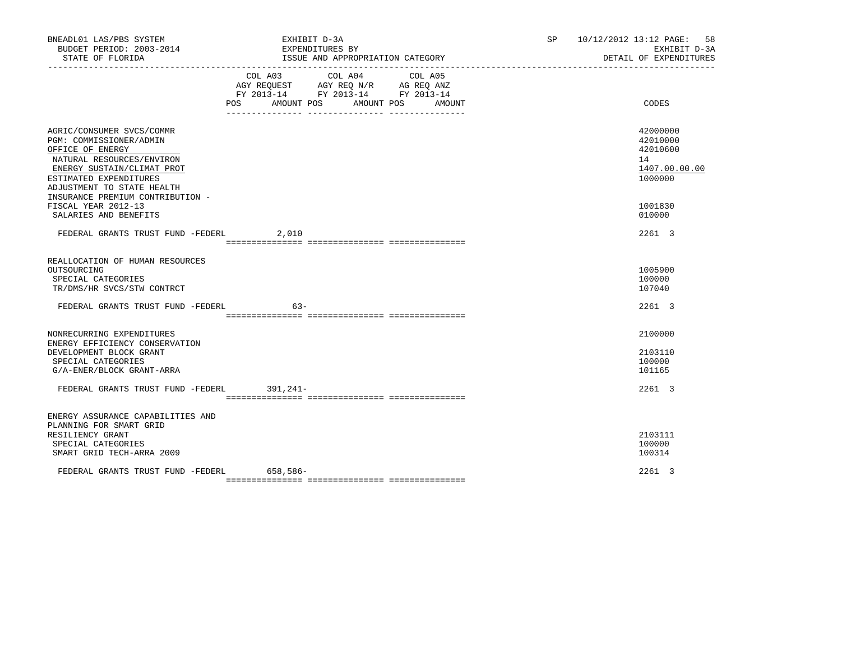| BNEADL01 LAS/PBS SYSTEM<br>BUDGET PERIOD: 2003-2014<br>STATE OF FLORIDA                                                                                                                                                                                | EXHIBIT D-3A<br>EXPENDITURES BY<br>ISSUE AND APPROPRIATION CATEGORY                                                                   | SP 10/12/2012 13:12 PAGE: 58<br>EXHIBIT D-3A<br>DETAIL OF EXPENDITURES        |
|--------------------------------------------------------------------------------------------------------------------------------------------------------------------------------------------------------------------------------------------------------|---------------------------------------------------------------------------------------------------------------------------------------|-------------------------------------------------------------------------------|
|                                                                                                                                                                                                                                                        | COL A03 COL A04 COL A05<br>AGY REQUEST AGY REQ N/R AG REQ ANZ<br>FY 2013-14 FY 2013-14 FY 2013-14<br>POS AMOUNT POS AMOUNT POS AMOUNT | CODES                                                                         |
| AGRIC/CONSUMER SVCS/COMMR<br>PGM: COMMISSIONER/ADMIN<br>OFFICE OF ENERGY<br>NATURAL RESOURCES/ENVIRON<br>ENERGY SUSTAIN/CLIMAT PROT<br>ESTIMATED EXPENDITURES<br>ADJUSTMENT TO STATE HEALTH<br>INSURANCE PREMIUM CONTRIBUTION -<br>FISCAL YEAR 2012-13 |                                                                                                                                       | 42000000<br>42010000<br>42010600<br>14<br>1407.00.00.00<br>1000000<br>1001830 |
| SALARIES AND BENEFITS<br>FEDERAL GRANTS TRUST FUND -FEDERL 2,010                                                                                                                                                                                       |                                                                                                                                       | 010000<br>2261 3                                                              |
| REALLOCATION OF HUMAN RESOURCES<br>OUTSOURCING<br>SPECIAL CATEGORIES<br>TR/DMS/HR SVCS/STW CONTRCT<br>FEDERAL GRANTS TRUST FUND -FEDERL                                                                                                                | $63-$                                                                                                                                 | 1005900<br>100000<br>107040<br>2261 3                                         |
|                                                                                                                                                                                                                                                        |                                                                                                                                       |                                                                               |
| NONRECURRING EXPENDITURES<br>ENERGY EFFICIENCY CONSERVATION<br>DEVELOPMENT BLOCK GRANT<br>SPECIAL CATEGORIES<br>G/A-ENER/BLOCK GRANT-ARRA                                                                                                              |                                                                                                                                       | 2100000<br>2103110<br>100000<br>101165                                        |
| FEDERAL GRANTS TRUST FUND -FEDERL 391, 241-                                                                                                                                                                                                            |                                                                                                                                       | 2261 3                                                                        |
| ENERGY ASSURANCE CAPABILITIES AND<br>PLANNING FOR SMART GRID<br>RESILIENCY GRANT<br>SPECIAL CATEGORIES<br>SMART GRID TECH-ARRA 2009<br>FEDERAL GRANTS TRUST FUND -FEDERL 658,586-                                                                      |                                                                                                                                       | 2103111<br>100000<br>100314<br>2261 3                                         |
|                                                                                                                                                                                                                                                        |                                                                                                                                       |                                                                               |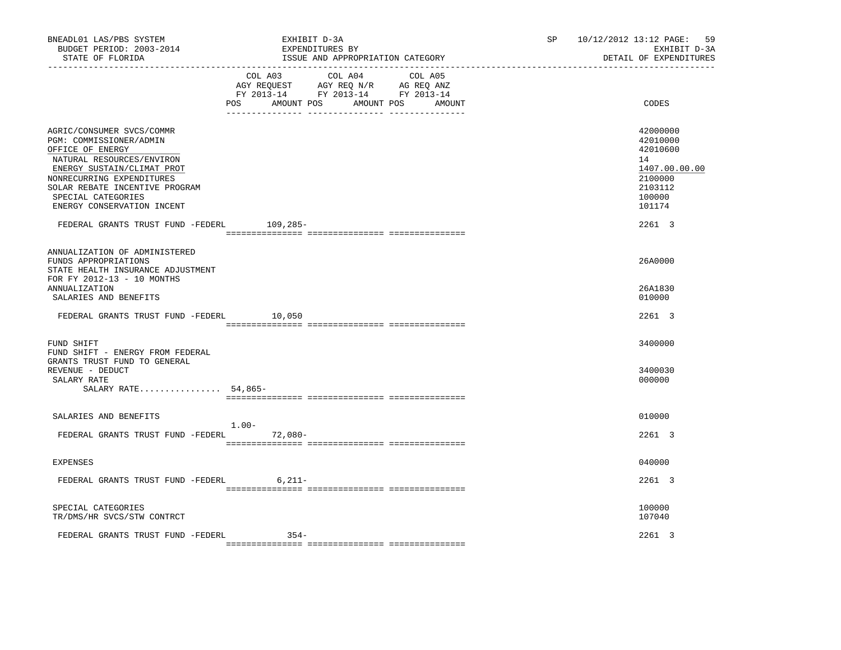| ________________________________<br>COL A03 COL A04 COL A05<br>$\begin{tabular}{lllllll} \bf AGY \;\; REQUEST \hspace{1cm} AGY \;\; REQ \;\; N/R \hspace{1cm} AG \;\; REQ \;\; ANZ \\ \hline \texttt{FY} \;\; 2013\text{--}14 \hspace{1cm} & \texttt{FY} \;\; 2013\text{--}14 \hspace{1cm} & \texttt{FY} \;\; 2013\text{--}14 \end{tabular}$ | CODES                                                                                             |
|----------------------------------------------------------------------------------------------------------------------------------------------------------------------------------------------------------------------------------------------------------------------------------------------------------------------------------------------|---------------------------------------------------------------------------------------------------|
| POS<br>AMOUNT POS<br>AMOUNT POS<br>AMOUNT                                                                                                                                                                                                                                                                                                    |                                                                                                   |
| AGRIC/CONSUMER SVCS/COMMR<br>PGM: COMMISSIONER/ADMIN<br>OFFICE OF ENERGY<br>NATURAL RESOURCES/ENVIRON<br>ENERGY SUSTAIN/CLIMAT PROT<br>NONRECURRING EXPENDITURES<br>SOLAR REBATE INCENTIVE PROGRAM<br>SPECIAL CATEGORIES<br>ENERGY CONSERVATION INCENT                                                                                       | 42000000<br>42010000<br>42010600<br>14<br>1407.00.00.00<br>2100000<br>2103112<br>100000<br>101174 |
| FEDERAL GRANTS TRUST FUND -FEDERL 109,285-                                                                                                                                                                                                                                                                                                   | 2261 3                                                                                            |
| ANNUALIZATION OF ADMINISTERED<br>FUNDS APPROPRIATIONS<br>STATE HEALTH INSURANCE ADJUSTMENT<br>FOR FY 2012-13 - 10 MONTHS                                                                                                                                                                                                                     | 26A0000                                                                                           |
| <b>ANNUALIZATION</b><br>SALARIES AND BENEFITS                                                                                                                                                                                                                                                                                                | 26A1830<br>010000                                                                                 |
| FEDERAL GRANTS TRUST FUND -FEDERL<br>10,050                                                                                                                                                                                                                                                                                                  | 2261 3                                                                                            |
| FUND SHIFT<br>FUND SHIFT - ENERGY FROM FEDERAL                                                                                                                                                                                                                                                                                               | 3400000                                                                                           |
| GRANTS TRUST FUND TO GENERAL<br>REVENUE - DEDUCT<br>SALARY RATE<br>SALARY RATE 54,865-                                                                                                                                                                                                                                                       | 3400030<br>000000                                                                                 |
| SALARIES AND BENEFITS                                                                                                                                                                                                                                                                                                                        | 010000                                                                                            |
| $1.00 -$<br>FEDERAL GRANTS TRUST FUND -FEDERL 72,080-                                                                                                                                                                                                                                                                                        | 2261 3                                                                                            |
| EXPENSES                                                                                                                                                                                                                                                                                                                                     | 040000                                                                                            |
| FEDERAL GRANTS TRUST FUND -FEDERL 6,211-                                                                                                                                                                                                                                                                                                     | 2261 3                                                                                            |
| SPECIAL CATEGORIES<br>TR/DMS/HR SVCS/STW CONTRCT                                                                                                                                                                                                                                                                                             | 100000<br>107040                                                                                  |
| FEDERAL GRANTS TRUST FUND -FEDERL<br>$354-$                                                                                                                                                                                                                                                                                                  | 2261 3                                                                                            |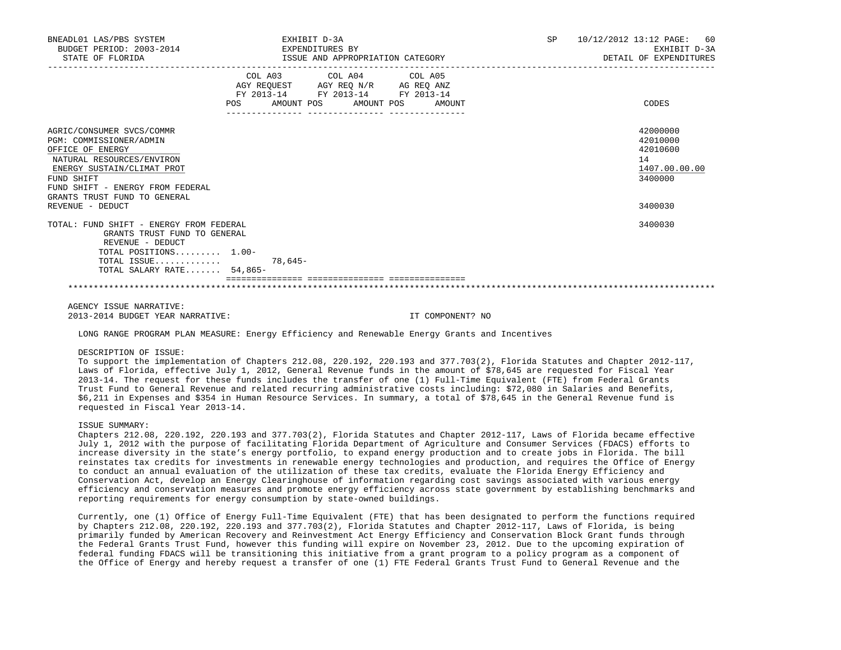| BNEADL01 LAS/PBS SYSTEM<br>BUDGET PERIOD: 2003-2014<br>STATE OF FLORIDA                                                                                                                                                                   |           | EXHIBIT D-3A<br>EXPENDITURES BY<br>ISSUE AND APPROPRIATION CATEGORY                                                        |        | <b>SP</b> | 10/12/2012 13:12 PAGE:<br>60<br>EXHIBIT D-3A<br>DETAIL OF EXPENDITURES        |
|-------------------------------------------------------------------------------------------------------------------------------------------------------------------------------------------------------------------------------------------|-----------|----------------------------------------------------------------------------------------------------------------------------|--------|-----------|-------------------------------------------------------------------------------|
|                                                                                                                                                                                                                                           | POS       | COL A03 COL A04 COL A05<br>AGY REQUEST AGY REQ N/R AG REQ ANZ<br>FY 2013-14 FY 2013-14 FY 2013-14<br>AMOUNT POS AMOUNT POS | AMOUNT |           | CODES                                                                         |
| AGRIC/CONSUMER SVCS/COMMR<br>PGM: COMMISSIONER/ADMIN<br>OFFICE OF ENERGY<br>NATURAL RESOURCES/ENVIRON<br>ENERGY SUSTAIN/CLIMAT PROT<br>FUND SHIFT<br>FUND SHIFT - ENERGY FROM FEDERAL<br>GRANTS TRUST FUND TO GENERAL<br>REVENUE - DEDUCT |           |                                                                                                                            |        |           | 42000000<br>42010000<br>42010600<br>14<br>1407.00.00.00<br>3400000<br>3400030 |
| TOTAL: FUND SHIFT - ENERGY FROM FEDERAL<br>GRANTS TRUST FUND TO GENERAL<br>REVENUE - DEDUCT<br>TOTAL POSITIONS 1.00-<br>TOTAL ISSUE<br>TOTAL SALARY RATE 54,865-                                                                          | $78.645-$ |                                                                                                                            |        |           | 3400030                                                                       |
|                                                                                                                                                                                                                                           |           |                                                                                                                            |        |           |                                                                               |

 AGENCY ISSUE NARRATIVE: 2013-2014 BUDGET YEAR NARRATIVE: IT COMPONENT? NO

LONG RANGE PROGRAM PLAN MEASURE: Energy Efficiency and Renewable Energy Grants and Incentives

## DESCRIPTION OF ISSUE:

 To support the implementation of Chapters 212.08, 220.192, 220.193 and 377.703(2), Florida Statutes and Chapter 2012-117, Laws of Florida, effective July 1, 2012, General Revenue funds in the amount of \$78,645 are requested for Fiscal Year 2013-14. The request for these funds includes the transfer of one (1) Full-Time Equivalent (FTE) from Federal Grants Trust Fund to General Revenue and related recurring administrative costs including: \$72,080 in Salaries and Benefits, \$6,211 in Expenses and \$354 in Human Resource Services. In summary, a total of \$78,645 in the General Revenue fund is requested in Fiscal Year 2013-14.

# ISSUE SUMMARY:

 Chapters 212.08, 220.192, 220.193 and 377.703(2), Florida Statutes and Chapter 2012-117, Laws of Florida became effective July 1, 2012 with the purpose of facilitating Florida Department of Agriculture and Consumer Services (FDACS) efforts to increase diversity in the state's energy portfolio, to expand energy production and to create jobs in Florida. The bill reinstates tax credits for investments in renewable energy technologies and production, and requires the Office of Energy to conduct an annual evaluation of the utilization of these tax credits, evaluate the Florida Energy Efficiency and Conservation Act, develop an Energy Clearinghouse of information regarding cost savings associated with various energy efficiency and conservation measures and promote energy efficiency across state government by establishing benchmarks and reporting requirements for energy consumption by state-owned buildings.

 Currently, one (1) Office of Energy Full-Time Equivalent (FTE) that has been designated to perform the functions required by Chapters 212.08, 220.192, 220.193 and 377.703(2), Florida Statutes and Chapter 2012-117, Laws of Florida, is being primarily funded by American Recovery and Reinvestment Act Energy Efficiency and Conservation Block Grant funds through the Federal Grants Trust Fund, however this funding will expire on November 23, 2012. Due to the upcoming expiration of federal funding FDACS will be transitioning this initiative from a grant program to a policy program as a component of the Office of Energy and hereby request a transfer of one (1) FTE Federal Grants Trust Fund to General Revenue and the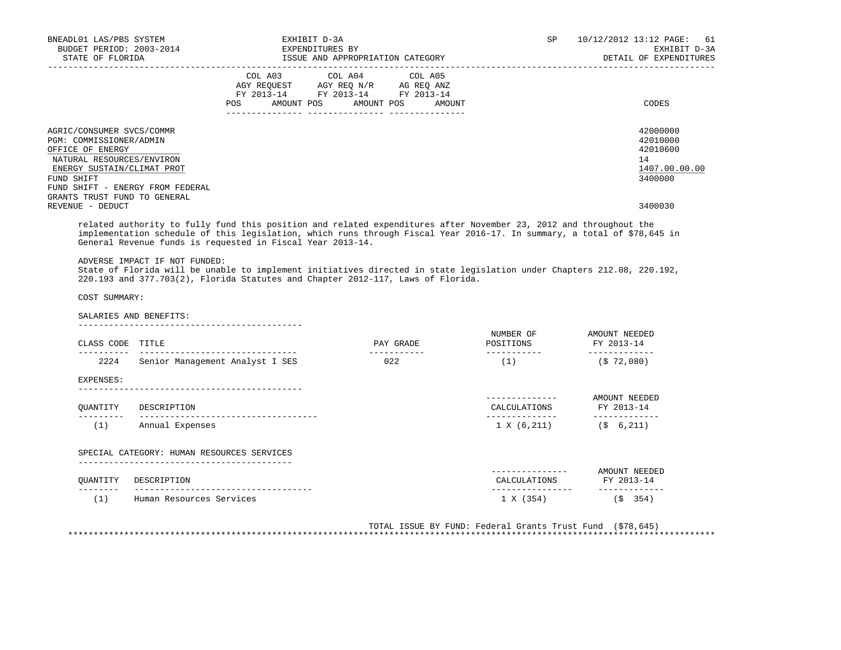| BNEADL01 LAS/PBS SYSTEM<br>BUDGET PERIOD: 2003-2014<br>STATE OF FLORIDA                                                                                                               | EXHIBIT D-3A<br>EXPENDITURES BY<br>ISSUE AND APPROPRIATION CATEGORY                                                                   | 10/12/2012 13:12 PAGE: 61<br>SP<br>EXHIBIT D-3A<br>DETAIL OF EXPENDITURES |
|---------------------------------------------------------------------------------------------------------------------------------------------------------------------------------------|---------------------------------------------------------------------------------------------------------------------------------------|---------------------------------------------------------------------------|
|                                                                                                                                                                                       | COL A03 COL A04 COL A05<br>AGY REQUEST AGY REQ N/R AG REQ ANZ<br>FY 2013-14 FY 2013-14 FY 2013-14<br>POS AMOUNT POS AMOUNT POS AMOUNT | CODES                                                                     |
| AGRIC/CONSUMER SVCS/COMMR<br>PGM: COMMISSIONER/ADMIN<br>OFFICE OF ENERGY<br>NATURAL RESOURCES/ENVIRON<br>ENERGY SUSTAIN/CLIMAT PROT<br>FUND SHIFT<br>FUND SHIFT - ENERGY FROM FEDERAL |                                                                                                                                       | 42000000<br>42010000<br>42010600<br>14<br>1407.00.00.00<br>3400000        |
| GRANTS TRUST FUND TO GENERAL<br>REVENUE - DEDUCT                                                                                                                                      |                                                                                                                                       | 3400030                                                                   |

 related authority to fully fund this position and related expenditures after November 23, 2012 and throughout the implementation schedule of this legislation, which runs through Fiscal Year 2016-17. In summary, a total of \$78,645 in General Revenue funds is requested in Fiscal Year 2013-14.

ADVERSE IMPACT IF NOT FUNDED:

 State of Florida will be unable to implement initiatives directed in state legislation under Chapters 212.08, 220.192, 220.193 and 377.703(2), Florida Statutes and Chapter 2012-117, Laws of Florida.

COST SUMMARY:

SALARIES AND BENEFITS:

| Senior Management Analyst I SES | 022                                                                          | (1)               | - - - - - - - - - - - -<br>(572,080) |
|---------------------------------|------------------------------------------------------------------------------|-------------------|--------------------------------------|
|                                 |                                                                              |                   |                                      |
|                                 |                                                                              |                   |                                      |
|                                 |                                                                              | .<br>CALCULATIONS | AMOUNT NEEDED<br>FY 2013-14          |
|                                 |                                                                              | 1 X (6, 211)      | 6,211)<br>(\$                        |
|                                 | DESCRIPTION<br>Annual Expenses<br>SPECIAL CATEGORY: HUMAN RESOURCES SERVICES |                   |                                      |

 QUANTITY DESCRIPTION CALCULATIONS FY 2013-14 -------- ----------------------------------- ---------------- ------------- (1) Human Resources Services (5 and 1 X (354) (5 and 1 X (354)

 TOTAL ISSUE BY FUND: Federal Grants Trust Fund (\$78,645) \*\*\*\*\*\*\*\*\*\*\*\*\*\*\*\*\*\*\*\*\*\*\*\*\*\*\*\*\*\*\*\*\*\*\*\*\*\*\*\*\*\*\*\*\*\*\*\*\*\*\*\*\*\*\*\*\*\*\*\*\*\*\*\*\*\*\*\*\*\*\*\*\*\*\*\*\*\*\*\*\*\*\*\*\*\*\*\*\*\*\*\*\*\*\*\*\*\*\*\*\*\*\*\*\*\*\*\*\*\*\*\*\*\*\*\*\*\*\*\*\*\*\*\*\*\*\*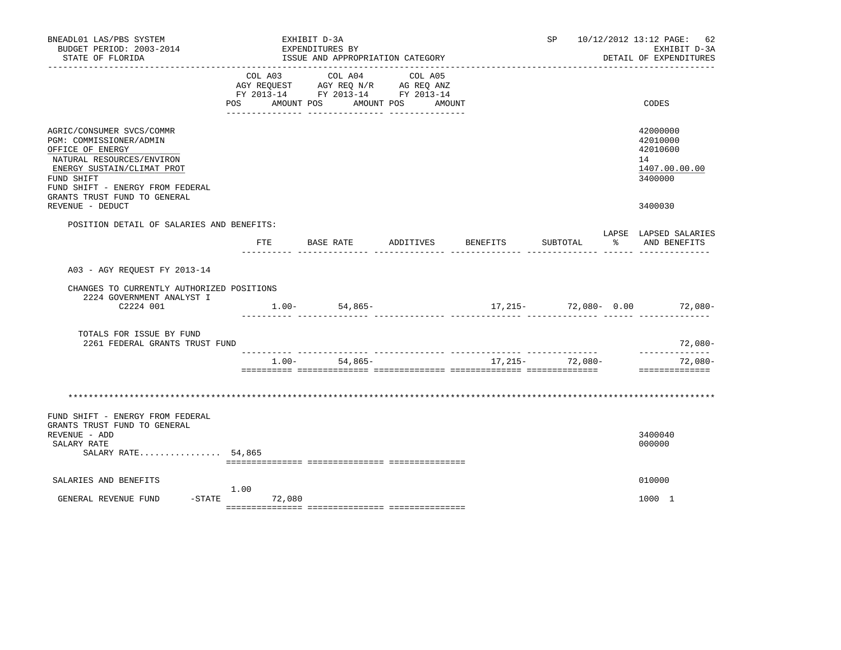| BNEADL01 LAS/PBS SYSTEM<br>BUDGET PERIOD: 2003-2014<br>STATE OF FLORIDA                                                                                                                                                                   |            |                       | EXHIBIT D-3A<br>EXPENDITURES BY | ISSUE AND APPROPRIATION CATEGORY                                                                                                   |           |                   |          | SP               |  | 10/12/2012 13:12 PAGE: 62<br>EXHIBIT D-3A<br>DETAIL OF EXPENDITURES |
|-------------------------------------------------------------------------------------------------------------------------------------------------------------------------------------------------------------------------------------------|------------|-----------------------|---------------------------------|------------------------------------------------------------------------------------------------------------------------------------|-----------|-------------------|----------|------------------|--|---------------------------------------------------------------------|
|                                                                                                                                                                                                                                           | <b>POS</b> | COL A03<br>AMOUNT POS |                                 | COL A04<br>AGY REQUEST AGY REQ N/R AG REQ ANZ<br>FY 2013-14 FY 2013-14 FY 2013-14<br>AMOUNT POS<br>.__ ________________ __________ |           | COL A05<br>AMOUNT |          |                  |  | CODES                                                               |
| AGRIC/CONSUMER SVCS/COMMR<br>PGM: COMMISSIONER/ADMIN<br>OFFICE OF ENERGY<br>NATURAL RESOURCES/ENVIRON<br>ENERGY SUSTAIN/CLIMAT PROT<br>FUND SHIFT<br>FUND SHIFT - ENERGY FROM FEDERAL<br>GRANTS TRUST FUND TO GENERAL<br>REVENUE - DEDUCT |            |                       |                                 |                                                                                                                                    |           |                   |          |                  |  | 42000000<br>42010000<br>42010600<br>14<br>1407.00.00.00<br>3400000  |
| POSITION DETAIL OF SALARIES AND BENEFITS:                                                                                                                                                                                                 |            |                       |                                 |                                                                                                                                    |           |                   |          |                  |  | 3400030                                                             |
|                                                                                                                                                                                                                                           |            | ETE                   | BASE RATE                       |                                                                                                                                    | ADDITIVES |                   | BENEFITS | SUBTOTAL         |  | LAPSE LAPSED SALARIES<br>% AND BENEFITS                             |
| A03 - AGY REQUEST FY 2013-14<br>CHANGES TO CURRENTLY AUTHORIZED POSITIONS<br>2224 GOVERNMENT ANALYST I<br>C2224 001                                                                                                                       |            |                       |                                 | $1.00 - 54,865 -$                                                                                                                  |           |                   |          |                  |  | $17,215-72,080-0.00$ 72,080-                                        |
| TOTALS FOR ISSUE BY FUND<br>2261 FEDERAL GRANTS TRUST FUND                                                                                                                                                                                |            |                       |                                 |                                                                                                                                    |           |                   |          |                  |  | $72,080-$                                                           |
|                                                                                                                                                                                                                                           |            | 1.00-                 |                                 | $54,865-$                                                                                                                          |           |                   |          | $17,215-72,080-$ |  | --------------<br>$72,080-$<br>==============                       |
|                                                                                                                                                                                                                                           |            |                       |                                 |                                                                                                                                    |           |                   |          |                  |  |                                                                     |
| FUND SHIFT - ENERGY FROM FEDERAL<br>GRANTS TRUST FUND TO GENERAL<br>REVENUE - ADD<br>SALARY RATE<br>SALARY RATE 54,865                                                                                                                    |            |                       |                                 |                                                                                                                                    |           |                   |          |                  |  | 3400040<br>000000                                                   |
| SALARIES AND BENEFITS                                                                                                                                                                                                                     |            |                       |                                 |                                                                                                                                    |           |                   |          |                  |  | 010000                                                              |
| $-$ STATE<br>GENERAL REVENUE FUND                                                                                                                                                                                                         | 1.00       | 72,080                |                                 |                                                                                                                                    |           |                   |          |                  |  | 1000 1                                                              |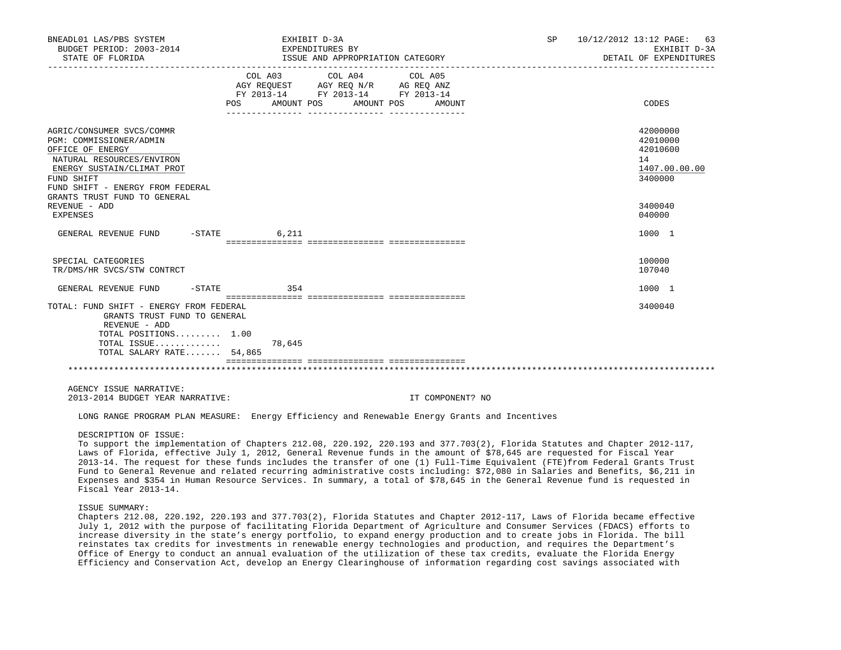| BNEADL01 LAS/PBS SYSTEM<br>BUDGET PERIOD: 2003-2014<br>STATE OF FLORIDA                                                                                                                                               |                | EXHIBIT D-3A<br>EXPENDITURES BY<br>ISSUE AND APPROPRIATION CATEGORY                                                       | SP 10/12/2012 13:12 PAGE: 63<br>EXHIBIT D-3A<br>DETAIL OF EXPENDITURES |
|-----------------------------------------------------------------------------------------------------------------------------------------------------------------------------------------------------------------------|----------------|---------------------------------------------------------------------------------------------------------------------------|------------------------------------------------------------------------|
|                                                                                                                                                                                                                       | POS AMOUNT POS | COL A03 COL A04 COL A05<br>AGY REQUEST AGY REQ N/R AG REQ ANZ<br>FY 2013-14 FY 2013-14 FY 2013-14<br>AMOUNT POS<br>AMOUNT | CODES                                                                  |
| AGRIC/CONSUMER SVCS/COMMR<br>PGM: COMMISSIONER/ADMIN<br>OFFICE OF ENERGY<br>NATURAL RESOURCES/ENVIRON<br>ENERGY SUSTAIN/CLIMAT PROT<br>FUND SHIFT<br>FUND SHIFT - ENERGY FROM FEDERAL<br>GRANTS TRUST FUND TO GENERAL |                |                                                                                                                           | 42000000<br>42010000<br>42010600<br>14<br>1407.00.00.00<br>3400000     |
| REVENUE - ADD<br>EXPENSES                                                                                                                                                                                             |                |                                                                                                                           | 3400040<br>040000                                                      |
| GENERAL REVENUE FUND -STATE                                                                                                                                                                                           | 6,211          |                                                                                                                           | 1000 1                                                                 |
| SPECIAL CATEGORIES<br>TR/DMS/HR SVCS/STW CONTRCT                                                                                                                                                                      |                |                                                                                                                           | 100000<br>107040                                                       |
| GENERAL REVENUE FUND                                                                                                                                                                                                  | $-STATE$ 354   |                                                                                                                           | 1000 1                                                                 |
| TOTAL: FUND SHIFT - ENERGY FROM FEDERAL<br>GRANTS TRUST FUND TO GENERAL<br>REVENUE - ADD<br>TOTAL POSITIONS 1.00                                                                                                      |                |                                                                                                                           | 3400040                                                                |
| TOTAL ISSUE<br>TOTAL SALARY RATE 54,865                                                                                                                                                                               | 78,645         |                                                                                                                           |                                                                        |
|                                                                                                                                                                                                                       |                |                                                                                                                           |                                                                        |
| AGENCY ISSUE NARRATIVE:<br>2013-2014 BUDGET YEAR NARRATIVE:                                                                                                                                                           |                | IT COMPONENT? NO                                                                                                          |                                                                        |
|                                                                                                                                                                                                                       |                | LONG RANGE PROGRAM PLAN MEASURE: Energy Efficiency and Renewable Energy Grants and Incentives                             |                                                                        |

#### DESCRIPTION OF ISSUE:

 To support the implementation of Chapters 212.08, 220.192, 220.193 and 377.703(2), Florida Statutes and Chapter 2012-117, Laws of Florida, effective July 1, 2012, General Revenue funds in the amount of \$78,645 are requested for Fiscal Year 2013-14. The request for these funds includes the transfer of one (1) Full-Time Equivalent (FTE)from Federal Grants Trust Fund to General Revenue and related recurring administrative costs including: \$72,080 in Salaries and Benefits, \$6,211 in Expenses and \$354 in Human Resource Services. In summary, a total of \$78,645 in the General Revenue fund is requested in Fiscal Year 2013-14.

## ISSUE SUMMARY:

 Chapters 212.08, 220.192, 220.193 and 377.703(2), Florida Statutes and Chapter 2012-117, Laws of Florida became effective July 1, 2012 with the purpose of facilitating Florida Department of Agriculture and Consumer Services (FDACS) efforts to increase diversity in the state's energy portfolio, to expand energy production and to create jobs in Florida. The bill reinstates tax credits for investments in renewable energy technologies and production, and requires the Department's Office of Energy to conduct an annual evaluation of the utilization of these tax credits, evaluate the Florida Energy Efficiency and Conservation Act, develop an Energy Clearinghouse of information regarding cost savings associated with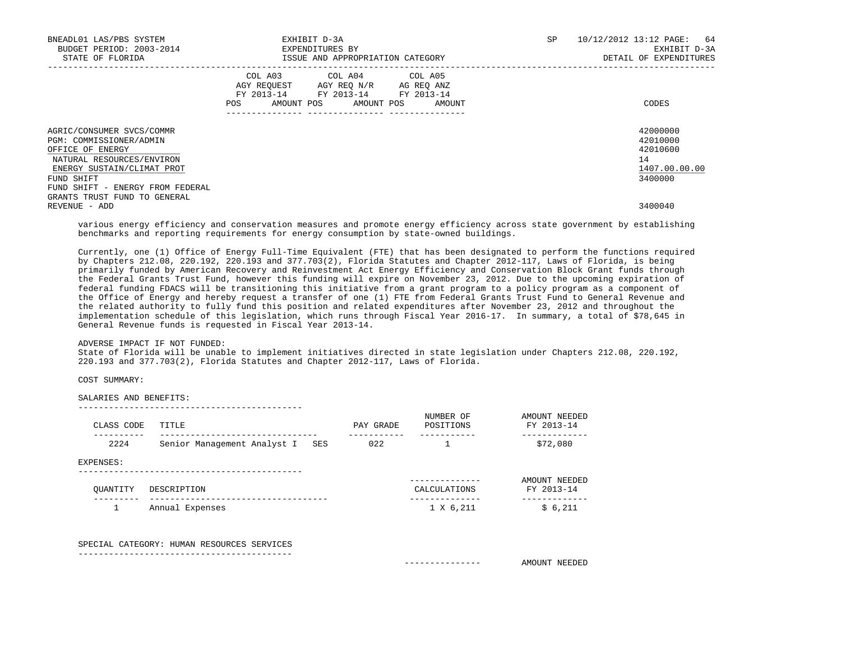| BNEADL01 LAS/PBS SYSTEM<br>BUDGET PERIOD: 2003-2014<br>STATE OF FLORIDA                                                                                                               |                                                                                                                | EXHIBIT D-3A<br>EXPENDITURES BY<br>ISSUE AND APPROPRIATION CATEGORY                                                               | SP | 10/12/2012 13:12 PAGE: 64<br>EXHIBIT D-3A<br>DETAIL OF EXPENDITURES |
|---------------------------------------------------------------------------------------------------------------------------------------------------------------------------------------|----------------------------------------------------------------------------------------------------------------|-----------------------------------------------------------------------------------------------------------------------------------|----|---------------------------------------------------------------------|
|                                                                                                                                                                                       | POS FOR THE POST OF THE STATE STATE STATE STATE STATE STATE STATE STATE STATE STATE STATE STATE STATE STATE ST | COL A03 COL A04 COL A05<br>AGY REQUEST AGY REQ N/R AG REQ ANZ<br>FY 2013-14 FY 2013-14 FY 2013-14<br>AMOUNT POS AMOUNT POS AMOUNT |    | CODES                                                               |
| AGRIC/CONSUMER SVCS/COMMR<br>PGM: COMMISSIONER/ADMIN<br>OFFICE OF ENERGY<br>NATURAL RESOURCES/ENVIRON<br>ENERGY SUSTAIN/CLIMAT PROT<br>FUND SHIFT<br>FUND SHIFT - ENERGY FROM FEDERAL |                                                                                                                |                                                                                                                                   |    | 42000000<br>42010000<br>42010600<br>14<br>1407.00.00.00<br>3400000  |
| GRANTS TRUST FUND TO GENERAL<br>REVENUE - ADD                                                                                                                                         |                                                                                                                |                                                                                                                                   |    | 3400040                                                             |

 various energy efficiency and conservation measures and promote energy efficiency across state government by establishing benchmarks and reporting requirements for energy consumption by state-owned buildings.

 Currently, one (1) Office of Energy Full-Time Equivalent (FTE) that has been designated to perform the functions required by Chapters 212.08, 220.192, 220.193 and 377.703(2), Florida Statutes and Chapter 2012-117, Laws of Florida, is being primarily funded by American Recovery and Reinvestment Act Energy Efficiency and Conservation Block Grant funds through the Federal Grants Trust Fund, however this funding will expire on November 23, 2012. Due to the upcoming expiration of federal funding FDACS will be transitioning this initiative from a grant program to a policy program as a component of the Office of Energy and hereby request a transfer of one (1) FTE from Federal Grants Trust Fund to General Revenue and the related authority to fully fund this position and related expenditures after November 23, 2012 and throughout the implementation schedule of this legislation, which runs through Fiscal Year 2016-17. In summary, a total of \$78,645 in General Revenue funds is requested in Fiscal Year 2013-14.

ADVERSE IMPACT IF NOT FUNDED:

 State of Florida will be unable to implement initiatives directed in state legislation under Chapters 212.08, 220.192, 220.193 and 377.703(2), Florida Statutes and Chapter 2012-117, Laws of Florida.

COST SUMMARY:

SALARIES AND BENEFITS:

| CLASS CODE | TITLE                              | PAY GRADE | NUMBER OF<br>POSITIONS    | AMOUNT NEEDED<br>FY 2013-14 |
|------------|------------------------------------|-----------|---------------------------|-----------------------------|
| 2224       | Senior Management Analyst I<br>SES | 022       |                           | --------<br>\$72,080        |
| EXPENSES:  |                                    |           |                           |                             |
| OUANTITY   | DESCRIPTION                        |           | ---------<br>CALCULATIONS | AMOUNT NEEDED<br>FY 2013-14 |
|            | Annual Expenses                    |           | 1 X 6,211                 | \$6,211                     |

 SPECIAL CATEGORY: HUMAN RESOURCES SERVICES ------------------------------------------

--------------------------------------------

--------------- AMOUNT NEEDED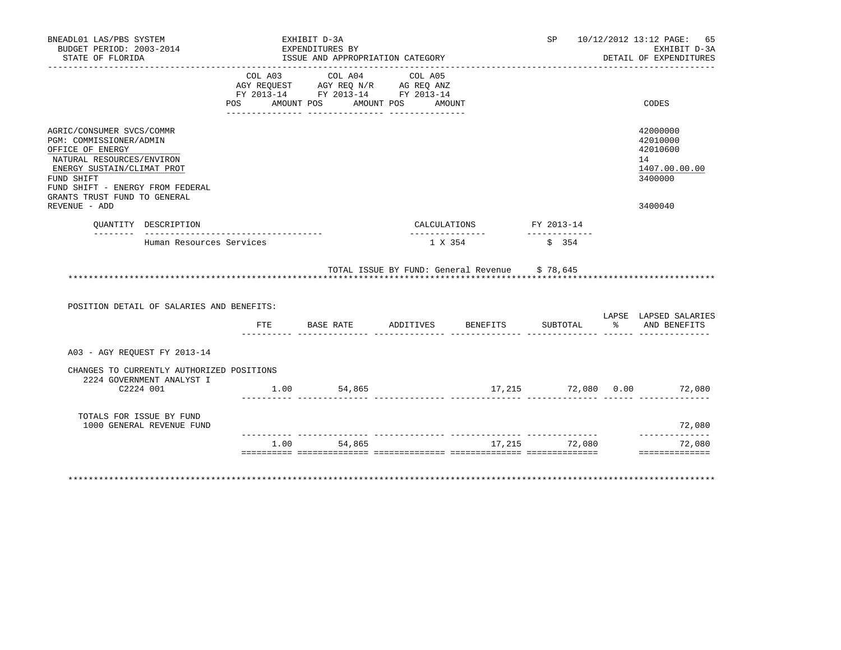|          |                                                                                                                    |                                                                                    |        |                                                                                                                                                                           |                                                                                   | EXHIBIT D-3A                                                       |
|----------|--------------------------------------------------------------------------------------------------------------------|------------------------------------------------------------------------------------|--------|---------------------------------------------------------------------------------------------------------------------------------------------------------------------------|-----------------------------------------------------------------------------------|--------------------------------------------------------------------|
|          |                                                                                                                    |                                                                                    |        |                                                                                                                                                                           |                                                                                   | DETAIL OF EXPENDITURES                                             |
| COL A03  | COL A04                                                                                                            | COL A05                                                                            |        |                                                                                                                                                                           |                                                                                   | CODES                                                              |
|          |                                                                                                                    |                                                                                    |        |                                                                                                                                                                           |                                                                                   |                                                                    |
|          |                                                                                                                    |                                                                                    |        |                                                                                                                                                                           |                                                                                   | 42000000<br>42010000<br>42010600<br>14<br>1407.00.00.00<br>3400000 |
|          |                                                                                                                    |                                                                                    |        |                                                                                                                                                                           |                                                                                   | 3400040                                                            |
|          |                                                                                                                    |                                                                                    |        |                                                                                                                                                                           |                                                                                   |                                                                    |
|          |                                                                                                                    |                                                                                    |        | \$354                                                                                                                                                                     |                                                                                   |                                                                    |
|          |                                                                                                                    |                                                                                    |        | SUBTOTAL                                                                                                                                                                  |                                                                                   | LAPSE LAPSED SALARIES<br>% AND BENEFITS                            |
|          |                                                                                                                    |                                                                                    |        |                                                                                                                                                                           |                                                                                   |                                                                    |
|          |                                                                                                                    |                                                                                    |        |                                                                                                                                                                           |                                                                                   |                                                                    |
|          |                                                                                                                    |                                                                                    |        |                                                                                                                                                                           |                                                                                   |                                                                    |
|          |                                                                                                                    |                                                                                    |        |                                                                                                                                                                           |                                                                                   | 72,080                                                             |
| $1.00 -$ | 54,865                                                                                                             |                                                                                    | 17,215 | 72,080                                                                                                                                                                    |                                                                                   | _____________<br>72,080<br>==============                          |
|          | Human Resources Services<br>POSITION DETAIL OF SALARIES AND BENEFITS:<br>CHANGES TO CURRENTLY AUTHORIZED POSITIONS | EXHIBIT D-3A<br>EXPENDITURES BY<br>---------------<br>FTE BASE RATE<br>1.00 54,865 |        | ISSUE AND APPROPRIATION CATEGORY<br>AGY REQUEST AGY REQ N/R AG REQ ANZ<br>FY 2013-14 FY 2013-14 FY 2013-14<br>POS AMOUNT POS AMOUNT POS AMOUNT<br>CALCULATIONS<br>1 X 354 | FY 2013-14<br>TOTAL ISSUE BY FUND: General Revenue \$78,645<br>ADDITIVES BENEFITS | SP 10/12/2012 13:12 PAGE: 65<br>17,215 72,080 0.00 72,080          |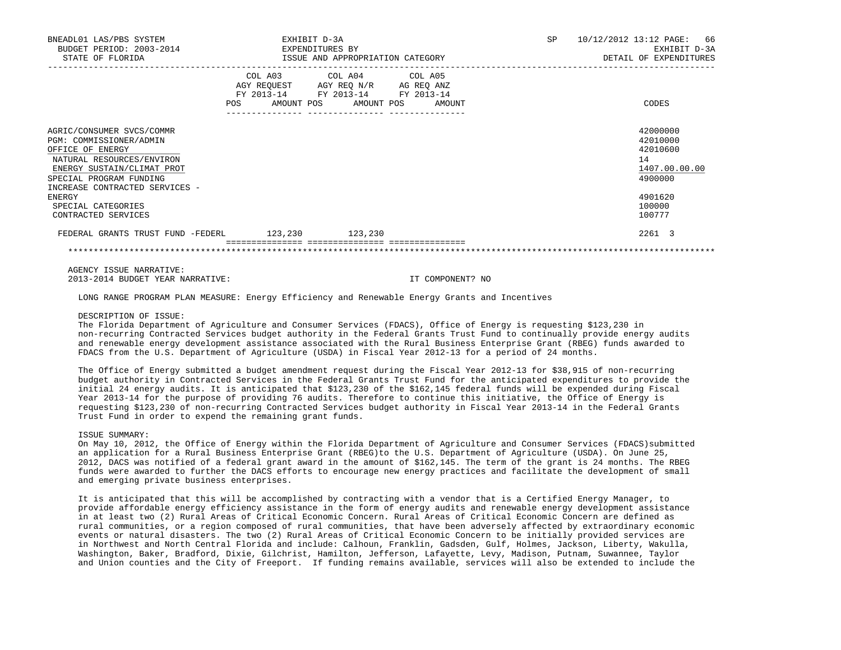| BNEADL01 LAS/PBS SYSTEM<br>BUDGET PERIOD: 2003-2014<br>STATE OF FLORIDA                                                                                                                          | EXHIBIT D-3A | EXPENDITURES BY<br>ISSUE AND APPROPRIATION CATEGORY                                                                        | SP     | 10/12/2012 13:12 PAGE:<br>66<br>EXHIBIT D-3A<br>DETAIL OF EXPENDITURES |
|--------------------------------------------------------------------------------------------------------------------------------------------------------------------------------------------------|--------------|----------------------------------------------------------------------------------------------------------------------------|--------|------------------------------------------------------------------------|
|                                                                                                                                                                                                  | POS          | COL A03 COL A04 COL A05<br>AGY REQUEST AGY REQ N/R AG REQ ANZ<br>FY 2013-14 FY 2013-14 FY 2013-14<br>AMOUNT POS AMOUNT POS | AMOUNT | CODES                                                                  |
| AGRIC/CONSUMER SVCS/COMMR<br>PGM: COMMISSIONER/ADMIN<br>OFFICE OF ENERGY<br>NATURAL RESOURCES/ENVIRON<br>ENERGY SUSTAIN/CLIMAT PROT<br>SPECIAL PROGRAM FUNDING<br>INCREASE CONTRACTED SERVICES - |              |                                                                                                                            |        | 42000000<br>42010000<br>42010600<br>14<br>1407.00.00.00<br>4900000     |
| ENERGY<br>SPECIAL CATEGORIES<br>CONTRACTED SERVICES                                                                                                                                              |              |                                                                                                                            |        | 4901620<br>100000<br>100777                                            |
| FEDERAL GRANTS TRUST FUND -FEDERL 123,230 123,230                                                                                                                                                |              |                                                                                                                            |        | 2261 3                                                                 |
|                                                                                                                                                                                                  |              |                                                                                                                            |        |                                                                        |

 AGENCY ISSUE NARRATIVE: 2013-2014 BUDGET YEAR NARRATIVE: IT COMPONENT? NO

LONG RANGE PROGRAM PLAN MEASURE: Energy Efficiency and Renewable Energy Grants and Incentives

#### DESCRIPTION OF ISSUE:

 The Florida Department of Agriculture and Consumer Services (FDACS), Office of Energy is requesting \$123,230 in non-recurring Contracted Services budget authority in the Federal Grants Trust Fund to continually provide energy audits and renewable energy development assistance associated with the Rural Business Enterprise Grant (RBEG) funds awarded to FDACS from the U.S. Department of Agriculture (USDA) in Fiscal Year 2012-13 for a period of 24 months.

 The Office of Energy submitted a budget amendment request during the Fiscal Year 2012-13 for \$38,915 of non-recurring budget authority in Contracted Services in the Federal Grants Trust Fund for the anticipated expenditures to provide the initial 24 energy audits. It is anticipated that \$123,230 of the \$162,145 federal funds will be expended during Fiscal Year 2013-14 for the purpose of providing 76 audits. Therefore to continue this initiative, the Office of Energy is requesting \$123,230 of non-recurring Contracted Services budget authority in Fiscal Year 2013-14 in the Federal Grants Trust Fund in order to expend the remaining grant funds.

## ISSUE SUMMARY:

 On May 10, 2012, the Office of Energy within the Florida Department of Agriculture and Consumer Services (FDACS)submitted an application for a Rural Business Enterprise Grant (RBEG)to the U.S. Department of Agriculture (USDA). On June 25, 2012, DACS was notified of a federal grant award in the amount of \$162,145. The term of the grant is 24 months. The RBEG funds were awarded to further the DACS efforts to encourage new energy practices and facilitate the development of small and emerging private business enterprises.

 It is anticipated that this will be accomplished by contracting with a vendor that is a Certified Energy Manager, to provide affordable energy efficiency assistance in the form of energy audits and renewable energy development assistance in at least two (2) Rural Areas of Critical Economic Concern. Rural Areas of Critical Economic Concern are defined as rural communities, or a region composed of rural communities, that have been adversely affected by extraordinary economic events or natural disasters. The two (2) Rural Areas of Critical Economic Concern to be initially provided services are in Northwest and North Central Florida and include: Calhoun, Franklin, Gadsden, Gulf, Holmes, Jackson, Liberty, Wakulla, Washington, Baker, Bradford, Dixie, Gilchrist, Hamilton, Jefferson, Lafayette, Levy, Madison, Putnam, Suwannee, Taylor and Union counties and the City of Freeport. If funding remains available, services will also be extended to include the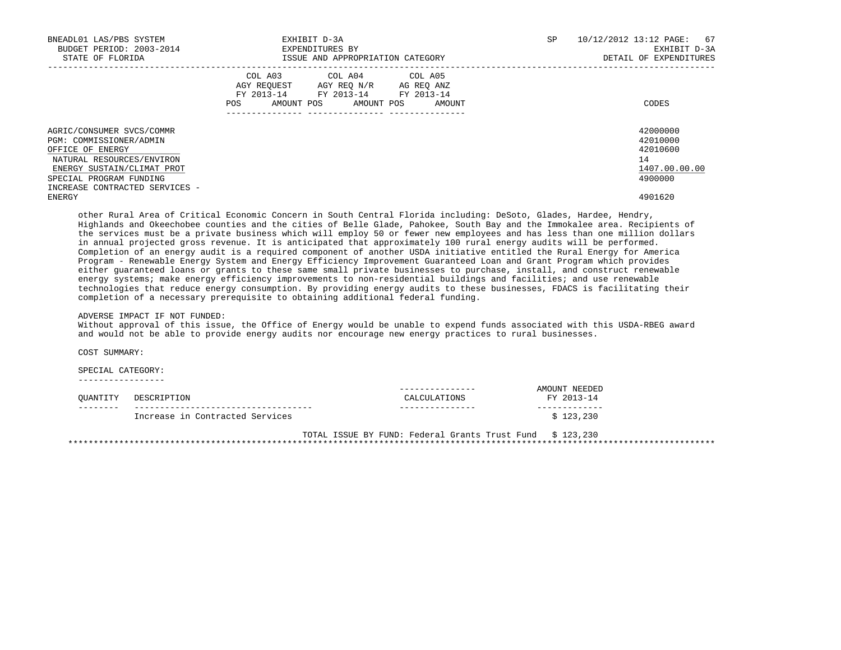| BNEADL01 LAS/PBS SYSTEM<br>BUDGET PERIOD: 2003-2014<br>STATE OF FLORIDA                                                                                                                          | EXHIBIT D-3A<br>EXPENDITURES BY<br>ISSUE AND APPROPRIATION CATEGORY                                                                               | SP | 10/12/2012 13:12 PAGE:<br>67<br>EXHIBIT D-3A<br>DETAIL OF EXPENDITURES |
|--------------------------------------------------------------------------------------------------------------------------------------------------------------------------------------------------|---------------------------------------------------------------------------------------------------------------------------------------------------|----|------------------------------------------------------------------------|
|                                                                                                                                                                                                  | COL A03<br>COL A04 COL A05<br>AGY REQUEST AGY REO N/R AG REO ANZ<br>FY 2013-14 FY 2013-14 FY 2013-14<br>AMOUNT POS<br>AMOUNT POS<br>POS<br>AMOUNT |    | CODES                                                                  |
| AGRIC/CONSUMER SVCS/COMMR<br>PGM: COMMISSIONER/ADMIN<br>OFFICE OF ENERGY<br>NATURAL RESOURCES/ENVIRON<br>ENERGY SUSTAIN/CLIMAT PROT<br>SPECIAL PROGRAM FUNDING<br>INCREASE CONTRACTED SERVICES - |                                                                                                                                                   |    | 42000000<br>42010000<br>42010600<br>14<br>1407.00.00.00<br>4900000     |
| ENERGY                                                                                                                                                                                           |                                                                                                                                                   |    | 4901620                                                                |

 other Rural Area of Critical Economic Concern in South Central Florida including: DeSoto, Glades, Hardee, Hendry, Highlands and Okeechobee counties and the cities of Belle Glade, Pahokee, South Bay and the Immokalee area. Recipients of the services must be a private business which will employ 50 or fewer new employees and has less than one million dollars in annual projected gross revenue. It is anticipated that approximately 100 rural energy audits will be performed. Completion of an energy audit is a required component of another USDA initiative entitled the Rural Energy for America Program - Renewable Energy System and Energy Efficiency Improvement Guaranteed Loan and Grant Program which provides either guaranteed loans or grants to these same small private businesses to purchase, install, and construct renewable energy systems; make energy efficiency improvements to non-residential buildings and facilities; and use renewable technologies that reduce energy consumption. By providing energy audits to these businesses, FDACS is facilitating their completion of a necessary prerequisite to obtaining additional federal funding.

## ADVERSE IMPACT IF NOT FUNDED:

 Without approval of this issue, the Office of Energy would be unable to expend funds associated with this USDA-RBEG award and would not be able to provide energy audits nor encourage new energy practices to rural businesses.

COST SUMMARY:

SPECIAL CATEGORY:

-----------------

| OUANTITY | DESCRIPTION                     | CALCULATIONS | NEEDEL<br>ידתדדר<br>$2013 - 14$<br><b>FV</b> |
|----------|---------------------------------|--------------|----------------------------------------------|
| -------- | Increase in Contracted Services |              | . 230                                        |

 TOTAL ISSUE BY FUND: Federal Grants Trust Fund \$ 123,230 \*\*\*\*\*\*\*\*\*\*\*\*\*\*\*\*\*\*\*\*\*\*\*\*\*\*\*\*\*\*\*\*\*\*\*\*\*\*\*\*\*\*\*\*\*\*\*\*\*\*\*\*\*\*\*\*\*\*\*\*\*\*\*\*\*\*\*\*\*\*\*\*\*\*\*\*\*\*\*\*\*\*\*\*\*\*\*\*\*\*\*\*\*\*\*\*\*\*\*\*\*\*\*\*\*\*\*\*\*\*\*\*\*\*\*\*\*\*\*\*\*\*\*\*\*\*\*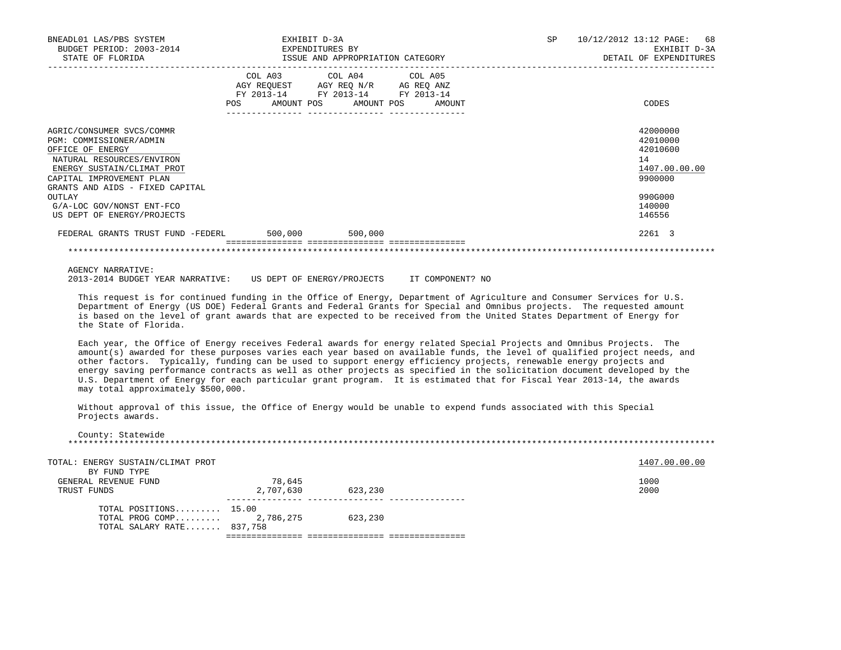| BNEADL01 LAS/PBS SYSTEM<br>BUDGET PERIOD: 2003-2014<br>STATE OF FLORIDA                                                                                                                            | EXHIBIT D-3A<br>EXPENDITURES BY | ISSUE AND APPROPRIATION CATEGORY                                                                                                  | SP | 10/12/2012 13:12 PAGE: 68<br>EXHIBIT D-3A<br>DETAIL OF EXPENDITURES |
|----------------------------------------------------------------------------------------------------------------------------------------------------------------------------------------------------|---------------------------------|-----------------------------------------------------------------------------------------------------------------------------------|----|---------------------------------------------------------------------|
|                                                                                                                                                                                                    | POS                             | COL A03 COL A04 COL A05<br>AGY REQUEST AGY REQ N/R AG REQ ANZ<br>FY 2013-14 FY 2013-14 FY 2013-14<br>AMOUNT POS AMOUNT POS AMOUNT |    | CODES                                                               |
| AGRIC/CONSUMER SVCS/COMMR<br>PGM: COMMISSIONER/ADMIN<br>OFFICE OF ENERGY<br>NATURAL RESOURCES/ENVIRON<br>ENERGY SUSTAIN/CLIMAT PROT<br>CAPITAL IMPROVEMENT PLAN<br>GRANTS AND AIDS - FIXED CAPITAL |                                 |                                                                                                                                   |    | 42000000<br>42010000<br>42010600<br>14<br>1407.00.00.00<br>9900000  |
| <b>OUTLAY</b><br>G/A-LOC GOV/NONST ENT-FCO<br>US DEPT OF ENERGY/PROJECTS                                                                                                                           |                                 |                                                                                                                                   |    | 990G000<br>140000<br>146556                                         |
| FEDERAL GRANTS TRUST FUND -FEDERL 500,000                                                                                                                                                          |                                 | 500,000                                                                                                                           |    | 2261 3                                                              |
|                                                                                                                                                                                                    |                                 | ===============                                                                                                                   |    |                                                                     |

AGENCY NARRATIVE:

2013-2014 BUDGET YEAR NARRATIVE: US DEPT OF ENERGY/PROJECTS IT COMPONENT? NO

 This request is for continued funding in the Office of Energy, Department of Agriculture and Consumer Services for U.S. Department of Energy (US DOE) Federal Grants and Federal Grants for Special and Omnibus projects. The requested amount is based on the level of grant awards that are expected to be received from the United States Department of Energy for the State of Florida.

 Each year, the Office of Energy receives Federal awards for energy related Special Projects and Omnibus Projects. The amount(s) awarded for these purposes varies each year based on available funds, the level of qualified project needs, and other factors. Typically, funding can be used to support energy efficiency projects, renewable energy projects and energy saving performance contracts as well as other projects as specified in the solicitation document developed by the U.S. Department of Energy for each particular grant program. It is estimated that for Fiscal Year 2013-14, the awards may total approximately \$500,000.

 Without approval of this issue, the Office of Energy would be unable to expend funds associated with this Special Projects awards.

|             | TOTAL POSITIONS 15.00<br>TOTAL PROG COMP 2,786,275<br>TOTAL SALARY RATE 837,758 |                     | 623,230 |  |               |
|-------------|---------------------------------------------------------------------------------|---------------------|---------|--|---------------|
| TRUST FUNDS | GENERAL REVENUE FUND                                                            | 78,645<br>2,707,630 | 623,230 |  | 1000<br>2000  |
|             | TOTAL: ENERGY SUSTAIN/CLIMAT PROT<br>BY FUND TYPE                               |                     |         |  | 1407.00.00.00 |
|             | County: Statewide                                                               |                     |         |  |               |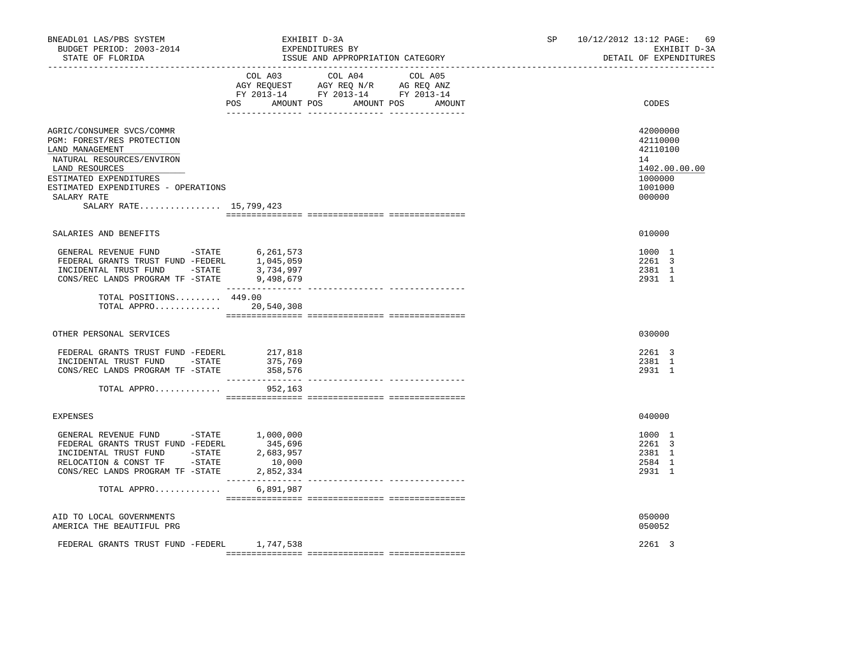| BNEADL01 LAS/PBS SYSTEM<br>BUDGET PERIOD: 2003-2014<br>STATE OF FLORIDA                                                                                                                                                             | EXHIBIT D-3A<br>EXPENDITURES BY<br>ISSUE AND APPROPRIATION CATEGORY                                                                   | 10/12/2012 13:12 PAGE:<br>69<br>SP and the set of the set of the set of the set of the set of the set of the set of the set of the set of the set of the set of the set of the set of the set of the set of the set of the set of the set of the set of the se<br>EXHIBIT D-3A<br>DETAIL OF EXPENDITURES |
|-------------------------------------------------------------------------------------------------------------------------------------------------------------------------------------------------------------------------------------|---------------------------------------------------------------------------------------------------------------------------------------|----------------------------------------------------------------------------------------------------------------------------------------------------------------------------------------------------------------------------------------------------------------------------------------------------------|
|                                                                                                                                                                                                                                     | COL A03 COL A04 COL A05<br>AGY REQUEST AGY REQ N/R AG REQ ANZ<br>FY 2013-14 FY 2013-14 FY 2013-14<br>POS AMOUNT POS AMOUNT POS AMOUNT | CODES                                                                                                                                                                                                                                                                                                    |
| AGRIC/CONSUMER SVCS/COMMR<br>PGM: FOREST/RES PROTECTION<br>LAND MANAGEMENT<br>NATURAL RESOURCES/ENVIRON<br>LAND RESOURCES<br>ESTIMATED EXPENDITURES<br>ESTIMATED EXPENDITURES - OPERATIONS<br>SALARY RATE<br>SALARY RATE 15,799,423 |                                                                                                                                       | 42000000<br>42110000<br>42110100<br>14<br>1402.00.00.00<br>1000000<br>1001000<br>000000                                                                                                                                                                                                                  |
| SALARIES AND BENEFITS                                                                                                                                                                                                               |                                                                                                                                       | 010000                                                                                                                                                                                                                                                                                                   |
| GENERAL REVENUE FUND -STATE $6,261,573$<br>FEDERAL GRANTS TRUST FUND -FEDERL $1,045,059$<br>INCIDENTAL TRUST FUND -STATE<br>CONS/REC LANDS PROGRAM TF -STATE                                                                        | 3,734,997<br>9,498,679                                                                                                                | 1000 1<br>2261 3<br>2381 1<br>2931 1                                                                                                                                                                                                                                                                     |
| TOTAL POSITIONS 449.00<br>TOTAL APPRO 20,540,308                                                                                                                                                                                    |                                                                                                                                       |                                                                                                                                                                                                                                                                                                          |
| OTHER PERSONAL SERVICES                                                                                                                                                                                                             |                                                                                                                                       | 030000                                                                                                                                                                                                                                                                                                   |
| FEDERAL GRANTS TRUST FUND -FEDERL<br>INCIDENTAL TRUST FUND -STATE<br>CONS/REC LANDS PROGRAM TF -STATE                                                                                                                               | 217,818<br>375,769<br>358,576                                                                                                         | 2261 3<br>2381 1<br>2931 1                                                                                                                                                                                                                                                                               |
| TOTAL APPRO                                                                                                                                                                                                                         | 952,163                                                                                                                               |                                                                                                                                                                                                                                                                                                          |
| <b>EXPENSES</b>                                                                                                                                                                                                                     |                                                                                                                                       | 040000                                                                                                                                                                                                                                                                                                   |
| GENERAL REVENUE FUND -STATE<br>FEDERAL GRANTS TRUST FUND -FEDERL<br>INCIDENTAL TRUST FUND -STATE<br>RELOCATION & CONST TF -STATE<br>CONS/REC LANDS PROGRAM TF -STATE                                                                | 1,000,000<br>345,696<br>2,683,957<br>10,000<br>2,852,334                                                                              | 1000 1<br>2261 3<br>2381 1<br>2584 1<br>2931 1                                                                                                                                                                                                                                                           |
| TOTAL APPRO                                                                                                                                                                                                                         | 6,891,987                                                                                                                             |                                                                                                                                                                                                                                                                                                          |
| AID TO LOCAL GOVERNMENTS<br>AMERICA THE BEAUTIFUL PRG                                                                                                                                                                               |                                                                                                                                       | 050000<br>050052                                                                                                                                                                                                                                                                                         |
| FEDERAL GRANTS TRUST FUND -FEDERL                                                                                                                                                                                                   | 1,747,538                                                                                                                             | 2261 3                                                                                                                                                                                                                                                                                                   |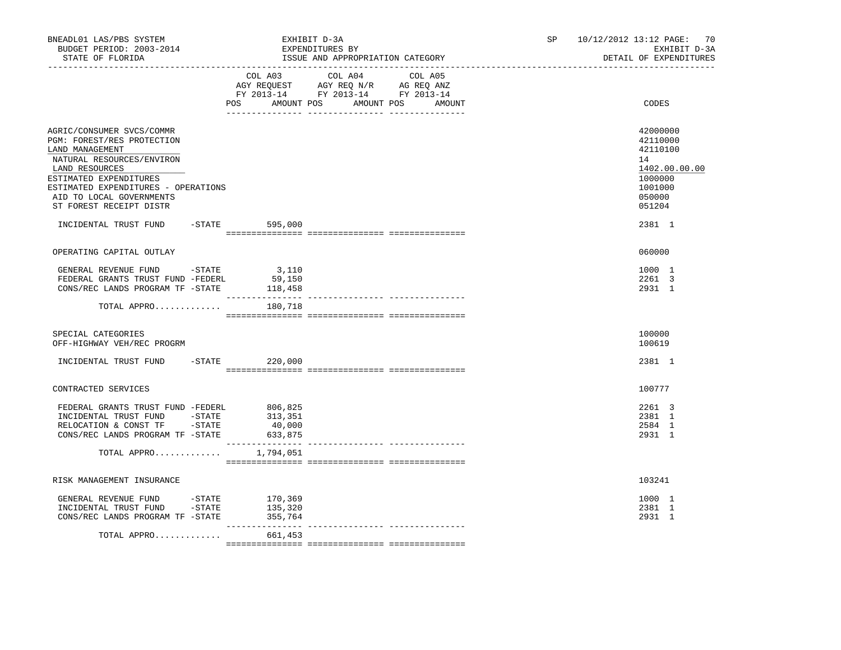| BNEADL01 LAS/PBS SYSTEM<br>BUDGET PERIOD: 2003-2014<br>STATE OF FLORIDA<br>__________________                                                                                                                                                                                             |                               | EXHIBIT D-3A<br>EXPENDITURES BY<br>ISSUE AND APPROPRIATION CATEGORY                                                                   |  | 10/12/2012 13:12 PAGE: 70<br>SP<br>EXHIBIT D-3A<br>DETAIL OF EXPENDITURES |                                                                                                             |
|-------------------------------------------------------------------------------------------------------------------------------------------------------------------------------------------------------------------------------------------------------------------------------------------|-------------------------------|---------------------------------------------------------------------------------------------------------------------------------------|--|---------------------------------------------------------------------------|-------------------------------------------------------------------------------------------------------------|
|                                                                                                                                                                                                                                                                                           |                               | COL A03 COL A04 COL A05<br>AGY REQUEST AGY REQ N/R AG REQ ANZ<br>FY 2013-14 FY 2013-14 FY 2013-14<br>POS AMOUNT POS AMOUNT POS AMOUNT |  |                                                                           | CODES                                                                                                       |
| AGRIC/CONSUMER SVCS/COMMR<br>PGM: FOREST/RES PROTECTION<br>LAND MANAGEMENT<br>NATURAL RESOURCES/ENVIRON<br>LAND RESOURCES<br>ESTIMATED EXPENDITURES<br>ESTIMATED EXPENDITURES - OPERATIONS<br>AID TO LOCAL GOVERNMENTS<br>ST FOREST RECEIPT DISTR<br>INCIDENTAL TRUST FUND -STATE 595,000 |                               |                                                                                                                                       |  |                                                                           | 42000000<br>42110000<br>42110100<br>14<br>1402.00.00.00<br>1000000<br>1001000<br>050000<br>051204<br>2381 1 |
| OPERATING CAPITAL OUTLAY                                                                                                                                                                                                                                                                  |                               |                                                                                                                                       |  |                                                                           | 060000                                                                                                      |
| GENERAL REVENUE FUND -STATE 3,110<br>FEDERAL GRANTS TRUST FUND -FEDERL 59,150<br>CONS/REC LANDS PROGRAM TF -STATE                                                                                                                                                                         | 118,458                       |                                                                                                                                       |  |                                                                           | 1000 1<br>2261 3<br>2931 1                                                                                  |
| TOTAL APPRO                                                                                                                                                                                                                                                                               | 180,718                       |                                                                                                                                       |  |                                                                           |                                                                                                             |
| SPECIAL CATEGORIES<br>OFF-HIGHWAY VEH/REC PROGRM                                                                                                                                                                                                                                          |                               |                                                                                                                                       |  |                                                                           | 100000<br>100619                                                                                            |
| INCIDENTAL TRUST FUND -STATE 220,000                                                                                                                                                                                                                                                      |                               |                                                                                                                                       |  |                                                                           | 2381 1                                                                                                      |
| CONTRACTED SERVICES                                                                                                                                                                                                                                                                       |                               |                                                                                                                                       |  |                                                                           | 100777                                                                                                      |
| CONS/REC LANDS PROGRAM TF -STATE<br>TOTAL APPRO                                                                                                                                                                                                                                           | 633,875<br>1,794,051          |                                                                                                                                       |  |                                                                           | 2261 3<br>2381 1<br>2584 1<br>2931 1                                                                        |
|                                                                                                                                                                                                                                                                                           |                               |                                                                                                                                       |  |                                                                           |                                                                                                             |
| RISK MANAGEMENT INSURANCE<br>GENERAL REVENUE FUND - STATE<br>INCIDENTAL TRUST FUND - STATE<br>CONS/REC LANDS PROGRAM TF -STATE                                                                                                                                                            | 170,369<br>135,320<br>355,764 |                                                                                                                                       |  |                                                                           | 103241<br>1000 1<br>2381 1<br>2931 1                                                                        |
| TOTAL APPRO                                                                                                                                                                                                                                                                               | 661,453                       |                                                                                                                                       |  |                                                                           |                                                                                                             |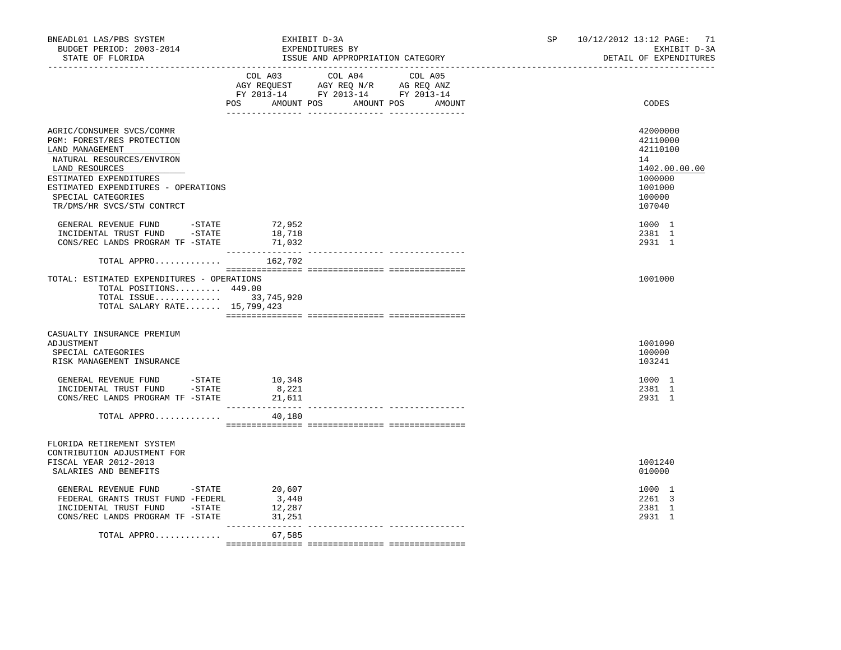| BNEADL01 LAS/PBS SYSTEM<br>BUDGET PERIOD: 2003-2014<br>STATE OF FLORIDA<br>_____________________________________                                                                                                                               | EXHIBIT D-3A<br>EXPENDITURES BY<br>ISSUE AND APPROPRIATION CATEGORY                                                                                                                                                                                              | 10/12/2012 13:12 PAGE: 71<br>SP<br>EXHIBIT D-3A<br>DETAIL OF EXPENDITURES                         |
|------------------------------------------------------------------------------------------------------------------------------------------------------------------------------------------------------------------------------------------------|------------------------------------------------------------------------------------------------------------------------------------------------------------------------------------------------------------------------------------------------------------------|---------------------------------------------------------------------------------------------------|
|                                                                                                                                                                                                                                                | COL A03 COL A04 COL A05<br>$\begin{tabular}{lllllll} \bf AGY \,\, REQUEST \,\, &\bf AGY \,\, REQ \,\, N/R &\bf AG \,\, REQ \,\, ANZ \\ \bf FY \,\, 2013-14 &\bf FY \,\, 2013-14 &\bf FY \,\, 2013-14 \\ \end{tabular}$<br>AMOUNT POS AMOUNT POS<br>POS<br>AMOUNT | CODES                                                                                             |
| AGRIC/CONSUMER SVCS/COMMR<br>PGM: FOREST/RES PROTECTION<br>LAND MANAGEMENT<br>NATURAL RESOURCES/ENVIRON<br>LAND RESOURCES<br>ESTIMATED EXPENDITURES<br>ESTIMATED EXPENDITURES - OPERATIONS<br>SPECIAL CATEGORIES<br>TR/DMS/HR SVCS/STW CONTRCT |                                                                                                                                                                                                                                                                  | 42000000<br>42110000<br>42110100<br>14<br>1402.00.00.00<br>1000000<br>1001000<br>100000<br>107040 |
| GENERAL REVENUE FUND<br>$-$ STATE<br>INCIDENTAL TRUST FUND -STATE<br>CONS/REC LANDS PROGRAM TF -STATE                                                                                                                                          | 72,952<br>18,718<br>71,032                                                                                                                                                                                                                                       | 1000 1<br>2381 1<br>2931 1                                                                        |
| TOTAL APPRO $162,702$                                                                                                                                                                                                                          |                                                                                                                                                                                                                                                                  |                                                                                                   |
| TOTAL: ESTIMATED EXPENDITURES - OPERATIONS<br>TOTAL POSITIONS 449.00<br>TOTAL ISSUE 33,745,920<br>TOTAL SALARY RATE 15,799,423                                                                                                                 |                                                                                                                                                                                                                                                                  | 1001000                                                                                           |
| CASUALTY INSURANCE PREMIUM<br>ADJUSTMENT<br>SPECIAL CATEGORIES<br>RISK MANAGEMENT INSURANCE                                                                                                                                                    |                                                                                                                                                                                                                                                                  | 1001090<br>100000<br>103241                                                                       |
| GENERAL REVENUE FUND -STATE 10,348<br>INCIDENTAL TRUST FUND -STATE<br>CONS/REC LANDS PROGRAM TF -STATE                                                                                                                                         | 8,221<br>21,611                                                                                                                                                                                                                                                  | 1000 1<br>2381 1<br>2931 1                                                                        |
| TOTAL APPRO                                                                                                                                                                                                                                    | 40,180                                                                                                                                                                                                                                                           |                                                                                                   |
| FLORIDA RETIREMENT SYSTEM<br>CONTRIBUTION ADJUSTMENT FOR<br>FISCAL YEAR 2012-2013<br>SALARIES AND BENEFITS                                                                                                                                     |                                                                                                                                                                                                                                                                  | 1001240<br>010000                                                                                 |
| GENERAL REVENUE FUND -STATE<br>FEDERAL GRANTS TRUST FUND -FEDERL<br>INCIDENTAL TRUST FUND -STATE<br>CONS/REC LANDS PROGRAM TF - STATE 31,251                                                                                                   | 20,607<br>3,440<br>12,287                                                                                                                                                                                                                                        | 1000 1<br>2261 3<br>2381 1<br>2931 1                                                              |
| TOTAL APPRO                                                                                                                                                                                                                                    | 67,585                                                                                                                                                                                                                                                           |                                                                                                   |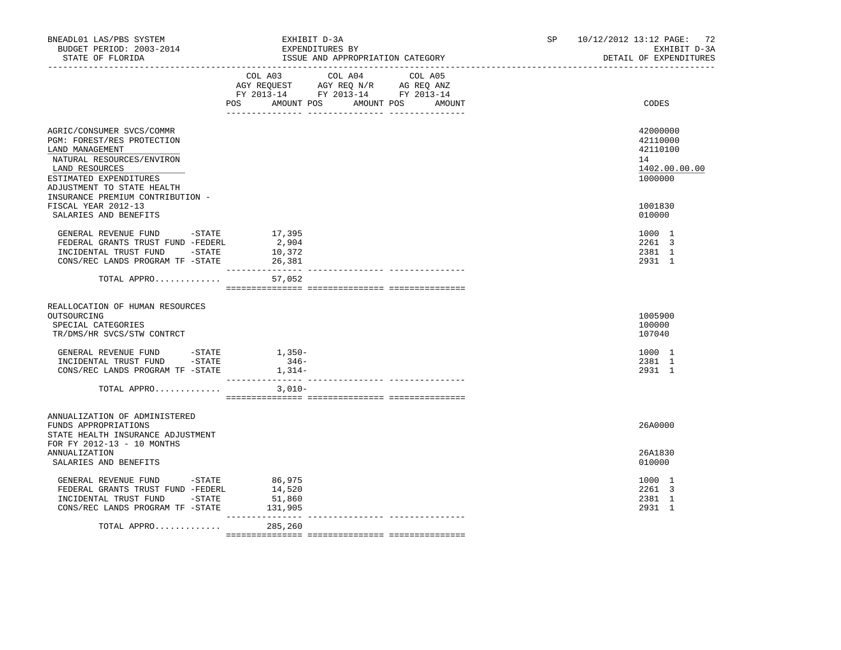| BNEADL01 LAS/PBS SYSTEM<br>BUDGET PERIOD: 2003-2014<br>STATE OF FLORIDA                                                                                                                                               | EXHIBIT D-3A<br>EXPENDITURES BY<br>ISSUE AND APPROPRIATION CATEGORY         | 10/12/2012 13:12 PAGE: 72<br>SP <sub>2</sub><br>EXHIBIT D-3A<br>DETAIL OF EXPENDITURES |
|-----------------------------------------------------------------------------------------------------------------------------------------------------------------------------------------------------------------------|-----------------------------------------------------------------------------|----------------------------------------------------------------------------------------|
|                                                                                                                                                                                                                       | COL A03 COL A04 COL A05<br><b>POS</b><br>AMOUNT POS<br>AMOUNT POS<br>AMOUNT | CODES                                                                                  |
| AGRIC/CONSUMER SVCS/COMMR<br>PGM: FOREST/RES PROTECTION<br>LAND MANAGEMENT<br>NATURAL RESOURCES/ENVIRON<br>LAND RESOURCES<br>ESTIMATED EXPENDITURES<br>ADJUSTMENT TO STATE HEALTH<br>INSURANCE PREMIUM CONTRIBUTION - |                                                                             | 42000000<br>42110000<br>42110100<br>14<br>1402.00.00.00<br>1000000                     |
| FISCAL YEAR 2012-13<br>SALARIES AND BENEFITS                                                                                                                                                                          |                                                                             | 1001830<br>010000                                                                      |
| GENERAL REVENUE FUND -STATE 17,395<br>FEDERAL GRANTS TRUST FUND -FEDERL<br>INCIDENTAL TRUST FUND -STATE<br>CONS/REC LANDS PROGRAM TF -STATE                                                                           | 2,904<br>10,372<br>26,381                                                   | 1000 1<br>2261 3<br>2381 1<br>2931 1                                                   |
| TOTAL APPRO                                                                                                                                                                                                           | 57,052                                                                      |                                                                                        |
| REALLOCATION OF HUMAN RESOURCES<br>OUTSOURCING<br>SPECIAL CATEGORIES<br>TR/DMS/HR SVCS/STW CONTRCT                                                                                                                    |                                                                             | 1005900<br>100000<br>107040                                                            |
| GENERAL REVENUE FUND -STATE<br>INCIDENTAL TRUST FUND -STATE<br>CONS/REC LANDS PROGRAM TF -STATE                                                                                                                       | $1,350-$<br>$346-$<br>$1,314-$                                              | 1000 1<br>2381 1<br>2931 1                                                             |
| TOTAL APPRO                                                                                                                                                                                                           | $3.010-$                                                                    |                                                                                        |
| ANNUALIZATION OF ADMINISTERED<br>FUNDS APPROPRIATIONS<br>STATE HEALTH INSURANCE ADJUSTMENT<br>FOR FY 2012-13 - 10 MONTHS                                                                                              |                                                                             | 26A0000                                                                                |
| ANNUALIZATION<br>SALARIES AND BENEFITS                                                                                                                                                                                |                                                                             | 26A1830<br>010000                                                                      |
| GENERAL REVENUE FUND -STATE<br>FEDERAL GRANTS TRUST FUND -FEDERL<br>INCIDENTAL TRUST FUND -STATE<br>CONS/REC LANDS PROGRAM TF -STATE                                                                                  | 86,975<br>14,520<br>51,860<br>131,905                                       | 1000 1<br>2261 3<br>2381 1<br>2931 1                                                   |
| TOTAL APPRO                                                                                                                                                                                                           | 285,260                                                                     |                                                                                        |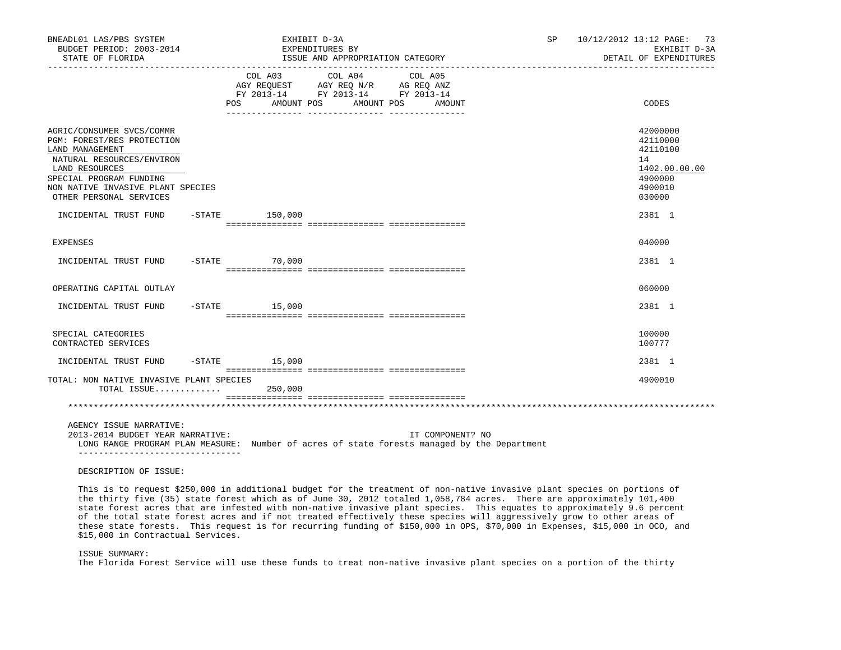| BNEADL01 LAS/PBS SYSTEM<br>BUDGET PERIOD: 2003-2014<br>STATE OF FLORIDA                                                                                                                                              |                  | EXHIBIT D-3A<br>EXPENDITURES BY<br>ISSUE AND APPROPRIATION CATEGORY                                                                                                                                                                                                                                                                                |                  | 10/12/2012 13:12 PAGE: 73<br>SP and the set of the set of the set of the set of the set of the set of the set of the set of the set of the set of the set of the set of the set of the set of the set of the set of the set of the set of the set of the se<br>EXHIBIT D-3A<br>DETAIL OF EXPENDITURES |                                                                                         |  |
|----------------------------------------------------------------------------------------------------------------------------------------------------------------------------------------------------------------------|------------------|----------------------------------------------------------------------------------------------------------------------------------------------------------------------------------------------------------------------------------------------------------------------------------------------------------------------------------------------------|------------------|-------------------------------------------------------------------------------------------------------------------------------------------------------------------------------------------------------------------------------------------------------------------------------------------------------|-----------------------------------------------------------------------------------------|--|
|                                                                                                                                                                                                                      |                  | $\begin{tabular}{lllllllllll} &\multicolumn{4}{c}{\text{COL A03}} &\multicolumn{4}{c}{\text{COL A04}} &\multicolumn{4}{c}{\text{COL A05}} \\ \multicolumn{4}{c}{\text{AGY REQUEST}} &\multicolumn{4}{c}{\text{AGY REQ N/R}} &\multicolumn{4}{c}{\text{AG REQ ANZ}} \end{tabular}$<br>FY 2013-14 FY 2013-14 FY 2013-14<br>POS AMOUNT POS AMOUNT POS | AMOUNT           |                                                                                                                                                                                                                                                                                                       | CODES                                                                                   |  |
| AGRIC/CONSUMER SVCS/COMMR<br>PGM: FOREST/RES PROTECTION<br>LAND MANAGEMENT<br>NATURAL RESOURCES/ENVIRON<br>LAND RESOURCES<br>SPECIAL PROGRAM FUNDING<br>NON NATIVE INVASIVE PLANT SPECIES<br>OTHER PERSONAL SERVICES |                  |                                                                                                                                                                                                                                                                                                                                                    |                  |                                                                                                                                                                                                                                                                                                       | 42000000<br>42110000<br>42110100<br>14<br>1402.00.00.00<br>4900000<br>4900010<br>030000 |  |
| INCIDENTAL TRUST FUND                                                                                                                                                                                                | $-STATE$ 150,000 |                                                                                                                                                                                                                                                                                                                                                    |                  |                                                                                                                                                                                                                                                                                                       | 2381 1                                                                                  |  |
| EXPENSES                                                                                                                                                                                                             |                  |                                                                                                                                                                                                                                                                                                                                                    |                  |                                                                                                                                                                                                                                                                                                       | 040000                                                                                  |  |
| INCIDENTAL TRUST FUND -STATE 70,000                                                                                                                                                                                  |                  |                                                                                                                                                                                                                                                                                                                                                    |                  |                                                                                                                                                                                                                                                                                                       | 2381 1                                                                                  |  |
| OPERATING CAPITAL OUTLAY                                                                                                                                                                                             |                  |                                                                                                                                                                                                                                                                                                                                                    |                  |                                                                                                                                                                                                                                                                                                       | 060000                                                                                  |  |
| INCIDENTAL TRUST FUND -STATE 15,000                                                                                                                                                                                  |                  |                                                                                                                                                                                                                                                                                                                                                    |                  |                                                                                                                                                                                                                                                                                                       | 2381 1                                                                                  |  |
| SPECIAL CATEGORIES<br>CONTRACTED SERVICES                                                                                                                                                                            |                  |                                                                                                                                                                                                                                                                                                                                                    |                  |                                                                                                                                                                                                                                                                                                       | 100000<br>100777                                                                        |  |
| INCIDENTAL TRUST FUND                                                                                                                                                                                                | $-STATE$ 15,000  |                                                                                                                                                                                                                                                                                                                                                    |                  |                                                                                                                                                                                                                                                                                                       | 2381 1                                                                                  |  |
| TOTAL: NON NATIVE INVASIVE PLANT SPECIES<br>TOTAL ISSUE 250,000                                                                                                                                                      |                  |                                                                                                                                                                                                                                                                                                                                                    |                  |                                                                                                                                                                                                                                                                                                       | 4900010                                                                                 |  |
|                                                                                                                                                                                                                      |                  |                                                                                                                                                                                                                                                                                                                                                    |                  |                                                                                                                                                                                                                                                                                                       |                                                                                         |  |
| AGENCY ISSUE NARRATIVE:<br>2013-2014 BUDGET YEAR NARRATIVE:<br>--------------------------------                                                                                                                      |                  | LONG RANGE PROGRAM PLAN MEASURE: Number of acres of state forests managed by the Department                                                                                                                                                                                                                                                        | IT COMPONENT? NO |                                                                                                                                                                                                                                                                                                       |                                                                                         |  |
| DESCRIPTION OF ISSUE:                                                                                                                                                                                                |                  |                                                                                                                                                                                                                                                                                                                                                    |                  |                                                                                                                                                                                                                                                                                                       |                                                                                         |  |

 This is to request \$250,000 in additional budget for the treatment of non-native invasive plant species on portions of the thirty five (35) state forest which as of June 30, 2012 totaled 1,058,784 acres. There are approximately 101,400 state forest acres that are infested with non-native invasive plant species. This equates to approximately 9.6 percent of the total state forest acres and if not treated effectively these species will aggressively grow to other areas of these state forests. This request is for recurring funding of \$150,000 in OPS, \$70,000 in Expenses, \$15,000 in OCO, and \$15,000 in Contractual Services.

ISSUE SUMMARY:

The Florida Forest Service will use these funds to treat non-native invasive plant species on a portion of the thirty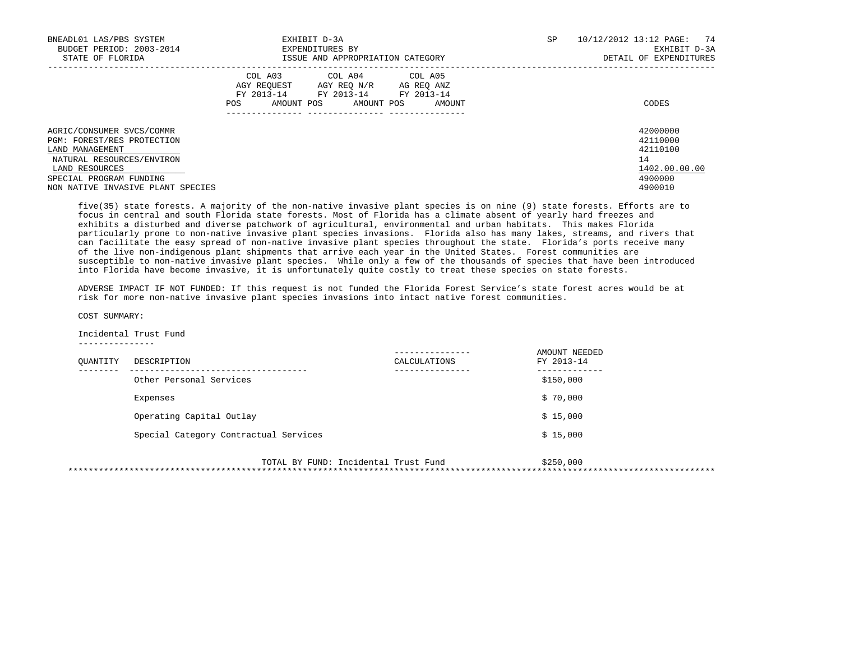| BNEADL01 LAS/PBS SYSTEM<br>BUDGET PERIOD: 2003-2014<br>STATE OF FLORIDA                                                                                                                   | EXHIBIT D-3A<br>EXPENDITURES BY<br>ISSUE AND APPROPRIATION CATEGORY                                                                            | SP | 10/12/2012 13:12 PAGE: 74<br>EXHIBIT D-3A<br>DETAIL OF EXPENDITURES           |
|-------------------------------------------------------------------------------------------------------------------------------------------------------------------------------------------|------------------------------------------------------------------------------------------------------------------------------------------------|----|-------------------------------------------------------------------------------|
|                                                                                                                                                                                           | COL A03 COL A04 COL A05<br>AGY REQUEST AGY REQ N/R AG REQ ANZ<br>FY 2013-14 FY 2013-14 FY 2013-14<br>AMOUNT POS<br>POS<br>AMOUNT POS<br>AMOUNT |    | CODES                                                                         |
| AGRIC/CONSUMER SVCS/COMMR<br>PGM: FOREST/RES PROTECTION<br>LAND MANAGEMENT<br>NATURAL RESOURCES/ENVIRON<br>LAND RESOURCES<br>SPECIAL PROGRAM FUNDING<br>NON NATIVE INVASIVE PLANT SPECIES |                                                                                                                                                |    | 42000000<br>42110000<br>42110100<br>14<br>1402.00.00.00<br>4900000<br>4900010 |

 five(35) state forests. A majority of the non-native invasive plant species is on nine (9) state forests. Efforts are to focus in central and south Florida state forests. Most of Florida has a climate absent of yearly hard freezes and exhibits a disturbed and diverse patchwork of agricultural, environmental and urban habitats. This makes Florida particularly prone to non-native invasive plant species invasions. Florida also has many lakes, streams, and rivers that can facilitate the easy spread of non-native invasive plant species throughout the state. Florida's ports receive many of the live non-indigenous plant shipments that arrive each year in the United States. Forest communities are susceptible to non-native invasive plant species. While only a few of the thousands of species that have been introduced into Florida have become invasive, it is unfortunately quite costly to treat these species on state forests.

 ADVERSE IMPACT IF NOT FUNDED: If this request is not funded the Florida Forest Service's state forest acres would be at risk for more non-native invasive plant species invasions into intact native forest communities.

COST SUMMARY:

 Incidental Trust Fund ---------------

| OUANTITY | DESCRIPTION                           | ---------------<br>CALCULATIONS | AMOUNT NEEDED<br>FY 2013-14 |
|----------|---------------------------------------|---------------------------------|-----------------------------|
|          | Other Personal Services               | -------------                   | .<br>\$150,000              |
|          | Expenses                              |                                 | \$70,000                    |
|          | Operating Capital Outlay              |                                 | \$15,000                    |
|          | Special Category Contractual Services |                                 | \$15,000                    |

 TOTAL BY FUND: Incidental Trust Fund \$250,000 \*\*\*\*\*\*\*\*\*\*\*\*\*\*\*\*\*\*\*\*\*\*\*\*\*\*\*\*\*\*\*\*\*\*\*\*\*\*\*\*\*\*\*\*\*\*\*\*\*\*\*\*\*\*\*\*\*\*\*\*\*\*\*\*\*\*\*\*\*\*\*\*\*\*\*\*\*\*\*\*\*\*\*\*\*\*\*\*\*\*\*\*\*\*\*\*\*\*\*\*\*\*\*\*\*\*\*\*\*\*\*\*\*\*\*\*\*\*\*\*\*\*\*\*\*\*\*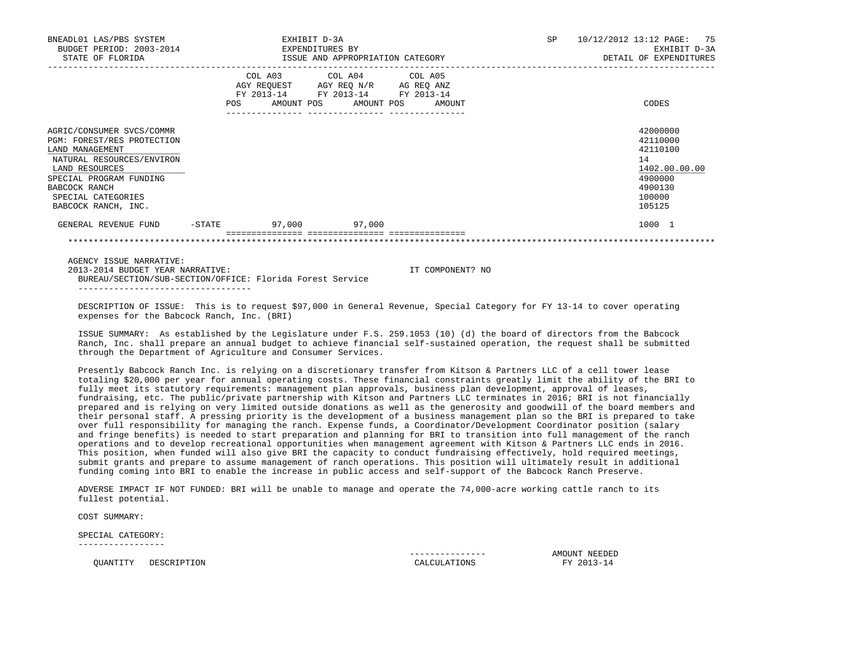| BNEADL01 LAS/PBS SYSTEM<br>BUDGET PERIOD: 2003-2014<br>STATE OF FLORIDA                                                                                                                                            |           | EXHIBIT D-3A<br>EXPENDITURES BY<br>ISSUE AND APPROPRIATION CATEGORY                               |  | SP<br>10/12/2012 13:12 PAGE:<br>75<br>EXHIBIT D-3A<br>DETAIL OF EXPENDITURES |  |                                                                                                   |  |
|--------------------------------------------------------------------------------------------------------------------------------------------------------------------------------------------------------------------|-----------|---------------------------------------------------------------------------------------------------|--|------------------------------------------------------------------------------|--|---------------------------------------------------------------------------------------------------|--|
|                                                                                                                                                                                                                    |           | COL A03 COL A04 COL A05<br>AGY REQUEST AGY REQ N/R AG REQ ANZ<br>FY 2013-14 FY 2013-14 FY 2013-14 |  | POS AMOUNT POS AMOUNT POS AMOUNT                                             |  | CODES                                                                                             |  |
| AGRIC/CONSUMER SVCS/COMMR<br>PGM: FOREST/RES PROTECTION<br>LAND MANAGEMENT<br>NATURAL RESOURCES/ENVIRON<br>LAND RESOURCES<br>SPECIAL PROGRAM FUNDING<br>BABCOCK RANCH<br>SPECIAL CATEGORIES<br>BABCOCK RANCH, INC. |           |                                                                                                   |  |                                                                              |  | 42000000<br>42110000<br>42110100<br>14<br>1402.00.00.00<br>4900000<br>4900130<br>100000<br>105125 |  |
| GENERAL REVENUE FUND                                                                                                                                                                                               | $-$ STATE | 97,000 97,000                                                                                     |  |                                                                              |  | 1000 1                                                                                            |  |
|                                                                                                                                                                                                                    |           |                                                                                                   |  |                                                                              |  |                                                                                                   |  |

AGENCY ISSUE NARRATIVE:

 2013-2014 BUDGET YEAR NARRATIVE: IT COMPONENT? NO BUREAU/SECTION/SUB-SECTION/OFFICE: Florida Forest Service ----------------------------------

 DESCRIPTION OF ISSUE: This is to request \$97,000 in General Revenue, Special Category for FY 13-14 to cover operating expenses for the Babcock Ranch, Inc. (BRI)

 ISSUE SUMMARY: As established by the Legislature under F.S. 259.1053 (10) (d) the board of directors from the Babcock Ranch, Inc. shall prepare an annual budget to achieve financial self-sustained operation, the request shall be submitted through the Department of Agriculture and Consumer Services.

 Presently Babcock Ranch Inc. is relying on a discretionary transfer from Kitson & Partners LLC of a cell tower lease totaling \$20,000 per year for annual operating costs. These financial constraints greatly limit the ability of the BRI to fully meet its statutory requirements: management plan approvals, business plan development, approval of leases, fundraising, etc. The public/private partnership with Kitson and Partners LLC terminates in 2016; BRI is not financially prepared and is relying on very limited outside donations as well as the generosity and goodwill of the board members and their personal staff. A pressing priority is the development of a business management plan so the BRI is prepared to take over full responsibility for managing the ranch. Expense funds, a Coordinator/Development Coordinator position (salary and fringe benefits) is needed to start preparation and planning for BRI to transition into full management of the ranch operations and to develop recreational opportunities when management agreement with Kitson & Partners LLC ends in 2016. This position, when funded will also give BRI the capacity to conduct fundraising effectively, hold required meetings, submit grants and prepare to assume management of ranch operations. This position will ultimately result in additional funding coming into BRI to enable the increase in public access and self-support of the Babcock Ranch Preserve.

 ADVERSE IMPACT IF NOT FUNDED: BRI will be unable to manage and operate the 74,000-acre working cattle ranch to its fullest potential.

COST SUMMARY:

SPECIAL CATEGORY:

-----------------

QUANTITY DESCRIPTION **CALCULATIONS** 

--------------- AMOUNT NEEDED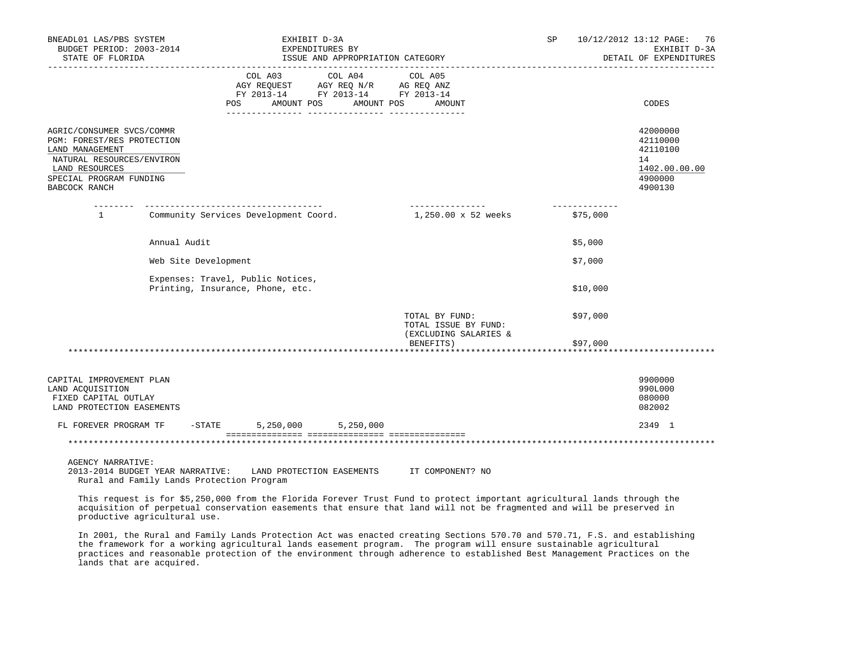| BNEADL01 LAS/PBS SYSTEM<br>BUDGET PERIOD: 2003-2014<br>STATE OF FLORIDA                           |                      | EXHIBIT D-3A<br>EXPENDITURES BY                                       | ISSUE AND APPROPRIATION CATEGORY                                                                                  | SP                        | 10/12/2012 13:12 PAGE: 76<br>EXHIBIT D-3A<br>DETAIL OF EXPENDITURES |
|---------------------------------------------------------------------------------------------------|----------------------|-----------------------------------------------------------------------|-------------------------------------------------------------------------------------------------------------------|---------------------------|---------------------------------------------------------------------|
|                                                                                                   |                      | COL A03<br>AMOUNT POS<br><b>POS</b>                                   | COL A04 COL A05<br>AGY REQUEST AGY REQ N/R AG REQ ANZ<br>FY 2013-14 FY 2013-14 FY 2013-14<br>AMOUNT POS<br>AMOUNT |                           | CODES                                                               |
| AGRIC/CONSUMER SVCS/COMMR<br>PGM: FOREST/RES PROTECTION<br>LAND MANAGEMENT                        |                      |                                                                       |                                                                                                                   |                           | 42000000<br>42110000<br>42110100                                    |
| NATURAL RESOURCES/ENVIRON<br>LAND RESOURCES                                                       |                      |                                                                       |                                                                                                                   |                           | 14<br>1402.00.00.00                                                 |
| SPECIAL PROGRAM FUNDING<br>BABCOCK RANCH                                                          |                      |                                                                       |                                                                                                                   |                           | 4900000<br>4900130                                                  |
| $\mathbf{1}$                                                                                      |                      | Community Services Development Coord.                                 | _______________<br>1,250.00 x 52 weeks                                                                            | -------------<br>\$75,000 |                                                                     |
|                                                                                                   | Annual Audit         |                                                                       |                                                                                                                   | \$5,000                   |                                                                     |
|                                                                                                   | Web Site Development |                                                                       |                                                                                                                   | \$7,000                   |                                                                     |
|                                                                                                   |                      | Expenses: Travel, Public Notices,<br>Printing, Insurance, Phone, etc. |                                                                                                                   | \$10,000                  |                                                                     |
|                                                                                                   |                      |                                                                       | TOTAL BY FUND:<br>TOTAL ISSUE BY FUND:                                                                            | \$97,000                  |                                                                     |
|                                                                                                   |                      |                                                                       | (EXCLUDING SALARIES &<br>BENEFITS)                                                                                | \$97,000                  |                                                                     |
|                                                                                                   |                      |                                                                       |                                                                                                                   |                           |                                                                     |
| CAPITAL IMPROVEMENT PLAN<br>LAND ACQUISITION<br>FIXED CAPITAL OUTLAY<br>LAND PROTECTION EASEMENTS |                      |                                                                       |                                                                                                                   |                           | 9900000<br>990L000<br>080000<br>082002                              |
| FL FOREVER PROGRAM TF                                                                             |                      | $-STATE$ 5, 250, 000 5, 250, 000                                      |                                                                                                                   |                           | 2349 1                                                              |
|                                                                                                   |                      |                                                                       |                                                                                                                   |                           |                                                                     |
| ACTNOV NAPOATIVE.                                                                                 |                      |                                                                       |                                                                                                                   |                           |                                                                     |

AGENCY NARRATIVE:<br>2013-2014 BUDGET YEAR NARRATIVE: LAND PROTECTION EASEMENTS IT COMPONENT? NO Rural and Family Lands Protection Program

 This request is for \$5,250,000 from the Florida Forever Trust Fund to protect important agricultural lands through the acquisition of perpetual conservation easements that ensure that land will not be fragmented and will be preserved in productive agricultural use.

 In 2001, the Rural and Family Lands Protection Act was enacted creating Sections 570.70 and 570.71, F.S. and establishing the framework for a working agricultural lands easement program. The program will ensure sustainable agricultural practices and reasonable protection of the environment through adherence to established Best Management Practices on the lands that are acquired.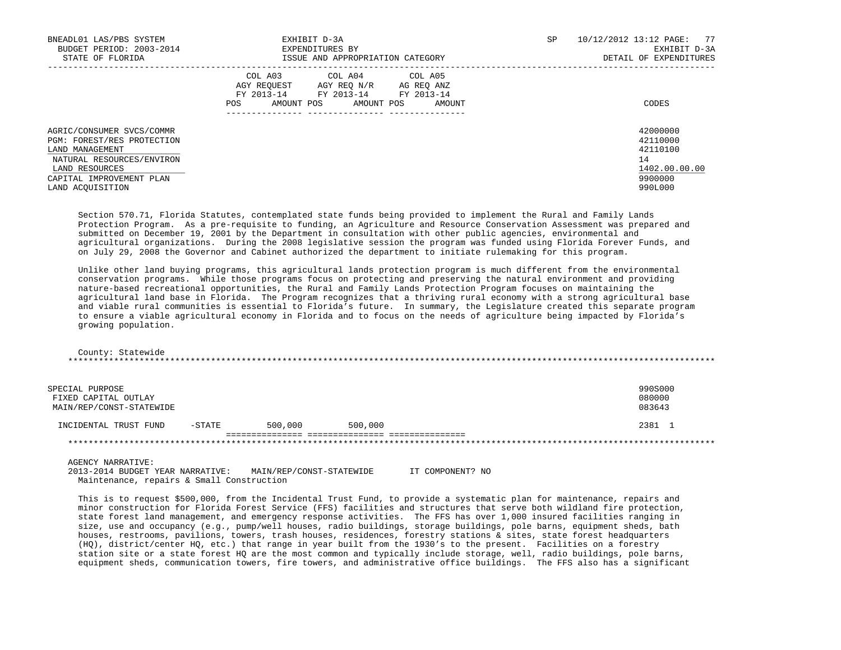| BNEADL01 LAS/PBS SYSTEM<br>BUDGET PERIOD: 2003-2014<br>STATE OF FLORIDA                                                                                                   | EXHIBIT D-3A<br>EXPENDITURES BY<br>ISSUE AND APPROPRIATION CATEGORY                                                                                           | 10/12/2012 13:12 PAGE: 77<br>SP<br>EXHIBIT D-3A<br>DETAIL OF EXPENDITURES     |
|---------------------------------------------------------------------------------------------------------------------------------------------------------------------------|---------------------------------------------------------------------------------------------------------------------------------------------------------------|-------------------------------------------------------------------------------|
|                                                                                                                                                                           | COL A04<br>COL A05<br>COL A03<br>AGY REOUEST AGY REO N/R<br>AG REQ ANZ<br>FY 2013-14<br>FY 2013-14<br>FY 2013-14<br>AMOUNT POS<br>AMOUNT POS<br>AMOUNT<br>POS | CODES                                                                         |
| AGRIC/CONSUMER SVCS/COMMR<br>PGM: FOREST/RES PROTECTION<br>LAND MANAGEMENT<br>NATURAL RESOURCES/ENVIRON<br>LAND RESOURCES<br>CAPITAL IMPROVEMENT PLAN<br>LAND ACOUISITION |                                                                                                                                                               | 42000000<br>42110000<br>42110100<br>14<br>1402.00.00.00<br>9900000<br>990L000 |

 Section 570.71, Florida Statutes, contemplated state funds being provided to implement the Rural and Family Lands Protection Program. As a pre-requisite to funding, an Agriculture and Resource Conservation Assessment was prepared and submitted on December 19, 2001 by the Department in consultation with other public agencies, environmental and agricultural organizations. During the 2008 legislative session the program was funded using Florida Forever Funds, and on July 29, 2008 the Governor and Cabinet authorized the department to initiate rulemaking for this program.

 Unlike other land buying programs, this agricultural lands protection program is much different from the environmental conservation programs. While those programs focus on protecting and preserving the natural environment and providing nature-based recreational opportunities, the Rural and Family Lands Protection Program focuses on maintaining the agricultural land base in Florida. The Program recognizes that a thriving rural economy with a strong agricultural base and viable rural communities is essential to Florida's future. In summary, the Legislature created this separate program to ensure a viable agricultural economy in Florida and to focus on the needs of agriculture being impacted by Florida's growing population.

 County: Statewide \*\*\*\*\*\*\*\*\*\*\*\*\*\*\*\*\*\*\*\*\*\*\*\*\*\*\*\*\*\*\*\*\*\*\*\*\*\*\*\*\*\*\*\*\*\*\*\*\*\*\*\*\*\*\*\*\*\*\*\*\*\*\*\*\*\*\*\*\*\*\*\*\*\*\*\*\*\*\*\*\*\*\*\*\*\*\*\*\*\*\*\*\*\*\*\*\*\*\*\*\*\*\*\*\*\*\*\*\*\*\*\*\*\*\*\*\*\*\*\*\*\*\*\*\*\*\*

| SPECIAL PURPOSE<br>FIXED CAPITAL OUTLAY<br>MAIN/REP/CONST-STATEWIDE |           |         |         | 990S000<br>080000<br>083643 |
|---------------------------------------------------------------------|-----------|---------|---------|-----------------------------|
| INCIDENTAL TRUST FUND                                               | $-$ STATE | 500,000 | 500,000 | 2381 1                      |
|                                                                     |           |         |         |                             |

AGENCY NARRATIVE:

 2013-2014 BUDGET YEAR NARRATIVE: MAIN/REP/CONST-STATEWIDE IT COMPONENT? NO Maintenance, repairs & Small Construction

 This is to request \$500,000, from the Incidental Trust Fund, to provide a systematic plan for maintenance, repairs and minor construction for Florida Forest Service (FFS) facilities and structures that serve both wildland fire protection, state forest land management, and emergency response activities. The FFS has over 1,000 insured facilities ranging in size, use and occupancy (e.g., pump/well houses, radio buildings, storage buildings, pole barns, equipment sheds, bath houses, restrooms, pavilions, towers, trash houses, residences, forestry stations & sites, state forest headquarters (HQ), district/center HQ, etc.) that range in year built from the 1930's to the present. Facilities on a forestry station site or a state forest HQ are the most common and typically include storage, well, radio buildings, pole barns, equipment sheds, communication towers, fire towers, and administrative office buildings. The FFS also has a significant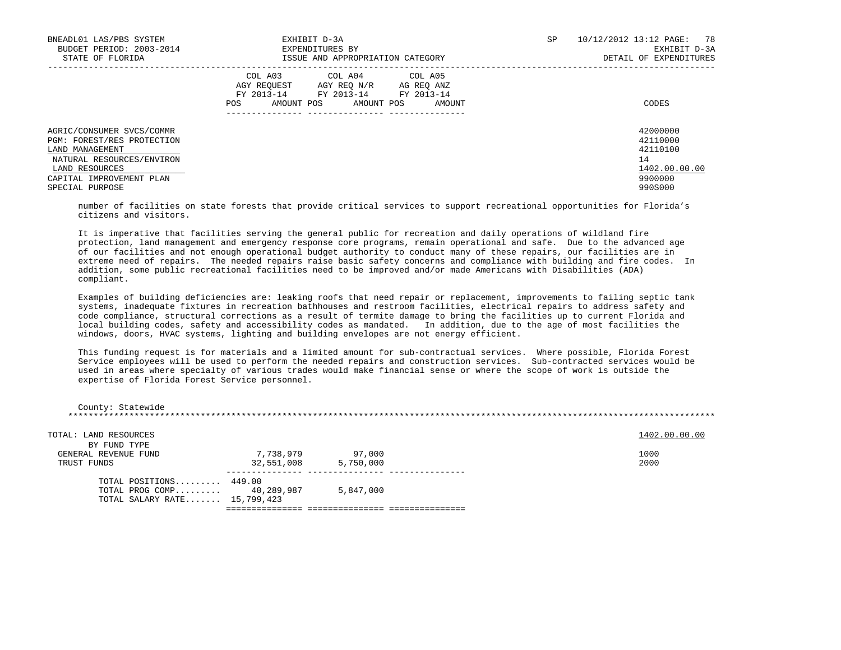| BNEADL01 LAS/PBS SYSTEM<br>BUDGET PERIOD: 2003-2014<br>STATE OF FLORIDA                                                                                                  | EXHIBIT D-3A<br>EXPENDITURES BY<br>ISSUE AND APPROPRIATION CATEGORY                                                                               | SP. | 10/12/2012 13:12 PAGE: 78<br>EXHIBIT D-3A<br>DETAIL OF EXPENDITURES           |  |
|--------------------------------------------------------------------------------------------------------------------------------------------------------------------------|---------------------------------------------------------------------------------------------------------------------------------------------------|-----|-------------------------------------------------------------------------------|--|
|                                                                                                                                                                          | COL A04 COL A05<br>COL A03<br>AGY REQUEST AGY REQ N/R AG REQ ANZ<br>FY 2013-14 FY 2013-14 FY 2013-14<br>AMOUNT POS<br>POS<br>AMOUNT POS<br>AMOUNT |     | CODES                                                                         |  |
| AGRIC/CONSUMER SVCS/COMMR<br>PGM: FOREST/RES PROTECTION<br>LAND MANAGEMENT<br>NATURAL RESOURCES/ENVIRON<br>LAND RESOURCES<br>CAPITAL IMPROVEMENT PLAN<br>SPECIAL PURPOSE |                                                                                                                                                   |     | 42000000<br>42110000<br>42110100<br>14<br>1402.00.00.00<br>9900000<br>990S000 |  |

 number of facilities on state forests that provide critical services to support recreational opportunities for Florida's citizens and visitors.

 It is imperative that facilities serving the general public for recreation and daily operations of wildland fire protection, land management and emergency response core programs, remain operational and safe. Due to the advanced age of our facilities and not enough operational budget authority to conduct many of these repairs, our facilities are in extreme need of repairs. The needed repairs raise basic safety concerns and compliance with building and fire codes. In addition, some public recreational facilities need to be improved and/or made Americans with Disabilities (ADA) compliant.

 Examples of building deficiencies are: leaking roofs that need repair or replacement, improvements to failing septic tank systems, inadequate fixtures in recreation bathhouses and restroom facilities, electrical repairs to address safety and code compliance, structural corrections as a result of termite damage to bring the facilities up to current Florida and local building codes, safety and accessibility codes as mandated. In addition, due to the age of most facilities the windows, doors, HVAC systems, lighting and building envelopes are not energy efficient.

 This funding request is for materials and a limited amount for sub-contractual services. Where possible, Florida Forest Service employees will be used to perform the needed repairs and construction services. Sub-contracted services would be used in areas where specialty of various trades would make financial sense or where the scope of work is outside the expertise of Florida Forest Service personnel.

| County: Statewide                                                                    |            |           |               |  |
|--------------------------------------------------------------------------------------|------------|-----------|---------------|--|
| TOTAL: LAND RESOURCES<br>BY FUND TYPE                                                |            |           | 1402.00.00.00 |  |
| GENERAL REVENUE FUND                                                                 | 7,738,979  | 97,000    | 1000          |  |
| TRUST FUNDS                                                                          | 32,551,008 | 5,750,000 | 2000          |  |
| TOTAL POSITIONS 449.00<br>TOTAL PROG COMP 40,289,987<br>TOTAL SALARY RATE 15,799,423 |            | 5,847,000 |               |  |
|                                                                                      |            |           |               |  |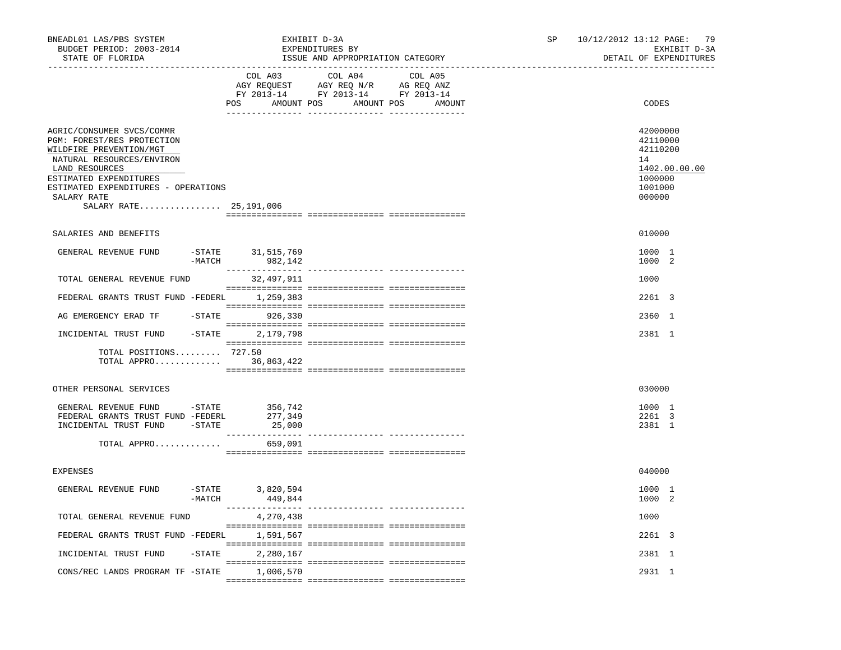| BNEADL01 LAS/PBS SYSTEM<br>BUDGET PERIOD: 2003-2014<br>STATE OF FLORIDA                                                                                                                                                                     |           | EXHIBIT D-3A<br>EXPENDITURES BY<br>ISSUE AND APPROPRIATION CATEGORY | 10/12/2012 13:12 PAGE:<br>SP |  |  | 79<br>EXHIBIT D-3A<br>DETAIL OF EXPENDITURES |                                                                        |               |
|---------------------------------------------------------------------------------------------------------------------------------------------------------------------------------------------------------------------------------------------|-----------|---------------------------------------------------------------------|------------------------------|--|--|----------------------------------------------|------------------------------------------------------------------------|---------------|
|                                                                                                                                                                                                                                             |           | COL A03 COL A04 COL A05<br>POS AMOUNT POS AMOUNT POS AMOUNT         |                              |  |  |                                              | CODES                                                                  |               |
| AGRIC/CONSUMER SVCS/COMMR<br>PGM: FOREST/RES PROTECTION<br>WILDFIRE PREVENTION/MGT<br>NATURAL RESOURCES/ENVIRON<br>LAND RESOURCES<br>ESTIMATED EXPENDITURES<br>ESTIMATED EXPENDITURES - OPERATIONS<br>SALARY RATE<br>SALARY RATE 25,191,006 |           |                                                                     |                              |  |  |                                              | 42000000<br>42110000<br>42110200<br>14<br>1000000<br>1001000<br>000000 | 1402.00.00.00 |
| SALARIES AND BENEFITS                                                                                                                                                                                                                       |           |                                                                     |                              |  |  |                                              | 010000                                                                 |               |
| GENERAL REVENUE FUND                                                                                                                                                                                                                        | $-MATCH$  | -STATE 31,515,769<br>982,142                                        |                              |  |  |                                              | 1000 1<br>1000 2                                                       |               |
| TOTAL GENERAL REVENUE FUND                                                                                                                                                                                                                  |           | 32,497,911                                                          |                              |  |  |                                              | 1000                                                                   |               |
| FEDERAL GRANTS TRUST FUND -FEDERL 1,259,383                                                                                                                                                                                                 |           |                                                                     |                              |  |  |                                              | 2261 3                                                                 |               |
| AG EMERGENCY ERAD TF - STATE 926,330                                                                                                                                                                                                        |           |                                                                     |                              |  |  |                                              | 2360 1                                                                 |               |
| INCIDENTAL TRUST FUND -STATE 2,179,798                                                                                                                                                                                                      |           |                                                                     |                              |  |  |                                              | 2381 1                                                                 |               |
| TOTAL POSITIONS 727.50<br>TOTAL APPRO 36,863,422                                                                                                                                                                                            |           |                                                                     |                              |  |  |                                              |                                                                        |               |
| OTHER PERSONAL SERVICES                                                                                                                                                                                                                     |           |                                                                     |                              |  |  |                                              | 030000                                                                 |               |
| GENERAL REVENUE FUND -STATE<br>FEDERAL GRANTS TRUST FUND -FEDERL<br>INCIDENTAL TRUST FUND -STATE<br>TOTAL APPRO                                                                                                                             |           | 356,742<br>277,349<br>25,000<br>659,091                             |                              |  |  |                                              | 1000 1<br>2261 3<br>2381 1                                             |               |
| <b>EXPENSES</b>                                                                                                                                                                                                                             |           |                                                                     |                              |  |  |                                              | 040000                                                                 |               |
| GENERAL REVENUE FUND                                                                                                                                                                                                                        | $-MATCH$  | -STATE 3,820,594<br>449,844                                         |                              |  |  |                                              | 1000 1<br>1000 2                                                       |               |
| TOTAL GENERAL REVENUE FUND                                                                                                                                                                                                                  |           | 4,270,438                                                           |                              |  |  |                                              | 1000                                                                   |               |
| FEDERAL GRANTS TRUST FUND -FEDERL                                                                                                                                                                                                           |           | 1,591,567                                                           |                              |  |  |                                              | 2261 3                                                                 |               |
| INCIDENTAL TRUST FUND                                                                                                                                                                                                                       | $-$ STATE | 2,280,167                                                           |                              |  |  |                                              | 2381 1                                                                 |               |
| CONS/REC LANDS PROGRAM TF -STATE                                                                                                                                                                                                            |           | 1,006,570                                                           |                              |  |  |                                              | 2931 1                                                                 |               |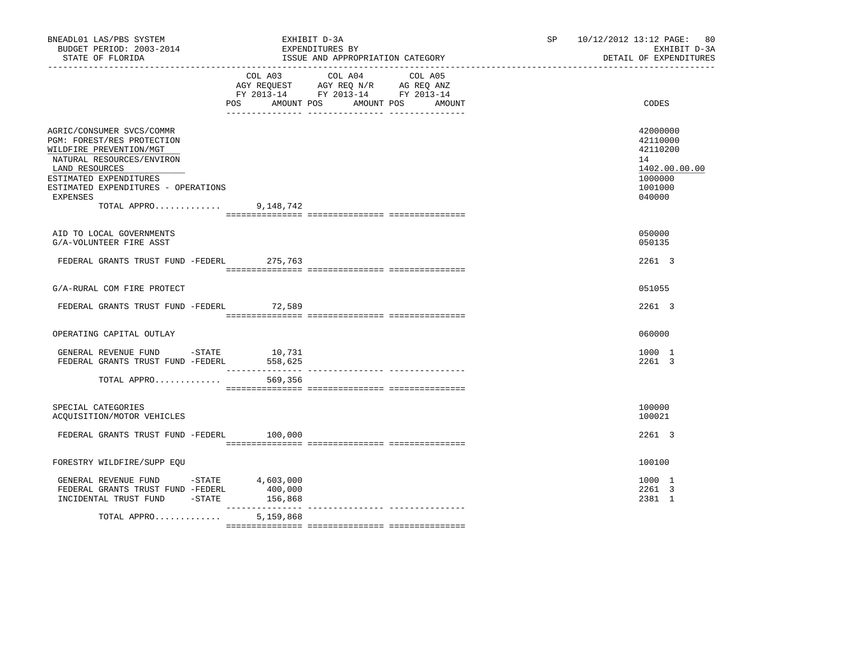| BNEADL01 LAS/PBS SYSTEM<br>BUDGET PERIOD: 2003-2014<br>STATE OF FLORIDA                                                                                                                                                                 | EXHIBIT D-3A<br>EXPENDITURES BY<br>ISSUE AND APPROPRIATION CATEGORY                                                               | 10/12/2012 13:12 PAGE: 80<br>SP and the set of the set of the set of the set of the set of the set of the set of the set of the set of the set of the set of the set of the set of the set of the set of the set of the set of the set of the set of the se<br>EXHIBIT D-3A<br>DETAIL OF EXPENDITURES |
|-----------------------------------------------------------------------------------------------------------------------------------------------------------------------------------------------------------------------------------------|-----------------------------------------------------------------------------------------------------------------------------------|-------------------------------------------------------------------------------------------------------------------------------------------------------------------------------------------------------------------------------------------------------------------------------------------------------|
|                                                                                                                                                                                                                                         | COL A03 COL A04 COL A05<br>AGY REQUEST AGY REQ N/R AG REQ ANZ<br>FY 2013-14 FY 2013-14 FY 2013-14<br>AMOUNT POS<br>POS AMOUNT POS | CODES<br>AMOUNT                                                                                                                                                                                                                                                                                       |
| AGRIC/CONSUMER SVCS/COMMR<br>PGM: FOREST/RES PROTECTION<br>WILDFIRE PREVENTION/MGT<br>NATURAL RESOURCES/ENVIRON<br>LAND RESOURCES<br>ESTIMATED EXPENDITURES<br>ESTIMATED EXPENDITURES - OPERATIONS<br>EXPENSES<br>TOTAL APPRO 9,148,742 |                                                                                                                                   | 42000000<br>42110000<br>42110200<br>14<br>1402.00.00.00<br>1000000<br>1001000<br>040000                                                                                                                                                                                                               |
| AID TO LOCAL GOVERNMENTS<br>G/A-VOLUNTEER FIRE ASST                                                                                                                                                                                     |                                                                                                                                   | 050000<br>050135                                                                                                                                                                                                                                                                                      |
| FEDERAL GRANTS TRUST FUND -FEDERL 275,763                                                                                                                                                                                               |                                                                                                                                   | 2261 3                                                                                                                                                                                                                                                                                                |
| G/A-RURAL COM FIRE PROTECT                                                                                                                                                                                                              |                                                                                                                                   | 051055                                                                                                                                                                                                                                                                                                |
| FEDERAL GRANTS TRUST FUND -FEDERL 72,589                                                                                                                                                                                                |                                                                                                                                   | 2261 3                                                                                                                                                                                                                                                                                                |
| OPERATING CAPITAL OUTLAY                                                                                                                                                                                                                |                                                                                                                                   | 060000                                                                                                                                                                                                                                                                                                |
| GENERAL REVENUE FUND -STATE 10,731<br>FEDERAL GRANTS TRUST FUND -FEDERL 558,625                                                                                                                                                         |                                                                                                                                   | 1000 1<br>2261 3                                                                                                                                                                                                                                                                                      |
| TOTAL APPRO                                                                                                                                                                                                                             | 569,356                                                                                                                           |                                                                                                                                                                                                                                                                                                       |
| SPECIAL CATEGORIES<br>ACQUISITION/MOTOR VEHICLES                                                                                                                                                                                        |                                                                                                                                   | 100000<br>100021                                                                                                                                                                                                                                                                                      |
| FEDERAL GRANTS TRUST FUND -FEDERL 100,000                                                                                                                                                                                               |                                                                                                                                   | 2261 3                                                                                                                                                                                                                                                                                                |
| FORESTRY WILDFIRE/SUPP EOU                                                                                                                                                                                                              |                                                                                                                                   | 100100                                                                                                                                                                                                                                                                                                |
| GENERAL REVENUE FUND -STATE 4,603,000<br>FEDERAL GRANTS TRUST FUND -FEDERL<br>INCIDENTAL TRUST FUND -STATE 156,868                                                                                                                      | 400,000                                                                                                                           | 1000 1<br>2261 3<br>2381 1                                                                                                                                                                                                                                                                            |
| TOTAL APPRO                                                                                                                                                                                                                             | 5,159,868                                                                                                                         |                                                                                                                                                                                                                                                                                                       |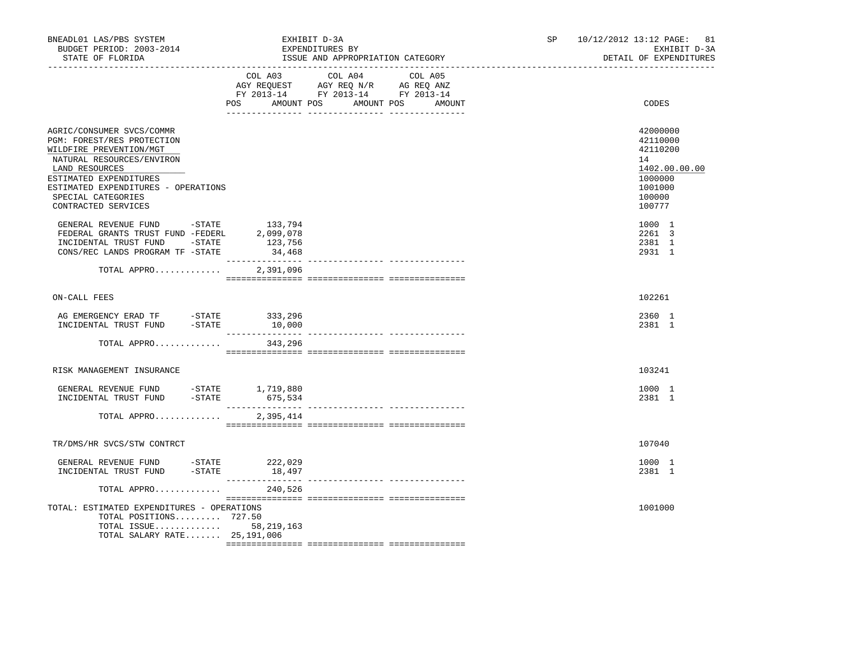| BNEADL01 LAS/PBS SYSTEM<br>BUDGET PERIOD: 2003-2014<br>STATE OF FLORIDA                                                                                                                                                                         |     |                                | EXHIBIT D-3A<br>EXPENDITURES BY<br>ISSUE AND APPROPRIATION CATEGORY                                                                                                                                                                                                                                                                                                                                                                     | 10/12/2012 13:12 PAGE: 81<br>SP and the set of the set of the set of the set of the set of the set of the set of the set of the set of the set of the set of the set of the set of the set of the set of the set of the set of the set of the set of the se<br>EXHIBIT D-3A<br>DETAIL OF EXPENDITURES |  |                                                                                                   |
|-------------------------------------------------------------------------------------------------------------------------------------------------------------------------------------------------------------------------------------------------|-----|--------------------------------|-----------------------------------------------------------------------------------------------------------------------------------------------------------------------------------------------------------------------------------------------------------------------------------------------------------------------------------------------------------------------------------------------------------------------------------------|-------------------------------------------------------------------------------------------------------------------------------------------------------------------------------------------------------------------------------------------------------------------------------------------------------|--|---------------------------------------------------------------------------------------------------|
|                                                                                                                                                                                                                                                 | POS | AMOUNT POS                     | COL A03 COL A04 COL A05<br>AGY REQUEST AGY REQ N/R AG REQ ANZ<br>FY 2013-14 FY 2013-14 FY 2013-14<br>AMOUNT POS                                                                                                                                                                                                                                                                                                                         | AMOUNT                                                                                                                                                                                                                                                                                                |  | CODES                                                                                             |
| AGRIC/CONSUMER SVCS/COMMR<br>PGM: FOREST/RES PROTECTION<br>WILDFIRE PREVENTION/MGT<br>NATURAL RESOURCES/ENVIRON<br>LAND RESOURCES<br>ESTIMATED EXPENDITURES<br>ESTIMATED EXPENDITURES - OPERATIONS<br>SPECIAL CATEGORIES<br>CONTRACTED SERVICES |     |                                |                                                                                                                                                                                                                                                                                                                                                                                                                                         |                                                                                                                                                                                                                                                                                                       |  | 42000000<br>42110000<br>42110200<br>14<br>1402.00.00.00<br>1000000<br>1001000<br>100000<br>100777 |
| GENERAL REVENUE FUND -STATE 133.794<br>FEDERAL GRANTS TRUST FUND -FEDERL<br>INCIDENTAL TRUST FUND -STATE<br>CONS/REC LANDS PROGRAM TF -STATE                                                                                                    |     | 2,099,078<br>123,756<br>34,468 |                                                                                                                                                                                                                                                                                                                                                                                                                                         |                                                                                                                                                                                                                                                                                                       |  | 1000 1<br>2261 3<br>2381 1<br>2931 1                                                              |
| TOTAL APPRO                                                                                                                                                                                                                                     |     | 2,391,096                      |                                                                                                                                                                                                                                                                                                                                                                                                                                         |                                                                                                                                                                                                                                                                                                       |  |                                                                                                   |
| ON-CALL FEES                                                                                                                                                                                                                                    |     |                                |                                                                                                                                                                                                                                                                                                                                                                                                                                         |                                                                                                                                                                                                                                                                                                       |  | 102261                                                                                            |
| AG EMERGENCY ERAD TF -STATE 333,296<br>INCIDENTAL TRUST FUND -STATE                                                                                                                                                                             |     | 10,000                         |                                                                                                                                                                                                                                                                                                                                                                                                                                         |                                                                                                                                                                                                                                                                                                       |  | 2360 1<br>2381 1                                                                                  |
| TOTAL APPRO                                                                                                                                                                                                                                     |     | 343,296                        |                                                                                                                                                                                                                                                                                                                                                                                                                                         |                                                                                                                                                                                                                                                                                                       |  |                                                                                                   |
| RISK MANAGEMENT INSURANCE                                                                                                                                                                                                                       |     |                                |                                                                                                                                                                                                                                                                                                                                                                                                                                         |                                                                                                                                                                                                                                                                                                       |  | 103241                                                                                            |
|                                                                                                                                                                                                                                                 |     |                                |                                                                                                                                                                                                                                                                                                                                                                                                                                         |                                                                                                                                                                                                                                                                                                       |  | 1000 1<br>2381 1                                                                                  |
| TOTAL APPRO                                                                                                                                                                                                                                     |     | 2,395,414                      | $\begin{minipage}{0.03\textwidth} \begin{tabular}{l} \textbf{1} & \textbf{2} & \textbf{3} & \textbf{5} & \textbf{5} & \textbf{6} & \textbf{6} & \textbf{7} & \textbf{8} & \textbf{8} & \textbf{9} & \textbf{9} & \textbf{9} & \textbf{9} & \textbf{9} & \textbf{9} & \textbf{9} & \textbf{9} & \textbf{9} & \textbf{9} & \textbf{9} & \textbf{9} & \textbf{9} & \textbf{9} & \textbf{9} & \textbf{9} & \textbf{9} & \textbf{9} & \text$ |                                                                                                                                                                                                                                                                                                       |  |                                                                                                   |
| TR/DMS/HR SVCS/STW CONTRCT                                                                                                                                                                                                                      |     |                                |                                                                                                                                                                                                                                                                                                                                                                                                                                         |                                                                                                                                                                                                                                                                                                       |  | 107040                                                                                            |
| GENERAL REVENUE FUND -STATE 222,029<br>INCIDENTAL TRUST FUND -STATE                                                                                                                                                                             |     | 18,497                         |                                                                                                                                                                                                                                                                                                                                                                                                                                         |                                                                                                                                                                                                                                                                                                       |  | 1000 1<br>2381 1                                                                                  |
| TOTAL APPRO                                                                                                                                                                                                                                     |     | 240,526                        |                                                                                                                                                                                                                                                                                                                                                                                                                                         |                                                                                                                                                                                                                                                                                                       |  |                                                                                                   |
| TOTAL: ESTIMATED EXPENDITURES - OPERATIONS<br>TOTAL POSITIONS 727.50<br>TOTAL ISSUE 58,219,163<br>TOTAL SALARY RATE 25,191,006                                                                                                                  |     |                                |                                                                                                                                                                                                                                                                                                                                                                                                                                         |                                                                                                                                                                                                                                                                                                       |  | 1001000                                                                                           |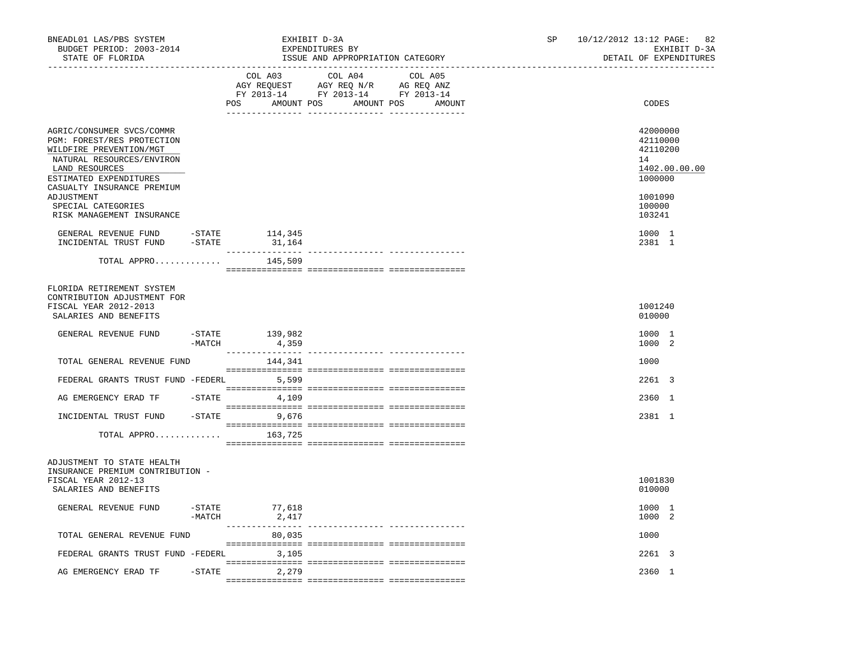| BNEADL01 LAS/PBS SYSTEM<br>BUDGET PERIOD: 2003-2014<br>STATE OF FLORIDA                                                                                                                                                       |           |                           | EXHIBIT D-3A<br>EXPENDITURES BY<br>ISSUE AND APPROPRIATION CATEGORY                                               | 10/12/2012 13:12 PAGE: 82<br>SP and the set of the set of the set of the set of the set of the set of the set of the set of the set of the set of the set of the set of the set of the set of the set of the set of the set of the set of the set of the se<br>EXHIBIT D-3A<br>DETAIL OF EXPENDITURES |                                                                                         |  |
|-------------------------------------------------------------------------------------------------------------------------------------------------------------------------------------------------------------------------------|-----------|---------------------------|-------------------------------------------------------------------------------------------------------------------|-------------------------------------------------------------------------------------------------------------------------------------------------------------------------------------------------------------------------------------------------------------------------------------------------------|-----------------------------------------------------------------------------------------|--|
|                                                                                                                                                                                                                               |           | COL A03<br>POS AMOUNT POS | COL A04 COL A05<br>AGY REQUEST AGY REQ N/R AG REQ ANZ<br>FY 2013-14 FY 2013-14 FY 2013-14<br>AMOUNT POS<br>AMOUNT |                                                                                                                                                                                                                                                                                                       | CODES                                                                                   |  |
| AGRIC/CONSUMER SVCS/COMMR<br>PGM: FOREST/RES PROTECTION<br>WILDFIRE PREVENTION/MGT<br>NATURAL RESOURCES/ENVIRON<br>LAND RESOURCES<br>ESTIMATED EXPENDITURES<br>CASUALTY INSURANCE PREMIUM<br>ADJUSTMENT<br>SPECIAL CATEGORIES |           |                           |                                                                                                                   |                                                                                                                                                                                                                                                                                                       | 42000000<br>42110000<br>42110200<br>14<br>1402.00.00.00<br>1000000<br>1001090<br>100000 |  |
| RISK MANAGEMENT INSURANCE                                                                                                                                                                                                     |           |                           |                                                                                                                   |                                                                                                                                                                                                                                                                                                       | 103241                                                                                  |  |
| GENERAL REVENUE FUND -STATE 114,345<br>INCIDENTAL TRUST FUND -STATE                                                                                                                                                           |           | 31,164                    |                                                                                                                   |                                                                                                                                                                                                                                                                                                       | 1000 1<br>2381 1                                                                        |  |
| TOTAL APPRO $145,509$                                                                                                                                                                                                         |           |                           |                                                                                                                   |                                                                                                                                                                                                                                                                                                       |                                                                                         |  |
| FLORIDA RETIREMENT SYSTEM<br>CONTRIBUTION ADJUSTMENT FOR<br>FISCAL YEAR 2012-2013<br>SALARIES AND BENEFITS                                                                                                                    |           |                           |                                                                                                                   |                                                                                                                                                                                                                                                                                                       | 1001240<br>010000                                                                       |  |
| GENERAL REVENUE FUND                                                                                                                                                                                                          | -MATCH    | $-STATE$ 139,982<br>4,359 |                                                                                                                   |                                                                                                                                                                                                                                                                                                       | 1000 1<br>1000 2                                                                        |  |
| TOTAL GENERAL REVENUE FUND                                                                                                                                                                                                    |           | 144,341                   |                                                                                                                   |                                                                                                                                                                                                                                                                                                       | 1000                                                                                    |  |
| FEDERAL GRANTS TRUST FUND -FEDERL 5,599                                                                                                                                                                                       |           |                           |                                                                                                                   |                                                                                                                                                                                                                                                                                                       | 2261 3                                                                                  |  |
| AG EMERGENCY ERAD TF - STATE                                                                                                                                                                                                  |           | 4,109                     |                                                                                                                   |                                                                                                                                                                                                                                                                                                       | 2360 1                                                                                  |  |
| INCIDENTAL TRUST FUND -STATE 9,676                                                                                                                                                                                            |           |                           |                                                                                                                   |                                                                                                                                                                                                                                                                                                       | 2381 1                                                                                  |  |
| TOTAL APPRO                                                                                                                                                                                                                   |           | 163,725                   |                                                                                                                   |                                                                                                                                                                                                                                                                                                       |                                                                                         |  |
| ADJUSTMENT TO STATE HEALTH<br>INSURANCE PREMIUM CONTRIBUTION -<br>FISCAL YEAR 2012-13<br>SALARIES AND BENEFITS                                                                                                                |           |                           |                                                                                                                   |                                                                                                                                                                                                                                                                                                       | 1001830<br>010000                                                                       |  |
| GENERAL REVENUE FUND -STATE                                                                                                                                                                                                   | $-MATCH$  | 77,618<br>2,417           |                                                                                                                   |                                                                                                                                                                                                                                                                                                       | 1000 1<br>1000 2                                                                        |  |
| TOTAL GENERAL REVENUE FUND                                                                                                                                                                                                    |           | ---------------<br>80,035 | --------- ---------------                                                                                         |                                                                                                                                                                                                                                                                                                       | 1000                                                                                    |  |
| FEDERAL GRANTS TRUST FUND -FEDERL                                                                                                                                                                                             |           | 3,105                     |                                                                                                                   |                                                                                                                                                                                                                                                                                                       | 2261 3                                                                                  |  |
| AG EMERGENCY ERAD TF                                                                                                                                                                                                          | $-$ STATE | 2,279                     |                                                                                                                   |                                                                                                                                                                                                                                                                                                       | 2360 1                                                                                  |  |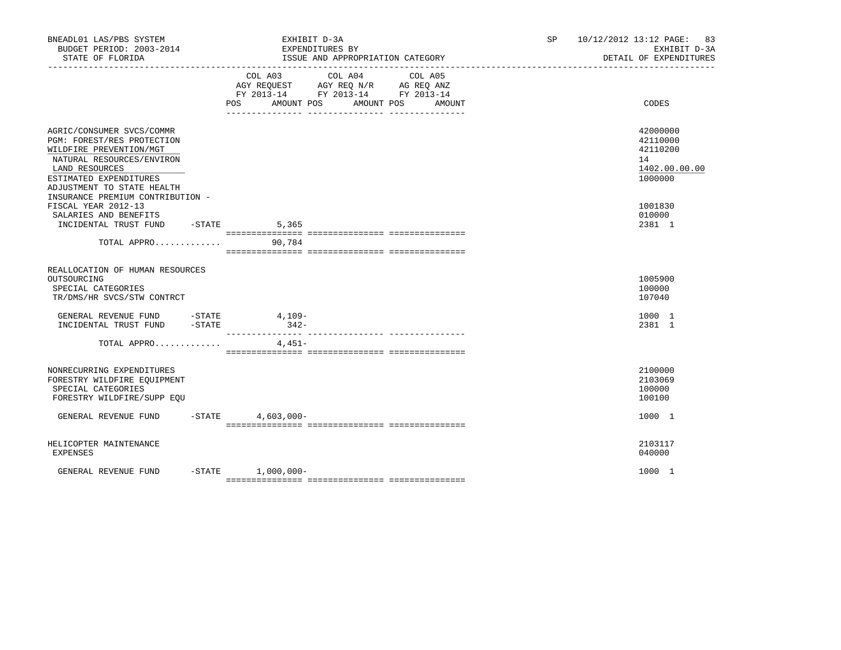| BNEADL01 LAS/PBS SYSTEM<br>BUDGET PERIOD: 2003-2014<br>STATE OF FLORIDA                                                                                                                   | EXHIBIT D-3A<br>EXPENDITURES BY<br>ISSUE AND APPROPRIATION CATEGORY                                                                            | 10/12/2012 13:12 PAGE: 83<br>SP<br>EXHIBIT D-3A<br>DETAIL OF EXPENDITURES |
|-------------------------------------------------------------------------------------------------------------------------------------------------------------------------------------------|------------------------------------------------------------------------------------------------------------------------------------------------|---------------------------------------------------------------------------|
|                                                                                                                                                                                           | COL A03<br>COL A04<br>COL A05<br>AGY REQUEST AGY REQ N/R AG REQ ANZ<br>FY 2013-14 FY 2013-14 FY 2013-14<br>POS AMOUNT POS AMOUNT POS<br>AMOUNT | CODES                                                                     |
| AGRIC/CONSUMER SVCS/COMMR<br>PGM: FOREST/RES PROTECTION<br>WILDFIRE PREVENTION/MGT<br>NATURAL RESOURCES/ENVIRON<br>LAND RESOURCES<br>ESTIMATED EXPENDITURES<br>ADJUSTMENT TO STATE HEALTH |                                                                                                                                                | 42000000<br>42110000<br>42110200<br>14<br>1402.00.00.00<br>1000000        |
| INSURANCE PREMIUM CONTRIBUTION -<br>FISCAL YEAR 2012-13<br>SALARIES AND BENEFITS<br>INCIDENTAL TRUST FUND -STATE<br>TOTAL APPRO 90,784                                                    | 5,365                                                                                                                                          | 1001830<br>010000<br>2381 1                                               |
| REALLOCATION OF HUMAN RESOURCES<br>OUTSOURCING<br>SPECIAL CATEGORIES<br>TR/DMS/HR SVCS/STW CONTRCT                                                                                        |                                                                                                                                                | 1005900<br>100000<br>107040                                               |
| GENERAL REVENUE FUND -STATE 4,109-<br>INCIDENTAL TRUST FUND -STATE                                                                                                                        | $342-$                                                                                                                                         | 1000 1<br>2381 1                                                          |
| TOTAL APPRO                                                                                                                                                                               | 4,451-                                                                                                                                         |                                                                           |
| NONRECURRING EXPENDITURES<br>FORESTRY WILDFIRE EQUIPMENT<br>SPECIAL CATEGORIES<br>FORESTRY WILDFIRE/SUPP EQU                                                                              |                                                                                                                                                | 2100000<br>2103069<br>100000<br>100100                                    |
| GENERAL REVENUE FUND                                                                                                                                                                      | $-$ STATE 4,603,000 -                                                                                                                          | 1000 1                                                                    |
| HELICOPTER MAINTENANCE<br>EXPENSES                                                                                                                                                        |                                                                                                                                                | 2103117<br>040000                                                         |
| GENERAL REVENUE FUND                                                                                                                                                                      | $-STATE$ 1,000,000-                                                                                                                            | 1000 1                                                                    |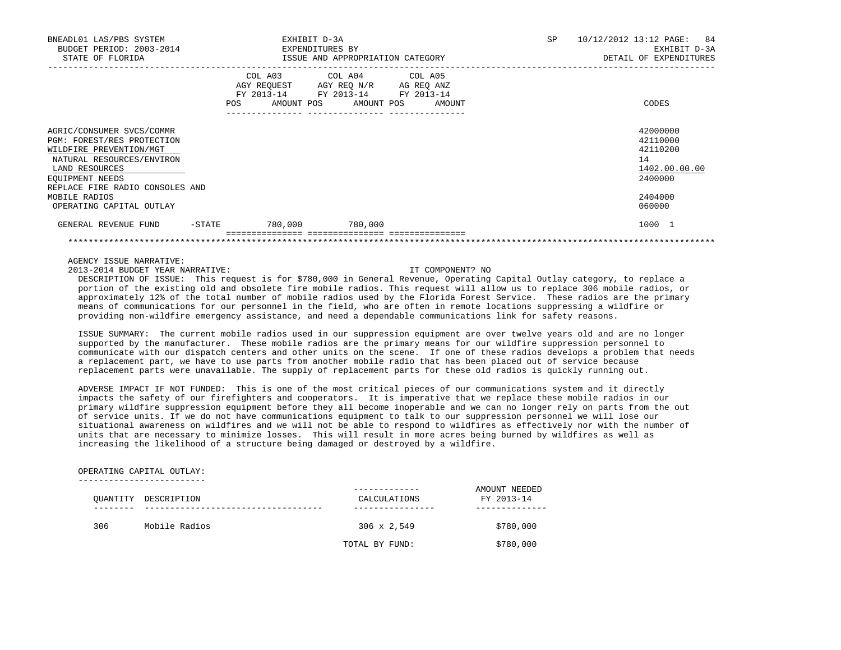| BNEADL01 LAS/PBS SYSTEM<br>BUDGET PERIOD: 2003-2014<br>STATE OF FLORIDA                                                                                                                 |           | EXHIBIT D-3A<br>EXPENDITURES BY<br>ISSUE AND APPROPRIATION CATEGORY |                                                                                                                    |                              | SP | 10/12/2012 13:12 PAGE: 84<br>EXHIBIT D-3A<br>DETAIL OF EXPENDITURES |
|-----------------------------------------------------------------------------------------------------------------------------------------------------------------------------------------|-----------|---------------------------------------------------------------------|--------------------------------------------------------------------------------------------------------------------|------------------------------|----|---------------------------------------------------------------------|
|                                                                                                                                                                                         |           | POS                                                                 | COL A03 COL A04 COL A05<br>AGY REQUEST AGY REQ N/R AG REQ ANZ<br>FY 2013-14 FY 2013-14 FY 2013-14<br>------------- | AMOUNT POS AMOUNT POS AMOUNT |    | CODES                                                               |
| AGRIC/CONSUMER SVCS/COMMR<br>PGM: FOREST/RES PROTECTION<br>WILDFIRE PREVENTION/MGT<br>NATURAL RESOURCES/ENVIRON<br>LAND RESOURCES<br>EOUIPMENT NEEDS<br>REPLACE FIRE RADIO CONSOLES AND |           |                                                                     |                                                                                                                    |                              |    | 42000000<br>42110000<br>42110200<br>14<br>1402.00.00.00<br>2400000  |
| MOBILE RADIOS<br>OPERATING CAPITAL OUTLAY                                                                                                                                               |           |                                                                     |                                                                                                                    |                              |    | 2404000<br>060000                                                   |
| GENERAL REVENUE FUND                                                                                                                                                                    | $-$ STATE |                                                                     | 780,000 780,000                                                                                                    |                              |    | 1000 1                                                              |
|                                                                                                                                                                                         |           |                                                                     |                                                                                                                    |                              |    |                                                                     |

AGENCY ISSUE NARRATIVE:

2013-2014 BUDGET YEAR NARRATIVE: IT COMPONENT? NO

 DESCRIPTION OF ISSUE: This request is for \$780,000 in General Revenue, Operating Capital Outlay category, to replace a portion of the existing old and obsolete fire mobile radios. This request will allow us to replace 306 mobile radios, or approximately 12% of the total number of mobile radios used by the Florida Forest Service. These radios are the primary means of communications for our personnel in the field, who are often in remote locations suppressing a wildfire or providing non-wildfire emergency assistance, and need a dependable communications link for safety reasons.

 ISSUE SUMMARY: The current mobile radios used in our suppression equipment are over twelve years old and are no longer supported by the manufacturer. These mobile radios are the primary means for our wildfire suppression personnel to communicate with our dispatch centers and other units on the scene. If one of these radios develops a problem that needs a replacement part, we have to use parts from another mobile radio that has been placed out of service because replacement parts were unavailable. The supply of replacement parts for these old radios is quickly running out.

 ADVERSE IMPACT IF NOT FUNDED: This is one of the most critical pieces of our communications system and it directly impacts the safety of our firefighters and cooperators. It is imperative that we replace these mobile radios in our primary wildfire suppression equipment before they all become inoperable and we can no longer rely on parts from the out of service units. If we do not have communications equipment to talk to our suppression personnel we will lose our situational awareness on wildfires and we will not be able to respond to wildfires as effectively nor with the number of units that are necessary to minimize losses. This will result in more acres being burned by wildfires as well as increasing the likelihood of a structure being damaged or destroyed by a wildfire.

# OPERATING CAPITAL OUTLAY:

-------------------------

|     |                      |                    | AMOUNT NEEDED |
|-----|----------------------|--------------------|---------------|
|     | OUANTITY DESCRIPTION | CALCULATIONS       | FY 2013-14    |
|     |                      |                    |               |
| 306 | Mobile Radios        | $306 \times 2,549$ | \$780,000     |
|     |                      | TOTAL BY FUND:     | \$780,000     |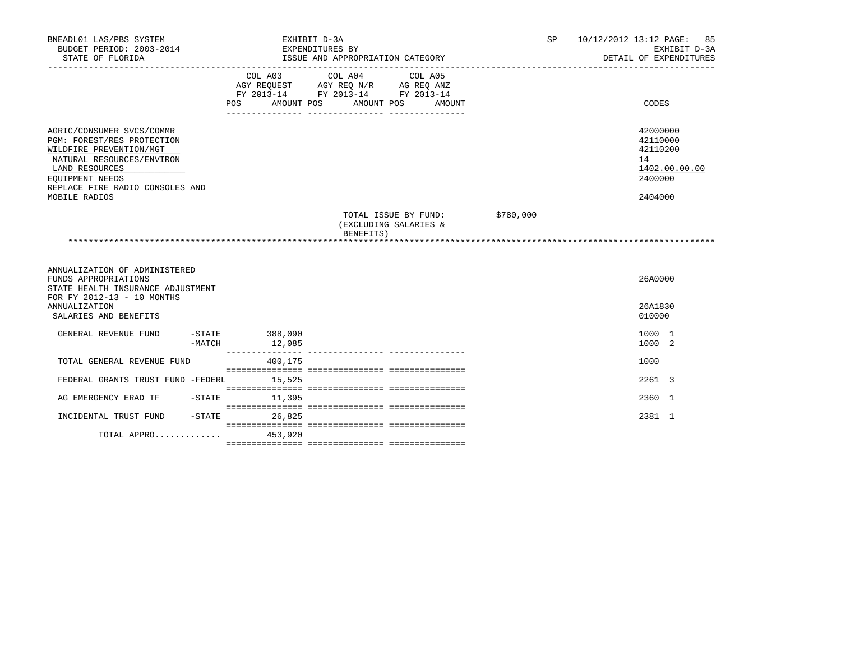| BNEADL01 LAS/PBS SYSTEM<br>BUDGET PERIOD: 2003-2014<br>STATE OF FLORIDA                                                                                                                                  |        |                              | EXHIBIT D-3A<br>EXPENDITURES BY<br>ISSUE AND APPROPRIATION CATEGORY                       |                                               |           | SP | 10/12/2012 13:12 PAGE: 85<br>EXHIBIT D-3A<br>DETAIL OF EXPENDITURES           |
|----------------------------------------------------------------------------------------------------------------------------------------------------------------------------------------------------------|--------|------------------------------|-------------------------------------------------------------------------------------------|-----------------------------------------------|-----------|----|-------------------------------------------------------------------------------|
|                                                                                                                                                                                                          |        | COL A03<br>AMOUNT POS<br>POS | COL A04 COL A05<br>AGY REQUEST AGY REQ N/R AG REQ ANZ<br>FY 2013-14 FY 2013-14 FY 2013-14 | AMOUNT POS<br>AMOUNT                          |           |    | CODES                                                                         |
| AGRIC/CONSUMER SVCS/COMMR<br>PGM: FOREST/RES PROTECTION<br>WILDFIRE PREVENTION/MGT<br>NATURAL RESOURCES/ENVIRON<br>LAND RESOURCES<br>EQUIPMENT NEEDS<br>REPLACE FIRE RADIO CONSOLES AND<br>MOBILE RADIOS |        |                              |                                                                                           |                                               |           |    | 42000000<br>42110000<br>42110200<br>14<br>1402.00.00.00<br>2400000<br>2404000 |
|                                                                                                                                                                                                          |        |                              | BENEFITS)                                                                                 | TOTAL ISSUE BY FUND:<br>(EXCLUDING SALARIES & | \$780,000 |    |                                                                               |
| ANNUALIZATION OF ADMINISTERED<br>FUNDS APPROPRIATIONS<br>STATE HEALTH INSURANCE ADJUSTMENT<br>FOR FY 2012-13 - 10 MONTHS                                                                                 |        |                              |                                                                                           |                                               |           |    | 26A0000                                                                       |
| <b>ANNUALIZATION</b><br>SALARIES AND BENEFITS                                                                                                                                                            |        |                              |                                                                                           |                                               |           |    | 26A1830<br>010000                                                             |
| GENERAL REVENUE FUND                                                                                                                                                                                     | -MATCH | $-STATE$ 388,090<br>12,085   |                                                                                           |                                               |           |    | 1000 1<br>1000 2                                                              |
| TOTAL GENERAL REVENUE FUND                                                                                                                                                                               |        | 400,175                      |                                                                                           |                                               |           |    | 1000                                                                          |
| FEDERAL GRANTS TRUST FUND -FEDERL                                                                                                                                                                        |        | 15,525                       |                                                                                           |                                               |           |    | 2261 3                                                                        |
| AG EMERGENCY ERAD TF - STATE                                                                                                                                                                             |        | 11,395                       |                                                                                           |                                               |           |    | 2360 1                                                                        |
| INCIDENTAL TRUST FUND                                                                                                                                                                                    |        | $-$ STATE<br>26,825          |                                                                                           |                                               |           |    | 2381 1                                                                        |
| TOTAL APPRO                                                                                                                                                                                              |        | 453,920                      |                                                                                           |                                               |           |    |                                                                               |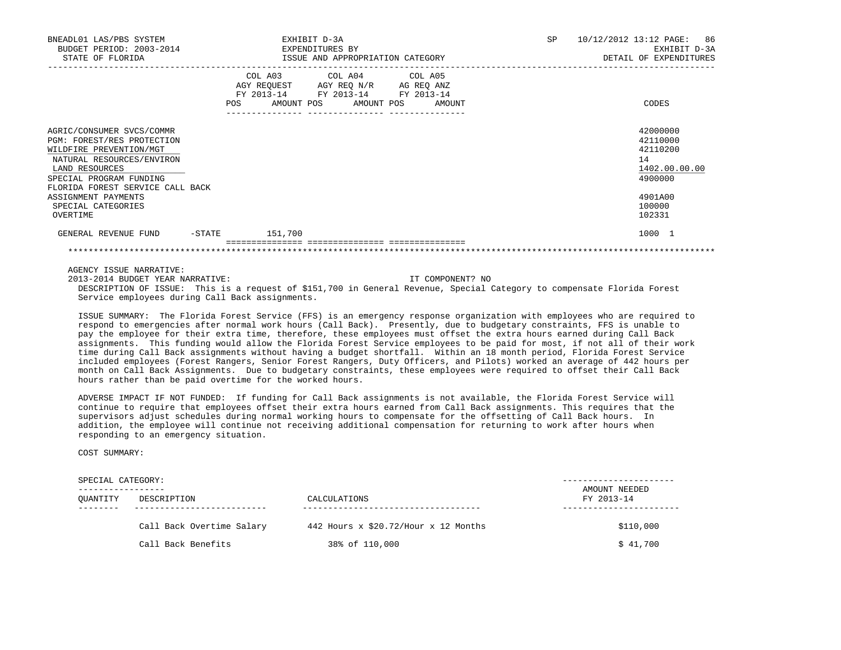| BNEADL01 LAS/PBS SYSTEM<br>BUDGET PERIOD: 2003-2014<br>STATE OF FLORIDA                                                                                                                                                 | EXHIBIT D-3A<br>EXPENDITURES BY<br>ISSUE AND APPROPRIATION CATEGORY |                                            |                                                                                                        | 10/12/2012 13:12 PAGE:<br><b>SP</b><br>86<br>EXHIBIT D-3A<br>DETAIL OF EXPENDITURES |
|-------------------------------------------------------------------------------------------------------------------------------------------------------------------------------------------------------------------------|---------------------------------------------------------------------|--------------------------------------------|--------------------------------------------------------------------------------------------------------|-------------------------------------------------------------------------------------|
|                                                                                                                                                                                                                         |                                                                     | COL A03<br>FY 2013-14<br>POS<br>AMOUNT POS | COL A04 COL A05<br>AGY REQUEST AGY REQ N/R AG REQ ANZ<br>FY 2013-14 FY 2013-14<br>AMOUNT POS<br>AMOUNT | CODES                                                                               |
| AGRIC/CONSUMER SVCS/COMMR<br>PGM: FOREST/RES PROTECTION<br>WILDFIRE PREVENTION/MGT<br>NATURAL RESOURCES/ENVIRON<br>LAND RESOURCES<br>SPECIAL PROGRAM FUNDING<br>FLORIDA FOREST SERVICE CALL BACK<br>ASSIGNMENT PAYMENTS |                                                                     |                                            |                                                                                                        | 42000000<br>42110000<br>42110200<br>14<br>1402.00.00.00<br>4900000<br>4901A00       |
| SPECIAL CATEGORIES<br>OVERTIME                                                                                                                                                                                          |                                                                     |                                            |                                                                                                        | 100000<br>102331                                                                    |
| GENERAL REVENUE FUND                                                                                                                                                                                                    | $-$ STATE                                                           | 151,700                                    |                                                                                                        | 1000 1                                                                              |

AGENCY ISSUE NARRATIVE:

 2013-2014 BUDGET YEAR NARRATIVE: IT COMPONENT? NO DESCRIPTION OF ISSUE: This is a request of \$151,700 in General Revenue, Special Category to compensate Florida Forest

Service employees during Call Back assignments.

 ISSUE SUMMARY: The Florida Forest Service (FFS) is an emergency response organization with employees who are required to respond to emergencies after normal work hours (Call Back). Presently, due to budgetary constraints, FFS is unable to pay the employee for their extra time, therefore, these employees must offset the extra hours earned during Call Back assignments. This funding would allow the Florida Forest Service employees to be paid for most, if not all of their work time during Call Back assignments without having a budget shortfall. Within an 18 month period, Florida Forest Service included employees (Forest Rangers, Senior Forest Rangers, Duty Officers, and Pilots) worked an average of 442 hours per month on Call Back Assignments. Due to budgetary constraints, these employees were required to offset their Call Back hours rather than be paid overtime for the worked hours.

 ADVERSE IMPACT IF NOT FUNDED: If funding for Call Back assignments is not available, the Florida Forest Service will continue to require that employees offset their extra hours earned from Call Back assignments. This requires that the supervisors adjust schedules during normal working hours to compensate for the offsetting of Call Back hours. In addition, the employee will continue not receiving additional compensation for returning to work after hours when responding to an emergency situation.

COST SUMMARY:

| SPECIAL CATEGORY: |                           |                                          |                             |  |  |
|-------------------|---------------------------|------------------------------------------|-----------------------------|--|--|
| OUANTITY          | DESCRIPTION               | CALCULATIONS                             | AMOUNT NEEDED<br>FY 2013-14 |  |  |
|                   | Call Back Overtime Salary | 442 Hours $x$ \$20.72/Hour $x$ 12 Months | \$110,000                   |  |  |
|                   | Call Back Benefits        | 38% of 110,000                           | \$41,700                    |  |  |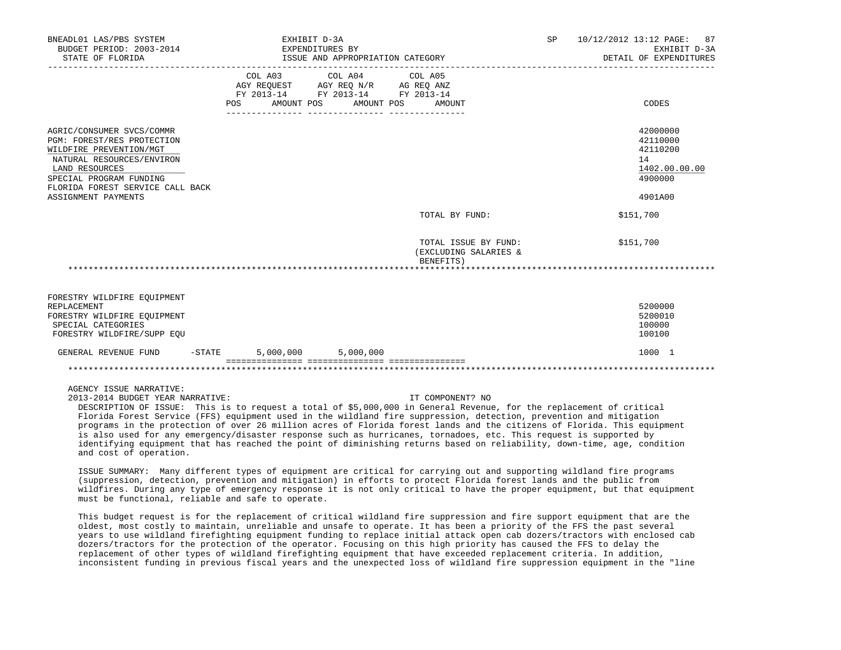| BNEADL01 LAS/PBS SYSTEM<br>BUDGET PERIOD: 2003-2014                                                                                                                                                                     |          | EXHIBIT D-3A<br>EXPENDITURES BY                                                                                                                                                                                                                                                                                                                                                                                                                                                                                                                                                                                                                                                                                                              | SP and the set of the set of the set of the set of the set of the set of the set of the set of the set of the set of the set of the set of the set of the set of the set of the set of the set of the set of the set of the se | 10/12/2012 13:12 PAGE: 87<br>EXHIBIT D-3A<br>DETAIL OF EXPENDITURES           |
|-------------------------------------------------------------------------------------------------------------------------------------------------------------------------------------------------------------------------|----------|----------------------------------------------------------------------------------------------------------------------------------------------------------------------------------------------------------------------------------------------------------------------------------------------------------------------------------------------------------------------------------------------------------------------------------------------------------------------------------------------------------------------------------------------------------------------------------------------------------------------------------------------------------------------------------------------------------------------------------------------|--------------------------------------------------------------------------------------------------------------------------------------------------------------------------------------------------------------------------------|-------------------------------------------------------------------------------|
|                                                                                                                                                                                                                         |          | FY 2013-14 FY 2013-14 FY 2013-14<br>POS AMOUNT POS AMOUNT POS                                                                                                                                                                                                                                                                                                                                                                                                                                                                                                                                                                                                                                                                                | AMOUNT                                                                                                                                                                                                                         | CODES                                                                         |
| AGRIC/CONSUMER SVCS/COMMR<br>PGM: FOREST/RES PROTECTION<br>WILDFIRE PREVENTION/MGT<br>NATURAL RESOURCES/ENVIRON<br>LAND RESOURCES<br>SPECIAL PROGRAM FUNDING<br>FLORIDA FOREST SERVICE CALL BACK<br>ASSIGNMENT PAYMENTS |          |                                                                                                                                                                                                                                                                                                                                                                                                                                                                                                                                                                                                                                                                                                                                              |                                                                                                                                                                                                                                | 42000000<br>42110000<br>42110200<br>14<br>1402.00.00.00<br>4900000<br>4901A00 |
|                                                                                                                                                                                                                         |          |                                                                                                                                                                                                                                                                                                                                                                                                                                                                                                                                                                                                                                                                                                                                              | TOTAL BY FUND:                                                                                                                                                                                                                 | \$151,700                                                                     |
|                                                                                                                                                                                                                         |          | BENEFITS)                                                                                                                                                                                                                                                                                                                                                                                                                                                                                                                                                                                                                                                                                                                                    | TOTAL ISSUE BY FUND:<br>(EXCLUDING SALARIES &                                                                                                                                                                                  | \$151,700                                                                     |
|                                                                                                                                                                                                                         |          |                                                                                                                                                                                                                                                                                                                                                                                                                                                                                                                                                                                                                                                                                                                                              |                                                                                                                                                                                                                                |                                                                               |
| FORESTRY WILDFIRE EQUIPMENT<br>REPLACEMENT<br>FORESTRY WILDFIRE EQUIPMENT<br>SPECIAL CATEGORIES<br>FORESTRY WILDFIRE/SUPP EOU                                                                                           |          |                                                                                                                                                                                                                                                                                                                                                                                                                                                                                                                                                                                                                                                                                                                                              |                                                                                                                                                                                                                                | 5200000<br>5200010<br>100000<br>100100                                        |
| GENERAL REVENUE FUND                                                                                                                                                                                                    | $-STATE$ | 5,000,000 5,000,000                                                                                                                                                                                                                                                                                                                                                                                                                                                                                                                                                                                                                                                                                                                          |                                                                                                                                                                                                                                | 1000 1                                                                        |
|                                                                                                                                                                                                                         |          |                                                                                                                                                                                                                                                                                                                                                                                                                                                                                                                                                                                                                                                                                                                                              |                                                                                                                                                                                                                                |                                                                               |
| AGENCY ISSUE NARRATIVE:<br>2013-2014 BUDGET YEAR NARRATIVE:<br>and cost of operation.                                                                                                                                   |          | DESCRIPTION OF ISSUE: This is to request a total of \$5,000,000 in General Revenue, for the replacement of critical<br>Florida Forest Service (FFS) equipment used in the wildland fire suppression, detection, prevention and mitigation<br>programs in the protection of over 26 million acres of Florida forest lands and the citizens of Florida. This equipment<br>is also used for any emergency/disaster response such as hurricanes, tornadoes, etc. This request is supported by<br>identifying equipment that has reached the point of diminishing returns based on reliability, down-time, age, condition<br>ISSUE SUMMARY: Many different types of equipment are critical for carrying out and supporting wildland fire programs | IT COMPONENT? NO                                                                                                                                                                                                               |                                                                               |

 (suppression, detection, prevention and mitigation) in efforts to protect Florida forest lands and the public from wildfires. During any type of emergency response it is not only critical to have the proper equipment, but that equipment must be functional, reliable and safe to operate.

 This budget request is for the replacement of critical wildland fire suppression and fire support equipment that are the oldest, most costly to maintain, unreliable and unsafe to operate. It has been a priority of the FFS the past several years to use wildland firefighting equipment funding to replace initial attack open cab dozers/tractors with enclosed cab dozers/tractors for the protection of the operator. Focusing on this high priority has caused the FFS to delay the replacement of other types of wildland firefighting equipment that have exceeded replacement criteria. In addition, inconsistent funding in previous fiscal years and the unexpected loss of wildland fire suppression equipment in the "line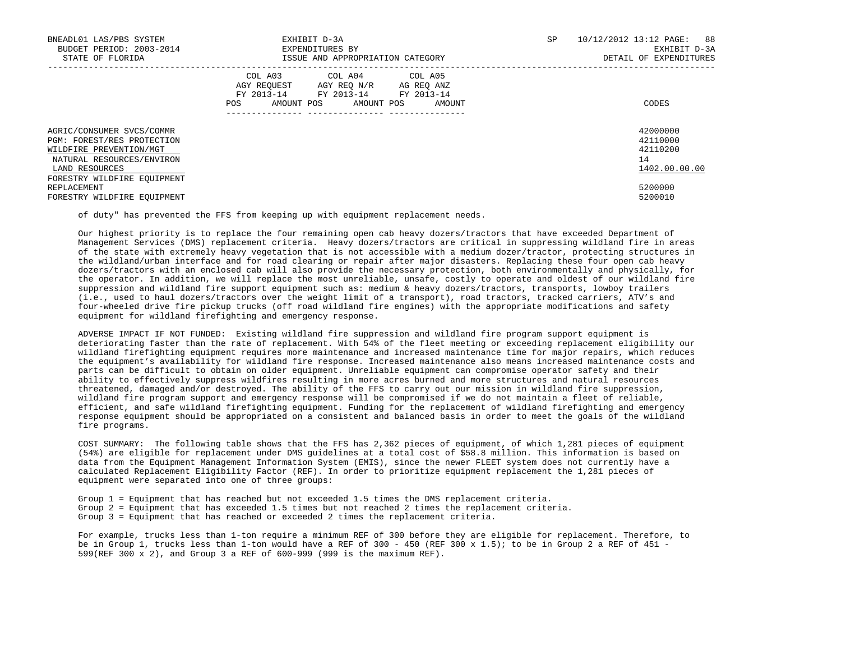| BNEADL01 LAS/PBS SYSTEM<br>BUDGET PERIOD: 2003-2014<br>STATE OF FLORIDA                                                                                          | EXHIBIT D-3A<br>EXPENDITURES BY<br>ISSUE AND APPROPRIATION CATEGORY                                                                               | SP | 10/12/2012 13:12 PAGE: 88<br>EXHIBIT D-3A<br>DETAIL OF EXPENDITURES |
|------------------------------------------------------------------------------------------------------------------------------------------------------------------|---------------------------------------------------------------------------------------------------------------------------------------------------|----|---------------------------------------------------------------------|
|                                                                                                                                                                  | COL A03<br>COL A04 COL A05<br>AGY REQUEST AGY REQ N/R AG REQ ANZ<br>FY 2013-14 FY 2013-14 FY 2013-14<br>AMOUNT POS<br>AMOUNT POS<br>POS<br>AMOUNT |    | CODES                                                               |
| AGRIC/CONSUMER SVCS/COMMR<br>PGM: FOREST/RES PROTECTION<br>WILDFIRE PREVENTION/MGT<br>NATURAL RESOURCES/ENVIRON<br>LAND RESOURCES<br>FORESTRY WILDFIRE EOUIPMENT |                                                                                                                                                   |    | 42000000<br>42110000<br>42110200<br>14<br>1402.00.00.00             |
| REPLACEMENT<br>FORESTRY WILDFIRE EOUIPMENT                                                                                                                       |                                                                                                                                                   |    | 5200000<br>5200010                                                  |

of duty" has prevented the FFS from keeping up with equipment replacement needs.

 Our highest priority is to replace the four remaining open cab heavy dozers/tractors that have exceeded Department of Management Services (DMS) replacement criteria. Heavy dozers/tractors are critical in suppressing wildland fire in areas of the state with extremely heavy vegetation that is not accessible with a medium dozer/tractor, protecting structures in the wildland/urban interface and for road clearing or repair after major disasters. Replacing these four open cab heavy dozers/tractors with an enclosed cab will also provide the necessary protection, both environmentally and physically, for the operator. In addition, we will replace the most unreliable, unsafe, costly to operate and oldest of our wildland fire suppression and wildland fire support equipment such as: medium & heavy dozers/tractors, transports, lowboy trailers (i.e., used to haul dozers/tractors over the weight limit of a transport), road tractors, tracked carriers, ATV's and four-wheeled drive fire pickup trucks (off road wildland fire engines) with the appropriate modifications and safety equipment for wildland firefighting and emergency response.

 ADVERSE IMPACT IF NOT FUNDED: Existing wildland fire suppression and wildland fire program support equipment is deteriorating faster than the rate of replacement. With 54% of the fleet meeting or exceeding replacement eligibility our wildland firefighting equipment requires more maintenance and increased maintenance time for major repairs, which reduces the equipment's availability for wildland fire response. Increased maintenance also means increased maintenance costs and parts can be difficult to obtain on older equipment. Unreliable equipment can compromise operator safety and their ability to effectively suppress wildfires resulting in more acres burned and more structures and natural resources threatened, damaged and/or destroyed. The ability of the FFS to carry out our mission in wildland fire suppression, wildland fire program support and emergency response will be compromised if we do not maintain a fleet of reliable, efficient, and safe wildland firefighting equipment. Funding for the replacement of wildland firefighting and emergency response equipment should be appropriated on a consistent and balanced basis in order to meet the goals of the wildland fire programs.

COST SUMMARY: The following table shows that the FFS has  $2.362$  pieces of equipment, of which 1,281 pieces of equipment (54%) are eligible for replacement under DMS guidelines at a total cost of \$58.8 million. This information is based on data from the Equipment Management Information System (EMIS), since the newer FLEET system does not currently have a calculated Replacement Eligibility Factor (REF). In order to prioritize equipment replacement the 1,281 pieces of equipment were separated into one of three groups:

 Group 1 = Equipment that has reached but not exceeded 1.5 times the DMS replacement criteria. Group 2 = Equipment that has exceeded 1.5 times but not reached 2 times the replacement criteria. Group 3 = Equipment that has reached or exceeded 2 times the replacement criteria.

 For example, trucks less than 1-ton require a minimum REF of 300 before they are eligible for replacement. Therefore, to be in Group 1, trucks less than 1-ton would have a REF of 300 - 450 (REF 300 x 1.5); to be in Group 2 a REF of 451 -599(REF 300 x 2), and Group 3 a REF of 600-999 (999 is the maximum REF).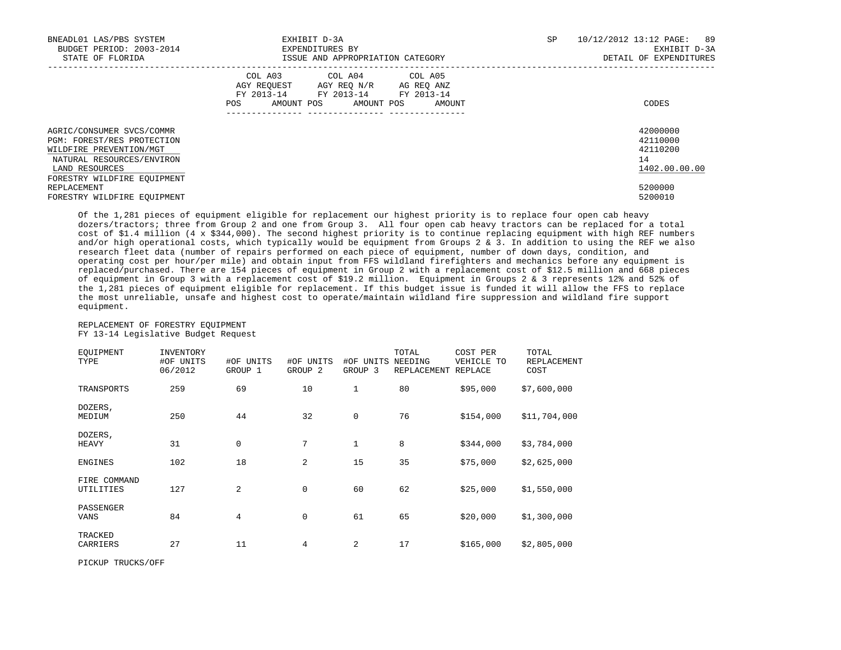| BNEADL01 LAS/PBS SYSTEM<br>BUDGET PERIOD: 2003-2014<br>STATE OF FLORIDA                                                                                          | EXHIBIT D-3A<br>EXPENDITURES BY<br>ISSUE AND APPROPRIATION CATEGORY                                                                            | SP | 10/12/2012 13:12 PAGE: 89<br>EXHIBIT D-3A<br>DETAIL OF EXPENDITURES |
|------------------------------------------------------------------------------------------------------------------------------------------------------------------|------------------------------------------------------------------------------------------------------------------------------------------------|----|---------------------------------------------------------------------|
|                                                                                                                                                                  | COL A03 COL A04 COL A05<br>AGY REQUEST AGY REQ N/R AG REQ ANZ<br>FY 2013-14 FY 2013-14 FY 2013-14<br>AMOUNT POS<br>AMOUNT POS<br>POS<br>AMOUNT |    | CODES                                                               |
| AGRIC/CONSUMER SVCS/COMMR<br>PGM: FOREST/RES PROTECTION<br>WILDFIRE PREVENTION/MGT<br>NATURAL RESOURCES/ENVIRON<br>LAND RESOURCES<br>FORESTRY WILDFIRE EQUIPMENT |                                                                                                                                                |    | 42000000<br>42110000<br>42110200<br>14<br>1402.00.00.00             |
| REPLACEMENT<br>FORESTRY WILDFIRE EOUIPMENT                                                                                                                       |                                                                                                                                                |    | 5200000<br>5200010                                                  |

 Of the 1,281 pieces of equipment eligible for replacement our highest priority is to replace four open cab heavy dozers/tractors; three from Group 2 and one from Group 3. All four open cab heavy tractors can be replaced for a total cost of \$1.4 million (4 x \$344,000). The second highest priority is to continue replacing equipment with high REF numbers and/or high operational costs, which typically would be equipment from Groups 2 & 3. In addition to using the REF we also research fleet data (number of repairs performed on each piece of equipment, number of down days, condition, and operating cost per hour/per mile) and obtain input from FFS wildland firefighters and mechanics before any equipment is replaced/purchased. There are 154 pieces of equipment in Group 2 with a replacement cost of \$12.5 million and 668 pieces of equipment in Group 3 with a replacement cost of \$19.2 million. Equipment in Groups 2 & 3 represents 12% and 52% of the 1,281 pieces of equipment eligible for replacement. If this budget issue is funded it will allow the FFS to replace the most unreliable, unsafe and highest cost to operate/maintain wildland fire suppression and wildland fire support equipment.

# REPLACEMENT OF FORESTRY EQUIPMENT FY 13-14 Legislative Budget Request

| EOUIPMENT<br>TYPE         | INVENTORY<br>#OF UNITS<br>06/2012 | #OF UNITS<br>GROUP 1 | #OF UNITS<br>GROUP <sub>2</sub> | #OF<br>UNITS<br>GROUP <sub>3</sub> | TOTAL<br>NEEDING<br>REPLACEMENT | COST PER<br>VEHICLE TO<br>REPLACE | TOTAL<br><b>REPLACEMENT</b><br>COST |
|---------------------------|-----------------------------------|----------------------|---------------------------------|------------------------------------|---------------------------------|-----------------------------------|-------------------------------------|
| TRANSPORTS                | 259                               | 69                   | 10                              | $\mathbf{1}$                       | 80                              | \$95,000                          | \$7,600,000                         |
| DOZERS,<br>MEDIUM         | 250                               | 44                   | 32                              | $\mathbf 0$                        | 76                              | \$154,000                         | \$11,704,000                        |
| DOZERS,<br>HEAVY          | 31                                | $\mathbf 0$          | 7                               | 1                                  | 8                               | \$344,000                         | \$3,784,000                         |
| ENGINES                   | 102                               | 18                   | 2                               | 15                                 | 35                              | \$75,000                          | \$2,625,000                         |
| FIRE COMMAND<br>UTILITIES | 127                               | $\overline{a}$       | 0                               | 60                                 | 62                              | \$25,000                          | \$1,550,000                         |
| PASSENGER<br>VANS         | 84                                | 4                    | 0                               | 61                                 | 65                              | \$20,000                          | \$1,300,000                         |
| TRACKED<br>CARRIERS       | 27                                | 11                   | 4                               | 2                                  | 17                              | \$165,000                         | \$2,805,000                         |

PICKUP TRUCKS/OFF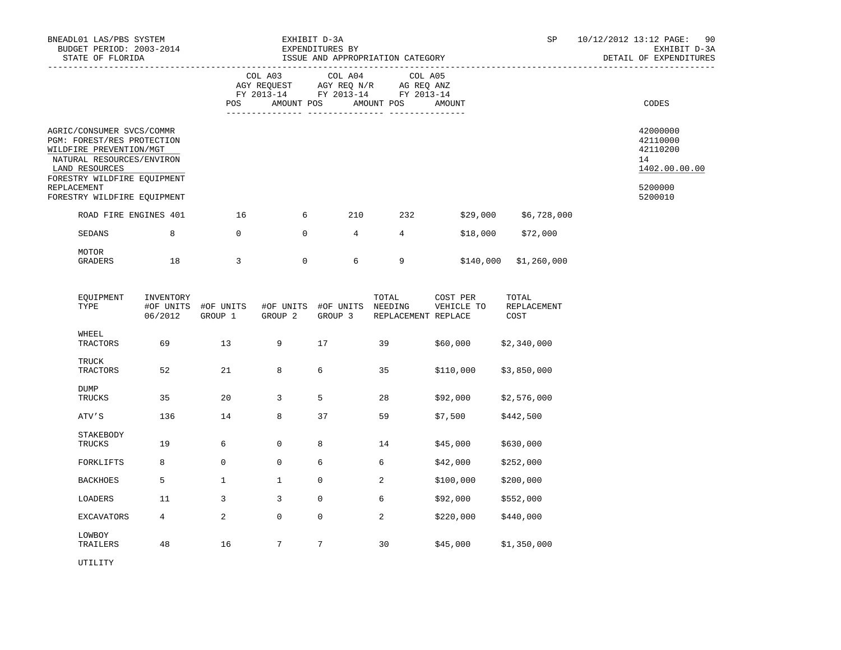| BNEADL01 LAS/PBS SYSTEM<br>STATE OF FLORIDA<br>AGRIC/CONSUMER SVCS/COMMR<br>PGM: FOREST/RES PROTECTION<br>WILDFIRE PREVENTION/MGT<br>NATURAL RESOURCES/ENVIRON<br>LAND RESOURCES<br>FORESTRY WILDFIRE EOUIPMENT<br><b>REPLACEMENT</b><br>FORESTRY WILDFIRE EQUIPMENT |    | EXHIBIT D-3A<br>BUDGET PERIOD: 2003-2014 EXPENDITURES BY<br>ISSUE AND APPROPRIATION CATEGORY |                                                                                                                                   |     |     |          | SP.                    | 10/12/2012 13:12 PAGE:<br>EXHIBIT D-3A<br>DETAIL OF EXPENDITURES              | 90 |
|----------------------------------------------------------------------------------------------------------------------------------------------------------------------------------------------------------------------------------------------------------------------|----|----------------------------------------------------------------------------------------------|-----------------------------------------------------------------------------------------------------------------------------------|-----|-----|----------|------------------------|-------------------------------------------------------------------------------|----|
|                                                                                                                                                                                                                                                                      |    | <b>POS</b>                                                                                   | COL A03 COL A04 COL A05<br>AGY REQUEST AGY REQ N/R AG REQ ANZ<br>FY 2013-14 FY 2013-14 FY 2013-14<br>AMOUNT POS AMOUNT POS AMOUNT |     |     |          |                        | CODES                                                                         |    |
|                                                                                                                                                                                                                                                                      |    |                                                                                              |                                                                                                                                   |     |     |          |                        | 42000000<br>42110000<br>42110200<br>14<br>1402.00.00.00<br>5200000<br>5200010 |    |
| ROAD FIRE ENGINES 401                                                                                                                                                                                                                                                |    | 16                                                                                           | 6                                                                                                                                 | 210 | 232 | \$29,000 | \$6,728,000            |                                                                               |    |
| SEDANS                                                                                                                                                                                                                                                               | 8  | $\Omega$                                                                                     | $\mathbf{0}$                                                                                                                      | 4   | 4   | \$18,000 | \$72,000               |                                                                               |    |
| MOTOR<br>GRADERS                                                                                                                                                                                                                                                     | 18 | 3                                                                                            | $\mathbf{0}$                                                                                                                      | 6   | 9   |          | $$140,000$ \$1,260,000 |                                                                               |    |

| EQUIPMENT<br>TYPE        | INVENTORY<br>#OF UNITS<br>06/2012 | #OF UNITS<br>GROUP 1 | #OF UNITS<br>GROUP <sub>2</sub> | #OF UNITS<br>GROUP 3 | TOTAL<br>NEEDING<br>REPLACEMENT REPLACE | COST PER<br>VEHICLE TO | TOTAL<br>REPLACEMENT<br>COST |
|--------------------------|-----------------------------------|----------------------|---------------------------------|----------------------|-----------------------------------------|------------------------|------------------------------|
| WHEEL<br><b>TRACTORS</b> | 69                                | 13                   | 9                               | 17                   | 39                                      | \$60,000               | \$2,340,000                  |
| <b>TRUCK</b><br>TRACTORS | 52                                | 21                   | 8                               | 6                    | 35                                      | \$110,000              | \$3,850,000                  |
| <b>DUMP</b><br>TRUCKS    | 35                                | 20                   | 3                               | 5                    | 28                                      | \$92,000               | \$2,576,000                  |
| ATV'S                    | 136                               | 14                   | 8                               | 37                   | 59                                      | \$7,500                | \$442,500                    |
| STAKEBODY<br>TRUCKS      | 19                                | 6                    | $\mathbf 0$                     | 8                    | 14                                      | \$45,000               | \$630,000                    |
| FORKLIFTS                | 8                                 | 0                    | $\mathbf 0$                     | 6                    | 6                                       | \$42,000               | \$252,000                    |
| <b>BACKHOES</b>          | 5                                 | $\mathbf{1}$         | $\mathbf{1}$                    | $\mathbf 0$          | 2                                       | \$100,000              | \$200,000                    |
| LOADERS                  | 11                                | 3                    | 3                               | $\mathbf 0$          | 6                                       | \$92,000               | \$552,000                    |
| <b>EXCAVATORS</b>        | 4                                 | 2                    | $\mathbf 0$                     | $\mathbf 0$          | $\sqrt{2}$                              | \$220,000              | \$440,000                    |
| LOWBOY<br>TRAILERS       | 48                                | 16                   | 7                               | 7                    | 30                                      | \$45,000               | \$1,350,000                  |

UTILITY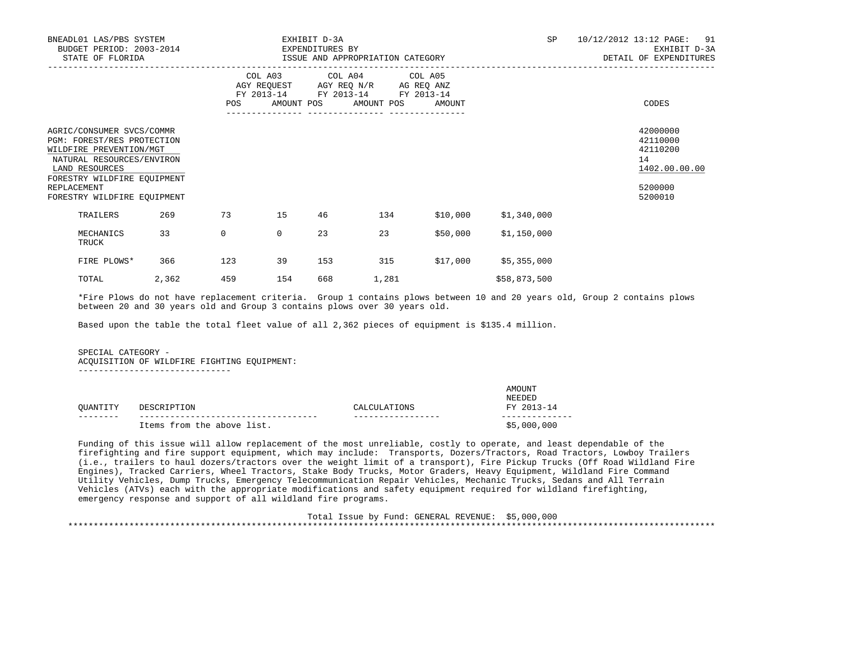| BNEADL01 LAS/PBS SYSTEM<br>BUDGET PERIOD: 2003-2014<br>STATE OF FLORIDA                                                                                                                                        |       |              | EXHIBIT D-3A<br>EXPENDITURES BY | ISSUE AND APPROPRIATION CATEGORY |                                                                                                                                       | SP<br>10/12/2012 13:12 PAGE: 91<br>EXHIBIT D-3A<br>DETAIL OF EXPENDITURES |              |                                                                               |
|----------------------------------------------------------------------------------------------------------------------------------------------------------------------------------------------------------------|-------|--------------|---------------------------------|----------------------------------|---------------------------------------------------------------------------------------------------------------------------------------|---------------------------------------------------------------------------|--------------|-------------------------------------------------------------------------------|
|                                                                                                                                                                                                                |       |              |                                 | ----------------                 | COL A03 COL A04 COL A05<br>AGY REQUEST AGY REQ N/R AG REQ ANZ<br>FY 2013-14 FY 2013-14 FY 2013-14<br>POS AMOUNT POS AMOUNT POS AMOUNT |                                                                           |              | CODES                                                                         |
| AGRIC/CONSUMER SVCS/COMMR<br>PGM: FOREST/RES PROTECTION<br>WILDFIRE PREVENTION/MGT<br>NATURAL RESOURCES/ENVIRON<br>LAND RESOURCES<br>FORESTRY WILDFIRE EOUIPMENT<br>REPLACEMENT<br>FORESTRY WILDFIRE EOUIPMENT |       |              |                                 |                                  |                                                                                                                                       |                                                                           |              | 42000000<br>42110000<br>42110200<br>14<br>1402.00.00.00<br>5200000<br>5200010 |
| TRAILERS                                                                                                                                                                                                       | 269   | 73           | 15                              | 46                               | 134                                                                                                                                   | \$10,000                                                                  | \$1,340,000  |                                                                               |
| MECHANICS<br>TRUCK                                                                                                                                                                                             | 33    | $\mathbf{0}$ | $\mathbf{0}$                    | 23                               | 23                                                                                                                                    | \$50,000                                                                  | \$1,150,000  |                                                                               |
| FIRE PLOWS*                                                                                                                                                                                                    | 366   | 123          | 39                              | 153                              | 315                                                                                                                                   | \$17,000                                                                  | \$5,355,000  |                                                                               |
| TOTAL                                                                                                                                                                                                          | 2,362 | 459          | 154                             | 668                              | 1,281                                                                                                                                 |                                                                           | \$58,873,500 |                                                                               |

 \*Fire Plows do not have replacement criteria. Group 1 contains plows between 10 and 20 years old, Group 2 contains plows between 20 and 30 years old and Group 3 contains plows over 30 years old.

Based upon the table the total fleet value of all 2,362 pieces of equipment is \$135.4 million.

# SPECIAL CATEGORY -

ACQUISITION OF WILDFIRE FIGHTING EQUIPMENT:

------------------------------

|          |                            |              | AMOUNT<br><b>NEEDED</b> |
|----------|----------------------------|--------------|-------------------------|
| OUANTITY | DESCRIPTION                | CALCULATIONS | FY 2013-14              |
|          | Items from the above list. |              | \$5,000,000             |

 Funding of this issue will allow replacement of the most unreliable, costly to operate, and least dependable of the firefighting and fire support equipment, which may include: Transports, Dozers/Tractors, Road Tractors, Lowboy Trailers (i.e., trailers to haul dozers/tractors over the weight limit of a transport), Fire Pickup Trucks (Off Road Wildland Fire Engines), Tracked Carriers, Wheel Tractors, Stake Body Trucks, Motor Graders, Heavy Equipment, Wildland Fire Command Utility Vehicles, Dump Trucks, Emergency Telecommunication Repair Vehicles, Mechanic Trucks, Sedans and All Terrain Vehicles (ATVs) each with the appropriate modifications and safety equipment required for wildland firefighting, emergency response and support of all wildland fire programs.

 Total Issue by Fund: GENERAL REVENUE: \$5,000,000 \*\*\*\*\*\*\*\*\*\*\*\*\*\*\*\*\*\*\*\*\*\*\*\*\*\*\*\*\*\*\*\*\*\*\*\*\*\*\*\*\*\*\*\*\*\*\*\*\*\*\*\*\*\*\*\*\*\*\*\*\*\*\*\*\*\*\*\*\*\*\*\*\*\*\*\*\*\*\*\*\*\*\*\*\*\*\*\*\*\*\*\*\*\*\*\*\*\*\*\*\*\*\*\*\*\*\*\*\*\*\*\*\*\*\*\*\*\*\*\*\*\*\*\*\*\*\*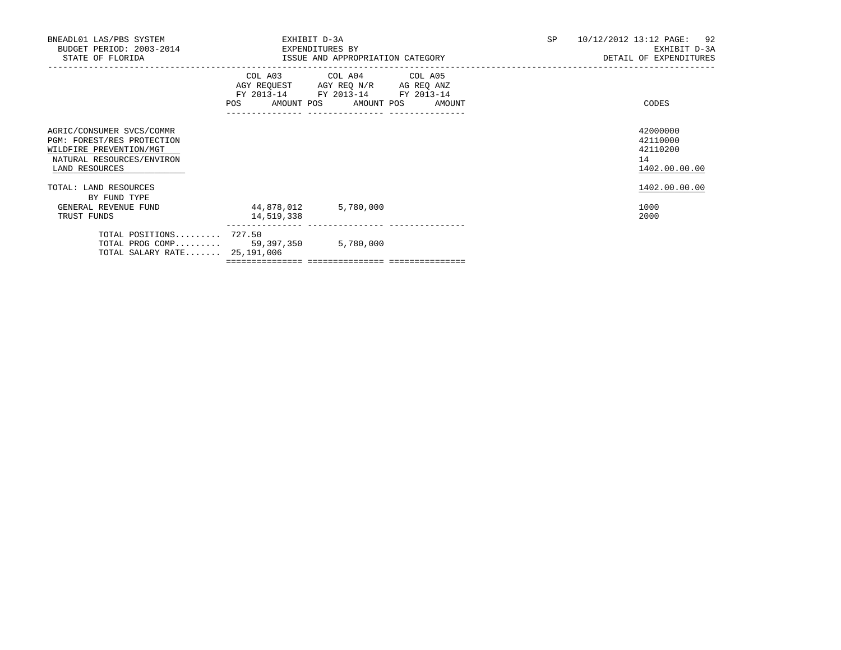| BNEADL01 LAS/PBS SYSTEM<br>BUDGET PERIOD: 2003-2014<br>EXPENDITURES BY<br>STATE OF FLORIDA                                        | 10/12/2012 13:12 PAGE: 92<br><b>SP</b><br>EXHIBIT D-3A<br>DETAIL OF EXPENDITURES |                                                                                                                                                           |  |                                                         |
|-----------------------------------------------------------------------------------------------------------------------------------|----------------------------------------------------------------------------------|-----------------------------------------------------------------------------------------------------------------------------------------------------------|--|---------------------------------------------------------|
|                                                                                                                                   |                                                                                  | COL A03 COL A04 COL A05<br>AGY REQUEST AGY REQ N/R AG REQ ANZ<br>FY 2013-14 FY 2013-14 FY 2013-14<br>POS AMOUNT POS AMOUNT POS AMOUNT<br>---------------- |  | CODES                                                   |
| AGRIC/CONSUMER SVCS/COMMR<br>PGM: FOREST/RES PROTECTION<br>WILDFIRE PREVENTION/MGT<br>NATURAL RESOURCES/ENVIRON<br>LAND RESOURCES |                                                                                  |                                                                                                                                                           |  | 42000000<br>42110000<br>42110200<br>14<br>1402.00.00.00 |
| TOTAL: LAND RESOURCES<br>BY FUND TYPE                                                                                             |                                                                                  |                                                                                                                                                           |  | 1402.00.00.00                                           |
| GENERAL REVENUE FUND<br>TRUST FUNDS                                                                                               | 44,878,012<br>14,519,338                                                         | 5,780,000                                                                                                                                                 |  | 1000<br>2000                                            |
| TOTAL POSITIONS 727.50<br>TOTAL PROG COMP 59,397,350 5,780,000<br>TOTAL SALARY RATE 25,191,006                                    |                                                                                  |                                                                                                                                                           |  |                                                         |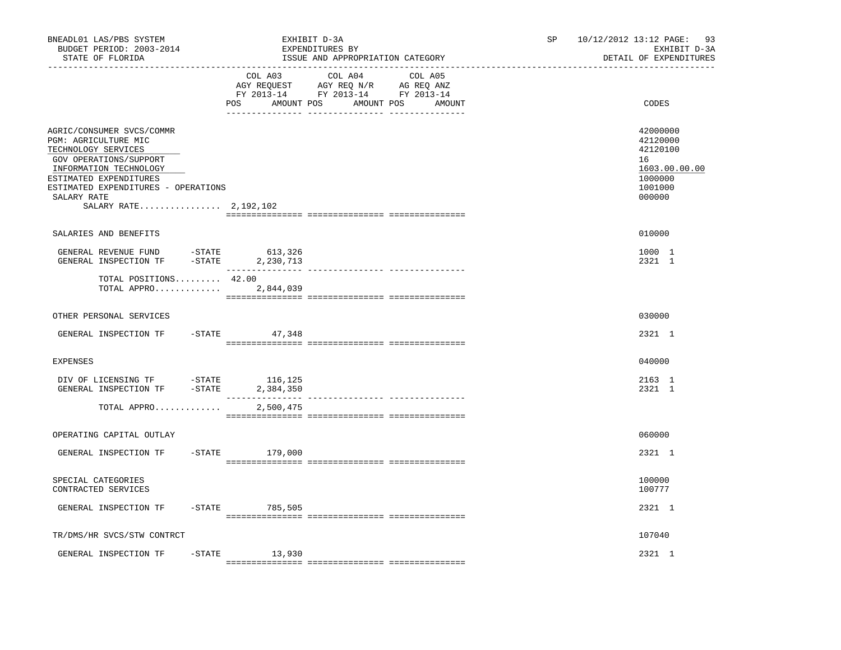| BNEADL01 LAS/PBS SYSTEM<br>BUDGET PERIOD: 2003-2014<br>STATE OF FLORIDA                                                                                                                                                                 |           |                               | EXHIBIT D-3A<br>EXPENDITURES BY<br>ISSUE AND APPROPRIATION CATEGORY                                                       | SP<br>10/12/2012 13:12 PAGE:<br>EXHIBIT D-3A<br>DETAIL OF EXPENDITURES |                                                                                         |  |
|-----------------------------------------------------------------------------------------------------------------------------------------------------------------------------------------------------------------------------------------|-----------|-------------------------------|---------------------------------------------------------------------------------------------------------------------------|------------------------------------------------------------------------|-----------------------------------------------------------------------------------------|--|
|                                                                                                                                                                                                                                         |           | COL A03<br>POS                | COL A04 COL A05<br>AGY REQUEST AGY REQ N/R AG REQ ANZ<br>FY 2013-14 FY 2013-14 FY 2013-14<br>AMOUNT POS AMOUNT POS AMOUNT |                                                                        | CODES                                                                                   |  |
| AGRIC/CONSUMER SVCS/COMMR<br>PGM: AGRICULTURE MIC<br>TECHNOLOGY SERVICES<br>GOV OPERATIONS/SUPPORT<br>INFORMATION TECHNOLOGY<br>ESTIMATED EXPENDITURES<br>ESTIMATED EXPENDITURES - OPERATIONS<br>SALARY RATE<br>SALARY RATE $2,192,102$ |           |                               |                                                                                                                           |                                                                        | 42000000<br>42120000<br>42120100<br>16<br>1603.00.00.00<br>1000000<br>1001000<br>000000 |  |
| SALARIES AND BENEFITS                                                                                                                                                                                                                   |           |                               |                                                                                                                           |                                                                        | 010000                                                                                  |  |
| GENERAL REVENUE FUND -STATE<br>GENERAL INSPECTION TF                                                                                                                                                                                    | $-STATE$  | 613,326<br>2,230,713          |                                                                                                                           |                                                                        | 1000 1<br>2321 1                                                                        |  |
| TOTAL POSITIONS 42.00<br>TOTAL APPRO 2,844,039                                                                                                                                                                                          |           |                               | -------------- ---------------                                                                                            |                                                                        |                                                                                         |  |
| OTHER PERSONAL SERVICES                                                                                                                                                                                                                 |           |                               |                                                                                                                           |                                                                        | 030000                                                                                  |  |
| GENERAL INSPECTION TF                                                                                                                                                                                                                   |           | $-$ STATE 47,348              |                                                                                                                           |                                                                        | 2321 1                                                                                  |  |
| EXPENSES                                                                                                                                                                                                                                |           |                               |                                                                                                                           |                                                                        | 040000                                                                                  |  |
| DIV OF LICENSING TF -STATE 116,125<br>GENERAL INSPECTION TF -STATE                                                                                                                                                                      |           | 2,384,350<br>________________ | --------------- ---------------                                                                                           |                                                                        | 2163 1<br>2321 1                                                                        |  |
| TOTAL APPRO                                                                                                                                                                                                                             |           | 2,500,475                     |                                                                                                                           |                                                                        |                                                                                         |  |
| OPERATING CAPITAL OUTLAY                                                                                                                                                                                                                |           |                               |                                                                                                                           |                                                                        | 060000                                                                                  |  |
| GENERAL INSPECTION TF                                                                                                                                                                                                                   | $-$ STATE | 179,000                       |                                                                                                                           |                                                                        | 2321 1                                                                                  |  |
| SPECIAL CATEGORIES<br>CONTRACTED SERVICES                                                                                                                                                                                               |           |                               |                                                                                                                           |                                                                        | 100000<br>100777                                                                        |  |
| GENERAL INSPECTION TF                                                                                                                                                                                                                   |           | $-STATE$ 785,505              |                                                                                                                           |                                                                        | 2321 1                                                                                  |  |
| TR/DMS/HR SVCS/STW CONTRCT                                                                                                                                                                                                              |           |                               |                                                                                                                           |                                                                        | 107040                                                                                  |  |
| GENERAL INSPECTION TF                                                                                                                                                                                                                   | $-$ STATE | 13,930                        |                                                                                                                           |                                                                        | 2321 1                                                                                  |  |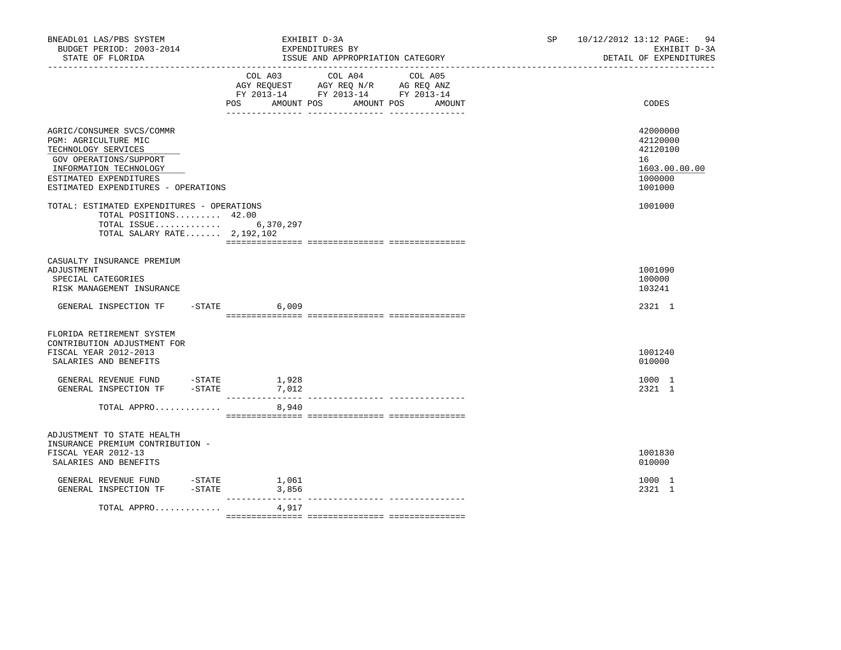| BNEADL01 LAS/PBS SYSTEM<br>BUDGET PERIOD: 2003-2014<br>STATE OF FLORIDA                                                                                                                       | EXHIBIT D-3A<br>EXPENDITURES BY<br>ISSUE AND APPROPRIATION CATEGORY                                                                                         | 10/12/2012 13:12 PAGE:<br>94<br>SP and the set of the set of the set of the set of the set of the set of the set of the set of the set of the set of the set of the set of the set of the set of the set of the set of the set of the set of the set of the se<br>EXHIBIT D-3A<br>DETAIL OF EXPENDITURES |
|-----------------------------------------------------------------------------------------------------------------------------------------------------------------------------------------------|-------------------------------------------------------------------------------------------------------------------------------------------------------------|----------------------------------------------------------------------------------------------------------------------------------------------------------------------------------------------------------------------------------------------------------------------------------------------------------|
|                                                                                                                                                                                               | COL A03<br>COL A04<br>COL A05<br>AGY REQUEST AGY REQ N/R AG REQ ANZ<br>FY 2013-14 FY 2013-14 FY 2013-14<br><b>POS</b><br>AMOUNT POS<br>AMOUNT POS<br>AMOUNT | CODES                                                                                                                                                                                                                                                                                                    |
| AGRIC/CONSUMER SVCS/COMMR<br>PGM: AGRICULTURE MIC<br>TECHNOLOGY SERVICES<br>GOV OPERATIONS/SUPPORT<br>INFORMATION TECHNOLOGY<br>ESTIMATED EXPENDITURES<br>ESTIMATED EXPENDITURES - OPERATIONS |                                                                                                                                                             | 42000000<br>42120000<br>42120100<br>16<br>1603.00.00.00<br>1000000<br>1001000                                                                                                                                                                                                                            |
| TOTAL: ESTIMATED EXPENDITURES - OPERATIONS<br>TOTAL POSITIONS 42.00<br>TOTAL ISSUE 6,370,297<br>TOTAL SALARY RATE 2,192,102                                                                   |                                                                                                                                                             | 1001000                                                                                                                                                                                                                                                                                                  |
| CASUALTY INSURANCE PREMIUM<br>ADJUSTMENT<br>SPECIAL CATEGORIES<br>RISK MANAGEMENT INSURANCE                                                                                                   |                                                                                                                                                             | 1001090<br>100000<br>103241                                                                                                                                                                                                                                                                              |
| GENERAL INSPECTION TF -STATE 6,009                                                                                                                                                            |                                                                                                                                                             | 2321 1                                                                                                                                                                                                                                                                                                   |
| FLORIDA RETIREMENT SYSTEM<br>CONTRIBUTION ADJUSTMENT FOR<br>FISCAL YEAR 2012-2013<br>SALARIES AND BENEFITS                                                                                    |                                                                                                                                                             | 1001240<br>010000                                                                                                                                                                                                                                                                                        |
| GENERAL REVENUE FUND - STATE<br>$-STATE$<br>GENERAL INSPECTION TF                                                                                                                             | 1,928<br>7,012                                                                                                                                              | 1000 1<br>2321 1                                                                                                                                                                                                                                                                                         |
| TOTAL APPRO                                                                                                                                                                                   | 8,940                                                                                                                                                       |                                                                                                                                                                                                                                                                                                          |
| ADJUSTMENT TO STATE HEALTH<br>INSURANCE PREMIUM CONTRIBUTION -<br>FISCAL YEAR 2012-13<br>SALARIES AND BENEFITS                                                                                |                                                                                                                                                             | 1001830<br>010000                                                                                                                                                                                                                                                                                        |
| GENERAL REVENUE FUND -STATE<br>$-$ STATE<br>GENERAL INSPECTION TF                                                                                                                             | 1,061<br>3,856                                                                                                                                              | 1000 1<br>2321 1                                                                                                                                                                                                                                                                                         |
| TOTAL APPRO                                                                                                                                                                                   | ---------<br>4,917                                                                                                                                          |                                                                                                                                                                                                                                                                                                          |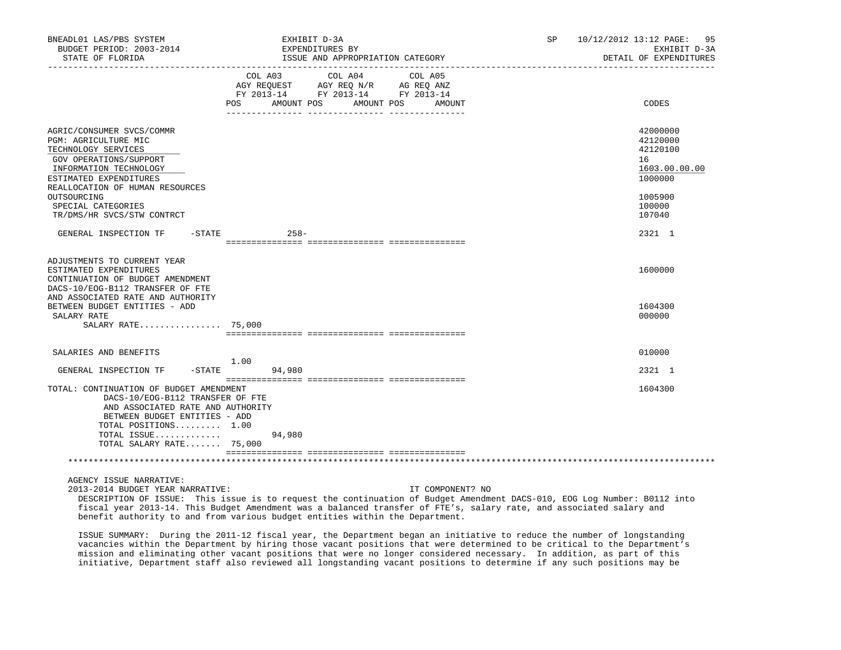| EXPENDITURES BY<br>ISSUE AND APPROPRIATION CATEGORY                                                                                                         | 95<br>SP.<br>10/12/2012 13:12 PAGE:<br>EXHIBIT D-3A<br>DETAIL OF EXPENDITURES                                                                                                                                                                                                                                                                      |
|-------------------------------------------------------------------------------------------------------------------------------------------------------------|----------------------------------------------------------------------------------------------------------------------------------------------------------------------------------------------------------------------------------------------------------------------------------------------------------------------------------------------------|
| COL A03<br>COL A04<br>COL A05<br>AGY REQUEST AGY REQ N/R AG REQ ANZ<br>FY 2013-14 FY 2013-14 FY 2013-14<br><b>POS</b><br>AMOUNT POS<br>AMOUNT POS<br>AMOUNT | CODES                                                                                                                                                                                                                                                                                                                                              |
|                                                                                                                                                             | 42000000<br>42120000<br>42120100<br>16<br>1603.00.00.00<br>1000000<br>1005900                                                                                                                                                                                                                                                                      |
| $258 -$                                                                                                                                                     | 100000<br>107040<br>2321 1                                                                                                                                                                                                                                                                                                                         |
|                                                                                                                                                             | 1600000<br>1604300<br>000000                                                                                                                                                                                                                                                                                                                       |
| 1.00<br>94,980                                                                                                                                              | 010000<br>2321 1                                                                                                                                                                                                                                                                                                                                   |
| 94,980                                                                                                                                                      | 1604300                                                                                                                                                                                                                                                                                                                                            |
|                                                                                                                                                             | ____________________________________<br>$-$ STATE<br>AND ASSOCIATED RATE AND AUTHORITY<br>SALARY RATE 75,000<br>$-STATE$<br>TOTAL: CONTINUATION OF BUDGET AMENDMENT<br>DACS-10/EOG-B112 TRANSFER OF FTE<br>AND ASSOCIATED RATE AND AUTHORITY<br>BETWEEN BUDGET ENTITIES - ADD<br>TOTAL POSITIONS $1.00$<br>TOTAL ISSUE<br>TOTAL SALARY RATE 75,000 |

AGENCY ISSUE NARRATIVE:

2013-2014 BUDGET YEAR NARRATIVE: IT COMPONENT? NO

 DESCRIPTION OF ISSUE: This issue is to request the continuation of Budget Amendment DACS-010, EOG Log Number: B0112 into fiscal year 2013-14. This Budget Amendment was a balanced transfer of FTE's, salary rate, and associated salary and benefit authority to and from various budget entities within the Department.

 ISSUE SUMMARY: During the 2011-12 fiscal year, the Department began an initiative to reduce the number of longstanding vacancies within the Department by hiring those vacant positions that were determined to be critical to the Department's mission and eliminating other vacant positions that were no longer considered necessary. In addition, as part of this initiative, Department staff also reviewed all longstanding vacant positions to determine if any such positions may be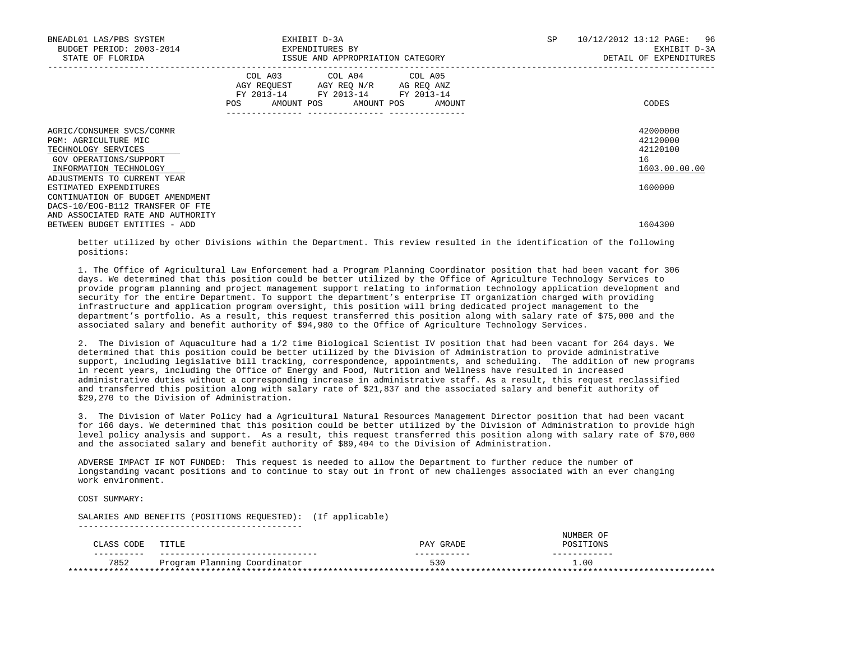| 10/12/2012 13:12 PAGE:<br>96<br>EXHIBIT D-3A<br>DETAIL OF EXPENDITURES |
|------------------------------------------------------------------------|
| CODES                                                                  |
| 42000000<br>42120000<br>42120100<br>16<br>1603.00.00.00                |
| 1600000<br>1604300                                                     |
|                                                                        |

 better utilized by other Divisions within the Department. This review resulted in the identification of the following positions:

 1. The Office of Agricultural Law Enforcement had a Program Planning Coordinator position that had been vacant for 306 days. We determined that this position could be better utilized by the Office of Agriculture Technology Services to provide program planning and project management support relating to information technology application development and security for the entire Department. To support the department's enterprise IT organization charged with providing infrastructure and application program oversight, this position will bring dedicated project management to the department's portfolio. As a result, this request transferred this position along with salary rate of \$75,000 and the associated salary and benefit authority of \$94,980 to the Office of Agriculture Technology Services.

 2. The Division of Aquaculture had a 1/2 time Biological Scientist IV position that had been vacant for 264 days. We determined that this position could be better utilized by the Division of Administration to provide administrative support, including legislative bill tracking, correspondence, appointments, and scheduling. The addition of new programs in recent years, including the Office of Energy and Food, Nutrition and Wellness have resulted in increased administrative duties without a corresponding increase in administrative staff. As a result, this request reclassified and transferred this position along with salary rate of \$21,837 and the associated salary and benefit authority of \$29,270 to the Division of Administration.

 3. The Division of Water Policy had a Agricultural Natural Resources Management Director position that had been vacant for 166 days. We determined that this position could be better utilized by the Division of Administration to provide high level policy analysis and support. As a result, this request transferred this position along with salary rate of \$70,000 and the associated salary and benefit authority of \$89,404 to the Division of Administration.

 ADVERSE IMPACT IF NOT FUNDED: This request is needed to allow the Department to further reduce the number of longstanding vacant positions and to continue to stay out in front of new challenges associated with an ever changing work environment.

COST SUMMARY:

 SALARIES AND BENEFITS (POSITIONS REQUESTED): (If applicable) --------------------------------------------

|                |                              |           | <b>ITIMRFP</b> |       |
|----------------|------------------------------|-----------|----------------|-------|
| CODE<br>LLASS. | TITLE                        | PAY GRADE |                |       |
| -------        |                              |           |                |       |
| 7852           | Program Planning Coordinator | 530       | $\bot.00$      |       |
|                |                              |           |                | ***** |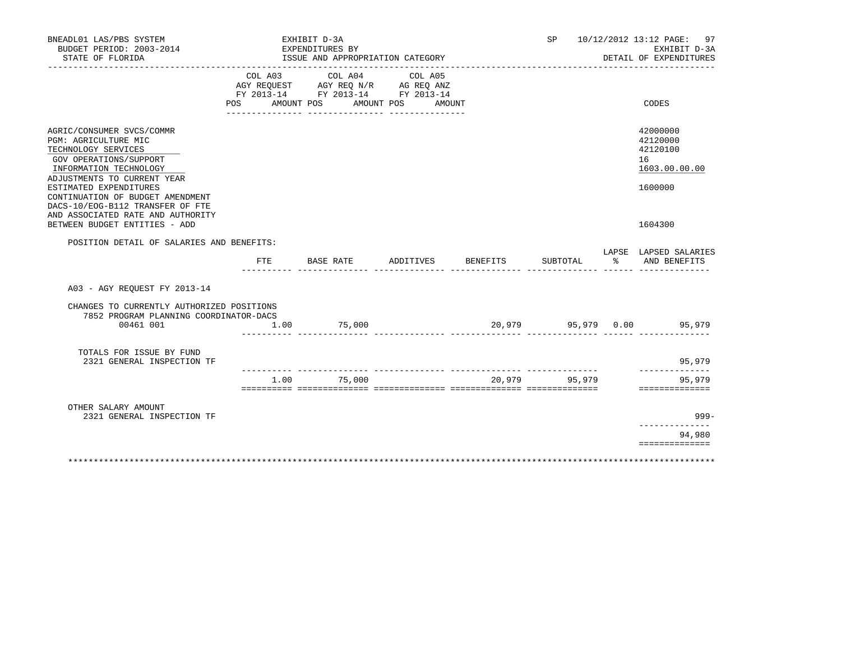| BNEADL01 LAS/PBS SYSTEM<br>BUDGET PERIOD: 2003-2014<br>STATE OF FLORIDA                                                                                                                                                                                       |                | EXHIBIT D-3A<br>EXPENDITURES BY<br>ISSUE AND APPROPRIATION CATEGORY<br>_______________________  |                              |               |    | SP 10/12/2012 13:12 PAGE: 97<br>EXHIBIT D-3A<br>DETAIL OF EXPENDITURES |
|---------------------------------------------------------------------------------------------------------------------------------------------------------------------------------------------------------------------------------------------------------------|----------------|-------------------------------------------------------------------------------------------------|------------------------------|---------------|----|------------------------------------------------------------------------|
|                                                                                                                                                                                                                                                               | COL A03<br>POS | COL A04<br>AGY REQUEST AGY REQ N/R AG REQ ANZ<br>FY 2013-14 FY 2013-14 FY 2013-14<br>AMOUNT POS | COL A05<br>AMOUNT POS AMOUNT |               |    | CODES                                                                  |
| AGRIC/CONSUMER SVCS/COMMR<br>PGM: AGRICULTURE MIC<br>TECHNOLOGY SERVICES<br>GOV OPERATIONS/SUPPORT<br>INFORMATION TECHNOLOGY<br>ADJUSTMENTS TO CURRENT YEAR<br>ESTIMATED EXPENDITURES<br>CONTINUATION OF BUDGET AMENDMENT<br>DACS-10/EOG-B112 TRANSFER OF FTE |                |                                                                                                 |                              |               |    | 42000000<br>42120000<br>42120100<br>16<br>1603.00.00.00<br>1600000     |
| AND ASSOCIATED RATE AND AUTHORITY<br>BETWEEN BUDGET ENTITIES - ADD                                                                                                                                                                                            |                |                                                                                                 |                              |               |    | 1604300                                                                |
| POSITION DETAIL OF SALARIES AND BENEFITS:                                                                                                                                                                                                                     |                |                                                                                                 |                              |               |    | LAPSE LAPSED SALARIES                                                  |
|                                                                                                                                                                                                                                                               | FTE            | BASE RATE                                                                                       | ADDITIVES BENEFITS           | SUBTOTAL      | ႜႂ | AND BENEFITS                                                           |
| A03 - AGY REOUEST FY 2013-14                                                                                                                                                                                                                                  |                |                                                                                                 |                              |               |    |                                                                        |
| CHANGES TO CURRENTLY AUTHORIZED POSITIONS<br>7852 PROGRAM PLANNING COORDINATOR-DACS<br>00461 001                                                                                                                                                              | 1.00           | 75,000                                                                                          |                              |               |    | 20,979 95,979 0.00 95,979                                              |
| TOTALS FOR ISSUE BY FUND<br>2321 GENERAL INSPECTION TF                                                                                                                                                                                                        |                |                                                                                                 |                              |               |    | 95,979                                                                 |
|                                                                                                                                                                                                                                                               |                | 1.00 75,000                                                                                     |                              | 20,979 95,979 |    | . <u>.</u><br>95,979<br>==============                                 |
| OTHER SALARY AMOUNT<br>2321 GENERAL INSPECTION TF                                                                                                                                                                                                             |                |                                                                                                 |                              |               |    | $999-$                                                                 |
|                                                                                                                                                                                                                                                               |                |                                                                                                 |                              |               |    | 94,980<br>==============                                               |
|                                                                                                                                                                                                                                                               |                |                                                                                                 |                              |               |    |                                                                        |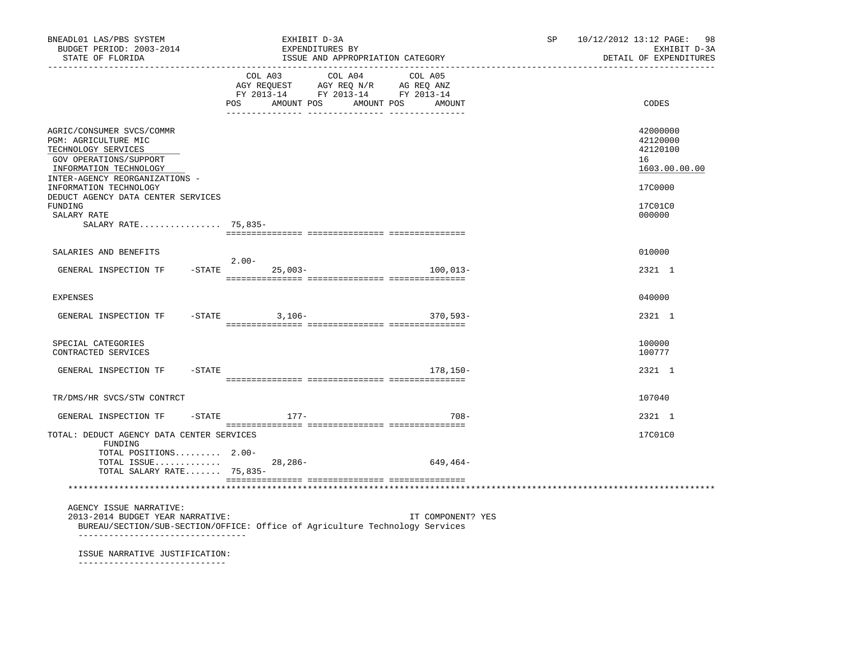| BNEADL01 LAS/PBS SYSTEM<br>BUDGET PERIOD: 2003-2014<br>STATE OF FLORIDA                                                                                        | EXHIBIT D-3A<br>EXPENDITURES BY                                                                                                       | ISSUE AND APPROPRIATION CATEGORY | SP and the set of the set of the set of the set of the set of the set of the set of the set of the set of the set of the set of the set of the set of the set of the set of the set of the set of the set of the set of the se | 10/12/2012 13:12 PAGE: 98<br>EXHIBIT D-3A<br>DETAIL OF EXPENDITURES |
|----------------------------------------------------------------------------------------------------------------------------------------------------------------|---------------------------------------------------------------------------------------------------------------------------------------|----------------------------------|--------------------------------------------------------------------------------------------------------------------------------------------------------------------------------------------------------------------------------|---------------------------------------------------------------------|
|                                                                                                                                                                | COL A03 COL A04 COL A05<br>AGY REQUEST AGY REQ N/R AG REQ ANZ<br>FY 2013-14 FY 2013-14 FY 2013-14<br>POS AMOUNT POS AMOUNT POS AMOUNT |                                  |                                                                                                                                                                                                                                | CODES                                                               |
| AGRIC/CONSUMER SVCS/COMMR<br>PGM: AGRICULTURE MIC<br>TECHNOLOGY SERVICES<br>GOV OPERATIONS/SUPPORT<br>INFORMATION TECHNOLOGY<br>INTER-AGENCY REORGANIZATIONS - |                                                                                                                                       |                                  |                                                                                                                                                                                                                                | 42000000<br>42120000<br>42120100<br>16<br>1603.00.00.00             |
| INFORMATION TECHNOLOGY<br>DEDUCT AGENCY DATA CENTER SERVICES<br>FUNDING<br>SALARY RATE                                                                         |                                                                                                                                       |                                  |                                                                                                                                                                                                                                | 17C0000<br>17C01C0<br>000000                                        |
| SALARY RATE 75,835-                                                                                                                                            |                                                                                                                                       |                                  |                                                                                                                                                                                                                                |                                                                     |
| SALARIES AND BENEFITS                                                                                                                                          |                                                                                                                                       |                                  |                                                                                                                                                                                                                                | 010000                                                              |
| GENERAL INSPECTION TF                                                                                                                                          | $2.00-$<br>$-STATE$ 25,003-                                                                                                           | 100,013-                         |                                                                                                                                                                                                                                | 2321 1                                                              |
| <b>EXPENSES</b>                                                                                                                                                |                                                                                                                                       |                                  |                                                                                                                                                                                                                                | 040000                                                              |
| GENERAL INSPECTION TF                                                                                                                                          | $-STATE$ 3, 106-                                                                                                                      | $370,593-$                       |                                                                                                                                                                                                                                | 2321 1                                                              |
| SPECIAL CATEGORIES<br>CONTRACTED SERVICES                                                                                                                      |                                                                                                                                       |                                  |                                                                                                                                                                                                                                | 100000<br>100777                                                    |
| GENERAL INSPECTION TF<br>$-$ STATE                                                                                                                             |                                                                                                                                       | $178.150 -$                      |                                                                                                                                                                                                                                | 2321 1                                                              |
| TR/DMS/HR SVCS/STW CONTRCT                                                                                                                                     |                                                                                                                                       |                                  |                                                                                                                                                                                                                                | 107040                                                              |
| GENERAL INSPECTION TF                                                                                                                                          | $-$ STATE $177-$                                                                                                                      | $708 -$                          |                                                                                                                                                                                                                                | 2321 1                                                              |
| TOTAL: DEDUCT AGENCY DATA CENTER SERVICES<br>FUNDING<br>TOTAL POSITIONS 2.00-                                                                                  |                                                                                                                                       |                                  |                                                                                                                                                                                                                                | 17C01C0                                                             |
| TOTAL ISSUE 28,286-<br>TOTAL SALARY RATE 75,835-                                                                                                               |                                                                                                                                       | 649,464–                         |                                                                                                                                                                                                                                |                                                                     |
|                                                                                                                                                                |                                                                                                                                       |                                  |                                                                                                                                                                                                                                |                                                                     |
| AGENCY ISSUE NARRATIVE:<br>2013-2014 BUDGET YEAR NARRATIVE:<br>__________________________________                                                              | BUREAU/SECTION/SUB-SECTION/OFFICE: Office of Agriculture Technology Services                                                          | IT COMPONENT? YES                |                                                                                                                                                                                                                                |                                                                     |
| ISSUE NARRATIVE JUSTIFICATION:                                                                                                                                 |                                                                                                                                       |                                  |                                                                                                                                                                                                                                |                                                                     |

-----------------------------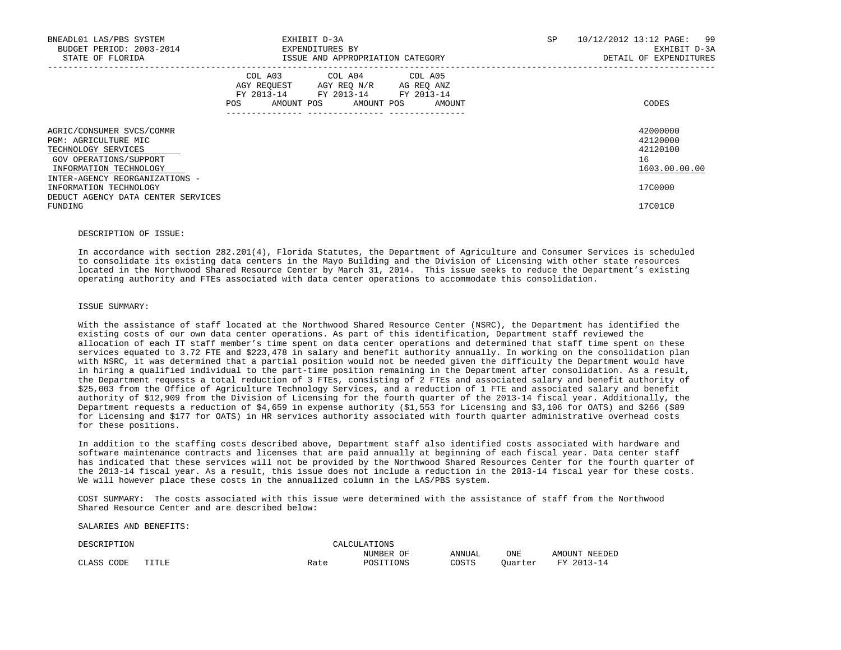| BNEADL01 LAS/PBS SYSTEM<br>BUDGET PERIOD: 2003-2014<br>STATE OF FLORIDA                                                      |                                             | EXHIBIT D-3A<br>EXPENDITURES BY<br>ISSUE AND APPROPRIATION CATEGORY                 |                      | SP. | 10/12/2012 13:12 PAGE: 99<br>EXHIBIT D-3A<br>DETAIL OF EXPENDITURES |
|------------------------------------------------------------------------------------------------------------------------------|---------------------------------------------|-------------------------------------------------------------------------------------|----------------------|-----|---------------------------------------------------------------------|
|                                                                                                                              | COL A03<br>AGY REOUEST<br>FY 2013-14<br>POS | COL A04 COL A05<br>AGY REQ N/R<br>FY 2013-14 FY 2013-14<br>AMOUNT POS<br>AMOUNT POS | AG REQ ANZ<br>AMOUNT |     | CODES                                                               |
| AGRIC/CONSUMER SVCS/COMMR<br>PGM: AGRICULTURE MIC<br>TECHNOLOGY SERVICES<br>GOV OPERATIONS/SUPPORT<br>INFORMATION TECHNOLOGY |                                             |                                                                                     |                      |     | 42000000<br>42120000<br>42120100<br>16<br>1603.00.00.00             |
| INTER-AGENCY REORGANIZATIONS -<br>INFORMATION TECHNOLOGY<br>DEDUCT AGENCY DATA CENTER SERVICES<br>FUNDING                    |                                             |                                                                                     |                      |     | 17C0000<br>17C01C0                                                  |

#### DESCRIPTION OF ISSUE:

 In accordance with section 282.201(4), Florida Statutes, the Department of Agriculture and Consumer Services is scheduled to consolidate its existing data centers in the Mayo Building and the Division of Licensing with other state resources located in the Northwood Shared Resource Center by March 31, 2014. This issue seeks to reduce the Department's existing operating authority and FTEs associated with data center operations to accommodate this consolidation.

# ISSUE SUMMARY:

 With the assistance of staff located at the Northwood Shared Resource Center (NSRC), the Department has identified the existing costs of our own data center operations. As part of this identification, Department staff reviewed the allocation of each IT staff member's time spent on data center operations and determined that staff time spent on these services equated to 3.72 FTE and \$223,478 in salary and benefit authority annually. In working on the consolidation plan with NSRC, it was determined that a partial position would not be needed given the difficulty the Department would have in hiring a qualified individual to the part-time position remaining in the Department after consolidation. As a result, the Department requests a total reduction of 3 FTEs, consisting of 2 FTEs and associated salary and benefit authority of \$25,003 from the Office of Agriculture Technology Services, and a reduction of 1 FTE and associated salary and benefit authority of \$12,909 from the Division of Licensing for the fourth quarter of the 2013-14 fiscal year. Additionally, the Department requests a reduction of \$4,659 in expense authority (\$1,553 for Licensing and \$3,106 for OATS) and \$266 (\$89 for Licensing and \$177 for OATS) in HR services authority associated with fourth quarter administrative overhead costs for these positions.

 In addition to the staffing costs described above, Department staff also identified costs associated with hardware and software maintenance contracts and licenses that are paid annually at beginning of each fiscal year. Data center staff has indicated that these services will not be provided by the Northwood Shared Resources Center for the fourth quarter of the 2013-14 fiscal year. As a result, this issue does not include a reduction in the 2013-14 fiscal year for these costs. We will however place these costs in the annualized column in the LAS/PBS system.

 COST SUMMARY: The costs associated with this issue were determined with the assistance of staff from the Northwood Shared Resource Center and are described below:

SALARIES AND BENEFITS:

| DE:                                 | ( ) N |      | ATTONS<br>$\sim$ $\sim$ $\sim$ $\sim$ $\sim$ $\sim$                                                                             |        |                      |                                             |
|-------------------------------------|-------|------|---------------------------------------------------------------------------------------------------------------------------------|--------|----------------------|---------------------------------------------|
|                                     |       |      | ∩1<br>NITMR.<br>the contract of the contract of the contract of the contract of the contract of the contract of the contract of | ANNUAL | ONE<br>$\sim$ $\sim$ | ידורדר ו<br>חיםרו אים וא<br>ΔM <sup>2</sup> |
| CODE<br>$\sim$ $\sim$ $\sim$ $\sim$ | TITLE | Rate |                                                                                                                                 | COSTS  | $^\circ$ uur cer     | <b>TRAZ</b>                                 |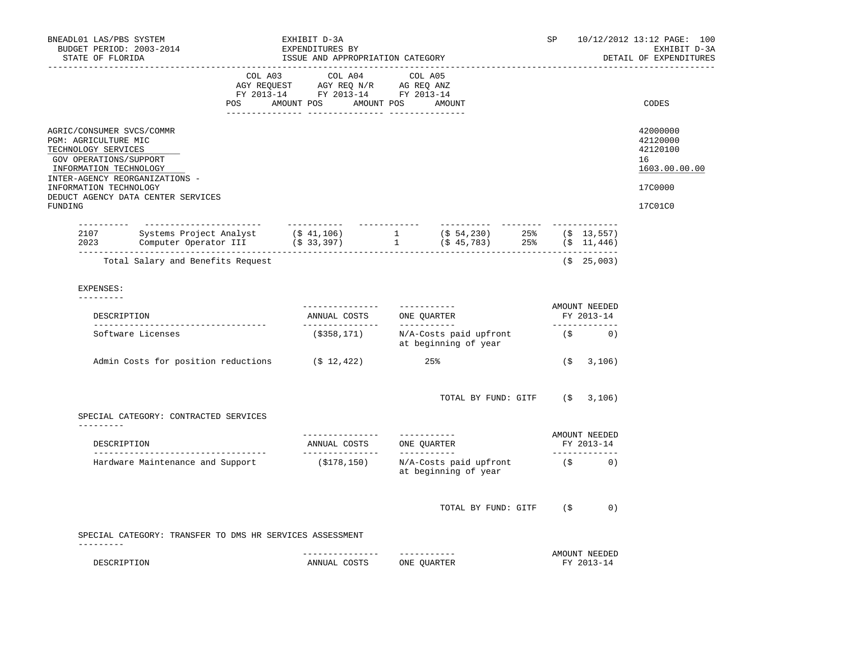| BNEADL01 LAS/PBS SYSTEM<br>BUDGET PERIOD: 2003-2014<br>STATE OF FLORIDA | EXHIBIT D-3A<br>EXPENDITURES BY<br>ISSUE AND APPROPRIATION CATEGORY                                                                            |                                                                                                                                                                                                |  |                 |                  | SP |                                                                     | 10/12/2012 13:12 PAGE: 100<br>EXHIBIT D-3A<br>DETAIL OF EXPENDITURES |  |                             |                                                         |
|-------------------------------------------------------------------------|------------------------------------------------------------------------------------------------------------------------------------------------|------------------------------------------------------------------------------------------------------------------------------------------------------------------------------------------------|--|-----------------|------------------|----|---------------------------------------------------------------------|----------------------------------------------------------------------|--|-----------------------------|---------------------------------------------------------|
|                                                                         |                                                                                                                                                | $\begin{tabular}{lcccc} COL A03 & COL A04 & COL A05 \\ AGY REQUEST & AGY REQ N/R & AG REQ ANZ \\ FY & 2013-14 & FY & 2013-14 & FY & 2013-14 \end{tabular}$<br>POS AMOUNT POS AMOUNT POS AMOUNT |  |                 |                  |    |                                                                     |                                                                      |  |                             | CODES                                                   |
| PGM: AGRICULTURE MIC<br>TECHNOLOGY SERVICES<br>GOV OPERATIONS/SUPPORT   | AGRIC/CONSUMER SVCS/COMMR<br>INFORMATION TECHNOLOGY<br>INTER-AGENCY REORGANIZATIONS -                                                          |                                                                                                                                                                                                |  |                 |                  |    |                                                                     |                                                                      |  |                             | 42000000<br>42120000<br>42120100<br>16<br>1603.00.00.00 |
| INFORMATION TECHNOLOGY                                                  | DEDUCT AGENCY DATA CENTER SERVICES                                                                                                             |                                                                                                                                                                                                |  |                 |                  |    |                                                                     |                                                                      |  |                             | 17C0000                                                 |
| FUNDING                                                                 |                                                                                                                                                |                                                                                                                                                                                                |  |                 |                  |    |                                                                     |                                                                      |  |                             | 17C01C0                                                 |
|                                                                         | 2107 Systems Project Analyst (\$ 41,106) 1 (\$ 54,230) 25% (\$ 13,557)<br>2023 Computer Operator III (\$ 33,397) 1 (\$ 45,783) 25% (\$ 11,446) |                                                                                                                                                                                                |  |                 |                  |    |                                                                     |                                                                      |  |                             |                                                         |
|                                                                         | Total Salary and Benefits Request                                                                                                              |                                                                                                                                                                                                |  |                 |                  |    |                                                                     |                                                                      |  | $($ \$25,003)               |                                                         |
| EXPENSES:<br>---------                                                  |                                                                                                                                                |                                                                                                                                                                                                |  |                 |                  |    |                                                                     |                                                                      |  |                             |                                                         |
|                                                                         | DESCRIPTION                                                                                                                                    |                                                                                                                                                                                                |  |                 |                  |    | AMOUNT NEEDED<br>FY 2013-14<br>______________                       |                                                                      |  |                             |                                                         |
|                                                                         | Software Licenses                                                                                                                              |                                                                                                                                                                                                |  |                 |                  |    | $(\$358,171)$ N/A-Costs paid upfront (\$ 0)<br>at beginning of year |                                                                      |  |                             |                                                         |
|                                                                         | Admin Costs for position reductions (\$ 12,422)                                                                                                |                                                                                                                                                                                                |  |                 |                  |    | 25%                                                                 |                                                                      |  | (5, 3, 106)                 |                                                         |
|                                                                         | SPECIAL CATEGORY: CONTRACTED SERVICES                                                                                                          |                                                                                                                                                                                                |  |                 |                  |    | TOTAL BY FUND: GITF $(\$ 3,106)$                                    |                                                                      |  |                             |                                                         |
| ----------                                                              |                                                                                                                                                |                                                                                                                                                                                                |  |                 | ________________ |    | -----------                                                         |                                                                      |  | AMOUNT NEEDED               |                                                         |
|                                                                         | DESCRIPTION                                                                                                                                    |                                                                                                                                                                                                |  |                 |                  |    | ANNUAL COSTS ONE QUARTER                                            |                                                                      |  | FY 2013-14<br>_____________ |                                                         |
|                                                                         | Hardware Maintenance and Support                                                                                                               |                                                                                                                                                                                                |  |                 | ( \$178, 150)    |    | N/A-Costs paid upfront<br>at beginning of year                      |                                                                      |  | $(S$ 0)                     |                                                         |
|                                                                         |                                                                                                                                                |                                                                                                                                                                                                |  |                 |                  |    | TOTAL BY FUND: GITF (\$                                             |                                                                      |  | 0)                          |                                                         |
|                                                                         | SPECIAL CATEGORY: TRANSFER TO DMS HR SERVICES ASSESSMENT                                                                                       |                                                                                                                                                                                                |  |                 |                  |    |                                                                     |                                                                      |  |                             |                                                         |
| ---------                                                               | DESCRIPTION                                                                                                                                    |                                                                                                                                                                                                |  | --------------- | ANNUAL COSTS     |    | -----------<br>ONE QUARTER                                          |                                                                      |  | AMOUNT NEEDED<br>FY 2013-14 |                                                         |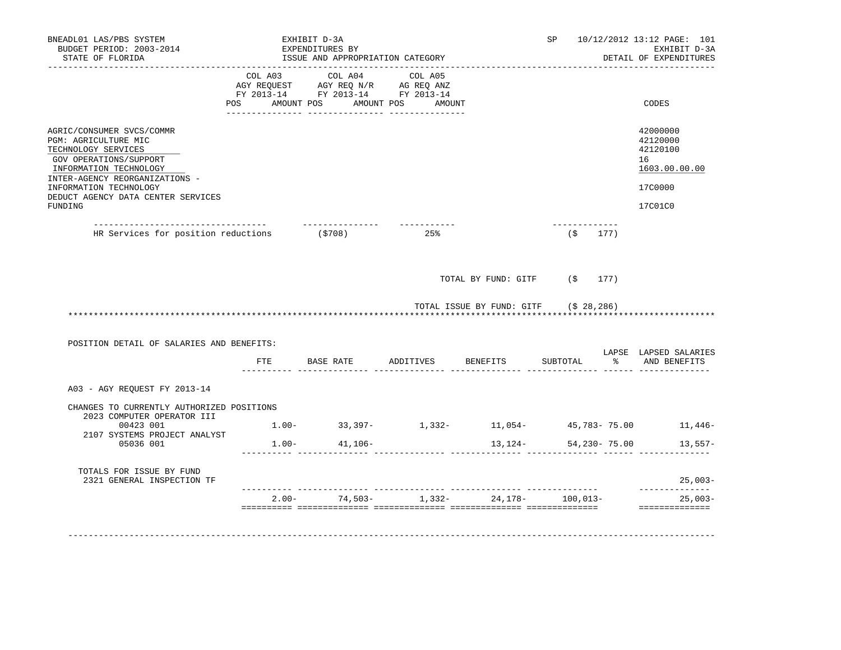| BNEADL01 LAS/PBS SYSTEM<br>BUDGET PERIOD: 2003-2014<br>STATE OF FLORIDA                                                      | EXHIBIT D-3A<br>EXPENDITURES BY<br>ISSUE AND APPROPRIATION CATEGORY |                                                                                       | SP                                                        |                                       | 10/12/2012 13:12 PAGE: 101<br>EXHIBIT D-3A<br>DETAIL OF EXPENDITURES |              |                                                         |
|------------------------------------------------------------------------------------------------------------------------------|---------------------------------------------------------------------|---------------------------------------------------------------------------------------|-----------------------------------------------------------|---------------------------------------|----------------------------------------------------------------------|--------------|---------------------------------------------------------|
|                                                                                                                              | COL A03<br>POS                                                      | COL A04<br>COL AGY REQUEST AGY REQ ANZ AG REQ ANZ<br>FY 2013-14 FY 2013-14 FY 2013-14 | COL A05<br>AMOUNT POS AMOUNT POS AMOUNT                   |                                       |                                                                      |              | CODES                                                   |
| AGRIC/CONSUMER SVCS/COMMR<br>PGM: AGRICULTURE MIC<br>TECHNOLOGY SERVICES<br>GOV OPERATIONS/SUPPORT<br>INFORMATION TECHNOLOGY |                                                                     |                                                                                       |                                                           |                                       |                                                                      |              | 42000000<br>42120000<br>42120100<br>16<br>1603.00.00.00 |
| INTER-AGENCY REORGANIZATIONS -<br>INFORMATION TECHNOLOGY<br>DEDUCT AGENCY DATA CENTER SERVICES<br>FUNDING                    |                                                                     |                                                                                       |                                                           |                                       |                                                                      |              | 17C0000<br>17C01C0                                      |
| __________________________________<br>HR Services for position reductions (\$708)                                            |                                                                     | ________________                                                                      | ------------<br>25%                                       |                                       | $($ \$177)                                                           |              |                                                         |
|                                                                                                                              |                                                                     |                                                                                       |                                                           | TOTAL BY FUND: GITF (\$               |                                                                      | 177)         |                                                         |
|                                                                                                                              |                                                                     |                                                                                       |                                                           | TOTAL ISSUE BY FUND: GITF (\$ 28,286) |                                                                      |              |                                                         |
| POSITION DETAIL OF SALARIES AND BENEFITS:                                                                                    |                                                                     |                                                                                       |                                                           |                                       |                                                                      |              | LAPSE LAPSED SALARIES                                   |
|                                                                                                                              |                                                                     |                                                                                       | FTE BASE RATE ADDITIVES                                   | BENEFITS                              | SUBTOTAL                                                             |              | AND BENEFITS                                            |
| A03 - AGY REQUEST FY 2013-14                                                                                                 |                                                                     |                                                                                       |                                                           |                                       |                                                                      |              |                                                         |
| CHANGES TO CURRENTLY AUTHORIZED POSITIONS<br>2023 COMPUTER OPERATOR III                                                      |                                                                     |                                                                                       |                                                           |                                       |                                                                      |              |                                                         |
| 00423 001<br>2107 SYSTEMS PROJECT ANALYST                                                                                    |                                                                     |                                                                                       | $1.00 - 33.397 - 1.332 - 11.054 - 45.783 - 75.00$ 11,446- |                                       |                                                                      |              |                                                         |
| 05036 001                                                                                                                    |                                                                     | $1.00 - 41,106 -$                                                                     |                                                           | 13,124-                               |                                                                      | 54,230-75.00 | 13,557-                                                 |
| TOTALS FOR ISSUE BY FUND<br>2321 GENERAL INSPECTION TF                                                                       |                                                                     |                                                                                       |                                                           |                                       |                                                                      |              | 25,003-                                                 |
|                                                                                                                              | $2.00 -$                                                            | $74,503-$                                                                             | 1,332-                                                    | $24.178 - 100.013 -$                  |                                                                      |              | ______________<br>$25,003-$<br>==============           |
|                                                                                                                              |                                                                     |                                                                                       |                                                           |                                       |                                                                      |              |                                                         |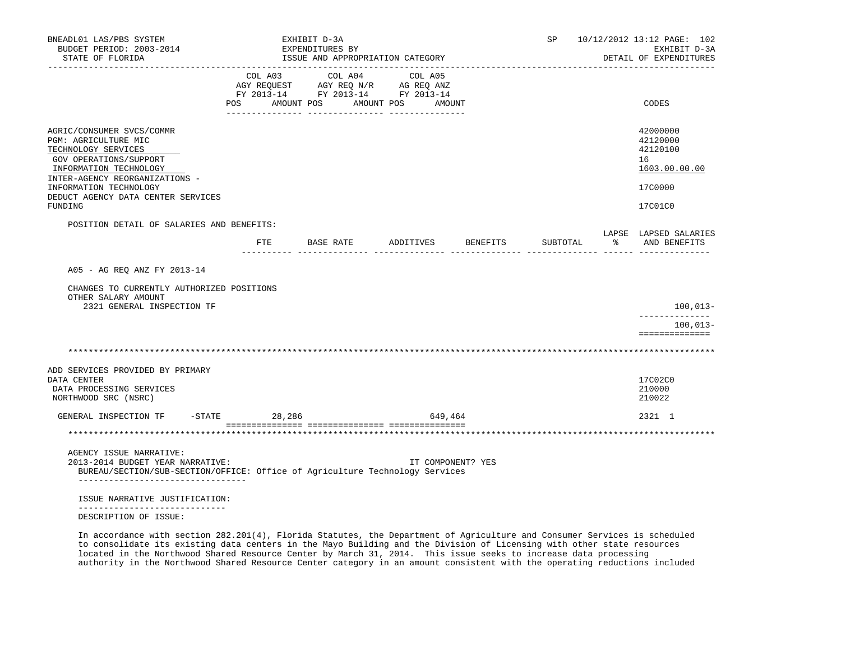| BNEADL01 LAS/PBS SYSTEM<br>BUDGET PERIOD: 2003-2014<br>STATE OF FLORIDA<br>------------------                                                                                  |              | EXHIBIT D-3A<br>EXPENDITURES BY<br>ISSUE AND APPROPRIATION CATEGORY                                             |                      |                   |          | SP 10/12/2012 13:12 PAGE: 102<br>EXHIBIT D-3A<br>DETAIL OF EXPENDITURES |
|--------------------------------------------------------------------------------------------------------------------------------------------------------------------------------|--------------|-----------------------------------------------------------------------------------------------------------------|----------------------|-------------------|----------|-------------------------------------------------------------------------|
|                                                                                                                                                                                | <b>POS</b>   | COL A03 COL A04 COL A05<br>AGY REQUEST AGY REQ N/R AG REQ ANZ<br>FY 2013-14 FY 2013-14 FY 2013-14<br>AMOUNT POS | AMOUNT POS<br>AMOUNT |                   |          | CODES                                                                   |
| AGRIC/CONSUMER SVCS/COMMR<br>PGM: AGRICULTURE MIC<br>TECHNOLOGY SERVICES<br>GOV OPERATIONS/SUPPORT<br>INFORMATION TECHNOLOGY<br>INTER-AGENCY REORGANIZATIONS -                 |              |                                                                                                                 |                      |                   |          | 42000000<br>42120000<br>42120100<br>16<br>1603.00.00.00                 |
| INFORMATION TECHNOLOGY<br>DEDUCT AGENCY DATA CENTER SERVICES<br>FUNDING                                                                                                        |              |                                                                                                                 |                      |                   |          | 17C0000<br>17C01C0                                                      |
| POSITION DETAIL OF SALARIES AND BENEFITS:                                                                                                                                      |              |                                                                                                                 |                      |                   |          |                                                                         |
|                                                                                                                                                                                | $_{\rm FTE}$ | BASE RATE                                                                                                       | ADDITIVES BENEFITS   |                   | SUBTOTAL | LAPSE LAPSED SALARIES<br>% AND BENEFITS                                 |
| A05 - AG REO ANZ FY 2013-14<br>CHANGES TO CURRENTLY AUTHORIZED POSITIONS<br>OTHER SALARY AMOUNT<br>2321 GENERAL INSPECTION TF                                                  |              |                                                                                                                 |                      |                   |          | $100,013-$                                                              |
|                                                                                                                                                                                |              |                                                                                                                 |                      |                   |          | $100,013-$<br>==============                                            |
|                                                                                                                                                                                |              |                                                                                                                 |                      |                   |          |                                                                         |
| ADD SERVICES PROVIDED BY PRIMARY<br>DATA CENTER<br>DATA PROCESSING SERVICES<br>NORTHWOOD SRC (NSRC)                                                                            |              |                                                                                                                 |                      |                   |          | 17C02C0<br>210000<br>210022                                             |
| GENERAL INSPECTION TF<br>$-STATE$                                                                                                                                              | 28,286       |                                                                                                                 | 649,464              |                   |          | 2321 1                                                                  |
|                                                                                                                                                                                |              |                                                                                                                 |                      |                   |          |                                                                         |
| AGENCY ISSUE NARRATIVE:<br>2013-2014 BUDGET YEAR NARRATIVE:<br>BUREAU/SECTION/SUB-SECTION/OFFICE: Office of Agriculture Technology Services<br>_______________________________ |              |                                                                                                                 |                      | IT COMPONENT? YES |          |                                                                         |
| ISSUE NARRATIVE JUSTIFICATION:                                                                                                                                                 |              |                                                                                                                 |                      |                   |          |                                                                         |
| __________________________<br>DESCRIPTION OF ISSUE:                                                                                                                            |              |                                                                                                                 |                      |                   |          |                                                                         |

 In accordance with section 282.201(4), Florida Statutes, the Department of Agriculture and Consumer Services is scheduled to consolidate its existing data centers in the Mayo Building and the Division of Licensing with other state resources located in the Northwood Shared Resource Center by March 31, 2014. This issue seeks to increase data processing authority in the Northwood Shared Resource Center category in an amount consistent with the operating reductions included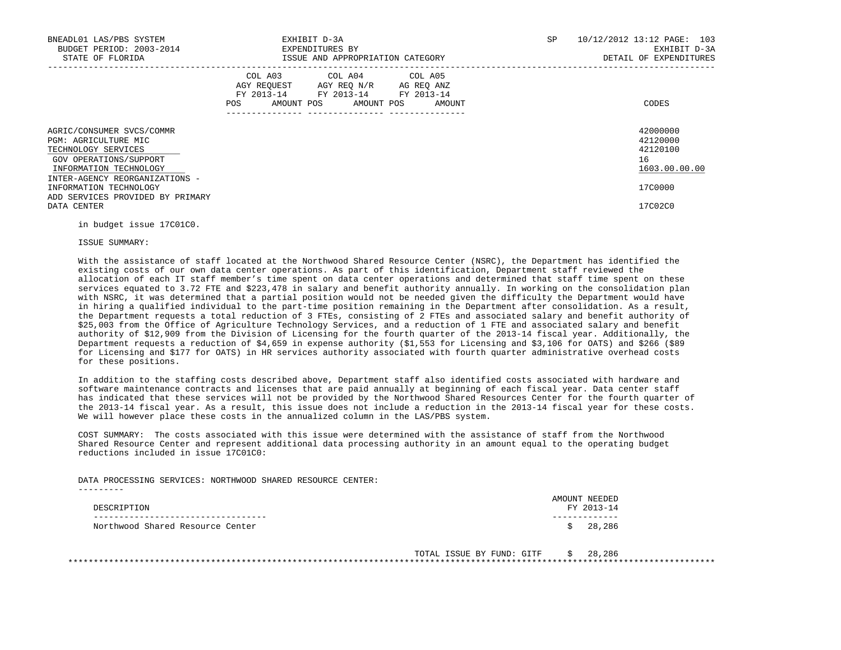| BNEADL01 LAS/PBS SYSTEM<br>BUDGET PERIOD: 2003-2014<br>STATE OF FLORIDA                                                                                        | EXHIBIT D-3A<br>EXPENDITURES BY<br>ISSUE AND APPROPRIATION CATEGORY                                                                         | SP<br>10/12/2012 13:12 PAGE: 103<br>EXHIBIT D-3A<br>DETAIL OF EXPENDITURES |
|----------------------------------------------------------------------------------------------------------------------------------------------------------------|---------------------------------------------------------------------------------------------------------------------------------------------|----------------------------------------------------------------------------|
|                                                                                                                                                                | COL A03 COL A04 COL A05<br>AGY REOUEST AGY REO N/R AG REO ANZ<br>FY 2013-14 FY 2013-14 FY 2013-14<br>AMOUNT POS AMOUNT POS<br>POS<br>AMOUNT | CODES                                                                      |
| AGRIC/CONSUMER SVCS/COMMR<br>PGM: AGRICULTURE MIC<br>TECHNOLOGY SERVICES<br>GOV OPERATIONS/SUPPORT<br>INFORMATION TECHNOLOGY<br>INTER-AGENCY REORGANIZATIONS - |                                                                                                                                             | 42000000<br>42120000<br>42120100<br>16<br>1603.00.00.00                    |
| INFORMATION TECHNOLOGY<br>ADD SERVICES PROVIDED BY PRIMARY<br>DATA CENTER                                                                                      |                                                                                                                                             | 17C0000<br>17C02C0                                                         |

in budget issue 17C01C0.

### ISSUE SUMMARY:

 With the assistance of staff located at the Northwood Shared Resource Center (NSRC), the Department has identified the existing costs of our own data center operations. As part of this identification, Department staff reviewed the allocation of each IT staff member's time spent on data center operations and determined that staff time spent on these services equated to 3.72 FTE and \$223,478 in salary and benefit authority annually. In working on the consolidation plan with NSRC, it was determined that a partial position would not be needed given the difficulty the Department would have in hiring a qualified individual to the part-time position remaining in the Department after consolidation. As a result, the Department requests a total reduction of 3 FTEs, consisting of 2 FTEs and associated salary and benefit authority of \$25,003 from the Office of Agriculture Technology Services, and a reduction of 1 FTE and associated salary and benefit authority of \$12,909 from the Division of Licensing for the fourth quarter of the 2013-14 fiscal year. Additionally, the Department requests a reduction of \$4,659 in expense authority (\$1,553 for Licensing and \$3,106 for OATS) and \$266 (\$89 for Licensing and \$177 for OATS) in HR services authority associated with fourth quarter administrative overhead costs for these positions.

 In addition to the staffing costs described above, Department staff also identified costs associated with hardware and software maintenance contracts and licenses that are paid annually at beginning of each fiscal year. Data center staff has indicated that these services will not be provided by the Northwood Shared Resources Center for the fourth quarter of the 2013-14 fiscal year. As a result, this issue does not include a reduction in the 2013-14 fiscal year for these costs. We will however place these costs in the annualized column in the LAS/PBS system.

 COST SUMMARY: The costs associated with this issue were determined with the assistance of staff from the Northwood Shared Resource Center and represent additional data processing authority in an amount equal to the operating budget reductions included in issue 17C01C0:

DATA PROCESSING SERVICES: NORTHWOOD SHARED RESOURCE CENTER:

| DESCRIPTION                      | AMOUNT NEEDED<br>FY 2013-14 |
|----------------------------------|-----------------------------|
| Northwood Shared Resource Center | 28,286                      |

TOTAL ISSUE BY FUND: GITF \$ 28,286 \*\*\*\*\*\*\*\*\*\*\*\*\*\*\*\*\*\*\*\*\*\*\*\*\*\*\*\*\*\*\*\*\*\*\*\*\*\*\*\*\*\*\*\*\*\*\*\*\*\*\*\*\*\*\*\*\*\*\*\*\*\*\*\*\*\*\*\*\*\*\*\*\*\*\*\*\*\*\*\*\*\*\*\*\*\*\*\*\*\*\*\*\*\*\*\*\*\*\*\*\*\*\*\*\*\*\*\*\*\*\*\*\*\*\*\*\*\*\*\*\*\*\*\*\*\*\*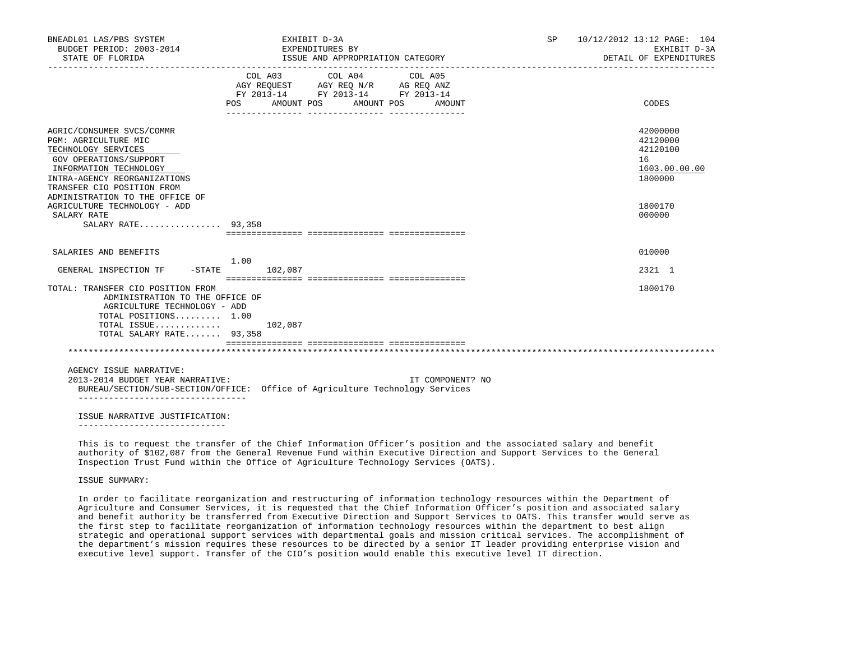| BNEADL01 LAS/PBS SYSTEM<br>BUDGET PERIOD: 2003-2014<br>STATE OF FLORIDA                                                                                                                    |                  | EXHIBIT D-3A<br>EXPENDITURES BY<br>ISSUE AND APPROPRIATION CATEGORY                             |         |         |                   |  | SP 10/12/2012 13:12 PAGE: 104<br>EXHIBIT D-3A<br>DETAIL OF EXPENDITURES |                                                                    |
|--------------------------------------------------------------------------------------------------------------------------------------------------------------------------------------------|------------------|-------------------------------------------------------------------------------------------------|---------|---------|-------------------|--|-------------------------------------------------------------------------|--------------------------------------------------------------------|
|                                                                                                                                                                                            | POS              | COL A03<br>AGY REQUEST AGY REQ N/R AG REQ ANZ<br>FY 2013-14 FY 2013-14 FY 2013-14<br>AMOUNT POS | COL A04 | COL A05 | AMOUNT POS AMOUNT |  |                                                                         | CODES                                                              |
| AGRIC/CONSUMER SVCS/COMMR<br>PGM: AGRICULTURE MIC<br>TECHNOLOGY SERVICES<br>GOV OPERATIONS/SUPPORT<br>INFORMATION TECHNOLOGY<br>INTRA-AGENCY REORGANIZATIONS<br>TRANSFER CIO POSITION FROM |                  |                                                                                                 |         |         |                   |  |                                                                         | 42000000<br>42120000<br>42120100<br>16<br>1603.00.00.00<br>1800000 |
| ADMINISTRATION TO THE OFFICE OF<br>AGRICULTURE TECHNOLOGY - ADD<br>SALARY RATE<br>SALARY RATE 93,358                                                                                       |                  |                                                                                                 |         |         |                   |  |                                                                         | 1800170<br>000000                                                  |
| SALARIES AND BENEFITS                                                                                                                                                                      | 1.00             |                                                                                                 |         |         |                   |  |                                                                         | 010000                                                             |
| GENERAL INSPECTION TF                                                                                                                                                                      | $-STATE$ 102,087 |                                                                                                 |         |         |                   |  |                                                                         | 2321 1                                                             |
| TOTAL: TRANSFER CIO POSITION FROM<br>ADMINISTRATION TO THE OFFICE OF<br>AGRICULTURE TECHNOLOGY - ADD<br>TOTAL POSITIONS 1.00<br>TOTAL ISSUE<br>TOTAL SALARY RATE 93,358                    |                  | 102,087                                                                                         |         |         |                   |  |                                                                         | 1800170                                                            |
|                                                                                                                                                                                            |                  |                                                                                                 |         |         |                   |  |                                                                         |                                                                    |
| AGENCY ISSUE NARRATIVE:<br>2013-2014 BUDGET YEAR NARRATIVE:<br>BUREAU/SECTION/SUB-SECTION/OFFICE: Office of Agriculture Technology Services<br>__________________________________          |                  |                                                                                                 |         |         | IT COMPONENT? NO  |  |                                                                         |                                                                    |
| ISSUE NARRATIVE JUSTIFICATION:                                                                                                                                                             |                  |                                                                                                 |         |         |                   |  |                                                                         |                                                                    |

 This is to request the transfer of the Chief Information Officer's position and the associated salary and benefit authority of \$102,087 from the General Revenue Fund within Executive Direction and Support Services to the General Inspection Trust Fund within the Office of Agriculture Technology Services (OATS).

ISSUE SUMMARY:

 In order to facilitate reorganization and restructuring of information technology resources within the Department of Agriculture and Consumer Services, it is requested that the Chief Information Officer's position and associated salary and benefit authority be transferred from Executive Direction and Support Services to OATS. This transfer would serve as the first step to facilitate reorganization of information technology resources within the department to best align strategic and operational support services with departmental goals and mission critical services. The accomplishment of the department's mission requires these resources to be directed by a senior IT leader providing enterprise vision and executive level support. Transfer of the CIO's position would enable this executive level IT direction.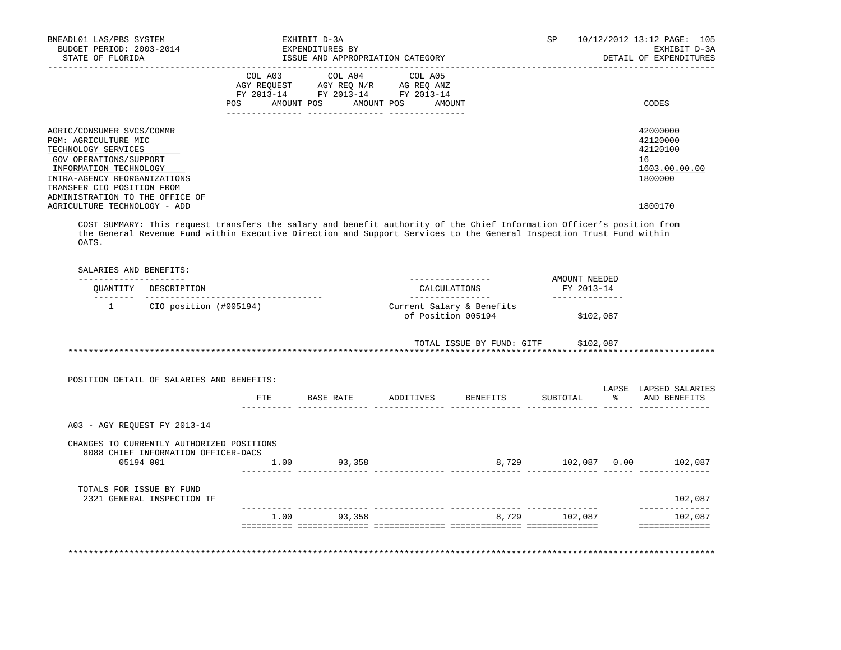| BNEADL01 LAS/PBS SYSTEM<br>BUDGET PERIOD: 2003-2014<br>STATE OF FLORIDA                                                                                                                                                                                       | EXHIBIT D-3A<br>EXPENDITURES BY<br>ISSUE AND APPROPRIATION CATEGORY                                                                            | 10/12/2012 13:12 PAGE: 105<br>SP<br>EXHIBIT D-3A<br>DETAIL OF EXPENDITURES    |
|---------------------------------------------------------------------------------------------------------------------------------------------------------------------------------------------------------------------------------------------------------------|------------------------------------------------------------------------------------------------------------------------------------------------|-------------------------------------------------------------------------------|
|                                                                                                                                                                                                                                                               | COL A03 COL A04 COL A05<br>AGY REQUEST AGY REQ N/R AG REQ ANZ<br>FY 2013-14 FY 2013-14 FY 2013-14<br>AMOUNT POS<br>POS<br>AMOUNT POS<br>AMOUNT | CODES                                                                         |
| AGRIC/CONSUMER SVCS/COMMR<br>PGM: AGRICULTURE MIC<br>TECHNOLOGY SERVICES<br>GOV OPERATIONS/SUPPORT<br>INFORMATION TECHNOLOGY<br>INTRA-AGENCY REORGANIZATIONS<br>TRANSFER CIO POSITION FROM<br>ADMINISTRATION TO THE OFFICE OF<br>AGRICULTURE TECHNOLOGY - ADD |                                                                                                                                                | 42000000<br>42120000<br>42120100<br>16<br>1603.00.00.00<br>1800000<br>1800170 |

 COST SUMMARY: This request transfers the salary and benefit authority of the Chief Information Officer's position from the General Revenue Fund within Executive Direction and Support Services to the General Inspection Trust Fund within OATS.

| OUANTITY                     | DESCRIPTION                                                                      |      |        | CALCULATIONS                                    |           | AMOUNT NEEDED<br>FY 2013-14 |                            |
|------------------------------|----------------------------------------------------------------------------------|------|--------|-------------------------------------------------|-----------|-----------------------------|----------------------------|
| $\overline{1}$               | CIO position (#005194)                                                           |      |        | Current Salary & Benefits<br>of Position 005194 | \$102,087 |                             |                            |
|                              |                                                                                  |      |        | TOTAL ISSUE BY FUND: GITF \$102,087             |           |                             |                            |
|                              | POSITION DETAIL OF SALARIES AND BENEFITS:                                        |      |        |                                                 |           |                             | LAPSE LAPSED SALARIES      |
|                              |                                                                                  |      |        | FTE BASE RATE ADDITIVES BENEFITS                |           |                             | SUBTOTAL % AND BENEFITS    |
| A03 - AGY REOUEST FY 2013-14 |                                                                                  |      |        |                                                 |           |                             |                            |
|                              | CHANGES TO CURRENTLY AUTHORIZED POSITIONS<br>8088 CHIEF INFORMATION OFFICER-DACS | 1.00 | 93,358 |                                                 |           |                             | 8,729 102,087 0.00 102,087 |
| 05194 001                    |                                                                                  |      |        |                                                 |           |                             |                            |
| TOTALS FOR ISSUE BY FUND     | 2321 GENERAL INSPECTION TF                                                       |      |        |                                                 |           |                             | 102,087                    |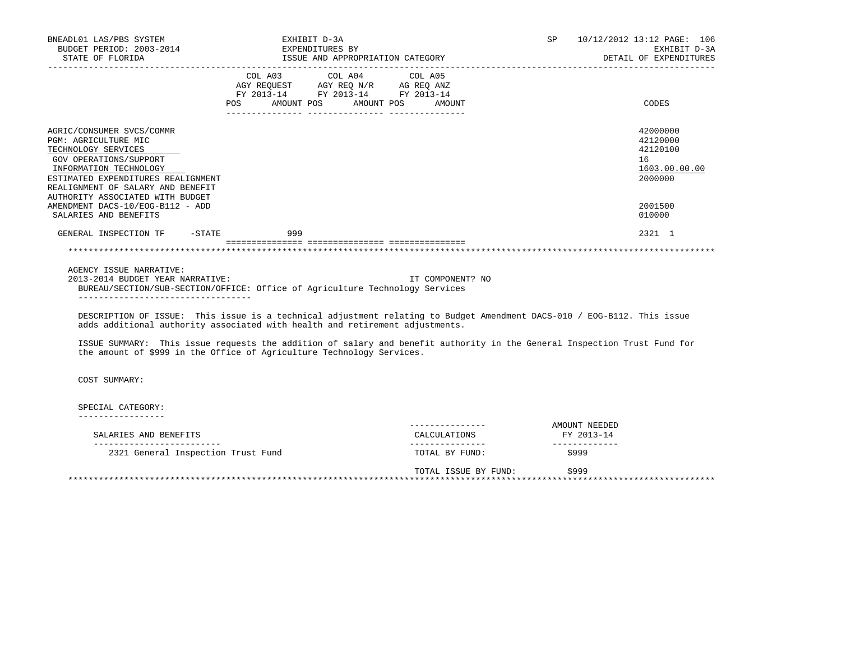| BNEADL01 LAS/PBS SYSTEM<br>BUDGET PERIOD: 2003-2014<br>STATE OF FLORIDA                                                                                                                                                                                                                                                                                                                        | EXHIBIT D-3A<br>EXPENDITURES BY<br>ISSUE AND APPROPRIATION CATEGORY                                    | SP 10/12/2012 13:12 PAGE: 106 | EXHIBIT D-3A<br>DETAIL OF EXPENDITURES             |                                      |                                                                    |
|------------------------------------------------------------------------------------------------------------------------------------------------------------------------------------------------------------------------------------------------------------------------------------------------------------------------------------------------------------------------------------------------|--------------------------------------------------------------------------------------------------------|-------------------------------|----------------------------------------------------|--------------------------------------|--------------------------------------------------------------------|
|                                                                                                                                                                                                                                                                                                                                                                                                | COL A03<br>AGY REQUEST AGY REQ N/R AG REQ ANZ<br>FY 2013-14 FY 2013-14 FY 2013-14<br>POS<br>AMOUNT POS | COL A04 COL A05               | AMOUNT POS<br>AMOUNT                               |                                      | CODES                                                              |
| AGRIC/CONSUMER SVCS/COMMR<br>PGM: AGRICULTURE MIC<br>TECHNOLOGY SERVICES<br>GOV OPERATIONS/SUPPORT<br>INFORMATION TECHNOLOGY<br>ESTIMATED EXPENDITURES REALIGNMENT<br>REALIGNMENT OF SALARY AND BENEFIT<br>AUTHORITY ASSOCIATED WITH BUDGET                                                                                                                                                    |                                                                                                        |                               |                                                    |                                      | 42000000<br>42120000<br>42120100<br>16<br>1603.00.00.00<br>2000000 |
| AMENDMENT DACS-10/EOG-B112 - ADD<br>SALARIES AND BENEFITS<br>GENERAL INSPECTION TF<br>$-$ STATE                                                                                                                                                                                                                                                                                                | 999                                                                                                    |                               |                                                    |                                      | 2001500<br>010000<br>2321 1                                        |
|                                                                                                                                                                                                                                                                                                                                                                                                |                                                                                                        |                               |                                                    |                                      |                                                                    |
| AGENCY ISSUE NARRATIVE:<br>2013-2014 BUDGET YEAR NARRATIVE:<br>BUREAU/SECTION/SUB-SECTION/OFFICE: Office of Agriculture Technology Services<br>____________________________________<br>DESCRIPTION OF ISSUE: This issue is a technical adjustment relating to Budget Amendment DACS-010 / EOG-B112. This issue<br>adds additional authority associated with health and retirement adjustments. |                                                                                                        |                               | IT COMPONENT? NO                                   |                                      |                                                                    |
| ISSUE SUMMARY: This issue requests the addition of salary and benefit authority in the General Inspection Trust Fund for<br>the amount of \$999 in the Office of Agriculture Technology Services.                                                                                                                                                                                              |                                                                                                        |                               |                                                    |                                      |                                                                    |
| COST SUMMARY:                                                                                                                                                                                                                                                                                                                                                                                  |                                                                                                        |                               |                                                    |                                      |                                                                    |
| SPECIAL CATEGORY:                                                                                                                                                                                                                                                                                                                                                                              |                                                                                                        |                               |                                                    |                                      |                                                                    |
|                                                                                                                                                                                                                                                                                                                                                                                                |                                                                                                        |                               | . _ _ _ _ _ _ _ _ _ _ _ _ _ _ _                    | AMOUNT NEEDED                        |                                                                    |
| SALARIES AND BENEFITS<br>__________________________<br>2321 General Inspection Trust Fund                                                                                                                                                                                                                                                                                                      |                                                                                                        |                               | CALCULATIONS<br>----------------<br>TOTAL BY FUND: | FY 2013-14<br>_____________<br>\$999 |                                                                    |

 TOTAL ISSUE BY FUND: \$999 \*\*\*\*\*\*\*\*\*\*\*\*\*\*\*\*\*\*\*\*\*\*\*\*\*\*\*\*\*\*\*\*\*\*\*\*\*\*\*\*\*\*\*\*\*\*\*\*\*\*\*\*\*\*\*\*\*\*\*\*\*\*\*\*\*\*\*\*\*\*\*\*\*\*\*\*\*\*\*\*\*\*\*\*\*\*\*\*\*\*\*\*\*\*\*\*\*\*\*\*\*\*\*\*\*\*\*\*\*\*\*\*\*\*\*\*\*\*\*\*\*\*\*\*\*\*\*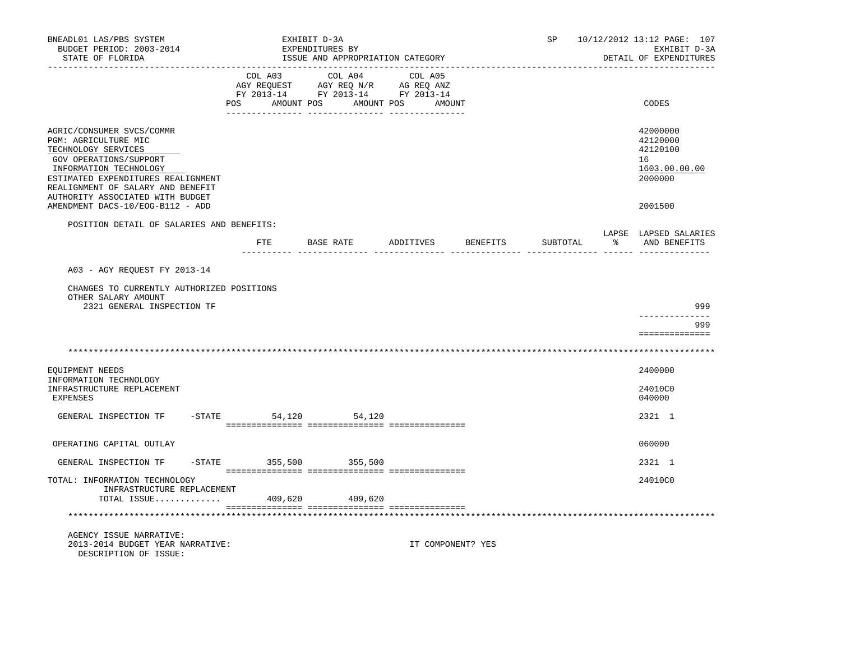| BNEADL01 LAS/PBS SYSTEM<br>BUDGET PERIOD: 2003-2014<br>STATE OF FLORIDA                                                                                                                                                                     |                        | EXHIBIT D-3A<br>EXPENDITURES BY |           | ISSUE AND APPROPRIATION CATEGORY                                                                                                  |                   | SP       | 10/12/2012 13:12 PAGE: 107<br>EXHIBIT D-3A<br>DETAIL OF EXPENDITURES |
|---------------------------------------------------------------------------------------------------------------------------------------------------------------------------------------------------------------------------------------------|------------------------|---------------------------------|-----------|-----------------------------------------------------------------------------------------------------------------------------------|-------------------|----------|----------------------------------------------------------------------|
|                                                                                                                                                                                                                                             | POS                    |                                 |           | COL A03 COL A04 COL A05<br>AGY REQUEST AGY REQ N/R AG REQ ANZ<br>FY 2013-14 FY 2013-14 FY 2013-14<br>AMOUNT POS AMOUNT POS AMOUNT |                   |          | CODES                                                                |
| AGRIC/CONSUMER SVCS/COMMR<br>PGM: AGRICULTURE MIC<br>TECHNOLOGY SERVICES<br>GOV OPERATIONS/SUPPORT<br>INFORMATION TECHNOLOGY<br>ESTIMATED EXPENDITURES REALIGNMENT<br>REALIGNMENT OF SALARY AND BENEFIT<br>AUTHORITY ASSOCIATED WITH BUDGET |                        |                                 |           |                                                                                                                                   |                   |          | 42000000<br>42120000<br>42120100<br>16<br>1603.00.00.00<br>2000000   |
| AMENDMENT DACS-10/EOG-B112 - ADD                                                                                                                                                                                                            |                        |                                 |           |                                                                                                                                   |                   |          | 2001500                                                              |
| POSITION DETAIL OF SALARIES AND BENEFITS:                                                                                                                                                                                                   | FTE                    |                                 | BASE RATE | ADDITIVES                                                                                                                         | BENEFITS          | SUBTOTAL | LAPSE LAPSED SALARIES<br>AND BENEFITS                                |
| A03 - AGY REQUEST FY 2013-14                                                                                                                                                                                                                |                        |                                 |           |                                                                                                                                   |                   |          |                                                                      |
| CHANGES TO CURRENTLY AUTHORIZED POSITIONS<br>OTHER SALARY AMOUNT<br>2321 GENERAL INSPECTION TF                                                                                                                                              |                        |                                 |           |                                                                                                                                   |                   |          | 999                                                                  |
|                                                                                                                                                                                                                                             |                        |                                 |           |                                                                                                                                   |                   |          | 999<br>==============                                                |
|                                                                                                                                                                                                                                             |                        |                                 |           |                                                                                                                                   |                   |          |                                                                      |
| EQUIPMENT NEEDS                                                                                                                                                                                                                             |                        |                                 |           |                                                                                                                                   |                   |          | 2400000                                                              |
| INFORMATION TECHNOLOGY<br>INFRASTRUCTURE REPLACEMENT<br><b>EXPENSES</b>                                                                                                                                                                     |                        |                                 |           |                                                                                                                                   |                   |          | 24010C0<br>040000                                                    |
| GENERAL INSPECTION TF                                                                                                                                                                                                                       | $-STATE$               | 54,120 54,120                   |           |                                                                                                                                   |                   |          | 2321 1                                                               |
| OPERATING CAPITAL OUTLAY                                                                                                                                                                                                                    |                        |                                 |           |                                                                                                                                   |                   |          | 060000                                                               |
| GENERAL INSPECTION TF                                                                                                                                                                                                                       | -STATE 355,500 355,500 |                                 |           |                                                                                                                                   |                   |          | 2321 1                                                               |
| TOTAL: INFORMATION TECHNOLOGY<br>INFRASTRUCTURE REPLACEMENT<br>TOTAL ISSUE                                                                                                                                                                  |                        | 409,620                         | 409,620   |                                                                                                                                   |                   |          | 24010C0                                                              |
|                                                                                                                                                                                                                                             |                        |                                 |           |                                                                                                                                   |                   |          |                                                                      |
| AGENCY ISSUE NARRATIVE:<br>2013-2014 BUDGET YEAR NARRATIVE:<br>DESCRIPTION OF ISSUE:                                                                                                                                                        |                        |                                 |           |                                                                                                                                   | IT COMPONENT? YES |          |                                                                      |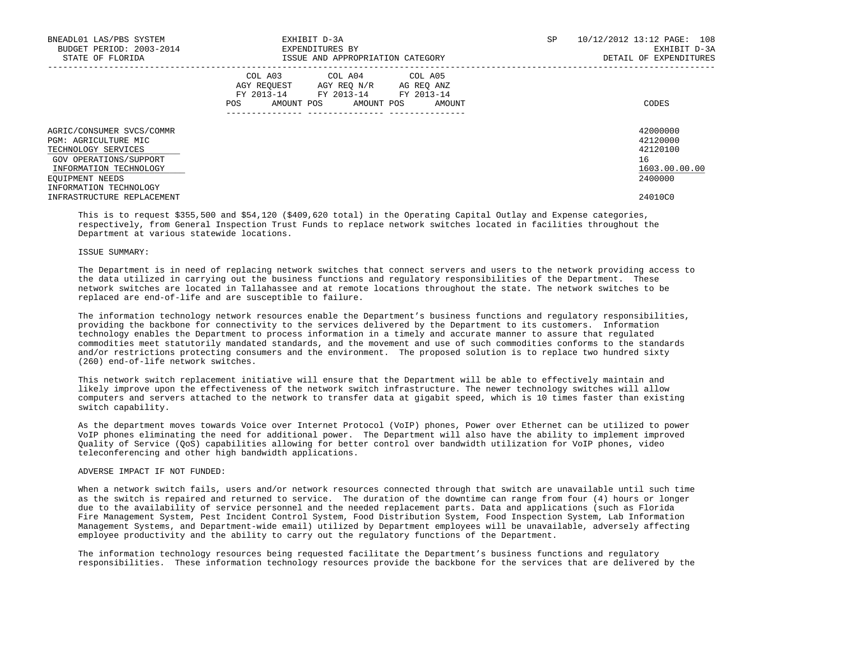| BNEADL01 LAS/PBS SYSTEM<br>BUDGET PERIOD: 2003-2014<br>STATE OF FLORIDA                                                                         | EXHIBIT D-3A<br>EXPENDITURES BY<br>ISSUE AND APPROPRIATION CATEGORY                                                                                  | SP. | 108<br>10/12/2012 13:12 PAGE:<br>EXHIBIT D-3A<br>DETAIL OF EXPENDITURES |
|-------------------------------------------------------------------------------------------------------------------------------------------------|------------------------------------------------------------------------------------------------------------------------------------------------------|-----|-------------------------------------------------------------------------|
|                                                                                                                                                 | COL A04 COL A05<br>COL A03<br>AGY REOUEST AGY REO N/R AG REO ANZ<br>FY 2013-14<br>FY 2013-14 FY 2013-14<br>AMOUNT POS<br>AMOUNT POS<br>AMOUNT<br>POS |     | CODES                                                                   |
| AGRIC/CONSUMER SVCS/COMMR<br>PGM: AGRICULTURE MIC<br>TECHNOLOGY SERVICES<br>GOV OPERATIONS/SUPPORT<br>INFORMATION TECHNOLOGY<br>EQUIPMENT NEEDS |                                                                                                                                                      |     | 42000000<br>42120000<br>42120100<br>16<br>1603.00.00.00<br>2400000      |
| INFORMATION TECHNOLOGY<br>INFRASTRUCTURE REPLACEMENT                                                                                            |                                                                                                                                                      |     | 24010C0                                                                 |

 This is to request \$355,500 and \$54,120 (\$409,620 total) in the Operating Capital Outlay and Expense categories, respectively, from General Inspection Trust Funds to replace network switches located in facilities throughout the Department at various statewide locations.

### ISSUE SUMMARY:

 The Department is in need of replacing network switches that connect servers and users to the network providing access to the data utilized in carrying out the business functions and regulatory responsibilities of the Department. These network switches are located in Tallahassee and at remote locations throughout the state. The network switches to be replaced are end-of-life and are susceptible to failure.

 The information technology network resources enable the Department's business functions and regulatory responsibilities, providing the backbone for connectivity to the services delivered by the Department to its customers. Information technology enables the Department to process information in a timely and accurate manner to assure that regulated commodities meet statutorily mandated standards, and the movement and use of such commodities conforms to the standards and/or restrictions protecting consumers and the environment. The proposed solution is to replace two hundred sixty (260) end-of-life network switches.

 This network switch replacement initiative will ensure that the Department will be able to effectively maintain and likely improve upon the effectiveness of the network switch infrastructure. The newer technology switches will allow computers and servers attached to the network to transfer data at gigabit speed, which is 10 times faster than existing switch capability.

 As the department moves towards Voice over Internet Protocol (VoIP) phones, Power over Ethernet can be utilized to power VoIP phones eliminating the need for additional power. The Department will also have the ability to implement improved Quality of Service (QoS) capabilities allowing for better control over bandwidth utilization for VoIP phones, video teleconferencing and other high bandwidth applications.

# ADVERSE IMPACT IF NOT FUNDED:

When a network switch fails, users and/or network resources connected through that switch are unavailable until such time as the switch is repaired and returned to service. The duration of the downtime can range from four (4) hours or longer due to the availability of service personnel and the needed replacement parts. Data and applications (such as Florida Fire Management System, Pest Incident Control System, Food Distribution System, Food Inspection System, Lab Information Management Systems, and Department-wide email) utilized by Department employees will be unavailable, adversely affecting employee productivity and the ability to carry out the regulatory functions of the Department.

 The information technology resources being requested facilitate the Department's business functions and regulatory responsibilities. These information technology resources provide the backbone for the services that are delivered by the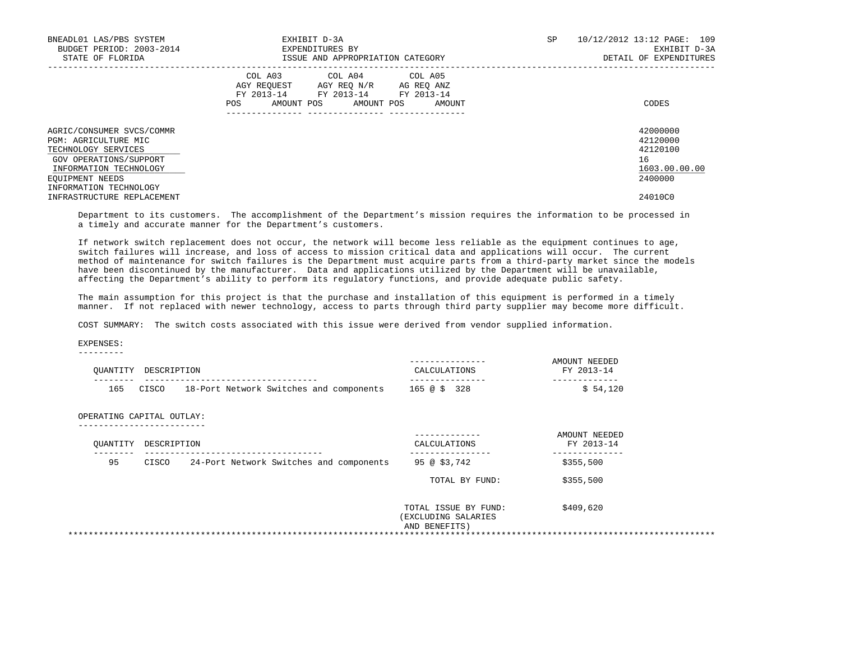| BNEADL01 LAS/PBS SYSTEM<br>BUDGET PERIOD: 2003-2014<br>STATE OF FLORIDA                                                                         | EXHIBIT D-3A<br>EXPENDITURES BY<br>ISSUE AND APPROPRIATION CATEGORY                                                                                  | SP | 10/12/2012 13:12 PAGE: 109<br>EXHIBIT D-3A<br>DETAIL OF EXPENDITURES |
|-------------------------------------------------------------------------------------------------------------------------------------------------|------------------------------------------------------------------------------------------------------------------------------------------------------|----|----------------------------------------------------------------------|
|                                                                                                                                                 | COL A03<br>COL A04 COL A05<br>AGY REOUEST AGY REO N/R AG REO ANZ<br>FY 2013-14 FY 2013-14<br>FY 2013-14<br>AMOUNT POS<br>AMOUNT POS<br>AMOUNT<br>POS |    | CODES                                                                |
| AGRIC/CONSUMER SVCS/COMMR<br>PGM: AGRICULTURE MIC<br>TECHNOLOGY SERVICES<br>GOV OPERATIONS/SUPPORT<br>INFORMATION TECHNOLOGY<br>EQUIPMENT NEEDS |                                                                                                                                                      |    | 42000000<br>42120000<br>42120100<br>16<br>1603.00.00.00<br>2400000   |
| INFORMATION TECHNOLOGY<br>INFRASTRUCTURE REPLACEMENT                                                                                            |                                                                                                                                                      |    | 24010C0                                                              |

 Department to its customers. The accomplishment of the Department's mission requires the information to be processed in a timely and accurate manner for the Department's customers.

 If network switch replacement does not occur, the network will become less reliable as the equipment continues to age, switch failures will increase, and loss of access to mission critical data and applications will occur. The current method of maintenance for switch failures is the Department must acquire parts from a third-party market since the models have been discontinued by the manufacturer. Data and applications utilized by the Department will be unavailable, affecting the Department's ability to perform its regulatory functions, and provide adequate public safety.

 The main assumption for this project is that the purchase and installation of this equipment is performed in a timely manner. If not replaced with newer technology, access to parts through third party supplier may become more difficult.

COST SUMMARY: The switch costs associated with this issue were derived from vendor supplied information.

 EXPENSES: ---------

|       |                                         | CALCULATIONS                                                 | AMOUNT NEEDED<br>FY 2013-14 |
|-------|-----------------------------------------|--------------------------------------------------------------|-----------------------------|
|       | 18-Port Network Switches and components | 165 @ \$ 328                                                 | \$54,120                    |
|       |                                         |                                                              |                             |
|       |                                         | CALCULATIONS                                                 | AMOUNT NEEDED<br>FY 2013-14 |
| CISCO | 24-Port Network Switches and components | 95 @ \$3,742                                                 | \$355,500                   |
|       |                                         | TOTAL BY FUND:                                               | \$355,500                   |
|       |                                         | TOTAL ISSUE BY FUND:<br>(EXCLUDING SALARIES<br>AND BENEFITS) | \$409,620                   |
|       | CISCO                                   | DESCRIPTION<br>OPERATING CAPITAL OUTLAY:<br>DESCRIPTION      |                             |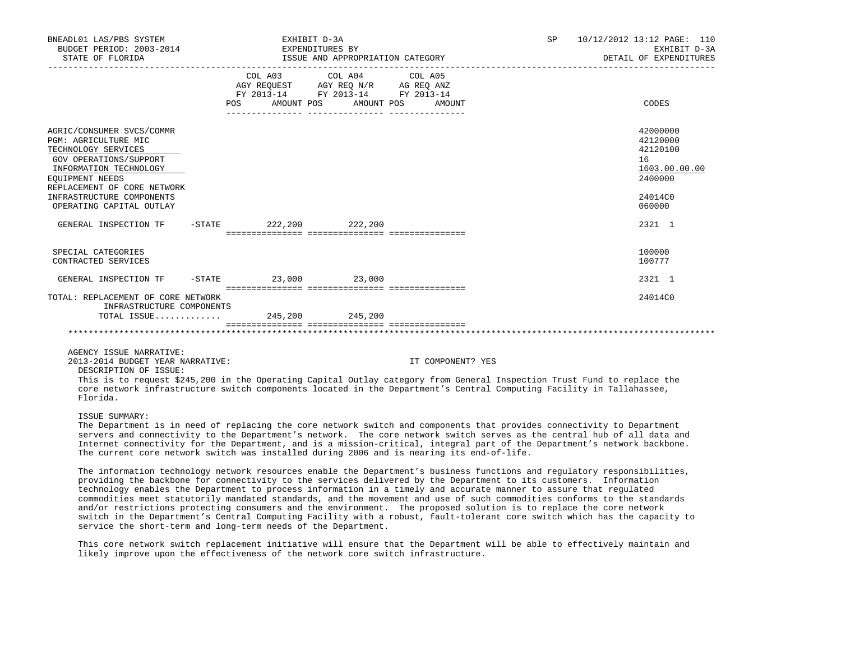| BNEADL01 LAS/PBS SYSTEM<br>BUDGET PERIOD: 2003-2014<br>STATE OF FLORIDA                                                                                                                                                                 | EXHIBIT D-3A<br>EXPENDITURES BY<br>ISSUE AND APPROPRIATION CATEGORY |  |                                                                                                                                       |  | <b>SP</b><br>10/12/2012 13:12 PAGE: 110<br>EXHIBIT D-3A<br>DETAIL OF EXPENDITURES |                                                                                         |  |
|-----------------------------------------------------------------------------------------------------------------------------------------------------------------------------------------------------------------------------------------|---------------------------------------------------------------------|--|---------------------------------------------------------------------------------------------------------------------------------------|--|-----------------------------------------------------------------------------------|-----------------------------------------------------------------------------------------|--|
|                                                                                                                                                                                                                                         |                                                                     |  | COL A03 COL A04 COL A05<br>AGY REQUEST AGY REQ N/R AG REQ ANZ<br>FY 2013-14 FY 2013-14 FY 2013-14<br>POS AMOUNT POS AMOUNT POS AMOUNT |  |                                                                                   | CODES                                                                                   |  |
| AGRIC/CONSUMER SVCS/COMMR<br>PGM: AGRICULTURE MIC<br>TECHNOLOGY SERVICES<br>GOV OPERATIONS/SUPPORT<br>INFORMATION TECHNOLOGY<br>EOUIPMENT NEEDS<br>REPLACEMENT OF CORE NETWORK<br>INFRASTRUCTURE COMPONENTS<br>OPERATING CAPITAL OUTLAY |                                                                     |  |                                                                                                                                       |  |                                                                                   | 42000000<br>42120000<br>42120100<br>16<br>1603.00.00.00<br>2400000<br>24014C0<br>060000 |  |
| GENERAL INSPECTION TF                                                                                                                                                                                                                   |                                                                     |  | $-$ STATE 222, 200 222, 200                                                                                                           |  |                                                                                   | 2321 1                                                                                  |  |
| SPECIAL CATEGORIES<br>CONTRACTED SERVICES                                                                                                                                                                                               |                                                                     |  |                                                                                                                                       |  |                                                                                   | 100000<br>100777                                                                        |  |
| GENERAL INSPECTION TF                                                                                                                                                                                                                   |                                                                     |  | $-STATE$ 23,000 23,000                                                                                                                |  |                                                                                   | 2321 1                                                                                  |  |
| TOTAL: REPLACEMENT OF CORE NETWORK<br>INFRASTRUCTURE COMPONENTS<br>TOTAL ISSUE                                                                                                                                                          |                                                                     |  | 245,200 245,200                                                                                                                       |  |                                                                                   | 24014C0                                                                                 |  |
|                                                                                                                                                                                                                                         |                                                                     |  |                                                                                                                                       |  |                                                                                   |                                                                                         |  |

AGENCY ISSUE NARRATIVE:

2013-2014 BUDGET YEAR NARRATIVE: IT COMPONENT? YES

DESCRIPTION OF ISSUE:

 This is to request \$245,200 in the Operating Capital Outlay category from General Inspection Trust Fund to replace the core network infrastructure switch components located in the Department's Central Computing Facility in Tallahassee, Florida.

ISSUE SUMMARY:

 The Department is in need of replacing the core network switch and components that provides connectivity to Department servers and connectivity to the Department's network. The core network switch serves as the central hub of all data and Internet connectivity for the Department, and is a mission-critical, integral part of the Department's network backbone. The current core network switch was installed during 2006 and is nearing its end-of-life.

 The information technology network resources enable the Department's business functions and regulatory responsibilities, providing the backbone for connectivity to the services delivered by the Department to its customers. Information technology enables the Department to process information in a timely and accurate manner to assure that regulated commodities meet statutorily mandated standards, and the movement and use of such commodities conforms to the standards and/or restrictions protecting consumers and the environment. The proposed solution is to replace the core network switch in the Department's Central Computing Facility with a robust, fault-tolerant core switch which has the capacity to service the short-term and long-term needs of the Department.

 This core network switch replacement initiative will ensure that the Department will be able to effectively maintain and likely improve upon the effectiveness of the network core switch infrastructure.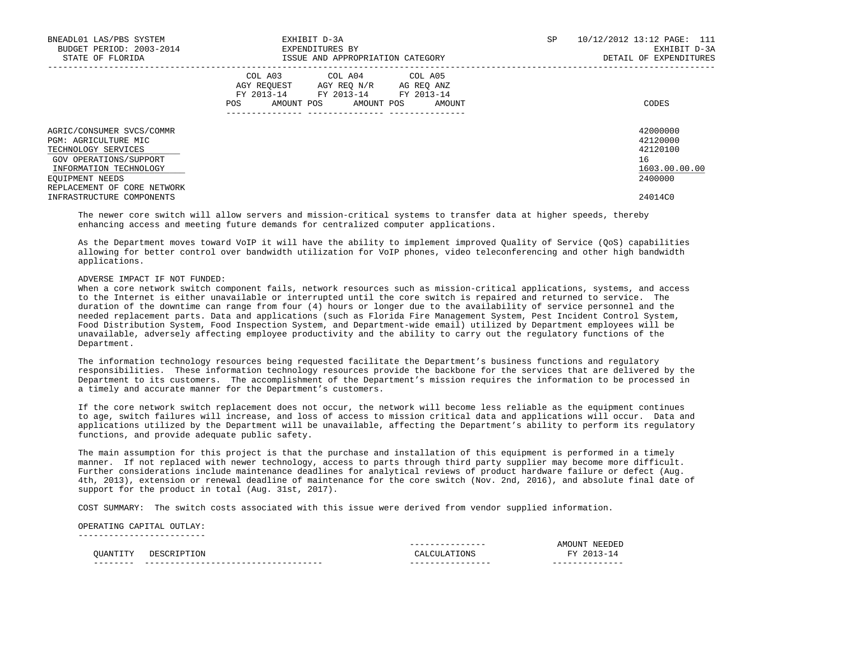| BNEADL01 LAS/PBS SYSTEM<br>BUDGET PERIOD: 2003-2014<br>STATE OF FLORIDA                                                                                                        | EXHIBIT D-3A<br>EXPENDITURES BY<br>ISSUE AND APPROPRIATION CATEGORY                                                                                   | 10/12/2012 13:12 PAGE: 111<br>SP<br>EXHIBIT D-3A<br>DETAIL OF EXPENDITURES |
|--------------------------------------------------------------------------------------------------------------------------------------------------------------------------------|-------------------------------------------------------------------------------------------------------------------------------------------------------|----------------------------------------------------------------------------|
|                                                                                                                                                                                | COL A03<br>COL A04 COL A05<br>AGY REOUEST AGY REO N/R AG REO ANZ<br>FY 2013-14<br>FY 2013-14 FY 2013-14<br>AMOUNT POS<br>AMOUNT POS<br>POS.<br>AMOUNT | CODES                                                                      |
| AGRIC/CONSUMER SVCS/COMMR<br>PGM: AGRICULTURE MIC<br>TECHNOLOGY SERVICES<br>GOV OPERATIONS/SUPPORT<br>INFORMATION TECHNOLOGY<br>EOUIPMENT NEEDS<br>REPLACEMENT OF CORE NETWORK |                                                                                                                                                       | 42000000<br>42120000<br>42120100<br>16<br>1603.00.00.00<br>2400000         |
| INFRASTRUCTURE COMPONENTS                                                                                                                                                      |                                                                                                                                                       | 24014C0                                                                    |

 The newer core switch will allow servers and mission-critical systems to transfer data at higher speeds, thereby enhancing access and meeting future demands for centralized computer applications.

 As the Department moves toward VoIP it will have the ability to implement improved Quality of Service (QoS) capabilities allowing for better control over bandwidth utilization for VoIP phones, video teleconferencing and other high bandwidth applications.

### ADVERSE IMPACT IF NOT FUNDED:

 When a core network switch component fails, network resources such as mission-critical applications, systems, and access to the Internet is either unavailable or interrupted until the core switch is repaired and returned to service. The duration of the downtime can range from four (4) hours or longer due to the availability of service personnel and the needed replacement parts. Data and applications (such as Florida Fire Management System, Pest Incident Control System, Food Distribution System, Food Inspection System, and Department-wide email) utilized by Department employees will be unavailable, adversely affecting employee productivity and the ability to carry out the regulatory functions of the Department.

 The information technology resources being requested facilitate the Department's business functions and regulatory responsibilities. These information technology resources provide the backbone for the services that are delivered by the Department to its customers. The accomplishment of the Department's mission requires the information to be processed in a timely and accurate manner for the Department's customers.

 If the core network switch replacement does not occur, the network will become less reliable as the equipment continues to age, switch failures will increase, and loss of access to mission critical data and applications will occur. Data and applications utilized by the Department will be unavailable, affecting the Department's ability to perform its regulatory functions, and provide adequate public safety.

 The main assumption for this project is that the purchase and installation of this equipment is performed in a timely manner. If not replaced with newer technology, access to parts through third party supplier may become more difficult. Further considerations include maintenance deadlines for analytical reviews of product hardware failure or defect (Aug. 4th, 2013), extension or renewal deadline of maintenance for the core switch (Nov. 2nd, 2016), and absolute final date of support for the product in total (Aug. 31st, 2017).

COST SUMMARY: The switch costs associated with this issue were derived from vendor supplied information.

#### OPERATING CAPITAL OUTLAY: -------------------------

|                                                                                           |          | ---<br>. |     |
|-------------------------------------------------------------------------------------------|----------|----------|-----|
| $\sim$<br>the contract of the contract of the contract of the contract of the contract of | י:דר     | ,,       | アマア |
| ----<br>___                                                                               | --<br>-- | ___      |     |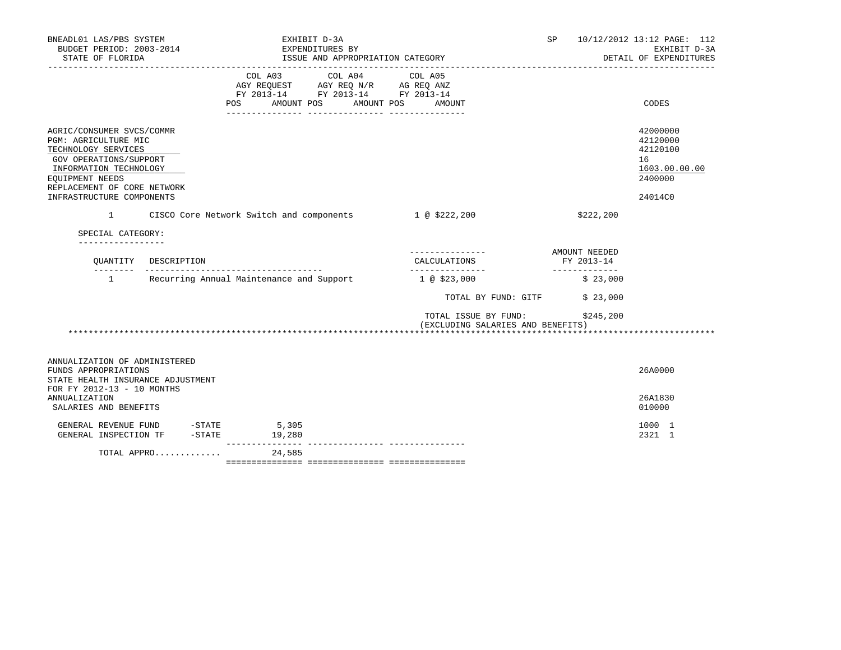| BNEADL01 LAS/PBS SYSTEM<br>BUDGET PERIOD: 2003-2014<br>STATE OF FLORIDA                                                                                                                                     | EXHIBIT D-3A<br>EXPENDITURES BY            | ISSUE AND APPROPRIATION CATEGORY                                                                                                                                                                                                                                                                   | SP                                                                     | 10/12/2012 13:12 PAGE: 112<br>EXHIBIT D-3A<br>DETAIL OF EXPENDITURES          |
|-------------------------------------------------------------------------------------------------------------------------------------------------------------------------------------------------------------|--------------------------------------------|----------------------------------------------------------------------------------------------------------------------------------------------------------------------------------------------------------------------------------------------------------------------------------------------------|------------------------------------------------------------------------|-------------------------------------------------------------------------------|
|                                                                                                                                                                                                             | COL A03<br>AMOUNT POS<br><b>POS</b>        | COL A04<br>COL A05<br>$\begin{tabular}{lllllll} \bf AGY \,\, &\bf REQUEST \,\, &\bf AGY \,\, &\bf REQ \,\, &\bf N/R \,\, &\bf AG \,\, &\bf REQ \,\, &\bf ANZ \,\, \\ \bf FY \,\, &\bf 2013-14 \,\, &\bf FY \,\, &\bf 2013-14 \,\, &\bf FY \,\, &\bf 2013-14 \end{tabular}$<br>AMOUNT POS<br>AMOUNT |                                                                        | <b>CODES</b>                                                                  |
| AGRIC/CONSUMER SVCS/COMMR<br>PGM: AGRICULTURE MIC<br>TECHNOLOGY SERVICES<br>GOV OPERATIONS/SUPPORT<br>INFORMATION TECHNOLOGY<br>EOUIPMENT NEEDS<br>REPLACEMENT OF CORE NETWORK<br>INFRASTRUCTURE COMPONENTS |                                            |                                                                                                                                                                                                                                                                                                    |                                                                        | 42000000<br>42120000<br>42120100<br>16<br>1603.00.00.00<br>2400000<br>24014C0 |
| 1                                                                                                                                                                                                           |                                            | CISCO Core Network Switch and components 1 @ \$222,200                                                                                                                                                                                                                                             | \$222,200                                                              |                                                                               |
| SPECIAL CATEGORY:                                                                                                                                                                                           |                                            |                                                                                                                                                                                                                                                                                                    |                                                                        |                                                                               |
| ---------------<br>QUANTITY DESCRIPTION                                                                                                                                                                     | ________________________________           | ----------------<br>CALCULATIONS<br>________________                                                                                                                                                                                                                                               | AMOUNT NEEDED<br>FY 2013-14                                            |                                                                               |
|                                                                                                                                                                                                             | 1 Recurring Annual Maintenance and Support | $1 \t@ 523,000$                                                                                                                                                                                                                                                                                    | _____________<br>\$23,000                                              |                                                                               |
|                                                                                                                                                                                                             |                                            |                                                                                                                                                                                                                                                                                                    | TOTAL BY FUND: GITF<br>\$23,000                                        |                                                                               |
|                                                                                                                                                                                                             |                                            |                                                                                                                                                                                                                                                                                                    | TOTAL ISSUE BY FUND:<br>\$245,200<br>(EXCLUDING SALARIES AND BENEFITS) |                                                                               |
| ANNUALIZATION OF ADMINISTERED<br>FUNDS APPROPRIATIONS<br>STATE HEALTH INSURANCE ADJUSTMENT                                                                                                                  |                                            |                                                                                                                                                                                                                                                                                                    |                                                                        | 26A0000                                                                       |
| FOR FY 2012-13 - 10 MONTHS<br><b>ANNUALIZATION</b><br>SALARIES AND BENEFITS                                                                                                                                 |                                            |                                                                                                                                                                                                                                                                                                    |                                                                        | 26A1830<br>010000                                                             |
| GENERAL REVENUE FUND -STATE<br>GENERAL INSPECTION TF -STATE                                                                                                                                                 | 5,305<br>19,280                            |                                                                                                                                                                                                                                                                                                    |                                                                        | 1000 1<br>2321 1                                                              |
| TOTAL APPRO                                                                                                                                                                                                 | 24,585                                     |                                                                                                                                                                                                                                                                                                    |                                                                        |                                                                               |

=============== =============== ===============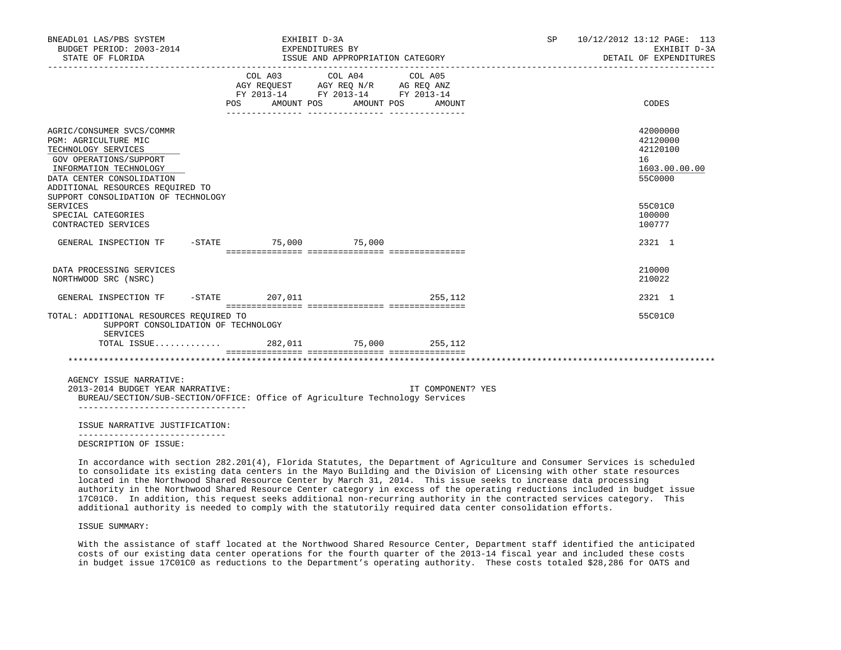| BNEADL01 LAS/PBS SYSTEM<br>BUDGET PERIOD: 2003-2014<br>STATE OF FLORIDA                                                                                                                                                              |  | EXHIBIT D-3A<br>EXPENDITURES BY<br>ISSUE AND APPROPRIATION CATEGORY |                                             |  |            |  | SP                     |  | 10/12/2012 13:12 PAGE: 113<br>EXHIBIT D-3A<br>DETAIL OF EXPENDITURES |                                                                    |
|--------------------------------------------------------------------------------------------------------------------------------------------------------------------------------------------------------------------------------------|--|---------------------------------------------------------------------|---------------------------------------------|--|------------|--|------------------------|--|----------------------------------------------------------------------|--------------------------------------------------------------------|
|                                                                                                                                                                                                                                      |  |                                                                     | COL A03<br>FY 2013-14 FY 2013-14 FY 2013-14 |  | COL A04    |  | COL A05                |  |                                                                      |                                                                    |
|                                                                                                                                                                                                                                      |  | POS                                                                 | AMOUNT POS                                  |  | AMOUNT POS |  | AMOUNT                 |  |                                                                      | CODES                                                              |
| AGRIC/CONSUMER SVCS/COMMR<br>PGM: AGRICULTURE MIC<br>TECHNOLOGY SERVICES<br>GOV OPERATIONS/SUPPORT<br>INFORMATION TECHNOLOGY<br>DATA CENTER CONSOLIDATION<br>ADDITIONAL RESOURCES REQUIRED TO<br>SUPPORT CONSOLIDATION OF TECHNOLOGY |  |                                                                     |                                             |  |            |  |                        |  |                                                                      | 42000000<br>42120000<br>42120100<br>16<br>1603.00.00.00<br>55C0000 |
| <b>SERVICES</b><br>SPECIAL CATEGORIES<br>CONTRACTED SERVICES                                                                                                                                                                         |  |                                                                     |                                             |  |            |  |                        |  |                                                                      | 55C01C0<br>100000<br>100777                                        |
| GENERAL INSPECTION TF -STATE 75,000 75,000                                                                                                                                                                                           |  |                                                                     |                                             |  |            |  |                        |  |                                                                      | 2321 1                                                             |
| DATA PROCESSING SERVICES<br>NORTHWOOD SRC (NSRC)                                                                                                                                                                                     |  |                                                                     |                                             |  |            |  |                        |  |                                                                      | 210000<br>210022                                                   |
| GENERAL INSPECTION TF -STATE 207,011                                                                                                                                                                                                 |  |                                                                     |                                             |  |            |  | 255,112                |  |                                                                      | 2321 1                                                             |
| TOTAL: ADDITIONAL RESOURCES REOUIRED TO<br>SUPPORT CONSOLIDATION OF TECHNOLOGY<br>SERVICES                                                                                                                                           |  |                                                                     |                                             |  |            |  |                        |  |                                                                      | 55C01C0                                                            |
| TOTAL ISSUE                                                                                                                                                                                                                          |  |                                                                     |                                             |  |            |  | 282,011 75,000 255,112 |  |                                                                      |                                                                    |
|                                                                                                                                                                                                                                      |  |                                                                     |                                             |  |            |  |                        |  |                                                                      |                                                                    |
| AGENCY ISSUE NARRATIVE:<br>2013-2014 BUDGET YEAR NARRATIVE:<br>BUREAU/SECTION/SUB-SECTION/OFFICE: Office of Agriculture Technology Services<br>-----------------------------------                                                   |  |                                                                     |                                             |  |            |  | IT COMPONENT? YES      |  |                                                                      |                                                                    |
| ISSUE NARRATIVE JUSTIFICATION:                                                                                                                                                                                                       |  |                                                                     |                                             |  |            |  |                        |  |                                                                      |                                                                    |
| DESCRIPTION OF ISSUE:                                                                                                                                                                                                                |  |                                                                     |                                             |  |            |  |                        |  |                                                                      |                                                                    |

 In accordance with section 282.201(4), Florida Statutes, the Department of Agriculture and Consumer Services is scheduled to consolidate its existing data centers in the Mayo Building and the Division of Licensing with other state resources located in the Northwood Shared Resource Center by March 31, 2014. This issue seeks to increase data processing authority in the Northwood Shared Resource Center category in excess of the operating reductions included in budget issue 17C01C0. In addition, this request seeks additional non-recurring authority in the contracted services category. This additional authority is needed to comply with the statutorily required data center consolidation efforts.

## ISSUE SUMMARY:

 With the assistance of staff located at the Northwood Shared Resource Center, Department staff identified the anticipated costs of our existing data center operations for the fourth quarter of the 2013-14 fiscal year and included these costs in budget issue 17C01C0 as reductions to the Department's operating authority. These costs totaled \$28,286 for OATS and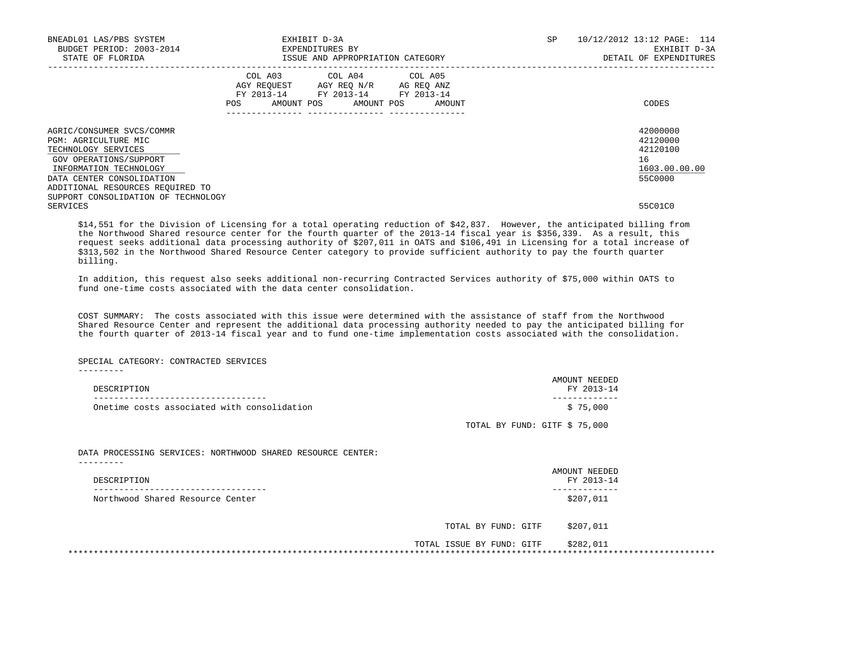| BNEADL01 LAS/PBS SYSTEM<br>BUDGET PERIOD: 2003-2014<br>STATE OF FLORIDA                                                      | EXHIBIT D-3A<br>EXPENDITURES BY<br>ISSUE AND APPROPRIATION CATEGORY |                                                                                                   |                       |  |  | SP     | 10/12/2012 13:12 PAGE: 114<br>EXHIBIT D-3A<br>DETAIL OF EXPENDITURES |                                                         |
|------------------------------------------------------------------------------------------------------------------------------|---------------------------------------------------------------------|---------------------------------------------------------------------------------------------------|-----------------------|--|--|--------|----------------------------------------------------------------------|---------------------------------------------------------|
|                                                                                                                              | POS                                                                 | COL A03 COL A04 COL A05<br>AGY REOUEST AGY REO N/R AG REO ANZ<br>FY 2013-14 FY 2013-14 FY 2013-14 | AMOUNT POS AMOUNT POS |  |  | AMOUNT |                                                                      | CODES                                                   |
| AGRIC/CONSUMER SVCS/COMMR<br>PGM: AGRICULTURE MIC<br>TECHNOLOGY SERVICES<br>GOV OPERATIONS/SUPPORT<br>INFORMATION TECHNOLOGY |                                                                     |                                                                                                   |                       |  |  |        |                                                                      | 42000000<br>42120000<br>42120100<br>16<br>1603.00.00.00 |
| DATA CENTER CONSOLIDATION<br>ADDITIONAL RESOURCES REQUIRED TO<br>SUPPORT CONSOLIDATION OF TECHNOLOGY<br>SERVICES             |                                                                     |                                                                                                   |                       |  |  |        |                                                                      | 55C0000<br>55C01C0                                      |

 \$14,551 for the Division of Licensing for a total operating reduction of \$42,837. However, the anticipated billing from the Northwood Shared resource center for the fourth quarter of the 2013-14 fiscal year is \$356,339. As a result, this request seeks additional data processing authority of \$207,011 in OATS and \$106,491 in Licensing for a total increase of \$313,502 in the Northwood Shared Resource Center category to provide sufficient authority to pay the fourth quarter billing.

 In addition, this request also seeks additional non-recurring Contracted Services authority of \$75,000 within OATS to fund one-time costs associated with the data center consolidation.

 COST SUMMARY: The costs associated with this issue were determined with the assistance of staff from the Northwood Shared Resource Center and represent the additional data processing authority needed to pay the anticipated billing for the fourth quarter of 2013-14 fiscal year and to fund one-time implementation costs associated with the consolidation.

SPECIAL CATEGORY: CONTRACTED SERVICES

---------

| DESCRIPTION                                                              |                               | AMOUNT NEEDED<br>FY 2013-14 |
|--------------------------------------------------------------------------|-------------------------------|-----------------------------|
| Onetime costs associated with consolidation                              |                               | \$75,000                    |
|                                                                          | TOTAL BY FUND: GITF \$ 75,000 |                             |
| DATA PROCESSING SERVICES: NORTHWOOD SHARED RESOURCE CENTER:<br>--------- |                               |                             |
|                                                                          |                               | AMOUNT NEEDED               |
| DESCRIPTION                                                              |                               | FY 2013-14                  |
| Northwood Shared Resource Center                                         |                               | \$207,011                   |
|                                                                          | TOTAL BY FUND: GITF           | \$207,011                   |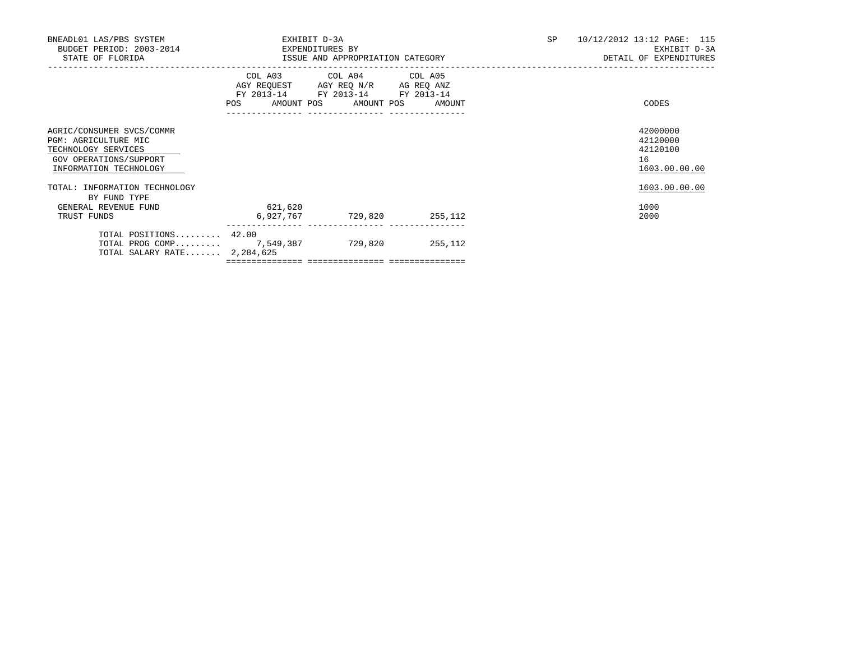| BNEADL01 LAS/PBS SYSTEM<br>BUDGET PERIOD: 2003-2014<br>STATE OF FLORIDA                                                      | EXPENDITURES BY<br>ISSUE AND APPROPRIATION CATEGORY | EXHIBIT D-3A                                                                                                          | 10/12/2012 13:12 PAGE: 115<br>SP<br>DETAIL OF EXPENDITURES | EXHIBIT D-3A                           |               |
|------------------------------------------------------------------------------------------------------------------------------|-----------------------------------------------------|-----------------------------------------------------------------------------------------------------------------------|------------------------------------------------------------|----------------------------------------|---------------|
|                                                                                                                              | POS AMOUNT POS AMOUNT POS AMOUNT                    | COL A03 COL A04 COL A05<br>AGY REQUEST AGY REQ N/R AG REQ ANZ<br>FY 2013-14 FY 2013-14 FY 2013-14<br>---------------- |                                                            | CODES                                  |               |
| AGRIC/CONSUMER SVCS/COMMR<br>PGM: AGRICULTURE MIC<br>TECHNOLOGY SERVICES<br>GOV OPERATIONS/SUPPORT<br>INFORMATION TECHNOLOGY |                                                     |                                                                                                                       |                                                            | 42000000<br>42120000<br>42120100<br>16 | 1603.00.00.00 |
| TOTAL: INFORMATION TECHNOLOGY<br>BY FUND TYPE                                                                                |                                                     |                                                                                                                       |                                                            |                                        | 1603.00.00.00 |
| GENERAL REVENUE FUND<br>TRUST FUNDS                                                                                          | 621,620<br>6,927,767                                | 729,820 255,112                                                                                                       |                                                            | 1000<br>2000                           |               |
| TOTAL POSITIONS $42.00$<br>TOTAL PROG COMP 7,549,387<br>TOTAL SALARY RATE 2,284,625                                          |                                                     | 729,820 255,112                                                                                                       |                                                            |                                        |               |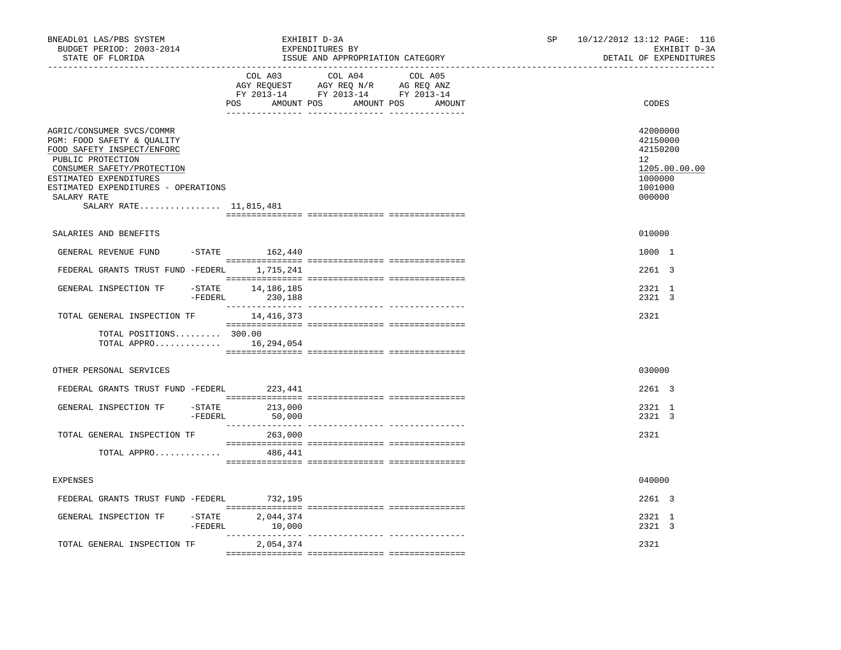| BNEADL01 LAS/PBS SYSTEM<br>BUDGET PERIOD: 2003-2014<br>STATE OF FLORIDA                                                                                                                                                                            |                                         | EXHIBIT D-3A<br>EXPENDITURES BY<br>ISSUE AND APPROPRIATION CATEGORY                                                                   | 10/12/2012 13:12 PAGE: 116<br>SP.<br>EXHIBIT D-3A<br>DETAIL OF EXPENDITURES |                                                                                         |  |
|----------------------------------------------------------------------------------------------------------------------------------------------------------------------------------------------------------------------------------------------------|-----------------------------------------|---------------------------------------------------------------------------------------------------------------------------------------|-----------------------------------------------------------------------------|-----------------------------------------------------------------------------------------|--|
|                                                                                                                                                                                                                                                    |                                         | COL A03 COL A04 COL A05<br>AGY REQUEST AGY REQ N/R AG REQ ANZ<br>FY 2013-14 FY 2013-14 FY 2013-14<br>POS AMOUNT POS AMOUNT POS AMOUNT |                                                                             | CODES                                                                                   |  |
| AGRIC/CONSUMER SVCS/COMMR<br>PGM: FOOD SAFETY & QUALITY<br>FOOD SAFETY INSPECT/ENFORC<br>PUBLIC PROTECTION<br>CONSUMER SAFETY/PROTECTION<br>ESTIMATED EXPENDITURES<br>ESTIMATED EXPENDITURES - OPERATIONS<br>SALARY RATE<br>SALARY RATE 11,815,481 |                                         |                                                                                                                                       |                                                                             | 42000000<br>42150000<br>42150200<br>12<br>1205.00.00.00<br>1000000<br>1001000<br>000000 |  |
| SALARIES AND BENEFITS                                                                                                                                                                                                                              |                                         |                                                                                                                                       |                                                                             | 010000                                                                                  |  |
| GENERAL REVENUE FUND -STATE 162,440                                                                                                                                                                                                                |                                         |                                                                                                                                       |                                                                             | 1000 1                                                                                  |  |
| FEDERAL GRANTS TRUST FUND -FEDERL 1,715,241                                                                                                                                                                                                        |                                         |                                                                                                                                       |                                                                             | 2261 3                                                                                  |  |
| GENERAL INSPECTION TF<br>-FEDERL                                                                                                                                                                                                                   | $-$ STATE $14, 186, 185$<br>230,188     |                                                                                                                                       |                                                                             | 2321 1<br>2321 3                                                                        |  |
| TOTAL GENERAL INSPECTION TF 14,416,373                                                                                                                                                                                                             |                                         |                                                                                                                                       |                                                                             | 2321                                                                                    |  |
| TOTAL POSITIONS 300.00<br>TOTAL APPRO 16,294,054                                                                                                                                                                                                   |                                         |                                                                                                                                       |                                                                             |                                                                                         |  |
| OTHER PERSONAL SERVICES                                                                                                                                                                                                                            |                                         |                                                                                                                                       |                                                                             | 030000                                                                                  |  |
| FEDERAL GRANTS TRUST FUND -FEDERL 223,441                                                                                                                                                                                                          |                                         |                                                                                                                                       |                                                                             | 2261 3                                                                                  |  |
| GENERAL INSPECTION TF                                                                                                                                                                                                                              | $-$ STATE 213,000<br>$-FEDERL$ 50,000   |                                                                                                                                       |                                                                             | 2321 1<br>2321 3                                                                        |  |
| TOTAL GENERAL INSPECTION TF                                                                                                                                                                                                                        | 263,000                                 |                                                                                                                                       |                                                                             | 2321                                                                                    |  |
| TOTAL APPRO                                                                                                                                                                                                                                        | 486,441                                 |                                                                                                                                       |                                                                             |                                                                                         |  |
| <b>EXPENSES</b>                                                                                                                                                                                                                                    |                                         |                                                                                                                                       |                                                                             | 040000                                                                                  |  |
| FEDERAL GRANTS TRUST FUND -FEDERL                                                                                                                                                                                                                  | 732,195                                 |                                                                                                                                       |                                                                             | 2261 3                                                                                  |  |
| GENERAL INSPECTION TF                                                                                                                                                                                                                              | $-$ STATE 2,044,374<br>$-FEDERL$ 10,000 |                                                                                                                                       |                                                                             | 2321 1<br>2321 3                                                                        |  |
| TOTAL GENERAL INSPECTION TF                                                                                                                                                                                                                        | 2,054,374                               |                                                                                                                                       |                                                                             | 2321                                                                                    |  |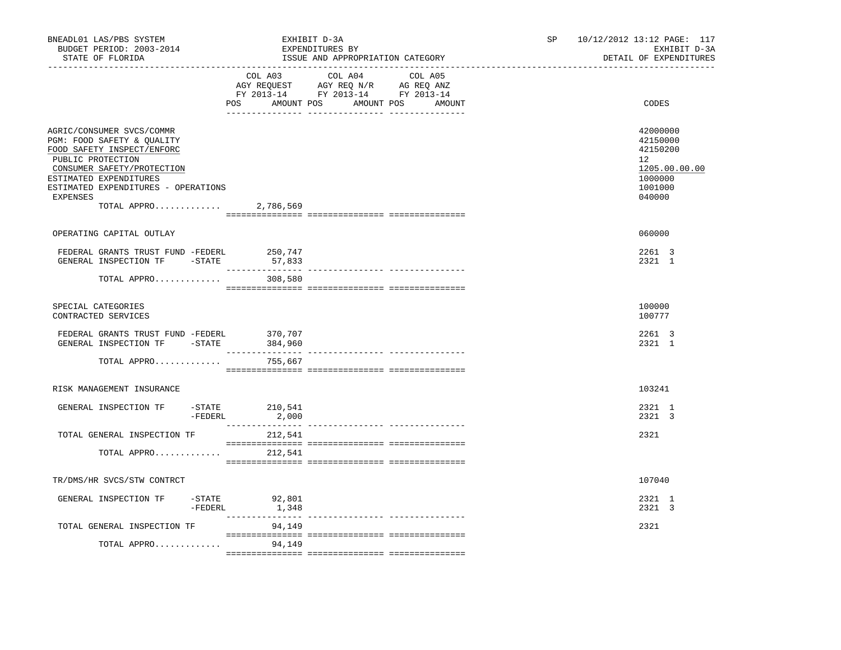| BNEADL01 LAS/PBS SYSTEM<br>BUDGET PERIOD: 2003-2014<br>STATE OF FLORIDA                                                                                                                                                                        | EXHIBIT D-3A<br>EXPENDITURES BY | ISSUE AND APPROPRIATION CATEGORY                                                                                                      | 10/12/2012 13:12 PAGE: 117<br>SP and the set of the set of the set of the set of the set of the set of the set of the set of the set of the set of the set of the set of the set of the set of the set of the set of the set of the set of the set of the se<br>EXHIBIT D-3A<br>DETAIL OF EXPENDITURES |                                                                                         |  |
|------------------------------------------------------------------------------------------------------------------------------------------------------------------------------------------------------------------------------------------------|---------------------------------|---------------------------------------------------------------------------------------------------------------------------------------|--------------------------------------------------------------------------------------------------------------------------------------------------------------------------------------------------------------------------------------------------------------------------------------------------------|-----------------------------------------------------------------------------------------|--|
|                                                                                                                                                                                                                                                |                                 | COL A03 COL A04 COL A05<br>AGY REQUEST AGY REQ N/R AG REQ ANZ<br>FY 2013-14 FY 2013-14 FY 2013-14<br>POS AMOUNT POS AMOUNT POS AMOUNT |                                                                                                                                                                                                                                                                                                        | CODES                                                                                   |  |
| AGRIC/CONSUMER SVCS/COMMR<br>PGM: FOOD SAFETY & QUALITY<br>FOOD SAFETY INSPECT/ENFORC<br>PUBLIC PROTECTION<br>CONSUMER SAFETY/PROTECTION<br>ESTIMATED EXPENDITURES<br>ESTIMATED EXPENDITURES - OPERATIONS<br>EXPENSES<br>TOTAL APPRO 2,786,569 |                                 |                                                                                                                                       |                                                                                                                                                                                                                                                                                                        | 42000000<br>42150000<br>42150200<br>12<br>1205.00.00.00<br>1000000<br>1001000<br>040000 |  |
| OPERATING CAPITAL OUTLAY                                                                                                                                                                                                                       |                                 |                                                                                                                                       |                                                                                                                                                                                                                                                                                                        | 060000                                                                                  |  |
| FEDERAL GRANTS TRUST FUND -FEDERL<br>GENERAL INSPECTION TF - STATE                                                                                                                                                                             | 250,747<br>57,833               |                                                                                                                                       |                                                                                                                                                                                                                                                                                                        | 2261 3<br>2321 1                                                                        |  |
| TOTAL APPRO 308,580                                                                                                                                                                                                                            |                                 |                                                                                                                                       |                                                                                                                                                                                                                                                                                                        |                                                                                         |  |
| SPECIAL CATEGORIES<br>CONTRACTED SERVICES                                                                                                                                                                                                      |                                 |                                                                                                                                       |                                                                                                                                                                                                                                                                                                        | 100000<br>100777                                                                        |  |
| FEDERAL GRANTS TRUST FUND -FEDERL<br>GENERAL INSPECTION TF -STATE                                                                                                                                                                              | 370,707<br>384,960              |                                                                                                                                       |                                                                                                                                                                                                                                                                                                        | 2261 3<br>2321 1                                                                        |  |
| TOTAL APPRO                                                                                                                                                                                                                                    | 755,667                         |                                                                                                                                       |                                                                                                                                                                                                                                                                                                        |                                                                                         |  |
| RISK MANAGEMENT INSURANCE                                                                                                                                                                                                                      |                                 |                                                                                                                                       |                                                                                                                                                                                                                                                                                                        | 103241                                                                                  |  |
| GENERAL INSPECTION TF<br>-FEDERL                                                                                                                                                                                                               | $-STATE$ 210,541<br>2,000       |                                                                                                                                       |                                                                                                                                                                                                                                                                                                        | 2321 1<br>2321 3                                                                        |  |
| TOTAL GENERAL INSPECTION TF                                                                                                                                                                                                                    | 212,541                         |                                                                                                                                       |                                                                                                                                                                                                                                                                                                        | 2321                                                                                    |  |
| TOTAL APPRO                                                                                                                                                                                                                                    | 212,541                         |                                                                                                                                       |                                                                                                                                                                                                                                                                                                        |                                                                                         |  |
| TR/DMS/HR SVCS/STW CONTRCT                                                                                                                                                                                                                     |                                 |                                                                                                                                       |                                                                                                                                                                                                                                                                                                        | 107040                                                                                  |  |
| GENERAL INSPECTION TF<br>-FEDERL                                                                                                                                                                                                               | $-STATE$ 92,801<br>1,348        |                                                                                                                                       |                                                                                                                                                                                                                                                                                                        | 2321 1<br>2321 3                                                                        |  |
| TOTAL GENERAL INSPECTION TF                                                                                                                                                                                                                    | _______________<br>94,149       |                                                                                                                                       |                                                                                                                                                                                                                                                                                                        | 2321                                                                                    |  |
| TOTAL APPRO                                                                                                                                                                                                                                    | 94,149                          |                                                                                                                                       |                                                                                                                                                                                                                                                                                                        |                                                                                         |  |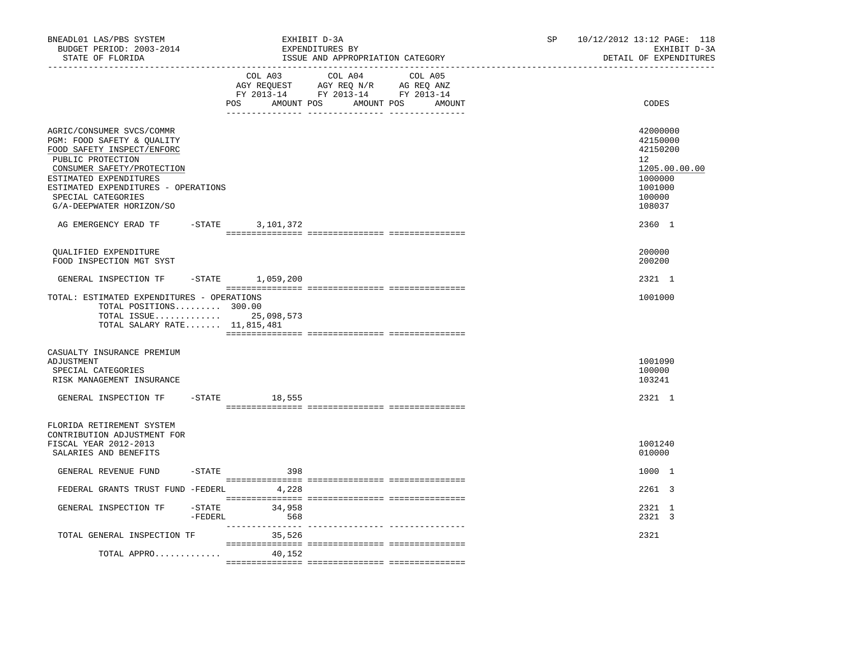| BNEADL01 LAS/PBS SYSTEM<br>BUDGET PERIOD: 2003-2014<br>STATE OF FLORIDA                                                                                                                                                                                     |                   |                                  | EXHIBIT D-3A<br>EXPENDITURES BY<br>ISSUE AND APPROPRIATION CATEGORY                               |  | SP | 10/12/2012 13:12 PAGE: 118<br>EXHIBIT D-3A<br>DETAIL OF EXPENDITURES                                        |
|-------------------------------------------------------------------------------------------------------------------------------------------------------------------------------------------------------------------------------------------------------------|-------------------|----------------------------------|---------------------------------------------------------------------------------------------------|--|----|-------------------------------------------------------------------------------------------------------------|
|                                                                                                                                                                                                                                                             |                   | POS AMOUNT POS AMOUNT POS AMOUNT | COL A03 COL A04 COL A05<br>AGY REQUEST AGY REQ N/R AG REQ ANZ<br>FY 2013-14 FY 2013-14 FY 2013-14 |  |    | CODES                                                                                                       |
| AGRIC/CONSUMER SVCS/COMMR<br>PGM: FOOD SAFETY & QUALITY<br>FOOD SAFETY INSPECT/ENFORC<br>PUBLIC PROTECTION<br>CONSUMER SAFETY/PROTECTION<br>ESTIMATED EXPENDITURES<br>ESTIMATED EXPENDITURES - OPERATIONS<br>SPECIAL CATEGORIES<br>G/A-DEEPWATER HORIZON/SO |                   |                                  |                                                                                                   |  |    | 42000000<br>42150000<br>42150200<br>$12^{\circ}$<br>1205.00.00.00<br>1000000<br>1001000<br>100000<br>108037 |
| AG EMERGENCY ERAD TF - STATE 3,101,372                                                                                                                                                                                                                      |                   |                                  |                                                                                                   |  |    | 2360 1                                                                                                      |
| QUALIFIED EXPENDITURE<br>FOOD INSPECTION MGT SYST                                                                                                                                                                                                           |                   |                                  |                                                                                                   |  |    | 200000<br>200200                                                                                            |
| GENERAL INSPECTION TF -STATE 1,059,200                                                                                                                                                                                                                      |                   |                                  |                                                                                                   |  |    | 2321 1                                                                                                      |
| TOTAL: ESTIMATED EXPENDITURES - OPERATIONS<br>TOTAL POSITIONS 300.00<br>TOTAL ISSUE 25,098,573<br>TOTAL SALARY RATE 11,815,481                                                                                                                              |                   |                                  |                                                                                                   |  |    | 1001000                                                                                                     |
| CASUALTY INSURANCE PREMIUM<br>ADJUSTMENT<br>SPECIAL CATEGORIES<br>RISK MANAGEMENT INSURANCE                                                                                                                                                                 |                   |                                  |                                                                                                   |  |    | 1001090<br>100000<br>103241                                                                                 |
| GENERAL INSPECTION TF                                                                                                                                                                                                                                       |                   | $-$ STATE 18,555                 |                                                                                                   |  |    | 2321 1                                                                                                      |
| FLORIDA RETIREMENT SYSTEM<br>CONTRIBUTION ADJUSTMENT FOR<br>FISCAL YEAR 2012-2013<br>SALARIES AND BENEFITS                                                                                                                                                  |                   |                                  |                                                                                                   |  |    | 1001240<br>010000                                                                                           |
| GENERAL REVENUE FUND                                                                                                                                                                                                                                        |                   | $-STATE$ 398                     |                                                                                                   |  |    | 1000 1                                                                                                      |
| FEDERAL GRANTS TRUST FUND -FEDERL                                                                                                                                                                                                                           |                   | 4,228                            |                                                                                                   |  |    | 2261 3                                                                                                      |
| GENERAL INSPECTION TF                                                                                                                                                                                                                                       | -STATE<br>-FEDERL | 34,958<br>568                    |                                                                                                   |  |    | 2321 1<br>2321 3                                                                                            |
| TOTAL GENERAL INSPECTION TF                                                                                                                                                                                                                                 |                   | 35,526                           |                                                                                                   |  |    | 2321                                                                                                        |
| TOTAL APPRO                                                                                                                                                                                                                                                 |                   | 40,152                           |                                                                                                   |  |    |                                                                                                             |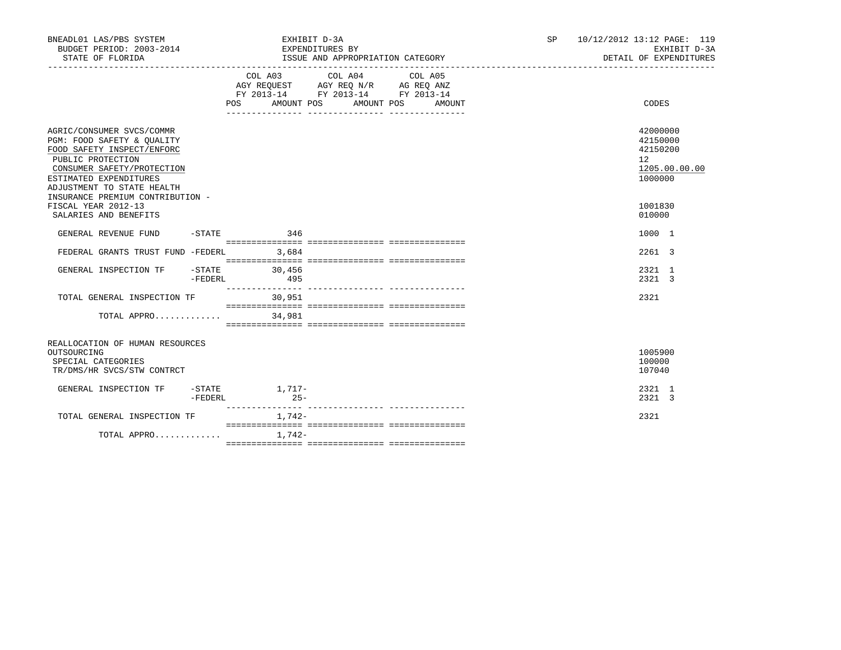| BNEADL01 LAS/PBS SYSTEM<br>BUDGET PERIOD: 2003-2014<br>STATE OF FLORIDA                                                                                                                                                              |         |               |          | EXHIBIT D-3A<br>EXPENDITURES BY | ISSUE AND APPROPRIATION CATEGORY                                                                                           |        | SP | 10/12/2012 13:12 PAGE: 119<br>EXHIBIT D-3A<br>DETAIL OF EXPENDITURES         |
|--------------------------------------------------------------------------------------------------------------------------------------------------------------------------------------------------------------------------------------|---------|---------------|----------|---------------------------------|----------------------------------------------------------------------------------------------------------------------------|--------|----|------------------------------------------------------------------------------|
|                                                                                                                                                                                                                                      |         | POS FOR       |          |                                 | COL A03 COL A04 COL A05<br>AGY REQUEST AGY REQ N/R AG REQ ANZ<br>FY 2013-14 FY 2013-14 FY 2013-14<br>AMOUNT POS AMOUNT POS | AMOUNT |    | <b>CODES</b>                                                                 |
| AGRIC/CONSUMER SVCS/COMMR<br>PGM: FOOD SAFETY & QUALITY<br>FOOD SAFETY INSPECT/ENFORC<br>PUBLIC PROTECTION<br>CONSUMER SAFETY/PROTECTION<br>ESTIMATED EXPENDITURES<br>ADJUSTMENT TO STATE HEALTH<br>INSURANCE PREMIUM CONTRIBUTION - |         |               |          |                                 |                                                                                                                            |        |    | 42000000<br>42150000<br>42150200<br>$12^{\circ}$<br>1205.00.00.00<br>1000000 |
| FISCAL YEAR 2012-13<br>SALARIES AND BENEFITS                                                                                                                                                                                         |         |               |          |                                 |                                                                                                                            |        |    | 1001830<br>010000                                                            |
| GENERAL REVENUE FUND                                                                                                                                                                                                                 |         | $-STATE$ 346  |          |                                 |                                                                                                                            |        |    | 1000 1                                                                       |
| FEDERAL GRANTS TRUST FUND -FEDERL                                                                                                                                                                                                    |         |               | 3,684    |                                 |                                                                                                                            |        |    | 2261 3                                                                       |
| GENERAL INSPECTION TF -STATE 30,456                                                                                                                                                                                                  | -FEDERL | 495           |          |                                 |                                                                                                                            |        |    | 2321 1<br>2321 3                                                             |
| TOTAL GENERAL INSPECTION TF                                                                                                                                                                                                          |         |               | 30,951   |                                 |                                                                                                                            |        |    | 2321                                                                         |
| TOTAL APPRO                                                                                                                                                                                                                          |         |               | 34,981   |                                 |                                                                                                                            |        |    |                                                                              |
| REALLOCATION OF HUMAN RESOURCES<br>OUTSOURCING<br>SPECIAL CATEGORIES<br>TR/DMS/HR SVCS/STW CONTRCT                                                                                                                                   |         |               |          |                                 |                                                                                                                            |        |    | 1005900<br>100000<br>107040                                                  |
| GENERAL INSPECTION TF                                                                                                                                                                                                                | -FEDERL | -STATE 1,717- | $25 -$   |                                 |                                                                                                                            |        |    | 2321 1<br>2321 3                                                             |
| TOTAL GENERAL INSPECTION TF                                                                                                                                                                                                          |         |               | 1,742-   |                                 |                                                                                                                            |        |    | 2321                                                                         |
| TOTAL APPRO                                                                                                                                                                                                                          |         |               | $1.742-$ |                                 |                                                                                                                            |        |    |                                                                              |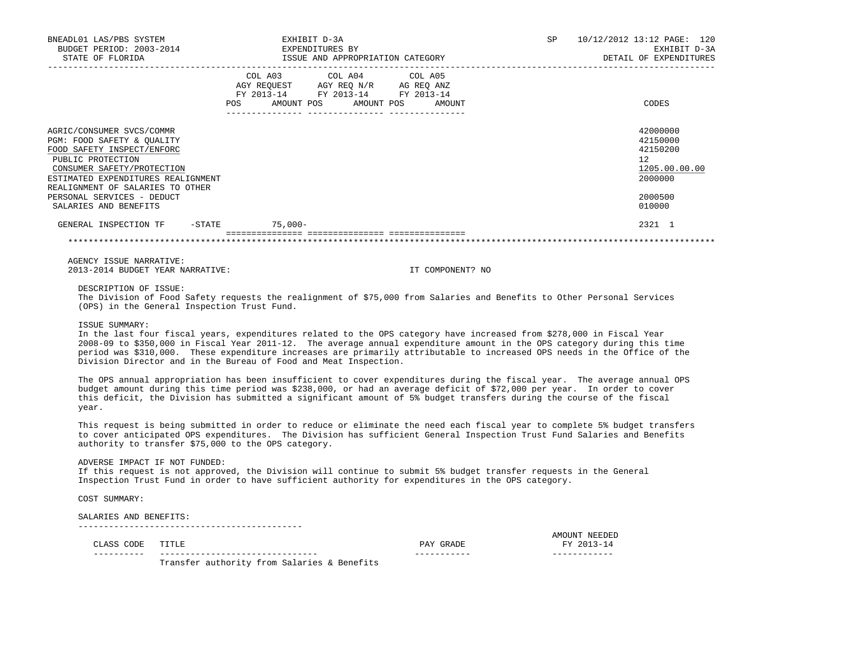| BNEADL01 LAS/PBS SYSTEM<br>BUDGET PERIOD: 2003-2014 EXPENDITURES BY<br>STATE OF FLORIDA                                                                                                                                                                                   | EXHIBIT D-3A                                                                                                                          | ISSUE AND APPROPRIATION CATEGORY                                                                                                                                                                                                                                                                                                                                            | SP 10/12/2012 13:12 PAGE: 120<br>EXHIBIT D-3A<br>DETAIL OF EXPENDITURES                 |
|---------------------------------------------------------------------------------------------------------------------------------------------------------------------------------------------------------------------------------------------------------------------------|---------------------------------------------------------------------------------------------------------------------------------------|-----------------------------------------------------------------------------------------------------------------------------------------------------------------------------------------------------------------------------------------------------------------------------------------------------------------------------------------------------------------------------|-----------------------------------------------------------------------------------------|
|                                                                                                                                                                                                                                                                           | COL A03 COL A04 COL A05<br>AGY REQUEST AGY REQ N/R AG REQ ANZ<br>FY 2013-14 FY 2013-14 FY 2013-14<br>POS AMOUNT POS AMOUNT POS AMOUNT |                                                                                                                                                                                                                                                                                                                                                                             | CODES                                                                                   |
| AGRIC/CONSUMER SVCS/COMMR<br>PGM: FOOD SAFETY & OUALITY<br>FOOD SAFETY INSPECT/ENFORC<br>PUBLIC PROTECTION<br>CONSUMER SAFETY/PROTECTION<br>ESTIMATED EXPENDITURES REALIGNMENT<br>REALIGNMENT OF SALARIES TO OTHER<br>PERSONAL SERVICES - DEDUCT<br>SALARIES AND BENEFITS |                                                                                                                                       |                                                                                                                                                                                                                                                                                                                                                                             | 42000000<br>42150000<br>42150200<br>12<br>1205.00.00.00<br>2000000<br>2000500<br>010000 |
| GENERAL INSPECTION TF -STATE 75,000-                                                                                                                                                                                                                                      |                                                                                                                                       |                                                                                                                                                                                                                                                                                                                                                                             | 2321 1                                                                                  |
|                                                                                                                                                                                                                                                                           |                                                                                                                                       |                                                                                                                                                                                                                                                                                                                                                                             |                                                                                         |
| AGENCY ISSUE NARRATIVE:<br>2013-2014 BUDGET YEAR NARRATIVE:                                                                                                                                                                                                               |                                                                                                                                       | IT COMPONENT? NO                                                                                                                                                                                                                                                                                                                                                            |                                                                                         |
| DESCRIPTION OF ISSUE:<br>(OPS) in the General Inspection Trust Fund.                                                                                                                                                                                                      |                                                                                                                                       | The Division of Food Safety requests the realignment of \$75,000 from Salaries and Benefits to Other Personal Services                                                                                                                                                                                                                                                      |                                                                                         |
| ISSUE SUMMARY:                                                                                                                                                                                                                                                            | Division Director and in the Bureau of Food and Meat Inspection.                                                                      | In the last four fiscal years, expenditures related to the OPS category have increased from \$278,000 in Fiscal Year<br>2008-09 to \$350,000 in Fiscal Year 2011-12. The average annual expenditure amount in the OPS category during this time<br>period was \$310,000. These expenditure increases are primarily attributable to increased OPS needs in the Office of the |                                                                                         |

 The OPS annual appropriation has been insufficient to cover expenditures during the fiscal year. The average annual OPS budget amount during this time period was \$238,000, or had an average deficit of \$72,000 per year. In order to cover this deficit, the Division has submitted a significant amount of 5% budget transfers during the course of the fiscal year.

 This request is being submitted in order to reduce or eliminate the need each fiscal year to complete 5% budget transfers to cover anticipated OPS expenditures. The Division has sufficient General Inspection Trust Fund Salaries and Benefits authority to transfer \$75,000 to the OPS category.

ADVERSE IMPACT IF NOT FUNDED:

 If this request is not approved, the Division will continue to submit 5% budget transfer requests in the General Inspection Trust Fund in order to have sufficient authority for expenditures in the OPS category.

COST SUMMARY:

 SALARIES AND BENEFITS: --------------------------------------------

AMOUNT NEEDED AND ANOUNT NEEDED AND ANOUNT NEEDED FY 2013–14 CLASS CODE TITLE PAY GRADE FY 2013-14

Transfer authority from Salaries & Benefits

---------- ------------------------------- ----------- ------------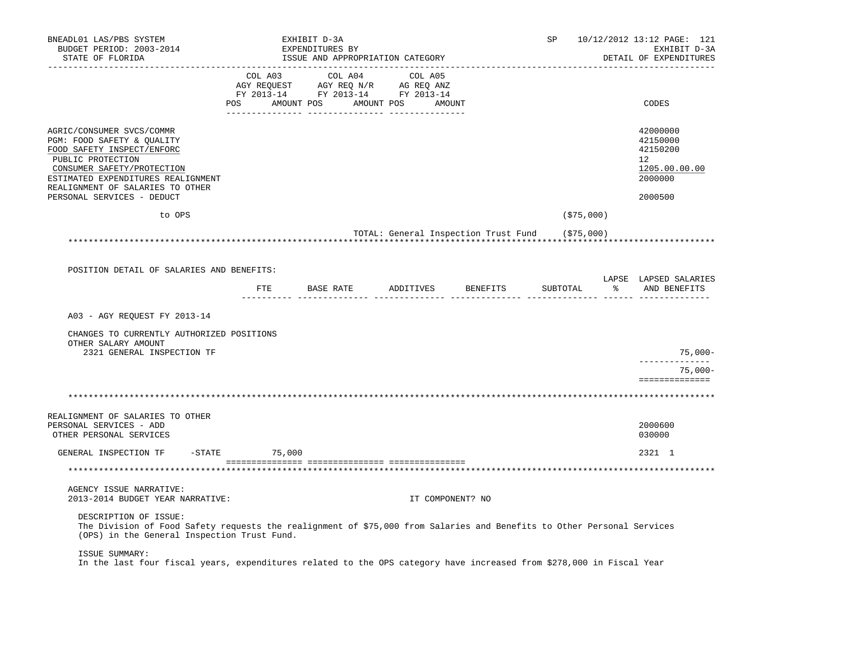| BNEADL01 LAS/PBS SYSTEM<br>BUDGET PERIOD: 2003-2014<br>STATE OF FLORIDA                                                                                                                                                                          |                 | EXHIBIT D-3A<br>EXPENDITURES BY<br>ISSUE AND APPROPRIATION CATEGORY                                                                                                                            |                   | ---------------------                           | SP          | 10/12/2012 13:12 PAGE: 121<br>EXHIBIT D-3A<br>DETAIL OF EXPENDITURES                       |
|--------------------------------------------------------------------------------------------------------------------------------------------------------------------------------------------------------------------------------------------------|-----------------|------------------------------------------------------------------------------------------------------------------------------------------------------------------------------------------------|-------------------|-------------------------------------------------|-------------|--------------------------------------------------------------------------------------------|
|                                                                                                                                                                                                                                                  |                 | $\begin{tabular}{lcccc} COL A03 & COL A04 & COL A05 \\ AGY REQUEST & AGY REQ N/R & AG REQ ANZ \\ FY & 2013-14 & FY & 2013-14 & FY & 2013-14 \end{tabular}$<br>POS AMOUNT POS AMOUNT POS AMOUNT | --------- ------- |                                                 |             | CODES                                                                                      |
| AGRIC/CONSUMER SVCS/COMMR<br>PGM: FOOD SAFETY & QUALITY<br>FOOD SAFETY INSPECT/ENFORC<br>PUBLIC PROTECTION<br>CONSUMER SAFETY/PROTECTION<br>ESTIMATED EXPENDITURES REALIGNMENT<br>REALIGNMENT OF SALARIES TO OTHER<br>PERSONAL SERVICES - DEDUCT |                 |                                                                                                                                                                                                |                   |                                                 |             | 42000000<br>42150000<br>42150200<br>12 <sup>°</sup><br>1205.00.00.00<br>2000000<br>2000500 |
| to OPS                                                                                                                                                                                                                                           |                 |                                                                                                                                                                                                |                   |                                                 | ( \$75,000) |                                                                                            |
| POSITION DETAIL OF SALARIES AND BENEFITS:                                                                                                                                                                                                        |                 |                                                                                                                                                                                                |                   | TOTAL: General Inspection Trust Fund (\$75,000) |             |                                                                                            |
|                                                                                                                                                                                                                                                  |                 | FTE BASE RATE ADDITIVES BENEFITS SUBTOTAL                                                                                                                                                      |                   |                                                 |             | LAPSE LAPSED SALARIES<br>% AND BENEFITS                                                    |
| A03 - AGY REOUEST FY 2013-14<br>CHANGES TO CURRENTLY AUTHORIZED POSITIONS<br>OTHER SALARY AMOUNT<br>2321 GENERAL INSPECTION TF                                                                                                                   |                 |                                                                                                                                                                                                |                   |                                                 |             | 75,000-<br>--------------<br>$75,000-$<br>==============                                   |
|                                                                                                                                                                                                                                                  |                 |                                                                                                                                                                                                |                   |                                                 |             |                                                                                            |
| REALIGNMENT OF SALARIES TO OTHER<br>PERSONAL SERVICES - ADD<br>OTHER PERSONAL SERVICES                                                                                                                                                           |                 |                                                                                                                                                                                                |                   |                                                 |             | 2000600<br>030000                                                                          |
| GENERAL INSPECTION TF                                                                                                                                                                                                                            | $-STATE$ 75,000 |                                                                                                                                                                                                |                   |                                                 |             | 2321 1                                                                                     |
|                                                                                                                                                                                                                                                  |                 |                                                                                                                                                                                                |                   |                                                 |             |                                                                                            |
| AGENCY ISSUE NARRATIVE:<br>2013-2014 BUDGET YEAR NARRATIVE:                                                                                                                                                                                      |                 |                                                                                                                                                                                                |                   | IT COMPONENT? NO                                |             |                                                                                            |
| DESCRIPTION OF ISSUE:<br>The Division of Food Safety requests the realignment of \$75,000 from Salaries and Benefits to Other Personal Services<br>(OPS) in the General Inspection Trust Fund.                                                   |                 |                                                                                                                                                                                                |                   |                                                 |             |                                                                                            |
| ISSUE SUMMARY:<br>In the last four fiscal years, expenditures related to the OPS category have increased from \$278,000 in Fiscal Year                                                                                                           |                 |                                                                                                                                                                                                |                   |                                                 |             |                                                                                            |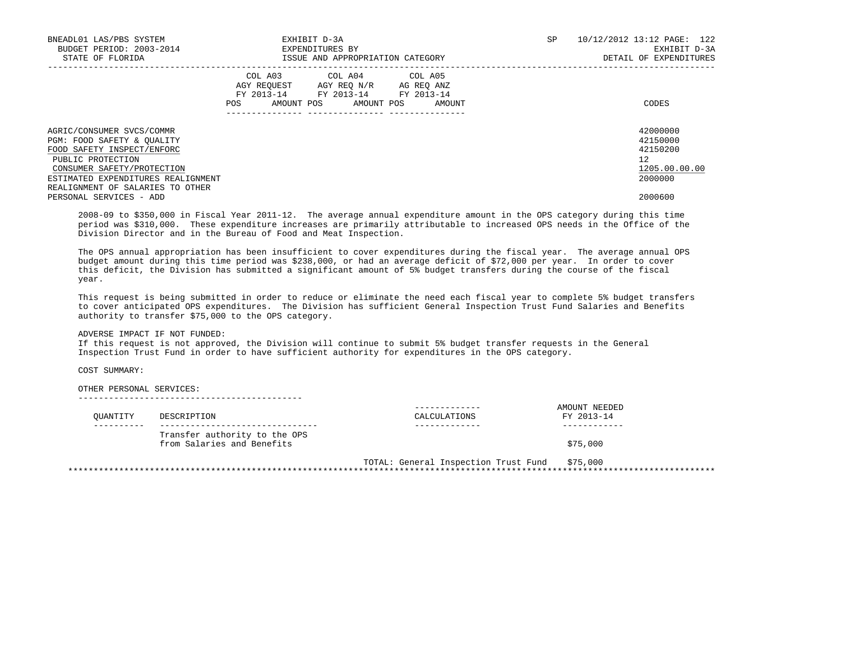| BNEADL01 LAS/PBS SYSTEM<br>BUDGET PERIOD: 2003-2014<br>STATE OF FLORIDA                                                                                                                                            | EXHIBIT D-3A<br>EXPENDITURES BY<br>ISSUE AND APPROPRIATION CATEGORY                                                                            | SP. | 10/12/2012 13:12 PAGE: 122<br>EXHIBIT D-3A<br>DETAIL OF EXPENDITURES         |
|--------------------------------------------------------------------------------------------------------------------------------------------------------------------------------------------------------------------|------------------------------------------------------------------------------------------------------------------------------------------------|-----|------------------------------------------------------------------------------|
|                                                                                                                                                                                                                    | COL A03 COL A04 COL A05<br>AGY REQUEST AGY REQ N/R AG REQ ANZ<br>FY 2013-14 FY 2013-14 FY 2013-14<br>AMOUNT POS<br>AMOUNT POS<br>POS<br>AMOUNT |     | CODES                                                                        |
| AGRIC/CONSUMER SVCS/COMMR<br>PGM: FOOD SAFETY & OUALITY<br>FOOD SAFETY INSPECT/ENFORC<br>PUBLIC PROTECTION<br>CONSUMER SAFETY/PROTECTION<br>ESTIMATED EXPENDITURES REALIGNMENT<br>REALIGNMENT OF SALARIES TO OTHER |                                                                                                                                                |     | 42000000<br>42150000<br>42150200<br>$12^{\circ}$<br>1205.00.00.00<br>2000000 |
| PERSONAL SERVICES - ADD                                                                                                                                                                                            |                                                                                                                                                |     | 2000600                                                                      |

 2008-09 to \$350,000 in Fiscal Year 2011-12. The average annual expenditure amount in the OPS category during this time period was \$310,000. These expenditure increases are primarily attributable to increased OPS needs in the Office of the Division Director and in the Bureau of Food and Meat Inspection.

 The OPS annual appropriation has been insufficient to cover expenditures during the fiscal year. The average annual OPS budget amount during this time period was \$238,000, or had an average deficit of \$72,000 per year. In order to cover this deficit, the Division has submitted a significant amount of 5% budget transfers during the course of the fiscal year.

 This request is being submitted in order to reduce or eliminate the need each fiscal year to complete 5% budget transfers to cover anticipated OPS expenditures. The Division has sufficient General Inspection Trust Fund Salaries and Benefits authority to transfer \$75,000 to the OPS category.

ADVERSE IMPACT IF NOT FUNDED:

 If this request is not approved, the Division will continue to submit 5% budget transfer requests in the General Inspection Trust Fund in order to have sufficient authority for expenditures in the OPS category.

COST SUMMARY:

OTHER PERSONAL SERVICES:

--------------------------------------------

| OUANTITY | DESCRIPTION                                                 | CALCULATIONS                         | AMOUNT NEEDED<br>FY 2013-14 |
|----------|-------------------------------------------------------------|--------------------------------------|-----------------------------|
|          |                                                             |                                      |                             |
|          | Transfer authority to the OPS<br>from Salaries and Benefits |                                      | \$75,000                    |
|          |                                                             | TOTAL: General Inspection Trust Fund | \$75,000                    |

\*\*\*\*\*\*\*\*\*\*\*\*\*\*\*\*\*\*\*\*\*\*\*\*\*\*\*\*\*\*\*\*\*\*\*\*\*\*\*\*\*\*\*\*\*\*\*\*\*\*\*\*\*\*\*\*\*\*\*\*\*\*\*\*\*\*\*\*\*\*\*\*\*\*\*\*\*\*\*\*\*\*\*\*\*\*\*\*\*\*\*\*\*\*\*\*\*\*\*\*\*\*\*\*\*\*\*\*\*\*\*\*\*\*\*\*\*\*\*\*\*\*\*\*\*\*\*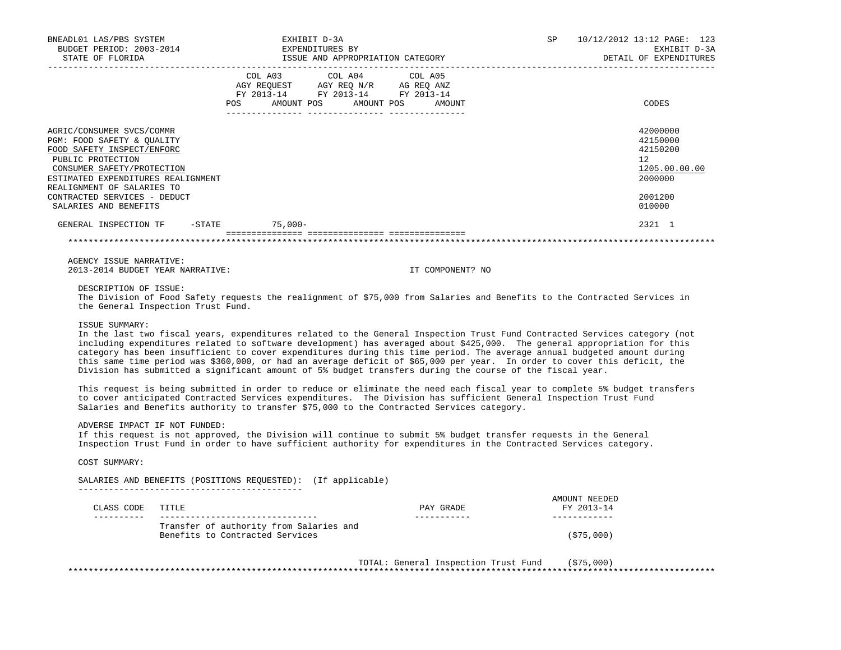| BNEADL01 LAS/PBS SYSTEM<br>BUDGET PERIOD: 2003-2014<br>STATE OF FLORIDA                                                                                                                                                                                                                                                                                                                                                                                                                                                        | EXPENDITURES BY                                                                                                                       | EXHIBIT D-3A |  | ISSUE AND APPROPRIATION CATEGORY |  | SP 10/12/2012 13:12 PAGE: 123<br>EXHIBIT D-3A<br>DETAIL OF EXPENDITURES                 |
|--------------------------------------------------------------------------------------------------------------------------------------------------------------------------------------------------------------------------------------------------------------------------------------------------------------------------------------------------------------------------------------------------------------------------------------------------------------------------------------------------------------------------------|---------------------------------------------------------------------------------------------------------------------------------------|--------------|--|----------------------------------|--|-----------------------------------------------------------------------------------------|
|                                                                                                                                                                                                                                                                                                                                                                                                                                                                                                                                | COL A03 COL A04 COL A05<br>AGY REQUEST AGY REQ N/R AG REQ ANZ<br>FY 2013-14 FY 2013-14 FY 2013-14<br>POS AMOUNT POS AMOUNT POS AMOUNT |              |  |                                  |  | CODES                                                                                   |
| AGRIC/CONSUMER SVCS/COMMR<br>PGM: FOOD SAFETY & OUALITY<br>FOOD SAFETY INSPECT/ENFORC<br>PUBLIC PROTECTION<br>CONSUMER SAFETY/PROTECTION<br>ESTIMATED EXPENDITURES REALIGNMENT<br>REALIGNMENT OF SALARIES TO<br>CONTRACTED SERVICES - DEDUCT<br>SALARIES AND BENEFITS                                                                                                                                                                                                                                                          |                                                                                                                                       |              |  |                                  |  | 42000000<br>42150000<br>42150200<br>12<br>1205.00.00.00<br>2000000<br>2001200<br>010000 |
| GENERAL INSPECTION TF -STATE 75,000-                                                                                                                                                                                                                                                                                                                                                                                                                                                                                           |                                                                                                                                       |              |  |                                  |  | 2321 1                                                                                  |
|                                                                                                                                                                                                                                                                                                                                                                                                                                                                                                                                |                                                                                                                                       |              |  |                                  |  |                                                                                         |
| AGENCY ISSUE NARRATIVE:<br>2013-2014 BUDGET YEAR NARRATIVE:<br>DESCRIPTION OF ISSUE:                                                                                                                                                                                                                                                                                                                                                                                                                                           |                                                                                                                                       |              |  | IT COMPONENT? NO                 |  |                                                                                         |
| The Division of Food Safety requests the realignment of \$75,000 from Salaries and Benefits to the Contracted Services in<br>the General Inspection Trust Fund.                                                                                                                                                                                                                                                                                                                                                                |                                                                                                                                       |              |  |                                  |  |                                                                                         |
| ISSUE SUMMARY:<br>In the last two fiscal years, expenditures related to the General Inspection Trust Fund Contracted Services category (not<br>including expenditures related to software development) has averaged about \$425,000. The general appropriation for this<br>category has been insufficient to cover expenditures during this time period. The average annual budgeted amount during<br>this same time period was \$360,000, or had an average deficit of \$65,000 per year. In order to cover this deficit, the |                                                                                                                                       |              |  |                                  |  |                                                                                         |

 This request is being submitted in order to reduce or eliminate the need each fiscal year to complete 5% budget transfers to cover anticipated Contracted Services expenditures. The Division has sufficient General Inspection Trust Fund Salaries and Benefits authority to transfer \$75,000 to the Contracted Services category.

ADVERSE IMPACT IF NOT FUNDED:

 If this request is not approved, the Division will continue to submit 5% budget transfer requests in the General Inspection Trust Fund in order to have sufficient authority for expenditures in the Contracted Services category.

Division has submitted a significant amount of 5% budget transfers during the course of the fiscal year.

COST SUMMARY:

SALARIES AND BENEFITS (POSITIONS REQUESTED): (If applicable)

--------------------------------------------

| CLASS CODE | TITLE                                                                      | PAY GRADE | AMOUNT NEEDED<br>FY 2013-14 |
|------------|----------------------------------------------------------------------------|-----------|-----------------------------|
|            | Transfer of authority from Salaries and<br>Benefits to Contracted Services |           | (\$75,000)                  |

 TOTAL: General Inspection Trust Fund (\$75,000) \*\*\*\*\*\*\*\*\*\*\*\*\*\*\*\*\*\*\*\*\*\*\*\*\*\*\*\*\*\*\*\*\*\*\*\*\*\*\*\*\*\*\*\*\*\*\*\*\*\*\*\*\*\*\*\*\*\*\*\*\*\*\*\*\*\*\*\*\*\*\*\*\*\*\*\*\*\*\*\*\*\*\*\*\*\*\*\*\*\*\*\*\*\*\*\*\*\*\*\*\*\*\*\*\*\*\*\*\*\*\*\*\*\*\*\*\*\*\*\*\*\*\*\*\*\*\*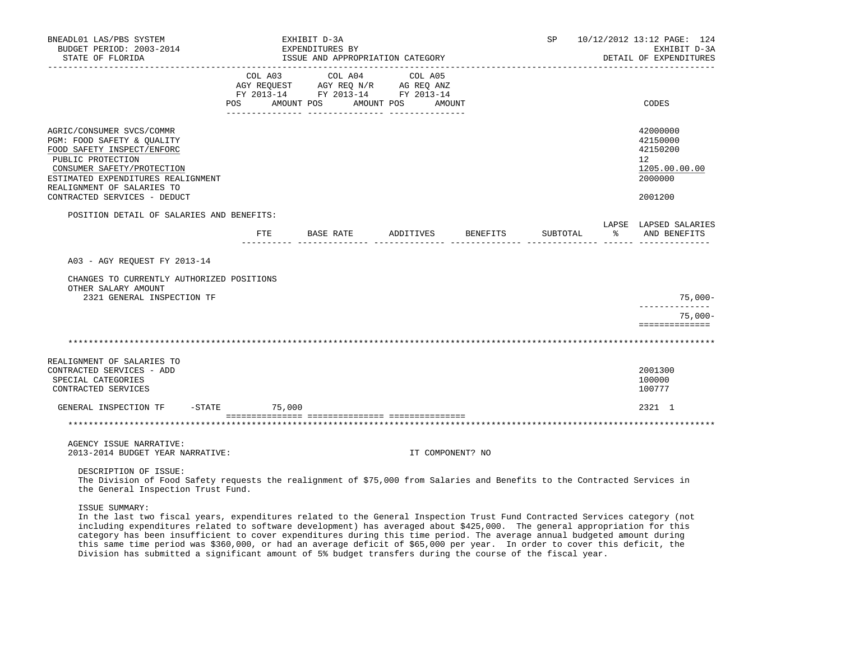| BNEADL01 LAS/PBS SYSTEM<br>BUDGET PERIOD: 2003-2014<br>STATE OF FLORIDA                                                                                                                                                                      |                                                                                                                       | EXHIBIT D-3A<br>EXPENDITURES BY | ISSUE AND APPROPRIATION CATEGORY |                  |                    |  | SP 10/12/2012 13:12 PAGE: 124<br>EXHIBIT D-3A<br>DETAIL OF EXPENDITURES       |
|----------------------------------------------------------------------------------------------------------------------------------------------------------------------------------------------------------------------------------------------|-----------------------------------------------------------------------------------------------------------------------|---------------------------------|----------------------------------|------------------|--------------------|--|-------------------------------------------------------------------------------|
|                                                                                                                                                                                                                                              | COL A03<br>AGY REQUEST AGY REQ N/R AG REQ ANZ<br>FY 2013-14 FY 2013-14 FY 2013-14<br>POS AMOUNT POS AMOUNT POS AMOUNT |                                 | COL A04                          | COL A05          |                    |  | CODES                                                                         |
| AGRIC/CONSUMER SVCS/COMMR<br>PGM: FOOD SAFETY & QUALITY<br>FOOD SAFETY INSPECT/ENFORC<br>PUBLIC PROTECTION<br>CONSUMER SAFETY/PROTECTION<br>ESTIMATED EXPENDITURES REALIGNMENT<br>REALIGNMENT OF SALARIES TO<br>CONTRACTED SERVICES - DEDUCT |                                                                                                                       |                                 |                                  |                  |                    |  | 42000000<br>42150000<br>42150200<br>12<br>1205.00.00.00<br>2000000<br>2001200 |
| POSITION DETAIL OF SALARIES AND BENEFITS:                                                                                                                                                                                                    | FTE BASE RATE                                                                                                         |                                 |                                  |                  | ADDITIVES BENEFITS |  | LAPSE LAPSED SALARIES<br>SUBTOTAL % AND BENEFITS                              |
| A03 - AGY REQUEST FY 2013-14                                                                                                                                                                                                                 |                                                                                                                       |                                 |                                  |                  |                    |  |                                                                               |
| CHANGES TO CURRENTLY AUTHORIZED POSITIONS<br>OTHER SALARY AMOUNT<br>2321 GENERAL INSPECTION TF                                                                                                                                               |                                                                                                                       |                                 |                                  |                  |                    |  | $75,000-$                                                                     |
|                                                                                                                                                                                                                                              |                                                                                                                       |                                 |                                  |                  |                    |  | --------------<br>$75,000-$<br>==============                                 |
|                                                                                                                                                                                                                                              |                                                                                                                       |                                 |                                  |                  |                    |  |                                                                               |
| REALIGNMENT OF SALARIES TO<br>CONTRACTED SERVICES - ADD<br>SPECIAL CATEGORIES<br>CONTRACTED SERVICES                                                                                                                                         |                                                                                                                       |                                 |                                  |                  |                    |  | 2001300<br>100000<br>100777                                                   |
| GENERAL INSPECTION TF -STATE 75,000                                                                                                                                                                                                          |                                                                                                                       |                                 |                                  |                  |                    |  | 2321 1                                                                        |
|                                                                                                                                                                                                                                              |                                                                                                                       |                                 |                                  |                  |                    |  |                                                                               |
| AGENCY ISSUE NARRATIVE:<br>2013-2014 BUDGET YEAR NARRATIVE:                                                                                                                                                                                  |                                                                                                                       |                                 |                                  | IT COMPONENT? NO |                    |  |                                                                               |
| DESCRIPTION OF ISSUE:                                                                                                                                                                                                                        |                                                                                                                       |                                 |                                  |                  |                    |  |                                                                               |

 The Division of Food Safety requests the realignment of \$75,000 from Salaries and Benefits to the Contracted Services in the General Inspection Trust Fund.

ISSUE SUMMARY:

 In the last two fiscal years, expenditures related to the General Inspection Trust Fund Contracted Services category (not including expenditures related to software development) has averaged about \$425,000. The general appropriation for this category has been insufficient to cover expenditures during this time period. The average annual budgeted amount during this same time period was \$360,000, or had an average deficit of \$65,000 per year. In order to cover this deficit, the Division has submitted a significant amount of 5% budget transfers during the course of the fiscal year.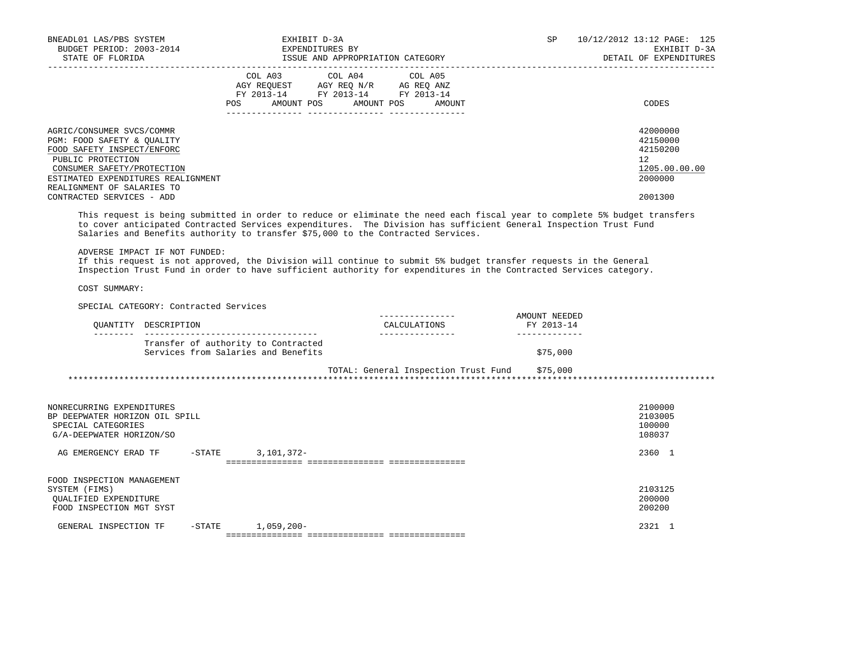| BNEADL01 LAS/PBS SYSTEM<br>BUDGET PERIOD: 2003-2014<br>STATE OF FLORIDA                                                                                                                                                                                                                                                           | EXHIBIT D-3A<br>EXPENDITURES BY<br>ISSUE AND APPROPRIATION CATEGORY                                                                                                                                                                                       |                              | SP | 10/12/2012 13:12 PAGE: 125<br>EXHIBIT D-3A<br>DETAIL OF EXPENDITURES |
|-----------------------------------------------------------------------------------------------------------------------------------------------------------------------------------------------------------------------------------------------------------------------------------------------------------------------------------|-----------------------------------------------------------------------------------------------------------------------------------------------------------------------------------------------------------------------------------------------------------|------------------------------|----|----------------------------------------------------------------------|
|                                                                                                                                                                                                                                                                                                                                   | COL A03 COL A04 COL A05<br>AGY REQUEST AGY REQ N/R AG REQ ANZ<br>FY 2013-14 FY 2013-14 FY 2013-14<br>POS FOR THE POST OF THE STATE STATE STATE STATE STATE STATE STATE STATE STATE STATE STATE STATE STATE STATE ST<br>---------------- ----------------- | AMOUNT POS AMOUNT POS AMOUNT |    | CODES                                                                |
| AGRIC/CONSUMER SVCS/COMMR<br>PGM: FOOD SAFETY & OUALITY<br>FOOD SAFETY INSPECT/ENFORC<br>PUBLIC PROTECTION<br>CONSUMER SAFETY/PROTECTION<br>ESTIMATED EXPENDITURES REALIGNMENT<br>REALIGNMENT OF SALARIES TO                                                                                                                      |                                                                                                                                                                                                                                                           |                              |    | 42000000<br>42150000<br>42150200<br>12<br>1205.00.00.00<br>2000000   |
| CONTRACTED SERVICES - ADD                                                                                                                                                                                                                                                                                                         |                                                                                                                                                                                                                                                           |                              |    | 2001300                                                              |
| This request is being submitted in order to reduce or eliminate the need each fiscal year to complete 5% budget transfers<br>to cover anticipated Contracted Services expenditures. The Division has sufficient General Inspection Trust Fund<br>Salaries and Benefits authority to transfer \$75,000 to the Contracted Services. |                                                                                                                                                                                                                                                           |                              |    |                                                                      |

ADVERSE IMPACT IF NOT FUNDED:

 If this request is not approved, the Division will continue to submit 5% budget transfer requests in the General Inspection Trust Fund in order to have sufficient authority for expenditures in the Contracted Services category.

COST SUMMARY:

SPECIAL CATEGORY: Contracted Services

| OUANTITY DESCRIPTION                                                       | CALCULATIONS | AMOUNT NEEDED<br>FY 2013-14 |
|----------------------------------------------------------------------------|--------------|-----------------------------|
| Transfer of authority to Contracted<br>Services from Salaries and Benefits |              | \$75,000                    |

 TOTAL: General Inspection Trust Fund \$75,000 \*\*\*\*\*\*\*\*\*\*\*\*\*\*\*\*\*\*\*\*\*\*\*\*\*\*\*\*\*\*\*\*\*\*\*\*\*\*\*\*\*\*\*\*\*\*\*\*\*\*\*\*\*\*\*\*\*\*\*\*\*\*\*\*\*\*\*\*\*\*\*\*\*\*\*\*\*\*\*\*\*\*\*\*\*\*\*\*\*\*\*\*\*\*\*\*\*\*\*\*\*\*\*\*\*\*\*\*\*\*\*\*\*\*\*\*\*\*\*\*\*\*\*\*\*\*\*

| NONRECURRING EXPENDITURES<br>BP DEEPWATER HORIZON OIL SPILL<br>SPECIAL CATEGORIES<br>G/A-DEEPWATER HORIZON/SO |        |              | 2100000<br>2103005<br>100000<br>108037 |
|---------------------------------------------------------------------------------------------------------------|--------|--------------|----------------------------------------|
| AG EMERGENCY ERAD TF                                                                                          | -STATE | 3,101,372-   | 2360                                   |
|                                                                                                               |        |              |                                        |
| FOOD INSPECTION MANAGEMENT<br>SYSTEM (FIMS)                                                                   |        |              | 2103125                                |
| OUALIFIED EXPENDITURE<br>FOOD INSPECTION MGT SYST                                                             |        |              | 200000<br>200200                       |
| GENERAL INSPECTION TF                                                                                         | -STATE | $1,059,200-$ | 2321                                   |
|                                                                                                               |        |              |                                        |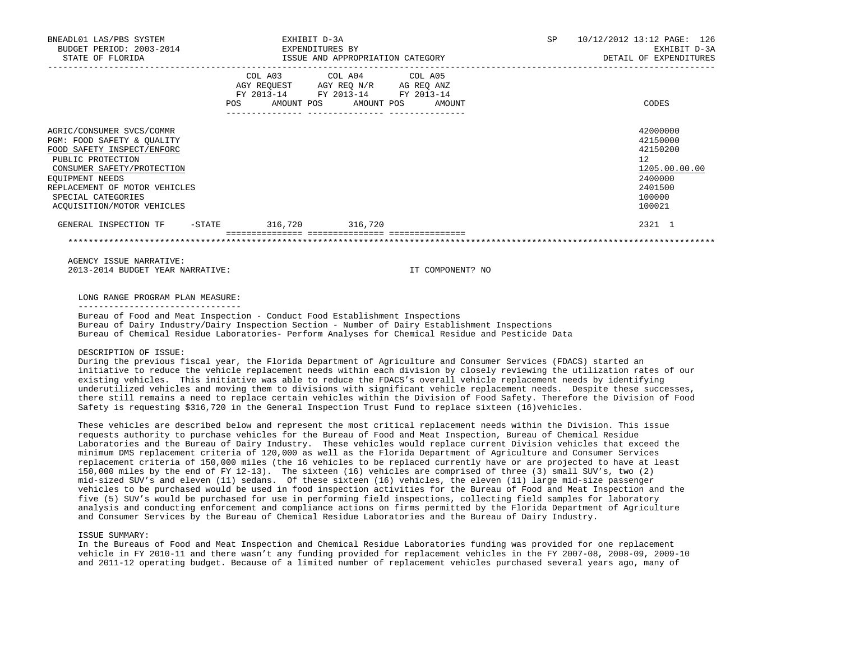| BNEADL01 LAS/PBS SYSTEM<br>BUDGET PERIOD: 2003-2014<br>STATE OF FLORIDA                                                                                                                                                                          | EXHIBIT D-3A<br>EXPENDITURES BY | ISSUE AND APPROPRIATION CATEGORY                                                                                                      | SP | 10/12/2012 13:12 PAGE: 126<br>EXHIBIT D-3A<br>DETAIL OF EXPENDITURES                              |  |  |
|--------------------------------------------------------------------------------------------------------------------------------------------------------------------------------------------------------------------------------------------------|---------------------------------|---------------------------------------------------------------------------------------------------------------------------------------|----|---------------------------------------------------------------------------------------------------|--|--|
|                                                                                                                                                                                                                                                  |                                 | COL A03 COL A04 COL A05<br>AGY REQUEST AGY REO N/R AG REO ANZ<br>FY 2013-14 FY 2013-14 FY 2013-14<br>POS AMOUNT POS AMOUNT POS AMOUNT |    | CODES                                                                                             |  |  |
| AGRIC/CONSUMER SVCS/COMMR<br>PGM: FOOD SAFETY & OUALITY<br>FOOD SAFETY INSPECT/ENFORC<br>PUBLIC PROTECTION<br>CONSUMER SAFETY/PROTECTION<br>EQUIPMENT NEEDS<br>REPLACEMENT OF MOTOR VEHICLES<br>SPECIAL CATEGORIES<br>ACOUISITION/MOTOR VEHICLES |                                 |                                                                                                                                       |    | 42000000<br>42150000<br>42150200<br>12<br>1205.00.00.00<br>2400000<br>2401500<br>100000<br>100021 |  |  |
| GENERAL INSPECTION TF - STATE                                                                                                                                                                                                                    | 316,720 316,720                 |                                                                                                                                       |    | 2321 1                                                                                            |  |  |
|                                                                                                                                                                                                                                                  |                                 |                                                                                                                                       |    |                                                                                                   |  |  |

 AGENCY ISSUE NARRATIVE: 2013-2014 BUDGET YEAR NARRATIVE: IT COMPONENT? NO

LONG RANGE PROGRAM PLAN MEASURE:

 Bureau of Food and Meat Inspection - Conduct Food Establishment Inspections Bureau of Dairy Industry/Dairy Inspection Section - Number of Dairy Establishment Inspections Bureau of Chemical Residue Laboratories- Perform Analyses for Chemical Residue and Pesticide Data

# DESCRIPTION OF ISSUE:

 During the previous fiscal year, the Florida Department of Agriculture and Consumer Services (FDACS) started an initiative to reduce the vehicle replacement needs within each division by closely reviewing the utilization rates of our existing vehicles. This initiative was able to reduce the FDACS's overall vehicle replacement needs by identifying underutilized vehicles and moving them to divisions with significant vehicle replacement needs. Despite these successes, there still remains a need to replace certain vehicles within the Division of Food Safety. Therefore the Division of Food Safety is requesting \$316,720 in the General Inspection Trust Fund to replace sixteen (16)vehicles.

 These vehicles are described below and represent the most critical replacement needs within the Division. This issue requests authority to purchase vehicles for the Bureau of Food and Meat Inspection, Bureau of Chemical Residue Laboratories and the Bureau of Dairy Industry. These vehicles would replace current Division vehicles that exceed the minimum DMS replacement criteria of 120,000 as well as the Florida Department of Agriculture and Consumer Services replacement criteria of 150,000 miles (the 16 vehicles to be replaced currently have or are projected to have at least 150,000 miles by the end of FY 12-13). The sixteen (16) vehicles are comprised of three (3) small SUV's, two (2) mid-sized SUV's and eleven (11) sedans. Of these sixteen (16) vehicles, the eleven (11) large mid-size passenger vehicles to be purchased would be used in food inspection activities for the Bureau of Food and Meat Inspection and the five (5) SUV's would be purchased for use in performing field inspections, collecting field samples for laboratory analysis and conducting enforcement and compliance actions on firms permitted by the Florida Department of Agriculture and Consumer Services by the Bureau of Chemical Residue Laboratories and the Bureau of Dairy Industry.

## ISSUE SUMMARY:

 In the Bureaus of Food and Meat Inspection and Chemical Residue Laboratories funding was provided for one replacement vehicle in FY 2010-11 and there wasn't any funding provided for replacement vehicles in the FY 2007-08, 2008-09, 2009-10 and 2011-12 operating budget. Because of a limited number of replacement vehicles purchased several years ago, many of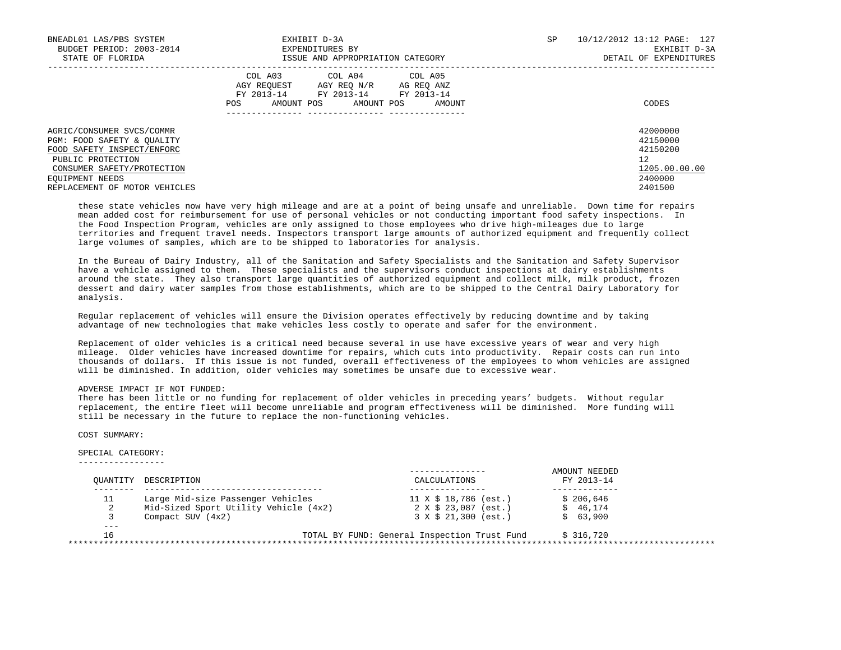| BNEADL01 LAS/PBS SYSTEM<br>BUDGET PERIOD: 2003-2014<br>STATE OF FLORIDA                                                                                                                      | EXHIBIT D-3A<br>EXPENDITURES BY<br>ISSUE AND APPROPRIATION CATEGORY                                                                                  | SP | 10/12/2012 13:12 PAGE: 127<br>EXHIBIT D-3A<br>DETAIL OF EXPENDITURES          |
|----------------------------------------------------------------------------------------------------------------------------------------------------------------------------------------------|------------------------------------------------------------------------------------------------------------------------------------------------------|----|-------------------------------------------------------------------------------|
|                                                                                                                                                                                              | COL A03<br>COL A04 COL A05<br>AGY REQUEST AGY REO N/R AG REO ANZ<br>FY 2013-14<br>FY 2013-14 FY 2013-14<br>AMOUNT POS<br>AMOUNT POS<br>AMOUNT<br>POS |    | CODES                                                                         |
| AGRIC/CONSUMER SVCS/COMMR<br>PGM: FOOD SAFETY & OUALITY<br>FOOD SAFETY INSPECT/ENFORC<br>PUBLIC PROTECTION<br>CONSUMER SAFETY/PROTECTION<br>EOUIPMENT NEEDS<br>REPLACEMENT OF MOTOR VEHICLES |                                                                                                                                                      |    | 42000000<br>42150000<br>42150200<br>12<br>1205.00.00.00<br>2400000<br>2401500 |

 these state vehicles now have very high mileage and are at a point of being unsafe and unreliable. Down time for repairs mean added cost for reimbursement for use of personal vehicles or not conducting important food safety inspections. In the Food Inspection Program, vehicles are only assigned to those employees who drive high-mileages due to large territories and frequent travel needs. Inspectors transport large amounts of authorized equipment and frequently collect large volumes of samples, which are to be shipped to laboratories for analysis.

 In the Bureau of Dairy Industry, all of the Sanitation and Safety Specialists and the Sanitation and Safety Supervisor have a vehicle assigned to them. These specialists and the supervisors conduct inspections at dairy establishments around the state. They also transport large quantities of authorized equipment and collect milk, milk product, frozen dessert and dairy water samples from those establishments, which are to be shipped to the Central Dairy Laboratory for analysis.

 Regular replacement of vehicles will ensure the Division operates effectively by reducing downtime and by taking advantage of new technologies that make vehicles less costly to operate and safer for the environment.

 Replacement of older vehicles is a critical need because several in use have excessive years of wear and very high mileage. Older vehicles have increased downtime for repairs, which cuts into productivity. Repair costs can run into thousands of dollars. If this issue is not funded, overall effectiveness of the employees to whom vehicles are assigned will be diminished. In addition, older vehicles may sometimes be unsafe due to excessive wear.

## ADVERSE IMPACT IF NOT FUNDED:

 There has been little or no funding for replacement of older vehicles in preceding years' budgets. Without regular replacement, the entire fleet will become unreliable and program effectiveness will be diminished. More funding will still be necessary in the future to replace the non-functioning vehicles.

COST SUMMARY:

#### SPECIAL CATEGORY: -----------------

| OUANTITY | DESCRIPTION                           | CALCULATIONS                                 | AMOUNT NEEDED<br>FY 2013-14 |  |
|----------|---------------------------------------|----------------------------------------------|-----------------------------|--|
| 11       | Large Mid-size Passenger Vehicles     | 11 X \$ 18,786 (est.)                        | \$206.646                   |  |
| 2        | Mid-Sized Sport Utility Vehicle (4x2) | 2 X \$ 23,087 (est.)                         | \$46.174                    |  |
|          | Compact SUV $(4x2)$                   | 3 X \$ 21,300 (est.)                         | \$63,900                    |  |
| ---      |                                       |                                              |                             |  |
| 16       |                                       | TOTAL BY FUND: General Inspection Trust Fund | \$316.720                   |  |
|          |                                       |                                              |                             |  |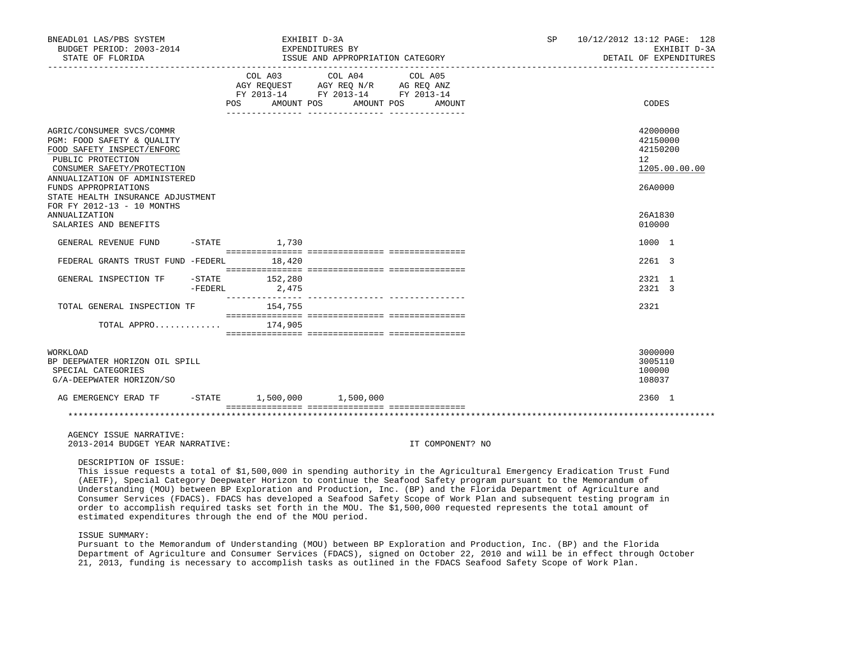| BNEADL01 LAS/PBS SYSTEM<br>BUDGET PERIOD: 2003-2014<br>STATE OF FLORIDA                                                                                                                                                                                                                                               |         |                           | EXHIBIT D-3A<br>EXPENDITURES BY<br>ISSUE AND APPROPRIATION CATEGORY                                                    |                                                                                                                                         | SP <sub>2</sub> | 10/12/2012 13:12 PAGE: 128<br>EXHIBIT D-3A<br>DETAIL OF EXPENDITURES                    |
|-----------------------------------------------------------------------------------------------------------------------------------------------------------------------------------------------------------------------------------------------------------------------------------------------------------------------|---------|---------------------------|------------------------------------------------------------------------------------------------------------------------|-----------------------------------------------------------------------------------------------------------------------------------------|-----------------|-----------------------------------------------------------------------------------------|
|                                                                                                                                                                                                                                                                                                                       |         |                           | COL A03 COL A04<br>AGY REQUEST AGY REQ N/R AG REQ ANZ<br>FY 2013-14 FY 2013-14 FY 2013-14<br>POS AMOUNT POS AMOUNT POS | COL A05<br>AMOUNT                                                                                                                       |                 | CODES                                                                                   |
| AGRIC/CONSUMER SVCS/COMMR<br>PGM: FOOD SAFETY & QUALITY<br>FOOD SAFETY INSPECT/ENFORC<br>PUBLIC PROTECTION<br>CONSUMER SAFETY/PROTECTION<br>ANNUALIZATION OF ADMINISTERED<br>FUNDS APPROPRIATIONS<br>STATE HEALTH INSURANCE ADJUSTMENT<br>FOR FY 2012-13 - 10 MONTHS<br><b>ANNUALIZATION</b><br>SALARIES AND BENEFITS |         |                           |                                                                                                                        |                                                                                                                                         |                 | 42000000<br>42150000<br>42150200<br>12<br>1205.00.00.00<br>26A0000<br>26A1830<br>010000 |
| GENERAL REVENUE FUND                                                                                                                                                                                                                                                                                                  |         | $-STATE$ 1,730            |                                                                                                                        |                                                                                                                                         |                 | 1000 1                                                                                  |
| FEDERAL GRANTS TRUST FUND -FEDERL 18,420                                                                                                                                                                                                                                                                              |         |                           |                                                                                                                        |                                                                                                                                         |                 | 2261 3                                                                                  |
| GENERAL INSPECTION TF                                                                                                                                                                                                                                                                                                 | -FEDERL | $-STATE$ 152,280<br>2,475 |                                                                                                                        |                                                                                                                                         |                 | 2321 1<br>2321 3                                                                        |
| TOTAL GENERAL INSPECTION TF                                                                                                                                                                                                                                                                                           |         | 154,755                   |                                                                                                                        |                                                                                                                                         |                 | 2321                                                                                    |
| TOTAL APPRO $174,905$                                                                                                                                                                                                                                                                                                 |         |                           |                                                                                                                        |                                                                                                                                         |                 |                                                                                         |
| WORKLOAD<br>BP DEEPWATER HORIZON OIL SPILL<br>SPECIAL CATEGORIES<br>G/A-DEEPWATER HORIZON/SO                                                                                                                                                                                                                          |         |                           |                                                                                                                        |                                                                                                                                         |                 | 3000000<br>3005110<br>100000<br>108037                                                  |
| AG EMERGENCY ERAD TF                                                                                                                                                                                                                                                                                                  |         |                           | $-$ STATE 1,500,000 1,500,000                                                                                          |                                                                                                                                         |                 | 2360 1                                                                                  |
|                                                                                                                                                                                                                                                                                                                       |         |                           |                                                                                                                        |                                                                                                                                         |                 |                                                                                         |
| AGENCY ISSUE NARRATIVE:<br>2013-2014 BUDGET YEAR NARRATIVE:                                                                                                                                                                                                                                                           |         |                           |                                                                                                                        | IT COMPONENT? NO                                                                                                                        |                 |                                                                                         |
| DESCRIPTION OF ISSUE:                                                                                                                                                                                                                                                                                                 |         |                           |                                                                                                                        | This issue requests a total of \$1,500,000 in spending authority in the Agricultural Emergency Eradication Trust Fund<br>$\overline{a}$ |                 |                                                                                         |

 (AEETF), Special Category Deepwater Horizon to continue the Seafood Safety program pursuant to the Memorandum of Understanding (MOU) between BP Exploration and Production, Inc. (BP) and the Florida Department of Agriculture and Consumer Services (FDACS). FDACS has developed a Seafood Safety Scope of Work Plan and subsequent testing program in order to accomplish required tasks set forth in the MOU. The \$1,500,000 requested represents the total amount of estimated expenditures through the end of the MOU period.

ISSUE SUMMARY:

 Pursuant to the Memorandum of Understanding (MOU) between BP Exploration and Production, Inc. (BP) and the Florida Department of Agriculture and Consumer Services (FDACS), signed on October 22, 2010 and will be in effect through October 21, 2013, funding is necessary to accomplish tasks as outlined in the FDACS Seafood Safety Scope of Work Plan.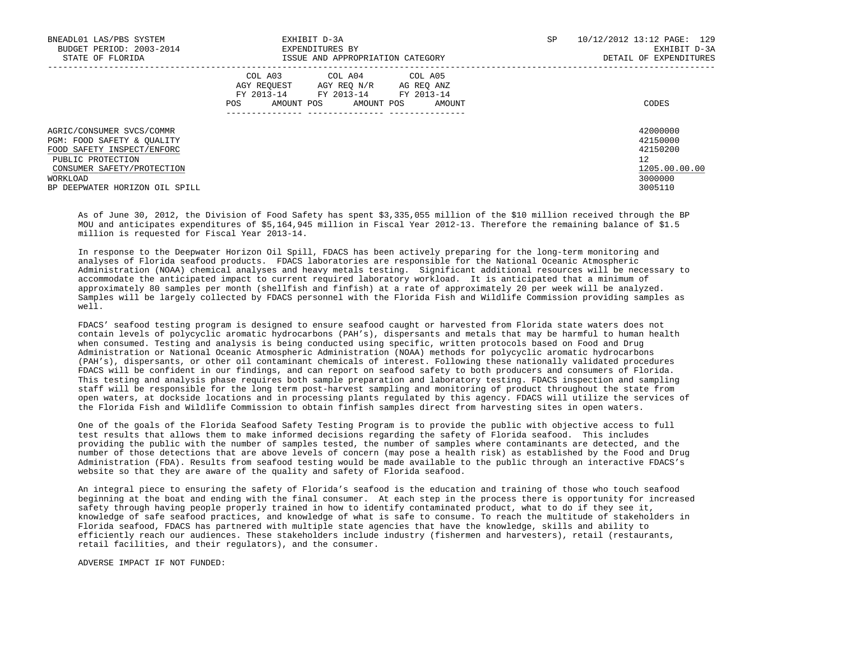| BNEADL01 LAS/PBS SYSTEM<br>BUDGET PERIOD: 2003-2014<br>STATE OF FLORIDA               | EXHIBIT D-3A<br>EXPENDITURES BY<br>ISSUE AND APPROPRIATION CATEGORY                                                                               | 10/12/2012 13:12 PAGE: 129<br>SP.<br>EXHIBIT D-3A<br>DETAIL OF EXPENDITURES |  |
|---------------------------------------------------------------------------------------|---------------------------------------------------------------------------------------------------------------------------------------------------|-----------------------------------------------------------------------------|--|
|                                                                                       | COL A03<br>COL A04 COL A05<br>AGY REQUEST AGY REQ N/R AG REQ ANZ<br>FY 2013-14 FY 2013-14 FY 2013-14<br>AMOUNT POS<br>AMOUNT POS<br>AMOUNT<br>POS | CODES                                                                       |  |
| AGRIC/CONSUMER SVCS/COMMR<br>PGM: FOOD SAFETY & OUALITY<br>FOOD SAFETY INSPECT/ENFORC |                                                                                                                                                   | 42000000<br>42150000<br>42150200                                            |  |
| PUBLIC PROTECTION                                                                     |                                                                                                                                                   | 12                                                                          |  |
| CONSUMER SAFETY/PROTECTION<br>WORKLOAD                                                |                                                                                                                                                   | 1205.00.00.00<br>3000000                                                    |  |
| BP DEEPWATER HORIZON OIL SPILL                                                        |                                                                                                                                                   | 3005110                                                                     |  |

 As of June 30, 2012, the Division of Food Safety has spent \$3,335,055 million of the \$10 million received through the BP MOU and anticipates expenditures of \$5,164,945 million in Fiscal Year 2012-13. Therefore the remaining balance of \$1.5 million is requested for Fiscal Year 2013-14.

 In response to the Deepwater Horizon Oil Spill, FDACS has been actively preparing for the long-term monitoring and analyses of Florida seafood products. FDACS laboratories are responsible for the National Oceanic Atmospheric Administration (NOAA) chemical analyses and heavy metals testing. Significant additional resources will be necessary to accommodate the anticipated impact to current required laboratory workload. It is anticipated that a minimum of approximately 80 samples per month (shellfish and finfish) at a rate of approximately 20 per week will be analyzed. Samples will be largely collected by FDACS personnel with the Florida Fish and Wildlife Commission providing samples as well.

 FDACS' seafood testing program is designed to ensure seafood caught or harvested from Florida state waters does not contain levels of polycyclic aromatic hydrocarbons (PAH's), dispersants and metals that may be harmful to human health when consumed. Testing and analysis is being conducted using specific, written protocols based on Food and Drug Administration or National Oceanic Atmospheric Administration (NOAA) methods for polycyclic aromatic hydrocarbons (PAH's), dispersants, or other oil contaminant chemicals of interest. Following these nationally validated procedures FDACS will be confident in our findings, and can report on seafood safety to both producers and consumers of Florida. This testing and analysis phase requires both sample preparation and laboratory testing. FDACS inspection and sampling staff will be responsible for the long term post-harvest sampling and monitoring of product throughout the state from open waters, at dockside locations and in processing plants regulated by this agency. FDACS will utilize the services of the Florida Fish and Wildlife Commission to obtain finfish samples direct from harvesting sites in open waters.

 One of the goals of the Florida Seafood Safety Testing Program is to provide the public with objective access to full test results that allows them to make informed decisions regarding the safety of Florida seafood. This includes providing the public with the number of samples tested, the number of samples where contaminants are detected, and the number of those detections that are above levels of concern (may pose a health risk) as established by the Food and Drug Administration (FDA). Results from seafood testing would be made available to the public through an interactive FDACS's website so that they are aware of the quality and safety of Florida seafood.

 An integral piece to ensuring the safety of Florida's seafood is the education and training of those who touch seafood beginning at the boat and ending with the final consumer. At each step in the process there is opportunity for increased safety through having people properly trained in how to identify contaminated product, what to do if they see it, knowledge of safe seafood practices, and knowledge of what is safe to consume. To reach the multitude of stakeholders in Florida seafood, FDACS has partnered with multiple state agencies that have the knowledge, skills and ability to efficiently reach our audiences. These stakeholders include industry (fishermen and harvesters), retail (restaurants, retail facilities, and their regulators), and the consumer.

ADVERSE IMPACT IF NOT FUNDED: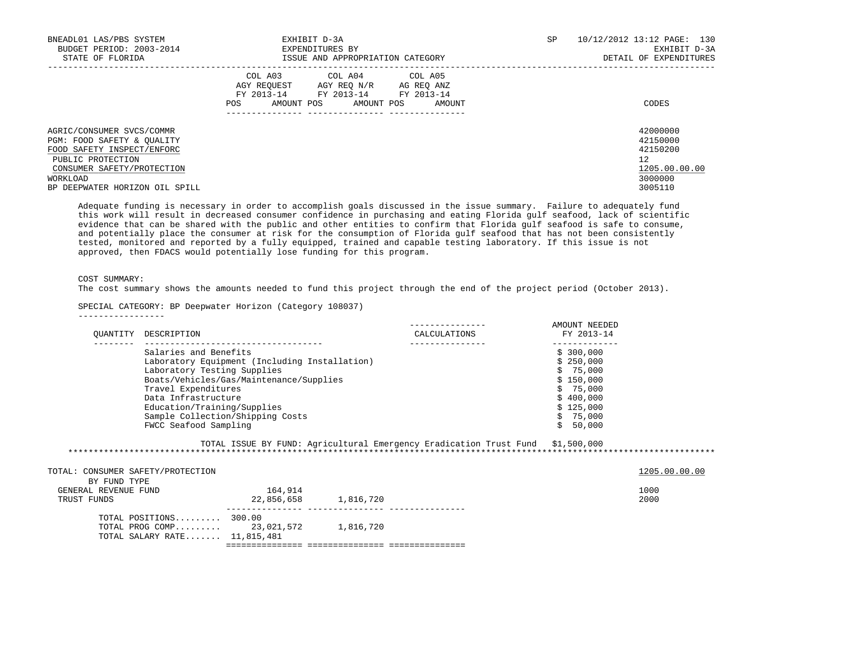| BNEADL01 LAS/PBS SYSTEM<br>BUDGET PERIOD: 2003-2014<br>STATE OF FLORIDA                                                                                                                | EXHIBIT D-3A<br>EXPENDITURES BY<br>ISSUE AND APPROPRIATION CATEGORY                                                                               | SP | 10/12/2012 13:12 PAGE: 130<br>EXHIBIT D-3A<br>DETAIL OF EXPENDITURES          |
|----------------------------------------------------------------------------------------------------------------------------------------------------------------------------------------|---------------------------------------------------------------------------------------------------------------------------------------------------|----|-------------------------------------------------------------------------------|
|                                                                                                                                                                                        | COL A04 COL A05<br>COL A03<br>AGY REQUEST AGY REQ N/R AG REQ ANZ<br>FY 2013-14 FY 2013-14 FY 2013-14<br>AMOUNT POS<br>AMOUNT POS<br>POS<br>AMOUNT |    | CODES                                                                         |
| AGRIC/CONSUMER SVCS/COMMR<br>PGM: FOOD SAFETY & OUALITY<br>FOOD SAFETY INSPECT/ENFORC<br>PUBLIC PROTECTION<br>CONSUMER SAFETY/PROTECTION<br>WORKLOAD<br>BP DEEPWATER HORIZON OIL SPILL |                                                                                                                                                   |    | 42000000<br>42150000<br>42150200<br>12<br>1205.00.00.00<br>3000000<br>3005110 |

 Adequate funding is necessary in order to accomplish goals discussed in the issue summary. Failure to adequately fund this work will result in decreased consumer confidence in purchasing and eating Florida gulf seafood, lack of scientific evidence that can be shared with the public and other entities to confirm that Florida gulf seafood is safe to consume, and potentially place the consumer at risk for the consumption of Florida gulf seafood that has not been consistently tested, monitored and reported by a fully equipped, trained and capable testing laboratory. If this issue is not approved, then FDACS would potentially lose funding for this program.

### COST SUMMARY:

The cost summary shows the amounts needed to fund this project through the end of the project period (October 2013).

## SPECIAL CATEGORY: BP Deepwater Horizon (Category 108037)

-----------------

| OUANTITY                                                                  | DESCRIPTION                                                                                                                       |                                                                                          | CALCULATIONS                                                                   | AMOUNT NEEDED<br>FY 2013-14                                                           |                       |
|---------------------------------------------------------------------------|-----------------------------------------------------------------------------------------------------------------------------------|------------------------------------------------------------------------------------------|--------------------------------------------------------------------------------|---------------------------------------------------------------------------------------|-----------------------|
|                                                                           | Salaries and Benefits<br>Laboratory Testing Supplies<br>Travel Expenditures<br>Data Infrastructure<br>Education/Training/Supplies | Laboratory Equipment (Including Installation)<br>Boats/Vehicles/Gas/Maintenance/Supplies |                                                                                | \$300,000<br>\$250,000<br>\$75,000<br>\$150,000<br>\$75,000<br>\$400,000<br>\$125,000 |                       |
|                                                                           | FWCC Seafood Sampling                                                                                                             | Sample Collection/Shipping Costs                                                         | TOTAL ISSUE BY FUND: Agricultural Emergency Eradication Trust Fund \$1,500,000 | \$75,000<br>50,000<br>Ŝ.                                                              |                       |
| TOTAL: CONSUMER SAFETY/PROTECTION<br>BY FUND TYPE<br>GENERAL REVENUE FUND |                                                                                                                                   | 164,914                                                                                  |                                                                                |                                                                                       | 1205.00.00.00<br>1000 |
| TRUST FUNDS                                                               | TOTAL POSITIONS $300.00$<br>TOTAL SALARY RATE $11,815,481$                                                                        | 22,856,658 1,816,720<br>TOTAL PROG COMP 23, 021, 572 1, 816, 720                         |                                                                                |                                                                                       | 2000                  |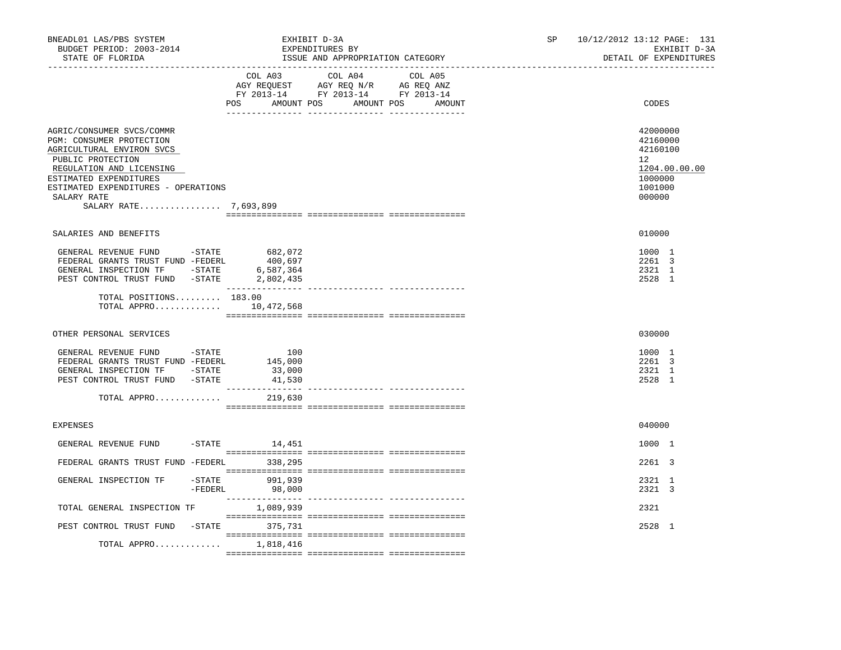| BNEADL01 LAS/PBS SYSTEM<br>BUDGET PERIOD: 2003-2014<br>STATE OF FLORIDA<br>__________________                                                                                                                                                |                                               | EXHIBIT D-3A<br>EXPENDITURES BY<br>ISSUE AND APPROPRIATION CATEGORY                                                               | SP and the set of the set of the set of the set of the set of the set of the set of the set of the set of the set of the set of the set of the set of the set of the set of the set of the set of the set of the set of the se<br>10/12/2012 13:12 PAGE: 131<br>EXHIBIT D-3A<br>DETAIL OF EXPENDITURES |                                                                                         |
|----------------------------------------------------------------------------------------------------------------------------------------------------------------------------------------------------------------------------------------------|-----------------------------------------------|-----------------------------------------------------------------------------------------------------------------------------------|--------------------------------------------------------------------------------------------------------------------------------------------------------------------------------------------------------------------------------------------------------------------------------------------------------|-----------------------------------------------------------------------------------------|
|                                                                                                                                                                                                                                              | POS                                           | COL A03 COL A04 COL A05<br>AGY REQUEST AGY REQ N/R AG REQ ANZ<br>FY 2013-14 FY 2013-14 FY 2013-14<br>AMOUNT POS AMOUNT POS AMOUNT |                                                                                                                                                                                                                                                                                                        | CODES                                                                                   |
| AGRIC/CONSUMER SVCS/COMMR<br>PGM: CONSUMER PROTECTION<br>AGRICULTURAL ENVIRON SVCS<br>PUBLIC PROTECTION<br>REGULATION AND LICENSING<br>ESTIMATED EXPENDITURES<br>ESTIMATED EXPENDITURES - OPERATIONS<br>SALARY RATE<br>SALARY RATE 7,693,899 |                                               |                                                                                                                                   |                                                                                                                                                                                                                                                                                                        | 42000000<br>42160000<br>42160100<br>12<br>1204.00.00.00<br>1000000<br>1001000<br>000000 |
| SALARIES AND BENEFITS                                                                                                                                                                                                                        |                                               |                                                                                                                                   |                                                                                                                                                                                                                                                                                                        | 010000                                                                                  |
| GENERAL REVENUE FUND -STATE<br>FEDERAL GRANTS TRUST FUND -FEDERL<br>GENERAL INSPECTION TF - STATE<br>PEST CONTROL TRUST FUND -STATE                                                                                                          | 682,072<br>400,697<br>6,587,364<br>2,802,435  |                                                                                                                                   |                                                                                                                                                                                                                                                                                                        | 1000 1<br>2261 3<br>2321 1<br>2528 1                                                    |
| TOTAL POSITIONS 183.00<br>TOTAL APPRO $10.472.568$                                                                                                                                                                                           |                                               |                                                                                                                                   |                                                                                                                                                                                                                                                                                                        |                                                                                         |
| OTHER PERSONAL SERVICES                                                                                                                                                                                                                      |                                               |                                                                                                                                   |                                                                                                                                                                                                                                                                                                        | 030000                                                                                  |
| GENERAL REVENUE FUND - STATE<br>FEDERAL GRANTS TRUST FUND -FEDERL<br>GENERAL INSPECTION TF - STATE<br>PEST CONTROL TRUST FUND -STATE<br>TOTAL APPRO                                                                                          | 100<br>145,000<br>33,000<br>41,530<br>219,630 |                                                                                                                                   |                                                                                                                                                                                                                                                                                                        | 1000 1<br>2261 3<br>2321 1<br>2528 1                                                    |
|                                                                                                                                                                                                                                              |                                               |                                                                                                                                   |                                                                                                                                                                                                                                                                                                        |                                                                                         |
| <b>EXPENSES</b>                                                                                                                                                                                                                              |                                               |                                                                                                                                   |                                                                                                                                                                                                                                                                                                        | 040000                                                                                  |
| GENERAL REVENUE FUND                                                                                                                                                                                                                         | $-$ STATE $14, 451$                           |                                                                                                                                   |                                                                                                                                                                                                                                                                                                        | 1000 1<br>2261 3                                                                        |
| FEDERAL GRANTS TRUST FUND -FEDERL 338,295<br>GENERAL INSPECTION TF                                                                                                                                                                           | -STATE 991,939                                |                                                                                                                                   |                                                                                                                                                                                                                                                                                                        | 2321 1                                                                                  |
|                                                                                                                                                                                                                                              | $-FEDERL$<br>98,000                           |                                                                                                                                   |                                                                                                                                                                                                                                                                                                        | 2321 3                                                                                  |
| TOTAL GENERAL INSPECTION TF                                                                                                                                                                                                                  | 1,089,939                                     |                                                                                                                                   |                                                                                                                                                                                                                                                                                                        | 2321                                                                                    |
| PEST CONTROL TRUST FUND -STATE 375,731                                                                                                                                                                                                       |                                               |                                                                                                                                   |                                                                                                                                                                                                                                                                                                        | 2528 1                                                                                  |
| TOTAL APPRO $1,818,416$                                                                                                                                                                                                                      |                                               |                                                                                                                                   |                                                                                                                                                                                                                                                                                                        |                                                                                         |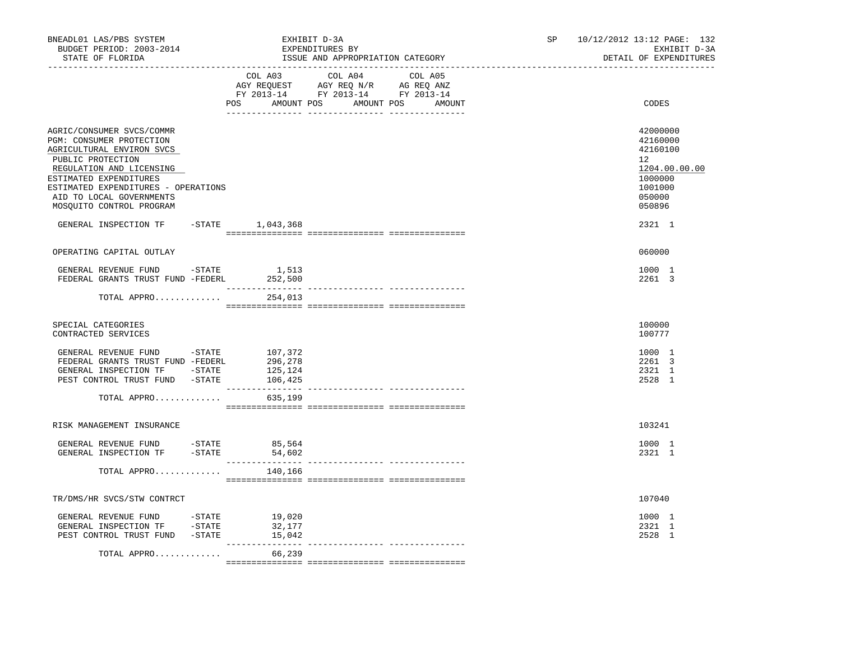| BNEADL01 LAS/PBS SYSTEM<br>BUDGET PERIOD: 2003-2014<br>STATE OF FLORIDA                                                                                                                                                                                      |                               | EXHIBIT D-3A<br>EXPENDITURES BY<br>ISSUE AND APPROPRIATION CATEGORY                                                                   |  | SP <sub>2</sub> | 10/12/2012 13:12 PAGE: 132<br>EXHIBIT D-3A<br>DETAIL OF EXPENDITURES                                           |
|--------------------------------------------------------------------------------------------------------------------------------------------------------------------------------------------------------------------------------------------------------------|-------------------------------|---------------------------------------------------------------------------------------------------------------------------------------|--|-----------------|----------------------------------------------------------------------------------------------------------------|
| ------------------                                                                                                                                                                                                                                           |                               | COL A03 COL A04 COL A05<br>AGY REQUEST AGY REQ N/R AG REQ ANZ<br>FY 2013-14 FY 2013-14 FY 2013-14<br>POS AMOUNT POS AMOUNT POS AMOUNT |  |                 | CODES                                                                                                          |
| AGRIC/CONSUMER SVCS/COMMR<br>PGM: CONSUMER PROTECTION<br>AGRICULTURAL ENVIRON SVCS<br>PUBLIC PROTECTION<br>REGULATION AND LICENSING<br>ESTIMATED EXPENDITURES<br>ESTIMATED EXPENDITURES - OPERATIONS<br>AID TO LOCAL GOVERNMENTS<br>MOSQUITO CONTROL PROGRAM |                               |                                                                                                                                       |  |                 | 42000000<br>42160000<br>42160100<br>12 <sup>°</sup><br>1204.00.00.00<br>1000000<br>1001000<br>050000<br>050896 |
| GENERAL INSPECTION TF -STATE 1,043,368                                                                                                                                                                                                                       |                               |                                                                                                                                       |  |                 | 2321 1                                                                                                         |
| OPERATING CAPITAL OUTLAY                                                                                                                                                                                                                                     |                               |                                                                                                                                       |  |                 | 060000                                                                                                         |
| GENERAL REVENUE FUND -STATE<br>FEDERAL GRANTS TRUST FUND -FEDERL 252,500                                                                                                                                                                                     | 1,513                         |                                                                                                                                       |  |                 | 1000 1<br>2261 3                                                                                               |
| TOTAL APPRO                                                                                                                                                                                                                                                  | 254,013                       |                                                                                                                                       |  |                 |                                                                                                                |
| SPECIAL CATEGORIES<br>CONTRACTED SERVICES                                                                                                                                                                                                                    |                               |                                                                                                                                       |  |                 | 100000<br>100777                                                                                               |
| GENERAL REVENUE FUND -STATE<br>FEDERAL GRANTS TRUST FUND -FEDERL<br>GENERAL INSPECTION TF -STATE<br>PEST CONTROL TRUST FUND -STATE 106,425                                                                                                                   | 107,372<br>296,278<br>125,124 |                                                                                                                                       |  |                 | 1000 1<br>2261 3<br>2321 1<br>2528 1                                                                           |
| TOTAL APPRO                                                                                                                                                                                                                                                  | 635,199                       |                                                                                                                                       |  |                 |                                                                                                                |
| RISK MANAGEMENT INSURANCE                                                                                                                                                                                                                                    |                               |                                                                                                                                       |  |                 | 103241                                                                                                         |
| ${\tt GENERAL}\;\;{\tt REVENUE}\;\;{\tt FUND}\qquad\qquad-{\tt STATE}\qquad\qquad 85\,,564$<br>GENERAL INSPECTION TF -STATE                                                                                                                                  | 54,602                        |                                                                                                                                       |  |                 | 1000 1<br>2321 1                                                                                               |
| TOTAL APPRO                                                                                                                                                                                                                                                  | 140,166                       |                                                                                                                                       |  |                 |                                                                                                                |
| TR/DMS/HR SVCS/STW CONTRCT                                                                                                                                                                                                                                   |                               |                                                                                                                                       |  |                 | 107040                                                                                                         |
| GENERAL REVENUE FUND -STATE 19,020<br>GENERAL INSPECTION TF -STATE<br>PEST CONTROL TRUST FUND -STATE 15,042                                                                                                                                                  | 32,177                        |                                                                                                                                       |  |                 | 1000 1<br>2321 1<br>2528 1                                                                                     |
| TOTAL APPRO                                                                                                                                                                                                                                                  | 66,239                        |                                                                                                                                       |  |                 |                                                                                                                |
|                                                                                                                                                                                                                                                              |                               |                                                                                                                                       |  |                 |                                                                                                                |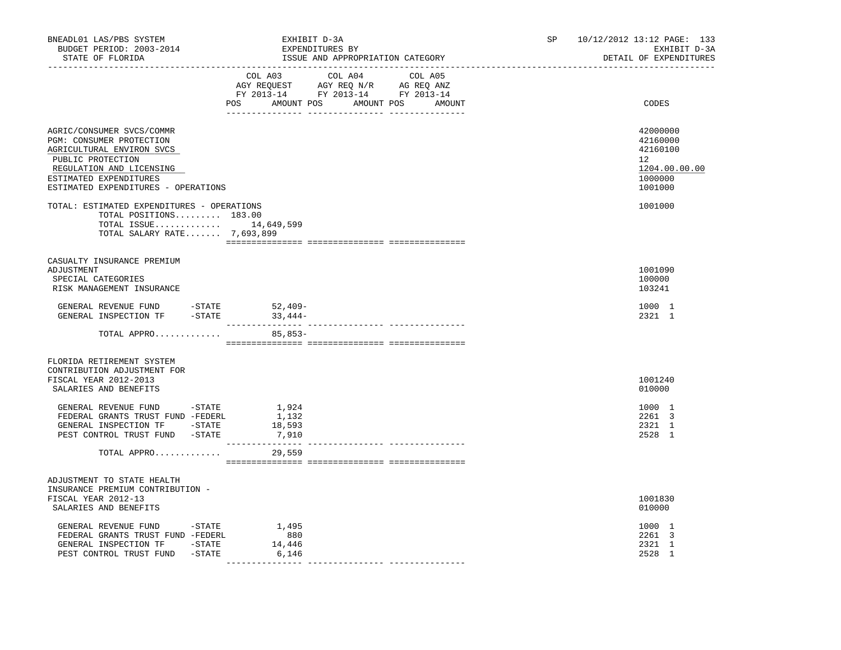| BNEADL01 LAS/PBS SYSTEM<br>BUDGET PERIOD: 2003-2014<br>STATE OF FLORIDA                                                                                                                                                                                                                                                               | EXHIBIT D-3A<br>EXPENDITURES BY | ISSUE AND APPROPRIATION CATEGORY                                                                                                                                                                                                                                                                                                                                                                                                                                                             | SP | 10/12/2012 13:12 PAGE: 133<br>EXHIBIT D-3A<br>DETAIL OF EXPENDITURES                               |
|---------------------------------------------------------------------------------------------------------------------------------------------------------------------------------------------------------------------------------------------------------------------------------------------------------------------------------------|---------------------------------|----------------------------------------------------------------------------------------------------------------------------------------------------------------------------------------------------------------------------------------------------------------------------------------------------------------------------------------------------------------------------------------------------------------------------------------------------------------------------------------------|----|----------------------------------------------------------------------------------------------------|
|                                                                                                                                                                                                                                                                                                                                       |                                 | $\begin{tabular}{lllllllllllll} &\multicolumn{4}{c}{\text{COL A03}} &\multicolumn{4}{c}{\text{COL A04}} &\multicolumn{4}{c}{\text{COL A05}} \\ \multicolumn{4}{c}{\text{AGY REQUEST}} &\multicolumn{4}{c}{\text{AGY REQ N/R}} &\multicolumn{4}{c}{\text{AG REQ ANZ}} \\ \multicolumn{4}{c}{\text{FGY REQ N/R}} &\multicolumn{4}{c}{\text{AG REQ ANZ}} \\ \multicolumn{4}{c}{\text{FY 2013--14}} &\multicolumn{4}{c}{\text{FY 2013--14}} &\multicolumn{4$<br>POS AMOUNT POS AMOUNT POS AMOUNT |    | CODES                                                                                              |
| AGRIC/CONSUMER SVCS/COMMR<br>PGM: CONSUMER PROTECTION<br>AGRICULTURAL ENVIRON SVCS<br>PUBLIC PROTECTION<br>REGULATION AND LICENSING<br>ESTIMATED EXPENDITURES<br>ESTIMATED EXPENDITURES - OPERATIONS<br>TOTAL: ESTIMATED EXPENDITURES - OPERATIONS<br>TOTAL POSITIONS 183.00<br>TOTAL ISSUE 14,649,599<br>TOTAL SALARY RATE 7,693,899 |                                 |                                                                                                                                                                                                                                                                                                                                                                                                                                                                                              |    | 42000000<br>42160000<br>42160100<br>$12^{\circ}$<br>1204.00.00.00<br>1000000<br>1001000<br>1001000 |
| CASUALTY INSURANCE PREMIUM<br>ADJUSTMENT<br>SPECIAL CATEGORIES<br>RISK MANAGEMENT INSURANCE                                                                                                                                                                                                                                           |                                 |                                                                                                                                                                                                                                                                                                                                                                                                                                                                                              |    | 1001090<br>100000<br>103241                                                                        |
|                                                                                                                                                                                                                                                                                                                                       |                                 |                                                                                                                                                                                                                                                                                                                                                                                                                                                                                              |    | 1000 1<br>2321 1                                                                                   |
| TOTAL APPRO                                                                                                                                                                                                                                                                                                                           | 85,853-                         |                                                                                                                                                                                                                                                                                                                                                                                                                                                                                              |    |                                                                                                    |
| FLORIDA RETIREMENT SYSTEM<br>CONTRIBUTION ADJUSTMENT FOR<br>FISCAL YEAR 2012-2013<br>SALARIES AND BENEFITS<br>GENERAL REVENUE FUND -STATE $1,924$<br>FEDERAL GRANTS TRUST FUND -FEDERL $1,132$<br>GENERAL INSPECTION TF -STATE                                                                                                        | 18,593                          |                                                                                                                                                                                                                                                                                                                                                                                                                                                                                              |    | 1001240<br>010000<br>1000 1<br>2261 3<br>2321 1                                                    |
| PEST CONTROL TRUST FUND -STATE 7,910<br>TOTAL APPRO                                                                                                                                                                                                                                                                                   | ________________<br>29,559      |                                                                                                                                                                                                                                                                                                                                                                                                                                                                                              |    | 2528 1                                                                                             |
| ADJUSTMENT TO STATE HEALTH                                                                                                                                                                                                                                                                                                            |                                 |                                                                                                                                                                                                                                                                                                                                                                                                                                                                                              |    |                                                                                                    |
| INSURANCE PREMIUM CONTRIBUTION -<br>FISCAL YEAR 2012-13<br>SALARIES AND BENEFITS                                                                                                                                                                                                                                                      |                                 |                                                                                                                                                                                                                                                                                                                                                                                                                                                                                              |    | 1001830<br>010000                                                                                  |
| GENERAL REVENUE FUND - STATE<br>FEDERAL GRANTS TRUST FUND -FEDERL<br>GENERAL INSPECTION TF -STATE<br>PEST CONTROL TRUST FUND -STATE                                                                                                                                                                                                   | 1,495<br>880<br>14,446<br>6,146 |                                                                                                                                                                                                                                                                                                                                                                                                                                                                                              |    | 1000 1<br>2261 3<br>2321 1<br>2528 1                                                               |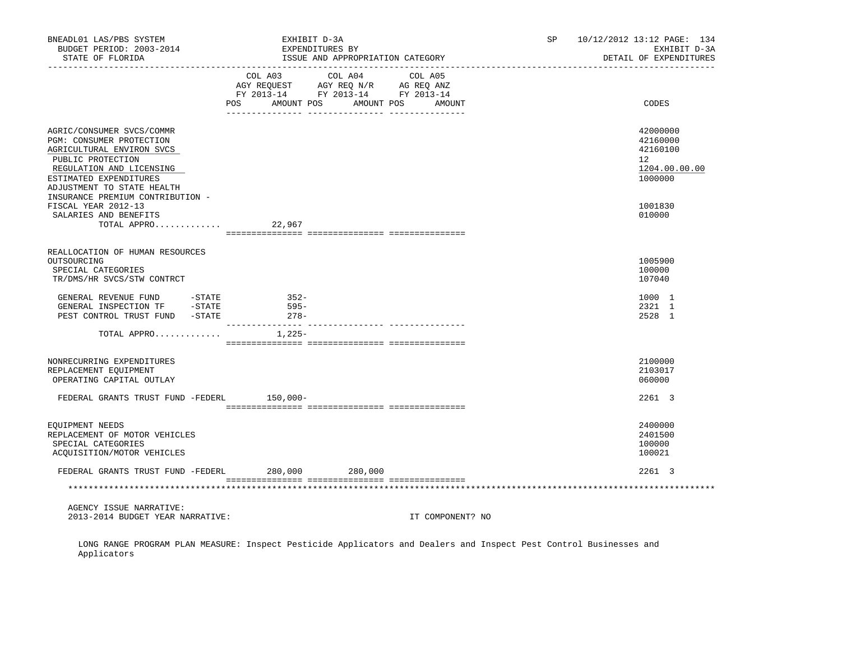| BNEADL01 LAS/PBS SYSTEM<br>BUDGET PERIOD: 2003-2014<br>STATE OF FLORIDA                                                                                                                     | EXHIBIT D-3A<br>EXPENDITURES BY                                                                                   | ISSUE AND APPROPRIATION CATEGORY | SP | 10/12/2012 13:12 PAGE: 134<br>EXHIBIT D-3A<br>DETAIL OF EXPENDITURES |
|---------------------------------------------------------------------------------------------------------------------------------------------------------------------------------------------|-------------------------------------------------------------------------------------------------------------------|----------------------------------|----|----------------------------------------------------------------------|
|                                                                                                                                                                                             | COL A03<br>COL A04<br>AGY REQUEST AGY REQ N/R AG REQ ANZ<br>FY 2013-14 FY 2013-14 FY 2013-14<br>POS<br>AMOUNT POS | COL A05<br>AMOUNT POS<br>AMOUNT  |    | CODES                                                                |
| AGRIC/CONSUMER SVCS/COMMR<br>PGM: CONSUMER PROTECTION<br>AGRICULTURAL ENVIRON SVCS<br>PUBLIC PROTECTION<br>REGULATION AND LICENSING<br>ESTIMATED EXPENDITURES<br>ADJUSTMENT TO STATE HEALTH |                                                                                                                   |                                  |    | 42000000<br>42160000<br>42160100<br>12<br>1204.00.00.00<br>1000000   |
| INSURANCE PREMIUM CONTRIBUTION -<br>FISCAL YEAR 2012-13<br>SALARIES AND BENEFITS<br>TOTAL APPRO                                                                                             | 22,967                                                                                                            |                                  |    | 1001830<br>010000                                                    |
| REALLOCATION OF HUMAN RESOURCES<br>OUTSOURCING<br>SPECIAL CATEGORIES<br>TR/DMS/HR SVCS/STW CONTRCT                                                                                          |                                                                                                                   |                                  |    | 1005900<br>100000<br>107040                                          |
| GENERAL REVENUE FUND -STATE<br>GENERAL INSPECTION TF -STATE<br>PEST CONTROL TRUST FUND -STATE                                                                                               | $352-$<br>595-<br>$278-$                                                                                          |                                  |    | 1000 1<br>2321 1<br>2528 1                                           |
| TOTAL APPRO                                                                                                                                                                                 | __________ ________________ ______<br>$1,225-$                                                                    |                                  |    |                                                                      |
| NONRECURRING EXPENDITURES<br>REPLACEMENT EQUIPMENT<br>OPERATING CAPITAL OUTLAY                                                                                                              |                                                                                                                   |                                  |    | 2100000<br>2103017<br>060000                                         |
| FEDERAL GRANTS TRUST FUND -FEDERL 150,000-                                                                                                                                                  |                                                                                                                   |                                  |    | 2261 3                                                               |
| EQUIPMENT NEEDS<br>REPLACEMENT OF MOTOR VEHICLES<br>SPECIAL CATEGORIES<br>ACQUISITION/MOTOR VEHICLES                                                                                        |                                                                                                                   |                                  |    | 2400000<br>2401500<br>100000<br>100021                               |
| FEDERAL GRANTS TRUST FUND -FEDERL                                                                                                                                                           | 280,000 280,000                                                                                                   |                                  |    | 2261 3                                                               |
|                                                                                                                                                                                             |                                                                                                                   |                                  |    |                                                                      |
| AGENCY ISSUE NARRATIVE:<br>2013-2014 BUDGET YEAR NARRATIVE:                                                                                                                                 |                                                                                                                   | IT COMPONENT? NO                 |    |                                                                      |

 LONG RANGE PROGRAM PLAN MEASURE: Inspect Pesticide Applicators and Dealers and Inspect Pest Control Businesses and Applicators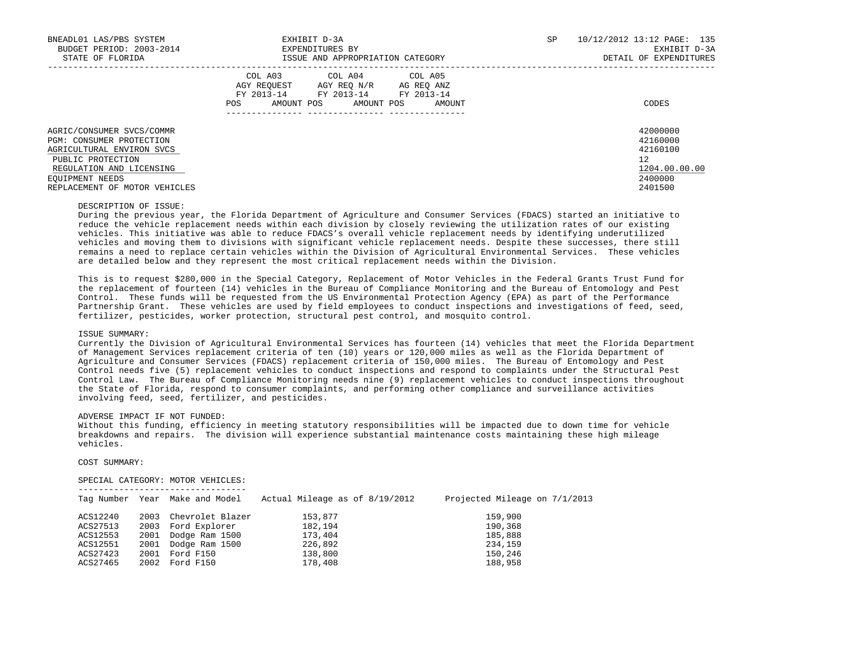| BNEADL01 LAS/PBS SYSTEM<br>BUDGET PERIOD: 2003-2014<br>STATE OF FLORIDA | EXHIBIT D-3A<br>EXPENDITURES BY<br>ISSUE AND APPROPRIATION CATEGORY                                                                               | 10/12/2012 13:12 PAGE: 135<br>SP<br>EXHIBIT D-3A<br>DETAIL OF EXPENDITURES |
|-------------------------------------------------------------------------|---------------------------------------------------------------------------------------------------------------------------------------------------|----------------------------------------------------------------------------|
|                                                                         | COL A04 COL A05<br>COL A03<br>AGY REOUEST AGY REO N/R AG REO ANZ<br>FY 2013-14 FY 2013-14 FY 2013-14<br>AMOUNT POS<br>AMOUNT POS<br>AMOUNT<br>POS | CODES                                                                      |
| AGRIC/CONSUMER SVCS/COMMR<br>PGM: CONSUMER PROTECTION                   |                                                                                                                                                   | 42000000<br>42160000                                                       |
| AGRICULTURAL ENVIRON SVCS                                               |                                                                                                                                                   | 42160100                                                                   |
| PUBLIC PROTECTION                                                       |                                                                                                                                                   | 12                                                                         |
| REGULATION AND LICENSING                                                |                                                                                                                                                   | 1204.00.00.00                                                              |
| EOUIPMENT NEEDS                                                         |                                                                                                                                                   | 2400000                                                                    |
| REPLACEMENT OF MOTOR VEHICLES                                           |                                                                                                                                                   | 2401500                                                                    |

#### DESCRIPTION OF ISSUE:

 During the previous year, the Florida Department of Agriculture and Consumer Services (FDACS) started an initiative to reduce the vehicle replacement needs within each division by closely reviewing the utilization rates of our existing vehicles. This initiative was able to reduce FDACS's overall vehicle replacement needs by identifying underutilized vehicles and moving them to divisions with significant vehicle replacement needs. Despite these successes, there still remains a need to replace certain vehicles within the Division of Agricultural Environmental Services. These vehicles are detailed below and they represent the most critical replacement needs within the Division.

 This is to request \$280,000 in the Special Category, Replacement of Motor Vehicles in the Federal Grants Trust Fund for the replacement of fourteen (14) vehicles in the Bureau of Compliance Monitoring and the Bureau of Entomology and Pest Control. These funds will be requested from the US Environmental Protection Agency (EPA) as part of the Performance Partnership Grant. These vehicles are used by field employees to conduct inspections and investigations of feed, seed, fertilizer, pesticides, worker protection, structural pest control, and mosquito control.

## ISSUE SUMMARY:

 Currently the Division of Agricultural Environmental Services has fourteen (14) vehicles that meet the Florida Department of Management Services replacement criteria of ten (10) years or 120,000 miles as well as the Florida Department of Agriculture and Consumer Services (FDACS) replacement criteria of 150,000 miles. The Bureau of Entomology and Pest Control needs five (5) replacement vehicles to conduct inspections and respond to complaints under the Structural Pest Control Law. The Bureau of Compliance Monitoring needs nine (9) replacement vehicles to conduct inspections throughout the State of Florida, respond to consumer complaints, and performing other compliance and surveillance activities involving feed, seed, fertilizer, and pesticides.

### ADVERSE IMPACT IF NOT FUNDED:

 Without this funding, efficiency in meeting statutory responsibilities will be impacted due to down time for vehicle breakdowns and repairs. The division will experience substantial maintenance costs maintaining these high mileage vehicles.

## COST SUMMARY:

## SPECIAL CATEGORY: MOTOR VEHICLES:

|          |      | Tag Number Year Make and Model | Actual Mileage as of 8/19/2012 | Projected Mileage on 7/1/2013 |
|----------|------|--------------------------------|--------------------------------|-------------------------------|
| ACS12240 | 2003 | Chevrolet Blazer               | 153,877                        | 159,900                       |
| ACS27513 |      | 2003 Ford Explorer             | 182,194                        | 190,368                       |
| ACS12553 | 2001 | Dodge Ram 1500                 | 173,404                        | 185,888                       |
| ACS12551 |      | 2001 Dodge Ram 1500            | 226,892                        | 234,159                       |
| ACS27423 | 2001 | Ford F150                      | 138,800                        | 150,246                       |
| ACS27465 | 2002 | Ford F150                      | 178,408                        | 188,958                       |
|          |      |                                |                                |                               |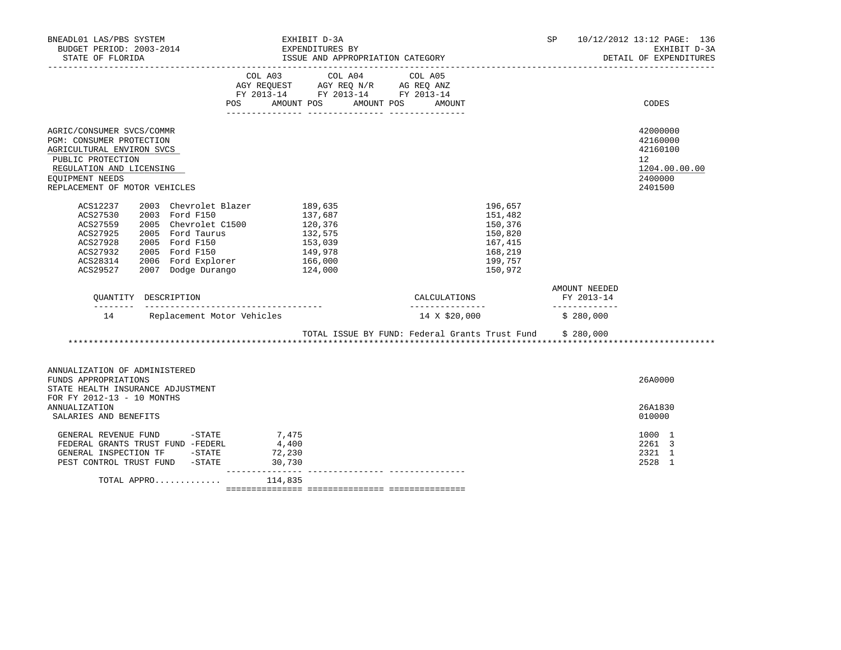| BNEADL01 LAS/PBS SYSTEM<br>BUDGET PERIOD: 2003-2014                                                                                                                                     |                                                                                                                               | EXHIBIT D-3A<br>EXPENDITURES BY                                | SP                                                                                   | 10/12/2012 13:12 PAGE: 136<br>EXHIBIT D-3A<br>DETAIL OF EXPENDITURES<br>_______________ |                                                                               |
|-----------------------------------------------------------------------------------------------------------------------------------------------------------------------------------------|-------------------------------------------------------------------------------------------------------------------------------|----------------------------------------------------------------|--------------------------------------------------------------------------------------|-----------------------------------------------------------------------------------------|-------------------------------------------------------------------------------|
|                                                                                                                                                                                         | COL A03                                                                                                                       | COL A04<br>POS AMOUNT POS AMOUNT POS AMOUNT                    | COL A05                                                                              |                                                                                         | CODES                                                                         |
| AGRIC/CONSUMER SVCS/COMMR<br>PGM: CONSUMER PROTECTION<br>AGRICULTURAL ENVIRON SVCS<br>PUBLIC PROTECTION<br>REGULATION AND LICENSING<br>EQUIPMENT NEEDS<br>REPLACEMENT OF MOTOR VEHICLES |                                                                                                                               |                                                                |                                                                                      |                                                                                         | 42000000<br>42160000<br>42160100<br>12<br>1204.00.00.00<br>2400000<br>2401500 |
| ACS12237<br>2003 Ford F150<br>ACS27530<br>ACS27559<br>ACS27925<br>2005 Ford F150<br>ACS27928<br>2005 Ford F150<br>ACS27932<br>ACS28314<br>ACS29527                                      | 2003 Chevrolet Blazer 189,635<br>2005 Chevrolet C1500 120,376<br>2005 Ford Taurus<br>2006 Ford Explorer<br>2007 Dodge Durango | 137,687<br>132,575<br>153,039<br>149,978<br>166,000<br>124,000 | 196,657<br>151,482<br>150,376<br>150,820<br>167,415<br>168,219<br>199,757<br>150,972 |                                                                                         |                                                                               |
| OUANTITY DESCRIPTION                                                                                                                                                                    |                                                                                                                               |                                                                | CALCULATIONS                                                                         | AMOUNT NEEDED<br>FY 2013-14                                                             |                                                                               |
|                                                                                                                                                                                         | 14 Replacement Motor Vehicles                                                                                                 |                                                                | ________________<br>14 X \$20,000                                                    | _______________<br>\$280,000                                                            |                                                                               |
|                                                                                                                                                                                         |                                                                                                                               |                                                                | TOTAL ISSUE BY FUND: Federal Grants Trust Fund \$ 280,000                            |                                                                                         |                                                                               |
| ANNUALIZATION OF ADMINISTERED<br>FUNDS APPROPRIATIONS<br>STATE HEALTH INSURANCE ADJUSTMENT<br>FOR FY 2012-13 - 10 MONTHS                                                                |                                                                                                                               |                                                                |                                                                                      |                                                                                         | 26A0000                                                                       |
| <b>ANNUALIZATION</b><br>SALARIES AND BENEFITS                                                                                                                                           |                                                                                                                               |                                                                |                                                                                      |                                                                                         | 26A1830<br>010000                                                             |
| GENERAL REVENUE FUND $-$ STATE $7,475$<br>FEDERAL GRANTS TRUST FUND -FEDERL<br>GENERAL INSPECTION TF -STATE 72,230<br>PEST CONTROL TRUST FUND -STATE                                    | 4,400<br>30,730                                                                                                               |                                                                |                                                                                      |                                                                                         | 1000 1<br>2261 3<br>2321 1<br>2528<br>$\overline{1}$                          |
| TOTAL APPRO                                                                                                                                                                             | 114,835                                                                                                                       |                                                                |                                                                                      |                                                                                         |                                                                               |

=============== =============== ===============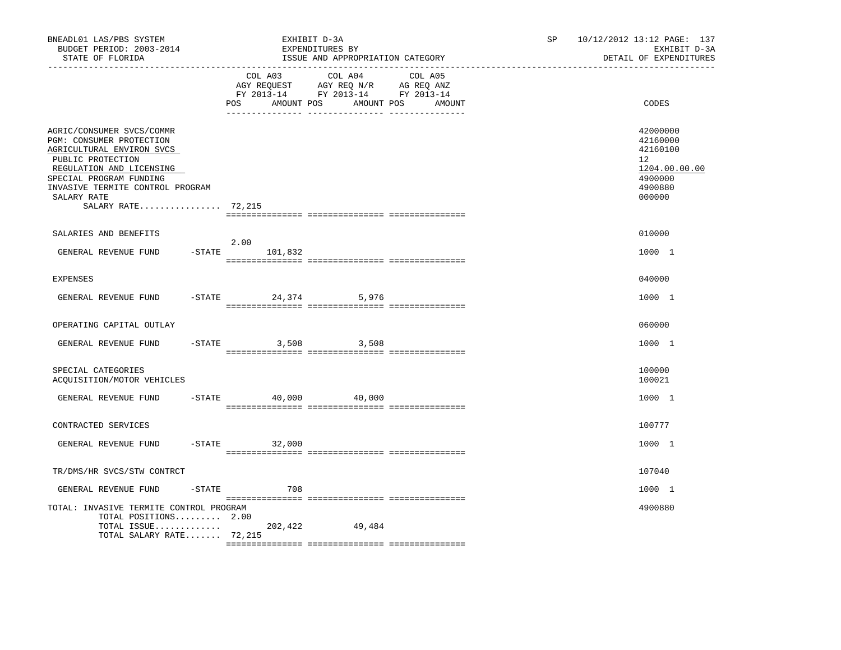| BNEADL01 LAS/PBS SYSTEM<br>BUDGET PERIOD: 2003-2014<br>STATE OF FLORIDA                                                                                                                                                                   | EXHIBIT D-3A<br>EXPENDITURES BY<br>ISSUE AND APPROPRIATION CATEGORY                                                                  | SP     | 10/12/2012 13:12 PAGE: 137<br>EXHIBIT D-3A<br>DETAIL OF EXPENDITURES                              |
|-------------------------------------------------------------------------------------------------------------------------------------------------------------------------------------------------------------------------------------------|--------------------------------------------------------------------------------------------------------------------------------------|--------|---------------------------------------------------------------------------------------------------|
|                                                                                                                                                                                                                                           | COL A03 COL A04 COL A05<br>AGY REQUEST AGY REQ N/R AG REQ ANZ<br>FY 2013-14 FY 2013-14 FY 2013-14<br>AMOUNT POS<br>AMOUNT POS<br>POS | AMOUNT | CODES                                                                                             |
| AGRIC/CONSUMER SVCS/COMMR<br>PGM: CONSUMER PROTECTION<br>AGRICULTURAL ENVIRON SVCS<br>PUBLIC PROTECTION<br>REGULATION AND LICENSING<br>SPECIAL PROGRAM FUNDING<br>INVASIVE TERMITE CONTROL PROGRAM<br>SALARY RATE<br>SALARY RATE $72,215$ |                                                                                                                                      |        | 42000000<br>42160000<br>42160100<br>$12^{\circ}$<br>1204.00.00.00<br>4900000<br>4900880<br>000000 |
| SALARIES AND BENEFITS                                                                                                                                                                                                                     |                                                                                                                                      |        | 010000                                                                                            |
| GENERAL REVENUE FUND                                                                                                                                                                                                                      | 2.00<br>$-STATE$ 101,832                                                                                                             |        | 1000 1                                                                                            |
| <b>EXPENSES</b>                                                                                                                                                                                                                           |                                                                                                                                      |        | 040000                                                                                            |
| GENERAL REVENUE FUND                                                                                                                                                                                                                      | -STATE 24,374 5,976                                                                                                                  |        | 1000 1                                                                                            |
| OPERATING CAPITAL OUTLAY                                                                                                                                                                                                                  |                                                                                                                                      |        | 060000                                                                                            |
| GENERAL REVENUE FUND                                                                                                                                                                                                                      | $-$ STATE<br>3,508<br>3,508                                                                                                          |        | 1000 1                                                                                            |
| SPECIAL CATEGORIES<br>ACQUISITION/MOTOR VEHICLES                                                                                                                                                                                          |                                                                                                                                      |        | 100000<br>100021                                                                                  |
| GENERAL REVENUE FUND                                                                                                                                                                                                                      | $-$ STATE 40,000 40,000                                                                                                              |        | 1000 1                                                                                            |
| CONTRACTED SERVICES                                                                                                                                                                                                                       |                                                                                                                                      |        | 100777                                                                                            |
| GENERAL REVENUE FUND                                                                                                                                                                                                                      | $-STATE$<br>32,000                                                                                                                   |        | 1000 1                                                                                            |
| TR/DMS/HR SVCS/STW CONTRCT                                                                                                                                                                                                                |                                                                                                                                      |        | 107040                                                                                            |
| $-$ STATE<br>GENERAL REVENUE FUND                                                                                                                                                                                                         | 708                                                                                                                                  |        | 1000 1                                                                                            |
| TOTAL: INVASIVE TERMITE CONTROL PROGRAM<br>TOTAL POSITIONS 2.00<br>TOTAL ISSUE $202,422$<br>TOTAL SALARY RATE 72,215                                                                                                                      | 49,484                                                                                                                               |        | 4900880                                                                                           |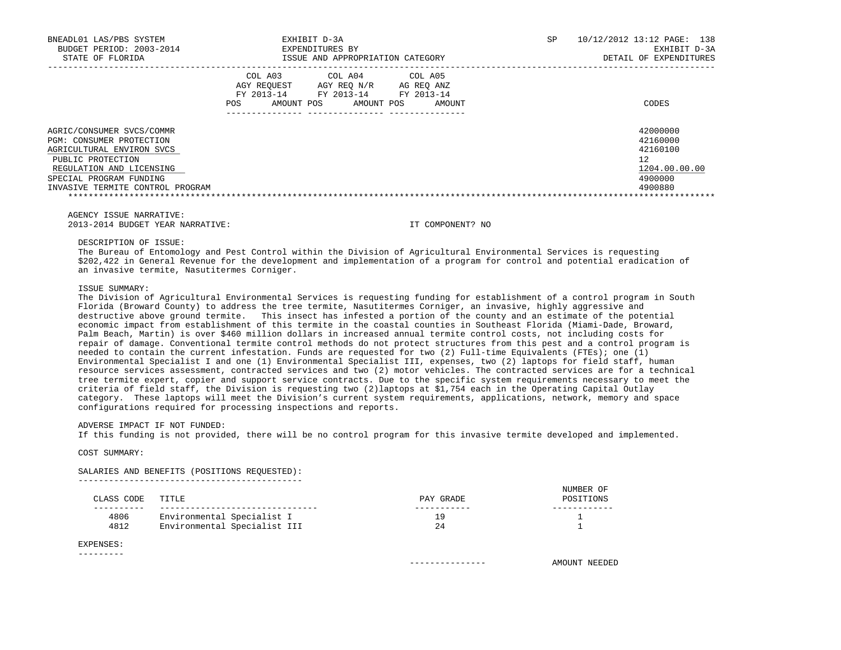| BNEADL01 LAS/PBS SYSTEM<br>BUDGET PERIOD: 2003-2014<br>STATE OF FLORIDA | EXHIBIT D-3A<br>EXPENDITURES BY<br>ISSUE AND APPROPRIATION CATEGORY                                                                                            | SP. | 10/12/2012 13:12 PAGE: 138<br>EXHIBIT D-3A<br>DETAIL OF EXPENDITURES |
|-------------------------------------------------------------------------|----------------------------------------------------------------------------------------------------------------------------------------------------------------|-----|----------------------------------------------------------------------|
|                                                                         | COL A03<br>COL A04 COL A05<br>AGY REOUEST<br>AGY REO N/R<br>AG REO ANZ<br>FY 2013-14<br>FY 2013-14<br>FY 2013-14<br>AMOUNT POS<br>AMOUNT POS<br>AMOUNT<br>POS. |     | CODES                                                                |
| AGRIC/CONSUMER SVCS/COMMR<br>PGM: CONSUMER PROTECTION                   |                                                                                                                                                                |     | 42000000<br>42160000                                                 |
| AGRICULTURAL ENVIRON SVCS                                               |                                                                                                                                                                |     | 42160100                                                             |
| PUBLIC PROTECTION                                                       |                                                                                                                                                                |     | 12                                                                   |
| REGULATION AND LICENSING                                                |                                                                                                                                                                |     | 1204.00.00.00                                                        |
| SPECIAL PROGRAM FUNDING                                                 |                                                                                                                                                                |     | 4900000                                                              |
| INVASIVE TERMITE CONTROL PROGRAM                                        |                                                                                                                                                                |     | 4900880                                                              |
|                                                                         |                                                                                                                                                                |     |                                                                      |

 AGENCY ISSUE NARRATIVE: 2013-2014 BUDGET YEAR NARRATIVE: IT COMPONENT? NO

DESCRIPTION OF ISSUE:

 The Bureau of Entomology and Pest Control within the Division of Agricultural Environmental Services is requesting \$202,422 in General Revenue for the development and implementation of a program for control and potential eradication of an invasive termite, Nasutitermes Corniger.

## ISSUE SUMMARY:

 The Division of Agricultural Environmental Services is requesting funding for establishment of a control program in South Florida (Broward County) to address the tree termite, Nasutitermes Corniger, an invasive, highly aggressive and destructive above ground termite. This insect has infested a portion of the county and an estimate of the potential economic impact from establishment of this termite in the coastal counties in Southeast Florida (Miami-Dade, Broward, Palm Beach, Martin) is over \$460 million dollars in increased annual termite control costs, not including costs for repair of damage. Conventional termite control methods do not protect structures from this pest and a control program is needed to contain the current infestation. Funds are requested for two (2) Full-time Equivalents (FTEs); one (1) Environmental Specialist I and one (1) Environmental Specialist III, expenses, two (2) laptops for field staff, human resource services assessment, contracted services and two (2) motor vehicles. The contracted services are for a technical tree termite expert, copier and support service contracts. Due to the specific system requirements necessary to meet the criteria of field staff, the Division is requesting two (2)laptops at \$1,754 each in the Operating Capital Outlay category. These laptops will meet the Division's current system requirements, applications, network, memory and space configurations required for processing inspections and reports.

ADVERSE IMPACT IF NOT FUNDED:

If this funding is not provided, there will be no control program for this invasive termite developed and implemented.

COST SUMMARY:

 SALARIES AND BENEFITS (POSITIONS REQUESTED): --------------------------------------------

|            |                              |           | NUMBER OF |
|------------|------------------------------|-----------|-----------|
| CLASS CODE | TITLE                        | PAY GRADE | POSITIONS |
|            |                              |           |           |
| 4806       | Environmental Specialist I   | ۱q        |           |
| 4812       | Environmental Specialist III |           |           |

#### EXPENSES: ---------

--------------- AMOUNT NEEDED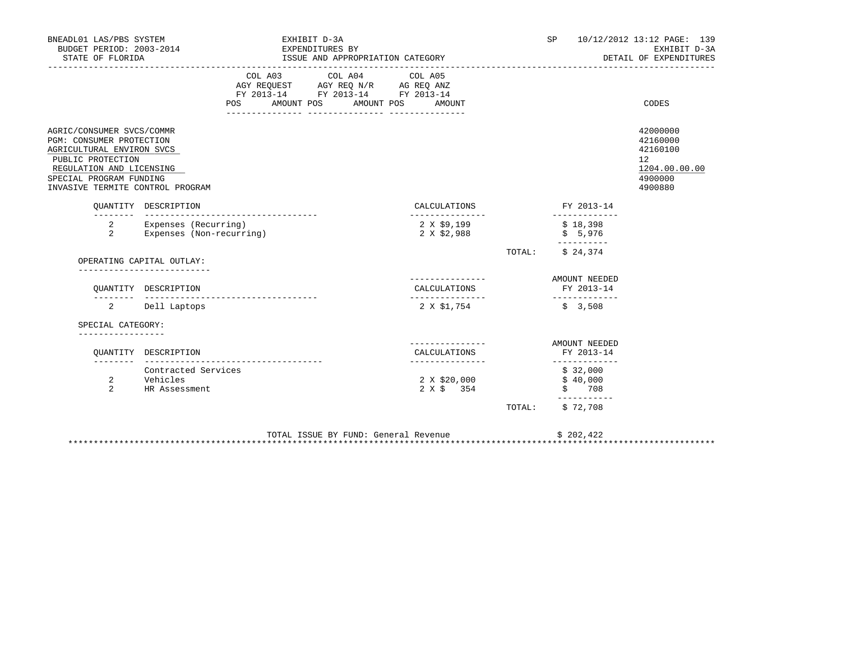| BNEADL01 LAS/PBS SYSTEM<br>BUDGET PERIOD: 2003-2014<br>STATE OF FLORIDA                                                                                                                            |                                                              |            |            | EXHIBIT D-3A<br>EXPENDITURES BY | ISSUE AND APPROPRIATION CATEGORY                                                                                |                                                   |        | SP                                |                                | 10/12/2012 13:12 PAGE: 139<br>EXHIBIT D-3A<br>DETAIL OF EXPENDITURES          |
|----------------------------------------------------------------------------------------------------------------------------------------------------------------------------------------------------|--------------------------------------------------------------|------------|------------|---------------------------------|-----------------------------------------------------------------------------------------------------------------|---------------------------------------------------|--------|-----------------------------------|--------------------------------|-------------------------------------------------------------------------------|
|                                                                                                                                                                                                    |                                                              | <b>POS</b> | AMOUNT POS |                                 | COL A03 COL A04 COL A05<br>AGY REQUEST AGY REQ N/R AG REQ ANZ<br>FY 2013-14 FY 2013-14 FY 2013-14<br>AMOUNT POS | AMOUNT                                            |        |                                   |                                | CODES                                                                         |
| AGRIC/CONSUMER SVCS/COMMR<br>PGM: CONSUMER PROTECTION<br>AGRICULTURAL ENVIRON SVCS<br>PUBLIC PROTECTION<br>REGULATION AND LICENSING<br>SPECIAL PROGRAM FUNDING<br>INVASIVE TERMITE CONTROL PROGRAM |                                                              |            |            |                                 |                                                                                                                 |                                                   |        |                                   |                                | 42000000<br>42160000<br>42160100<br>12<br>1204.00.00.00<br>4900000<br>4900880 |
|                                                                                                                                                                                                    | OUANTITY DESCRIPTION<br>__________________________________   |            |            |                                 |                                                                                                                 | CALCULATIONS<br>---------------                   |        |                                   | FY 2013-14                     |                                                                               |
| 2<br>2                                                                                                                                                                                             | Expenses (Recurring)<br>Expenses (Non-recurring)             |            |            |                                 |                                                                                                                 | 2 X \$9,199<br>2 X \$2,988                        |        | \$18,398<br>\$5,976<br>---------- |                                |                                                                               |
|                                                                                                                                                                                                    | OPERATING CAPITAL OUTLAY:                                    |            |            |                                 |                                                                                                                 |                                                   | TOTAL: | \$24,374                          |                                |                                                                               |
|                                                                                                                                                                                                    | QUANTITY DESCRIPTION<br>------------------------------------ |            |            |                                 |                                                                                                                 | --------------<br>CALCULATIONS<br>_______________ |        | AMOUNT NEEDED<br>FY 2013-14       | -------------                  |                                                                               |
|                                                                                                                                                                                                    | 2 Dell Laptops                                               |            |            |                                 |                                                                                                                 | 2 X \$1,754                                       |        | \$3,508                           |                                |                                                                               |
| SPECIAL CATEGORY:                                                                                                                                                                                  |                                                              |            |            |                                 |                                                                                                                 |                                                   |        |                                   |                                |                                                                               |
|                                                                                                                                                                                                    | OUANTITY DESCRIPTION                                         |            |            |                                 |                                                                                                                 | CALCULATIONS<br>_______________                   |        | FY 2013-14                        | AMOUNT NEEDED<br>_____________ |                                                                               |
| 2<br>2                                                                                                                                                                                             | Contracted Services<br>Vehicles<br>HR Assessment             |            |            |                                 |                                                                                                                 | 2 X \$20,000<br>2 X \$313                         |        | \$32,000<br>\$40,000<br>\$708     | -----------                    |                                                                               |
|                                                                                                                                                                                                    |                                                              |            |            |                                 |                                                                                                                 |                                                   |        | TOTAL: \$72,708                   |                                |                                                                               |
|                                                                                                                                                                                                    |                                                              |            |            |                                 | TOTAL ISSUE BY FUND: General Revenue                                                                            |                                                   |        | \$202,422                         |                                |                                                                               |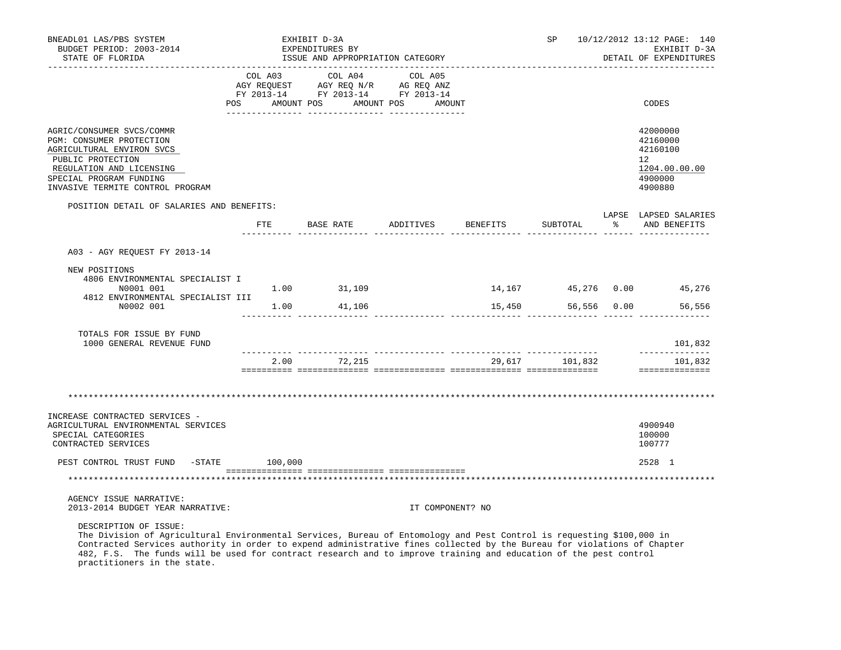| BNEADL01 LAS/PBS SYSTEM<br>BUDGET PERIOD: 2003-2014<br>STATE OF FLORIDA                                                                                                                            | EXHIBIT D-3A<br>EXPENDITURES BY<br>ISSUE AND APPROPRIATION CATEGORY                                                            |                  |          | <b>SP</b>      |          | 10/12/2012 13:12 PAGE: 140<br>EXHIBIT D-3A<br>DETAIL OF EXPENDITURES                       |
|----------------------------------------------------------------------------------------------------------------------------------------------------------------------------------------------------|--------------------------------------------------------------------------------------------------------------------------------|------------------|----------|----------------|----------|--------------------------------------------------------------------------------------------|
|                                                                                                                                                                                                    | COL A03 COL A04 COL A05<br>AGY REQUEST AGY REQ N/R AG REQ ANZ<br>FY 2013-14 FY 2013-14 FY 2013-14<br>POS AMOUNT POS AMOUNT POS | AMOUNT           |          |                |          | CODES                                                                                      |
| AGRIC/CONSUMER SVCS/COMMR<br>PGM: CONSUMER PROTECTION<br>AGRICULTURAL ENVIRON SVCS<br>PUBLIC PROTECTION<br>REGULATION AND LICENSING<br>SPECIAL PROGRAM FUNDING<br>INVASIVE TERMITE CONTROL PROGRAM |                                                                                                                                |                  |          |                |          | 42000000<br>42160000<br>42160100<br>12 <sup>7</sup><br>1204.00.00.00<br>4900000<br>4900880 |
| POSITION DETAIL OF SALARIES AND BENEFITS:                                                                                                                                                          |                                                                                                                                |                  |          |                |          | LAPSE LAPSED SALARIES                                                                      |
|                                                                                                                                                                                                    | FTE BASE RATE ADDITIVES                                                                                                        |                  | BENEFITS | SUBTOTAL       | $\sim$ 8 | AND BENEFITS                                                                               |
| A03 - AGY REOUEST FY 2013-14                                                                                                                                                                       |                                                                                                                                |                  |          |                |          |                                                                                            |
| NEW POSITIONS<br>4806 ENVIRONMENTAL SPECIALIST I<br>N0001 001                                                                                                                                      | 1.00 31,109                                                                                                                    |                  |          |                |          | 14, 167 45, 276 0.00 45, 276                                                               |
| 4812 ENVIRONMENTAL SPECIALIST III<br>N0002 001                                                                                                                                                     | 1.00 41,106                                                                                                                    |                  | 15,450   |                |          | 56,556 0.00 56,556                                                                         |
| TOTALS FOR ISSUE BY FUND<br>1000 GENERAL REVENUE FUND                                                                                                                                              |                                                                                                                                |                  |          |                |          | 101,832                                                                                    |
|                                                                                                                                                                                                    | 2.00 72,215                                                                                                                    |                  |          | 29,617 101,832 |          | --------------<br>101,832<br>________________                                              |
|                                                                                                                                                                                                    |                                                                                                                                |                  |          |                |          |                                                                                            |
| INCREASE CONTRACTED SERVICES -<br>AGRICULTURAL ENVIRONMENTAL SERVICES<br>SPECIAL CATEGORIES<br>CONTRACTED SERVICES                                                                                 |                                                                                                                                |                  |          |                |          | 4900940<br>100000<br>100777                                                                |
| PEST CONTROL TRUST FUND -STATE 100,000                                                                                                                                                             |                                                                                                                                |                  |          |                |          | 2528 1                                                                                     |
|                                                                                                                                                                                                    |                                                                                                                                |                  |          |                |          |                                                                                            |
| AGENCY ISSUE NARRATIVE:<br>2013-2014 BUDGET YEAR NARRATIVE:                                                                                                                                        |                                                                                                                                | IT COMPONENT? NO |          |                |          |                                                                                            |
| DESCRIPTION OF ISSUE:<br>The Division of Agricultural Environmental Services, Bureau of Entomology and Pest Control is requesting \$100,000 in                                                     |                                                                                                                                |                  |          |                |          |                                                                                            |

 The Division of Agricultural Environmental Services, Bureau of Entomology and Pest Control is requesting \$100,000 in Contracted Services authority in order to expend administrative fines collected by the Bureau for violations of Chapter 482, F.S. The funds will be used for contract research and to improve training and education of the pest control practitioners in the state.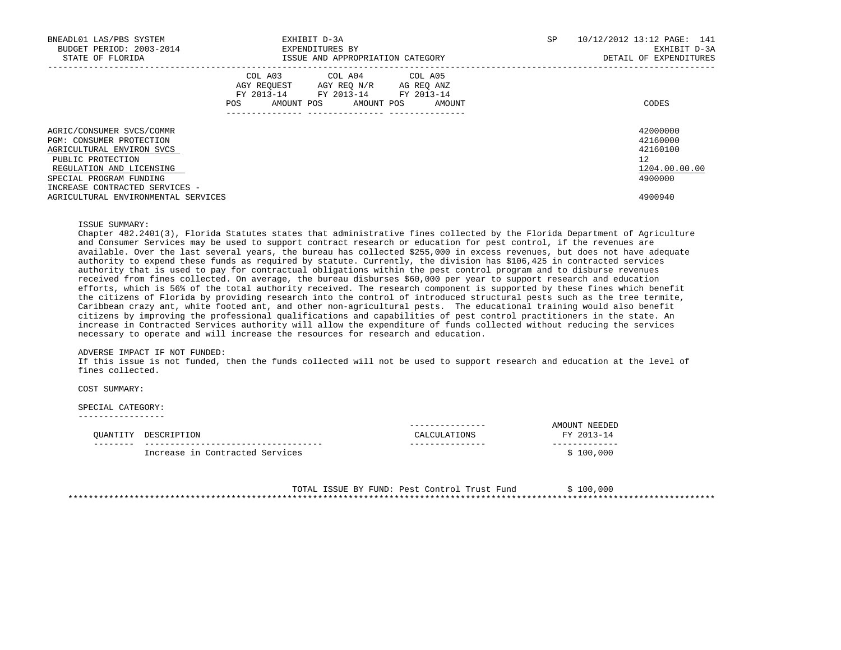| BNEADL01 LAS/PBS SYSTEM<br>BUDGET PERIOD: 2003-2014<br>STATE OF FLORIDA                                                                                                                          | EXHIBIT D-3A<br>EXPENDITURES BY<br>ISSUE AND APPROPRIATION CATEGORY                                                                               | SP | 10/12/2012 13:12 PAGE: 141<br>EXHIBIT D-3A<br>DETAIL OF EXPENDITURES |
|--------------------------------------------------------------------------------------------------------------------------------------------------------------------------------------------------|---------------------------------------------------------------------------------------------------------------------------------------------------|----|----------------------------------------------------------------------|
|                                                                                                                                                                                                  | COL A03<br>COL A04 COL A05<br>AGY REQUEST AGY REO N/R AG REO ANZ<br>FY 2013-14 FY 2013-14 FY 2013-14<br>AMOUNT POS<br>POS<br>AMOUNT POS<br>AMOUNT |    | CODES                                                                |
| AGRIC/CONSUMER SVCS/COMMR<br>PGM: CONSUMER PROTECTION<br>AGRICULTURAL ENVIRON SVCS<br>PUBLIC PROTECTION<br>REGULATION AND LICENSING<br>SPECIAL PROGRAM FUNDING<br>INCREASE CONTRACTED SERVICES - |                                                                                                                                                   |    | 42000000<br>42160000<br>42160100<br>12<br>1204.00.00.00<br>4900000   |
| AGRICULTURAL ENVIRONMENTAL SERVICES                                                                                                                                                              |                                                                                                                                                   |    | 4900940                                                              |

### ISSUE SUMMARY:

 Chapter 482.2401(3), Florida Statutes states that administrative fines collected by the Florida Department of Agriculture and Consumer Services may be used to support contract research or education for pest control, if the revenues are available. Over the last several years, the bureau has collected \$255,000 in excess revenues, but does not have adequate authority to expend these funds as required by statute. Currently, the division has \$106,425 in contracted services authority that is used to pay for contractual obligations within the pest control program and to disburse revenues received from fines collected. On average, the bureau disburses \$60,000 per year to support research and education efforts, which is 56% of the total authority received. The research component is supported by these fines which benefit the citizens of Florida by providing research into the control of introduced structural pests such as the tree termite, Caribbean crazy ant, white footed ant, and other non-agricultural pests. The educational training would also benefit citizens by improving the professional qualifications and capabilities of pest control practitioners in the state. An increase in Contracted Services authority will allow the expenditure of funds collected without reducing the services necessary to operate and will increase the resources for research and education.

### ADVERSE IMPACT IF NOT FUNDED:

 If this issue is not funded, then the funds collected will not be used to support research and education at the level of fines collected.

## COST SUMMARY:

#### SPECIAL CATEGORY: -----------------

| OUANTITY | DESCRIPTION                     | CALCULATIONS | NEEDED<br>$\triangle$ MOTINT $\Box$<br>FY 2013-14 |
|----------|---------------------------------|--------------|---------------------------------------------------|
|          | Increase in Contracted Services |              | \$100,000                                         |

 TOTAL ISSUE BY FUND: Pest Control Trust Fund \$ 100,000 \*\*\*\*\*\*\*\*\*\*\*\*\*\*\*\*\*\*\*\*\*\*\*\*\*\*\*\*\*\*\*\*\*\*\*\*\*\*\*\*\*\*\*\*\*\*\*\*\*\*\*\*\*\*\*\*\*\*\*\*\*\*\*\*\*\*\*\*\*\*\*\*\*\*\*\*\*\*\*\*\*\*\*\*\*\*\*\*\*\*\*\*\*\*\*\*\*\*\*\*\*\*\*\*\*\*\*\*\*\*\*\*\*\*\*\*\*\*\*\*\*\*\*\*\*\*\*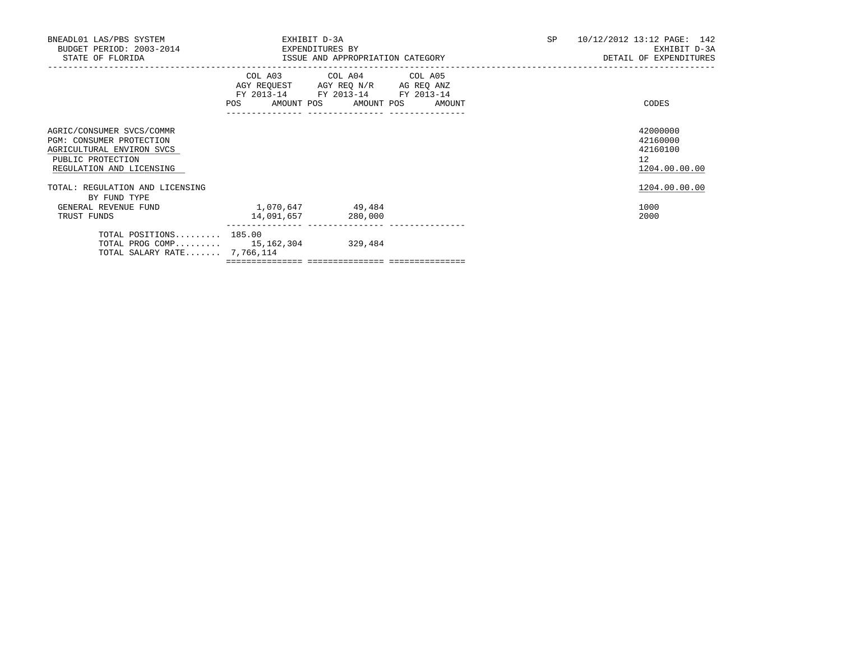| BNEADL01 LAS/PBS SYSTEM<br>BUDGET PERIOD: 2003-2014 EXPENDITURES BY<br>STATE OF FLORIDA                                             | EXHIBIT D-3A<br>ISSUE AND APPROPRIATION CATEGORY                      | SP                                                                                                | 10/12/2012 13:12 PAGE: 142<br>EXHIBIT D-3A<br>DETAIL OF EXPENDITURES |  |  |                                                         |
|-------------------------------------------------------------------------------------------------------------------------------------|-----------------------------------------------------------------------|---------------------------------------------------------------------------------------------------|----------------------------------------------------------------------|--|--|---------------------------------------------------------|
|                                                                                                                                     | POS AMOUNT POS AMOUNT POS AMOUNT<br>---------------- ---------------- | COL A03 COL A04 COL A05<br>AGY REQUEST AGY REQ N/R AG REQ ANZ<br>FY 2013-14 FY 2013-14 FY 2013-14 |                                                                      |  |  | CODES                                                   |
| AGRIC/CONSUMER SVCS/COMMR<br>PGM: CONSUMER PROTECTION<br>AGRICULTURAL ENVIRON SVCS<br>PUBLIC PROTECTION<br>REGULATION AND LICENSING |                                                                       |                                                                                                   |                                                                      |  |  | 42000000<br>42160000<br>42160100<br>12<br>1204.00.00.00 |
| TOTAL: REGULATION AND LICENSING<br>BY FUND TYPE                                                                                     |                                                                       |                                                                                                   |                                                                      |  |  | 1204.00.00.00                                           |
| GENERAL REVENUE FUND<br>TRUST FUNDS                                                                                                 | 1,070,647 49,484                                                      | 14,091,657 280,000                                                                                |                                                                      |  |  | 1000<br>2000                                            |
| TOTAL POSITIONS $185.00$<br>TOTAL PROG COMP 15, 162, 304 329, 484<br>TOTAL SALARY RATE $7,766,114$                                  |                                                                       |                                                                                                   |                                                                      |  |  |                                                         |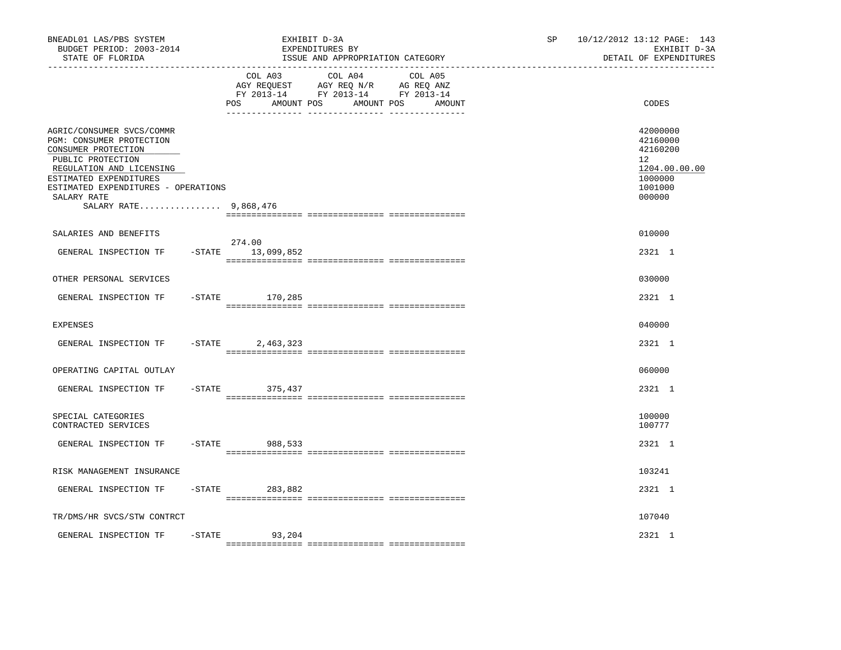| BNEADL01 LAS/PBS SYSTEM<br>BUDGET PERIOD: 2003-2014<br>STATE OF FLORIDA                                                                                                                                                                |           |                               | EXHIBIT D-3A<br>EXPENDITURES BY<br>ISSUE AND APPROPRIATION CATEGORY                             |                   | 10/12/2012 13:12 PAGE: 143<br>SP.<br>EXHIBIT D-3A<br>DETAIL OF EXPENDITURES |                                                                                                      |  |
|----------------------------------------------------------------------------------------------------------------------------------------------------------------------------------------------------------------------------------------|-----------|-------------------------------|-------------------------------------------------------------------------------------------------|-------------------|-----------------------------------------------------------------------------|------------------------------------------------------------------------------------------------------|--|
|                                                                                                                                                                                                                                        |           | COL A03<br>POS<br>AMOUNT POS  | COL A04<br>AGY REQUEST AGY REQ N/R AG REQ ANZ<br>FY 2013-14 FY 2013-14 FY 2013-14<br>AMOUNT POS | COL A05<br>AMOUNT |                                                                             | CODES                                                                                                |  |
| AGRIC/CONSUMER SVCS/COMMR<br>PGM: CONSUMER PROTECTION<br>CONSUMER PROTECTION<br>PUBLIC PROTECTION<br>REGULATION AND LICENSING<br>ESTIMATED EXPENDITURES<br>ESTIMATED EXPENDITURES - OPERATIONS<br>SALARY RATE<br>SALARY RATE 9,868,476 |           |                               |                                                                                                 |                   |                                                                             | 42000000<br>42160000<br>42160200<br>12 <sup>°</sup><br>1204.00.00.00<br>1000000<br>1001000<br>000000 |  |
|                                                                                                                                                                                                                                        |           |                               |                                                                                                 |                   |                                                                             |                                                                                                      |  |
| SALARIES AND BENEFITS<br>GENERAL INSPECTION TF                                                                                                                                                                                         |           | 274.00<br>$-STATE$ 13,099,852 |                                                                                                 |                   |                                                                             | 010000<br>2321 1                                                                                     |  |
| OTHER PERSONAL SERVICES                                                                                                                                                                                                                |           |                               |                                                                                                 |                   |                                                                             | 030000                                                                                               |  |
| GENERAL INSPECTION TF                                                                                                                                                                                                                  |           | $-STATE$ 170,285              |                                                                                                 |                   |                                                                             | 2321 1                                                                                               |  |
| <b>EXPENSES</b>                                                                                                                                                                                                                        |           |                               |                                                                                                 |                   |                                                                             | 040000                                                                                               |  |
| GENERAL INSPECTION TF                                                                                                                                                                                                                  | $-$ STATE | 2,463,323                     |                                                                                                 |                   |                                                                             | 2321 1                                                                                               |  |
| OPERATING CAPITAL OUTLAY                                                                                                                                                                                                               |           |                               |                                                                                                 |                   |                                                                             | 060000                                                                                               |  |
| GENERAL INSPECTION TF                                                                                                                                                                                                                  | $-$ STATE | 375,437                       |                                                                                                 |                   |                                                                             | 2321 1                                                                                               |  |
| SPECIAL CATEGORIES<br>CONTRACTED SERVICES                                                                                                                                                                                              |           |                               |                                                                                                 |                   |                                                                             | 100000<br>100777                                                                                     |  |
| GENERAL INSPECTION TF                                                                                                                                                                                                                  | $-$ STATE | 988,533                       |                                                                                                 |                   |                                                                             | 2321 1                                                                                               |  |
| RISK MANAGEMENT INSURANCE                                                                                                                                                                                                              |           |                               |                                                                                                 |                   |                                                                             | 103241                                                                                               |  |
| GENERAL INSPECTION TF                                                                                                                                                                                                                  | -STATE    | 283,882                       |                                                                                                 |                   |                                                                             | 2321 1                                                                                               |  |
| TR/DMS/HR SVCS/STW CONTRCT                                                                                                                                                                                                             |           |                               |                                                                                                 |                   |                                                                             | 107040                                                                                               |  |
| GENERAL INSPECTION TF                                                                                                                                                                                                                  | $-$ STATE | 93,204                        |                                                                                                 |                   |                                                                             | 2321 1                                                                                               |  |
|                                                                                                                                                                                                                                        |           |                               |                                                                                                 |                   |                                                                             |                                                                                                      |  |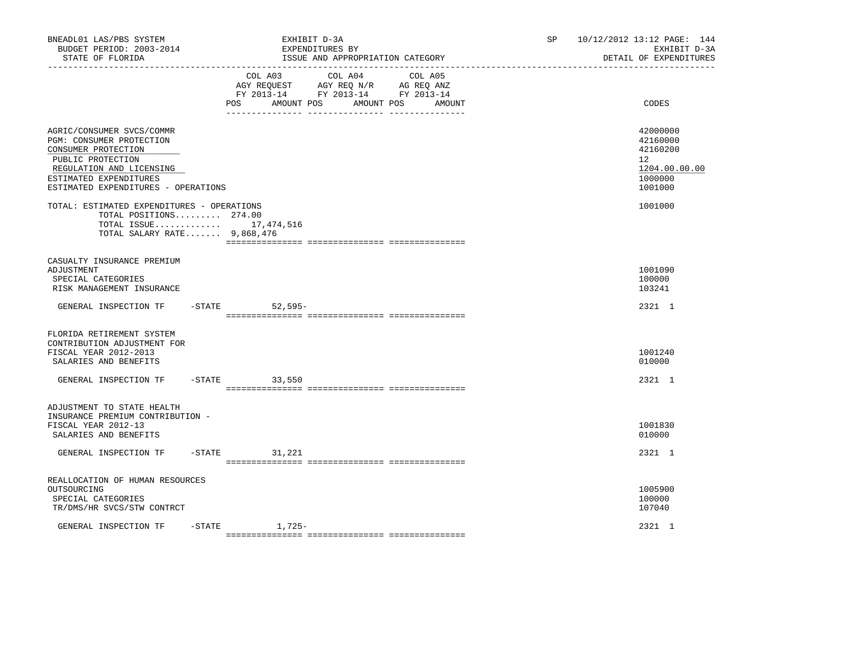| BNEADL01 LAS/PBS SYSTEM<br>BUDGET PERIOD: 2003-2014<br>STATE OF FLORIDA<br>------------------                                                                                                  | EXHIBIT D-3A<br>EXPENDITURES BY<br>ISSUE AND APPROPRIATION CATEGORY                                                                                  | 10/12/2012 13:12 PAGE: 144<br>SP.<br>EXHIBIT D-3A<br>DETAIL OF EXPENDITURES                |
|------------------------------------------------------------------------------------------------------------------------------------------------------------------------------------------------|------------------------------------------------------------------------------------------------------------------------------------------------------|--------------------------------------------------------------------------------------------|
|                                                                                                                                                                                                | COL A03<br>COL A04<br>COL A05<br>AGY REQUEST AGY REQ N/R AG REQ ANZ<br>FY 2013-14 FY 2013-14 FY 2013-14<br>POS<br>AMOUNT POS<br>AMOUNT POS<br>AMOUNT | CODES                                                                                      |
| AGRIC/CONSUMER SVCS/COMMR<br>PGM: CONSUMER PROTECTION<br>CONSUMER PROTECTION<br>PUBLIC PROTECTION<br>REGULATION AND LICENSING<br>ESTIMATED EXPENDITURES<br>ESTIMATED EXPENDITURES - OPERATIONS |                                                                                                                                                      | 42000000<br>42160000<br>42160200<br>12 <sup>°</sup><br>1204.00.00.00<br>1000000<br>1001000 |
| TOTAL: ESTIMATED EXPENDITURES - OPERATIONS<br>TOTAL POSITIONS 274.00<br>TOTAL SALARY RATE $9,868,476$                                                                                          | TOTAL ISSUE 17,474,516                                                                                                                               | 1001000                                                                                    |
| CASUALTY INSURANCE PREMIUM<br>ADJUSTMENT<br>SPECIAL CATEGORIES<br>RISK MANAGEMENT INSURANCE                                                                                                    |                                                                                                                                                      | 1001090<br>100000<br>103241                                                                |
| GENERAL INSPECTION TF                                                                                                                                                                          | $-$ STATE<br>$52,595-$                                                                                                                               | 2321 1                                                                                     |
| FLORIDA RETIREMENT SYSTEM<br>CONTRIBUTION ADJUSTMENT FOR<br>FISCAL YEAR 2012-2013<br>SALARIES AND BENEFITS                                                                                     |                                                                                                                                                      | 1001240<br>010000                                                                          |
| GENERAL INSPECTION TF                                                                                                                                                                          | $-STATE$ 33,550                                                                                                                                      | 2321 1                                                                                     |
| ADJUSTMENT TO STATE HEALTH<br>INSURANCE PREMIUM CONTRIBUTION -<br>FISCAL YEAR 2012-13<br>SALARIES AND BENEFITS                                                                                 |                                                                                                                                                      | 1001830<br>010000                                                                          |
| GENERAL INSPECTION TF                                                                                                                                                                          | $-STATE$<br>31,221                                                                                                                                   | 2321 1                                                                                     |
| REALLOCATION OF HUMAN RESOURCES<br>OUTSOURCING<br>SPECIAL CATEGORIES<br>TR/DMS/HR SVCS/STW CONTRCT                                                                                             |                                                                                                                                                      | 1005900<br>100000<br>107040                                                                |
| GENERAL INSPECTION TF                                                                                                                                                                          | $-$ STATE<br>1,725-                                                                                                                                  | 2321 1                                                                                     |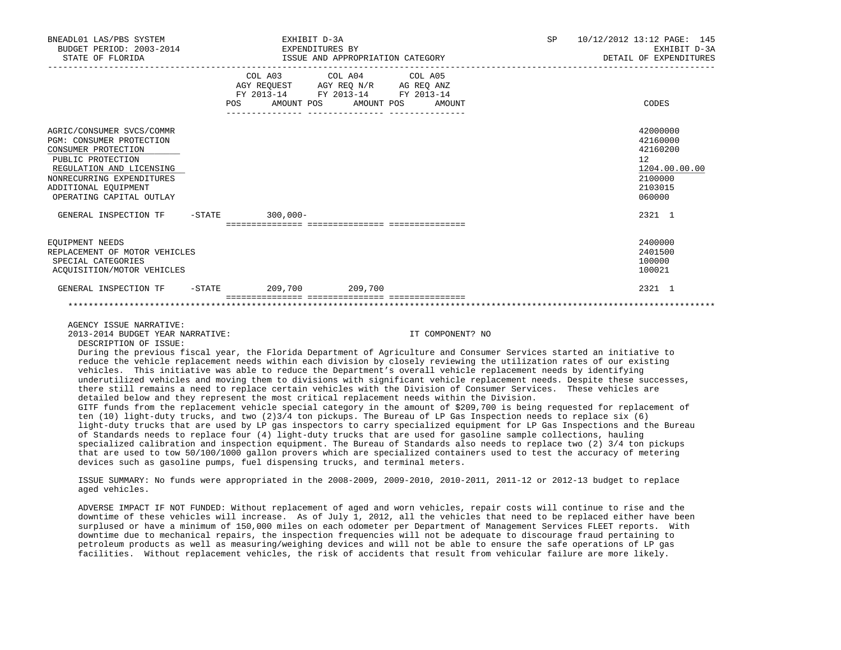| BNEADL01 LAS/PBS SYSTEM<br>BUDGET PERIOD: 2003-2014<br>STATE OF FLORIDA                                                                                                                                                                                                                                                                                                                                                                                                                                                                                                                                                                                                                                        |            | EXHIBIT D-3A<br>EXPENDITURES BY                                                                                            | ISSUE AND APPROPRIATION CATEGORY | SP 10/12/2012 13:12 PAGE: 145<br>EXHIBIT D-3A<br>DETAIL OF EXPENDITURES                 |
|----------------------------------------------------------------------------------------------------------------------------------------------------------------------------------------------------------------------------------------------------------------------------------------------------------------------------------------------------------------------------------------------------------------------------------------------------------------------------------------------------------------------------------------------------------------------------------------------------------------------------------------------------------------------------------------------------------------|------------|----------------------------------------------------------------------------------------------------------------------------|----------------------------------|-----------------------------------------------------------------------------------------|
|                                                                                                                                                                                                                                                                                                                                                                                                                                                                                                                                                                                                                                                                                                                | <b>POS</b> | COL A03 COL A04 COL A05<br>AGY REQUEST AGY REQ N/R AG REQ ANZ<br>FY 2013-14 FY 2013-14 FY 2013-14<br>AMOUNT POS AMOUNT POS | AMOUNT                           | CODES                                                                                   |
| AGRIC/CONSUMER SVCS/COMMR<br>PGM: CONSUMER PROTECTION<br>CONSUMER PROTECTION<br>PUBLIC PROTECTION<br>REGULATION AND LICENSING<br>NONRECURRING EXPENDITURES<br>ADDITIONAL EQUIPMENT<br>OPERATING CAPITAL OUTLAY                                                                                                                                                                                                                                                                                                                                                                                                                                                                                                 |            |                                                                                                                            |                                  | 42000000<br>42160000<br>42160200<br>12<br>1204.00.00.00<br>2100000<br>2103015<br>060000 |
| GENERAL INSPECTION TF -STATE 300,000-                                                                                                                                                                                                                                                                                                                                                                                                                                                                                                                                                                                                                                                                          |            |                                                                                                                            |                                  | 2321 1                                                                                  |
| EOUIPMENT NEEDS<br>REPLACEMENT OF MOTOR VEHICLES<br>SPECIAL CATEGORIES<br>ACOUISITION/MOTOR VEHICLES                                                                                                                                                                                                                                                                                                                                                                                                                                                                                                                                                                                                           |            |                                                                                                                            |                                  | 2400000<br>2401500<br>100000<br>100021                                                  |
| GENERAL INSPECTION TF -STATE 209,700 209,700                                                                                                                                                                                                                                                                                                                                                                                                                                                                                                                                                                                                                                                                   |            |                                                                                                                            |                                  | 2321 1                                                                                  |
|                                                                                                                                                                                                                                                                                                                                                                                                                                                                                                                                                                                                                                                                                                                |            |                                                                                                                            |                                  |                                                                                         |
| AGENCY ISSUE NARRATIVE:<br>2013-2014 BUDGET YEAR NARRATIVE:<br>DESCRIPTION OF ISSUE:                                                                                                                                                                                                                                                                                                                                                                                                                                                                                                                                                                                                                           |            |                                                                                                                            | IT COMPONENT? NO                 |                                                                                         |
| During the previous fiscal year, the Florida Department of Agriculture and Consumer Services started an initiative to<br>reduce the vehicle replacement needs within each division by closely reviewing the utilization rates of our existing<br>vehicles. This initiative was able to reduce the Department's overall vehicle replacement needs by identifying<br>underutilized vehicles and moving them to divisions with significant vehicle replacement needs. Despite these successes,<br>there still remains a need to replace certain vehicles with the Division of Consumer Services. These vehicles are<br>detailed below and they represent the most critical replacement needs within the Division. |            |                                                                                                                            |                                  |                                                                                         |

 GITF funds from the replacement vehicle special category in the amount of \$209,700 is being requested for replacement of ten (10) light-duty trucks, and two (2)3/4 ton pickups. The Bureau of LP Gas Inspection needs to replace six (6) light-duty trucks that are used by LP gas inspectors to carry specialized equipment for LP Gas Inspections and the Bureau of Standards needs to replace four (4) light-duty trucks that are used for gasoline sample collections, hauling specialized calibration and inspection equipment. The Bureau of Standards also needs to replace two (2) 3/4 ton pickups that are used to tow 50/100/1000 gallon provers which are specialized containers used to test the accuracy of metering devices such as gasoline pumps, fuel dispensing trucks, and terminal meters.

 ISSUE SUMMARY: No funds were appropriated in the 2008-2009, 2009-2010, 2010-2011, 2011-12 or 2012-13 budget to replace aged vehicles.

 ADVERSE IMPACT IF NOT FUNDED: Without replacement of aged and worn vehicles, repair costs will continue to rise and the downtime of these vehicles will increase. As of July 1, 2012, all the vehicles that need to be replaced either have been surplused or have a minimum of 150,000 miles on each odometer per Department of Management Services FLEET reports. With downtime due to mechanical repairs, the inspection frequencies will not be adequate to discourage fraud pertaining to petroleum products as well as measuring/weighing devices and will not be able to ensure the safe operations of LP gas facilities. Without replacement vehicles, the risk of accidents that result from vehicular failure are more likely.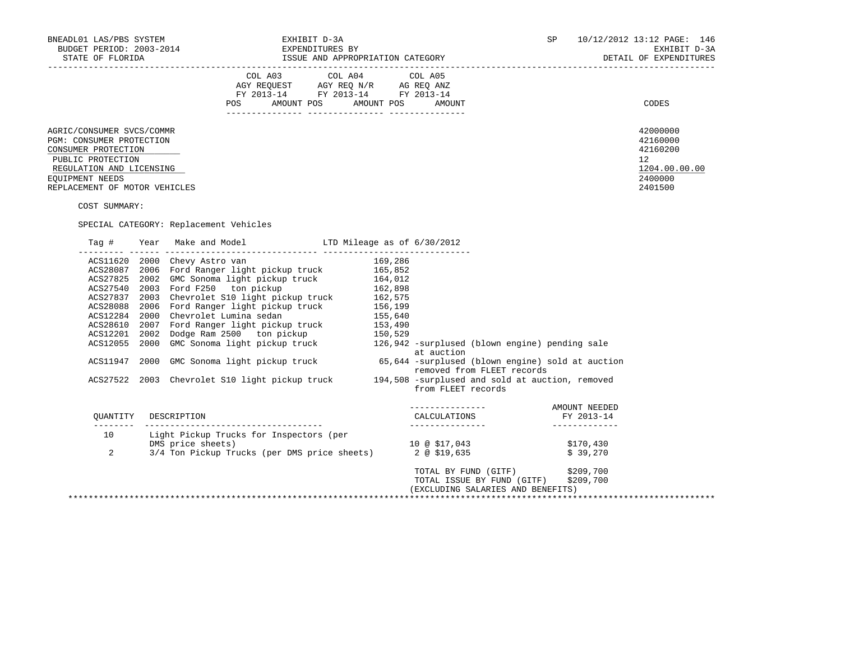| BNEADL01 LAS/PBS SYSTEM<br>EXHIBIT D-3A<br>BUDGET PERIOD: 2003-2014                                                                                                               |      |                                                                                                                                                                                                                                                                                                                                                                                                                 |  |                                                     |                                                                                                             | SP                                            | 10/12/2012 13:12 PAGE: 146<br>EXHIBIT D-3A<br>DETAIL OF EXPENDITURES                       |
|-----------------------------------------------------------------------------------------------------------------------------------------------------------------------------------|------|-----------------------------------------------------------------------------------------------------------------------------------------------------------------------------------------------------------------------------------------------------------------------------------------------------------------------------------------------------------------------------------------------------------------|--|-----------------------------------------------------|-------------------------------------------------------------------------------------------------------------|-----------------------------------------------|--------------------------------------------------------------------------------------------|
|                                                                                                                                                                                   |      | POS AMOUNT POS AMOUNT POS AMOUNT                                                                                                                                                                                                                                                                                                                                                                                |  |                                                     |                                                                                                             |                                               | CODES                                                                                      |
| AGRIC/CONSUMER SVCS/COMMR<br>PGM: CONSUMER PROTECTION<br>CONSUMER PROTECTION<br>PUBLIC PROTECTION<br>REGULATION AND LICENSING<br>EOUIPMENT NEEDS<br>REPLACEMENT OF MOTOR VEHICLES |      |                                                                                                                                                                                                                                                                                                                                                                                                                 |  |                                                     |                                                                                                             |                                               | 42000000<br>42160000<br>42160200<br>12 <sup>°</sup><br>1204.00.00.00<br>2400000<br>2401500 |
| COST SUMMARY:                                                                                                                                                                     |      | SPECIAL CATEGORY: Replacement Vehicles                                                                                                                                                                                                                                                                                                                                                                          |  |                                                     |                                                                                                             |                                               |                                                                                            |
|                                                                                                                                                                                   |      |                                                                                                                                                                                                                                                                                                                                                                                                                 |  |                                                     |                                                                                                             |                                               |                                                                                            |
| ACS11947<br>ACS27522                                                                                                                                                              | 2000 | ACS11620 2000 Chevy Astro van and the control and the state of 169,286<br>ACS28087 2006 Ford Ranger light pickup truck 165,852<br>ACS27825 2002 GMC Sonoma light pickup truck 164,012<br>ACS27837 2003 Chevrolet S10 light pickup tr<br>GMC Sonoma light pickup truck 65,644 -surplused (blown engine) sold at auction<br>2003 Chevrolet S10 light pickup truck 194,508 -surplused and sold at auction, removed |  | at auction<br>from FLEET records                    | removed from FLEET records                                                                                  |                                               |                                                                                            |
|                                                                                                                                                                                   |      | OUANTITY DESCRIPTION                                                                                                                                                                                                                                                                                                                                                                                            |  | CALCULATIONS<br>--------------<br>_________________ |                                                                                                             | AMOUNT NEEDED<br>FY 2013-14<br>______________ |                                                                                            |
| 10<br>2                                                                                                                                                                           |      | Light Pickup Trucks for Inspectors (per<br>DMS price sheets)<br>3/4 Ton Pickup Trucks (per DMS price sheets)<br>3/4 Ton Pickup Trucks (per DMS price sheets)<br>2 @ \$19,635<br>\$39,270                                                                                                                                                                                                                        |  |                                                     |                                                                                                             |                                               |                                                                                            |
|                                                                                                                                                                                   |      |                                                                                                                                                                                                                                                                                                                                                                                                                 |  |                                                     | TOTAL BY FUND (GITF) \$209,700<br>TOTAL ISSUE BY FUND (GITF) \$209,700<br>(EXCLUDING SALARIES AND BENEFITS) |                                               |                                                                                            |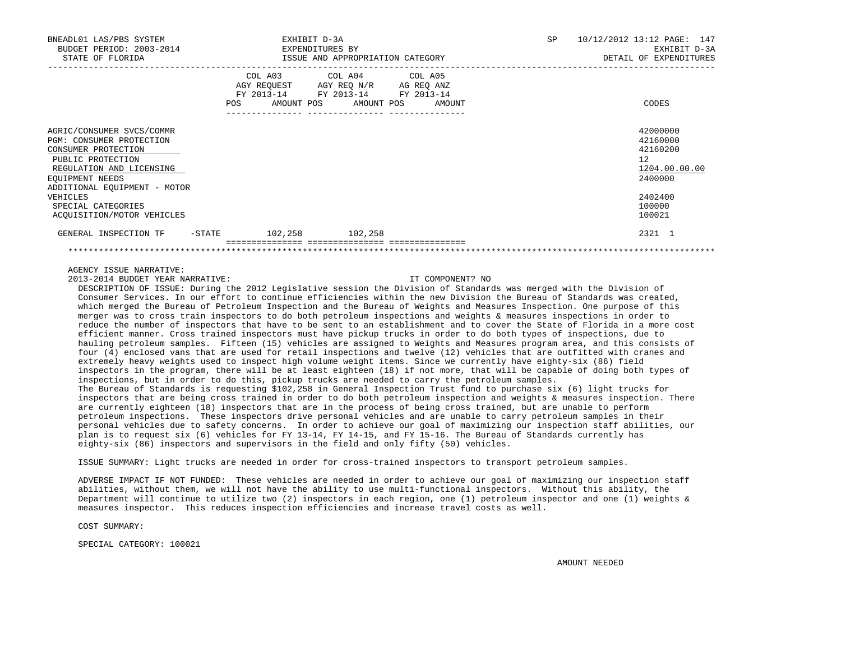| BNEADL01 LAS/PBS SYSTEM<br>BUDGET PERIOD: 2003-2014<br>STATE OF FLORIDA                                                                          |                   | EXHIBIT D-3A<br>EXPENDITURES BY<br>ISSUE AND APPROPRIATION CATEGORY |                                                                                                                            |  |        |  | <b>SP</b> | 10/12/2012 13:12 PAGE: 147<br>EXHIBIT D-3A<br>DETAIL OF EXPENDITURES |
|--------------------------------------------------------------------------------------------------------------------------------------------------|-------------------|---------------------------------------------------------------------|----------------------------------------------------------------------------------------------------------------------------|--|--------|--|-----------|----------------------------------------------------------------------|
|                                                                                                                                                  | POS               |                                                                     | COL A03 COL A04 COL A05<br>AGY REOUEST AGY REO N/R AG REO ANZ<br>FY 2013-14 FY 2013-14 FY 2013-14<br>AMOUNT POS AMOUNT POS |  | AMOUNT |  |           | CODES                                                                |
| AGRIC/CONSUMER SVCS/COMMR<br>PGM: CONSUMER PROTECTION<br>CONSUMER PROTECTION<br>PUBLIC PROTECTION<br>REGULATION AND LICENSING<br>EOUIPMENT NEEDS |                   |                                                                     |                                                                                                                            |  |        |  |           | 42000000<br>42160000<br>42160200<br>12<br>1204.00.00.00<br>2400000   |
| ADDITIONAL EOUIPMENT - MOTOR<br>VEHICLES<br>SPECIAL CATEGORIES<br>ACOUISITION/MOTOR VEHICLES                                                     |                   |                                                                     |                                                                                                                            |  |        |  |           | 2402400<br>100000<br>100021                                          |
| GENERAL INSPECTION TF                                                                                                                            | $-\mathtt{STATE}$ | 102,258                                                             | 102,258                                                                                                                    |  |        |  |           | 2321 1                                                               |
|                                                                                                                                                  |                   |                                                                     |                                                                                                                            |  |        |  |           |                                                                      |

# AGENCY ISSUE NARRATIVE:

2013-2014 BUDGET YEAR NARRATIVE: IT COMPONENT? NO

 DESCRIPTION OF ISSUE: During the 2012 Legislative session the Division of Standards was merged with the Division of Consumer Services. In our effort to continue efficiencies within the new Division the Bureau of Standards was created, which merged the Bureau of Petroleum Inspection and the Bureau of Weights and Measures Inspection. One purpose of this merger was to cross train inspectors to do both petroleum inspections and weights & measures inspections in order to reduce the number of inspectors that have to be sent to an establishment and to cover the State of Florida in a more cost efficient manner. Cross trained inspectors must have pickup trucks in order to do both types of inspections, due to hauling petroleum samples. Fifteen (15) vehicles are assigned to Weights and Measures program area, and this consists of four (4) enclosed vans that are used for retail inspections and twelve (12) vehicles that are outfitted with cranes and extremely heavy weights used to inspect high volume weight items. Since we currently have eighty-six (86) field inspectors in the program, there will be at least eighteen (18) if not more, that will be capable of doing both types of inspections, but in order to do this, pickup trucks are needed to carry the petroleum samples. The Bureau of Standards is requesting \$102,258 in General Inspection Trust fund to purchase six (6) light trucks for inspectors that are being cross trained in order to do both petroleum inspection and weights & measures inspection. There are currently eighteen (18) inspectors that are in the process of being cross trained, but are unable to perform petroleum inspections. These inspectors drive personal vehicles and are unable to carry petroleum samples in their personal vehicles due to safety concerns. In order to achieve our goal of maximizing our inspection staff abilities, our plan is to request six (6) vehicles for FY 13-14, FY 14-15, and FY 15-16. The Bureau of Standards currently has eighty-six (86) inspectors and supervisors in the field and only fifty (50) vehicles.

ISSUE SUMMARY: Light trucks are needed in order for cross-trained inspectors to transport petroleum samples.

 ADVERSE IMPACT IF NOT FUNDED: These vehicles are needed in order to achieve our goal of maximizing our inspection staff abilities, without them, we will not have the ability to use multi-functional inspectors. Without this ability, the Department will continue to utilize two (2) inspectors in each region, one (1) petroleum inspector and one (1) weights & measures inspector. This reduces inspection efficiencies and increase travel costs as well.

COST SUMMARY:

SPECIAL CATEGORY: 100021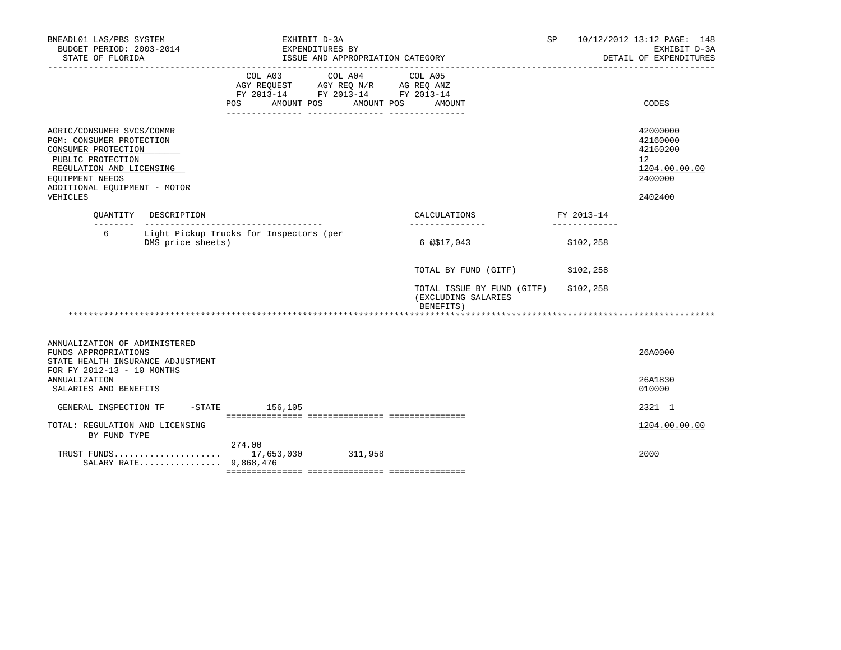| BNEADL01 LAS/PBS SYSTEM<br>BUDGET PERIOD: 2003-2014<br>STATE OF FLORIDA                                                                                                                      |                                                              |                                      | EXHIBIT D-3A<br>EXPENDITURES BY<br>ISSUE AND APPROPRIATION CATEGORY                                                               |                                                                | SP.        | 10/12/2012 13:12 PAGE: 148<br>EXHIBIT D-3A<br>DETAIL OF EXPENDITURES                       |
|----------------------------------------------------------------------------------------------------------------------------------------------------------------------------------------------|--------------------------------------------------------------|--------------------------------------|-----------------------------------------------------------------------------------------------------------------------------------|----------------------------------------------------------------|------------|--------------------------------------------------------------------------------------------|
|                                                                                                                                                                                              |                                                              | POS                                  | COL A03 COL A04 COL A05<br>AGY REQUEST AGY REQ N/R AG REQ ANZ<br>FY 2013-14 FY 2013-14 FY 2013-14<br>AMOUNT POS AMOUNT POS AMOUNT |                                                                |            | CODES                                                                                      |
| AGRIC/CONSUMER SVCS/COMMR<br>PGM: CONSUMER PROTECTION<br>CONSUMER PROTECTION<br>PUBLIC PROTECTION<br>REGULATION AND LICENSING<br>EOUIPMENT NEEDS<br>ADDITIONAL EQUIPMENT - MOTOR<br>VEHICLES |                                                              |                                      |                                                                                                                                   |                                                                |            | 42000000<br>42160000<br>42160200<br>12 <sup>°</sup><br>1204.00.00.00<br>2400000<br>2402400 |
|                                                                                                                                                                                              | OUANTITY DESCRIPTION                                         | ------------------------------------ |                                                                                                                                   | CALCULATIONS                                                   | FY 2013-14 |                                                                                            |
| б.                                                                                                                                                                                           | Light Pickup Trucks for Inspectors (per<br>DMS price sheets) |                                      |                                                                                                                                   | 6 @ \$17,043                                                   |            | \$102,258                                                                                  |
|                                                                                                                                                                                              |                                                              |                                      |                                                                                                                                   | TOTAL BY FUND (GITF)                                           |            | \$102,258                                                                                  |
|                                                                                                                                                                                              |                                                              |                                      |                                                                                                                                   | TOTAL ISSUE BY FUND (GITF)<br>(EXCLUDING SALARIES<br>BENEFITS) |            | \$102,258                                                                                  |
|                                                                                                                                                                                              |                                                              |                                      |                                                                                                                                   |                                                                |            |                                                                                            |
| ANNUALIZATION OF ADMINISTERED<br>FUNDS APPROPRIATIONS<br>STATE HEALTH INSURANCE ADJUSTMENT<br>FOR FY 2012-13 - 10 MONTHS                                                                     |                                                              |                                      |                                                                                                                                   |                                                                |            | 26A0000                                                                                    |
| <b>ANNUALIZATION</b><br>SALARIES AND BENEFITS                                                                                                                                                |                                                              |                                      |                                                                                                                                   |                                                                |            | 26A1830<br>010000                                                                          |
| GENERAL INSPECTION TF                                                                                                                                                                        |                                                              | $-$ STATE 156,105                    |                                                                                                                                   |                                                                |            | 2321 1                                                                                     |
| TOTAL: REGULATION AND LICENSING<br>BY FUND TYPE                                                                                                                                              |                                                              |                                      |                                                                                                                                   |                                                                |            | 1204.00.00.00                                                                              |
|                                                                                                                                                                                              | SALARY RATE 9,868,476                                        | 274.00                               |                                                                                                                                   |                                                                |            | 2000                                                                                       |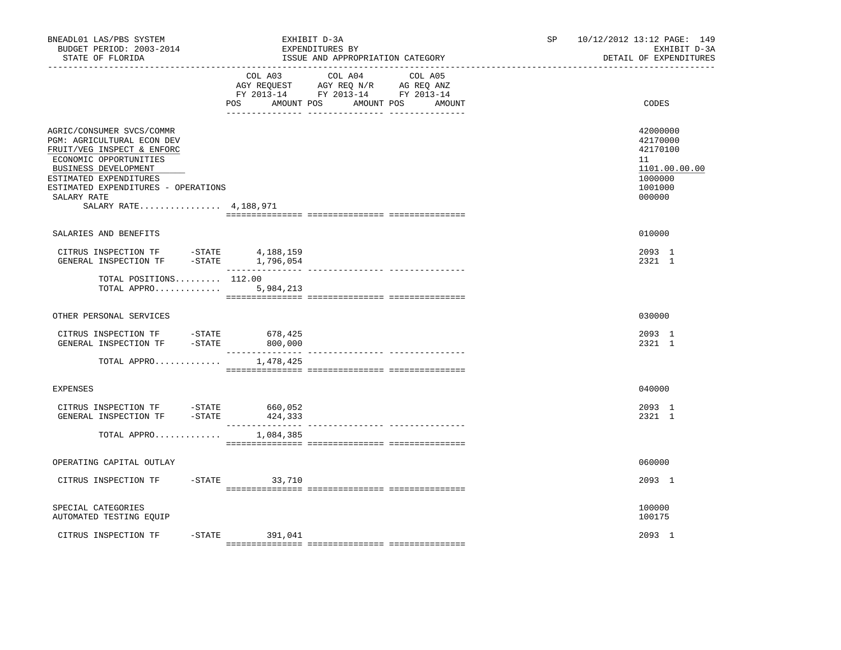| BUDGET PERIOD: 2003-2014<br>STATE OF FLORIDA                                                                                                                                                                                                     |                      | EXHIBIT D-3A<br>EXPENDITURES BY<br>ISSUE AND APPROPRIATION CATEGORY                                                                                                                                                                             | SP. | 10/12/2012 13:12 PAGE: 149<br>EXHIBIT D-3A<br>DETAIL OF EXPENDITURES                    |
|--------------------------------------------------------------------------------------------------------------------------------------------------------------------------------------------------------------------------------------------------|----------------------|-------------------------------------------------------------------------------------------------------------------------------------------------------------------------------------------------------------------------------------------------|-----|-----------------------------------------------------------------------------------------|
|                                                                                                                                                                                                                                                  | POS<br>AMOUNT POS    | COL A03 COL A04 COL A05<br>$\begin{tabular}{lllllll} AGY & \texttt{REQUEST} & \texttt{AGY} & \texttt{REG} & \texttt{N/R} & \texttt{AG} & \texttt{REQ} & \texttt{ANZ} \end{tabular}$<br>FY 2013-14 FY 2013-14 FY 2013-14<br>AMOUNT POS<br>AMOUNT |     | CODES                                                                                   |
| AGRIC/CONSUMER SVCS/COMMR<br>PGM: AGRICULTURAL ECON DEV<br>FRUIT/VEG INSPECT & ENFORC<br>ECONOMIC OPPORTUNITIES<br>BUSINESS DEVELOPMENT<br>ESTIMATED EXPENDITURES<br>ESTIMATED EXPENDITURES - OPERATIONS<br>SALARY RATE<br>SALARY RATE 4,188,971 |                      |                                                                                                                                                                                                                                                 |     | 42000000<br>42170000<br>42170100<br>11<br>1101.00.00.00<br>1000000<br>1001000<br>000000 |
| SALARIES AND BENEFITS                                                                                                                                                                                                                            |                      |                                                                                                                                                                                                                                                 |     | 010000                                                                                  |
| CITRUS INSPECTION TF - STATE 4,188,159<br>GENERAL INSPECTION TF -STATE 1,796,054                                                                                                                                                                 |                      |                                                                                                                                                                                                                                                 |     | 2093 1<br>2321 1                                                                        |
| TOTAL POSITIONS 112.00<br>TOTAL APPRO                                                                                                                                                                                                            | 5,984,213            |                                                                                                                                                                                                                                                 |     |                                                                                         |
| OTHER PERSONAL SERVICES                                                                                                                                                                                                                          |                      |                                                                                                                                                                                                                                                 |     | 030000                                                                                  |
| CITRUS INSPECTION TF -STATE<br>GENERAL INSPECTION TF -STATE 800,000                                                                                                                                                                              | 678,425              |                                                                                                                                                                                                                                                 |     | 2093 1<br>2321 1                                                                        |
| TOTAL APPRO                                                                                                                                                                                                                                      | 1,478,425            |                                                                                                                                                                                                                                                 |     |                                                                                         |
| <b>EXPENSES</b>                                                                                                                                                                                                                                  |                      |                                                                                                                                                                                                                                                 |     | 040000                                                                                  |
| CITRUS INSPECTION TF -STATE 660,052<br>GENERAL INSPECTION TF<br>$-STATE$                                                                                                                                                                         | 424,333              |                                                                                                                                                                                                                                                 |     | 2093 1<br>2321 1                                                                        |
| TOTAL APPRO                                                                                                                                                                                                                                      | 1,084,385            |                                                                                                                                                                                                                                                 |     |                                                                                         |
| OPERATING CAPITAL OUTLAY                                                                                                                                                                                                                         |                      |                                                                                                                                                                                                                                                 |     | 060000                                                                                  |
| CITRUS INSPECTION TF                                                                                                                                                                                                                             | $-$ STATE<br>33,710  |                                                                                                                                                                                                                                                 |     | 2093 1                                                                                  |
| SPECIAL CATEGORIES<br>AUTOMATED TESTING EQUIP                                                                                                                                                                                                    |                      |                                                                                                                                                                                                                                                 |     | 100000<br>100175                                                                        |
| CITRUS INSPECTION TF                                                                                                                                                                                                                             | $-$ STATE<br>391,041 |                                                                                                                                                                                                                                                 |     | 2093 1                                                                                  |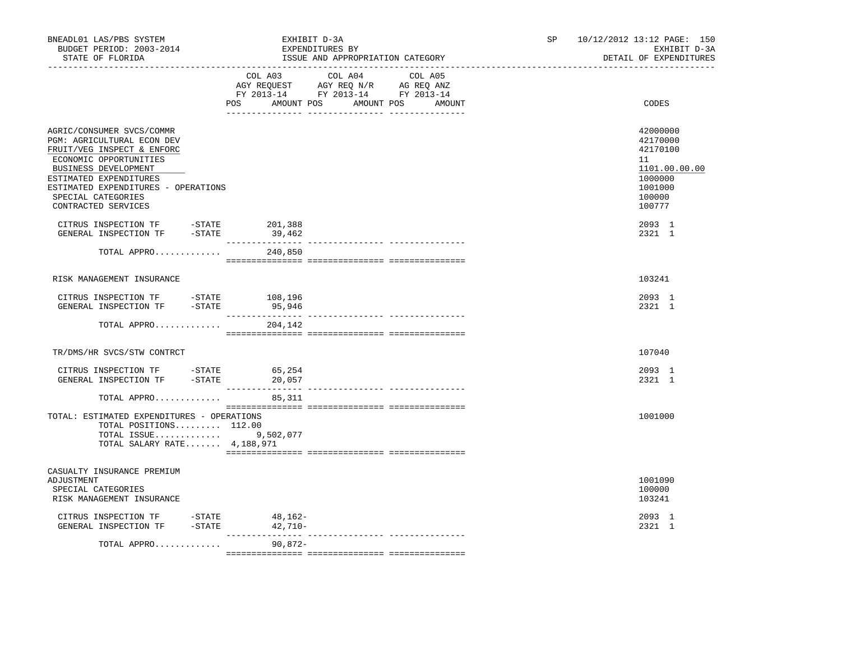| BNEADL01 LAS/PBS SYSTEM<br>BUDGET PERIOD: 2003-2014<br>STATE OF FLORIDA                                                                                                                                                                                                                                                                                                                  |                   | EXHIBIT D-3A<br>EXPENDITURES BY<br>ISSUE AND APPROPRIATION CATEGORY                                                                   | SP and the set of the set of the set of the set of the set of the set of the set of the set of the set of the set of the set of the set of the set of the set of the set of the set of the set of the set of the set of the se | 10/12/2012 13:12 PAGE: 150<br>EXHIBIT D-3A<br>DETAIL OF EXPENDITURES                              |
|------------------------------------------------------------------------------------------------------------------------------------------------------------------------------------------------------------------------------------------------------------------------------------------------------------------------------------------------------------------------------------------|-------------------|---------------------------------------------------------------------------------------------------------------------------------------|--------------------------------------------------------------------------------------------------------------------------------------------------------------------------------------------------------------------------------|---------------------------------------------------------------------------------------------------|
|                                                                                                                                                                                                                                                                                                                                                                                          |                   | COL A03 COL A04 COL A05<br>AGY REQUEST AGY REQ N/R AG REQ ANZ<br>FY 2013-14 FY 2013-14 FY 2013-14<br>POS AMOUNT POS AMOUNT POS AMOUNT |                                                                                                                                                                                                                                | CODES                                                                                             |
| AGRIC/CONSUMER SVCS/COMMR<br>PGM: AGRICULTURAL ECON DEV<br>FRUIT/VEG INSPECT & ENFORC<br>ECONOMIC OPPORTUNITIES<br>BUSINESS DEVELOPMENT<br>ESTIMATED EXPENDITURES<br>ESTIMATED EXPENDITURES - OPERATIONS<br>SPECIAL CATEGORIES<br>CONTRACTED SERVICES                                                                                                                                    |                   |                                                                                                                                       |                                                                                                                                                                                                                                | 42000000<br>42170000<br>42170100<br>11<br>1101.00.00.00<br>1000000<br>1001000<br>100000<br>100777 |
| $\begin{tabular}{llllll} \multicolumn{2}{c}{\textbf{CITRUS}} & \textbf{INSPECTION TF} & & & -\textbf{STATE} & & \textbf{201,388} \\ \multicolumn{2}{c}{\textbf{GENERAL}} & \textbf{INSPECTION TF} & & -\textbf{STATE} & & \textbf{39,462} \\ \end{tabular}$                                                                                                                              |                   |                                                                                                                                       |                                                                                                                                                                                                                                | 2093 1<br>2321 1                                                                                  |
| TOTAL APPRO                                                                                                                                                                                                                                                                                                                                                                              | 240,850           |                                                                                                                                       |                                                                                                                                                                                                                                |                                                                                                   |
| RISK MANAGEMENT INSURANCE                                                                                                                                                                                                                                                                                                                                                                |                   |                                                                                                                                       |                                                                                                                                                                                                                                | 103241                                                                                            |
| CITRUS INSPECTION TF - STATE<br>GENERAL INSPECTION TF - STATE                                                                                                                                                                                                                                                                                                                            | 108,196<br>95,946 |                                                                                                                                       |                                                                                                                                                                                                                                | 2093 1<br>2321 1                                                                                  |
| TOTAL APPRO                                                                                                                                                                                                                                                                                                                                                                              | 204,142           |                                                                                                                                       |                                                                                                                                                                                                                                |                                                                                                   |
| TR/DMS/HR SVCS/STW CONTRCT                                                                                                                                                                                                                                                                                                                                                               |                   |                                                                                                                                       |                                                                                                                                                                                                                                | 107040                                                                                            |
| $\begin{tabular}{llllll} \multicolumn{2}{l}{{\small\tt CITRUS}} & \multicolumn{2}{l}{\small\tt NSPECTION TF} & & \multicolumn{2}{l}{\small\tt -STATE} & & \multicolumn{2}{l}{\small\tt 65,254} \\ & \multicolumn{2}{l}{\small\tt GENERAL} & \multicolumn{2}{l}{\small\tt INSPECTION TF} & & \multicolumn{2}{l}{\small\tt -STATE} & & \multicolumn{2}{l}{\small\tt 20,057} \end{tabular}$ |                   |                                                                                                                                       |                                                                                                                                                                                                                                | 2093 1<br>2321 1                                                                                  |
| TOTAL APPRO                                                                                                                                                                                                                                                                                                                                                                              | 85,311            |                                                                                                                                       |                                                                                                                                                                                                                                |                                                                                                   |
| TOTAL: ESTIMATED EXPENDITURES - OPERATIONS<br>TOTAL POSITIONS 112.00<br>TOTAL ISSUE<br>TOTAL SALARY RATE $4,188,971$                                                                                                                                                                                                                                                                     | 9,502,077         |                                                                                                                                       |                                                                                                                                                                                                                                | 1001000                                                                                           |
| CASUALTY INSURANCE PREMIUM<br>ADJUSTMENT<br>SPECIAL CATEGORIES<br>RISK MANAGEMENT INSURANCE                                                                                                                                                                                                                                                                                              |                   |                                                                                                                                       |                                                                                                                                                                                                                                | 1001090<br>100000<br>103241                                                                       |
| CITRUS INSPECTION TF -STATE<br>GENERAL INSPECTION TF -STATE 42,710-                                                                                                                                                                                                                                                                                                                      | 48,162-           |                                                                                                                                       |                                                                                                                                                                                                                                | 2093 1<br>2321 1                                                                                  |
| TOTAL APPRO                                                                                                                                                                                                                                                                                                                                                                              | 90,872-           |                                                                                                                                       |                                                                                                                                                                                                                                |                                                                                                   |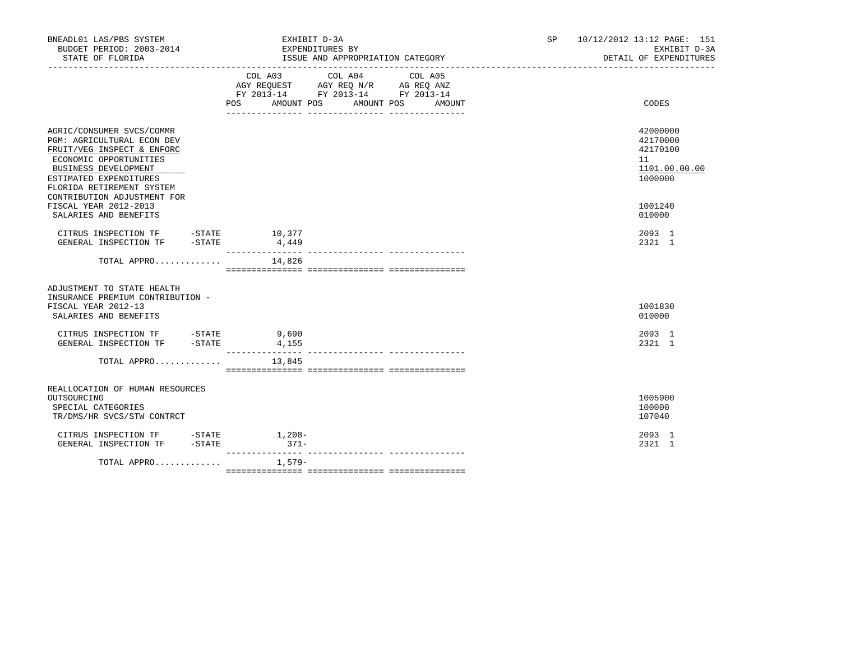| BNEADL01 LAS/PBS SYSTEM<br>BUDGET PERIOD: 2003-2014<br>STATE OF FLORIDA                                                                                                                                                                                       |          | EXHIBIT D-3A<br>EXPENDITURES BY                                                                                                   | ISSUE AND APPROPRIATION CATEGORY |        | SP and the set of the set of the set of the set of the set of the set of the set of the set of the set of the set of the set of the set of the set of the set of the set of the set of the set of the set of the set of the se<br>_____________________________ | 10/12/2012 13:12 PAGE: 151<br>EXHIBIT D-3A<br>DETAIL OF EXPENDITURES          |
|---------------------------------------------------------------------------------------------------------------------------------------------------------------------------------------------------------------------------------------------------------------|----------|-----------------------------------------------------------------------------------------------------------------------------------|----------------------------------|--------|-----------------------------------------------------------------------------------------------------------------------------------------------------------------------------------------------------------------------------------------------------------------|-------------------------------------------------------------------------------|
|                                                                                                                                                                                                                                                               |          | COL A03 COL A04 COL A05<br>AGY REQUEST AGY REQ N/R AG REQ ANZ<br>FY 2013-14 FY 2013-14 FY 2013-14<br>POS<br>AMOUNT POS AMOUNT POS |                                  | AMOUNT |                                                                                                                                                                                                                                                                 | CODES                                                                         |
| AGRIC/CONSUMER SVCS/COMMR<br><b>PGM: AGRICULTURAL ECON DEV</b><br>FRUIT/VEG INSPECT & ENFORC<br>ECONOMIC OPPORTUNITIES<br>BUSINESS DEVELOPMENT<br>ESTIMATED EXPENDITURES<br>FLORIDA RETIREMENT SYSTEM<br>CONTRIBUTION ADJUSTMENT FOR<br>FISCAL YEAR 2012-2013 |          |                                                                                                                                   |                                  |        |                                                                                                                                                                                                                                                                 | 42000000<br>42170000<br>42170100<br>11<br>1101.00.00.00<br>1000000<br>1001240 |
| SALARIES AND BENEFITS<br>CITRUS INSPECTION TF -STATE 10,377                                                                                                                                                                                                   |          |                                                                                                                                   |                                  |        |                                                                                                                                                                                                                                                                 | 010000<br>2093 1                                                              |
| GENERAL INSPECTION TF -STATE 4,449<br>TOTAL APPRO $14,826$                                                                                                                                                                                                    |          |                                                                                                                                   |                                  |        |                                                                                                                                                                                                                                                                 | 2321 1                                                                        |
| ADJUSTMENT TO STATE HEALTH<br>INSURANCE PREMIUM CONTRIBUTION -<br>FISCAL YEAR 2012-13<br>SALARIES AND BENEFITS                                                                                                                                                |          |                                                                                                                                   |                                  |        |                                                                                                                                                                                                                                                                 | 1001830<br>010000                                                             |
| CITRUS INSPECTION TF -STATE<br>GENERAL INSPECTION TF -STATE                                                                                                                                                                                                   |          | 9,690<br>4,155                                                                                                                    |                                  |        |                                                                                                                                                                                                                                                                 | 2093 1<br>2321 1                                                              |
| TOTAL APPRO $13,845$                                                                                                                                                                                                                                          |          |                                                                                                                                   |                                  |        |                                                                                                                                                                                                                                                                 |                                                                               |
| REALLOCATION OF HUMAN RESOURCES<br>OUTSOURCING<br>SPECIAL CATEGORIES<br>TR/DMS/HR SVCS/STW CONTRCT                                                                                                                                                            |          |                                                                                                                                   |                                  |        |                                                                                                                                                                                                                                                                 | 1005900<br>100000<br>107040                                                   |
| CITRUS INSPECTION TF -STATE 1,208-<br>GENERAL INSPECTION TF                                                                                                                                                                                                   | $-STATE$ | $371-$                                                                                                                            |                                  |        |                                                                                                                                                                                                                                                                 | 2093 1<br>2321 1                                                              |
| TOTAL APPRO                                                                                                                                                                                                                                                   |          | 1,579–                                                                                                                            |                                  |        |                                                                                                                                                                                                                                                                 |                                                                               |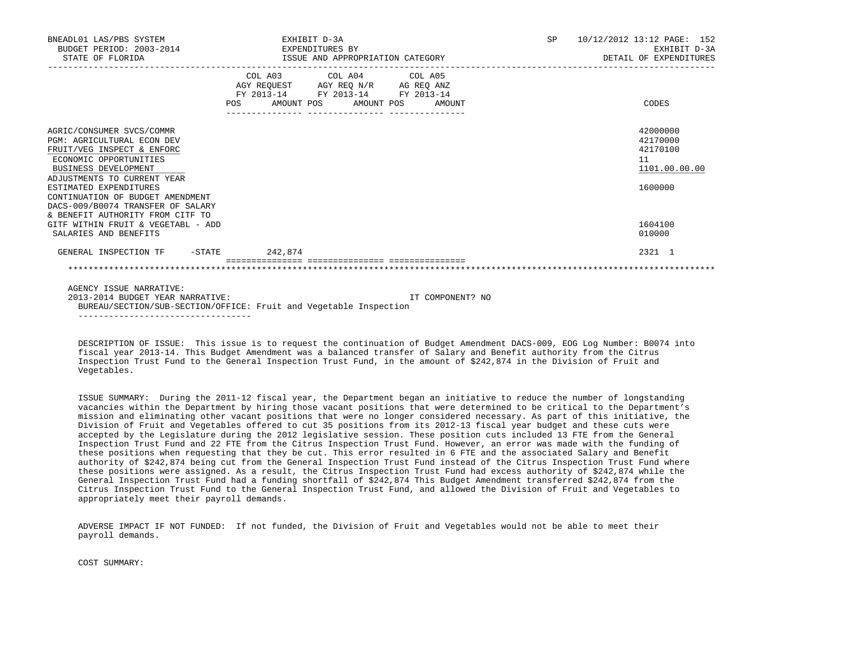| BNEADL01 LAS/PBS SYSTEM<br>BUDGET PERIOD: 2003-2014 EXPENDITURES BY<br>STATE OF FLORIDA                                                                                                                                                                                                                       | ISSUE AND APPROPRIATION CATEGORY | EXHIBIT D-3A                                                                                      |                                  | SP 10/12/2012 13:12 PAGE: 152<br>EXHIBIT D-3A<br>DETAIL OF EXPENDITURES |
|---------------------------------------------------------------------------------------------------------------------------------------------------------------------------------------------------------------------------------------------------------------------------------------------------------------|----------------------------------|---------------------------------------------------------------------------------------------------|----------------------------------|-------------------------------------------------------------------------|
|                                                                                                                                                                                                                                                                                                               |                                  | COL A03 COL A04 COL A05<br>AGY REQUEST AGY REQ N/R AG REQ ANZ<br>FY 2013-14 FY 2013-14 FY 2013-14 | POS AMOUNT POS AMOUNT POS AMOUNT | CODES                                                                   |
| AGRIC/CONSUMER SVCS/COMMR<br>PGM: AGRICULTURAL ECON DEV<br>FRUIT/VEG INSPECT & ENFORC<br>ECONOMIC OPPORTUNITIES<br>BUSINESS DEVELOPMENT<br>ADJUSTMENTS TO CURRENT YEAR<br>ESTIMATED EXPENDITURES<br>CONTINUATION OF BUDGET AMENDMENT<br>DACS-009/B0074 TRANSFER OF SALARY<br>& BENEFIT AUTHORITY FROM CITF TO |                                  |                                                                                                   |                                  | 42000000<br>42170000<br>42170100<br>11<br>1101.00.00.00<br>1600000      |
| GITF WITHIN FRUIT & VEGETABL - ADD<br>SALARIES AND BENEFITS                                                                                                                                                                                                                                                   |                                  |                                                                                                   |                                  | 1604100<br>010000                                                       |
| GENERAL INSPECTION TF -STATE 242,874                                                                                                                                                                                                                                                                          |                                  |                                                                                                   |                                  | 2321 1                                                                  |
|                                                                                                                                                                                                                                                                                                               |                                  |                                                                                                   |                                  |                                                                         |
| AGENCY ISSUE NARRATIVE:<br>2013-2014 BUDGET YEAR NARRATIVE:                                                                                                                                                                                                                                                   |                                  |                                                                                                   | IT COMPONENT? NO                 |                                                                         |

 DESCRIPTION OF ISSUE: This issue is to request the continuation of Budget Amendment DACS-009, EOG Log Number: B0074 into fiscal year 2013-14. This Budget Amendment was a balanced transfer of Salary and Benefit authority from the Citrus Inspection Trust Fund to the General Inspection Trust Fund, in the amount of \$242,874 in the Division of Fruit and Vegetables.

BUREAU/SECTION/SUB-SECTION/OFFICE: Fruit and Vegetable Inspection

----------------------------------

 ISSUE SUMMARY: During the 2011-12 fiscal year, the Department began an initiative to reduce the number of longstanding vacancies within the Department by hiring those vacant positions that were determined to be critical to the Department's mission and eliminating other vacant positions that were no longer considered necessary. As part of this initiative, the Division of Fruit and Vegetables offered to cut 35 positions from its 2012-13 fiscal year budget and these cuts were accepted by the Legislature during the 2012 legislative session. These position cuts included 13 FTE from the General Inspection Trust Fund and 22 FTE from the Citrus Inspection Trust Fund. However, an error was made with the funding of these positions when requesting that they be cut. This error resulted in 6 FTE and the associated Salary and Benefit authority of \$242,874 being cut from the General Inspection Trust Fund instead of the Citrus Inspection Trust Fund where these positions were assigned. As a result, the Citrus Inspection Trust Fund had excess authority of \$242,874 while the General Inspection Trust Fund had a funding shortfall of \$242,874 This Budget Amendment transferred \$242,874 from the Citrus Inspection Trust Fund to the General Inspection Trust Fund, and allowed the Division of Fruit and Vegetables to appropriately meet their payroll demands.

 ADVERSE IMPACT IF NOT FUNDED: If not funded, the Division of Fruit and Vegetables would not be able to meet their payroll demands.

COST SUMMARY: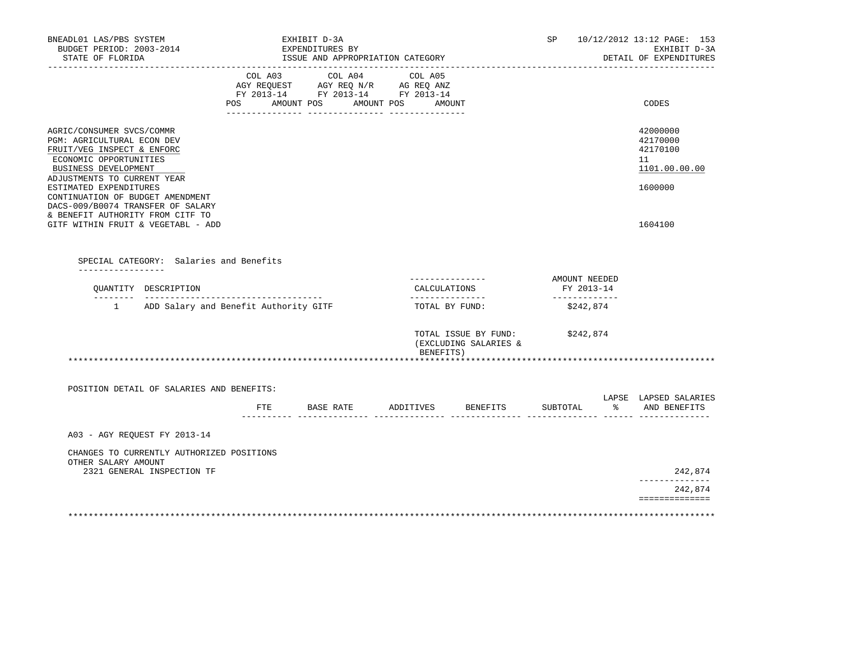| BNEADL01 LAS/PBS SYSTEM<br>BUDGET PERIOD: 2003-2014<br>STATE OF FLORIDA                                                                                                   |         | EXHIBIT D-3A<br>EXPENDITURES BY<br>ISSUE AND APPROPRIATION CATEGORY<br>-----------------------------                                       |                                    |                                               |                                              |                   | SP 10/12/2012 13:12 PAGE: 153<br>EXHIBIT D-3A<br>DETAIL OF EXPENDITURES |
|---------------------------------------------------------------------------------------------------------------------------------------------------------------------------|---------|--------------------------------------------------------------------------------------------------------------------------------------------|------------------------------------|-----------------------------------------------|----------------------------------------------|-------------------|-------------------------------------------------------------------------|
|                                                                                                                                                                           | COL A03 | COL A04<br>AGY REQUEST AGY REQ N/R AG REQ ANZ<br>FY 2013-14 FY 2013-14 FY 2013-14<br>POS AMOUNT POS AMOUNT POS AMOUNT<br>__ ______________ | COL A05<br>$-$ --------------      |                                               |                                              |                   | CODES                                                                   |
| AGRIC/CONSUMER SVCS/COMMR<br>PGM: AGRICULTURAL ECON DEV<br>FRUIT/VEG INSPECT & ENFORC<br>ECONOMIC OPPORTUNITIES<br>BUSINESS DEVELOPMENT<br>ADJUSTMENTS TO CURRENT YEAR    |         |                                                                                                                                            |                                    |                                               |                                              |                   | 42000000<br>42170000<br>42170100<br>11<br>1101.00.00.00                 |
| ESTIMATED EXPENDITURES<br>CONTINUATION OF BUDGET AMENDMENT<br>DACS-009/B0074 TRANSFER OF SALARY<br>& BENEFIT AUTHORITY FROM CITF TO<br>GITF WITHIN FRUIT & VEGETABL - ADD |         |                                                                                                                                            |                                    |                                               |                                              |                   | 1600000<br>1604100                                                      |
| SPECIAL CATEGORY: Salaries and Benefits<br>---------------                                                                                                                |         |                                                                                                                                            |                                    |                                               |                                              |                   |                                                                         |
| QUANTITY DESCRIPTION                                                                                                                                                      |         |                                                                                                                                            | ---------------<br>_______________ | CALCULATIONS                                  | AMOUNT NEEDED<br>FY 2013-14<br>_____________ |                   |                                                                         |
| 1 ADD Salary and Benefit Authority GITF                                                                                                                                   |         |                                                                                                                                            |                                    | TOTAL BY FUND:                                | \$242,874                                    |                   |                                                                         |
|                                                                                                                                                                           |         |                                                                                                                                            | BENEFITS)                          | TOTAL ISSUE BY FUND:<br>(EXCLUDING SALARIES & | \$242,874                                    |                   |                                                                         |
|                                                                                                                                                                           |         |                                                                                                                                            |                                    |                                               |                                              |                   |                                                                         |
| POSITION DETAIL OF SALARIES AND BENEFITS:                                                                                                                                 | ETE     | BASE RATE                                                                                                                                  |                                    | ADDITIVES BENEFITS                            | SUBTOTAL<br>_____ ________                   | _______ ______ __ | LAPSE LAPSED SALARIES<br>% AND BENEFITS                                 |
| A03 - AGY REOUEST FY 2013-14                                                                                                                                              |         |                                                                                                                                            |                                    |                                               |                                              |                   |                                                                         |
| CHANGES TO CURRENTLY AUTHORIZED POSITIONS<br>OTHER SALARY AMOUNT                                                                                                          |         |                                                                                                                                            |                                    |                                               |                                              |                   |                                                                         |
| 2321 GENERAL INSPECTION TF                                                                                                                                                |         |                                                                                                                                            |                                    |                                               |                                              |                   | 242,874<br>______________                                               |
|                                                                                                                                                                           |         |                                                                                                                                            |                                    |                                               |                                              |                   | 242,874<br>==============                                               |
|                                                                                                                                                                           |         |                                                                                                                                            |                                    |                                               |                                              |                   |                                                                         |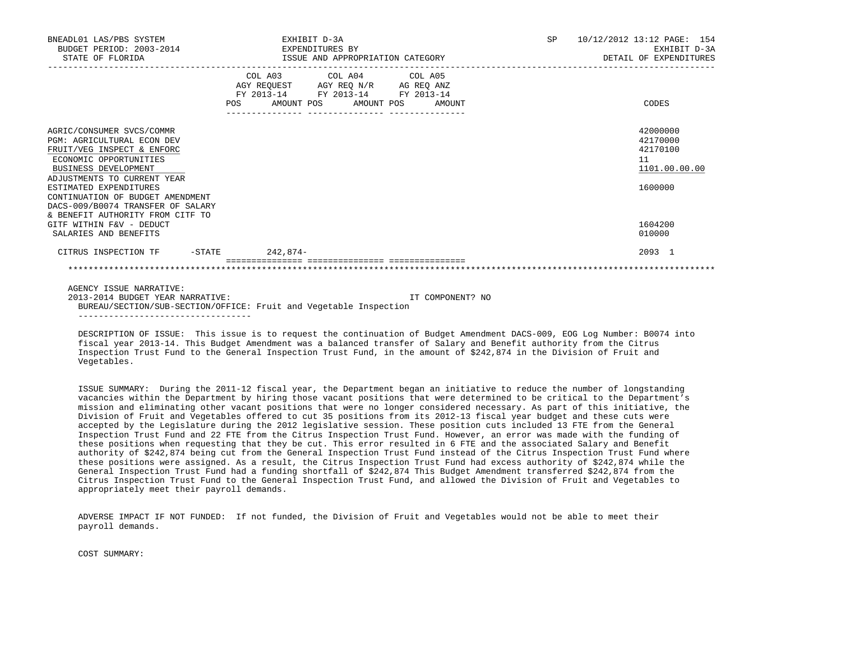| BNEADL01 LAS/PBS SYSTEM<br>BUDGET PERIOD: 2003-2014<br>STATE OF FLORIDA                                                                                                                                                                     | EXHIBIT D-3A<br>EXPENDITURES BY | ISSUE AND APPROPRIATION CATEGORY                                                                                                  | <b>SP</b><br>10/12/2012 13:12 PAGE: 154<br>EXHIBIT D-3A<br>DETAIL OF EXPENDITURES |  |
|---------------------------------------------------------------------------------------------------------------------------------------------------------------------------------------------------------------------------------------------|---------------------------------|-----------------------------------------------------------------------------------------------------------------------------------|-----------------------------------------------------------------------------------|--|
|                                                                                                                                                                                                                                             | POS                             | COL A03 COL A04 COL A05<br>AGY REQUEST AGY REQ N/R AG REQ ANZ<br>FY 2013-14 FY 2013-14 FY 2013-14<br>AMOUNT POS AMOUNT POS AMOUNT | CODES                                                                             |  |
| AGRIC/CONSUMER SVCS/COMMR<br><b>PGM: AGRICULTURAL ECON DEV</b><br>FRUIT/VEG INSPECT & ENFORC<br>ECONOMIC OPPORTUNITIES<br>BUSINESS DEVELOPMENT<br>ADJUSTMENTS TO CURRENT YEAR<br>ESTIMATED EXPENDITURES<br>CONTINUATION OF BUDGET AMENDMENT |                                 |                                                                                                                                   | 42000000<br>42170000<br>42170100<br>11<br>1101.00.00.00<br>1600000                |  |
| DACS-009/B0074 TRANSFER OF SALARY<br>& BENEFIT AUTHORITY FROM CITF TO<br>GITF WITHIN F&V - DEDUCT<br>SALARIES AND BENEFITS                                                                                                                  |                                 |                                                                                                                                   | 1604200<br>010000                                                                 |  |
| CITRUS INSPECTION TF                                                                                                                                                                                                                        | $-$ STATE 242,874 -             |                                                                                                                                   | 2093 1                                                                            |  |
| AGENCY ISSUE NARRATIVE:<br>$2012-2014$ פגשי ישמחום 2011.                                                                                                                                                                                    |                                 | ∩M Cידווים מחו∩מו∩ חיד                                                                                                            |                                                                                   |  |

 2013-2014 BUDGET YEAR NARRATIVE: IT COMPONENT? NO BUREAU/SECTION/SUB-SECTION/OFFICE: Fruit and Vegetable Inspection ----------------------------------

 DESCRIPTION OF ISSUE: This issue is to request the continuation of Budget Amendment DACS-009, EOG Log Number: B0074 into fiscal year 2013-14. This Budget Amendment was a balanced transfer of Salary and Benefit authority from the Citrus Inspection Trust Fund to the General Inspection Trust Fund, in the amount of \$242,874 in the Division of Fruit and Vegetables.

 ISSUE SUMMARY: During the 2011-12 fiscal year, the Department began an initiative to reduce the number of longstanding vacancies within the Department by hiring those vacant positions that were determined to be critical to the Department's mission and eliminating other vacant positions that were no longer considered necessary. As part of this initiative, the Division of Fruit and Vegetables offered to cut 35 positions from its 2012-13 fiscal year budget and these cuts were accepted by the Legislature during the 2012 legislative session. These position cuts included 13 FTE from the General Inspection Trust Fund and 22 FTE from the Citrus Inspection Trust Fund. However, an error was made with the funding of these positions when requesting that they be cut. This error resulted in 6 FTE and the associated Salary and Benefit authority of \$242,874 being cut from the General Inspection Trust Fund instead of the Citrus Inspection Trust Fund where these positions were assigned. As a result, the Citrus Inspection Trust Fund had excess authority of \$242,874 while the General Inspection Trust Fund had a funding shortfall of \$242,874 This Budget Amendment transferred \$242,874 from the Citrus Inspection Trust Fund to the General Inspection Trust Fund, and allowed the Division of Fruit and Vegetables to appropriately meet their payroll demands.

 ADVERSE IMPACT IF NOT FUNDED: If not funded, the Division of Fruit and Vegetables would not be able to meet their payroll demands.

COST SUMMARY: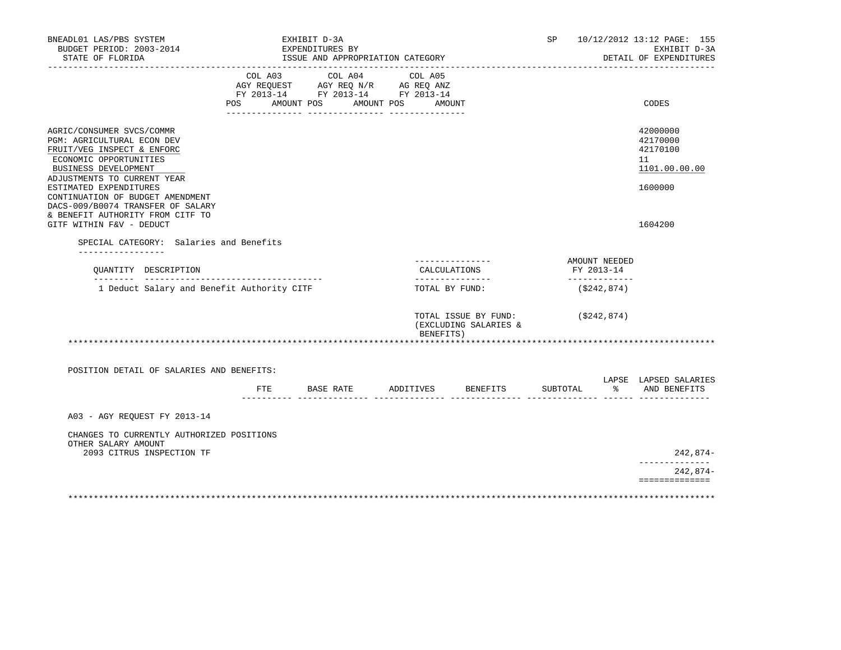| BNEADL01 LAS/PBS SYSTEM<br>BUDGET PERIOD: 2003-2014<br>STATE OF FLORIDA                                                                                                |                                                                                                     | EXHIBIT D-3A<br>EXPENDITURES BY | ISSUE AND APPROPRIATION CATEGORY |                                    |                                 |                                               | SP       |                                          | 10/12/2012 13:12 PAGE: 155<br>EXHIBIT D-3A<br>DETAIL OF EXPENDITURES |
|------------------------------------------------------------------------------------------------------------------------------------------------------------------------|-----------------------------------------------------------------------------------------------------|---------------------------------|----------------------------------|------------------------------------|---------------------------------|-----------------------------------------------|----------|------------------------------------------|----------------------------------------------------------------------|
|                                                                                                                                                                        | COL A03<br>AGY REQUEST AGY REQ N/R AG REQ ANZ<br>FY 2013-14 FY 2013-14 FY 2013-14<br>POS AMOUNT POS |                                 | COL A04                          | AMOUNT POS                         | COL A05<br>AMOUNT               |                                               |          | -----------------------                  | CODES                                                                |
| AGRIC/CONSUMER SVCS/COMMR<br>PGM: AGRICULTURAL ECON DEV<br>FRUIT/VEG INSPECT & ENFORC<br>ECONOMIC OPPORTUNITIES<br>BUSINESS DEVELOPMENT<br>ADJUSTMENTS TO CURRENT YEAR |                                                                                                     |                                 |                                  |                                    |                                 |                                               |          |                                          | 42000000<br>42170000<br>42170100<br>11<br>1101.00.00.00              |
| ESTIMATED EXPENDITURES<br>CONTINUATION OF BUDGET AMENDMENT<br>DACS-009/B0074 TRANSFER OF SALARY<br>& BENEFIT AUTHORITY FROM CITF TO<br>GITF WITHIN F&V - DEDUCT        |                                                                                                     |                                 |                                  |                                    |                                 |                                               |          |                                          | 1600000<br>1604200                                                   |
| SPECIAL CATEGORY: Salaries and Benefits                                                                                                                                |                                                                                                     |                                 |                                  |                                    |                                 |                                               |          |                                          |                                                                      |
| __________________<br>QUANTITY DESCRIPTION                                                                                                                             |                                                                                                     |                                 |                                  |                                    | ---------------<br>CALCULATIONS |                                               |          | AMOUNT NEEDED<br>FY 2013-14              |                                                                      |
| 1 Deduct Salary and Benefit Authority CITF                                                                                                                             |                                                                                                     |                                 |                                  | ________________<br>TOTAL BY FUND: |                                 |                                               |          | _____________<br>(S242, 874)             |                                                                      |
|                                                                                                                                                                        |                                                                                                     |                                 |                                  |                                    | BENEFITS)                       | TOTAL ISSUE BY FUND:<br>(EXCLUDING SALARIES & |          | (\$242,874)                              |                                                                      |
|                                                                                                                                                                        |                                                                                                     |                                 |                                  |                                    |                                 |                                               |          |                                          |                                                                      |
| POSITION DETAIL OF SALARIES AND BENEFITS:                                                                                                                              |                                                                                                     |                                 |                                  |                                    |                                 |                                               |          |                                          | LAPSE LAPSED SALARIES                                                |
|                                                                                                                                                                        | FTE                                                                                                 | BASE RATE                       |                                  |                                    |                                 | ADDITIVES BENEFITS                            | SUBTOTAL | $\sim$ $\sim$ $\sim$<br>------ ------ -- | AND BENEFITS                                                         |
| A03 - AGY REOUEST FY 2013-14                                                                                                                                           |                                                                                                     |                                 |                                  |                                    |                                 |                                               |          |                                          |                                                                      |
| CHANGES TO CURRENTLY AUTHORIZED POSITIONS<br>OTHER SALARY AMOUNT                                                                                                       |                                                                                                     |                                 |                                  |                                    |                                 |                                               |          |                                          |                                                                      |
| 2093 CITRUS INSPECTION TF                                                                                                                                              |                                                                                                     |                                 |                                  |                                    |                                 |                                               |          |                                          | 242,874-                                                             |
|                                                                                                                                                                        |                                                                                                     |                                 |                                  |                                    |                                 |                                               |          |                                          | 242,874-<br>==============                                           |
|                                                                                                                                                                        |                                                                                                     |                                 |                                  |                                    |                                 |                                               |          |                                          |                                                                      |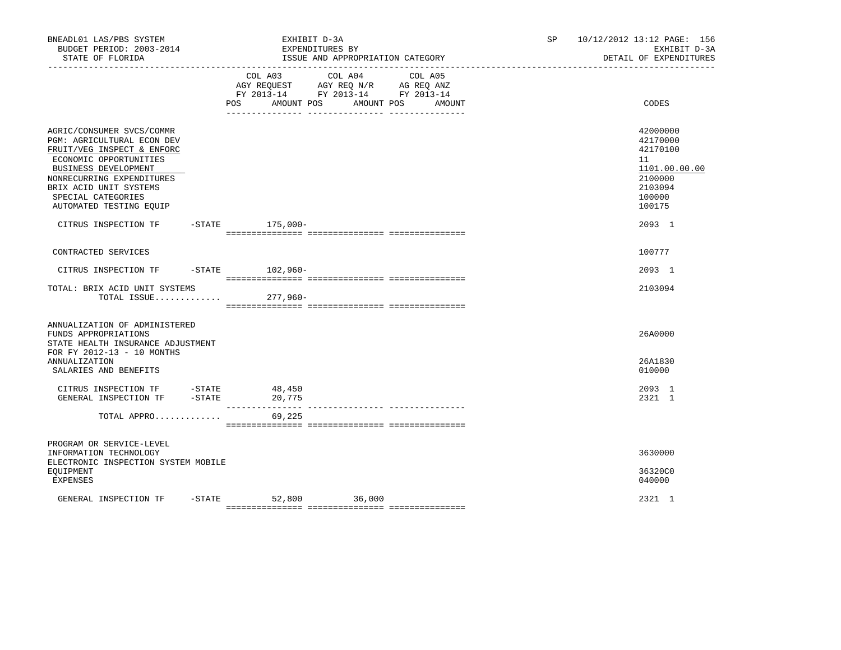| BNEADL01 LAS/PBS SYSTEM<br>BUDGET PERIOD: 2003-2014<br>STATE OF FLORIDA                                                                                                                                                                         | EXHIBIT D-3A<br>EXPENDITURES BY<br>---------------------------------                                                                                                                                                                          |         | ISSUE AND APPROPRIATION CATEGORY | SP and the set of the set of the set of the set of the set of the set of the set of the set of the set of the set of the set of the set of the set of the set of the set of the set of the set of the set of the set of the se | 10/12/2012 13:12 PAGE: 156<br>EXHIBIT D-3A<br>DETAIL OF EXPENDITURES                              |
|-------------------------------------------------------------------------------------------------------------------------------------------------------------------------------------------------------------------------------------------------|-----------------------------------------------------------------------------------------------------------------------------------------------------------------------------------------------------------------------------------------------|---------|----------------------------------|--------------------------------------------------------------------------------------------------------------------------------------------------------------------------------------------------------------------------------|---------------------------------------------------------------------------------------------------|
|                                                                                                                                                                                                                                                 | COL A03<br>$\begin{tabular}{lllllll} \bf AGY & \bf REQUEST & \bf AGY & \bf REQ & \bf N/R & \bf AG & \bf REQ & \bf ANZ \\ \bf FY & \tt 2013-14 & \bf FY & \tt 2013-14 & \bf FY & \tt 2013-14 \\ \end{tabular}$<br>POS<br>AMOUNT POS AMOUNT POS | COL A04 | COL A05<br>AMOUNT                |                                                                                                                                                                                                                                | CODES                                                                                             |
| AGRIC/CONSUMER SVCS/COMMR<br>PGM: AGRICULTURAL ECON DEV<br>FRUIT/VEG INSPECT & ENFORC<br>ECONOMIC OPPORTUNITIES<br>BUSINESS DEVELOPMENT<br>NONRECURRING EXPENDITURES<br>BRIX ACID UNIT SYSTEMS<br>SPECIAL CATEGORIES<br>AUTOMATED TESTING EQUIP |                                                                                                                                                                                                                                               |         |                                  |                                                                                                                                                                                                                                | 42000000<br>42170000<br>42170100<br>11<br>1101.00.00.00<br>2100000<br>2103094<br>100000<br>100175 |
| CITRUS INSPECTION TF -STATE 175,000-                                                                                                                                                                                                            |                                                                                                                                                                                                                                               |         |                                  |                                                                                                                                                                                                                                | 2093 1                                                                                            |
| CONTRACTED SERVICES                                                                                                                                                                                                                             |                                                                                                                                                                                                                                               |         |                                  |                                                                                                                                                                                                                                | 100777                                                                                            |
| CITRUS INSPECTION TF -STATE 102,960-                                                                                                                                                                                                            |                                                                                                                                                                                                                                               |         |                                  |                                                                                                                                                                                                                                | 2093 1                                                                                            |
| TOTAL: BRIX ACID UNIT SYSTEMS<br>TOTAL ISSUE                                                                                                                                                                                                    | $277,960-$                                                                                                                                                                                                                                    |         |                                  |                                                                                                                                                                                                                                | 2103094                                                                                           |
| ANNUALIZATION OF ADMINISTERED<br>FUNDS APPROPRIATIONS<br>STATE HEALTH INSURANCE ADJUSTMENT<br>FOR FY 2012-13 - 10 MONTHS                                                                                                                        |                                                                                                                                                                                                                                               |         |                                  |                                                                                                                                                                                                                                | 26A0000                                                                                           |
| <b>ANNUALIZATION</b><br>SALARIES AND BENEFITS                                                                                                                                                                                                   |                                                                                                                                                                                                                                               |         |                                  |                                                                                                                                                                                                                                | 26A1830<br>010000                                                                                 |
| CITRUS INSPECTION TF -STATE 48,450<br>GENERAL INSPECTION TF -STATE                                                                                                                                                                              | 20,775<br>------------                                                                                                                                                                                                                        |         | ---------------- --------------- |                                                                                                                                                                                                                                | 2093 1<br>2321 1                                                                                  |
| TOTAL APPRO                                                                                                                                                                                                                                     | 69,225                                                                                                                                                                                                                                        |         |                                  |                                                                                                                                                                                                                                |                                                                                                   |
| PROGRAM OR SERVICE-LEVEL<br>INFORMATION TECHNOLOGY<br>ELECTRONIC INSPECTION SYSTEM MOBILE<br>EQUIPMENT<br>EXPENSES                                                                                                                              |                                                                                                                                                                                                                                               |         |                                  |                                                                                                                                                                                                                                | 3630000<br>36320C0<br>040000                                                                      |
| GENERAL INSPECTION TF                                                                                                                                                                                                                           | -STATE 52,800 36,000                                                                                                                                                                                                                          |         |                                  |                                                                                                                                                                                                                                | 2321 1                                                                                            |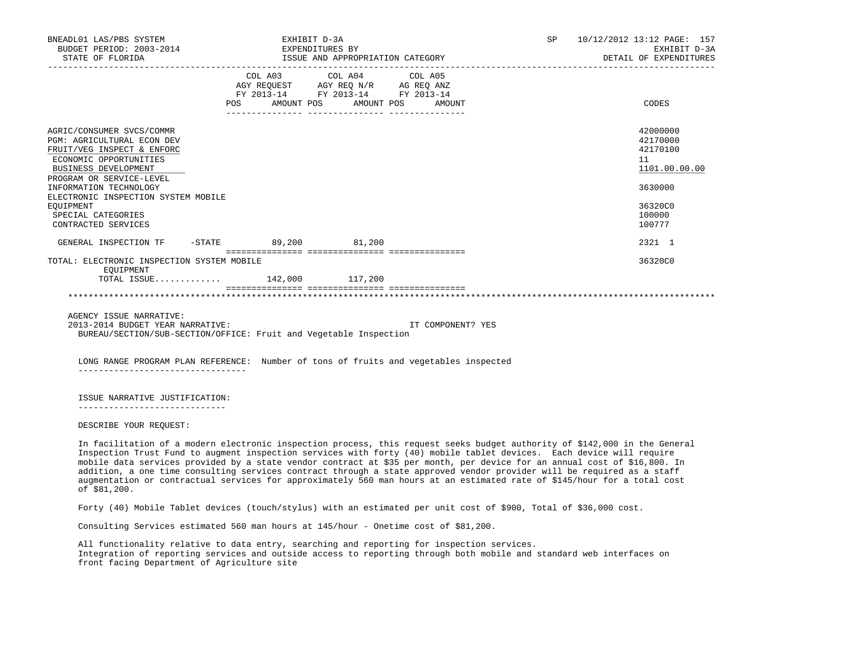| BNEADL01 LAS/PBS SYSTEM<br>BUDGET PERIOD: 2003-2014 EXPENDITURES BY<br>STATE OF FLORIDA                                                                                           |     | EXHIBIT D-3A                                                                                                               | ISSUE AND APPROPRIATION CATEGORY | SP 10/12/2012 13:12 PAGE: 157<br>EXHIBIT D-3A<br>DETAIL OF EXPENDITURES |
|-----------------------------------------------------------------------------------------------------------------------------------------------------------------------------------|-----|----------------------------------------------------------------------------------------------------------------------------|----------------------------------|-------------------------------------------------------------------------|
|                                                                                                                                                                                   | POS | COL A03 COL A04 COL A05<br>AGY REQUEST AGY REQ N/R AG REQ ANZ<br>FY 2013-14 FY 2013-14 FY 2013-14<br>AMOUNT POS AMOUNT POS | AMOUNT                           | CODES                                                                   |
| AGRIC/CONSUMER SVCS/COMMR<br><b>PGM: AGRICULTURAL ECON DEV</b><br>FRUIT/VEG INSPECT & ENFORC<br>ECONOMIC OPPORTUNITIES<br><b>BUSINESS DEVELOPMENT</b><br>PROGRAM OR SERVICE-LEVEL |     |                                                                                                                            |                                  | 42000000<br>42170000<br>42170100<br>11<br>1101.00.00.00                 |
| INFORMATION TECHNOLOGY<br>ELECTRONIC INSPECTION SYSTEM MOBILE<br>EOUIPMENT<br>SPECIAL CATEGORIES<br>CONTRACTED SERVICES                                                           |     |                                                                                                                            |                                  | 3630000<br>36320C0<br>100000<br>100777                                  |
| GENERAL INSPECTION TF -STATE 89,200 81,200                                                                                                                                        |     |                                                                                                                            |                                  | 2321 1                                                                  |
| TOTAL: ELECTRONIC INSPECTION SYSTEM MOBILE<br>EOUIPMENT<br>TOTAL ISSUE 142,000 117,200                                                                                            |     |                                                                                                                            |                                  | 36320C0                                                                 |
| AGENCY ISSUE NARRATIVE:                                                                                                                                                           |     |                                                                                                                            |                                  |                                                                         |
| 2013-2014 BUDGET YEAR NARRATIVE:<br>BUREAU/SECTION/SUB-SECTION/OFFICE: Fruit and Vegetable Inspection                                                                             |     |                                                                                                                            | IT COMPONENT? YES                |                                                                         |

 LONG RANGE PROGRAM PLAN REFERENCE: Number of tons of fruits and vegetables inspected ---------------------------------

ISSUE NARRATIVE JUSTIFICATION:

-----------------------------

DESCRIBE YOUR REQUEST:

 In facilitation of a modern electronic inspection process, this request seeks budget authority of \$142,000 in the General Inspection Trust Fund to augment inspection services with forty (40) mobile tablet devices. Each device will require mobile data services provided by a state vendor contract at \$35 per month, per device for an annual cost of \$16,800. In addition, a one time consulting services contract through a state approved vendor provider will be required as a staff augmentation or contractual services for approximately 560 man hours at an estimated rate of \$145/hour for a total cost of \$81,200.

Forty (40) Mobile Tablet devices (touch/stylus) with an estimated per unit cost of \$900, Total of \$36,000 cost.

Consulting Services estimated 560 man hours at 145/hour - Onetime cost of \$81,200.

 All functionality relative to data entry, searching and reporting for inspection services. Integration of reporting services and outside access to reporting through both mobile and standard web interfaces on front facing Department of Agriculture site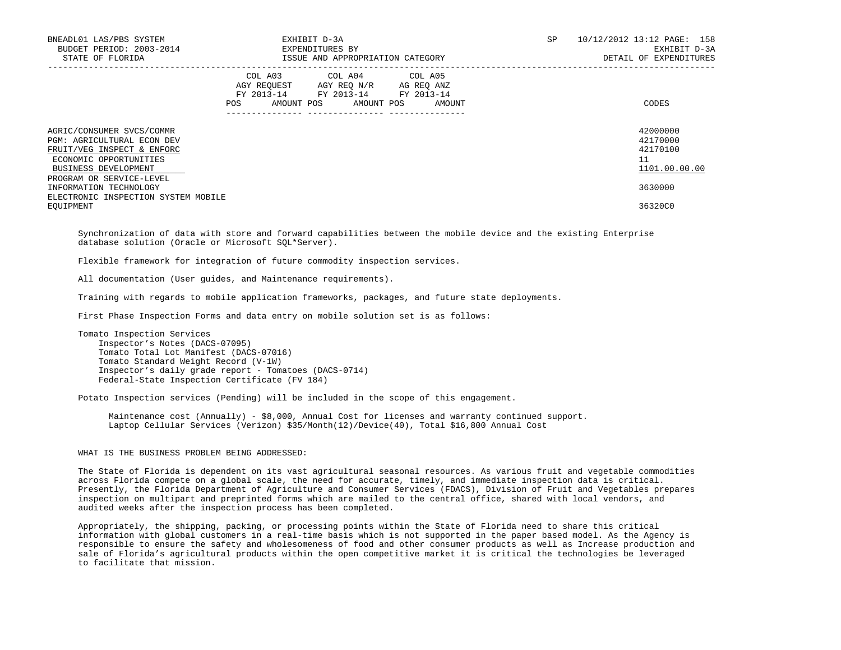| BNEADL01 LAS/PBS SYSTEM<br>BUDGET PERIOD: 2003-2014<br>STATE OF FLORIDA                                                                        |     | EXHIBIT D-3A<br>EXPENDITURES BY<br>ISSUE AND APPROPRIATION CATEGORY                                             |                      | SP | 10/12/2012 13:12 PAGE: 158<br>EXHIBIT D-3A<br>DETAIL OF EXPENDITURES |
|------------------------------------------------------------------------------------------------------------------------------------------------|-----|-----------------------------------------------------------------------------------------------------------------|----------------------|----|----------------------------------------------------------------------|
|                                                                                                                                                | POS | COL A03 COL A04 COL A05<br>AGY REQUEST AGY REQ N/R<br>FY 2013-14 FY 2013-14 FY 2013-14<br>AMOUNT POS AMOUNT POS | AG REQ ANZ<br>AMOUNT |    | CODES                                                                |
| AGRIC/CONSUMER SVCS/COMMR<br><b>PGM: AGRICULTURAL ECON DEV</b><br>FRUIT/VEG INSPECT & ENFORC<br>ECONOMIC OPPORTUNITIES<br>BUSINESS DEVELOPMENT |     |                                                                                                                 |                      |    | 42000000<br>42170000<br>42170100<br>11<br>1101.00.00.00              |
| PROGRAM OR SERVICE-LEVEL<br>INFORMATION TECHNOLOGY<br>ELECTRONIC INSPECTION SYSTEM MOBILE<br>EOUIPMENT                                         |     |                                                                                                                 |                      |    | 3630000<br>36320C0                                                   |

 Synchronization of data with store and forward capabilities between the mobile device and the existing Enterprise database solution (Oracle or Microsoft SQL\*Server).

Flexible framework for integration of future commodity inspection services.

All documentation (User guides, and Maintenance requirements).

Training with regards to mobile application frameworks, packages, and future state deployments.

First Phase Inspection Forms and data entry on mobile solution set is as follows:

 Tomato Inspection Services Inspector's Notes (DACS-07095) Tomato Total Lot Manifest (DACS-07016) Tomato Standard Weight Record (V-1W) Inspector's daily grade report - Tomatoes (DACS-0714) Federal-State Inspection Certificate (FV 184)

Potato Inspection services (Pending) will be included in the scope of this engagement.

 Maintenance cost (Annually) - \$8,000, Annual Cost for licenses and warranty continued support. Laptop Cellular Services (Verizon) \$35/Month(12)/Device(40), Total \$16,800 Annual Cost

# WHAT IS THE BUSINESS PROBLEM BEING ADDRESSED:

 The State of Florida is dependent on its vast agricultural seasonal resources. As various fruit and vegetable commodities across Florida compete on a global scale, the need for accurate, timely, and immediate inspection data is critical. Presently, the Florida Department of Agriculture and Consumer Services (FDACS), Division of Fruit and Vegetables prepares inspection on multipart and preprinted forms which are mailed to the central office, shared with local vendors, and audited weeks after the inspection process has been completed.

 Appropriately, the shipping, packing, or processing points within the State of Florida need to share this critical information with global customers in a real-time basis which is not supported in the paper based model. As the Agency is responsible to ensure the safety and wholesomeness of food and other consumer products as well as Increase production and sale of Florida's agricultural products within the open competitive market it is critical the technologies be leveraged to facilitate that mission.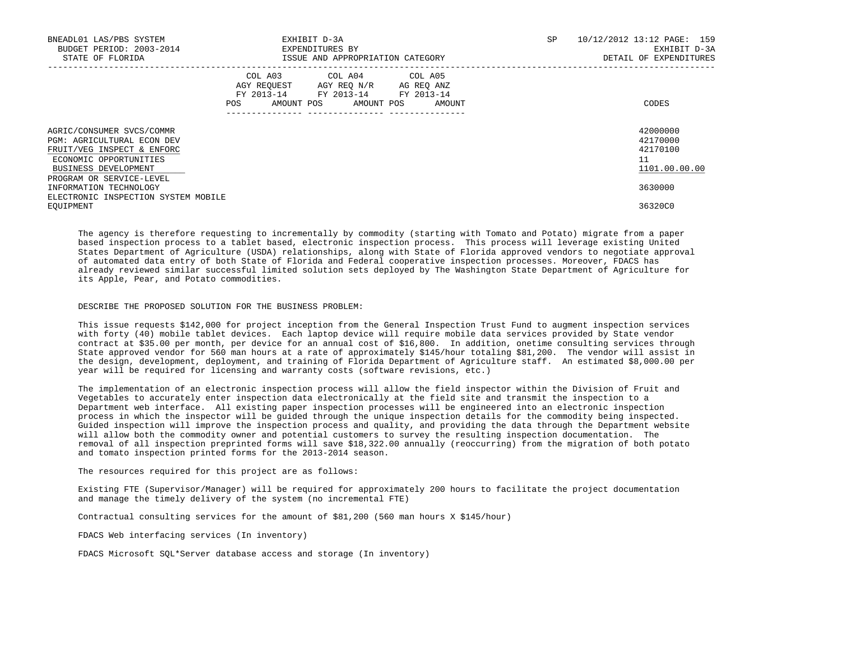| BNEADL01 LAS/PBS SYSTEM<br>BUDGET PERIOD: 2003-2014<br>STATE OF FLORIDA                                                                        |                    | EXHIBIT D-3A<br>EXPENDITURES BY<br>ISSUE AND APPROPRIATION CATEGORY                                    |                      | SP<br>10/12/2012 13:12 PAGE: 159 | EXHIBIT D-3A<br>DETAIL OF EXPENDITURES            |
|------------------------------------------------------------------------------------------------------------------------------------------------|--------------------|--------------------------------------------------------------------------------------------------------|----------------------|----------------------------------|---------------------------------------------------|
|                                                                                                                                                | AGY REQUEST<br>POS | COL A03 COL A04 COL A05<br>AGY REQ N/R<br>FY 2013-14 FY 2013-14 FY 2013-14<br>AMOUNT POS<br>AMOUNT POS | AG REQ ANZ<br>AMOUNT |                                  | CODES                                             |
| AGRIC/CONSUMER SVCS/COMMR<br><b>PGM: AGRICULTURAL ECON DEV</b><br>FRUIT/VEG INSPECT & ENFORC<br>ECONOMIC OPPORTUNITIES<br>BUSINESS DEVELOPMENT |                    |                                                                                                        |                      | 11                               | 42000000<br>42170000<br>42170100<br>1101.00.00.00 |
| PROGRAM OR SERVICE-LEVEL<br>INFORMATION TECHNOLOGY<br>ELECTRONIC INSPECTION SYSTEM MOBILE<br>EOUIPMENT                                         |                    |                                                                                                        |                      |                                  | 3630000<br>36320C0                                |

 The agency is therefore requesting to incrementally by commodity (starting with Tomato and Potato) migrate from a paper based inspection process to a tablet based, electronic inspection process. This process will leverage existing United States Department of Agriculture (USDA) relationships, along with State of Florida approved vendors to negotiate approval of automated data entry of both State of Florida and Federal cooperative inspection processes. Moreover, FDACS has already reviewed similar successful limited solution sets deployed by The Washington State Department of Agriculture for its Apple, Pear, and Potato commodities.

#### DESCRIBE THE PROPOSED SOLUTION FOR THE BUSINESS PROBLEM:

 This issue requests \$142,000 for project inception from the General Inspection Trust Fund to augment inspection services with forty (40) mobile tablet devices. Each laptop device will require mobile data services provided by State vendor contract at \$35.00 per month, per device for an annual cost of \$16,800. In addition, onetime consulting services through State approved vendor for 560 man hours at a rate of approximately \$145/hour totaling \$81,200. The vendor will assist in the design, development, deployment, and training of Florida Department of Agriculture staff. An estimated \$8,000.00 per year will be required for licensing and warranty costs (software revisions, etc.)

 The implementation of an electronic inspection process will allow the field inspector within the Division of Fruit and Vegetables to accurately enter inspection data electronically at the field site and transmit the inspection to a Department web interface. All existing paper inspection processes will be engineered into an electronic inspection process in which the inspector will be guided through the unique inspection details for the commodity being inspected. Guided inspection will improve the inspection process and quality, and providing the data through the Department website will allow both the commodity owner and potential customers to survey the resulting inspection documentation. The removal of all inspection preprinted forms will save \$18,322.00 annually (reoccurring) from the migration of both potato and tomato inspection printed forms for the 2013-2014 season.

The resources required for this project are as follows:

 Existing FTE (Supervisor/Manager) will be required for approximately 200 hours to facilitate the project documentation and manage the timely delivery of the system (no incremental FTE)

Contractual consulting services for the amount of \$81,200 (560 man hours X \$145/hour)

FDACS Web interfacing services (In inventory)

FDACS Microsoft SQL\*Server database access and storage (In inventory)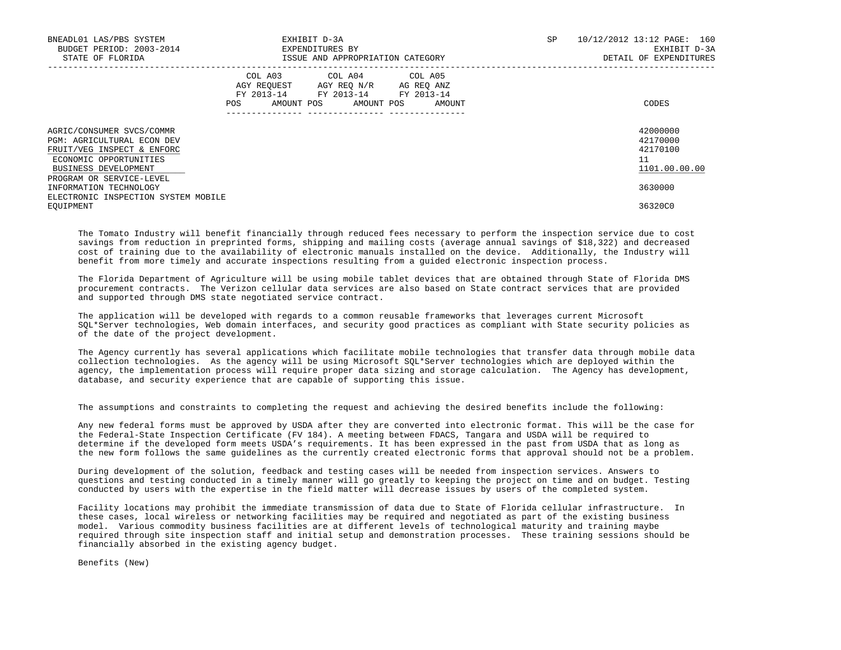| BNEADL01 LAS/PBS SYSTEM<br>BUDGET PERIOD: 2003-2014<br>STATE OF FLORIDA                                                                        |                    | EXHIBIT D-3A<br>EXPENDITURES BY<br>ISSUE AND APPROPRIATION CATEGORY                                 |                      | SP | 10/12/2012 13:12 PAGE: 160<br>EXHIBIT D-3A<br>DETAIL OF EXPENDITURES |
|------------------------------------------------------------------------------------------------------------------------------------------------|--------------------|-----------------------------------------------------------------------------------------------------|----------------------|----|----------------------------------------------------------------------|
|                                                                                                                                                | AGY REQUEST<br>POS | COL A03 COL A04 COL A05<br>AGY REQ N/R<br>FY 2013-14 FY 2013-14 FY 2013-14<br>AMOUNT POS AMOUNT POS | AG REQ ANZ<br>AMOUNT |    | CODES                                                                |
| AGRIC/CONSUMER SVCS/COMMR<br><b>PGM: AGRICULTURAL ECON DEV</b><br>FRUIT/VEG INSPECT & ENFORC<br>ECONOMIC OPPORTUNITIES<br>BUSINESS DEVELOPMENT |                    |                                                                                                     |                      |    | 42000000<br>42170000<br>42170100<br>11<br>1101.00.00.00              |
| PROGRAM OR SERVICE-LEVEL<br>INFORMATION TECHNOLOGY<br>ELECTRONIC INSPECTION SYSTEM MOBILE<br>EOUIPMENT                                         |                    |                                                                                                     |                      |    | 3630000<br>36320C0                                                   |

 The Tomato Industry will benefit financially through reduced fees necessary to perform the inspection service due to cost savings from reduction in preprinted forms, shipping and mailing costs (average annual savings of \$18,322) and decreased cost of training due to the availability of electronic manuals installed on the device. Additionally, the Industry will benefit from more timely and accurate inspections resulting from a guided electronic inspection process.

 The Florida Department of Agriculture will be using mobile tablet devices that are obtained through State of Florida DMS procurement contracts. The Verizon cellular data services are also based on State contract services that are provided and supported through DMS state negotiated service contract.

 The application will be developed with regards to a common reusable frameworks that leverages current Microsoft SQL\*Server technologies, Web domain interfaces, and security good practices as compliant with State security policies as of the date of the project development.

 The Agency currently has several applications which facilitate mobile technologies that transfer data through mobile data collection technologies. As the agency will be using Microsoft SQL\*Server technologies which are deployed within the agency, the implementation process will require proper data sizing and storage calculation. The Agency has development, database, and security experience that are capable of supporting this issue.

The assumptions and constraints to completing the request and achieving the desired benefits include the following:

 Any new federal forms must be approved by USDA after they are converted into electronic format. This will be the case for the Federal-State Inspection Certificate (FV 184). A meeting between FDACS, Tangara and USDA will be required to determine if the developed form meets USDA's requirements. It has been expressed in the past from USDA that as long as the new form follows the same guidelines as the currently created electronic forms that approval should not be a problem.

 During development of the solution, feedback and testing cases will be needed from inspection services. Answers to questions and testing conducted in a timely manner will go greatly to keeping the project on time and on budget. Testing conducted by users with the expertise in the field matter will decrease issues by users of the completed system.

 Facility locations may prohibit the immediate transmission of data due to State of Florida cellular infrastructure. In these cases, local wireless or networking facilities may be required and negotiated as part of the existing business model. Various commodity business facilities are at different levels of technological maturity and training maybe required through site inspection staff and initial setup and demonstration processes. These training sessions should be financially absorbed in the existing agency budget.

Benefits (New)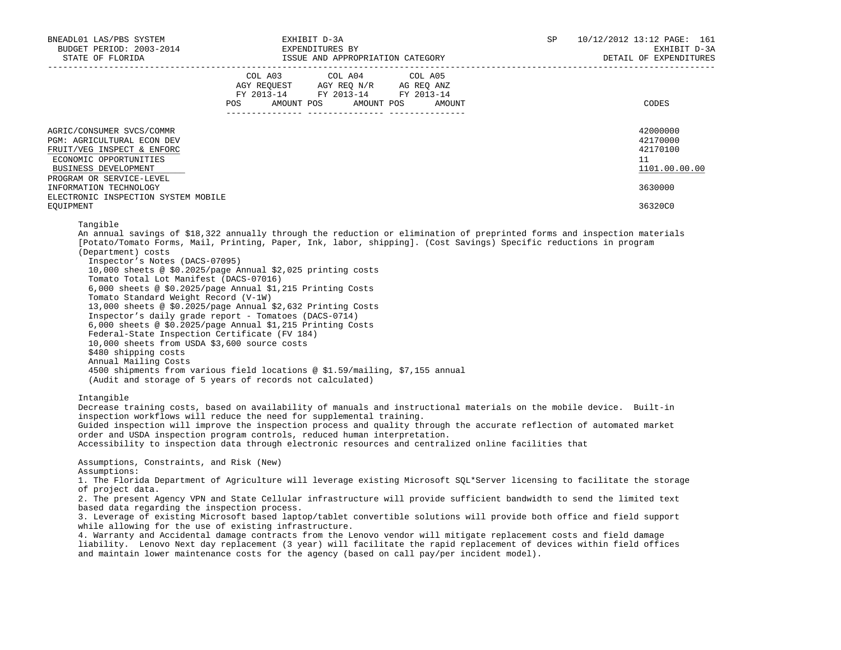| BNEADL01 LAS/PBS SYSTEM<br>EADLUI LAS/PBS SYSTEM<br>BUDGET PERIOD: 2003-2014                                                                                                                                                                                                                          | EXHIBIT D-3A                                                                                                                                                                                                                                                                                                                                                                                                                                                                                                                                                                                                                                                                                                                                                                          | SP | 10/12/2012 13:12 PAGE: 161<br>EXHIBIT D-3A<br>DETAIL OF EXPENDITURES |
|-------------------------------------------------------------------------------------------------------------------------------------------------------------------------------------------------------------------------------------------------------------------------------------------------------|---------------------------------------------------------------------------------------------------------------------------------------------------------------------------------------------------------------------------------------------------------------------------------------------------------------------------------------------------------------------------------------------------------------------------------------------------------------------------------------------------------------------------------------------------------------------------------------------------------------------------------------------------------------------------------------------------------------------------------------------------------------------------------------|----|----------------------------------------------------------------------|
|                                                                                                                                                                                                                                                                                                       | COL A03<br>COL A04<br>COL A05<br>AGY REQUEST AGY REQ N/R AG REQ ANZ<br>FY 2013-14 FY 2013-14 FY 2013-14<br>POS AMOUNT POS AMOUNT POS AMOUNT                                                                                                                                                                                                                                                                                                                                                                                                                                                                                                                                                                                                                                           |    | CODES                                                                |
| AGRIC/CONSUMER SVCS/COMMR<br>PGM: AGRICULTURAL ECON DEV<br>FRUIT/VEG INSPECT & ENFORC<br>ECONOMIC OPPORTUNITIES<br>BUSINESS DEVELOPMENT<br>PROGRAM OR SERVICE-LEVEL                                                                                                                                   |                                                                                                                                                                                                                                                                                                                                                                                                                                                                                                                                                                                                                                                                                                                                                                                       |    | 42000000<br>42170000<br>42170100<br>11<br>1101.00.00.00              |
| INFORMATION TECHNOLOGY<br>ELECTRONIC INSPECTION SYSTEM MOBILE<br>EQUIPMENT                                                                                                                                                                                                                            |                                                                                                                                                                                                                                                                                                                                                                                                                                                                                                                                                                                                                                                                                                                                                                                       |    | 3630000<br>36320C0                                                   |
| (Department) costs<br>Inspector's Notes (DACS-07095)<br>Tomato Total Lot Manifest (DACS-07016)<br>Tomato Standard Weight Record (V-1W)<br>Federal-State Inspection Certificate (FV 184)<br>10,000 sheets from USDA \$3,600 source costs<br>\$480 shipping costs<br>Annual Mailing Costs<br>Intangible | [Potato/Tomato Forms, Mail, Printing, Paper, Ink, labor, shipping]. (Cost Savings) Specific reductions in program<br>10,000 sheets @ \$0.2025/page Annual \$2,025 printing costs<br>6,000 sheets @ \$0.2025/page Annual \$1,215 Printing Costs<br>13,000 sheets @ \$0.2025/page Annual \$2,632 Printing Costs<br>Inspector's daily grade report - Tomatoes (DACS-0714)<br>6,000 sheets @ \$0.2025/page Annual \$1,215 Printing Costs<br>4500 shipments from various field locations @ \$1.59/mailing, \$7,155 annual<br>(Audit and storage of 5 years of records not calculated)<br>Decrease training costs, based on availability of manuals and instructional materials on the mobile device. Built-in<br>inspection workflows will reduce the need for supplemental training.      |    |                                                                      |
|                                                                                                                                                                                                                                                                                                       | Guided inspection will improve the inspection process and quality through the accurate reflection of automated market<br>order and USDA inspection program controls, reduced human interpretation.<br>Accessibility to inspection data through electronic resources and centralized online facilities that                                                                                                                                                                                                                                                                                                                                                                                                                                                                            |    |                                                                      |
| Assumptions, Constraints, and Risk (New)<br>Assumptions:<br>of project data.<br>based data regarding the inspection process.                                                                                                                                                                          | 1. The Florida Department of Agriculture will leverage existing Microsoft SQL*Server licensing to facilitate the storage<br>2. The present Agency VPN and State Cellular infrastructure will provide sufficient bandwidth to send the limited text<br>3. Leverage of existing Microsoft based laptop/tablet convertible solutions will provide both office and field support<br>while allowing for the use of existing infrastructure.<br>4. Warranty and Accidental damage contracts from the Lenovo vendor will mitigate replacement costs and field damage<br>liability. Lenovo Next day replacement (3 year) will facilitate the rapid replacement of devices within field offices<br>and maintain lower maintenance costs for the agency (based on call pay/per incident model). |    |                                                                      |
|                                                                                                                                                                                                                                                                                                       |                                                                                                                                                                                                                                                                                                                                                                                                                                                                                                                                                                                                                                                                                                                                                                                       |    |                                                                      |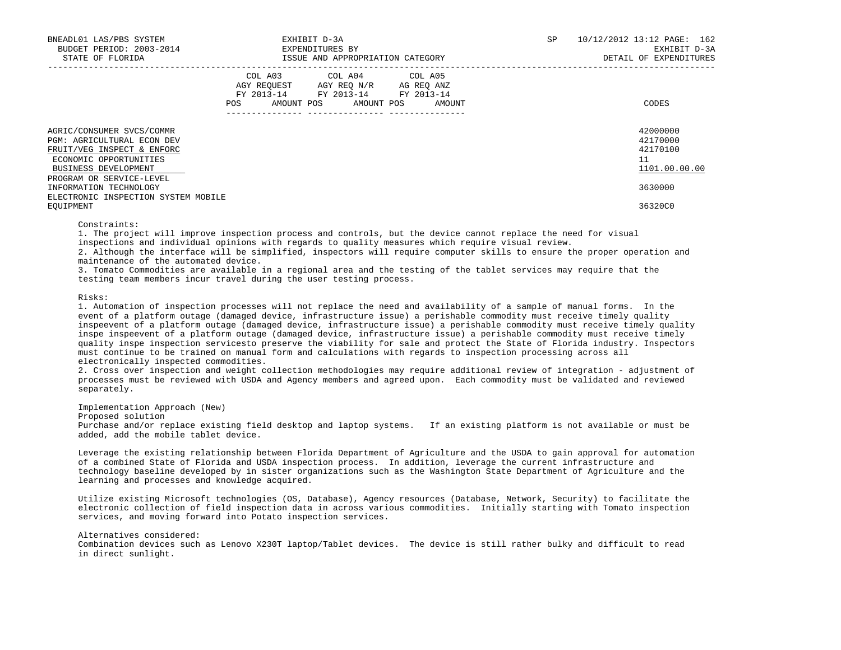| BNEADL01 LAS/PBS SYSTEM<br>BUDGET PERIOD: 2003-2014<br>STATE OF FLORIDA                                                                                                    |     | EXHIBIT D-3A<br>EXPENDITURES BY                                                                                                   | ISSUE AND APPROPRIATION CATEGORY |  | SP | 10/12/2012 13:12 PAGE: 162<br>EXHIBIT D-3A<br>DETAIL OF EXPENDITURES |
|----------------------------------------------------------------------------------------------------------------------------------------------------------------------------|-----|-----------------------------------------------------------------------------------------------------------------------------------|----------------------------------|--|----|----------------------------------------------------------------------|
|                                                                                                                                                                            | POS | COL A03 COL A04 COL A05<br>AGY REOUEST AGY REO N/R AG REO ANZ<br>FY 2013-14 FY 2013-14 FY 2013-14<br>AMOUNT POS AMOUNT POS AMOUNT |                                  |  |    | CODES                                                                |
| AGRIC/CONSUMER SVCS/COMMR<br><b>PGM: AGRICULTURAL ECON DEV</b><br>FRUIT/VEG INSPECT & ENFORC<br>ECONOMIC OPPORTUNITIES<br>BUSINESS DEVELOPMENT<br>PROGRAM OR SERVICE-LEVEL |     |                                                                                                                                   |                                  |  |    | 42000000<br>42170000<br>42170100<br>11<br>1101.00.00.00              |
| INFORMATION TECHNOLOGY<br>ELECTRONIC INSPECTION SYSTEM MOBILE<br>EOUIPMENT                                                                                                 |     |                                                                                                                                   |                                  |  |    | 3630000<br>36320C0                                                   |

Constraints:

 1. The project will improve inspection process and controls, but the device cannot replace the need for visual inspections and individual opinions with regards to quality measures which require visual review.

 2. Although the interface will be simplified, inspectors will require computer skills to ensure the proper operation and maintenance of the automated device.

 3. Tomato Commodities are available in a regional area and the testing of the tablet services may require that the testing team members incur travel during the user testing process.

Risks:

 1. Automation of inspection processes will not replace the need and availability of a sample of manual forms. In the event of a platform outage (damaged device, infrastructure issue) a perishable commodity must receive timely quality inspeevent of a platform outage (damaged device, infrastructure issue) a perishable commodity must receive timely quality inspe inspeevent of a platform outage (damaged device, infrastructure issue) a perishable commodity must receive timely quality inspe inspection servicesto preserve the viability for sale and protect the State of Florida industry. Inspectors must continue to be trained on manual form and calculations with regards to inspection processing across all electronically inspected commodities.

 2. Cross over inspection and weight collection methodologies may require additional review of integration - adjustment of processes must be reviewed with USDA and Agency members and agreed upon. Each commodity must be validated and reviewed separately.

Implementation Approach (New)

Proposed solution

 Purchase and/or replace existing field desktop and laptop systems. If an existing platform is not available or must be added, add the mobile tablet device.

 Leverage the existing relationship between Florida Department of Agriculture and the USDA to gain approval for automation of a combined State of Florida and USDA inspection process. In addition, leverage the current infrastructure and technology baseline developed by in sister organizations such as the Washington State Department of Agriculture and the learning and processes and knowledge acquired.

 Utilize existing Microsoft technologies (OS, Database), Agency resources (Database, Network, Security) to facilitate the electronic collection of field inspection data in across various commodities. Initially starting with Tomato inspection services, and moving forward into Potato inspection services.

Alternatives considered:

 Combination devices such as Lenovo X230T laptop/Tablet devices. The device is still rather bulky and difficult to read in direct sunlight.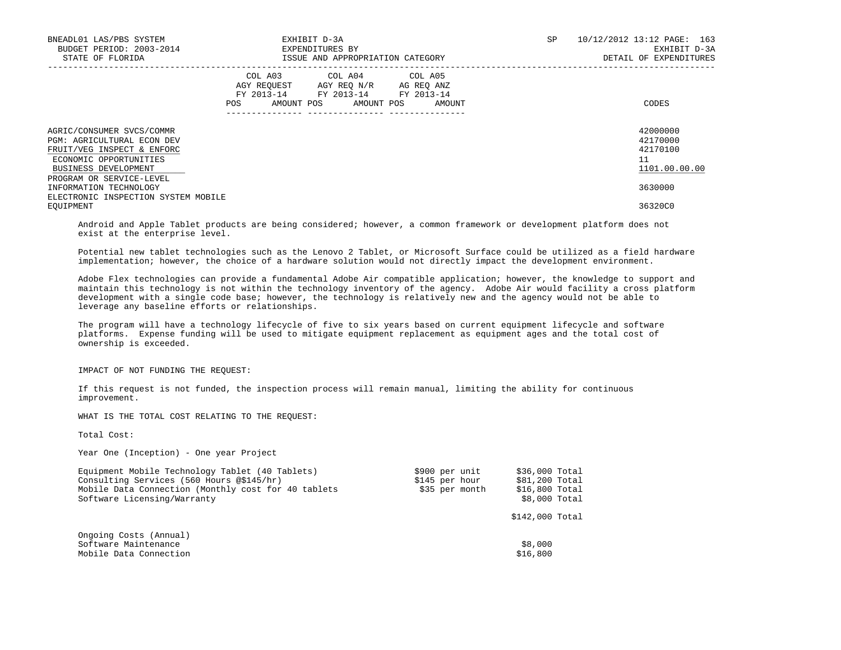| BNEADL01 LAS/PBS SYSTEM<br>BUDGET PERIOD: 2003-2014<br>STATE OF FLORIDA                                                                        |     |                                                    | EXHIBIT D-3A<br>EXPENDITURES BY<br>ISSUE AND APPROPRIATION CATEGORY |            |        | <b>SP</b> | 10/12/2012 13:12 PAGE: 163<br>EXHIBIT D-3A<br>DETAIL OF EXPENDITURES |
|------------------------------------------------------------------------------------------------------------------------------------------------|-----|----------------------------------------------------|---------------------------------------------------------------------|------------|--------|-----------|----------------------------------------------------------------------|
|                                                                                                                                                | POS | COL A03<br>AGY REOUEST<br>FY 2013-14<br>AMOUNT POS | COL A04 COL A05<br>AGY REO N/R AG REO ANZ<br>FY 2013-14 FY 2013-14  | AMOUNT POS | AMOUNT |           | CODES                                                                |
| AGRIC/CONSUMER SVCS/COMMR<br><b>PGM: AGRICULTURAL ECON DEV</b><br>FRUIT/VEG INSPECT & ENFORC<br>ECONOMIC OPPORTUNITIES<br>BUSINESS DEVELOPMENT |     |                                                    |                                                                     |            |        |           | 42000000<br>42170000<br>42170100<br>11<br>1101.00.00.00              |
| PROGRAM OR SERVICE-LEVEL<br>INFORMATION TECHNOLOGY<br>ELECTRONIC INSPECTION SYSTEM MOBILE<br>EOUIPMENT                                         |     |                                                    |                                                                     |            |        |           | 3630000<br>36320C0                                                   |

 Android and Apple Tablet products are being considered; however, a common framework or development platform does not exist at the enterprise level.

 Potential new tablet technologies such as the Lenovo 2 Tablet, or Microsoft Surface could be utilized as a field hardware implementation; however, the choice of a hardware solution would not directly impact the development environment.

 Adobe Flex technologies can provide a fundamental Adobe Air compatible application; however, the knowledge to support and maintain this technology is not within the technology inventory of the agency. Adobe Air would facility a cross platform development with a single code base; however, the technology is relatively new and the agency would not be able to leverage any baseline efforts or relationships.

 The program will have a technology lifecycle of five to six years based on current equipment lifecycle and software platforms. Expense funding will be used to mitigate equipment replacement as equipment ages and the total cost of ownership is exceeded.

IMPACT OF NOT FUNDING THE REQUEST:

 If this request is not funded, the inspection process will remain manual, limiting the ability for continuous improvement.

WHAT IS THE TOTAL COST RELATING TO THE REQUEST:

Total Cost:

Year One (Inception) - One year Project

| Equipment Mobile Technology Tablet (40 Tablets)     | \$900 per unit | \$36,000 Total  |
|-----------------------------------------------------|----------------|-----------------|
| Consulting Services (560 Hours @\$145/hr)           | \$145 per hour | \$81,200 Total  |
| Mobile Data Connection (Monthly cost for 40 tablets | \$35 per month | \$16,800 Total  |
| Software Licensing/Warranty                         |                | \$8,000 Total   |
|                                                     |                | \$142,000 Total |
| Ongoing Costs (Annual)                              |                |                 |
| Software Maintenance                                |                | \$8,000         |
| Mobile Data Connection                              |                | \$16,800        |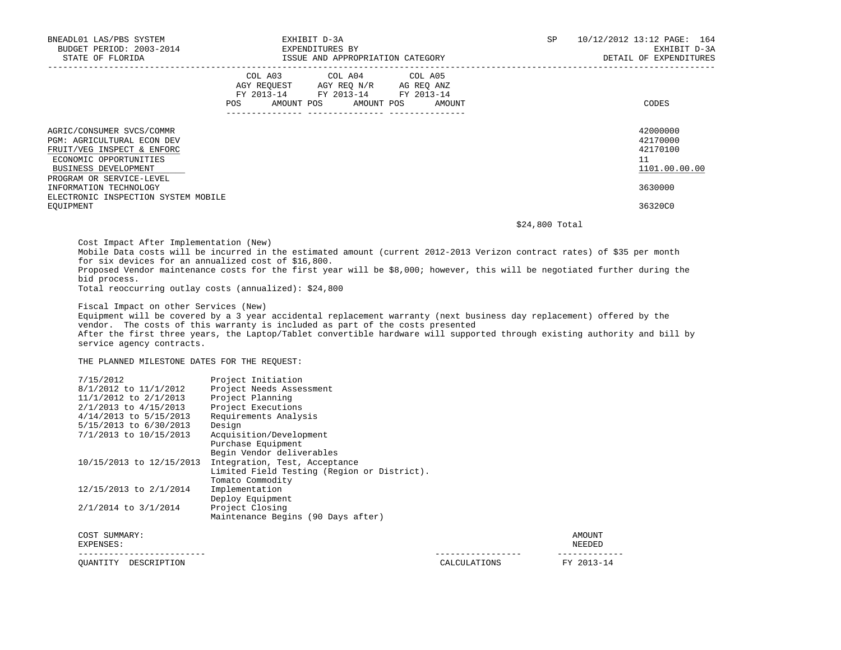| BNEADL01 LAS/PBS SYSTEM<br>BUDGET PERIOD: 2003-2014<br>STATE OF FLORIDA                                                                                                                                                                                  | EXHIBIT D-3A<br>EXPENDITURES BY<br>ISSUE AND APPROPRIATION CATEGORY                                                               | SP.    | 10/12/2012 13:12 PAGE: 164<br>EXHIBIT D-3A<br>DETAIL OF EXPENDITURES          |  |
|----------------------------------------------------------------------------------------------------------------------------------------------------------------------------------------------------------------------------------------------------------|-----------------------------------------------------------------------------------------------------------------------------------|--------|-------------------------------------------------------------------------------|--|
|                                                                                                                                                                                                                                                          | COL A03 COL A04 COL A05<br>AGY REQUEST AGY REQ N/R AG REQ ANZ<br>FY 2013-14 FY 2013-14 FY 2013-14<br>AMOUNT POS AMOUNT POS<br>POS | AMOUNT | CODES                                                                         |  |
| AGRIC/CONSUMER SVCS/COMMR<br><b>PGM: AGRICULTURAL ECON DEV</b><br>FRUIT/VEG INSPECT & ENFORC<br>ECONOMIC OPPORTUNITIES<br>BUSINESS DEVELOPMENT<br>PROGRAM OR SERVICE-LEVEL<br>INFORMATION TECHNOLOGY<br>ELECTRONIC INSPECTION SYSTEM MOBILE<br>EOUIPMENT |                                                                                                                                   |        | 42000000<br>42170000<br>42170100<br>11<br>1101.00.00.00<br>3630000<br>36320C0 |  |

\$24,800 Total

 Cost Impact After Implementation (New) Mobile Data costs will be incurred in the estimated amount (current 2012-2013 Verizon contract rates) of \$35 per month for six devices for an annualized cost of \$16,800. Proposed Vendor maintenance costs for the first year will be \$8,000; however, this will be negotiated further during the bid process. Total reoccurring outlay costs (annualized): \$24,800

Fiscal Impact on other Services (New)

 Equipment will be covered by a 3 year accidental replacement warranty (next business day replacement) offered by the vendor. The costs of this warranty is included as part of the costs presented After the first three years, the Laptop/Tablet convertible hardware will supported through existing authority and bill by service agency contracts.

THE PLANNED MILESTONE DATES FOR THE REQUEST:

| OUANTITY<br>DESCRIPTION                        |                                                                              | CALCULATIONS | FY 2013-14       |
|------------------------------------------------|------------------------------------------------------------------------------|--------------|------------------|
| COST SUMMARY:<br>EXPENSES:                     |                                                                              |              | AMOUNT<br>NEEDED |
|                                                | Maintenance Begins (90 Days after)                                           |              |                  |
| 2/1/2014 to 3/1/2014                           | Deploy Equipment<br>Project Closing                                          |              |                  |
| 12/15/2013 to 2/1/2014                         | Tomato Commodity<br>Implementation                                           |              |                  |
| 10/15/2013 to 12/15/2013                       | Integration, Test, Acceptance<br>Limited Field Testing (Region or District). |              |                  |
|                                                | Purchase Equipment<br>Begin Vendor deliverables                              |              |                  |
| 7/1/2013 to 10/15/2013                         | Acquisition/Development                                                      |              |                  |
| 5/15/2013 to 6/30/2013                         | Design                                                                       |              |                  |
| 4/14/2013 to 5/15/2013                         | Requirements Analysis                                                        |              |                  |
| 11/1/2012 to 2/1/2013<br>2/1/2013 to 4/15/2013 | Project Planning<br>Project Executions                                       |              |                  |
| 8/1/2012 to 11/1/2012                          | Project Needs Assessment                                                     |              |                  |
| 7/15/2012                                      | Project Initiation                                                           |              |                  |
|                                                |                                                                              |              |                  |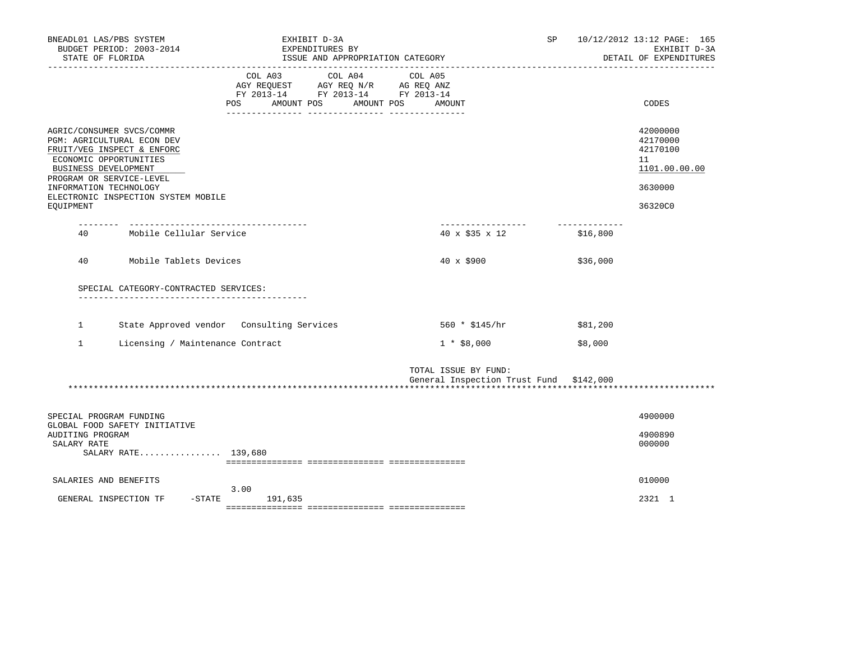| BNEADL01 LAS/PBS SYSTEM<br>BUDGET PERIOD: 2003-2014<br>STATE OF FLORIDA                                                                                                                                                                           | EXHIBIT D-3A<br>EXPENDITURES BY<br>ISSUE AND APPROPRIATION CATEGORY                                                             |                                                                 | SP                        | 10/12/2012 13:12 PAGE: 165<br>EXHIBIT D-3A<br>DETAIL OF EXPENDITURES          |
|---------------------------------------------------------------------------------------------------------------------------------------------------------------------------------------------------------------------------------------------------|---------------------------------------------------------------------------------------------------------------------------------|-----------------------------------------------------------------|---------------------------|-------------------------------------------------------------------------------|
|                                                                                                                                                                                                                                                   | COL A03<br>COL A04<br>AGY REQUEST AGY REQ N/R AG REQ ANZ<br>FY 2013-14 FY 2013-14 FY 2013-14<br>AMOUNT POS<br>AMOUNT POS<br>POS | COL A05<br>AMOUNT                                               |                           | CODES                                                                         |
| AGRIC/CONSUMER SVCS/COMMR<br>PGM: AGRICULTURAL ECON DEV<br>FRUIT/VEG INSPECT & ENFORC<br>ECONOMIC OPPORTUNITIES<br>BUSINESS DEVELOPMENT<br>PROGRAM OR SERVICE-LEVEL<br>INFORMATION TECHNOLOGY<br>ELECTRONIC INSPECTION SYSTEM MOBILE<br>EQUIPMENT |                                                                                                                                 |                                                                 |                           | 42000000<br>42170000<br>42170100<br>11<br>1101.00.00.00<br>3630000<br>36320C0 |
| Mobile Cellular Service<br>40                                                                                                                                                                                                                     |                                                                                                                                 | __________________<br>$40 \times $35 \times 12$                 | -------------<br>\$16,800 |                                                                               |
| 40<br>Mobile Tablets Devices                                                                                                                                                                                                                      |                                                                                                                                 | 40 x \$900                                                      | \$36,000                  |                                                                               |
| SPECIAL CATEGORY-CONTRACTED SERVICES:                                                                                                                                                                                                             |                                                                                                                                 |                                                                 |                           |                                                                               |
| State Approved vendor Consulting Services<br>$\mathbf{1}$                                                                                                                                                                                         |                                                                                                                                 | 560 * \$145/hr                                                  | \$81,200                  |                                                                               |
| $\mathbf{1}$<br>Licensing / Maintenance Contract                                                                                                                                                                                                  |                                                                                                                                 | $1 * $8,000$                                                    | \$8,000                   |                                                                               |
|                                                                                                                                                                                                                                                   |                                                                                                                                 | TOTAL ISSUE BY FUND:<br>General Inspection Trust Fund \$142,000 |                           |                                                                               |
| SPECIAL PROGRAM FUNDING<br>GLOBAL FOOD SAFETY INITIATIVE                                                                                                                                                                                          |                                                                                                                                 |                                                                 |                           | 4900000                                                                       |
| AUDITING PROGRAM<br>SALARY RATE<br>SALARY RATE 139,680                                                                                                                                                                                            |                                                                                                                                 |                                                                 |                           | 4900890<br>000000                                                             |
| SALARIES AND BENEFITS                                                                                                                                                                                                                             |                                                                                                                                 |                                                                 |                           | 010000                                                                        |
| GENERAL INSPECTION TF<br>$-$ STATE                                                                                                                                                                                                                | 3.00<br>191,635                                                                                                                 |                                                                 |                           | 2321 1                                                                        |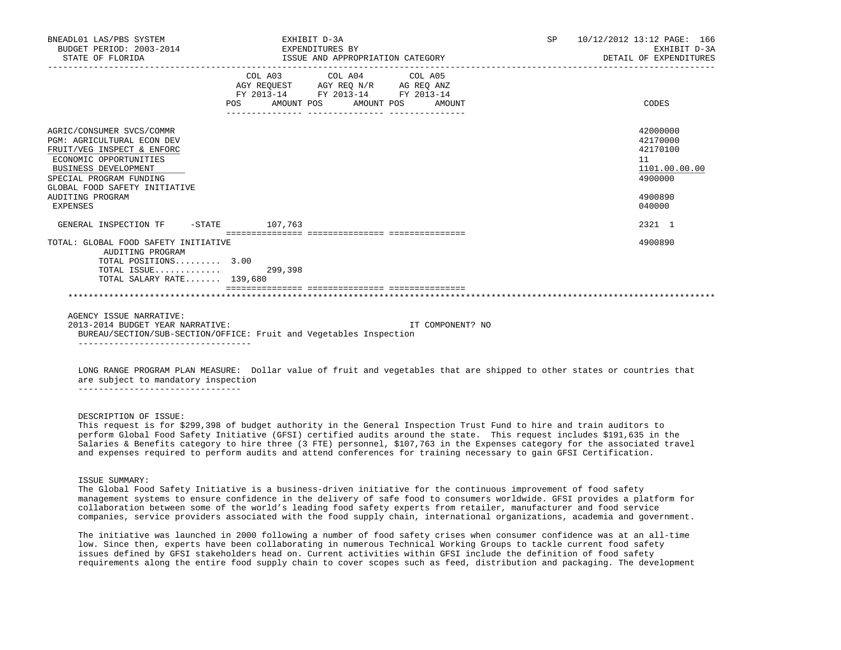| BNEADL01 LAS/PBS SYSTEM<br>BUDGET PERIOD: 2003-2014<br>STATE OF FLORIDA                                                                                                                                                                           | EXPENDITURES BY                                                            | EXHIBIT D-3A<br>ISSUE AND APPROPRIATION CATEGORY                                                  |                  |  | SP 10/12/2012 13:12 PAGE: 166<br>EXHIBIT D-3A<br>DETAIL OF EXPENDITURES                 |
|---------------------------------------------------------------------------------------------------------------------------------------------------------------------------------------------------------------------------------------------------|----------------------------------------------------------------------------|---------------------------------------------------------------------------------------------------|------------------|--|-----------------------------------------------------------------------------------------|
|                                                                                                                                                                                                                                                   | POS AMOUNT POS AMOUNT POS AMOUNT<br>______________________________________ | COL A03 COL A04 COL A05<br>AGY REQUEST AGY REQ N/R AG REQ ANZ<br>FY 2013-14 FY 2013-14 FY 2013-14 |                  |  | CODES                                                                                   |
| AGRIC/CONSUMER SVCS/COMMR<br><b>PGM: AGRICULTURAL ECON DEV</b><br>FRUIT/VEG INSPECT & ENFORC<br>ECONOMIC OPPORTUNITIES<br><b>BUSINESS DEVELOPMENT</b><br>SPECIAL PROGRAM FUNDING<br>GLOBAL FOOD SAFETY INITIATIVE<br>AUDITING PROGRAM<br>EXPENSES |                                                                            |                                                                                                   |                  |  | 42000000<br>42170000<br>42170100<br>11<br>1101.00.00.00<br>4900000<br>4900890<br>040000 |
| GENERAL INSPECTION TF -STATE 107,763                                                                                                                                                                                                              |                                                                            |                                                                                                   |                  |  | 2321 1                                                                                  |
| TOTAL: GLOBAL FOOD SAFETY INITIATIVE<br>AUDITING PROGRAM<br>TOTAL POSITIONS 3.00<br>TOTAL ISSUE 299,398<br>TOTAL SALARY RATE 139,680                                                                                                              |                                                                            |                                                                                                   |                  |  | 4900890                                                                                 |
|                                                                                                                                                                                                                                                   |                                                                            |                                                                                                   |                  |  |                                                                                         |
| AGENCY ISSUE NARRATIVE:<br>2013-2014 BUDGET YEAR NARRATIVE:<br>BUREAU/SECTION/SUB-SECTION/OFFICE: Fruit and Vegetables Inspection                                                                                                                 |                                                                            |                                                                                                   | IT COMPONENT? NO |  |                                                                                         |

 LONG RANGE PROGRAM PLAN MEASURE: Dollar value of fruit and vegetables that are shipped to other states or countries that are subject to mandatory inspection

--------------------------------

----------------------------------

# DESCRIPTION OF ISSUE:

 This request is for \$299,398 of budget authority in the General Inspection Trust Fund to hire and train auditors to perform Global Food Safety Initiative (GFSI) certified audits around the state. This request includes \$191,635 in the Salaries & Benefits category to hire three (3 FTE) personnel, \$107,763 in the Expenses category for the associated travel and expenses required to perform audits and attend conferences for training necessary to gain GFSI Certification.

ISSUE SUMMARY:

 The Global Food Safety Initiative is a business-driven initiative for the continuous improvement of food safety management systems to ensure confidence in the delivery of safe food to consumers worldwide. GFSI provides a platform for collaboration between some of the world's leading food safety experts from retailer, manufacturer and food service companies, service providers associated with the food supply chain, international organizations, academia and government.

 The initiative was launched in 2000 following a number of food safety crises when consumer confidence was at an all-time low. Since then, experts have been collaborating in numerous Technical Working Groups to tackle current food safety issues defined by GFSI stakeholders head on. Current activities within GFSI include the definition of food safety requirements along the entire food supply chain to cover scopes such as feed, distribution and packaging. The development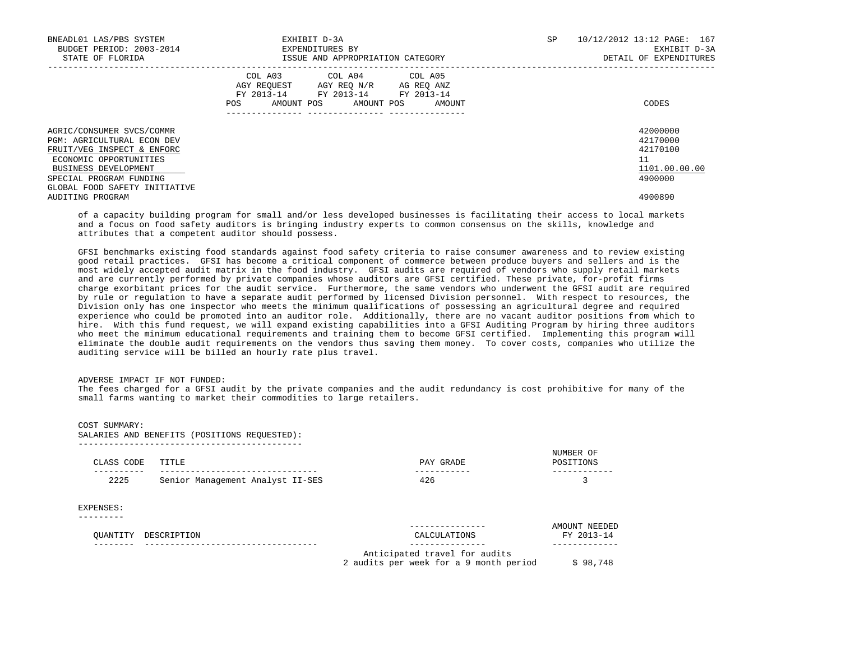| BNEADL01 LAS/PBS SYSTEM<br>BUDGET PERIOD: 2003-2014<br>STATE OF FLORIDA                                                                                                                                    | EXHIBIT D-3A<br>EXPENDITURES BY<br>ISSUE AND APPROPRIATION CATEGORY                                                                               | 167<br>10/12/2012 13:12 PAGE:<br>SP.<br>EXHIBIT D-3A<br>DETAIL OF EXPENDITURES |
|------------------------------------------------------------------------------------------------------------------------------------------------------------------------------------------------------------|---------------------------------------------------------------------------------------------------------------------------------------------------|--------------------------------------------------------------------------------|
|                                                                                                                                                                                                            | COL A03<br>COL A04 COL A05<br>AGY REOUEST AGY REO N/R AG REO ANZ<br>FY 2013-14 FY 2013-14 FY 2013-14<br>AMOUNT POS<br>AMOUNT POS<br>AMOUNT<br>POS | CODES                                                                          |
| AGRIC/CONSUMER SVCS/COMMR<br><b>PGM: AGRICULTURAL ECON DEV</b><br>FRUIT/VEG INSPECT & ENFORC<br>ECONOMIC OPPORTUNITIES<br>BUSINESS DEVELOPMENT<br>SPECIAL PROGRAM FUNDING<br>GLOBAL FOOD SAFETY INITIATIVE |                                                                                                                                                   | 42000000<br>42170000<br>42170100<br>11<br>1101.00.00.00<br>4900000             |
| AUDITING PROGRAM                                                                                                                                                                                           |                                                                                                                                                   | 4900890                                                                        |

 of a capacity building program for small and/or less developed businesses is facilitating their access to local markets and a focus on food safety auditors is bringing industry experts to common consensus on the skills, knowledge and attributes that a competent auditor should possess.

 GFSI benchmarks existing food standards against food safety criteria to raise consumer awareness and to review existing good retail practices. GFSI has become a critical component of commerce between produce buyers and sellers and is the most widely accepted audit matrix in the food industry. GFSI audits are required of vendors who supply retail markets and are currently performed by private companies whose auditors are GFSI certified. These private, for-profit firms charge exorbitant prices for the audit service. Furthermore, the same vendors who underwent the GFSI audit are required by rule or regulation to have a separate audit performed by licensed Division personnel. With respect to resources, the Division only has one inspector who meets the minimum qualifications of possessing an agricultural degree and required experience who could be promoted into an auditor role. Additionally, there are no vacant auditor positions from which to hire. With this fund request, we will expand existing capabilities into a GFSI Auditing Program by hiring three auditors who meet the minimum educational requirements and training them to become GFSI certified. Implementing this program will eliminate the double audit requirements on the vendors thus saving them money. To cover costs, companies who utilize the auditing service will be billed an hourly rate plus travel.

# ADVERSE IMPACT IF NOT FUNDED:

 The fees charged for a GFSI audit by the private companies and the audit redundancy is cost prohibitive for many of the small farms wanting to market their commodities to large retailers.

| COST SUMMARY: |
|---------------|
|               |

SALARIES AND BENEFITS (POSITIONS REQUESTED):

| CLASS CODE | TITLE                            | PAY GRADE                                                                                | NUMBER OF<br>POSITIONS      |
|------------|----------------------------------|------------------------------------------------------------------------------------------|-----------------------------|
| 2225       | Senior Management Analyst II-SES | 426                                                                                      | 3                           |
| EXPENSES:  |                                  |                                                                                          |                             |
| OUANTITY   | DESCRIPTION                      | CALCULATIONS                                                                             | AMOUNT NEEDED<br>FY 2013-14 |
|            |                                  | -------------<br>Anticipated travel for audits<br>2 audits per week for a 9 month period | \$98,748                    |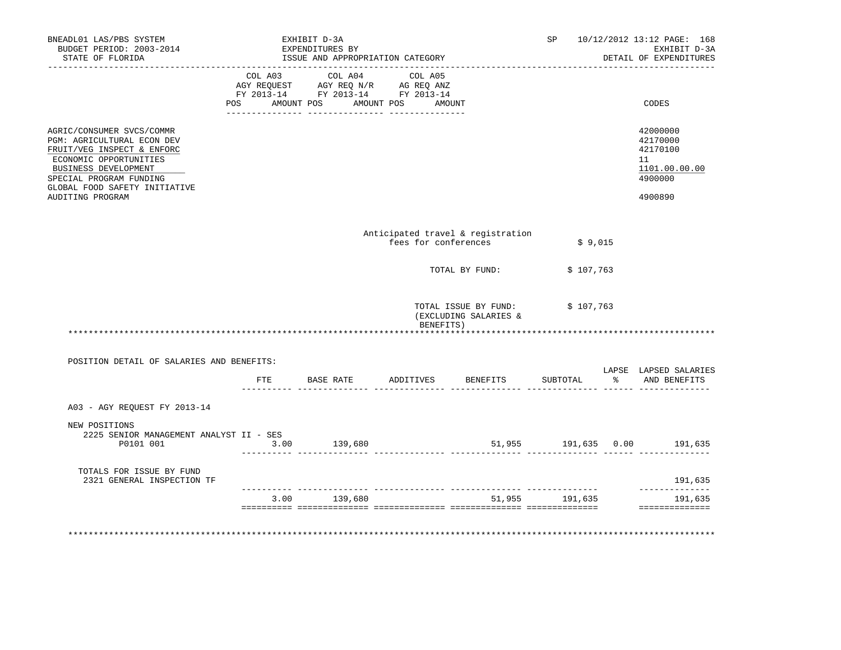| BNEADL01 LAS/PBS SYSTEM<br>BUDGET PERIOD: 2003-2014<br>STATE OF FLORIDA                                                                                                                                                 |      | EXHIBIT D-3A<br>EXPENDITURES BY<br>ISSUE AND APPROPRIATION CATEGORY |           |                                                           | SP             | 10/12/2012 13:12 PAGE: 168<br>EXHIBIT D-3A<br>DETAIL OF EXPENDITURES          |
|-------------------------------------------------------------------------------------------------------------------------------------------------------------------------------------------------------------------------|------|---------------------------------------------------------------------|-----------|-----------------------------------------------------------|----------------|-------------------------------------------------------------------------------|
|                                                                                                                                                                                                                         |      | FY 2013-14 FY 2013-14 FY 2013-14                                    |           |                                                           |                |                                                                               |
|                                                                                                                                                                                                                         |      | POS AMOUNT POS AMOUNT POS AMOUNT                                    |           |                                                           |                | CODES                                                                         |
| AGRIC/CONSUMER SVCS/COMMR<br>PGM: AGRICULTURAL ECON DEV<br>FRUIT/VEG INSPECT & ENFORC<br>ECONOMIC OPPORTUNITIES<br>BUSINESS DEVELOPMENT<br>SPECIAL PROGRAM FUNDING<br>GLOBAL FOOD SAFETY INITIATIVE<br>AUDITING PROGRAM |      |                                                                     |           |                                                           |                | 42000000<br>42170000<br>42170100<br>11<br>1101.00.00.00<br>4900000<br>4900890 |
|                                                                                                                                                                                                                         |      |                                                                     |           | Anticipated travel & registration<br>fees for conferences | \$9,015        |                                                                               |
|                                                                                                                                                                                                                         |      |                                                                     |           | TOTAL BY FUND:                                            | \$107,763      |                                                                               |
|                                                                                                                                                                                                                         |      |                                                                     | BENEFITS) | TOTAL ISSUE BY FUND: \$107,763<br>(EXCLUDING SALARIES &   |                |                                                                               |
| POSITION DETAIL OF SALARIES AND BENEFITS:                                                                                                                                                                               |      |                                                                     |           |                                                           |                |                                                                               |
|                                                                                                                                                                                                                         |      | FTE BASE RATE                                                       |           | ADDITIVES BENEFITS                                        | SUBTOTAL       | LAPSE LAPSED SALARIES<br>% AND BENEFITS                                       |
| A03 - AGY REOUEST FY 2013-14                                                                                                                                                                                            |      |                                                                     |           |                                                           |                |                                                                               |
| NEW POSITIONS<br>2225 SENIOR MANAGEMENT ANALYST II - SES<br>P0101 001                                                                                                                                                   | 3.00 | 139,680                                                             |           |                                                           |                | 51,955 191,635 0.00 191,635                                                   |
| TOTALS FOR ISSUE BY FUND<br>2321 GENERAL INSPECTION TF                                                                                                                                                                  |      |                                                                     |           |                                                           |                | 191,635                                                                       |
|                                                                                                                                                                                                                         |      | 3.00 139,680                                                        |           |                                                           | 51,955 191,635 | --------------<br>191,635<br>==============                                   |
|                                                                                                                                                                                                                         |      |                                                                     |           |                                                           |                |                                                                               |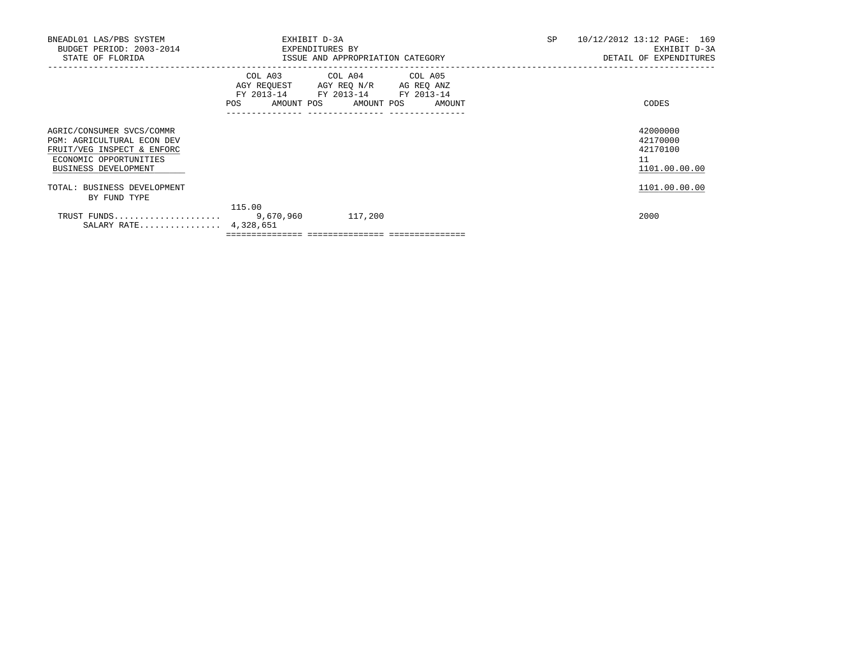| BNEADL01 LAS/PBS SYSTEM<br>BUDGET PERIOD: 2003-2014<br>STATE OF FLORIDA                                                                        | EXHIBIT D-3A<br>EXPENDITURES BY                         | ISSUE AND APPROPRIATION CATEGORY                                                          | SP | 10/12/2012 13:12 PAGE: 169<br>EXHIBIT D-3A<br>DETAIL OF EXPENDITURES |
|------------------------------------------------------------------------------------------------------------------------------------------------|---------------------------------------------------------|-------------------------------------------------------------------------------------------|----|----------------------------------------------------------------------|
|                                                                                                                                                | COL A03<br>AGY REQUEST AGY REQ N/R<br>AMOUNT POS<br>POS | COL A04 COL A05<br>AG REQ ANZ<br>FY 2013-14 FY 2013-14 FY 2013-14<br>AMOUNT POS<br>AMOUNT |    | CODES                                                                |
| AGRIC/CONSUMER SVCS/COMMR<br><b>PGM: AGRICULTURAL ECON DEV</b><br>FRUIT/VEG INSPECT & ENFORC<br>ECONOMIC OPPORTUNITIES<br>BUSINESS DEVELOPMENT |                                                         |                                                                                           |    | 42000000<br>42170000<br>42170100<br>11<br>1101.00.00.00              |
| TOTAL: BUSINESS DEVELOPMENT<br>BY FUND TYPE                                                                                                    |                                                         |                                                                                           |    | 1101.00.00.00                                                        |
| TRUST FUNDS<br>SALARY RATE 4,328,651                                                                                                           | 115.00<br>9,670,960                                     | 117,200                                                                                   |    | 2000                                                                 |

 $=$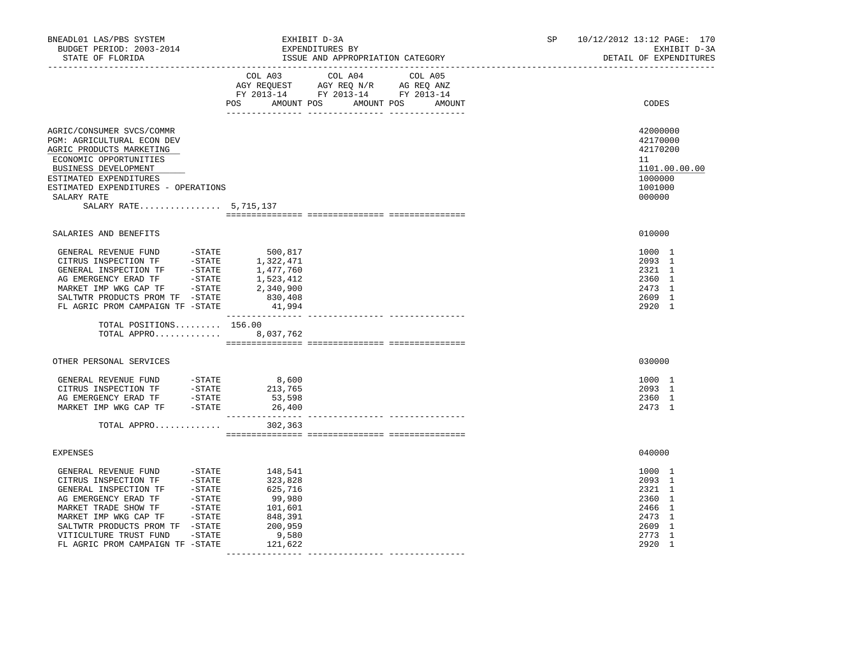| BNEADL01 LAS/PBS SYSTEM<br>BUDGET PERIOD: 2003-2014<br>STATE OF FLORIDA                                                                                                                                                                                                                                                                 | EXHIBIT D-3A<br>EXPENDITURES BY<br>ISSUE AND APPROPRIATION CATEGORY                                                                   | SP <sub>2</sub><br>10/12/2012 13:12 PAGE: 170<br>EXHIBIT D-3A<br>DETAIL OF EXPENDITURES |
|-----------------------------------------------------------------------------------------------------------------------------------------------------------------------------------------------------------------------------------------------------------------------------------------------------------------------------------------|---------------------------------------------------------------------------------------------------------------------------------------|-----------------------------------------------------------------------------------------|
|                                                                                                                                                                                                                                                                                                                                         | COL A03 COL A04 COL A05<br>AGY REQUEST AGY REQ N/R AG REQ ANZ<br>FY 2013-14 FY 2013-14 FY 2013-14<br>POS AMOUNT POS AMOUNT POS AMOUNT | CODES                                                                                   |
| AGRIC/CONSUMER SVCS/COMMR<br>PGM: AGRICULTURAL ECON DEV<br>AGRIC PRODUCTS MARKETING<br>ECONOMIC OPPORTUNITIES<br>BUSINESS DEVELOPMENT<br>ESTIMATED EXPENDITURES<br>ESTIMATED EXPENDITURES - OPERATIONS<br>SALARY RATE<br>SALARY RATE 5,715,137                                                                                          |                                                                                                                                       | 42000000<br>42170000<br>42170200<br>11<br>1101.00.00.00<br>1000000<br>1001000<br>000000 |
| SALARIES AND BENEFITS                                                                                                                                                                                                                                                                                                                   |                                                                                                                                       | 010000                                                                                  |
| SALTWTR PRODUCTS PROM TF -STATE<br>FL AGRIC PROM CAMPAIGN TF -STATE                                                                                                                                                                                                                                                                     | 830,408<br>41,994                                                                                                                     | 1000 1<br>2093 1<br>2321 1<br>2360 1<br>2473 1<br>2609 1<br>2920 1                      |
| TOTAL POSITIONS $156.00$<br>TOTAL APPRO 8,037,762                                                                                                                                                                                                                                                                                       |                                                                                                                                       |                                                                                         |
| OTHER PERSONAL SERVICES                                                                                                                                                                                                                                                                                                                 |                                                                                                                                       | 030000                                                                                  |
| TOTAL APPRO                                                                                                                                                                                                                                                                                                                             | 302,363                                                                                                                               | 1000 1<br>2093 1<br>2360 1<br>2473 1                                                    |
| <b>EXPENSES</b>                                                                                                                                                                                                                                                                                                                         |                                                                                                                                       | 040000                                                                                  |
| GENERAL REVENUE FUND - STATE<br>CITRUS INSPECTION TF - STATE<br>GENERAL INSPECTION TF - STATE<br>AG EMERGENCY ERAD TF - STATE<br>MARKET TRADE SHOW TF - STATE<br>MARKET IMP WKG CAP TF - STATE<br>MARKET IMP WKG CAP TF - STATE<br>SALTWTR PRODUCTS PROM TF -STATE<br>VITICULTURE TRUST FUND -STATE<br>FL AGRIC PROM CAMPAIGN TF -STATE | 148,541<br>323,828<br>625,716<br>99,980<br>101,601<br>848,391<br>200,959<br>9,580<br>121,622                                          | 1000 1<br>2093 1<br>2321 1<br>2360 1<br>2466 1<br>2473 1<br>2609 1<br>2773 1<br>2920 1  |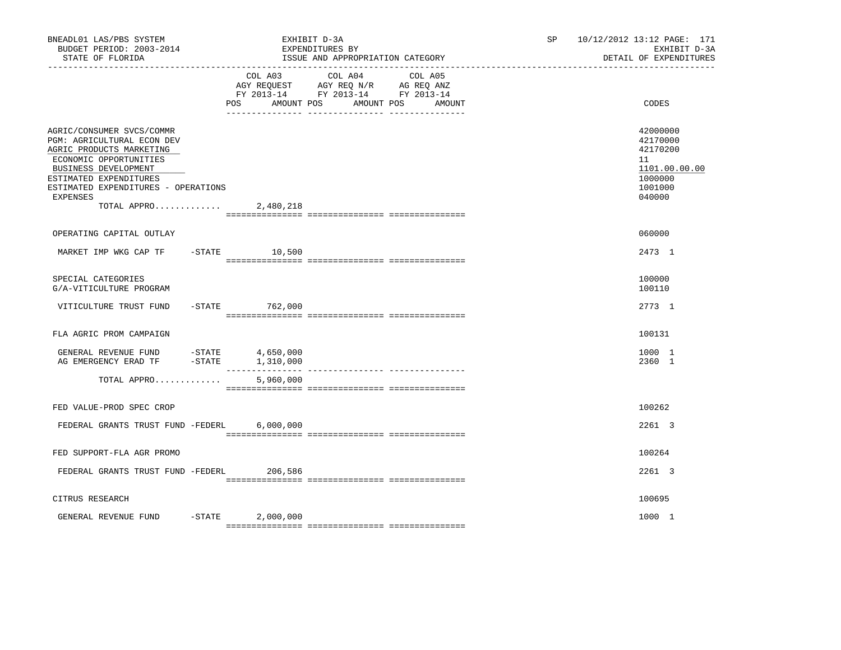| COL A04<br>COL A03<br>COL A05<br>AGY REQUEST AGY REQ N/R AG REQ ANZ<br>FY 2013-14 FY 2013-14 FY 2013-14<br>POS.<br>AMOUNT POS<br>AMOUNT POS<br>AMOUNT<br>AGRIC/CONSUMER SVCS/COMMR<br>PGM: AGRICULTURAL ECON DEV<br>AGRIC PRODUCTS MARKETING<br>ECONOMIC OPPORTUNITIES |                                                                                         |
|------------------------------------------------------------------------------------------------------------------------------------------------------------------------------------------------------------------------------------------------------------------------|-----------------------------------------------------------------------------------------|
|                                                                                                                                                                                                                                                                        | CODES                                                                                   |
| BUSINESS DEVELOPMENT<br>ESTIMATED EXPENDITURES<br>ESTIMATED EXPENDITURES - OPERATIONS<br>EXPENSES<br>TOTAL APPRO $2,480,218$                                                                                                                                           | 42000000<br>42170000<br>42170200<br>11<br>1101.00.00.00<br>1000000<br>1001000<br>040000 |
| OPERATING CAPITAL OUTLAY                                                                                                                                                                                                                                               | 060000                                                                                  |
| $-STATE$<br>MARKET IMP WKG CAP TF<br>10,500                                                                                                                                                                                                                            | 2473 1                                                                                  |
| SPECIAL CATEGORIES<br>G/A-VITICULTURE PROGRAM                                                                                                                                                                                                                          | 100000<br>100110                                                                        |
| VITICULTURE TRUST FUND<br>$-$ STATE 762,000                                                                                                                                                                                                                            | 2773 1                                                                                  |
| FLA AGRIC PROM CAMPAIGN                                                                                                                                                                                                                                                | 100131                                                                                  |
|                                                                                                                                                                                                                                                                        | 1000 1<br>2360 1                                                                        |
| 5,960,000<br>TOTAL APPRO                                                                                                                                                                                                                                               |                                                                                         |
| FED VALUE-PROD SPEC CROP                                                                                                                                                                                                                                               | 100262                                                                                  |
| FEDERAL GRANTS TRUST FUND -FEDERL<br>6,000,000                                                                                                                                                                                                                         | 2261 3                                                                                  |
| FED SUPPORT-FLA AGR PROMO                                                                                                                                                                                                                                              | 100264                                                                                  |
| FEDERAL GRANTS TRUST FUND -FEDERL 206,586                                                                                                                                                                                                                              | 2261 3                                                                                  |
| CITRUS RESEARCH                                                                                                                                                                                                                                                        | 100695                                                                                  |
| $-$ STATE<br>GENERAL REVENUE FUND<br>2,000,000                                                                                                                                                                                                                         | 1000 1                                                                                  |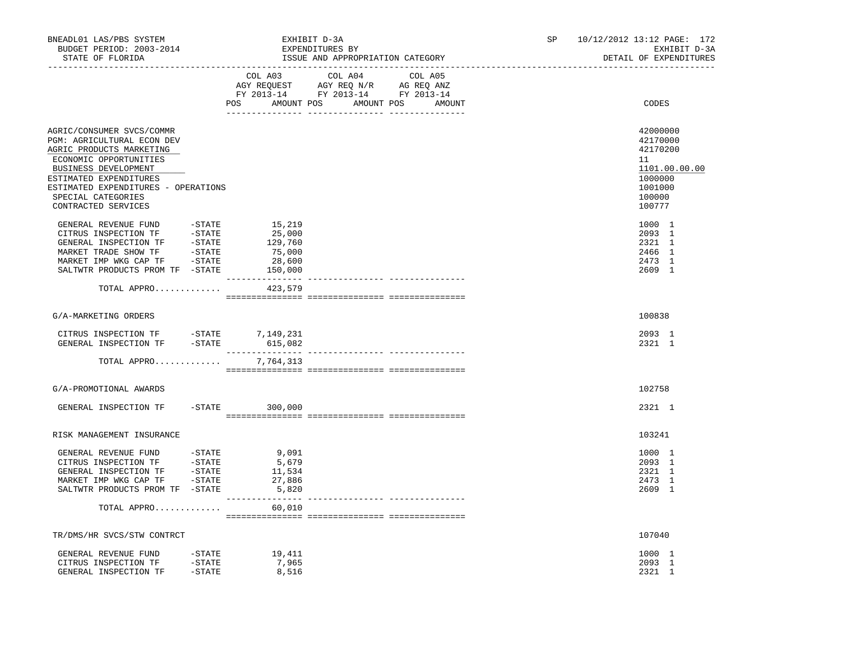| BNEADL01 LAS/PBS SYSTEM<br>BUDGET PERIOD: 2003-2014<br>STATE OF FLORIDA<br>-------------------                                                                                                                                                      |                                                            | EXHIBIT D-3A<br>EXPENDITURES BY<br>ISSUE AND APPROPRIATION CATEGORY                                                                                                                                                                                                        | SP | 10/12/2012 13:12 PAGE: 172<br>EXHIBIT D-3A<br>DETAIL OF EXPENDITURES                              |
|-----------------------------------------------------------------------------------------------------------------------------------------------------------------------------------------------------------------------------------------------------|------------------------------------------------------------|----------------------------------------------------------------------------------------------------------------------------------------------------------------------------------------------------------------------------------------------------------------------------|----|---------------------------------------------------------------------------------------------------|
|                                                                                                                                                                                                                                                     |                                                            | COL A03 COL A04 COL A05<br>$\begin{tabular}{lllllllll} \bf AGY \,\,\, REQUEST \,\,\, & \bf AGY \,\, REQ \,\, N/R & \,\, AG \,\, REQ \,\, ANZ \\ \bf FY \,\, 2013-14 & \,\, FY \,\, 2013-14 & \,\, FY \,\, 2013-14 \\ \end{tabular}$<br>POS AMOUNT POS AMOUNT POS<br>AMOUNT |    | CODES                                                                                             |
| AGRIC/CONSUMER SVCS/COMMR<br>PGM: AGRICULTURAL ECON DEV<br>AGRIC PRODUCTS MARKETING<br>ECONOMIC OPPORTUNITIES<br>BUSINESS DEVELOPMENT<br>ESTIMATED EXPENDITURES<br>ESTIMATED EXPENDITURES - OPERATIONS<br>SPECIAL CATEGORIES<br>CONTRACTED SERVICES |                                                            |                                                                                                                                                                                                                                                                            |    | 42000000<br>42170000<br>42170200<br>11<br>1101.00.00.00<br>1000000<br>1001000<br>100000<br>100777 |
| GENERAL REVENUE FUND -STATE<br>CITRUS INSPECTION TF -STATE<br>GENERAL INSPECTION TF -STATE<br>MARKET TRADE SHOW TF -STATE<br>MARKET IMP WKG CAP TF -STATE<br>SALTWTR PRODUCTS PROM TF -STATE                                                        | 15,219<br>25,000<br>129,760<br>75,000<br>28,600<br>150,000 |                                                                                                                                                                                                                                                                            |    | 1000 1<br>2093 1<br>2321 1<br>2466 1<br>2473 1<br>2609 1                                          |
| TOTAL APPRO                                                                                                                                                                                                                                         | 423,579                                                    |                                                                                                                                                                                                                                                                            |    |                                                                                                   |
| G/A-MARKETING ORDERS                                                                                                                                                                                                                                |                                                            |                                                                                                                                                                                                                                                                            |    | 100838                                                                                            |
| CITRUS INSPECTION TF -STATE 7,149,231<br>GENERAL INSPECTION TF -STATE 615,082                                                                                                                                                                       |                                                            |                                                                                                                                                                                                                                                                            |    | 2093 1<br>2321 1                                                                                  |
| TOTAL APPRO                                                                                                                                                                                                                                         | 7,764,313                                                  |                                                                                                                                                                                                                                                                            |    |                                                                                                   |
| G/A-PROMOTIONAL AWARDS                                                                                                                                                                                                                              |                                                            |                                                                                                                                                                                                                                                                            |    | 102758                                                                                            |
| GENERAL INSPECTION TF                                                                                                                                                                                                                               | $-$ STATE 300,000                                          |                                                                                                                                                                                                                                                                            |    | 2321 1                                                                                            |
| RISK MANAGEMENT INSURANCE                                                                                                                                                                                                                           |                                                            |                                                                                                                                                                                                                                                                            |    | 103241                                                                                            |
| GENERAL REVENUE FUND -STATE<br>CITRUS INSPECTION TF -STATE<br>GENERAL INSPECTION TF -STATE<br>MARKET IMP WKG CAP TF -STATE<br>SALTWTR PRODUCTS PROM TF -STATE                                                                                       | 9.091<br>5,679<br>11,534<br>27,886<br>5,820                |                                                                                                                                                                                                                                                                            |    | 1000 1<br>2093 1<br>2321 1<br>2473 1<br>2609 1                                                    |
| TOTAL APPRO                                                                                                                                                                                                                                         | 60,010                                                     |                                                                                                                                                                                                                                                                            |    |                                                                                                   |
| TR/DMS/HR SVCS/STW CONTRCT                                                                                                                                                                                                                          |                                                            |                                                                                                                                                                                                                                                                            |    | 107040                                                                                            |
| GENERAL REVENUE FUND -STATE<br>CITRUS INSPECTION TF -STATE<br>GENERAL INSPECTION TF -STATE                                                                                                                                                          | 19,411<br>7,965<br>8,516                                   |                                                                                                                                                                                                                                                                            |    | 1000 1<br>2093 1<br>2321 1                                                                        |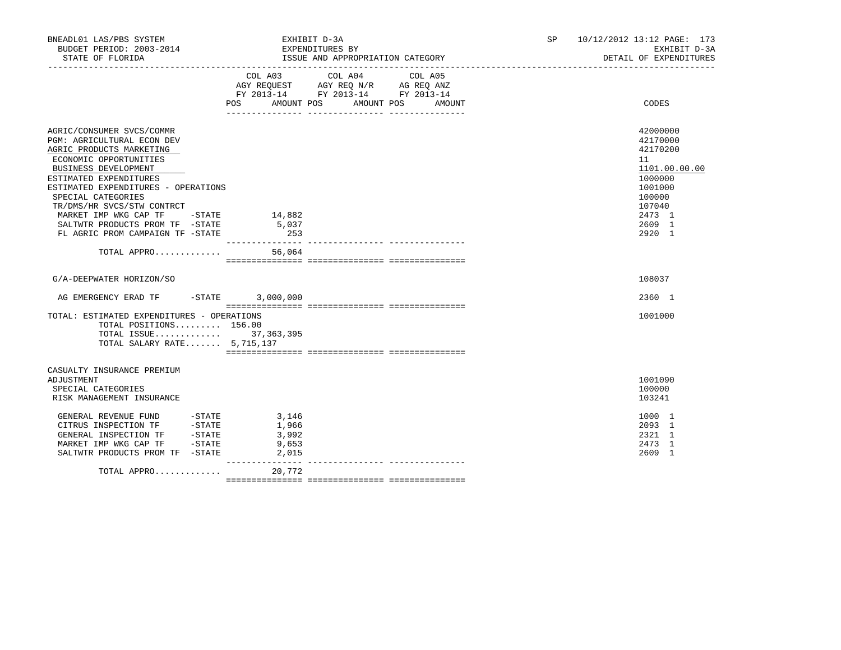| BNEADL01 LAS/PBS SYSTEM<br>BUDGET PERIOD: 2003-2014<br>STATE OF FLORIDA                                                                                                                                                                                                                                                                                            |                                           | EXHIBIT D-3A<br>EXPENDITURES BY<br>ISSUE AND APPROPRIATION CATEGORY                                                                         | 10/12/2012 13:12 PAGE: 173<br>SP <sub>2</sub><br>EXHIBIT D-3A<br>DETAIL OF EXPENDITURES                                         |
|--------------------------------------------------------------------------------------------------------------------------------------------------------------------------------------------------------------------------------------------------------------------------------------------------------------------------------------------------------------------|-------------------------------------------|---------------------------------------------------------------------------------------------------------------------------------------------|---------------------------------------------------------------------------------------------------------------------------------|
|                                                                                                                                                                                                                                                                                                                                                                    |                                           | COL A03 COL A04<br>COL A05<br>AGY REQUEST AGY REQ N/R AG REQ ANZ<br>FY 2013-14 FY 2013-14 FY 2013-14<br>POS AMOUNT POS AMOUNT POS<br>AMOUNT | CODES                                                                                                                           |
| AGRIC/CONSUMER SVCS/COMMR<br>PGM: AGRICULTURAL ECON DEV<br>AGRIC PRODUCTS MARKETING<br>ECONOMIC OPPORTUNITIES<br>BUSINESS DEVELOPMENT<br>ESTIMATED EXPENDITURES<br>ESTIMATED EXPENDITURES - OPERATIONS<br>SPECIAL CATEGORIES<br>TR/DMS/HR SVCS/STW CONTRCT<br>MARKET IMP WKG CAP TF - STATE<br>SALTWTR PRODUCTS PROM TF -STATE<br>FL AGRIC PROM CAMPAIGN TF -STATE | 14,882<br>5,037<br>253                    |                                                                                                                                             | 42000000<br>42170000<br>42170200<br>11<br>1101.00.00.00<br>1000000<br>1001000<br>100000<br>107040<br>2473 1<br>2609 1<br>2920 1 |
| TOTAL APPRO 56,064                                                                                                                                                                                                                                                                                                                                                 |                                           |                                                                                                                                             |                                                                                                                                 |
| G/A-DEEPWATER HORIZON/SO                                                                                                                                                                                                                                                                                                                                           |                                           |                                                                                                                                             | 108037                                                                                                                          |
| AG EMERGENCY ERAD TF -STATE 3,000,000                                                                                                                                                                                                                                                                                                                              |                                           |                                                                                                                                             | 2360 1                                                                                                                          |
| TOTAL: ESTIMATED EXPENDITURES - OPERATIONS<br>TOTAL POSITIONS 156.00<br>TOTAL ISSUE 37,363,395<br>TOTAL SALARY RATE 5,715,137                                                                                                                                                                                                                                      |                                           |                                                                                                                                             | 1001000                                                                                                                         |
| CASUALTY INSURANCE PREMIUM<br>ADJUSTMENT<br>SPECIAL CATEGORIES<br>RISK MANAGEMENT INSURANCE                                                                                                                                                                                                                                                                        |                                           |                                                                                                                                             | 1001090<br>100000<br>103241                                                                                                     |
| GENERAL REVENUE FUND -STATE<br>$-STATE$<br>CITRUS INSPECTION TF<br>GENERAL INSPECTION TF -STATE<br>MARKET IMP WKG CAP TF -STATE<br>SALTWTR PRODUCTS PROM TF -STATE                                                                                                                                                                                                 | 3,146<br>1,966<br>3,992<br>9,653<br>2,015 |                                                                                                                                             | 1000 1<br>2093 1<br>2321 1<br>2473 1<br>2609 1                                                                                  |
| TOTAL APPRO                                                                                                                                                                                                                                                                                                                                                        | 20,772                                    |                                                                                                                                             |                                                                                                                                 |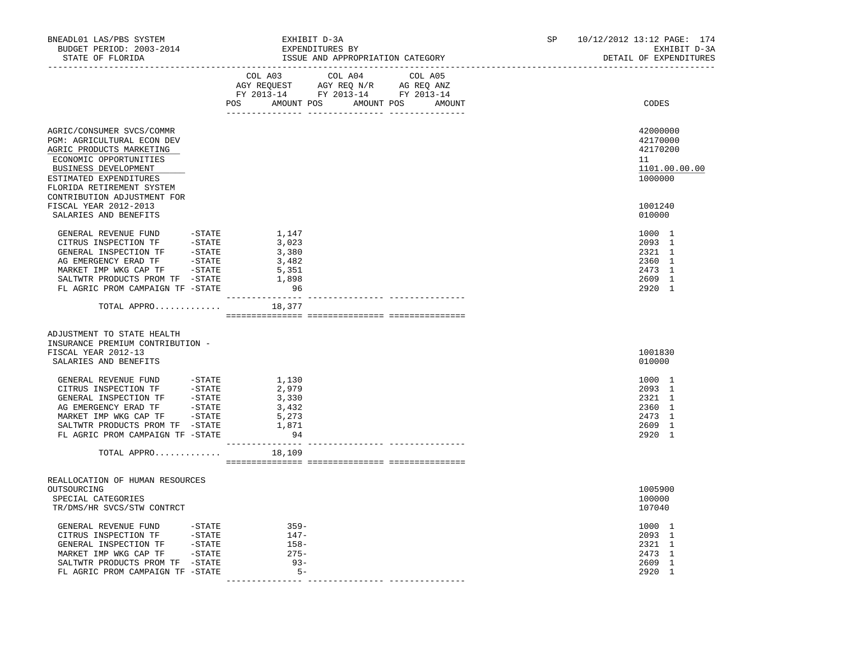| BNEADL01 LAS/PBS SYSTEM<br>BUDGET PERIOD: 2003-2014<br>STATE OF FLORIDA<br>------------------                                                                                                                                         | EXHIBIT D-3A<br>EXPENDITURES BY<br>ISSUE AND APPROPRIATION CATEGORY                                                                   | SP <sub>2</sub><br>10/12/2012 13:12 PAGE: 174<br>EXHIBIT D-3A<br>DETAIL OF EXPENDITURES |
|---------------------------------------------------------------------------------------------------------------------------------------------------------------------------------------------------------------------------------------|---------------------------------------------------------------------------------------------------------------------------------------|-----------------------------------------------------------------------------------------|
|                                                                                                                                                                                                                                       | COL A03 COL A04 COL A05<br>AGY REQUEST AGY REQ N/R AG REQ ANZ<br>FY 2013-14 FY 2013-14 FY 2013-14<br>POS AMOUNT POS AMOUNT POS AMOUNT | CODES                                                                                   |
| AGRIC/CONSUMER SVCS/COMMR<br>PGM: AGRICULTURAL ECON DEV<br>AGRIC PRODUCTS MARKETING<br>ECONOMIC OPPORTUNITIES<br>BUSINESS DEVELOPMENT<br>ESTIMATED EXPENDITURES<br>FLORIDA RETIREMENT SYSTEM<br>CONTRIBUTION ADJUSTMENT FOR           |                                                                                                                                       | 42000000<br>42170000<br>42170200<br>11<br>1101.00.00.00<br>1000000                      |
| FISCAL YEAR 2012-2013<br>SALARIES AND BENEFITS                                                                                                                                                                                        |                                                                                                                                       | 1001240<br>010000                                                                       |
| GENERAL REVENUE FUND -STATE<br>CITRUS INSPECTION TF -STATE<br>CHERAL INSPECTION TF - STATE<br>AG EMERGENCY ERAD TF - STATE<br>MARKET IMP WKG CAP TF - STATE<br>SALTWTR PRODUCTS PROM TF -STATE<br>FL AGRIC PROM CAMPAIGN TF -STATE    | 1,147<br>3,023<br>3,380<br>3,482<br>5,351<br>1,898<br>96                                                                              | 1000 1<br>2093 1<br>2321 1<br>2360 1<br>2473 1<br>2609 1<br>2920 1                      |
| TOTAL APPRO $18,377$                                                                                                                                                                                                                  |                                                                                                                                       |                                                                                         |
| ADJUSTMENT TO STATE HEALTH<br>INSURANCE PREMIUM CONTRIBUTION -<br>FISCAL YEAR 2012-13<br>SALARIES AND BENEFITS                                                                                                                        |                                                                                                                                       | 1001830<br>010000                                                                       |
| GENERAL REVENUE FUND - STATE<br>CITRUS INSPECTION TF - STATE<br>GENERAL INSPECTION TF - STATE<br>AG EMERGENCY ERAD TF - STATE<br>MARKET IMP WKG CAP TF - STATE<br>SALTWTR PRODUCTS PROM TF -STATE<br>FL AGRIC PROM CAMPAIGN TF -STATE | 1,130<br>2,979<br>3,330<br>3,432<br>5,273<br>$\frac{1}{1}, \frac{871}{94}$                                                            | 1000 1<br>2093 1<br>2321 1<br>2360 1<br>2473 1<br>2609 1<br>2920 1                      |
| TOTAL APPRO                                                                                                                                                                                                                           | 18,109                                                                                                                                |                                                                                         |
| REALLOCATION OF HUMAN RESOURCES<br>OUTSOURCING<br>SPECIAL CATEGORIES<br>TR/DMS/HR SVCS/STW CONTRCT                                                                                                                                    |                                                                                                                                       | 1005900<br>100000<br>107040                                                             |
| GENERAL REVENUE FUND -STATE<br>CITRUS INSPECTION TF -STATE<br>-STATE<br>-STATE<br>-STATE<br>GENERAL INSPECTION TF<br>MARKET IMP WKG CAP TF<br>SALTWTR PRODUCTS PROM TF -STATE<br>FL AGRIC PROM CAMPAIGN TF -STATE                     | $359-$<br>147-<br>$158 -$<br>$275-$<br>$93-$<br>$5 -$                                                                                 | 1000 1<br>2093 1<br>2321 1<br>2473 1<br>2609 1<br>2920 1                                |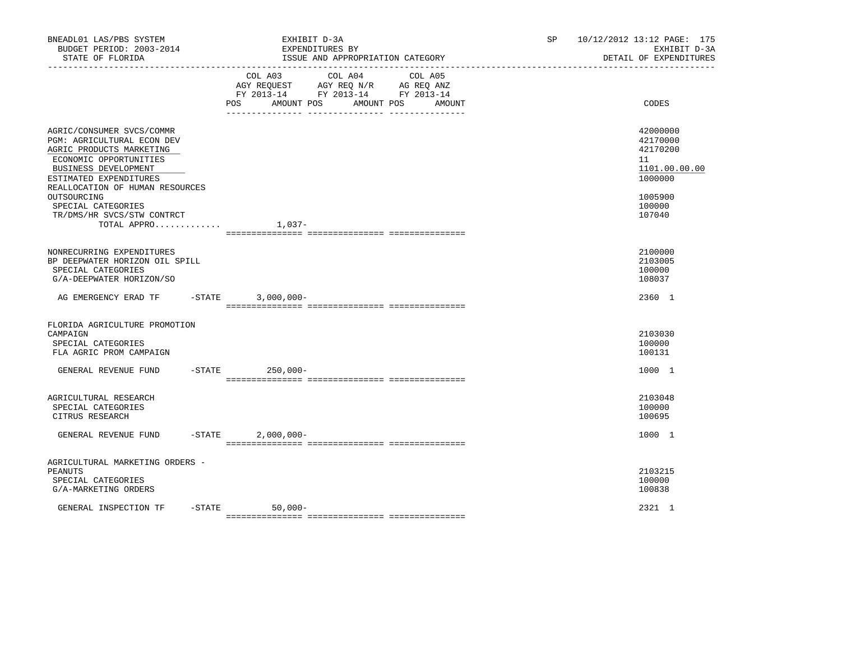| BNEADL01 LAS/PBS SYSTEM<br>BUDGET PERIOD: 2003-2014<br>STATE OF FLORIDA                                                                                                                                                                                                              |           | EXHIBIT D-3A<br>EXPENDITURES BY<br>ISSUE AND APPROPRIATION CATEGORY                                                                                               | SP     | 10/12/2012 13:12 PAGE: 175<br>EXHIBIT D-3A<br>DETAIL OF EXPENDITURES                              |
|--------------------------------------------------------------------------------------------------------------------------------------------------------------------------------------------------------------------------------------------------------------------------------------|-----------|-------------------------------------------------------------------------------------------------------------------------------------------------------------------|--------|---------------------------------------------------------------------------------------------------|
|                                                                                                                                                                                                                                                                                      |           | COL A03<br>COL A04<br>COL A05<br>AGY REQUEST AGY REQ N/R AG REQ ANZ<br>FY 2013-14 FY 2013-14 FY 2013-14<br>POS<br>AMOUNT POS<br>AMOUNT POS<br>____ ______________ | AMOUNT | CODES                                                                                             |
| AGRIC/CONSUMER SVCS/COMMR<br>PGM: AGRICULTURAL ECON DEV<br>AGRIC PRODUCTS MARKETING<br>ECONOMIC OPPORTUNITIES<br>BUSINESS DEVELOPMENT<br>ESTIMATED EXPENDITURES<br>REALLOCATION OF HUMAN RESOURCES<br>OUTSOURCING<br>SPECIAL CATEGORIES<br>TR/DMS/HR SVCS/STW CONTRCT<br>TOTAL APPRO |           | $1,037-$                                                                                                                                                          |        | 42000000<br>42170000<br>42170200<br>11<br>1101.00.00.00<br>1000000<br>1005900<br>100000<br>107040 |
| NONRECURRING EXPENDITURES<br>BP DEEPWATER HORIZON OIL SPILL<br>SPECIAL CATEGORIES<br>G/A-DEEPWATER HORIZON/SO                                                                                                                                                                        |           |                                                                                                                                                                   |        | 2100000<br>2103005<br>100000<br>108037                                                            |
| AG EMERGENCY ERAD TF - STATE                                                                                                                                                                                                                                                         |           | $3,000,000 -$                                                                                                                                                     |        | 2360 1                                                                                            |
| FLORIDA AGRICULTURE PROMOTION<br>CAMPAIGN<br>SPECIAL CATEGORIES<br>FLA AGRIC PROM CAMPAIGN<br>GENERAL REVENUE FUND                                                                                                                                                                   | $-$ STATE | $250,000 -$                                                                                                                                                       |        | 2103030<br>100000<br>100131<br>1000 1                                                             |
| AGRICULTURAL RESEARCH<br>SPECIAL CATEGORIES<br>CITRUS RESEARCH                                                                                                                                                                                                                       |           |                                                                                                                                                                   |        | 2103048<br>100000<br>100695                                                                       |
| GENERAL REVENUE FUND                                                                                                                                                                                                                                                                 | $-$ STATE | $2,000,000 -$                                                                                                                                                     |        | 1000 1                                                                                            |
| AGRICULTURAL MARKETING ORDERS -<br>PEANUTS<br>SPECIAL CATEGORIES<br>G/A-MARKETING ORDERS                                                                                                                                                                                             |           |                                                                                                                                                                   |        | 2103215<br>100000<br>100838                                                                       |
| GENERAL INSPECTION TF                                                                                                                                                                                                                                                                | $-$ STATE | $50,000-$                                                                                                                                                         |        | 2321 1                                                                                            |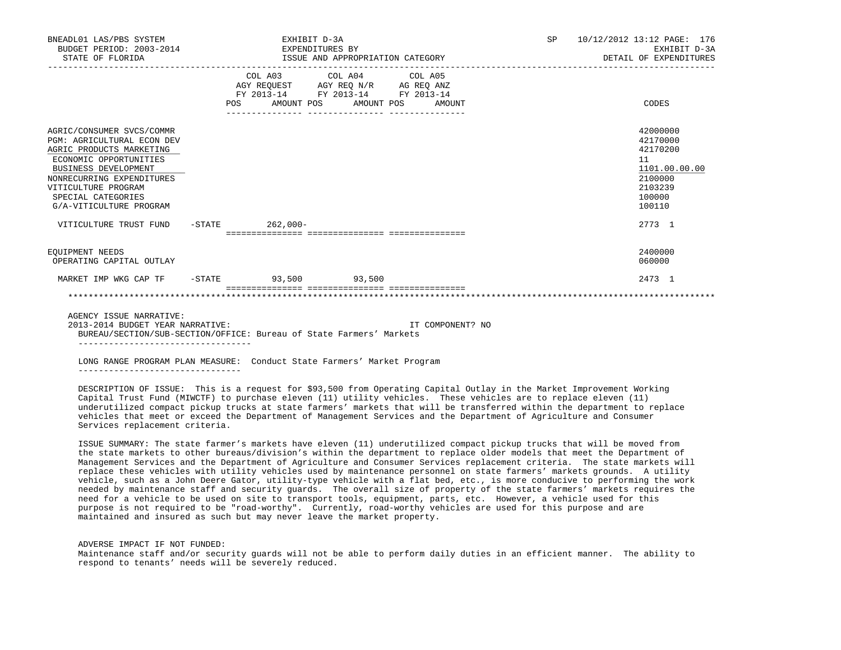| BNEADL01 LAS/PBS SYSTEM<br>BUDGET PERIOD: 2003-2014<br>STATE OF FLORIDA                                                                                                                                                                                                                            | EXPENDITURES BY      | EXHIBIT D-3A<br>ISSUE AND APPROPRIATION CATEGORY                                                  |                              | SP | 10/12/2012 13:12 PAGE: 176<br>EXHIBIT D-3A<br>DETAIL OF EXPENDITURES                                        |
|----------------------------------------------------------------------------------------------------------------------------------------------------------------------------------------------------------------------------------------------------------------------------------------------------|----------------------|---------------------------------------------------------------------------------------------------|------------------------------|----|-------------------------------------------------------------------------------------------------------------|
|                                                                                                                                                                                                                                                                                                    | POS                  | COL A03 COL A04 COL A05<br>AGY REQUEST AGY REQ N/R AG REQ ANZ<br>FY 2013-14 FY 2013-14 FY 2013-14 | AMOUNT POS AMOUNT POS AMOUNT |    | CODES                                                                                                       |
| AGRIC/CONSUMER SVCS/COMMR<br><b>PGM: AGRICULTURAL ECON DEV</b><br>AGRIC PRODUCTS MARKETING<br>ECONOMIC OPPORTUNITIES<br><b>BUSINESS DEVELOPMENT</b><br>NONRECURRING EXPENDITURES<br>VITICULTURE PROGRAM<br>SPECIAL CATEGORIES<br>G/A-VITICULTURE PROGRAM<br>VITICULTURE TRUST FUND -STATE 262,000- |                      |                                                                                                   |                              |    | 42000000<br>42170000<br>42170200<br>11<br>1101.00.00.00<br>2100000<br>2103239<br>100000<br>100110<br>2773 1 |
| EOUIPMENT NEEDS<br>OPERATING CAPITAL OUTLAY                                                                                                                                                                                                                                                        |                      |                                                                                                   |                              |    | 2400000<br>060000                                                                                           |
| MARKET IMP WKG CAP TF                                                                                                                                                                                                                                                                              | -STATE 93,500 93,500 |                                                                                                   |                              |    | 2473 1                                                                                                      |
|                                                                                                                                                                                                                                                                                                    |                      |                                                                                                   |                              |    |                                                                                                             |

 AGENCY ISSUE NARRATIVE: 2013-2014 BUDGET YEAR NARRATIVE: IT COMPONENT? NO BUREAU/SECTION/SUB-SECTION/OFFICE: Bureau of State Farmers' Markets ----------------------------------

 LONG RANGE PROGRAM PLAN MEASURE: Conduct State Farmers' Market Program --------------------------------

 DESCRIPTION OF ISSUE: This is a request for \$93,500 from Operating Capital Outlay in the Market Improvement Working Capital Trust Fund (MIWCTF) to purchase eleven (11) utility vehicles. These vehicles are to replace eleven (11) underutilized compact pickup trucks at state farmers' markets that will be transferred within the department to replace vehicles that meet or exceed the Department of Management Services and the Department of Agriculture and Consumer Services replacement criteria.

 ISSUE SUMMARY: The state farmer's markets have eleven (11) underutilized compact pickup trucks that will be moved from the state markets to other bureaus/division's within the department to replace older models that meet the Department of Management Services and the Department of Agriculture and Consumer Services replacement criteria. The state markets will replace these vehicles with utility vehicles used by maintenance personnel on state farmers' markets grounds. A utility vehicle, such as a John Deere Gator, utility-type vehicle with a flat bed, etc., is more conducive to performing the work needed by maintenance staff and security guards. The overall size of property of the state farmers' markets requires the need for a vehicle to be used on site to transport tools, equipment, parts, etc. However, a vehicle used for this purpose is not required to be "road-worthy". Currently, road-worthy vehicles are used for this purpose and are maintained and insured as such but may never leave the market property.

 ADVERSE IMPACT IF NOT FUNDED: Maintenance staff and/or security guards will not be able to perform daily duties in an efficient manner. The ability to respond to tenants' needs will be severely reduced.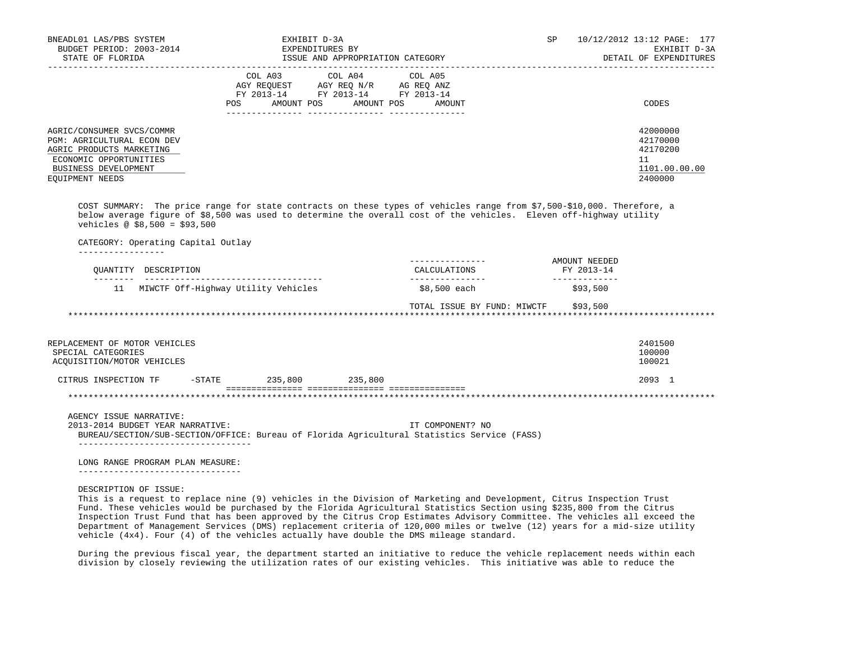| BNEADL01 LAS/PBS SYSTEM<br>BUDGET PERIOD: 2003-2014<br>STATE OF FLORIDA                                                                                                                                                                                                       | EXHIBIT D-3A<br>EXPENDITURES BY                                                                                                                                                                                                                                                                                                                                                                                                                                               | ISSUE AND APPROPRIATION CATEGORY | SP <sub>2</sub>                      | 10/12/2012 13:12 PAGE: 177<br>EXHIBIT D-3A<br>DETAIL OF EXPENDITURES |
|-------------------------------------------------------------------------------------------------------------------------------------------------------------------------------------------------------------------------------------------------------------------------------|-------------------------------------------------------------------------------------------------------------------------------------------------------------------------------------------------------------------------------------------------------------------------------------------------------------------------------------------------------------------------------------------------------------------------------------------------------------------------------|----------------------------------|--------------------------------------|----------------------------------------------------------------------|
|                                                                                                                                                                                                                                                                               | $\begin{tabular}{lllllllllll} &\multicolumn{4}{c}{\text{COL A03}} &\multicolumn{4}{c}{\text{COL A04}} &\multicolumn{4}{c}{\text{COL A05}}\\ &\multicolumn{4}{c}{\text{AGY REQUEST}} &\multicolumn{4}{c}{\text{AGY REQ}} &\multicolumn{4}{c}{\text{N/Y}} &\multicolumn{4}{c}{\text{AG REQ ANZ}}\\ &\multicolumn{4}{c}{\text{FGY A03--14}} &\multicolumn{4}{c}{\text{FY 2013--14}} &\multicolumn{4}{c}{\text{FY 2013--14}}\\ \end{tabular}$<br>POS AMOUNT POS AMOUNT POS AMOUNT |                                  |                                      | -----------------------<br>CODES                                     |
| AGRIC/CONSUMER SVCS/COMMR<br>PGM: AGRICULTURAL ECON DEV<br>AGRIC PRODUCTS MARKETING<br>ECONOMIC OPPORTUNITIES<br>BUSINESS DEVELOPMENT<br>EQUIPMENT NEEDS                                                                                                                      |                                                                                                                                                                                                                                                                                                                                                                                                                                                                               |                                  |                                      | 42000000<br>42170000<br>42170200<br>11<br>1101.00.00.00<br>2400000   |
| COST SUMMARY: The price range for state contracts on these types of vehicles range from \$7,500-\$10,000. Therefore, a<br>below average figure of \$8,500 was used to determine the overall cost of the vehicles. Eleven off-highway utility<br>vehicles @ $$8,500 = $93,500$ |                                                                                                                                                                                                                                                                                                                                                                                                                                                                               |                                  |                                      |                                                                      |
| CATEGORY: Operating Capital Outlay<br>--------------                                                                                                                                                                                                                          |                                                                                                                                                                                                                                                                                                                                                                                                                                                                               |                                  |                                      |                                                                      |
| OUANTITY DESCRIPTION                                                                                                                                                                                                                                                          |                                                                                                                                                                                                                                                                                                                                                                                                                                                                               | ---------------<br>CALCULATIONS  | AMOUNT NEEDED<br>FY 2013-14          |                                                                      |
|                                                                                                                                                                                                                                                                               | 11 MIWCTF Off-Highway Utility Vehicles                                                                                                                                                                                                                                                                                                                                                                                                                                        | ________________<br>\$8,500 each | ______________<br>\$93,500           |                                                                      |
|                                                                                                                                                                                                                                                                               |                                                                                                                                                                                                                                                                                                                                                                                                                                                                               |                                  | TOTAL ISSUE BY FUND: MIWCTF \$93,500 |                                                                      |
|                                                                                                                                                                                                                                                                               |                                                                                                                                                                                                                                                                                                                                                                                                                                                                               |                                  |                                      |                                                                      |
| REPLACEMENT OF MOTOR VEHICLES<br>SPECIAL CATEGORIES<br>ACQUISITION/MOTOR VEHICLES                                                                                                                                                                                             |                                                                                                                                                                                                                                                                                                                                                                                                                                                                               |                                  |                                      | 2401500<br>100000<br>100021                                          |
| CITRUS INSPECTION TF -STATE 235,800 235,800                                                                                                                                                                                                                                   |                                                                                                                                                                                                                                                                                                                                                                                                                                                                               |                                  |                                      | 2093 1                                                               |
|                                                                                                                                                                                                                                                                               |                                                                                                                                                                                                                                                                                                                                                                                                                                                                               |                                  |                                      |                                                                      |
| AGENCY ISSUE NARRATIVE:<br>2013-2014 BUDGET YEAR NARRATIVE:<br>BUREAU/SECTION/SUB-SECTION/OFFICE: Bureau of Florida Agricultural Statistics Service (FASS)<br>____________________________________                                                                            |                                                                                                                                                                                                                                                                                                                                                                                                                                                                               | IT COMPONENT? NO                 |                                      |                                                                      |
| LONG RANGE PROGRAM PLAN MEASURE:<br>---------------------------------                                                                                                                                                                                                         |                                                                                                                                                                                                                                                                                                                                                                                                                                                                               |                                  |                                      |                                                                      |
| DESCRIPTION OF ISSUE:<br>This is a request to replace nine (9) vehicles in the Division of Marketing and Development, Citrus Inspection Trust                                                                                                                                 |                                                                                                                                                                                                                                                                                                                                                                                                                                                                               |                                  |                                      |                                                                      |

 Fund. These vehicles would be purchased by the Florida Agricultural Statistics Section using \$235,800 from the Citrus Inspection Trust Fund that has been approved by the Citrus Crop Estimates Advisory Committee. The vehicles all exceed the Department of Management Services (DMS) replacement criteria of 120,000 miles or twelve (12) years for a mid-size utility vehicle (4x4). Four (4) of the vehicles actually have double the DMS mileage standard.

 During the previous fiscal year, the department started an initiative to reduce the vehicle replacement needs within each division by closely reviewing the utilization rates of our existing vehicles. This initiative was able to reduce the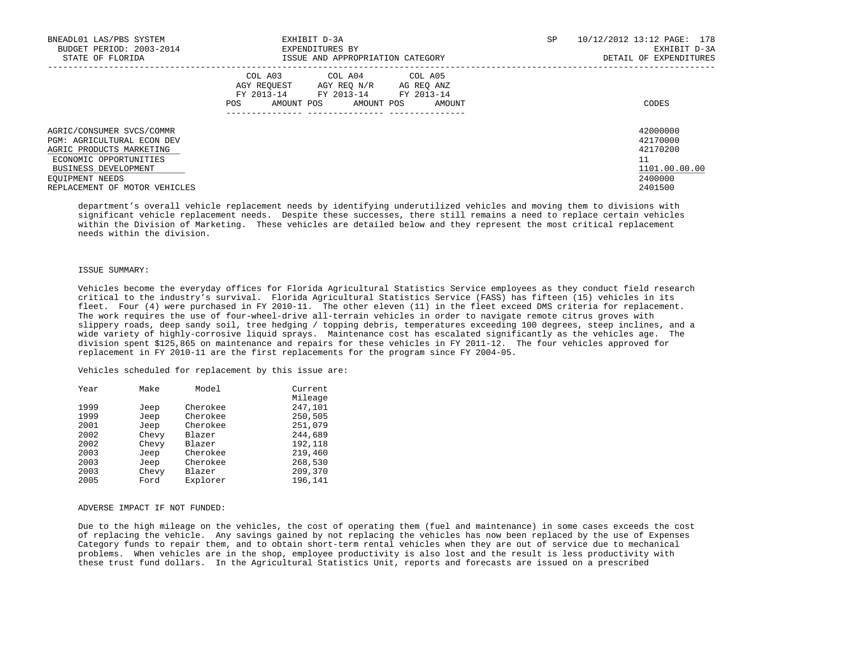| BNEADL01 LAS/PBS SYSTEM<br>BUDGET PERIOD: 2003-2014<br>STATE OF FLORIDA                                                                                         | EXHIBIT D-3A<br>EXPENDITURES BY<br>ISSUE AND APPROPRIATION CATEGORY                                                                                                       | SP | 10/12/2012 13:12 PAGE: 178<br>EXHIBIT D-3A<br>DETAIL OF EXPENDITURES |
|-----------------------------------------------------------------------------------------------------------------------------------------------------------------|---------------------------------------------------------------------------------------------------------------------------------------------------------------------------|----|----------------------------------------------------------------------|
|                                                                                                                                                                 | COL A04 COL A05<br>COL A03<br>AGY REOUEST AGY REO N/R<br>AG REO ANZ<br>FY 2013-14<br>FY 2013-14 FY 2013-14<br>AMOUNT POS<br>AMOUNT POS<br>POS<br>AMOUNT<br>-------------- |    | CODES                                                                |
| AGRIC/CONSUMER SVCS/COMMR<br><b>PGM: AGRICULTURAL ECON DEV</b><br>AGRIC PRODUCTS MARKETING<br>ECONOMIC OPPORTUNITIES<br>BUSINESS DEVELOPMENT<br>EOUIPMENT NEEDS |                                                                                                                                                                           |    | 42000000<br>42170000<br>42170200<br>11<br>1101.00.00.00<br>2400000   |
| REPLACEMENT OF MOTOR VEHICLES                                                                                                                                   |                                                                                                                                                                           |    | 2401500                                                              |

 department's overall vehicle replacement needs by identifying underutilized vehicles and moving them to divisions with significant vehicle replacement needs. Despite these successes, there still remains a need to replace certain vehicles within the Division of Marketing. These vehicles are detailed below and they represent the most critical replacement needs within the division.

## ISSUE SUMMARY:

 Vehicles become the everyday offices for Florida Agricultural Statistics Service employees as they conduct field research critical to the industry's survival. Florida Agricultural Statistics Service (FASS) has fifteen (15) vehicles in its fleet. Four (4) were purchased in FY 2010-11. The other eleven (11) in the fleet exceed DMS criteria for replacement. The work requires the use of four-wheel-drive all-terrain vehicles in order to navigate remote citrus groves with slippery roads, deep sandy soil, tree hedging / topping debris, temperatures exceeding 100 degrees, steep inclines, and a wide variety of highly-corrosive liquid sprays. Maintenance cost has escalated significantly as the vehicles age. The division spent \$125,865 on maintenance and repairs for these vehicles in FY 2011-12. The four vehicles approved for replacement in FY 2010-11 are the first replacements for the program since FY 2004-05.

Vehicles scheduled for replacement by this issue are:

| Year | Make  | Model    | Current |
|------|-------|----------|---------|
|      |       |          | Mileage |
| 1999 | Jeep  | Cherokee | 247,101 |
| 1999 | Jeep  | Cherokee | 250,505 |
| 2001 | Jeep  | Cherokee | 251,079 |
| 2002 | Chevy | Blazer   | 244,689 |
| 2002 | Chevy | Blazer   | 192,118 |
| 2003 | Jeep  | Cherokee | 219,460 |
| 2003 | Jeep  | Cherokee | 268,530 |
| 2003 | Chevy | Blazer   | 209,370 |
| 2005 | Ford  | Explorer | 196,141 |

## ADVERSE IMPACT IF NOT FUNDED:

 Due to the high mileage on the vehicles, the cost of operating them (fuel and maintenance) in some cases exceeds the cost of replacing the vehicle. Any savings gained by not replacing the vehicles has now been replaced by the use of Expenses Category funds to repair them, and to obtain short-term rental vehicles when they are out of service due to mechanical problems. When vehicles are in the shop, employee productivity is also lost and the result is less productivity with these trust fund dollars. In the Agricultural Statistics Unit, reports and forecasts are issued on a prescribed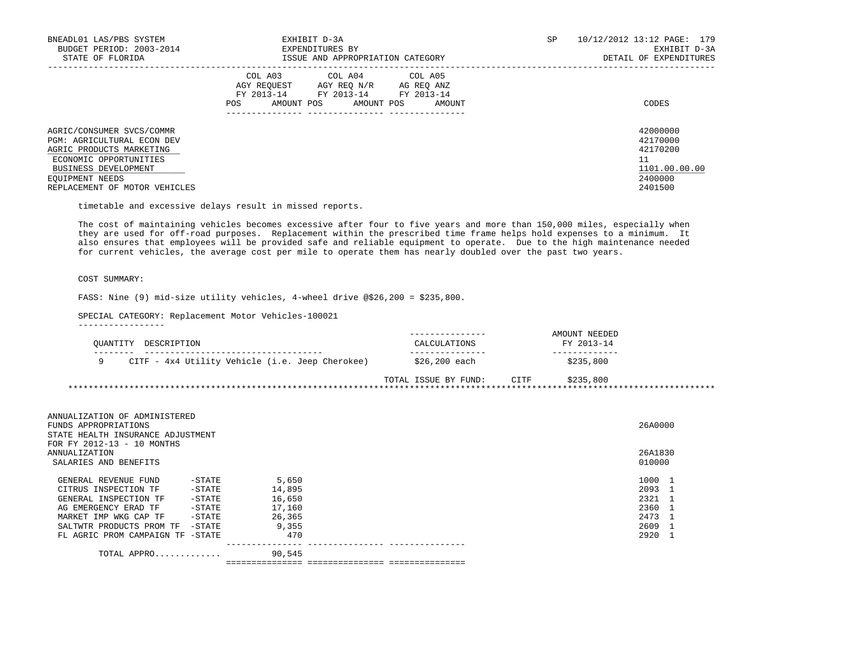| BNEADL01 LAS/PBS SYSTEM<br>BUDGET PERIOD: 2003-2014<br>STATE OF FLORIDA                                                                                                                          | EXHIBIT D-3A<br>EXPENDITURES BY<br>ISSUE AND APPROPRIATION CATEGORY                                                                                  | SP. | 10/12/2012 13:12 PAGE: 179<br>EXHIBIT D-3A<br>DETAIL OF EXPENDITURES          |
|--------------------------------------------------------------------------------------------------------------------------------------------------------------------------------------------------|------------------------------------------------------------------------------------------------------------------------------------------------------|-----|-------------------------------------------------------------------------------|
|                                                                                                                                                                                                  | COL A03<br>COL A04 COL A05<br>AGY REOUEST<br>AGY REQ N/R AG REQ ANZ<br>FY 2013-14 FY 2013-14 FY 2013-14<br>AMOUNT POS<br>AMOUNT POS<br>POS<br>AMOUNT |     | CODES                                                                         |
| AGRIC/CONSUMER SVCS/COMMR<br><b>PGM: AGRICULTURAL ECON DEV</b><br>AGRIC PRODUCTS MARKETING<br>ECONOMIC OPPORTUNITIES<br>BUSINESS DEVELOPMENT<br>EOUIPMENT NEEDS<br>REPLACEMENT OF MOTOR VEHICLES |                                                                                                                                                      |     | 42000000<br>42170000<br>42170200<br>11<br>1101.00.00.00<br>2400000<br>2401500 |

timetable and excessive delays result in missed reports.

 The cost of maintaining vehicles becomes excessive after four to five years and more than 150,000 miles, especially when they are used for off-road purposes. Replacement within the prescribed time frame helps hold expenses to a minimum. It also ensures that employees will be provided safe and reliable equipment to operate. Due to the high maintenance needed for current vehicles, the average cost per mile to operate them has nearly doubled over the past two years.

# COST SUMMARY:

FASS: Nine (9) mid-size utility vehicles, 4-wheel drive @\$26,200 = \$235,800.

SPECIAL CATEGORY: Replacement Motor Vehicles-100021

-----------------

|                                                 |                      |      | AMOUNT NEEDED |  |
|-------------------------------------------------|----------------------|------|---------------|--|
| DESCRIPTION<br>OUANTITY                         | CALCULATIONS         |      | FY 2013-14    |  |
|                                                 |                      |      |               |  |
| CITF - 4x4 Utility Vehicle (i.e. Jeep Cherokee) | \$26,200 each        |      | \$235,800     |  |
|                                                 |                      |      |               |  |
|                                                 | TOTAL ISSUE BY FUND: | CITF | \$235,800     |  |
|                                                 |                      |      |               |  |

| ANNUALIZATION OF ADMINISTERED<br>STATE HEALTH INSURANCE ADJUSTMENT |        |                                   |                                                                                      |
|--------------------------------------------------------------------|--------|-----------------------------------|--------------------------------------------------------------------------------------|
|                                                                    |        |                                   |                                                                                      |
|                                                                    |        |                                   |                                                                                      |
| $-STATE$                                                           | 5,650  |                                   |                                                                                      |
| $-$ STATE                                                          | 14,895 |                                   |                                                                                      |
| $-$ STATE                                                          | 16,650 |                                   |                                                                                      |
| $-$ STATE                                                          | 17,160 |                                   |                                                                                      |
| $-$ STATE                                                          | 26,365 |                                   |                                                                                      |
| $-$ STATE                                                          | 9,355  |                                   |                                                                                      |
| FL AGRIC PROM CAMPAIGN TF<br>-STATE                                | 470    |                                   |                                                                                      |
| TOTAL APPRO                                                        | 90,545 |                                   |                                                                                      |
|                                                                    |        | ================================= | 26A0000<br>26A1830<br>010000<br>1000<br>2093<br>2321<br>2360<br>2473<br>2609<br>2920 |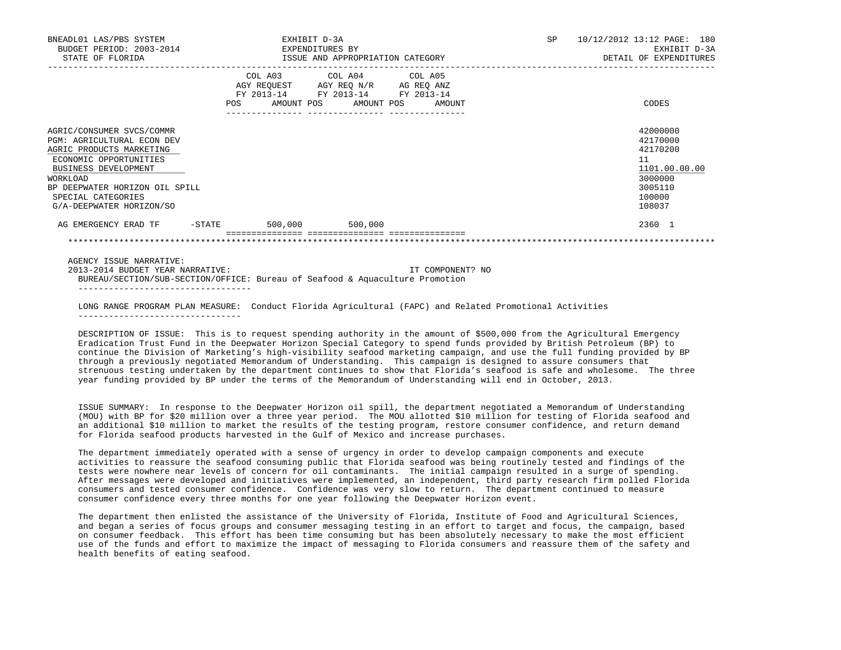| BNEADL01 LAS/PBS SYSTEM<br>BUDGET PERIOD: 2003-2014<br>STATE OF FLORIDA                                                                                                                                                                      | EXHIBIT D-3A<br>EXPENDITURES BY<br>ISSUE AND APPROPRIATION CATEGORY |                                                                                                   |  |                              |  | SP               | 10/12/2012 13:12 PAGE: 180<br>EXHIBIT D-3A<br>DETAIL OF EXPENDITURES |                                                                                                   |
|----------------------------------------------------------------------------------------------------------------------------------------------------------------------------------------------------------------------------------------------|---------------------------------------------------------------------|---------------------------------------------------------------------------------------------------|--|------------------------------|--|------------------|----------------------------------------------------------------------|---------------------------------------------------------------------------------------------------|
|                                                                                                                                                                                                                                              | <b>POS</b>                                                          | COL A03 COL A04 COL A05<br>AGY REQUEST AGY REQ N/R AG REQ ANZ<br>FY 2013-14 FY 2013-14 FY 2013-14 |  | AMOUNT POS AMOUNT POS AMOUNT |  |                  |                                                                      | CODES                                                                                             |
| AGRIC/CONSUMER SVCS/COMMR<br>PGM: AGRICULTURAL ECON DEV<br>AGRIC PRODUCTS MARKETING<br>ECONOMIC OPPORTUNITIES<br><b>BUSINESS DEVELOPMENT</b><br>WORKLOAD<br>BP DEEPWATER HORIZON OIL SPILL<br>SPECIAL CATEGORIES<br>G/A-DEEPWATER HORIZON/SO |                                                                     |                                                                                                   |  |                              |  |                  |                                                                      | 42000000<br>42170000<br>42170200<br>11<br>1101.00.00.00<br>3000000<br>3005110<br>100000<br>108037 |
| AG EMERGENCY ERAD TF  -STATE  500,000  500,000                                                                                                                                                                                               |                                                                     |                                                                                                   |  |                              |  |                  |                                                                      | 2360 1                                                                                            |
|                                                                                                                                                                                                                                              |                                                                     |                                                                                                   |  |                              |  |                  |                                                                      |                                                                                                   |
| AGENCY ISSUE NARRATIVE:<br>2013-2014 BUDGET YEAR NARRATIVE:                                                                                                                                                                                  |                                                                     |                                                                                                   |  |                              |  | IT COMPONENT? NO |                                                                      |                                                                                                   |

 BUREAU/SECTION/SUB-SECTION/OFFICE: Bureau of Seafood & Aquaculture Promotion ----------------------------------

 LONG RANGE PROGRAM PLAN MEASURE: Conduct Florida Agricultural (FAPC) and Related Promotional Activities --------------------------------

 DESCRIPTION OF ISSUE: This is to request spending authority in the amount of \$500,000 from the Agricultural Emergency Eradication Trust Fund in the Deepwater Horizon Special Category to spend funds provided by British Petroleum (BP) to continue the Division of Marketing's high-visibility seafood marketing campaign, and use the full funding provided by BP through a previously negotiated Memorandum of Understanding. This campaign is designed to assure consumers that strenuous testing undertaken by the department continues to show that Florida's seafood is safe and wholesome. The three year funding provided by BP under the terms of the Memorandum of Understanding will end in October, 2013.

 ISSUE SUMMARY: In response to the Deepwater Horizon oil spill, the department negotiated a Memorandum of Understanding (MOU) with BP for \$20 million over a three year period. The MOU allotted \$10 million for testing of Florida seafood and an additional \$10 million to market the results of the testing program, restore consumer confidence, and return demand for Florida seafood products harvested in the Gulf of Mexico and increase purchases.

 The department immediately operated with a sense of urgency in order to develop campaign components and execute activities to reassure the seafood consuming public that Florida seafood was being routinely tested and findings of the tests were nowhere near levels of concern for oil contaminants. The initial campaign resulted in a surge of spending. After messages were developed and initiatives were implemented, an independent, third party research firm polled Florida consumers and tested consumer confidence. Confidence was very slow to return. The department continued to measure consumer confidence every three months for one year following the Deepwater Horizon event.

 The department then enlisted the assistance of the University of Florida, Institute of Food and Agricultural Sciences, and began a series of focus groups and consumer messaging testing in an effort to target and focus, the campaign, based on consumer feedback. This effort has been time consuming but has been absolutely necessary to make the most efficient use of the funds and effort to maximize the impact of messaging to Florida consumers and reassure them of the safety and health benefits of eating seafood.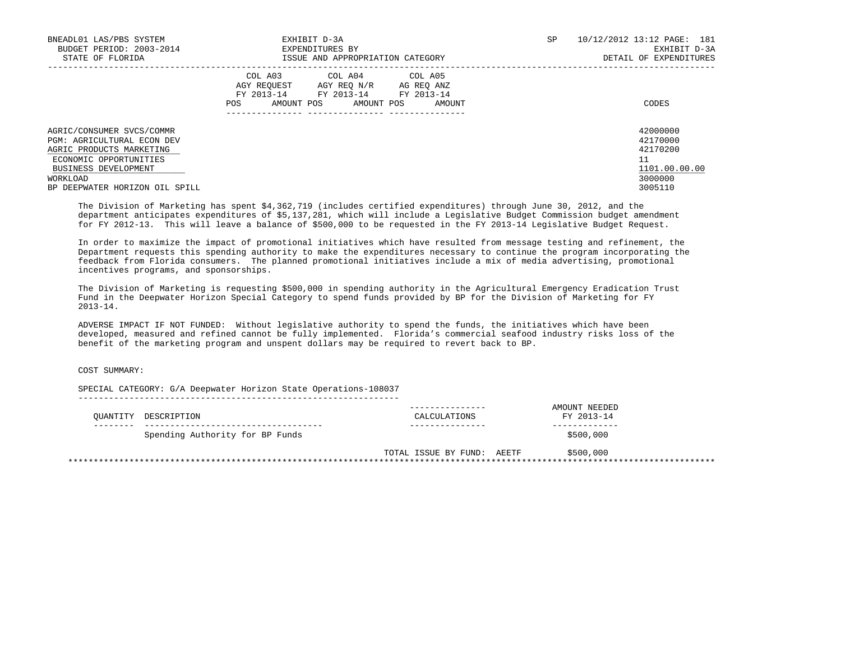| BNEADL01 LAS/PBS SYSTEM<br>BUDGET PERIOD: 2003-2014<br>STATE OF FLORIDA                                                                                                                    | EXHIBIT D-3A<br>EXPENDITURES BY<br>ISSUE AND APPROPRIATION CATEGORY                                                                                        | SP | 10/12/2012 13:12 PAGE: 181<br>EXHIBIT D-3A<br>DETAIL OF EXPENDITURES          |
|--------------------------------------------------------------------------------------------------------------------------------------------------------------------------------------------|------------------------------------------------------------------------------------------------------------------------------------------------------------|----|-------------------------------------------------------------------------------|
|                                                                                                                                                                                            | COL A04 COL A05<br>COL A03<br>AGY REOUEST<br>AGY REO N/R<br>AG REO ANZ<br>FY 2013-14 FY 2013-14<br>FY 2013-14<br>AMOUNT POS<br>AMOUNT POS<br>POS<br>AMOUNT |    | CODES                                                                         |
| AGRIC/CONSUMER SVCS/COMMR<br><b>PGM: AGRICULTURAL ECON DEV</b><br>AGRIC PRODUCTS MARKETING<br>ECONOMIC OPPORTUNITIES<br>BUSINESS DEVELOPMENT<br>WORKLOAD<br>BP DEEPWATER HORIZON OIL SPILL |                                                                                                                                                            |    | 42000000<br>42170000<br>42170200<br>11<br>1101.00.00.00<br>3000000<br>3005110 |

 The Division of Marketing has spent \$4,362,719 (includes certified expenditures) through June 30, 2012, and the department anticipates expenditures of \$5,137,281, which will include a Legislative Budget Commission budget amendment for FY 2012-13. This will leave a balance of \$500,000 to be requested in the FY 2013-14 Legislative Budget Request.

 In order to maximize the impact of promotional initiatives which have resulted from message testing and refinement, the Department requests this spending authority to make the expenditures necessary to continue the program incorporating the feedback from Florida consumers. The planned promotional initiatives include a mix of media advertising, promotional incentives programs, and sponsorships.

 The Division of Marketing is requesting \$500,000 in spending authority in the Agricultural Emergency Eradication Trust Fund in the Deepwater Horizon Special Category to spend funds provided by BP for the Division of Marketing for FY 2013-14.

 ADVERSE IMPACT IF NOT FUNDED: Without legislative authority to spend the funds, the initiatives which have been developed, measured and refined cannot be fully implemented. Florida's commercial seafood industry risks loss of the benefit of the marketing program and unspent dollars may be required to revert back to BP.

COST SUMMARY:

 SPECIAL CATEGORY: G/A Deepwater Horizon State Operations-108037 ---------------------------------------------------------------

| OUANTITY DESCRIPTION            | CALCULATIONS               | AMOUNT NEEDED<br>FY 2013-14 |
|---------------------------------|----------------------------|-----------------------------|
| Spending Authority for BP Funds |                            | \$500,000                   |
|                                 | TOTAL ISSUE BY FUND: AEETF | \$500,000                   |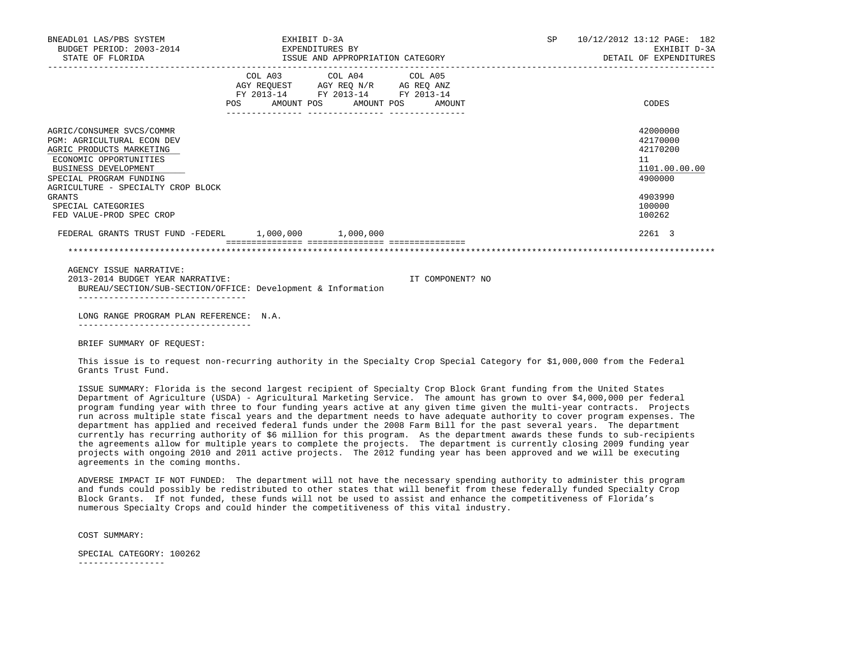| BNEADL01 LAS/PBS SYSTEM<br>STATE OF FLORIDA                                                                                                                                                                                                                                      | EXHIBIT D-3A<br>BUDGET PERIOD: 2003-2014 EXPENDITURES BY<br>ISSUE AND APPROPRIATION CATEGORY |                                                                                                                                       |                  | SP 10/12/2012 13:12 PAGE: 182<br>EXHIBIT D-3A<br>DETAIL OF EXPENDITURES                           |
|----------------------------------------------------------------------------------------------------------------------------------------------------------------------------------------------------------------------------------------------------------------------------------|----------------------------------------------------------------------------------------------|---------------------------------------------------------------------------------------------------------------------------------------|------------------|---------------------------------------------------------------------------------------------------|
|                                                                                                                                                                                                                                                                                  |                                                                                              | COL A03 COL A04 COL A05<br>AGY REQUEST AGY REQ N/R AG REQ ANZ<br>FY 2013-14 FY 2013-14 FY 2013-14<br>POS AMOUNT POS AMOUNT POS AMOUNT |                  | CODES                                                                                             |
| AGRIC/CONSUMER SVCS/COMMR<br><b>PGM: AGRICULTURAL ECON DEV</b><br>AGRIC PRODUCTS MARKETING<br>ECONOMIC OPPORTUNITIES<br>BUSINESS DEVELOPMENT<br>SPECIAL PROGRAM FUNDING<br>AGRICULTURE - SPECIALTY CROP BLOCK<br><b>GRANTS</b><br>SPECIAL CATEGORIES<br>FED VALUE-PROD SPEC CROP |                                                                                              |                                                                                                                                       |                  | 42000000<br>42170000<br>42170200<br>11<br>1101.00.00.00<br>4900000<br>4903990<br>100000<br>100262 |
| FEDERAL GRANTS TRUST FUND -FEDERL 1,000,000 1,000,000                                                                                                                                                                                                                            |                                                                                              |                                                                                                                                       |                  | 2261 3                                                                                            |
|                                                                                                                                                                                                                                                                                  |                                                                                              | =====================================                                                                                                 |                  |                                                                                                   |
| AGENCY ISSUE NARRATIVE:<br>2013-2014 BUDGET YEAR NARRATIVE:<br>BUREAU/SECTION/SUB-SECTION/OFFICE: Development & Information                                                                                                                                                      |                                                                                              |                                                                                                                                       | IT COMPONENT? NO |                                                                                                   |
| LONG RANGE PROGRAM PLAN REFERENCE: N.A.                                                                                                                                                                                                                                          |                                                                                              |                                                                                                                                       |                  |                                                                                                   |
| -------------------------------<br>BRIEF SUMMARY OF REOUEST:                                                                                                                                                                                                                     |                                                                                              |                                                                                                                                       |                  |                                                                                                   |

This issue is to request non-recurring authority in the Specialty Crop Special Category for \$1,000,000 from the Federal Grants Trust Fund.

 ISSUE SUMMARY: Florida is the second largest recipient of Specialty Crop Block Grant funding from the United States Department of Agriculture (USDA) - Agricultural Marketing Service. The amount has grown to over \$4,000,000 per federal program funding year with three to four funding years active at any given time given the multi-year contracts. Projects run across multiple state fiscal years and the department needs to have adequate authority to cover program expenses. The department has applied and received federal funds under the 2008 Farm Bill for the past several years. The department currently has recurring authority of \$6 million for this program. As the department awards these funds to sub-recipients the agreements allow for multiple years to complete the projects. The department is currently closing 2009 funding year projects with ongoing 2010 and 2011 active projects. The 2012 funding year has been approved and we will be executing agreements in the coming months.

 ADVERSE IMPACT IF NOT FUNDED: The department will not have the necessary spending authority to administer this program and funds could possibly be redistributed to other states that will benefit from these federally funded Specialty Crop Block Grants. If not funded, these funds will not be used to assist and enhance the competitiveness of Florida's numerous Specialty Crops and could hinder the competitiveness of this vital industry.

COST SUMMARY:

SPECIAL CATEGORY: 100262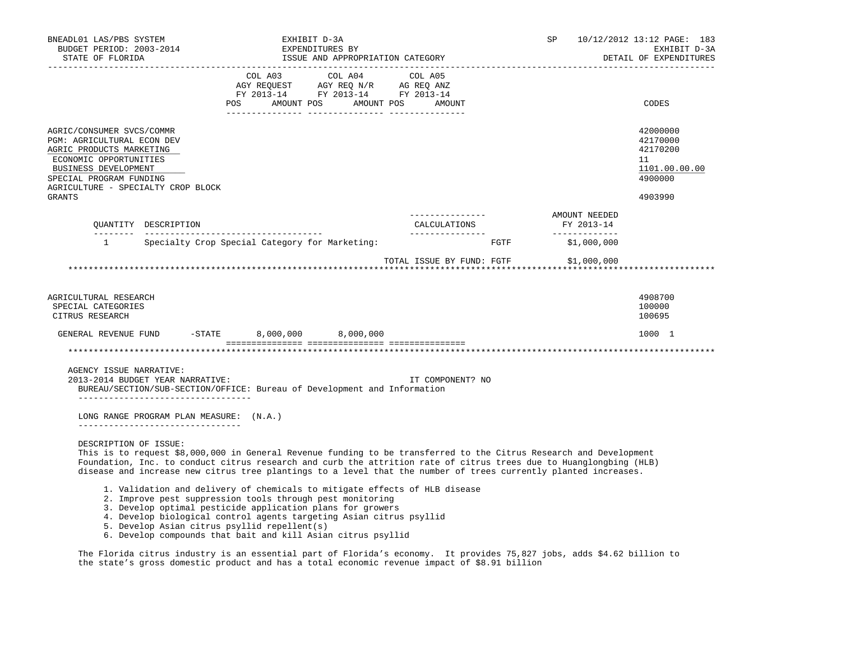| BNEADL01 LAS/PBS SYSTEM<br>BUDGET PERIOD: 2003-2014<br>STATE OF FLORIDA<br>-------------------                                                                                                                          | EXHIBIT D-3A<br>EXPENDITURES BY<br>ISSUE AND APPROPRIATION CATEGORY                                                                                                                                                                                                                                                                                                                                                                                                                                    |                                                     | SP                                           | 10/12/2012 13:12 PAGE: 183<br>EXHIBIT D-3A<br>DETAIL OF EXPENDITURES          |
|-------------------------------------------------------------------------------------------------------------------------------------------------------------------------------------------------------------------------|--------------------------------------------------------------------------------------------------------------------------------------------------------------------------------------------------------------------------------------------------------------------------------------------------------------------------------------------------------------------------------------------------------------------------------------------------------------------------------------------------------|-----------------------------------------------------|----------------------------------------------|-------------------------------------------------------------------------------|
|                                                                                                                                                                                                                         | FY 2013-14 FY 2013-14 FY 2013-14<br>POS AMOUNT POS AMOUNT POS                                                                                                                                                                                                                                                                                                                                                                                                                                          | AMOUNT                                              |                                              | CODES                                                                         |
| AGRIC/CONSUMER SVCS/COMMR<br>PGM: AGRICULTURAL ECON DEV<br>AGRIC PRODUCTS MARKETING<br>ECONOMIC OPPORTUNITIES<br>BUSINESS DEVELOPMENT<br>SPECIAL PROGRAM FUNDING<br>AGRICULTURE - SPECIALTY CROP BLOCK<br><b>GRANTS</b> |                                                                                                                                                                                                                                                                                                                                                                                                                                                                                                        |                                                     |                                              | 42000000<br>42170000<br>42170200<br>11<br>1101.00.00.00<br>4900000<br>4903990 |
| OUANTITY DESCRIPTION                                                                                                                                                                                                    |                                                                                                                                                                                                                                                                                                                                                                                                                                                                                                        | ________________<br>CALCULATIONS<br>--------------- | AMOUNT NEEDED<br>FY 2013-14<br>_____________ |                                                                               |
| $\mathbf{1}$                                                                                                                                                                                                            | Specialty Crop Special Category for Marketing:                                                                                                                                                                                                                                                                                                                                                                                                                                                         | FGTF                                                | \$1,000,000                                  |                                                                               |
| AGRICULTURAL RESEARCH<br>SPECIAL CATEGORIES<br>CITRUS RESEARCH                                                                                                                                                          |                                                                                                                                                                                                                                                                                                                                                                                                                                                                                                        | TOTAL ISSUE BY FUND: FGTF \$1,000,000               |                                              | 4908700<br>100000<br>100695                                                   |
| GENERAL REVENUE FUND                                                                                                                                                                                                    | $-$ STATE<br>8,000,000 8,000,000                                                                                                                                                                                                                                                                                                                                                                                                                                                                       |                                                     |                                              | 1000 1                                                                        |
|                                                                                                                                                                                                                         |                                                                                                                                                                                                                                                                                                                                                                                                                                                                                                        |                                                     |                                              |                                                                               |
| AGENCY ISSUE NARRATIVE:<br>2013-2014 BUDGET YEAR NARRATIVE:<br>____________________________________                                                                                                                     | BUREAU/SECTION/SUB-SECTION/OFFICE: Bureau of Development and Information                                                                                                                                                                                                                                                                                                                                                                                                                               | IT COMPONENT? NO                                    |                                              |                                                                               |
| LONG RANGE PROGRAM PLAN MEASURE: (N.A.)<br>---------------------------------                                                                                                                                            |                                                                                                                                                                                                                                                                                                                                                                                                                                                                                                        |                                                     |                                              |                                                                               |
| DESCRIPTION OF ISSUE:                                                                                                                                                                                                   | This is to request \$8,000,000 in General Revenue funding to be transferred to the Citrus Research and Development<br>Foundation, Inc. to conduct citrus research and curb the attrition rate of citrus trees due to Huanglongbing (HLB)<br>disease and increase new citrus tree plantings to a level that the number of trees currently planted increases.<br>1. Validation and delivery of chemicals to mitigate effects of HLB disease<br>2. Improve pest suppression tools through pest monitoring |                                                     |                                              |                                                                               |
|                                                                                                                                                                                                                         | 3. Develop optimal pesticide application plans for growers<br>4. Develop biological control agents targeting Asian citrus psyllid<br>5. Develop Asian citrus psyllid repellent(s)<br>6. Develop compounds that bait and kill Asian citrus psyllid                                                                                                                                                                                                                                                      |                                                     |                                              |                                                                               |

 The Florida citrus industry is an essential part of Florida's economy. It provides 75,827 jobs, adds \$4.62 billion to the state's gross domestic product and has a total economic revenue impact of \$8.91 billion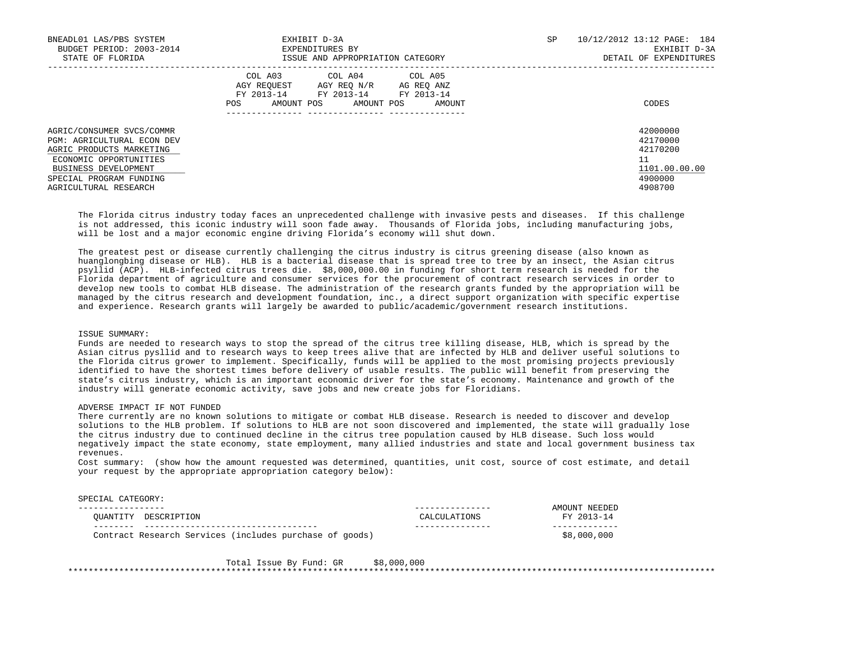| BNEADL01 LAS/PBS SYSTEM<br>BUDGET PERIOD: 2003-2014<br>STATE OF FLORIDA                                                                                                                   | EXHIBIT D-3A<br>EXPENDITURES BY<br>ISSUE AND APPROPRIATION CATEGORY                                                                                      | SP<br>10/12/2012 13:12 PAGE: 184<br>EXHIBIT D-3A<br>DETAIL OF EXPENDITURES |                                                                               |  |
|-------------------------------------------------------------------------------------------------------------------------------------------------------------------------------------------|----------------------------------------------------------------------------------------------------------------------------------------------------------|----------------------------------------------------------------------------|-------------------------------------------------------------------------------|--|
|                                                                                                                                                                                           | COL A04 COL A05<br>COL A03<br>AGY REOUEST<br>AGY REO N/R AG REO ANZ<br>FY 2013-14<br>FY 2013-14 FY 2013-14<br>AMOUNT POS<br>AMOUNT POS<br>POS.<br>AMOUNT |                                                                            | CODES                                                                         |  |
| AGRIC/CONSUMER SVCS/COMMR<br>PGM: AGRICULTURAL ECON DEV<br>AGRIC PRODUCTS MARKETING<br>ECONOMIC OPPORTUNITIES<br>BUSINESS DEVELOPMENT<br>SPECIAL PROGRAM FUNDING<br>AGRICULTURAL RESEARCH |                                                                                                                                                          |                                                                            | 42000000<br>42170000<br>42170200<br>11<br>1101.00.00.00<br>4900000<br>4908700 |  |

 The Florida citrus industry today faces an unprecedented challenge with invasive pests and diseases. If this challenge is not addressed, this iconic industry will soon fade away. Thousands of Florida jobs, including manufacturing jobs, will be lost and a major economic engine driving Florida's economy will shut down.

 The greatest pest or disease currently challenging the citrus industry is citrus greening disease (also known as huanglongbing disease or HLB). HLB is a bacterial disease that is spread tree to tree by an insect, the Asian citrus psyllid (ACP). HLB-infected citrus trees die. \$8,000,000.00 in funding for short term research is needed for the Florida department of agriculture and consumer services for the procurement of contract research services in order to develop new tools to combat HLB disease. The administration of the research grants funded by the appropriation will be managed by the citrus research and development foundation, inc., a direct support organization with specific expertise and experience. Research grants will largely be awarded to public/academic/government research institutions.

# ISSUE SUMMARY:

 Funds are needed to research ways to stop the spread of the citrus tree killing disease, HLB, which is spread by the Asian citrus pysllid and to research ways to keep trees alive that are infected by HLB and deliver useful solutions to the Florida citrus grower to implement. Specifically, funds will be applied to the most promising projects previously identified to have the shortest times before delivery of usable results. The public will benefit from preserving the state's citrus industry, which is an important economic driver for the state's economy. Maintenance and growth of the industry will generate economic activity, save jobs and new create jobs for Floridians.

### ADVERSE IMPACT IF NOT FUNDED

 There currently are no known solutions to mitigate or combat HLB disease. Research is needed to discover and develop solutions to the HLB problem. If solutions to HLB are not soon discovered and implemented, the state will gradually lose the citrus industry due to continued decline in the citrus tree population caused by HLB disease. Such loss would negatively impact the state economy, state employment, many allied industries and state and local government business tax revenues.

 Cost summary: (show how the amount requested was determined, quantities, unit cost, source of cost estimate, and detail your request by the appropriate appropriation category below):

#### SPECIAL CATEGORY:

|                        |                                                                                                                                                                                                                                                                                                    | ᄭᄗ<br>ΔM    |
|------------------------|----------------------------------------------------------------------------------------------------------------------------------------------------------------------------------------------------------------------------------------------------------------------------------------------------|-------------|
| : דודו<br>∵ידיו ∧ בדדר | ים הדרי                                                                                                                                                                                                                                                                                            |             |
|                        | Contract Research Services (<br>(includes purchase of goods)<br>$\mathcal{L}$ . The contract of the contract of the contract of the contract of the contract of the contract of the contract of the contract of the contract of the contract of the contract of the contract of the contract of th | \$8,000,000 |

Total Issue By Fund: GR \$8,000,000 \*\*\*\*\*\*\*\*\*\*\*\*\*\*\*\*\*\*\*\*\*\*\*\*\*\*\*\*\*\*\*\*\*\*\*\*\*\*\*\*\*\*\*\*\*\*\*\*\*\*\*\*\*\*\*\*\*\*\*\*\*\*\*\*\*\*\*\*\*\*\*\*\*\*\*\*\*\*\*\*\*\*\*\*\*\*\*\*\*\*\*\*\*\*\*\*\*\*\*\*\*\*\*\*\*\*\*\*\*\*\*\*\*\*\*\*\*\*\*\*\*\*\*\*\*\*\*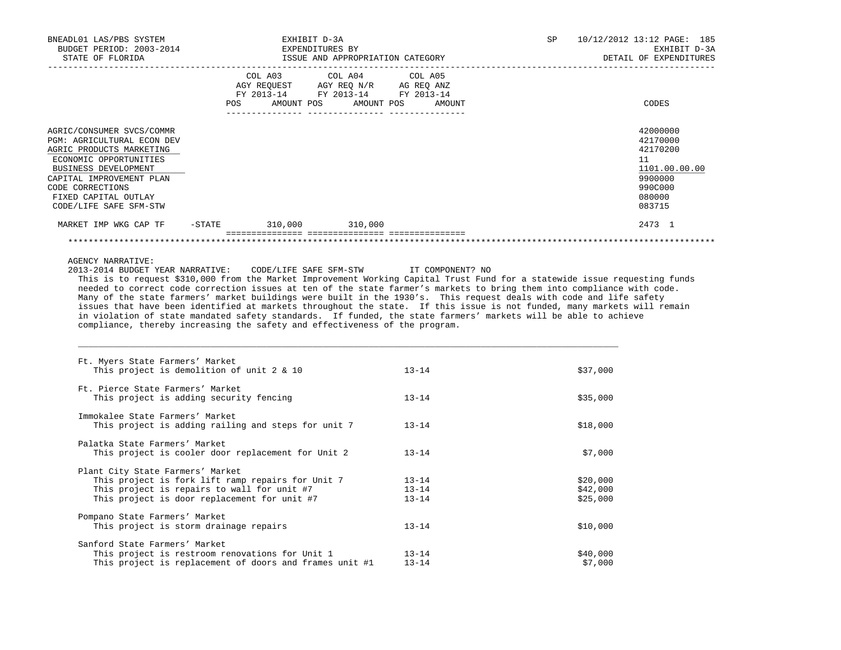| BNEADL01 LAS/PBS SYSTEM<br>BUDGET PERIOD: 2003-2014 | EXHIBIT D-3A<br>EXPENDITURES BY                                                                                                                                                                                                                                                                                                                                                                                                                                                                                                                                          |           | SP                     | 10/12/2012 13:12 PAGE: 185<br>EXHIBIT D-3A |
|-----------------------------------------------------|--------------------------------------------------------------------------------------------------------------------------------------------------------------------------------------------------------------------------------------------------------------------------------------------------------------------------------------------------------------------------------------------------------------------------------------------------------------------------------------------------------------------------------------------------------------------------|-----------|------------------------|--------------------------------------------|
| STATE OF FLORIDA                                    | ISSUE AND APPROPRIATION CATEGORY                                                                                                                                                                                                                                                                                                                                                                                                                                                                                                                                         |           | DETAIL OF EXPENDITURES |                                            |
|                                                     | COL A03<br>COL A04                                                                                                                                                                                                                                                                                                                                                                                                                                                                                                                                                       | COL A05   |                        |                                            |
|                                                     | AGY REQUEST AGY REQ N/R AG REQ ANZ<br>FY 2013-14 FY 2013-14 FY 2013-14                                                                                                                                                                                                                                                                                                                                                                                                                                                                                                   |           |                        |                                            |
|                                                     |                                                                                                                                                                                                                                                                                                                                                                                                                                                                                                                                                                          |           |                        |                                            |
|                                                     | POS AMOUNT POS AMOUNT POS AMOUNT                                                                                                                                                                                                                                                                                                                                                                                                                                                                                                                                         |           |                        | CODES                                      |
| AGRIC/CONSUMER SVCS/COMMR                           |                                                                                                                                                                                                                                                                                                                                                                                                                                                                                                                                                                          |           |                        | 42000000                                   |
| PGM: AGRICULTURAL ECON DEV                          |                                                                                                                                                                                                                                                                                                                                                                                                                                                                                                                                                                          |           |                        | 42170000                                   |
| AGRIC PRODUCTS MARKETING                            |                                                                                                                                                                                                                                                                                                                                                                                                                                                                                                                                                                          |           |                        | 42170200                                   |
| ECONOMIC OPPORTUNITIES                              |                                                                                                                                                                                                                                                                                                                                                                                                                                                                                                                                                                          |           |                        | 11                                         |
| BUSINESS DEVELOPMENT                                |                                                                                                                                                                                                                                                                                                                                                                                                                                                                                                                                                                          |           |                        | 1101.00.00.00                              |
| CAPITAL IMPROVEMENT PLAN                            |                                                                                                                                                                                                                                                                                                                                                                                                                                                                                                                                                                          |           |                        | 9900000                                    |
| CODE CORRECTIONS                                    |                                                                                                                                                                                                                                                                                                                                                                                                                                                                                                                                                                          |           |                        | 990C000                                    |
| FIXED CAPITAL OUTLAY                                |                                                                                                                                                                                                                                                                                                                                                                                                                                                                                                                                                                          |           |                        | 080000                                     |
| CODE/LIFE SAFE SFM-STW                              |                                                                                                                                                                                                                                                                                                                                                                                                                                                                                                                                                                          |           |                        | 083715                                     |
| MARKET IMP WKG CAP TF                               | $-STATE$ 310,000 310,000                                                                                                                                                                                                                                                                                                                                                                                                                                                                                                                                                 |           |                        | 2473 1                                     |
|                                                     |                                                                                                                                                                                                                                                                                                                                                                                                                                                                                                                                                                          |           |                        |                                            |
|                                                     | needed to correct code correction issues at ten of the state farmer's markets to bring them into compliance with code.<br>Many of the state farmers' market buildings were built in the 1930's. This request deals with code and life safety<br>issues that have been identified at markets throughout the state. If this issue is not funded, many markets will remain<br>in violation of state mandated safety standards. If funded, the state farmers' markets will be able to achieve<br>compliance, thereby increasing the safety and effectiveness of the program. |           |                        |                                            |
| Ft. Myers State Farmers' Market                     | This project is demolition of unit 2 & 10                                                                                                                                                                                                                                                                                                                                                                                                                                                                                                                                | $13 - 14$ | \$37,000               |                                            |
|                                                     |                                                                                                                                                                                                                                                                                                                                                                                                                                                                                                                                                                          |           |                        |                                            |
| Ft. Pierce State Farmers' Market                    |                                                                                                                                                                                                                                                                                                                                                                                                                                                                                                                                                                          |           |                        |                                            |
|                                                     | This project is adding security fencing                                                                                                                                                                                                                                                                                                                                                                                                                                                                                                                                  | $13 - 14$ | \$35,000               |                                            |
| Immokalee State Farmers' Market                     |                                                                                                                                                                                                                                                                                                                                                                                                                                                                                                                                                                          |           |                        |                                            |
|                                                     | This project is adding railing and steps for unit 7                                                                                                                                                                                                                                                                                                                                                                                                                                                                                                                      | $13 - 14$ | \$18,000               |                                            |
| Palatka State Farmers' Market                       |                                                                                                                                                                                                                                                                                                                                                                                                                                                                                                                                                                          |           |                        |                                            |
|                                                     | This project is cooler door replacement for Unit 2                                                                                                                                                                                                                                                                                                                                                                                                                                                                                                                       | $13 - 14$ | \$7,000                |                                            |
| Plant City State Farmers' Market                    |                                                                                                                                                                                                                                                                                                                                                                                                                                                                                                                                                                          |           |                        |                                            |
|                                                     | This project is fork lift ramp repairs for Unit 7                                                                                                                                                                                                                                                                                                                                                                                                                                                                                                                        | $13 - 14$ | \$20,000               |                                            |
|                                                     | This project is repairs to wall for unit #7                                                                                                                                                                                                                                                                                                                                                                                                                                                                                                                              | $13 - 14$ | \$42,000               |                                            |
|                                                     | This project is door replacement for unit #7                                                                                                                                                                                                                                                                                                                                                                                                                                                                                                                             | $13 - 14$ | \$25,000               |                                            |
| Pompano State Farmers' Market                       |                                                                                                                                                                                                                                                                                                                                                                                                                                                                                                                                                                          |           |                        |                                            |
|                                                     | This project is storm drainage repairs                                                                                                                                                                                                                                                                                                                                                                                                                                                                                                                                   | $13 - 14$ | \$10,000               |                                            |
| Sanford State Farmers' Market                       |                                                                                                                                                                                                                                                                                                                                                                                                                                                                                                                                                                          |           |                        |                                            |
|                                                     | This project is restroom renovations for Unit 1                                                                                                                                                                                                                                                                                                                                                                                                                                                                                                                          | $13 - 14$ | \$40,000               |                                            |
|                                                     | This project is replacement of doors and frames unit #1                                                                                                                                                                                                                                                                                                                                                                                                                                                                                                                  | $13 - 14$ | \$7,000                |                                            |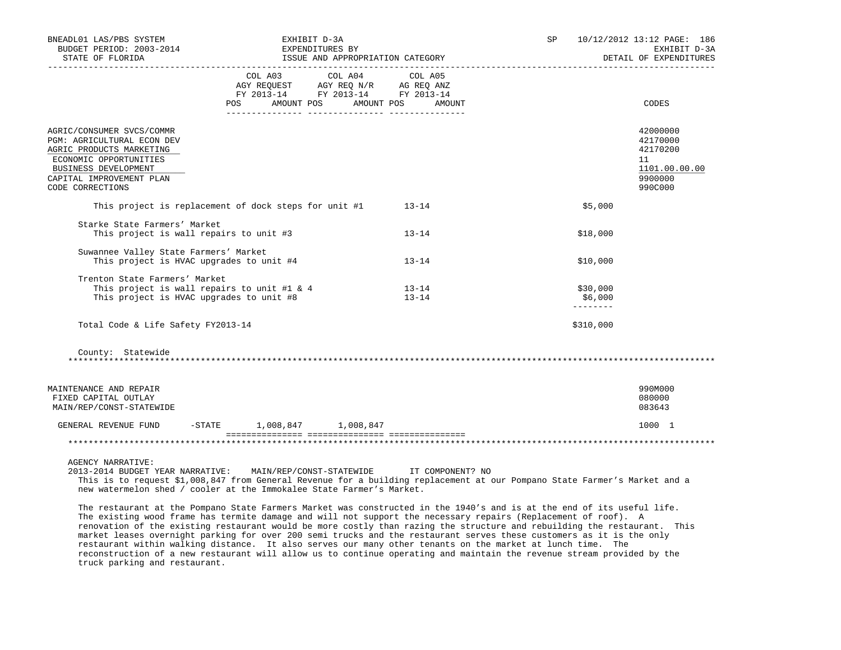| BNEADL01 LAS/PBS SYSTEM<br>BUDGET PERIOD: 2003-2014                                                                                                                                   | EXHIBIT D-3A<br>EXPENDITURES BY                                            |                        |                                  | SP 10/12/2012 13:12 PAGE: 186<br>EXHIBIT D-3A<br>DETAIL OF EXPENDITURES       |
|---------------------------------------------------------------------------------------------------------------------------------------------------------------------------------------|----------------------------------------------------------------------------|------------------------|----------------------------------|-------------------------------------------------------------------------------|
|                                                                                                                                                                                       | FY 2013-14 FY 2013-14 FY 2013-14<br>POS AMOUNT POS AMOUNT POS AMOUNT       |                        |                                  | CODES                                                                         |
| AGRIC/CONSUMER SVCS/COMMR<br>PGM: AGRICULTURAL ECON DEV<br>AGRIC PRODUCTS MARKETING<br>ECONOMIC OPPORTUNITIES<br>BUSINESS DEVELOPMENT<br>CAPITAL IMPROVEMENT PLAN<br>CODE CORRECTIONS |                                                                            |                        |                                  | 42000000<br>42170000<br>42170200<br>11<br>1101.00.00.00<br>9900000<br>990C000 |
|                                                                                                                                                                                       | This project is replacement of dock steps for unit #1                      | $13 - 14$              | \$5,000                          |                                                                               |
| Starke State Farmers' Market<br>This project is wall repairs to unit #3                                                                                                               |                                                                            | $13 - 14$              | \$18,000                         |                                                                               |
| Suwannee Valley State Farmers' Market<br>This project is HVAC upgrades to unit #4                                                                                                     |                                                                            | $13 - 14$              | \$10,000                         |                                                                               |
| Trenton State Farmers' Market<br>This project is HVAC upgrades to unit #8                                                                                                             | This project is wall repairs to unit #1 & 4                                | $13 - 14$<br>$13 - 14$ | \$30,000<br>\$6,000<br>--------- |                                                                               |
| Total Code & Life Safety FY2013-14                                                                                                                                                    |                                                                            |                        | \$310,000                        |                                                                               |
| County: Statewide                                                                                                                                                                     |                                                                            |                        |                                  |                                                                               |
| MAINTENANCE AND REPAIR<br>FIXED CAPITAL OUTLAY<br>MAIN/REP/CONST-STATEWIDE                                                                                                            |                                                                            |                        |                                  | 990M000<br>080000<br>083643                                                   |
|                                                                                                                                                                                       | GENERAL REVENUE FUND - STATE 1,008,847 1,008,847                           |                        |                                  | 1000 1                                                                        |
|                                                                                                                                                                                       |                                                                            |                        |                                  |                                                                               |
| <b>AGENCY NARRATIVE:</b>                                                                                                                                                              | 2013-2014 BUDGET YEAR NARRATIVE: MAIN/REP/CONST-STATEWIDE TT COMPONENT? NO |                        |                                  |                                                                               |

 This is to request \$1,008,847 from General Revenue for a building replacement at our Pompano State Farmer's Market and a new watermelon shed / cooler at the Immokalee State Farmer's Market.

 The restaurant at the Pompano State Farmers Market was constructed in the 1940's and is at the end of its useful life. The existing wood frame has termite damage and will not support the necessary repairs (Replacement of roof). A renovation of the existing restaurant would be more costly than razing the structure and rebuilding the restaurant. This market leases overnight parking for over 200 semi trucks and the restaurant serves these customers as it is the only restaurant within walking distance. It also serves our many other tenants on the market at lunch time. The reconstruction of a new restaurant will allow us to continue operating and maintain the revenue stream provided by the truck parking and restaurant.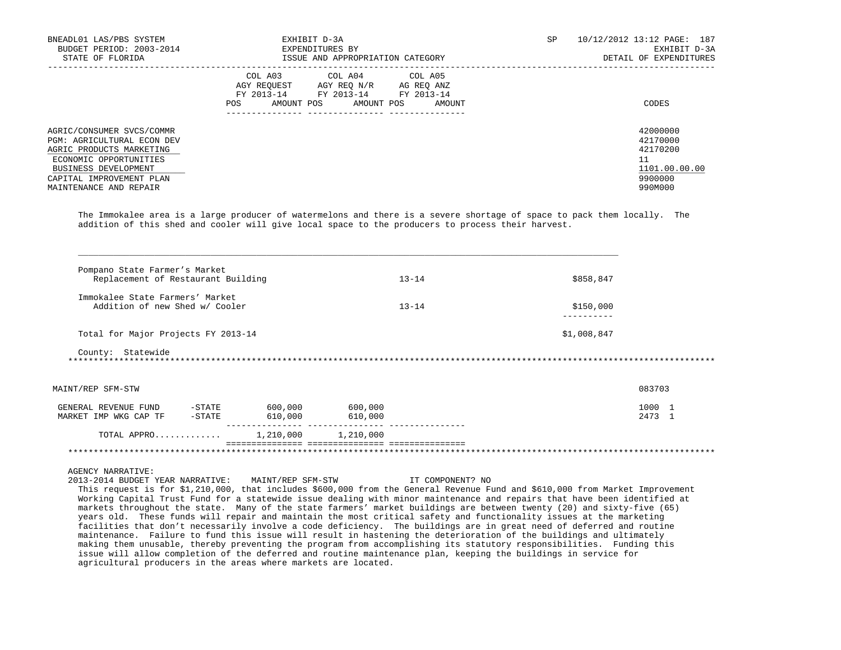| BNEADL01 LAS/PBS SYSTEM<br>BUDGET PERIOD: 2003-2014<br>STATE OF FLORIDA                                                                                                                     | EXHIBIT D-3A<br>EXPENDITURES BY<br>ISSUE AND APPROPRIATION CATEGORY                                                                                     | SP<br>10/12/2012 13:12 PAGE: 187<br>EXHIBIT D-3A<br>DETAIL OF EXPENDITURES    |
|---------------------------------------------------------------------------------------------------------------------------------------------------------------------------------------------|---------------------------------------------------------------------------------------------------------------------------------------------------------|-------------------------------------------------------------------------------|
|                                                                                                                                                                                             | COL A03<br>COL A04 COL A05<br>AGY REOUEST<br>AGY REO N/R<br>AG REO ANZ<br>FY 2013-14 FY 2013-14 FY 2013-14<br>AMOUNT POS<br>AMOUNT POS<br>POS<br>AMOUNT | CODES                                                                         |
| AGRIC/CONSUMER SVCS/COMMR<br>PGM: AGRICULTURAL ECON DEV<br>AGRIC PRODUCTS MARKETING<br>ECONOMIC OPPORTUNITIES<br>BUSINESS DEVELOPMENT<br>CAPITAL IMPROVEMENT PLAN<br>MAINTENANCE AND REPAIR |                                                                                                                                                         | 42000000<br>42170000<br>42170200<br>11<br>1101.00.00.00<br>9900000<br>990M000 |

 The Immokalee area is a large producer of watermelons and there is a severe shortage of space to pack them locally. The addition of this shed and cooler will give local space to the producers to process their harvest.

| Replacement of Restaurant Building  |         |         | $13 - 14$ | \$858,847   |        |
|-------------------------------------|---------|---------|-----------|-------------|--------|
| Immokalee State Farmers' Market     |         |         |           |             |        |
| Addition of new Shed w/ Cooler      |         |         | $13 - 14$ | \$150,000   |        |
| Total for Major Projects FY 2013-14 |         |         |           | \$1,008,847 |        |
| County: Statewide                   |         |         |           |             |        |
| MAINT/REP SFM-STW                   |         |         |           |             | 083703 |
| -STATE<br>GENERAL REVENUE FUND      | 600,000 | 600,000 |           |             | 1000 1 |
| MARKET IMP WKG CAP TF<br>$-$ STATE  | 610,000 | 610,000 |           |             | 2473 1 |
|                                     |         |         |           |             |        |

AGENCY NARRATIVE:

 2013-2014 BUDGET YEAR NARRATIVE: MAINT/REP SFM-STW IT COMPONENT? NO This request is for \$1,210,000, that includes \$600,000 from the General Revenue Fund and \$610,000 from Market Improvement Working Capital Trust Fund for a statewide issue dealing with minor maintenance and repairs that have been identified at markets throughout the state. Many of the state farmers' market buildings are between twenty (20) and sixty-five (65) years old. These funds will repair and maintain the most critical safety and functionality issues at the marketing facilities that don't necessarily involve a code deficiency. The buildings are in great need of deferred and routine maintenance. Failure to fund this issue will result in hastening the deterioration of the buildings and ultimately making them unusable, thereby preventing the program from accomplishing its statutory responsibilities. Funding this issue will allow completion of the deferred and routine maintenance plan, keeping the buildings in service for agricultural producers in the areas where markets are located.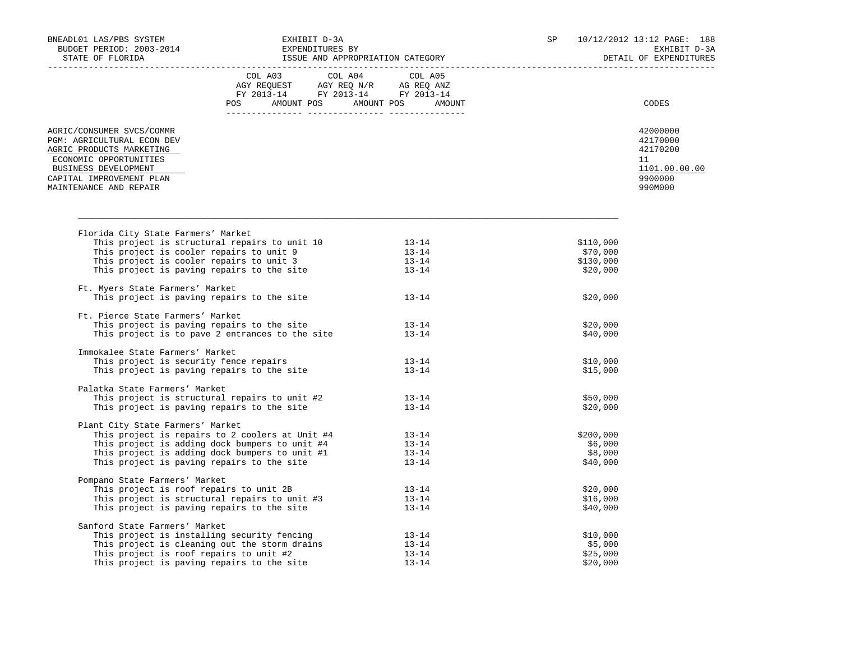|                                                                                                                                                                                             | $\begin{tabular}{lcccc} CDL A03 & CDL A04 & CDL A05 \\ AGY REQUEST & AGY REQ N/R & AG REQ ANZ \\ FY & 2013-14 & FY & 2013-14 & FY & 2013-14 \end{tabular}$<br>POS AMOUNT POS AMOUNT POS AMOUNT                            |                                              |                                             | CODES                                                                         |
|---------------------------------------------------------------------------------------------------------------------------------------------------------------------------------------------|---------------------------------------------------------------------------------------------------------------------------------------------------------------------------------------------------------------------------|----------------------------------------------|---------------------------------------------|-------------------------------------------------------------------------------|
| AGRIC/CONSUMER SVCS/COMMR<br>PGM: AGRICULTURAL ECON DEV<br>AGRIC PRODUCTS MARKETING<br>ECONOMIC OPPORTUNITIES<br>BUSINESS DEVELOPMENT<br>CAPITAL IMPROVEMENT PLAN<br>MAINTENANCE AND REPAIR |                                                                                                                                                                                                                           |                                              |                                             | 42000000<br>42170000<br>42170200<br>11<br>1101.00.00.00<br>9900000<br>990M000 |
|                                                                                                                                                                                             |                                                                                                                                                                                                                           |                                              |                                             |                                                                               |
| Florida City State Farmers' Market                                                                                                                                                          | This project is structural repairs to unit 10 13-14<br>This project is cooler repairs to unit 9 13-14<br>This project is cooler repairs to unit 3 13-14<br>This project is paving repairs to the site 13-14               |                                              | \$110,000<br>\$70,000<br>\$130,000          |                                                                               |
| Ft. Myers State Farmers' Market                                                                                                                                                             |                                                                                                                                                                                                                           |                                              | \$20,000                                    |                                                                               |
|                                                                                                                                                                                             | This project is paving repairs to the site                                                                                                                                                                                | $13 - 14$                                    | \$20,000                                    |                                                                               |
| Ft. Pierce State Farmers' Market                                                                                                                                                            | Plerce State Farmers' Market<br>This project is paving repairs to the site<br>This project is to pave 2 entrances to the site                                                                                             | $13 - 14$<br>$13 - 14$                       | \$20,000<br>\$40,000                        |                                                                               |
| Immokalee State Farmers' Market                                                                                                                                                             | This project is security fence repairs                                                                                                                                                                                    |                                              |                                             |                                                                               |
|                                                                                                                                                                                             | This project is paving repairs to the site                                                                                                                                                                                | $13 - 14$<br>$13 - 14$                       | \$10,000<br>\$15,000                        |                                                                               |
| Palatka State Farmers' Market                                                                                                                                                               | This project is structural repairs to unit $#2$ 13-14<br>This project is paving repairs to the site 13-14                                                                                                                 |                                              | \$50,000<br>\$20,000                        |                                                                               |
| Plant City State Farmers' Market                                                                                                                                                            | This project is repairs to 2 coolers at Unit #4 13-14<br>This project is adding dock bumpers to unit #4 13-14<br>This project is adding dock bumpers to unit #1 13-14<br>This project is paving repairs to the site 13-14 |                                              | \$200,000<br>\$6,000<br>\$8,000             |                                                                               |
|                                                                                                                                                                                             |                                                                                                                                                                                                                           |                                              | \$40,000                                    |                                                                               |
| Pompano State Farmers' Market                                                                                                                                                               | pano state rarmers' market<br>This project is roof repairs to unit 2B<br>This project is structural repairs to unit #3<br>This project is paving repairs to the site                                                      | $13 - 14$<br>$13 - 14$<br>$13 - 14$          | \$20,000<br>\$16,000<br>\$40,000            |                                                                               |
| Sanford State Farmers' Market                                                                                                                                                               | This project is installing security fencing<br>This project is cleaning out the storm drains<br>This project is roof repairs to unit #2<br>This project is paving repairs to the site                                     | $\frac{13-14}{12}$<br>$13 - 14$<br>$13 - 14$ | \$10,000<br>\$5,000<br>\$25,000<br>\$20,000 |                                                                               |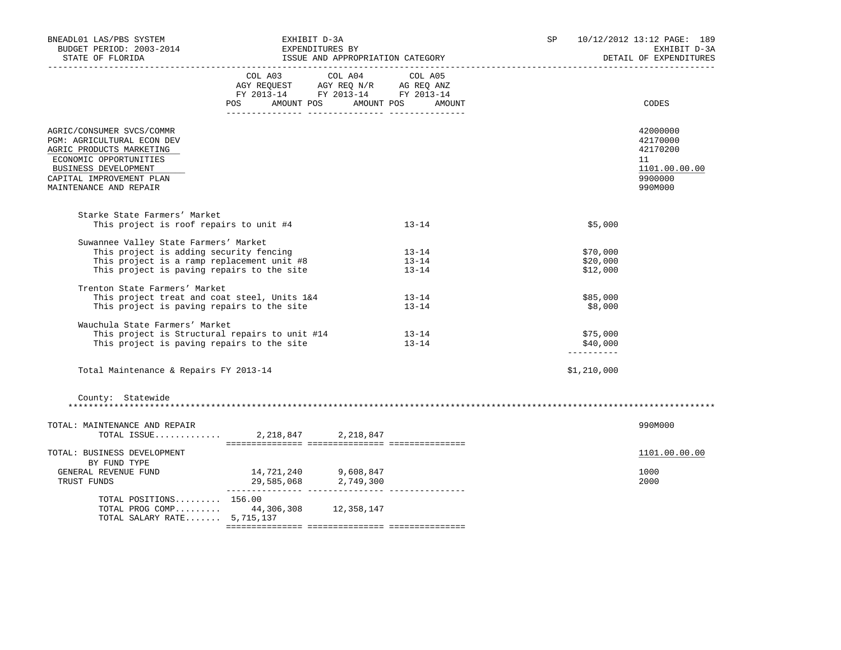| BNEADL01 LAS/PBS SYSTEM<br>WEADL01 LAS/PBS SYSTEM<br>BUDGET PERIOD: 2003-2014<br>STATE OF FLORIDA<br>STATE OF FLORIDA<br>STATE OF FLORIDA<br>STATE OF FLORIDA                               |                                                                                                                                       |                                     | SP |                                    | 10/12/2012 13:12 PAGE: 189<br>EXHIBIT D-3A<br>DETAIL OF EXPENDITURES          |
|---------------------------------------------------------------------------------------------------------------------------------------------------------------------------------------------|---------------------------------------------------------------------------------------------------------------------------------------|-------------------------------------|----|------------------------------------|-------------------------------------------------------------------------------|
|                                                                                                                                                                                             | COL A03 COL A04 COL A05<br>AGY REQUEST AGY REQ N/R AG REQ ANZ<br>FY 2013-14 FY 2013-14 FY 2013-14<br>POS AMOUNT POS AMOUNT POS AMOUNT |                                     |    |                                    | CODES                                                                         |
| AGRIC/CONSUMER SVCS/COMMR<br>PGM: AGRICULTURAL ECON DEV<br>AGRIC PRODUCTS MARKETING<br>ECONOMIC OPPORTUNITIES<br>BUSINESS DEVELOPMENT<br>CAPITAL IMPROVEMENT PLAN<br>MAINTENANCE AND REPAIR |                                                                                                                                       |                                     |    |                                    | 42000000<br>42170000<br>42170200<br>11<br>1101.00.00.00<br>9900000<br>990M000 |
| Starke State Farmers' Market<br>This project is roof repairs to unit #4                                                                                                                     |                                                                                                                                       | $13 - 14$                           |    | \$5,000                            |                                                                               |
| Suwannee Valley State Farmers' Market<br>This project is adding security fencing<br>This project is a ramp replacement unit #8<br>This project is paving repairs to the site                |                                                                                                                                       | $13 - 14$<br>$13 - 14$<br>$13 - 14$ |    | \$70,000<br>\$20,000<br>\$12,000   |                                                                               |
| Trenton State Farmers' Market<br>This project treat and coat steel, Units 1&4<br>This project is paving repairs to the site                                                                 |                                                                                                                                       | $13 - 14$<br>$13 - 14$              |    | \$85,000<br>\$8,000                |                                                                               |
| Wauchula State Farmers' Market<br>This project is Structural repairs to unit #14<br>This project is paving repairs to the site                                                              |                                                                                                                                       | $13 - 14$<br>$13 - 14$              |    | \$75,000<br>\$40,000<br>---------- |                                                                               |
| Total Maintenance & Repairs FY 2013-14                                                                                                                                                      |                                                                                                                                       |                                     |    | \$1,210,000                        |                                                                               |
| County: Statewide                                                                                                                                                                           |                                                                                                                                       |                                     |    |                                    |                                                                               |
| TOTAL: MAINTENANCE AND REPAIR                                                                                                                                                               |                                                                                                                                       |                                     |    |                                    | 990M000                                                                       |
| TOTAL: BUSINESS DEVELOPMENT<br>BY FUND TYPE                                                                                                                                                 |                                                                                                                                       |                                     |    |                                    | 1101.00.00.00                                                                 |
| GENERAL REVENUE FUND<br>TRUST FUNDS                                                                                                                                                         | $14, 721, 240$<br>29,585,068<br>2,749,300<br>2,000<br>2,000<br>2,000                                                                  |                                     |    |                                    | 1000<br>2000                                                                  |
| TOTAL POSITIONS 156.00<br>TOTAL PROG COMP 44,306,308 12,358,147<br>TOTAL SALARY RATE 5,715,137                                                                                              |                                                                                                                                       |                                     |    |                                    |                                                                               |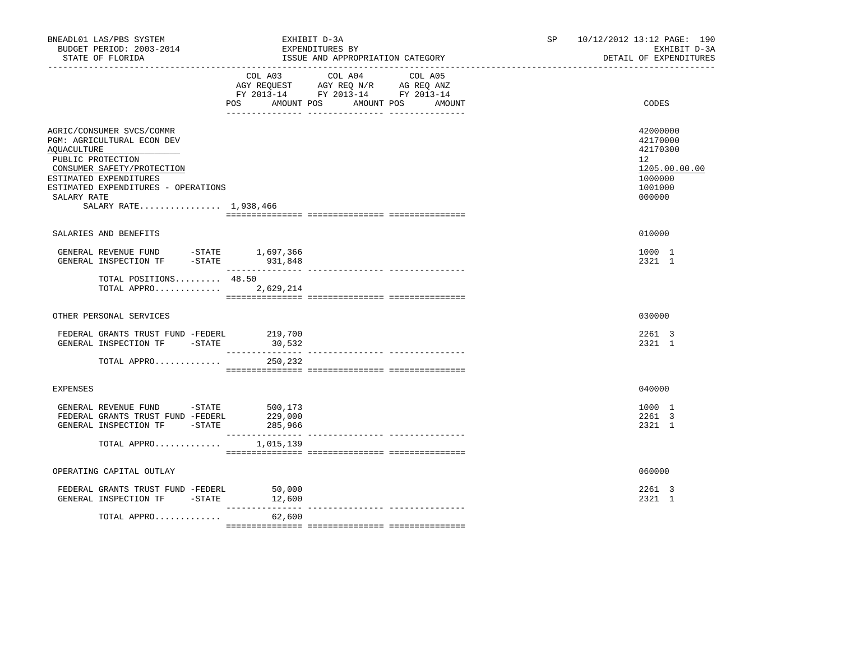| BNEADL01 LAS/PBS SYSTEM<br>BUDGET PERIOD: 2003-2014<br>STATE OF FLORIDA                                                                                                                                                            | EXHIBIT D-3A<br>EXPENDITURES BY                                                                                | ISSUE AND APPROPRIATION CATEGORY |                   | SP | 10/12/2012 13:12 PAGE: 190<br>EXHIBIT D-3A<br>DETAIL OF EXPENDITURES                    |
|------------------------------------------------------------------------------------------------------------------------------------------------------------------------------------------------------------------------------------|----------------------------------------------------------------------------------------------------------------|----------------------------------|-------------------|----|-----------------------------------------------------------------------------------------|
|                                                                                                                                                                                                                                    | COL A03<br>AGY REQUEST AGY REQ N/R AG REQ ANZ<br>FY 2013-14 FY 2013-14 FY 2013-14<br>POS AMOUNT POS AMOUNT POS | COL A04                          | COL A05<br>AMOUNT |    | CODES                                                                                   |
| AGRIC/CONSUMER SVCS/COMMR<br>PGM: AGRICULTURAL ECON DEV<br>AQUACULTURE<br>PUBLIC PROTECTION<br>CONSUMER SAFETY/PROTECTION<br>ESTIMATED EXPENDITURES<br>ESTIMATED EXPENDITURES - OPERATIONS<br>SALARY RATE<br>SALARY RATE 1,938,466 |                                                                                                                |                                  |                   |    | 42000000<br>42170000<br>42170300<br>12<br>1205.00.00.00<br>1000000<br>1001000<br>000000 |
| SALARIES AND BENEFITS                                                                                                                                                                                                              |                                                                                                                |                                  |                   |    | 010000                                                                                  |
| GENERAL REVENUE FUND -STATE 1,697,366<br>GENERAL INSPECTION TF                                                                                                                                                                     | $-STATE$ 931,848                                                                                               |                                  |                   |    | 1000 1<br>2321 1                                                                        |
| TOTAL POSITIONS 48.50<br>TOTAL APPRO 2,629,214                                                                                                                                                                                     |                                                                                                                |                                  |                   |    |                                                                                         |
| OTHER PERSONAL SERVICES                                                                                                                                                                                                            |                                                                                                                |                                  |                   |    | 030000                                                                                  |
| FEDERAL GRANTS TRUST FUND -FEDERL<br>GENERAL INSPECTION TF -STATE                                                                                                                                                                  | 219,700<br>30,532                                                                                              |                                  |                   |    | 2261 3<br>2321 1                                                                        |
| TOTAL APPRO                                                                                                                                                                                                                        | 250,232                                                                                                        |                                  |                   |    |                                                                                         |
| <b>EXPENSES</b>                                                                                                                                                                                                                    |                                                                                                                |                                  |                   |    | 040000                                                                                  |
| GENERAL REVENUE FUND -STATE 500,173<br>FEDERAL GRANTS TRUST FUND -FEDERL<br>GENERAL INSPECTION TF - STATE 285,966                                                                                                                  | 229,000                                                                                                        |                                  |                   |    | 1000 1<br>2261 3<br>2321 1                                                              |
| TOTAL APPRO $1,015,139$                                                                                                                                                                                                            |                                                                                                                |                                  |                   |    |                                                                                         |
| OPERATING CAPITAL OUTLAY                                                                                                                                                                                                           |                                                                                                                |                                  |                   |    | 060000                                                                                  |
| FEDERAL GRANTS TRUST FUND -FEDERL<br>GENERAL INSPECTION TF -STATE 12,600                                                                                                                                                           | 50,000                                                                                                         |                                  |                   |    | 2261 3<br>2321 1                                                                        |
| TOTAL APPRO                                                                                                                                                                                                                        | ____________<br>62,600                                                                                         |                                  |                   |    |                                                                                         |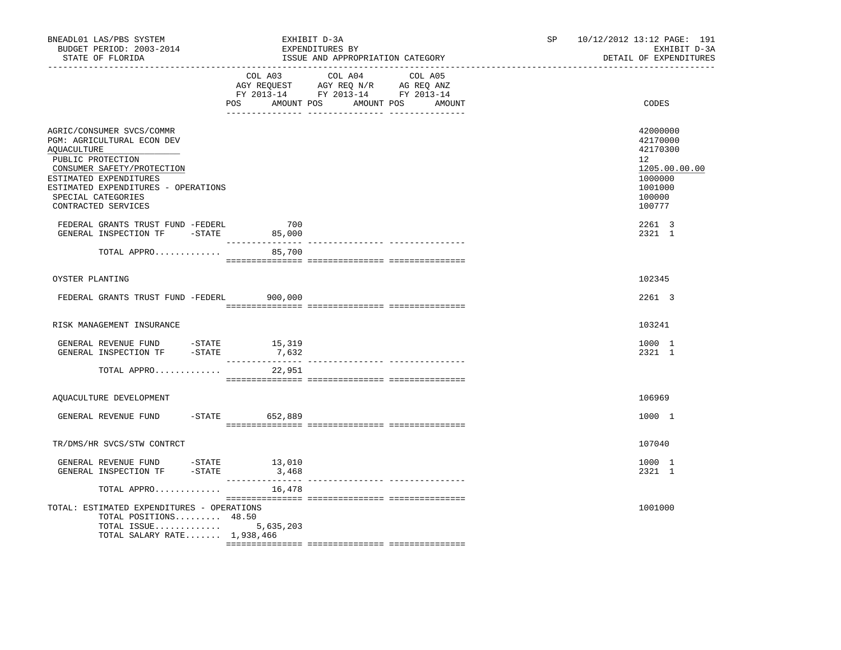| BNEADL01 LAS/PBS SYSTEM<br>BUDGET PERIOD: 2003-2014<br>STATE OF FLORIDA                                                                                                                                                                                                                                                                                                 |                 | EXHIBIT D-3A<br>EXPENDITURES BY<br>ISSUE AND APPROPRIATION CATEGORY                                                                                                                                                                                                                  | SP | 10/12/2012 13:12 PAGE: 191<br>EXHIBIT D-3A<br>DETAIL OF EXPENDITURES                                        |
|-------------------------------------------------------------------------------------------------------------------------------------------------------------------------------------------------------------------------------------------------------------------------------------------------------------------------------------------------------------------------|-----------------|--------------------------------------------------------------------------------------------------------------------------------------------------------------------------------------------------------------------------------------------------------------------------------------|----|-------------------------------------------------------------------------------------------------------------|
|                                                                                                                                                                                                                                                                                                                                                                         |                 | COL A03 COL A04 COL A05<br>$\begin{tabular}{lllllllll} \bf{AGY} & \bf{REQUEST} & \bf{AGY} & \bf{REQ} & \bf{N/R} & \bf{AG} & \bf{REQ} & \bf{ANZ} \\ \bf{FY} & \bf{2013-14} & \bf{FY} & \bf{2013-14} & \bf{FY} & \bf{2013-14} \\ \end{tabular}$<br>POS AMOUNT POS AMOUNT POS<br>AMOUNT |    | CODES                                                                                                       |
| AGRIC/CONSUMER SVCS/COMMR<br>PGM: AGRICULTURAL ECON DEV<br>AQUACULTURE<br>PUBLIC PROTECTION<br>CONSUMER SAFETY/PROTECTION<br>ESTIMATED EXPENDITURES<br>ESTIMATED EXPENDITURES - OPERATIONS<br>SPECIAL CATEGORIES<br>CONTRACTED SERVICES                                                                                                                                 |                 |                                                                                                                                                                                                                                                                                      |    | 42000000<br>42170000<br>42170300<br>$12^{\circ}$<br>1205.00.00.00<br>1000000<br>1001000<br>100000<br>100777 |
| FEDERAL GRANTS TRUST FUND -FEDERL<br>GENERAL INSPECTION TF -STATE 85,000                                                                                                                                                                                                                                                                                                | 700             |                                                                                                                                                                                                                                                                                      |    | 2261 3<br>2321 1                                                                                            |
| TOTAL APPRO                                                                                                                                                                                                                                                                                                                                                             | 85,700          |                                                                                                                                                                                                                                                                                      |    |                                                                                                             |
| OYSTER PLANTING                                                                                                                                                                                                                                                                                                                                                         |                 |                                                                                                                                                                                                                                                                                      |    | 102345                                                                                                      |
| FEDERAL GRANTS TRUST FUND -FEDERL 900,000                                                                                                                                                                                                                                                                                                                               |                 |                                                                                                                                                                                                                                                                                      |    | 2261 3                                                                                                      |
| RISK MANAGEMENT INSURANCE                                                                                                                                                                                                                                                                                                                                               |                 |                                                                                                                                                                                                                                                                                      |    | 103241                                                                                                      |
| GENERAL REVENUE FUND - STATE<br>GENERAL INSPECTION TF -STATE                                                                                                                                                                                                                                                                                                            | 15,319<br>7,632 |                                                                                                                                                                                                                                                                                      |    | 1000 1<br>2321 1                                                                                            |
| TOTAL APPRO                                                                                                                                                                                                                                                                                                                                                             | 22,951          |                                                                                                                                                                                                                                                                                      |    |                                                                                                             |
| AQUACULTURE DEVELOPMENT                                                                                                                                                                                                                                                                                                                                                 |                 |                                                                                                                                                                                                                                                                                      |    | 106969                                                                                                      |
| GENERAL REVENUE FUND -STATE 652,889                                                                                                                                                                                                                                                                                                                                     |                 |                                                                                                                                                                                                                                                                                      |    | 1000 1                                                                                                      |
| TR/DMS/HR SVCS/STW CONTRCT                                                                                                                                                                                                                                                                                                                                              |                 |                                                                                                                                                                                                                                                                                      |    | 107040                                                                                                      |
| $\begin{tabular}{llllll} \multicolumn{2}{llll} \multicolumn{2}{l}{{\small\bf GENERAL} & {REVENUE} & $\mathtt{FUND}$ & $\multicolumn{2}{l}{--}\mathtt{STATE}$ & $\multicolumn{2}{l}{13,010}$ \\ \multicolumn{2}{l}{\small\bf GENERAL} & {\small\bf INSPECITION} & $\mathtt{TF}$ & $\multicolumn{2}{l}{--}\mathtt{STATE}$ & $\multicolumn{2}{l}{3,468}$ \\ \end{tabular}$ | 3,468           |                                                                                                                                                                                                                                                                                      |    | 1000 1<br>2321 1                                                                                            |
| TOTAL APPRO                                                                                                                                                                                                                                                                                                                                                             | 16,478          |                                                                                                                                                                                                                                                                                      |    |                                                                                                             |
| TOTAL: ESTIMATED EXPENDITURES - OPERATIONS<br>TOTAL POSITIONS 48.50<br>TOTAL ISSUE<br>TOTAL SALARY RATE $1,938,466$                                                                                                                                                                                                                                                     | 5,635,203       |                                                                                                                                                                                                                                                                                      |    | 1001000                                                                                                     |
|                                                                                                                                                                                                                                                                                                                                                                         |                 |                                                                                                                                                                                                                                                                                      |    |                                                                                                             |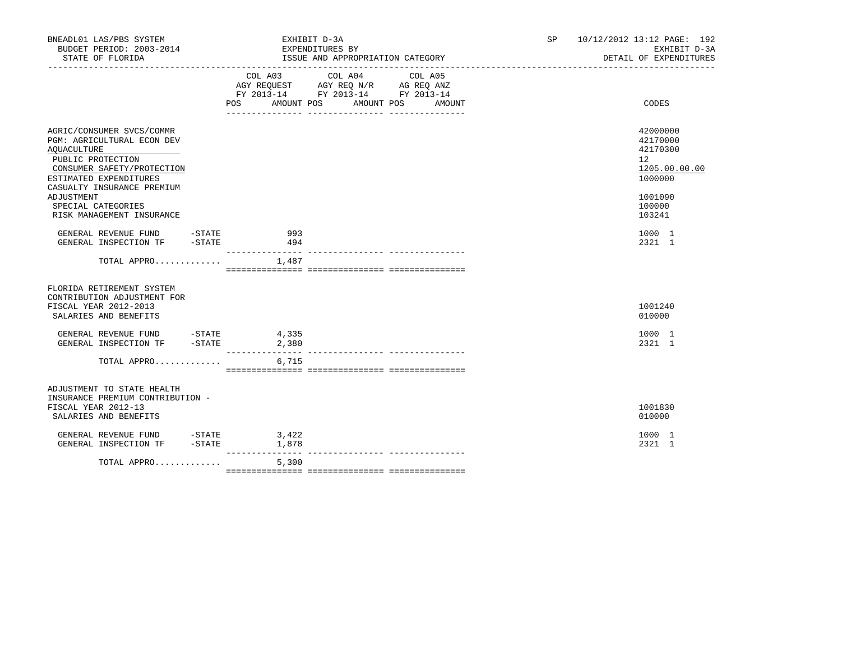| BNEADL01 LAS/PBS SYSTEM<br>BUDGET PERIOD: 2003-2014<br>STATE OF FLORIDA                                                                                                                                |          |                | EXHIBIT D-3A<br>EXPENDITURES BY<br>ISSUE AND APPROPRIATION CATEGORY                               |                              | SP and the set of the set of the set of the set of the set of the set of the set of the set of the set of the set of the set of the set of the set of the set of the set of the set of the set of the set of the set of the se | 10/12/2012 13:12 PAGE: 192<br>EXHIBIT D-3A<br>DETAIL OF EXPENDITURES          |
|--------------------------------------------------------------------------------------------------------------------------------------------------------------------------------------------------------|----------|----------------|---------------------------------------------------------------------------------------------------|------------------------------|--------------------------------------------------------------------------------------------------------------------------------------------------------------------------------------------------------------------------------|-------------------------------------------------------------------------------|
|                                                                                                                                                                                                        |          | POS            | COL A03 COL A04 COL A05<br>AGY REQUEST AGY REQ N/R AG REQ ANZ<br>FY 2013-14 FY 2013-14 FY 2013-14 | AMOUNT POS AMOUNT POS AMOUNT |                                                                                                                                                                                                                                | CODES                                                                         |
| AGRIC/CONSUMER SVCS/COMMR<br>PGM: AGRICULTURAL ECON DEV<br><b>AQUACULTURE</b><br>PUBLIC PROTECTION<br>CONSUMER SAFETY/PROTECTION<br>ESTIMATED EXPENDITURES<br>CASUALTY INSURANCE PREMIUM<br>ADJUSTMENT |          |                |                                                                                                   |                              |                                                                                                                                                                                                                                | 42000000<br>42170000<br>42170300<br>12<br>1205.00.00.00<br>1000000<br>1001090 |
| SPECIAL CATEGORIES<br>RISK MANAGEMENT INSURANCE<br>GENERAL REVENUE FUND -STATE<br>GENERAL INSPECTION TF -STATE                                                                                         |          | 993            |                                                                                                   |                              |                                                                                                                                                                                                                                | 100000<br>103241<br>1000 1                                                    |
| TOTAL APPRO $1,487$                                                                                                                                                                                    |          | 494            |                                                                                                   |                              |                                                                                                                                                                                                                                | 2321 1                                                                        |
| FLORIDA RETIREMENT SYSTEM<br>CONTRIBUTION ADJUSTMENT FOR<br>FISCAL YEAR 2012-2013<br>SALARIES AND BENEFITS                                                                                             |          |                |                                                                                                   |                              |                                                                                                                                                                                                                                | 1001240<br>010000                                                             |
| GENERAL REVENUE FUND -STATE<br>GENERAL INSPECTION TF -STATE                                                                                                                                            |          | 4,335<br>2,380 |                                                                                                   |                              |                                                                                                                                                                                                                                | 1000 1<br>2321 1                                                              |
| TOTAL APPRO                                                                                                                                                                                            |          | 6,715          |                                                                                                   |                              |                                                                                                                                                                                                                                |                                                                               |
| ADJUSTMENT TO STATE HEALTH<br>INSURANCE PREMIUM CONTRIBUTION -<br>FISCAL YEAR 2012-13<br>SALARIES AND BENEFITS                                                                                         |          |                |                                                                                                   |                              |                                                                                                                                                                                                                                | 1001830<br>010000                                                             |
| GENERAL REVENUE FUND -STATE<br>GENERAL INSPECTION TF                                                                                                                                                   | $-STATE$ | 3,422<br>1,878 |                                                                                                   |                              |                                                                                                                                                                                                                                | 1000 1<br>2321 1                                                              |
| TOTAL APPRO                                                                                                                                                                                            |          | 5,300          |                                                                                                   |                              |                                                                                                                                                                                                                                |                                                                               |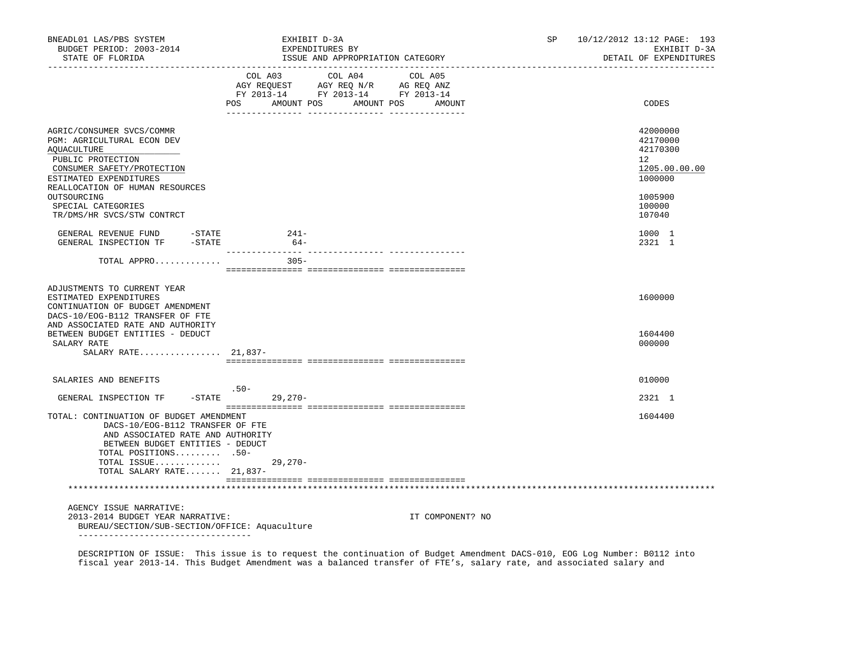| BNEADL01 LAS/PBS SYSTEM<br>BUDGET PERIOD: 2003-2014<br>STATE OF FLORIDA                                                                                                                                                   | EXHIBIT D-3A<br>EXPENDITURES BY<br>ISSUE AND APPROPRIATION CATEGORY                                                                                                                                                                                                                                         |                      | SP | 10/12/2012 13:12 PAGE: 193<br>EXHIBIT D-3A<br>DETAIL OF EXPENDITURES          |  |
|---------------------------------------------------------------------------------------------------------------------------------------------------------------------------------------------------------------------------|-------------------------------------------------------------------------------------------------------------------------------------------------------------------------------------------------------------------------------------------------------------------------------------------------------------|----------------------|----|-------------------------------------------------------------------------------|--|
|                                                                                                                                                                                                                           | COL A03 COL A04 COL A05<br>$\begin{tabular}{lllllll} \bf AGY \,\, &\bf REGUEST \,\, &\bf AGY \,\, &\bf REQ \,\, &\bf N/R \,\, &\bf AG \,\, &\bf REQ \,\, &\bf ANZ \,\, \\ \bf FY \,\, &\bf 2013-14 \,\, &\bf FY \,\, &\bf 2013-14 \,\, &\bf FY \,\, &\bf 2013-14 \end{tabular}$<br><b>POS</b><br>AMOUNT POS | AMOUNT POS<br>AMOUNT |    | CODES                                                                         |  |
| AGRIC/CONSUMER SVCS/COMMR<br>PGM: AGRICULTURAL ECON DEV<br><b>AQUACULTURE</b><br>PUBLIC PROTECTION<br>CONSUMER SAFETY/PROTECTION<br>ESTIMATED EXPENDITURES<br>REALLOCATION OF HUMAN RESOURCES<br>OUTSOURCING              |                                                                                                                                                                                                                                                                                                             |                      |    | 42000000<br>42170000<br>42170300<br>12<br>1205.00.00.00<br>1000000<br>1005900 |  |
| SPECIAL CATEGORIES<br>TR/DMS/HR SVCS/STW CONTRCT                                                                                                                                                                          |                                                                                                                                                                                                                                                                                                             |                      |    | 100000<br>107040                                                              |  |
| GENERAL REVENUE FUND -STATE<br>GENERAL INSPECTION TF -STATE                                                                                                                                                               | 241-<br>$64-$                                                                                                                                                                                                                                                                                               |                      |    | 1000 1<br>2321 1                                                              |  |
| TOTAL APPRO                                                                                                                                                                                                               | $305 -$                                                                                                                                                                                                                                                                                                     |                      |    |                                                                               |  |
| ADJUSTMENTS TO CURRENT YEAR<br>ESTIMATED EXPENDITURES<br>CONTINUATION OF BUDGET AMENDMENT<br>DACS-10/EOG-B112 TRANSFER OF FTE<br>AND ASSOCIATED RATE AND AUTHORITY                                                        |                                                                                                                                                                                                                                                                                                             |                      |    | 1600000                                                                       |  |
| BETWEEN BUDGET ENTITIES - DEDUCT<br>SALARY RATE<br>SALARY RATE $21,837-$                                                                                                                                                  |                                                                                                                                                                                                                                                                                                             |                      |    | 1604400<br>000000                                                             |  |
| SALARIES AND BENEFITS                                                                                                                                                                                                     |                                                                                                                                                                                                                                                                                                             |                      |    | 010000                                                                        |  |
| $-$ STATE<br>GENERAL INSPECTION TF                                                                                                                                                                                        | $.50-$<br>29,270-                                                                                                                                                                                                                                                                                           |                      |    | 2321 1                                                                        |  |
| TOTAL: CONTINUATION OF BUDGET AMENDMENT<br>DACS-10/EOG-B112 TRANSFER OF FTE<br>AND ASSOCIATED RATE AND AUTHORITY<br>BETWEEN BUDGET ENTITIES - DEDUCT<br>TOTAL POSITIONS 50-<br>TOTAL ISSUE<br>TOTAL SALARY RATE $21,837-$ | $29,270-$                                                                                                                                                                                                                                                                                                   |                      |    | 1604400                                                                       |  |
|                                                                                                                                                                                                                           |                                                                                                                                                                                                                                                                                                             |                      |    |                                                                               |  |
| AGENCY ISSUE NARRATIVE:<br>2013-2014 BUDGET YEAR NARRATIVE:<br>BUREAU/SECTION/SUB-SECTION/OFFICE: Aquaculture<br>____________________________________                                                                     |                                                                                                                                                                                                                                                                                                             | IT COMPONENT? NO     |    |                                                                               |  |

 DESCRIPTION OF ISSUE: This issue is to request the continuation of Budget Amendment DACS-010, EOG Log Number: B0112 into fiscal year 2013-14. This Budget Amendment was a balanced transfer of FTE's, salary rate, and associated salary and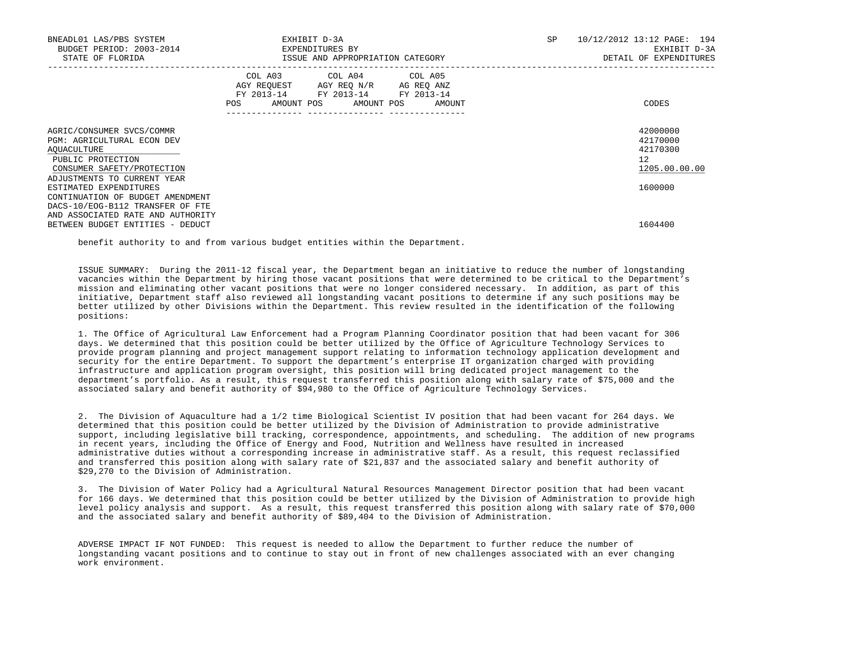| BNEADL01 LAS/PBS SYSTEM<br>BUDGET PERIOD: 2003-2014<br>STATE OF FLORIDA                                                                                  |                                                           | EXHIBIT D-3A<br>EXPENDITURES BY<br>ISSUE AND APPROPRIATION CATEGORY                    | SP     | 10/12/2012 13:12 PAGE: 194<br>EXHIBIT D-3A<br>DETAIL OF EXPENDITURES |
|----------------------------------------------------------------------------------------------------------------------------------------------------------|-----------------------------------------------------------|----------------------------------------------------------------------------------------|--------|----------------------------------------------------------------------|
|                                                                                                                                                          | COL A03<br>AGY REOUEST<br>FY 2013-14<br>AMOUNT POS<br>POS | COL A04 COL A05<br>AGY REQ N/R<br>AG REQ ANZ<br>FY 2013-14<br>FY 2013-14<br>AMOUNT POS | AMOUNT | CODES                                                                |
| AGRIC/CONSUMER SVCS/COMMR<br>PGM: AGRICULTURAL ECON DEV<br>AQUACULTURE<br>PUBLIC PROTECTION<br>CONSUMER SAFETY/PROTECTION<br>ADJUSTMENTS TO CURRENT YEAR |                                                           |                                                                                        |        | 42000000<br>42170000<br>42170300<br>12<br>1205.00.00.00              |
| ESTIMATED EXPENDITURES<br>CONTINUATION OF BUDGET AMENDMENT<br>DACS-10/EOG-B112 TRANSFER OF FTE<br>AND ASSOCIATED RATE AND AUTHORITY                      |                                                           |                                                                                        |        | 1600000                                                              |
| BETWEEN BUDGET ENTITIES - DEDUCT                                                                                                                         |                                                           |                                                                                        |        | 1604400                                                              |

benefit authority to and from various budget entities within the Department.

 ISSUE SUMMARY: During the 2011-12 fiscal year, the Department began an initiative to reduce the number of longstanding vacancies within the Department by hiring those vacant positions that were determined to be critical to the Department's mission and eliminating other vacant positions that were no longer considered necessary. In addition, as part of this initiative, Department staff also reviewed all longstanding vacant positions to determine if any such positions may be better utilized by other Divisions within the Department. This review resulted in the identification of the following positions:

 1. The Office of Agricultural Law Enforcement had a Program Planning Coordinator position that had been vacant for 306 days. We determined that this position could be better utilized by the Office of Agriculture Technology Services to provide program planning and project management support relating to information technology application development and security for the entire Department. To support the department's enterprise IT organization charged with providing infrastructure and application program oversight, this position will bring dedicated project management to the department's portfolio. As a result, this request transferred this position along with salary rate of \$75,000 and the associated salary and benefit authority of \$94,980 to the Office of Agriculture Technology Services.

 2. The Division of Aquaculture had a 1/2 time Biological Scientist IV position that had been vacant for 264 days. We determined that this position could be better utilized by the Division of Administration to provide administrative support, including legislative bill tracking, correspondence, appointments, and scheduling. The addition of new programs in recent years, including the Office of Energy and Food, Nutrition and Wellness have resulted in increased administrative duties without a corresponding increase in administrative staff. As a result, this request reclassified and transferred this position along with salary rate of \$21,837 and the associated salary and benefit authority of \$29,270 to the Division of Administration.

 3. The Division of Water Policy had a Agricultural Natural Resources Management Director position that had been vacant for 166 days. We determined that this position could be better utilized by the Division of Administration to provide high level policy analysis and support. As a result, this request transferred this position along with salary rate of \$70,000 and the associated salary and benefit authority of \$89,404 to the Division of Administration.

 ADVERSE IMPACT IF NOT FUNDED: This request is needed to allow the Department to further reduce the number of longstanding vacant positions and to continue to stay out in front of new challenges associated with an ever changing work environment.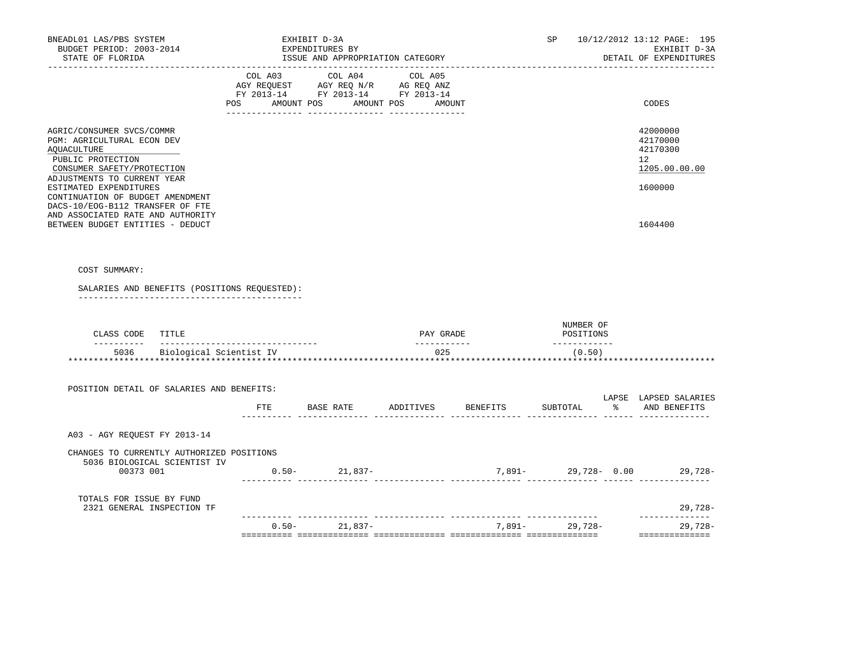| BNEADL01 LAS/PBS SYSTEM<br>BUDGET PERIOD: 2003-2014<br>STATE OF FLORIDA                                                                                            | EXHIBIT D-3A<br>EXPENDITURES BY<br>ISSUE AND APPROPRIATION CATEGORY                                                                                                                                                                                                                                                 |                          |                 |                                        | SP 10/12/2012 13:12 PAGE: 195<br>EXHIBIT D-3A<br>DETAIL OF EXPENDITURES |
|--------------------------------------------------------------------------------------------------------------------------------------------------------------------|---------------------------------------------------------------------------------------------------------------------------------------------------------------------------------------------------------------------------------------------------------------------------------------------------------------------|--------------------------|-----------------|----------------------------------------|-------------------------------------------------------------------------|
|                                                                                                                                                                    | COL A03 COL A04 COL A05<br>$\begin{tabular}{lllllll} \bf AGY \,\, &\bf REGUEST \,\, &\bf AGY \,\, &\bf REQ \,\, &\bf N/R \,\, &\bf AG \,\, &\bf REQ \,\, &\bf ANZ \,\, \\ \bf FY \,\, &\bf 2013-14 \,\, &\bf FY \,\, &\bf 2013-14 \,\, &\bf FY \,\, &\bf 2013-14 \end{tabular}$<br>POS AMOUNT POS AMOUNT POS AMOUNT |                          |                 |                                        | CODES                                                                   |
| AGRIC/CONSUMER SVCS/COMMR<br>PGM: AGRICULTURAL ECON DEV<br><b>AQUACULTURE</b><br>PUBLIC PROTECTION<br>CONSUMER SAFETY/PROTECTION                                   |                                                                                                                                                                                                                                                                                                                     |                          |                 |                                        | 42000000<br>42170000<br>42170300<br>12<br>1205.00.00.00                 |
| ADJUSTMENTS TO CURRENT YEAR<br>ESTIMATED EXPENDITURES<br>CONTINUATION OF BUDGET AMENDMENT<br>DACS-10/EOG-B112 TRANSFER OF FTE<br>AND ASSOCIATED RATE AND AUTHORITY |                                                                                                                                                                                                                                                                                                                     |                          |                 |                                        | 1600000                                                                 |
| BETWEEN BUDGET ENTITIES - DEDUCT                                                                                                                                   |                                                                                                                                                                                                                                                                                                                     |                          |                 |                                        | 1604400                                                                 |
| COST SUMMARY:                                                                                                                                                      |                                                                                                                                                                                                                                                                                                                     |                          |                 |                                        |                                                                         |
| SALARIES AND BENEFITS (POSITIONS REQUESTED):                                                                                                                       |                                                                                                                                                                                                                                                                                                                     |                          |                 |                                        |                                                                         |
|                                                                                                                                                                    |                                                                                                                                                                                                                                                                                                                     |                          |                 |                                        |                                                                         |
| CLASS CODE TITLE                                                                                                                                                   |                                                                                                                                                                                                                                                                                                                     | PAY GRADE<br>----------- |                 | NUMBER OF<br>POSITIONS<br>------------ |                                                                         |
| 5036 Biological Scientist IV                                                                                                                                       |                                                                                                                                                                                                                                                                                                                     | 025                      |                 | (0.50)                                 |                                                                         |
| POSITION DETAIL OF SALARIES AND BENEFITS:                                                                                                                          |                                                                                                                                                                                                                                                                                                                     |                          |                 |                                        |                                                                         |
|                                                                                                                                                                    | FTE BASE RATE ADDITIVES                                                                                                                                                                                                                                                                                             |                          | <b>BENEFITS</b> | SUBTOTAL                               | LAPSE LAPSED SALARIES<br>% AND BENEFITS                                 |
| A03 - AGY REQUEST FY 2013-14                                                                                                                                       |                                                                                                                                                                                                                                                                                                                     |                          |                 |                                        |                                                                         |
| CHANGES TO CURRENTLY AUTHORIZED POSITIONS                                                                                                                          |                                                                                                                                                                                                                                                                                                                     |                          |                 |                                        |                                                                         |
| 5036 BIOLOGICAL SCIENTIST IV<br>00373 001                                                                                                                          | $0.50 - 21,837 -$                                                                                                                                                                                                                                                                                                   |                          |                 |                                        | $7,891-29,728-0.00$ 29,728                                              |
| TOTALS FOR ISSUE BY FUND<br>2321 GENERAL INSPECTION TF                                                                                                             |                                                                                                                                                                                                                                                                                                                     |                          |                 |                                        | 29,728-                                                                 |
|                                                                                                                                                                    | $0.50 - 21,837 -$                                                                                                                                                                                                                                                                                                   |                          |                 | 7,891- 29,728-                         | ______________<br>29,728-                                               |
|                                                                                                                                                                    |                                                                                                                                                                                                                                                                                                                     |                          |                 |                                        | _______________                                                         |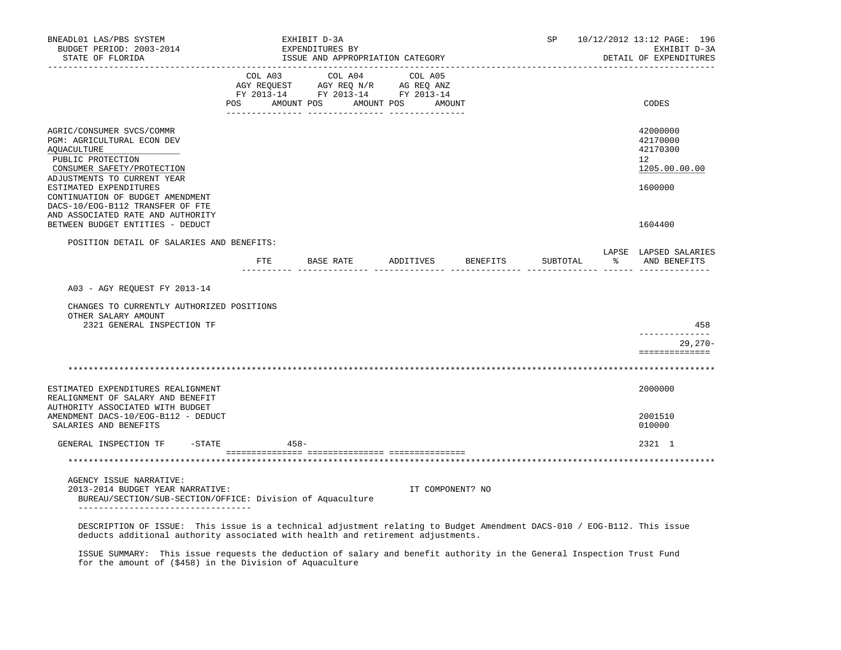| BNEADL01 LAS/PBS SYSTEM<br>BUDGET PERIOD: 2003-2014<br>STATE OF FLORIDA                                                                                                                                    |                                                                                                                                                                                                | EXHIBIT D-3A<br>EXPENDITURES BY<br>ISSUE AND APPROPRIATION CATEGORY |  |                                  | SP       | 10/12/2012 13:12 PAGE: 196<br>EXHIBIT D-3A<br>DETAIL OF EXPENDITURES |
|------------------------------------------------------------------------------------------------------------------------------------------------------------------------------------------------------------|------------------------------------------------------------------------------------------------------------------------------------------------------------------------------------------------|---------------------------------------------------------------------|--|----------------------------------|----------|----------------------------------------------------------------------|
|                                                                                                                                                                                                            | $\begin{tabular}{lcccc} COL A03 & COL A04 & COL A05 \\ AGY REQUEST & AGY REQ N/R & AG REQ ANZ \\ FY & 2013-14 & FY & 2013-14 & FY & 2013-14 \end{tabular}$<br>POS AMOUNT POS AMOUNT POS AMOUNT |                                                                     |  |                                  |          | CODES                                                                |
|                                                                                                                                                                                                            |                                                                                                                                                                                                |                                                                     |  |                                  |          |                                                                      |
| AGRIC/CONSUMER SVCS/COMMR<br>PGM: AGRICULTURAL ECON DEV<br>AQUACULTURE<br>PUBLIC PROTECTION<br>CONSUMER SAFETY/PROTECTION                                                                                  |                                                                                                                                                                                                |                                                                     |  |                                  |          | 42000000<br>42170000<br>42170300<br>12 <sup>°</sup><br>1205.00.00.00 |
| ADJUSTMENTS TO CURRENT YEAR<br>ESTIMATED EXPENDITURES<br>CONTINUATION OF BUDGET AMENDMENT<br>DACS-10/EOG-B112 TRANSFER OF FTE<br>AND ASSOCIATED RATE AND AUTHORITY                                         |                                                                                                                                                                                                |                                                                     |  |                                  |          | 1600000                                                              |
| BETWEEN BUDGET ENTITIES - DEDUCT                                                                                                                                                                           |                                                                                                                                                                                                |                                                                     |  |                                  |          | 1604400                                                              |
| POSITION DETAIL OF SALARIES AND BENEFITS:                                                                                                                                                                  |                                                                                                                                                                                                |                                                                     |  | FTE BASE RATE ADDITIVES BENEFITS | SUBTOTAL | LAPSE LAPSED SALARIES<br>% AND BENEFITS                              |
|                                                                                                                                                                                                            |                                                                                                                                                                                                |                                                                     |  |                                  |          |                                                                      |
| A03 - AGY REQUEST FY 2013-14                                                                                                                                                                               |                                                                                                                                                                                                |                                                                     |  |                                  |          |                                                                      |
| CHANGES TO CURRENTLY AUTHORIZED POSITIONS<br>OTHER SALARY AMOUNT<br>2321 GENERAL INSPECTION TF                                                                                                             |                                                                                                                                                                                                |                                                                     |  |                                  |          | 458                                                                  |
|                                                                                                                                                                                                            |                                                                                                                                                                                                |                                                                     |  |                                  |          | ______________<br>$29,270-$                                          |
|                                                                                                                                                                                                            |                                                                                                                                                                                                |                                                                     |  |                                  |          | ==============                                                       |
|                                                                                                                                                                                                            |                                                                                                                                                                                                |                                                                     |  |                                  |          |                                                                      |
| ESTIMATED EXPENDITURES REALIGNMENT<br>REALIGNMENT OF SALARY AND BENEFIT                                                                                                                                    |                                                                                                                                                                                                |                                                                     |  |                                  |          | 2000000                                                              |
| AUTHORITY ASSOCIATED WITH BUDGET<br>AMENDMENT DACS-10/EOG-B112 - DEDUCT<br>SALARIES AND BENEFITS                                                                                                           |                                                                                                                                                                                                |                                                                     |  |                                  |          | 2001510<br>010000                                                    |
| GENERAL INSPECTION TF<br>$-$ STATE                                                                                                                                                                         | $458 -$                                                                                                                                                                                        |                                                                     |  |                                  |          | 2321 1                                                               |
|                                                                                                                                                                                                            |                                                                                                                                                                                                |                                                                     |  |                                  |          |                                                                      |
|                                                                                                                                                                                                            |                                                                                                                                                                                                |                                                                     |  |                                  |          |                                                                      |
| AGENCY ISSUE NARRATIVE:<br>2013-2014 BUDGET YEAR NARRATIVE:<br>BUREAU/SECTION/SUB-SECTION/OFFICE: Division of Aquaculture<br>____________________________________                                          |                                                                                                                                                                                                |                                                                     |  | IT COMPONENT? NO                 |          |                                                                      |
| DESCRIPTION OF ISSUE: This issue is a technical adjustment relating to Budget Amendment DACS-010 / EOG-B112. This issue<br>deducts additional authority associated with health and retirement adjustments. |                                                                                                                                                                                                |                                                                     |  |                                  |          |                                                                      |

 ISSUE SUMMARY: This issue requests the deduction of salary and benefit authority in the General Inspection Trust Fund for the amount of (\$458) in the Division of Aquaculture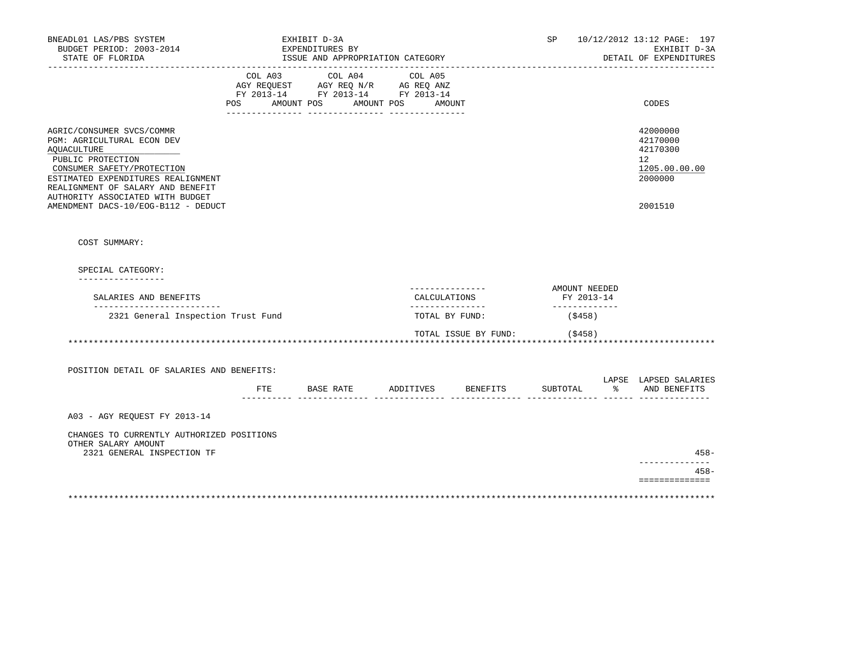| BNEADL01 LAS/PBS SYSTEM<br>BUDGET PERIOD: 2003-2014<br>STATE OF FLORIDA<br>__________________                                                                                                                                                                                   |                     | EXHIBIT D-3A<br>EXPENDITURES BY<br>ISSUE AND APPROPRIATION CATEGORY                               |                   |                                   | SP                          |               | 10/12/2012 13:12 PAGE: 197<br>EXHIBIT D-3A<br>DETAIL OF EXPENDITURES          |
|---------------------------------------------------------------------------------------------------------------------------------------------------------------------------------------------------------------------------------------------------------------------------------|---------------------|---------------------------------------------------------------------------------------------------|-------------------|-----------------------------------|-----------------------------|---------------|-------------------------------------------------------------------------------|
|                                                                                                                                                                                                                                                                                 | POS AMOUNT POS      | COL A03 COL A04 COL A05<br>AGY REQUEST AGY REQ N/R AG REQ ANZ<br>FY 2013-14 FY 2013-14 FY 2013-14 | AMOUNT POS AMOUNT |                                   |                             |               | CODES                                                                         |
| AGRIC/CONSUMER SVCS/COMMR<br>PGM: AGRICULTURAL ECON DEV<br>AQUACULTURE<br>PUBLIC PROTECTION<br>CONSUMER SAFETY/PROTECTION<br>ESTIMATED EXPENDITURES REALIGNMENT<br>REALIGNMENT OF SALARY AND BENEFIT<br>AUTHORITY ASSOCIATED WITH BUDGET<br>AMENDMENT DACS-10/EOG-B112 - DEDUCT |                     |                                                                                                   |                   |                                   |                             |               | 42000000<br>42170000<br>42170300<br>12<br>1205.00.00.00<br>2000000<br>2001510 |
| COST SUMMARY:                                                                                                                                                                                                                                                                   |                     |                                                                                                   |                   |                                   |                             |               |                                                                               |
| SPECIAL CATEGORY:<br>_________________                                                                                                                                                                                                                                          |                     |                                                                                                   |                   |                                   |                             |               |                                                                               |
| SALARIES AND BENEFITS                                                                                                                                                                                                                                                           |                     |                                                                                                   |                   | ---------------<br>CALCULATIONS   | AMOUNT NEEDED<br>FY 2013-14 |               |                                                                               |
| -----------------------<br>2321 General Inspection Trust Fund                                                                                                                                                                                                                   |                     |                                                                                                   |                   | ---------------<br>TOTAL BY FUND: | _____________<br>(\$458)    |               |                                                                               |
|                                                                                                                                                                                                                                                                                 |                     |                                                                                                   |                   | TOTAL ISSUE BY FUND:              | (\$458)                     |               |                                                                               |
| POSITION DETAIL OF SALARIES AND BENEFITS:                                                                                                                                                                                                                                       |                     | FTE BASE RATE ADDITIVES BENEFITS                                                                  |                   |                                   | SUBTOTAL                    | $\frac{1}{6}$ | LAPSE LAPSED SALARIES<br>AND BENEFITS                                         |
| A03 - AGY REQUEST FY 2013-14                                                                                                                                                                                                                                                    | ----------- ------- |                                                                                                   |                   |                                   |                             |               |                                                                               |
| CHANGES TO CURRENTLY AUTHORIZED POSITIONS<br>OTHER SALARY AMOUNT                                                                                                                                                                                                                |                     |                                                                                                   |                   |                                   |                             |               |                                                                               |
| 2321 GENERAL INSPECTION TF                                                                                                                                                                                                                                                      |                     |                                                                                                   |                   |                                   |                             |               | $458 -$<br>--------------<br>$458 -$                                          |
|                                                                                                                                                                                                                                                                                 |                     |                                                                                                   |                   |                                   |                             |               | ==============                                                                |
|                                                                                                                                                                                                                                                                                 |                     |                                                                                                   |                   |                                   |                             |               |                                                                               |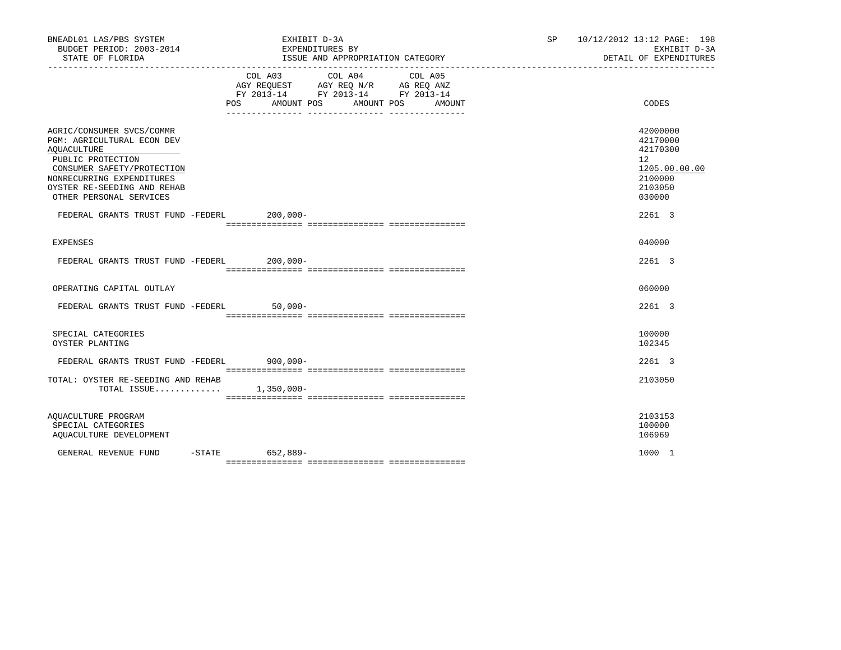| BNEADL01 LAS/PBS SYSTEM<br>BUDGET PERIOD: 2003-2014<br>STATE OF FLORIDA                                                          | EXHIBIT D-3A<br>EXPENDITURES BY<br>ISSUE AND APPROPRIATION CATEGORY                                                                      | 10/12/2012 13:12 PAGE: 198<br>SP <sub>2</sub><br>EXHIBIT D-3A<br>DETAIL OF EXPENDITURES |
|----------------------------------------------------------------------------------------------------------------------------------|------------------------------------------------------------------------------------------------------------------------------------------|-----------------------------------------------------------------------------------------|
|                                                                                                                                  | COL A03 COL A04 COL A05<br>AGY REQUEST AGY REQ N/R AG REQ ANZ<br>FY 2013-14 FY 2013-14 FY 2013-14<br>POS<br>AMOUNT POS AMOUNT POS AMOUNT | CODES                                                                                   |
| AGRIC/CONSUMER SVCS/COMMR<br>PGM: AGRICULTURAL ECON DEV<br><b>AQUACULTURE</b><br>PUBLIC PROTECTION<br>CONSUMER SAFETY/PROTECTION |                                                                                                                                          | 42000000<br>42170000<br>42170300<br>12 <sup>°</sup><br>1205.00.00.00                    |
| NONRECURRING EXPENDITURES<br>OYSTER RE-SEEDING AND REHAB<br>OTHER PERSONAL SERVICES                                              |                                                                                                                                          | 2100000<br>2103050<br>030000                                                            |
| FEDERAL GRANTS TRUST FUND -FEDERL 200,000-                                                                                       |                                                                                                                                          | 2261 3                                                                                  |
| <b>EXPENSES</b>                                                                                                                  |                                                                                                                                          | 040000                                                                                  |
| FEDERAL GRANTS TRUST FUND -FEDERL 200,000-                                                                                       |                                                                                                                                          | 2261 3                                                                                  |
| OPERATING CAPITAL OUTLAY                                                                                                         |                                                                                                                                          | 060000                                                                                  |
| FEDERAL GRANTS TRUST FUND -FEDERL                                                                                                | $50,000-$                                                                                                                                | 2261 3                                                                                  |
| SPECIAL CATEGORIES<br>OYSTER PLANTING                                                                                            |                                                                                                                                          | 100000<br>102345                                                                        |
| FEDERAL GRANTS TRUST FUND -FEDERL 900,000-                                                                                       |                                                                                                                                          | 2261 3                                                                                  |
| TOTAL: OYSTER RE-SEEDING AND REHAB<br>TOTAL ISSUE                                                                                | $1,350,000 -$                                                                                                                            | 2103050                                                                                 |
| AQUACULTURE PROGRAM<br>SPECIAL CATEGORIES<br>AQUACULTURE DEVELOPMENT                                                             |                                                                                                                                          | 2103153<br>100000<br>106969                                                             |
| GENERAL REVENUE FUND                                                                                                             | $-STATE$ 652,889-                                                                                                                        | 1000 1                                                                                  |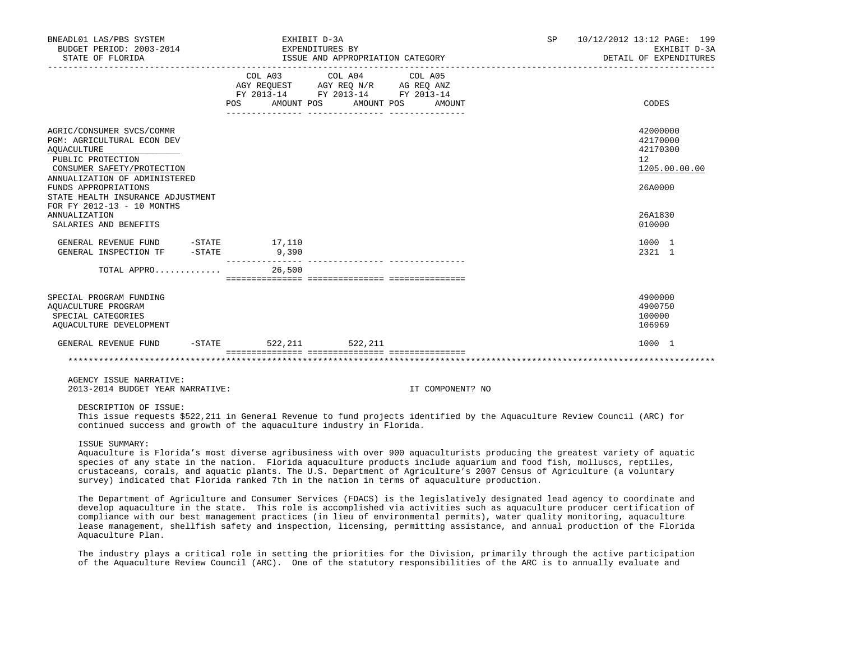| BNEADL01 LAS/PBS SYSTEM<br>BUDGET PERIOD: 2003-2014 EXPENDITURES BY<br>STATE OF FLORIDA                                                                                                                                                                                                                       | EXHIBIT D-3A       | ISSUE AND APPROPRIATION CATEGORY                                                                                                         | SP | 10/12/2012 13:12 PAGE: 199<br>EXHIBIT D-3A<br>DETAIL OF EXPENDITURES                    |
|---------------------------------------------------------------------------------------------------------------------------------------------------------------------------------------------------------------------------------------------------------------------------------------------------------------|--------------------|------------------------------------------------------------------------------------------------------------------------------------------|----|-----------------------------------------------------------------------------------------|
|                                                                                                                                                                                                                                                                                                               |                    | COL A03 COL A04 COL A05<br>AGY REQUEST AGY REQ N/R AG REQ ANZ<br>FY 2013-14 FY 2013-14 FY 2013-14<br>POS AMOUNT POS AMOUNT POS<br>AMOUNT |    | CODES                                                                                   |
| AGRIC/CONSUMER SVCS/COMMR<br><b>PGM: AGRICULTURAL ECON DEV</b><br>AQUACULTURE<br>PUBLIC PROTECTION<br>CONSUMER SAFETY/PROTECTION<br>ANNUALIZATION OF ADMINISTERED<br>FUNDS APPROPRIATIONS<br>STATE HEALTH INSURANCE ADJUSTMENT<br>FOR FY 2012-13 - 10 MONTHS<br><b>ANNUALIZATION</b><br>SALARIES AND BENEFITS |                    |                                                                                                                                          |    | 42000000<br>42170000<br>42170300<br>12<br>1205.00.00.00<br>26A0000<br>26A1830<br>010000 |
| GENERAL REVENUE FUND -STATE 17,110<br>GENERAL INSPECTION TF -STATE                                                                                                                                                                                                                                            | 9,390              |                                                                                                                                          |    | 1000 1<br>2321 1                                                                        |
| TOTAL APPRO                                                                                                                                                                                                                                                                                                   | 26,500             |                                                                                                                                          |    |                                                                                         |
| SPECIAL PROGRAM FUNDING<br>AOUACULTURE PROGRAM<br>SPECIAL CATEGORIES<br>AQUACULTURE DEVELOPMENT                                                                                                                                                                                                               |                    |                                                                                                                                          |    | 4900000<br>4900750<br>100000<br>106969                                                  |
| GENERAL REVENUE FUND                                                                                                                                                                                                                                                                                          | $-$ STATE 522, 211 | 522,211                                                                                                                                  |    | 1000 1                                                                                  |
|                                                                                                                                                                                                                                                                                                               |                    |                                                                                                                                          |    |                                                                                         |

AGENCY ISSUE NARRATIVE:

2013-2014 BUDGET YEAR NARRATIVE: IT COMPONENT? NO

DESCRIPTION OF ISSUE:

 This issue requests \$522,211 in General Revenue to fund projects identified by the Aquaculture Review Council (ARC) for continued success and growth of the aquaculture industry in Florida.

ISSUE SUMMARY:

 Aquaculture is Florida's most diverse agribusiness with over 900 aquaculturists producing the greatest variety of aquatic species of any state in the nation. Florida aquaculture products include aquarium and food fish, molluscs, reptiles, crustaceans, corals, and aquatic plants. The U.S. Department of Agriculture's 2007 Census of Agriculture (a voluntary survey) indicated that Florida ranked 7th in the nation in terms of aquaculture production.

 The Department of Agriculture and Consumer Services (FDACS) is the legislatively designated lead agency to coordinate and develop aquaculture in the state. This role is accomplished via activities such as aquaculture producer certification of compliance with our best management practices (in lieu of environmental permits), water quality monitoring, aquaculture lease management, shellfish safety and inspection, licensing, permitting assistance, and annual production of the Florida Aquaculture Plan.

 The industry plays a critical role in setting the priorities for the Division, primarily through the active participation of the Aquaculture Review Council (ARC). One of the statutory responsibilities of the ARC is to annually evaluate and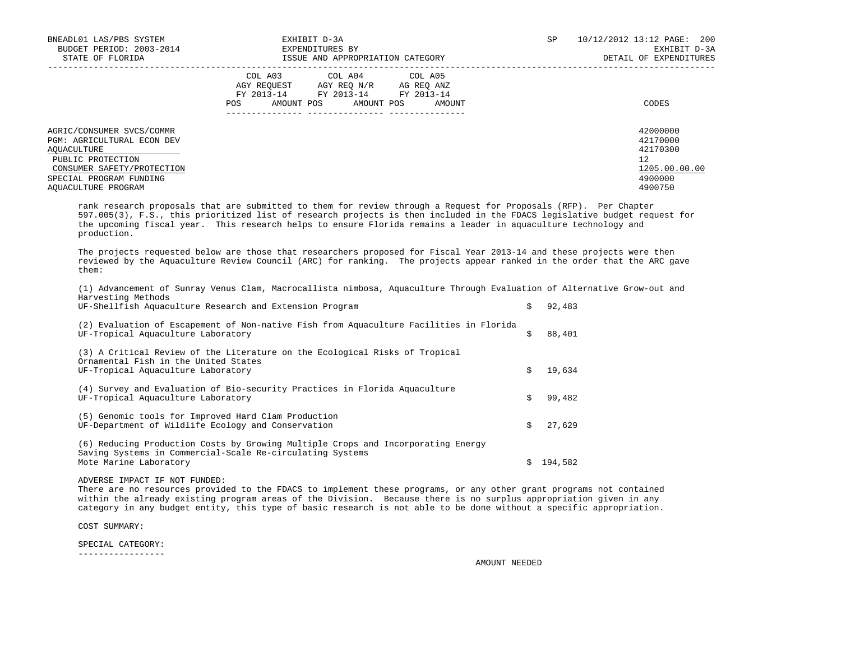| BNEADL01 LAS/PBS SYSTEM<br>BUDGET PERIOD: 2003-2014<br>STATE OF FLORIDA                                                                                                            | EXHIBIT D-3A<br>EXPENDITURES BY<br>ISSUE AND APPROPRIATION CATEGORY                                                                            | <b>SP</b> | 10/12/2012 13:12 PAGE: 200<br>EXHIBIT D-3A<br>DETAIL OF EXPENDITURES          |
|------------------------------------------------------------------------------------------------------------------------------------------------------------------------------------|------------------------------------------------------------------------------------------------------------------------------------------------|-----------|-------------------------------------------------------------------------------|
|                                                                                                                                                                                    | COL A03 COL A04 COL A05<br>AGY REQUEST AGY REQ N/R AG REQ ANZ<br>FY 2013-14 FY 2013-14 FY 2013-14<br>AMOUNT POS<br>AMOUNT POS<br>AMOUNT<br>POS |           | CODES                                                                         |
| AGRIC/CONSUMER SVCS/COMMR<br><b>PGM: AGRICULTURAL ECON DEV</b><br>AQUACULTURE<br>PUBLIC PROTECTION<br>CONSUMER SAFETY/PROTECTION<br>SPECIAL PROGRAM FUNDING<br>AOUACULTURE PROGRAM |                                                                                                                                                |           | 42000000<br>42170000<br>42170300<br>12<br>1205.00.00.00<br>4900000<br>4900750 |

 rank research proposals that are submitted to them for review through a Request for Proposals (RFP). Per Chapter 597.005(3), F.S., this prioritized list of research projects is then included in the FDACS legislative budget request for the upcoming fiscal year. This research helps to ensure Florida remains a leader in aquaculture technology and production.

 The projects requested below are those that researchers proposed for Fiscal Year 2013-14 and these projects were then reviewed by the Aquaculture Review Council (ARC) for ranking. The projects appear ranked in the order that the ARC gave them:

 (1) Advancement of Sunray Venus Clam, Macrocallista nimbosa, Aquaculture Through Evaluation of Alternative Grow-out and Harvesting Methods

| UF-Shellfish Aquaculture Research and Extension Program                                                                                                                 |    | 92,483  |
|-------------------------------------------------------------------------------------------------------------------------------------------------------------------------|----|---------|
| (2) Evaluation of Escapement of Non-native Fish from Aquaculture Facilities in Florida<br>UF-Tropical Aquaculture Laboratory                                            | Ś. | 88,401  |
| (3) A Critical Review of the Literature on the Ecological Risks of Tropical<br>Ornamental Fish in the United States<br>UF-Tropical Aquaculture Laboratory               |    | 19,634  |
| (4) Survey and Evaluation of Bio-security Practices in Florida Aquaculture<br>UF-Tropical Aquaculture Laboratory                                                        | Ś. | 99,482  |
| (5) Genomic tools for Improved Hard Clam Production<br>UF-Department of Wildlife Ecology and Conservation                                                               | Ś. | 27,629  |
| (6) Reducing Production Costs by Growing Multiple Crops and Incorporating Energy<br>Saving Systems in Commercial-Scale Re-circulating Systems<br>Mote Marine Laboratory |    | 194,582 |

ADVERSE IMPACT IF NOT FUNDED:

 There are no resources provided to the FDACS to implement these programs, or any other grant programs not contained within the already existing program areas of the Division. Because there is no surplus appropriation given in any category in any budget entity, this type of basic research is not able to be done without a specific appropriation.

COST SUMMARY:

SPECIAL CATEGORY:

-----------------

AMOUNT NEEDED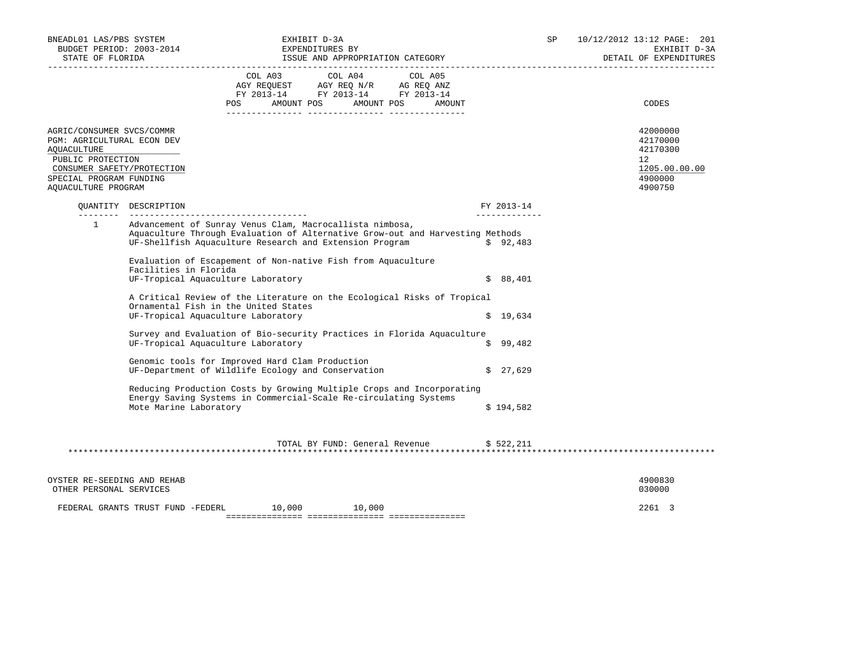| BNEADL01 LAS/PBS SYSTEM<br>STATE OF FLORIDA<br>---------------------                                                                                                               | BUDGET PERIOD: 2003-2014                        | EXHIBIT D-3A<br>SP<br>EXPENDITURES BY<br>ISSUE AND APPROPRIATION CATEGORY                                                                                                                                                                                                                                                                                                                                                                                                                                                                                                                                                                                                                                                                                                                                                                 |                                     |                   |                                                                       |  | 10/12/2012 13:12 PAGE: 201<br>EXHIBIT D-3A<br>DETAIL OF EXPENDITURES<br>_____________________________ |
|------------------------------------------------------------------------------------------------------------------------------------------------------------------------------------|-------------------------------------------------|-------------------------------------------------------------------------------------------------------------------------------------------------------------------------------------------------------------------------------------------------------------------------------------------------------------------------------------------------------------------------------------------------------------------------------------------------------------------------------------------------------------------------------------------------------------------------------------------------------------------------------------------------------------------------------------------------------------------------------------------------------------------------------------------------------------------------------------------|-------------------------------------|-------------------|-----------------------------------------------------------------------|--|-------------------------------------------------------------------------------------------------------|
|                                                                                                                                                                                    |                                                 | COL A03<br><b>POS</b>                                                                                                                                                                                                                                                                                                                                                                                                                                                                                                                                                                                                                                                                                                                                                                                                                     | COL A04<br>AMOUNT POS<br>AMOUNT POS | COL A05<br>AMOUNT |                                                                       |  | CODES                                                                                                 |
| AGRIC/CONSUMER SVCS/COMMR<br>PGM: AGRICULTURAL ECON DEV<br><b>AQUACULTURE</b><br>PUBLIC PROTECTION<br>CONSUMER SAFETY/PROTECTION<br>SPECIAL PROGRAM FUNDING<br>AQUACULTURE PROGRAM |                                                 |                                                                                                                                                                                                                                                                                                                                                                                                                                                                                                                                                                                                                                                                                                                                                                                                                                           |                                     |                   |                                                                       |  | 42000000<br>42170000<br>42170300<br>12 <sup>°</sup><br>1205.00.00.00<br>4900000<br>4900750            |
| ________                                                                                                                                                                           | OUANTITY DESCRIPTION                            |                                                                                                                                                                                                                                                                                                                                                                                                                                                                                                                                                                                                                                                                                                                                                                                                                                           |                                     |                   | FY 2013-14<br>_____________                                           |  |                                                                                                       |
| $\mathbf{1}$                                                                                                                                                                       | Facilities in Florida<br>Mote Marine Laboratory | Advancement of Sunray Venus Clam, Macrocallista nimbosa,<br>Aquaculture Through Evaluation of Alternative Grow-out and Harvesting Methods<br>UF-Shellfish Aquaculture Research and Extension Program<br>Evaluation of Escapement of Non-native Fish from Aquaculture<br>UF-Tropical Aquaculture Laboratory<br>A Critical Review of the Literature on the Ecological Risks of Tropical<br>Ornamental Fish in the United States<br>UF-Tropical Aquaculture Laboratory<br>Survey and Evaluation of Bio-security Practices in Florida Aquaculture<br>UF-Tropical Aquaculture Laboratory<br>Genomic tools for Improved Hard Clam Production<br>UF-Department of Wildlife Ecology and Conservation<br>Reducing Production Costs by Growing Multiple Crops and Incorporating<br>Energy Saving Systems in Commercial-Scale Re-circulating Systems |                                     |                   | \$92,483<br>\$88,401<br>\$19,634<br>\$99,482<br>\$27,629<br>\$194,582 |  |                                                                                                       |
|                                                                                                                                                                                    |                                                 |                                                                                                                                                                                                                                                                                                                                                                                                                                                                                                                                                                                                                                                                                                                                                                                                                                           | TOTAL BY FUND: General Revenue      |                   | \$522,211                                                             |  |                                                                                                       |
| OYSTER RE-SEEDING AND REHAB<br>OTHER PERSONAL SERVICES                                                                                                                             |                                                 |                                                                                                                                                                                                                                                                                                                                                                                                                                                                                                                                                                                                                                                                                                                                                                                                                                           |                                     |                   |                                                                       |  | 4900830<br>030000                                                                                     |

FEDERAL GRANTS TRUST FUND -FEDERL 10,000 10,000 1000 2261 3 =============== =============== ===============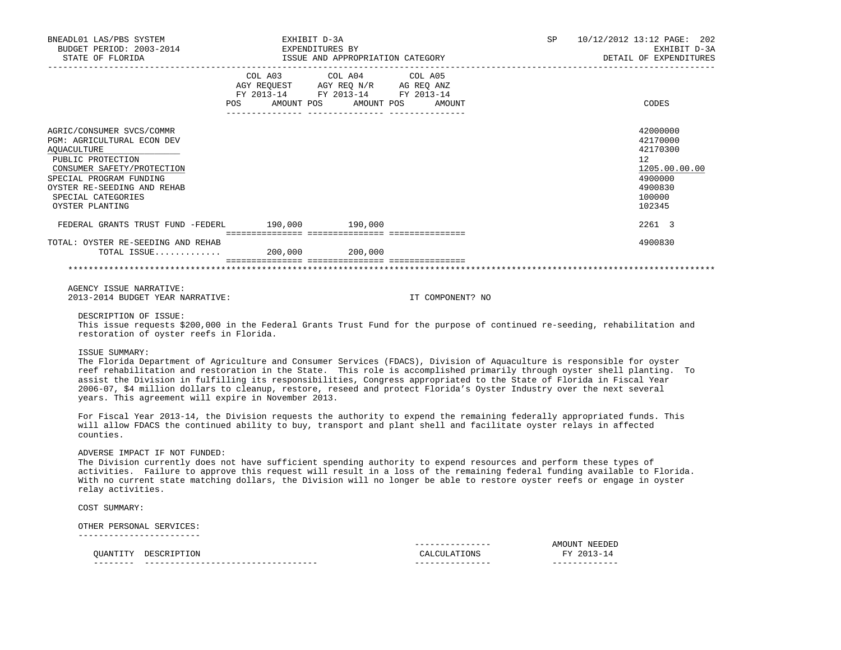| BNEADL01 LAS/PBS SYSTEM<br>BUDGET PERIOD: 2003-2014 EXPENDITURES BY<br>STATE OF FLORIDA                                                                                                                                             |                                  | EXHIBIT D-3A                                                                                      | ISSUE AND APPROPRIATION CATEGORY | SP 10/12/2012 13:12 PAGE: 202<br>EXHIBIT D-3A<br>DETAIL OF EXPENDITURES                           |
|-------------------------------------------------------------------------------------------------------------------------------------------------------------------------------------------------------------------------------------|----------------------------------|---------------------------------------------------------------------------------------------------|----------------------------------|---------------------------------------------------------------------------------------------------|
|                                                                                                                                                                                                                                     | POS AMOUNT POS AMOUNT POS AMOUNT | COL A03 COL A04 COL A05<br>AGY REQUEST AGY REQ N/R AG REQ ANZ<br>FY 2013-14 FY 2013-14 FY 2013-14 |                                  | CODES                                                                                             |
| AGRIC/CONSUMER SVCS/COMMR<br><b>PGM: AGRICULTURAL ECON DEV</b><br>AQUACULTURE<br>PUBLIC PROTECTION<br>CONSUMER SAFETY/PROTECTION<br>SPECIAL PROGRAM FUNDING<br>OYSTER RE-SEEDING AND REHAB<br>SPECIAL CATEGORIES<br>OYSTER PLANTING |                                  |                                                                                                   |                                  | 42000000<br>42170000<br>42170300<br>12<br>1205.00.00.00<br>4900000<br>4900830<br>100000<br>102345 |
| FEDERAL GRANTS TRUST FUND -FEDERL 190,000 190.000                                                                                                                                                                                   |                                  |                                                                                                   |                                  | 2261 3                                                                                            |
| TOTAL: OYSTER RE-SEEDING AND REHAB<br>TOTAL ISSUE 200,000 200,000                                                                                                                                                                   |                                  |                                                                                                   |                                  | 4900830                                                                                           |
|                                                                                                                                                                                                                                     |                                  |                                                                                                   |                                  |                                                                                                   |
| AGENCY ISSUE NARRATIVE:<br>2013-2014 BUDGET YEAR NARRATIVE:                                                                                                                                                                         |                                  |                                                                                                   | IT COMPONENT? NO                 |                                                                                                   |
| DESCRIPTION OF ISSUE:<br>This issue requests \$200,000 in the Federal Grants Trust Fund for the purpose of continued re-seeding, rehabilitation and<br>restoration of oyster reefs in Florida.                                      |                                  |                                                                                                   |                                  |                                                                                                   |

ISSUE SUMMARY:

 The Florida Department of Agriculture and Consumer Services (FDACS), Division of Aquaculture is responsible for oyster reef rehabilitation and restoration in the State. This role is accomplished primarily through oyster shell planting. To assist the Division in fulfilling its responsibilities, Congress appropriated to the State of Florida in Fiscal Year 2006-07, \$4 million dollars to cleanup, restore, reseed and protect Florida's Oyster Industry over the next several years. This agreement will expire in November 2013.

 For Fiscal Year 2013-14, the Division requests the authority to expend the remaining federally appropriated funds. This will allow FDACS the continued ability to buy, transport and plant shell and facilitate oyster relays in affected counties.

### ADVERSE IMPACT IF NOT FUNDED:

 The Division currently does not have sufficient spending authority to expend resources and perform these types of activities. Failure to approve this request will result in a loss of the remaining federal funding available to Florida. With no current state matching dollars, the Division will no longer be able to restore oyster reefs or engage in oyster relay activities.

COST SUMMARY:

 OTHER PERSONAL SERVICES: ------------------------

| -----<br>---- |      | -----<br>---- |                            |
|---------------|------|---------------|----------------------------|
| $\sim$        | . YE |               | <b>GITZ</b>                |
|               |      | _____<br>---- | INI'<br><b>NH</b><br>a IVI |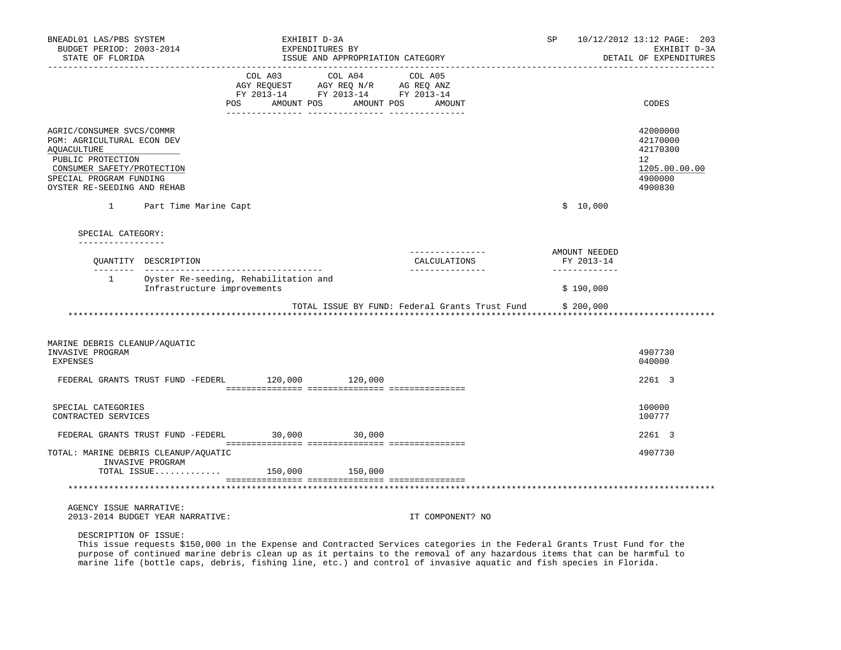| BNEADL01 LAS/PBS SYSTEM<br>BUDGET PERIOD: 2003-2014<br>STATE OF FLORIDA                                                                                                                    |                                   | EXHIBIT D-3A<br>EXPENDITURES BY                                                                                               | ISSUE AND APPROPRIATION CATEGORY |                                                | SP                          | 10/12/2012 13:12 PAGE: 203<br>EXHIBIT D-3A<br>DETAIL OF EXPENDITURES                    |
|--------------------------------------------------------------------------------------------------------------------------------------------------------------------------------------------|-----------------------------------|-------------------------------------------------------------------------------------------------------------------------------|----------------------------------|------------------------------------------------|-----------------------------|-----------------------------------------------------------------------------------------|
|                                                                                                                                                                                            |                                   | COL A03 COL A04 COL A05<br>AGY REQUEST AGY REQ N/R AG REQ ANZ<br>FY 2013-14 FY 2013-14 FY 2013-14<br><b>POS</b><br>AMOUNT POS | AMOUNT POS                       | AMOUNT                                         |                             | CODES                                                                                   |
| AGRIC/CONSUMER SVCS/COMMR<br>PGM: AGRICULTURAL ECON DEV<br><b>AQUACULTURE</b><br>PUBLIC PROTECTION<br>CONSUMER SAFETY/PROTECTION<br>SPECIAL PROGRAM FUNDING<br>OYSTER RE-SEEDING AND REHAB |                                   |                                                                                                                               |                                  |                                                |                             | 42000000<br>42170000<br>42170300<br>$12^{\circ}$<br>1205.00.00.00<br>4900000<br>4900830 |
| $\mathbf{1}$                                                                                                                                                                               | Part Time Marine Capt             |                                                                                                                               |                                  |                                                | \$10,000                    |                                                                                         |
| SPECIAL CATEGORY:<br>_________________                                                                                                                                                     |                                   |                                                                                                                               |                                  |                                                |                             |                                                                                         |
|                                                                                                                                                                                            | OUANTITY DESCRIPTION              |                                                                                                                               |                                  | _______________<br>CALCULATIONS                | AMOUNT NEEDED<br>FY 2013-14 |                                                                                         |
|                                                                                                                                                                                            | Infrastructure improvements       | 1 Oyster Re-seeding, Rehabilitation and                                                                                       |                                  | ________________                               | _____________<br>\$190,000  |                                                                                         |
|                                                                                                                                                                                            |                                   |                                                                                                                               |                                  | TOTAL ISSUE BY FUND: Federal Grants Trust Fund | \$200,000                   |                                                                                         |
| MARINE DEBRIS CLEANUP/AQUATIC<br>INVASIVE PROGRAM<br><b>EXPENSES</b>                                                                                                                       |                                   |                                                                                                                               |                                  |                                                |                             | 4907730<br>040000                                                                       |
|                                                                                                                                                                                            |                                   | FEDERAL GRANTS TRUST FUND -FEDERL 120,000 120,000                                                                             |                                  |                                                |                             | 2261 3                                                                                  |
| SPECIAL CATEGORIES<br>CONTRACTED SERVICES                                                                                                                                                  |                                   |                                                                                                                               |                                  |                                                |                             | 100000<br>100777                                                                        |
|                                                                                                                                                                                            | FEDERAL GRANTS TRUST FUND -FEDERL | $30,000$ 30,000                                                                                                               |                                  |                                                |                             | 2261 3                                                                                  |
| TOTAL: MARINE DEBRIS CLEANUP/AQUATIC                                                                                                                                                       | INVASIVE PROGRAM                  | TOTAL ISSUE 150,000 150,000                                                                                                   |                                  |                                                |                             | 4907730                                                                                 |
|                                                                                                                                                                                            |                                   |                                                                                                                               |                                  |                                                |                             |                                                                                         |
| AGENCY ISSUE NARRATIVE:                                                                                                                                                                    | 2013-2014 BUDGET YEAR NARRATIVE:  |                                                                                                                               |                                  | IT COMPONENT? NO                               |                             |                                                                                         |
| DESCRIPTION OF ISSUE:                                                                                                                                                                      |                                   |                                                                                                                               |                                  |                                                |                             |                                                                                         |

 This issue requests \$150,000 in the Expense and Contracted Services categories in the Federal Grants Trust Fund for the purpose of continued marine debris clean up as it pertains to the removal of any hazardous items that can be harmful to marine life (bottle caps, debris, fishing line, etc.) and control of invasive aquatic and fish species in Florida.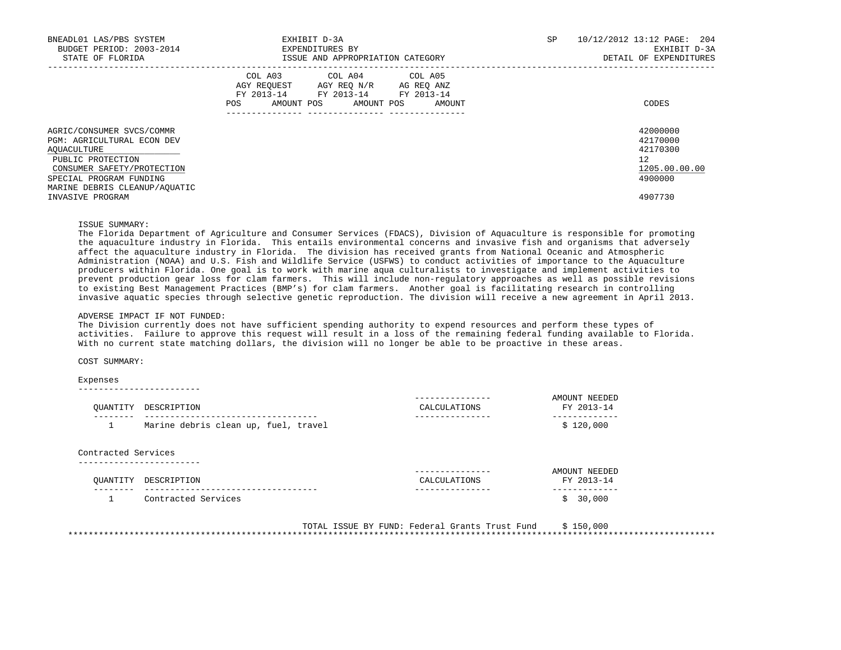| BNEADL01 LAS/PBS SYSTEM<br>BUDGET PERIOD: 2003-2014<br>STATE OF FLORIDA                                                                                                                                          | EXHIBIT D-3A<br>EXPENDITURES BY<br>ISSUE AND APPROPRIATION CATEGORY                                                                         | SP<br>10/12/2012 13:12 PAGE: 204<br>EXHIBIT D-3A<br>DETAIL OF EXPENDITURES              |
|------------------------------------------------------------------------------------------------------------------------------------------------------------------------------------------------------------------|---------------------------------------------------------------------------------------------------------------------------------------------|-----------------------------------------------------------------------------------------|
|                                                                                                                                                                                                                  | COL A03 COL A04 COL A05<br>AGY REQUEST AGY REQ N/R AG REQ ANZ<br>FY 2013-14 FY 2013-14 FY 2013-14<br>AMOUNT POS AMOUNT POS<br>POS<br>AMOUNT | CODES                                                                                   |
| AGRIC/CONSUMER SVCS/COMMR<br><b>PGM: AGRICULTURAL ECON DEV</b><br>AOUACULTURE<br>PUBLIC PROTECTION<br>CONSUMER SAFETY/PROTECTION<br>SPECIAL PROGRAM FUNDING<br>MARINE DEBRIS CLEANUP/AQUATIC<br>INVASIVE PROGRAM |                                                                                                                                             | 42000000<br>42170000<br>42170300<br>$12^{\circ}$<br>1205.00.00.00<br>4900000<br>4907730 |

ISSUE SUMMARY:

 The Florida Department of Agriculture and Consumer Services (FDACS), Division of Aquaculture is responsible for promoting the aquaculture industry in Florida. This entails environmental concerns and invasive fish and organisms that adversely affect the aquaculture industry in Florida. The division has received grants from National Oceanic and Atmospheric Administration (NOAA) and U.S. Fish and Wildlife Service (USFWS) to conduct activities of importance to the Aquaculture producers within Florida. One goal is to work with marine aqua culturalists to investigate and implement activities to prevent production gear loss for clam farmers. This will include non-regulatory approaches as well as possible revisions to existing Best Management Practices (BMP's) for clam farmers. Another goal is facilitating research in controlling invasive aquatic species through selective genetic reproduction. The division will receive a new agreement in April 2013.

#### ADVERSE IMPACT IF NOT FUNDED:

 The Division currently does not have sufficient spending authority to expend resources and perform these types of activities. Failure to approve this request will result in a loss of the remaining federal funding available to Florida. With no current state matching dollars, the division will no longer be able to be proactive in these areas.

COST SUMMARY:

#### Expenses

------------------------

| OUANTITY            | DESCRIPTION                          | CALCULATIONS                  | AMOUNT NEEDED<br>FY 2013-14 |
|---------------------|--------------------------------------|-------------------------------|-----------------------------|
|                     | Marine debris clean up, fuel, travel |                               | \$120,000                   |
|                     |                                      |                               |                             |
| Contracted Services |                                      |                               |                             |
|                     |                                      | ------------                  | AMOUNT NEEDED               |
| OUANTITY            | DESCRIPTION                          | CALCULATIONS<br>------------- | FY 2013-14<br>----------    |

 TOTAL ISSUE BY FUND: Federal Grants Trust Fund \$ 150,000 \*\*\*\*\*\*\*\*\*\*\*\*\*\*\*\*\*\*\*\*\*\*\*\*\*\*\*\*\*\*\*\*\*\*\*\*\*\*\*\*\*\*\*\*\*\*\*\*\*\*\*\*\*\*\*\*\*\*\*\*\*\*\*\*\*\*\*\*\*\*\*\*\*\*\*\*\*\*\*\*\*\*\*\*\*\*\*\*\*\*\*\*\*\*\*\*\*\*\*\*\*\*\*\*\*\*\*\*\*\*\*\*\*\*\*\*\*\*\*\*\*\*\*\*\*\*\*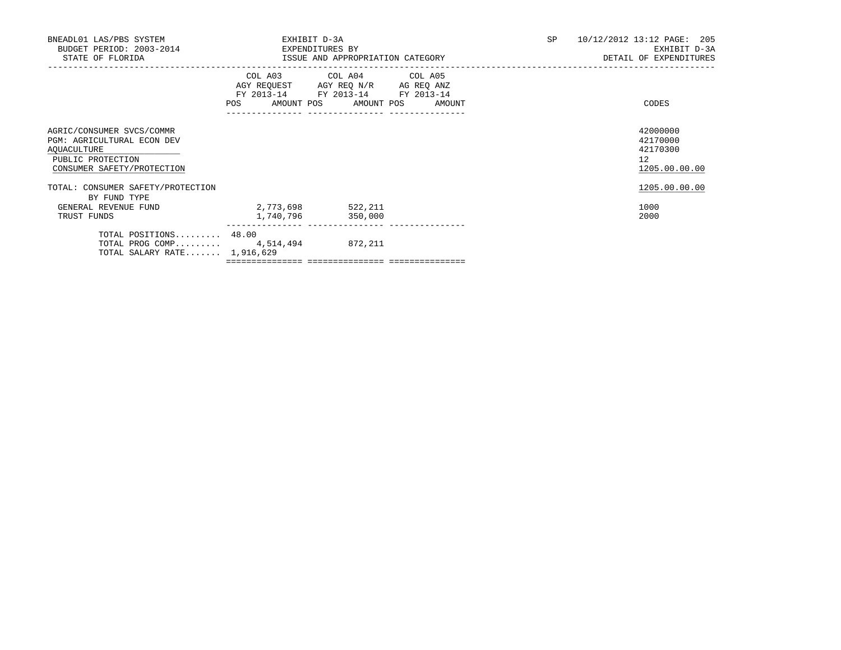| BNEADL01 LAS/PBS SYSTEM<br>BUDGET PERIOD: 2003-2014 EXPENDITURES BY<br>STATE OF FLORIDA                                          | EXHIBIT D-3A<br>ISSUE AND APPROPRIATION CATEGORY                                                           |                         |  | SP | 10/12/2012 13:12 PAGE: 205<br>EXHIBIT D-3A<br>DETAIL OF EXPENDITURES |  |
|----------------------------------------------------------------------------------------------------------------------------------|------------------------------------------------------------------------------------------------------------|-------------------------|--|----|----------------------------------------------------------------------|--|
|                                                                                                                                  | AGY REQUEST AGY REQ N/R AG REQ ANZ<br>FY 2013-14 FY 2013-14 FY 2013-14<br>POS AMOUNT POS AMOUNT POS AMOUNT | COL A03 COL A04 COL A05 |  |    | CODES                                                                |  |
| AGRIC/CONSUMER SVCS/COMMR<br><b>PGM: AGRICULTURAL ECON DEV</b><br>AQUACULTURE<br>PUBLIC PROTECTION<br>CONSUMER SAFETY/PROTECTION |                                                                                                            |                         |  |    | 42000000<br>42170000<br>42170300<br>12 <sup>°</sup><br>1205.00.00.00 |  |
| TOTAL: CONSUMER SAFETY/PROTECTION                                                                                                |                                                                                                            |                         |  |    | 1205.00.00.00                                                        |  |
| BY FUND TYPE<br>GENERAL REVENUE FUND<br>TRUST FUNDS                                                                              | 2,773,698 522,211<br>1,740,796                                                                             | 350,000                 |  |    | 1000<br>2000                                                         |  |
| TOTAL POSITIONS 48.00<br>TOTAL PROG COMP $4,514,494$<br>TOTAL SALARY RATE $1,916,629$                                            |                                                                                                            | 872,211                 |  |    |                                                                      |  |

=============== =============== ===============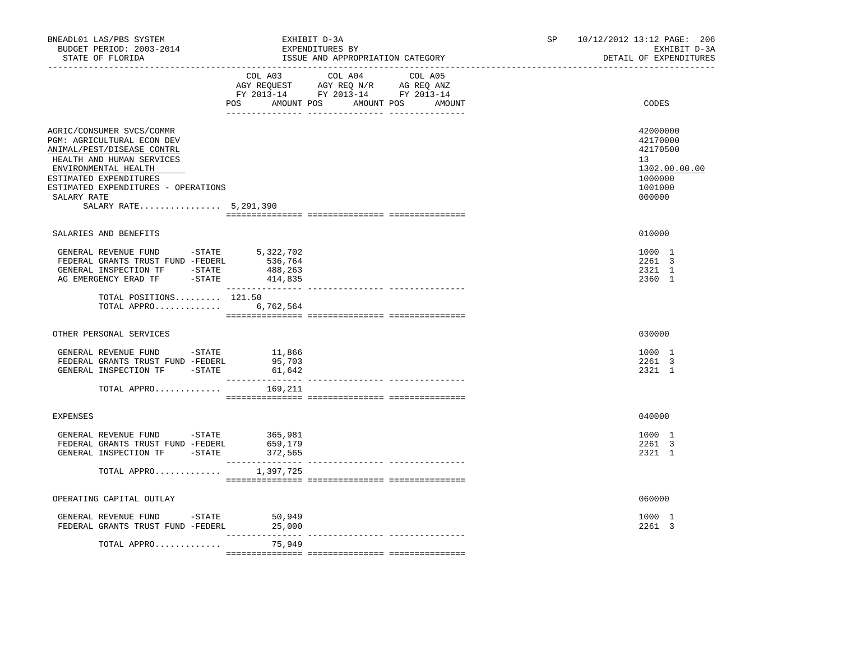| BNEADL01 LAS/PBS SYSTEM<br>BUDGET PERIOD: 2003-2014<br>STATE OF FLORIDA                                                                                                                                                                                                        | EXHIBIT D-3A                                                                                        | EXPENDITURES BY<br>ISSUE AND APPROPRIATION CATEGORY | SP                                     | 10/12/2012 13:12 PAGE: 206<br>EXHIBIT D-3A<br>DETAIL OF EXPENDITURES |                                                                                                      |
|--------------------------------------------------------------------------------------------------------------------------------------------------------------------------------------------------------------------------------------------------------------------------------|-----------------------------------------------------------------------------------------------------|-----------------------------------------------------|----------------------------------------|----------------------------------------------------------------------|------------------------------------------------------------------------------------------------------|
|                                                                                                                                                                                                                                                                                | AGY REQUEST AGY REQ N/R AG REQ ANZ<br>FY 2013-14 FY 2013-14 FY 2013-14<br>POS AMOUNT POS AMOUNT POS | COL A03 COL A04 COL A05                             | AMOUNT                                 |                                                                      | CODES                                                                                                |
| AGRIC/CONSUMER SVCS/COMMR<br>PGM: AGRICULTURAL ECON DEV<br>ANIMAL/PEST/DISEASE CONTRL<br>HEALTH AND HUMAN SERVICES<br>ENVIRONMENTAL HEALTH<br>ESTIMATED EXPENDITURES<br>ESTIMATED EXPENDITURES - OPERATIONS<br>SALARY RATE<br>SALARY RATE 5,291,390                            |                                                                                                     |                                                     |                                        |                                                                      | 42000000<br>42170000<br>42170500<br>13 <sup>°</sup><br>1302.00.00.00<br>1000000<br>1001000<br>000000 |
| SALARIES AND BENEFITS                                                                                                                                                                                                                                                          |                                                                                                     |                                                     |                                        |                                                                      | 010000                                                                                               |
| GENERAL REVENUE FUND -STATE<br>FEDERAL GRANTS TRUST FUND -FEDERL<br>$\begin{tabular}{lllllll} \multicolumn{2}{c}{\textbf{GENERAL}} & \textbf{INSPECTION TF} & & -\textbf{STATE} & & 488,263 \\ \textbf{AG EMERGENCY ERAD TF} & & -\textbf{STATE} & & 414,835 \\ \end{tabular}$ | 5,322,702<br>536,764                                                                                |                                                     |                                        |                                                                      | 1000 1<br>2261 3<br>2321 1<br>2360 1                                                                 |
| TOTAL POSITIONS 121.50<br>TOTAL APPRO                                                                                                                                                                                                                                          | 6,762,564                                                                                           |                                                     |                                        |                                                                      |                                                                                                      |
| OTHER PERSONAL SERVICES                                                                                                                                                                                                                                                        |                                                                                                     |                                                     |                                        |                                                                      | 030000                                                                                               |
| GENERAL REVENUE FUND -STATE<br>FEDERAL GRANTS TRUST FUND -FEDERL<br>GENERAL INSPECTION TF -STATE                                                                                                                                                                               | 11,866<br>95,703<br>61,642                                                                          |                                                     |                                        |                                                                      | 1000 1<br>2261 3<br>2321 1                                                                           |
| TOTAL APPRO                                                                                                                                                                                                                                                                    | 169,211                                                                                             |                                                     |                                        |                                                                      |                                                                                                      |
| <b>EXPENSES</b>                                                                                                                                                                                                                                                                |                                                                                                     |                                                     |                                        |                                                                      | 040000                                                                                               |
| GENERAL REVENUE FUND -STATE 365,981<br>FEDERAL GRANTS TRUST FUND -FEDERL<br>GENERAL INSPECTION TF -STATE                                                                                                                                                                       | 659,179<br>372,565<br>_________________                                                             |                                                     | ______________________________________ |                                                                      | 1000 1<br>2261 3<br>2321 1                                                                           |
| TOTAL APPRO                                                                                                                                                                                                                                                                    | 1,397,725                                                                                           |                                                     |                                        |                                                                      |                                                                                                      |
| OPERATING CAPITAL OUTLAY                                                                                                                                                                                                                                                       |                                                                                                     |                                                     |                                        |                                                                      | 060000                                                                                               |
| GENERAL REVENUE FUND - STATE<br>FEDERAL GRANTS TRUST FUND -FEDERL                                                                                                                                                                                                              | 50,949<br>25,000                                                                                    |                                                     |                                        |                                                                      | 1000 1<br>2261 3                                                                                     |
| TOTAL APPRO                                                                                                                                                                                                                                                                    | ---------------<br>75,949                                                                           |                                                     |                                        |                                                                      |                                                                                                      |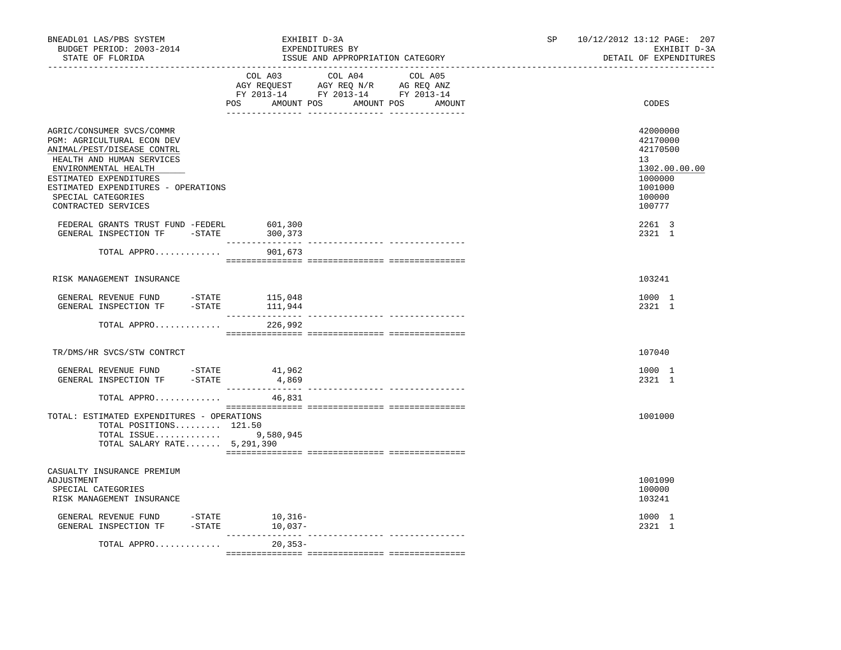| BNEADL01 LAS/PBS SYSTEM<br>BUDGET PERIOD: 2003-2014<br>STATE OF FLORIDA                                                                                                                                                                                  |                               | EXHIBIT D-3A<br>EXPENDITURES BY<br>ISSUE AND APPROPRIATION CATEGORY                                                               | 10/12/2012 13:12 PAGE: 207<br>SP<br>EXHIBIT D-3A<br>DETAIL OF EXPENDITURES |                                                                                             |  |
|----------------------------------------------------------------------------------------------------------------------------------------------------------------------------------------------------------------------------------------------------------|-------------------------------|-----------------------------------------------------------------------------------------------------------------------------------|----------------------------------------------------------------------------|---------------------------------------------------------------------------------------------|--|
|                                                                                                                                                                                                                                                          | POS                           | COL A03 COL A04 COL A05<br>AGY REQUEST AGY REQ N/R AG REQ ANZ<br>FY 2013-14 FY 2013-14 FY 2013-14<br>AMOUNT POS AMOUNT POS AMOUNT |                                                                            | CODES                                                                                       |  |
| AGRIC/CONSUMER SVCS/COMMR<br>PGM: AGRICULTURAL ECON DEV<br>ANIMAL/PEST/DISEASE CONTRL<br>HEALTH AND HUMAN SERVICES<br>ENVIRONMENTAL HEALTH<br>ESTIMATED EXPENDITURES<br>ESTIMATED EXPENDITURES - OPERATIONS<br>SPECIAL CATEGORIES<br>CONTRACTED SERVICES |                               |                                                                                                                                   | 13                                                                         | 42000000<br>42170000<br>42170500<br>1302.00.00.00<br>1000000<br>1001000<br>100000<br>100777 |  |
| FEDERAL GRANTS TRUST FUND -FEDERL<br>GENERAL INSPECTION TF -STATE                                                                                                                                                                                        | 601,300<br>300,373            |                                                                                                                                   |                                                                            | 2261 3<br>2321 1                                                                            |  |
| TOTAL APPRO                                                                                                                                                                                                                                              | 901,673                       |                                                                                                                                   |                                                                            |                                                                                             |  |
| RISK MANAGEMENT INSURANCE                                                                                                                                                                                                                                |                               |                                                                                                                                   |                                                                            | 103241                                                                                      |  |
| GENERAL REVENUE FUND -STATE 115,048<br>GENERAL INSPECTION TF -STATE 111,944                                                                                                                                                                              |                               | ----------- --------------- --------                                                                                              |                                                                            | 1000 1<br>2321 1                                                                            |  |
| TOTAL APPRO                                                                                                                                                                                                                                              | 226,992                       |                                                                                                                                   |                                                                            |                                                                                             |  |
| TR/DMS/HR SVCS/STW CONTRCT                                                                                                                                                                                                                               |                               |                                                                                                                                   |                                                                            | 107040                                                                                      |  |
| $\begin{tabular}{llllll} \multicolumn{2}{llll} \texttt{GENERAL} & \texttt{REVENUE} & \texttt{FUND} & & -\texttt{STATE} & & 41,962 \\ \texttt{GENERAL} & \texttt{INSPECTION TF} & & -\texttt{STATE} & & 4,869 \\ \end{tabular}$                           |                               |                                                                                                                                   |                                                                            | 1000 1<br>2321 1                                                                            |  |
| TOTAL APPRO                                                                                                                                                                                                                                              | 46,831                        |                                                                                                                                   |                                                                            |                                                                                             |  |
| TOTAL: ESTIMATED EXPENDITURES - OPERATIONS<br>TOTAL POSITIONS 121.50<br>TOTAL ISSUE<br>TOTAL SALARY RATE $5,291,390$                                                                                                                                     | 9,580,945                     |                                                                                                                                   |                                                                            | 1001000                                                                                     |  |
| CASUALTY INSURANCE PREMIUM<br>ADJUSTMENT<br>SPECIAL CATEGORIES<br>RISK MANAGEMENT INSURANCE                                                                                                                                                              |                               |                                                                                                                                   |                                                                            | 1001090<br>100000<br>103241                                                                 |  |
| GENERAL REVENUE FUND -STATE<br>GENERAL INSPECTION TF                                                                                                                                                                                                     | $10,316-$<br>$-STATE$ 10,037- |                                                                                                                                   |                                                                            | 1000 1<br>2321 1                                                                            |  |
| TOTAL APPRO                                                                                                                                                                                                                                              | _____________<br>20,353-      |                                                                                                                                   |                                                                            |                                                                                             |  |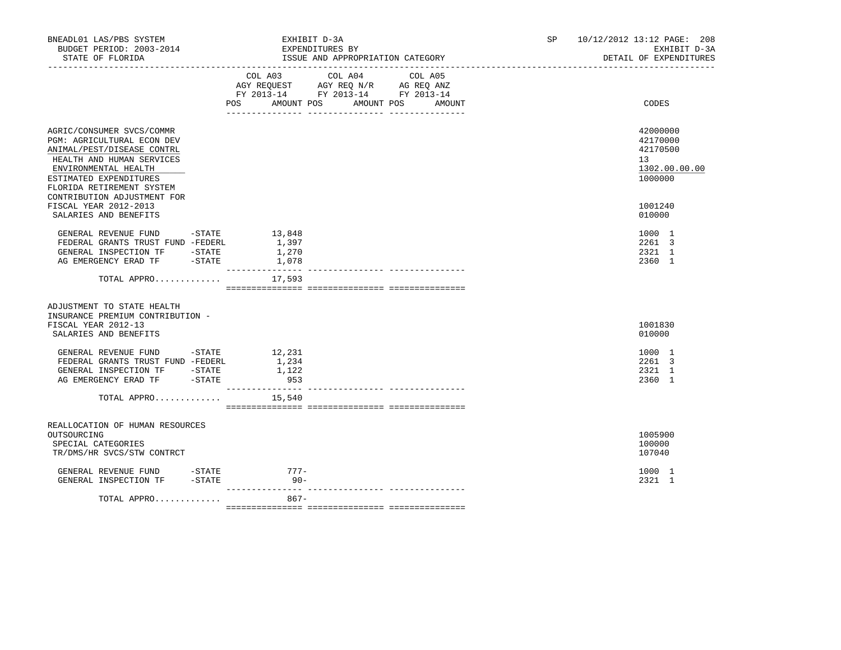| BNEADL01 LAS/PBS SYSTEM<br>BUDGET PERIOD: 2003-2014<br>STATE OF FLORIDA                                                                                                                                                          |                                   | EXHIBIT D-3A<br>EXPENDITURES BY<br>ISSUE AND APPROPRIATION CATEGORY                                            | SP                | 10/12/2012 13:12 PAGE: 208<br>EXHIBIT D-3A<br>DETAIL OF EXPENDITURES |                                                                    |
|----------------------------------------------------------------------------------------------------------------------------------------------------------------------------------------------------------------------------------|-----------------------------------|----------------------------------------------------------------------------------------------------------------|-------------------|----------------------------------------------------------------------|--------------------------------------------------------------------|
|                                                                                                                                                                                                                                  | COL A03                           | COL A04<br>AGY REQUEST AGY REQ N/R AG REQ ANZ<br>FY 2013-14 FY 2013-14 FY 2013-14<br>POS AMOUNT POS AMOUNT POS | COL A05<br>AMOUNT |                                                                      | CODES                                                              |
| AGRIC/CONSUMER SVCS/COMMR<br>PGM: AGRICULTURAL ECON DEV<br>ANIMAL/PEST/DISEASE CONTRL<br>HEALTH AND HUMAN SERVICES<br>ENVIRONMENTAL HEALTH<br>ESTIMATED EXPENDITURES<br>FLORIDA RETIREMENT SYSTEM<br>CONTRIBUTION ADJUSTMENT FOR |                                   |                                                                                                                |                   |                                                                      | 42000000<br>42170000<br>42170500<br>13<br>1302.00.00.00<br>1000000 |
| FISCAL YEAR 2012-2013<br>SALARIES AND BENEFITS                                                                                                                                                                                   |                                   |                                                                                                                |                   |                                                                      | 1001240<br>010000                                                  |
| ${\tt GENERAL}\;\; {\tt REVENUE}\;\; {\tt FUND}\;\qquad\qquad {\tt -STATE}\;\qquad\qquad\qquad 13\, , 848$<br>FEDERAL GRANTS TRUST FUND -FEDERL<br>GENERAL INSPECTION TF -STATE<br>AG EMERGENCY ERAD TF -STATE<br>TOTAL APPRO    | 1,397<br>1,270<br>1,078<br>17,593 |                                                                                                                |                   |                                                                      | 1000 1<br>2261 3<br>2321 1<br>2360 1                               |
| ADJUSTMENT TO STATE HEALTH                                                                                                                                                                                                       |                                   |                                                                                                                |                   |                                                                      |                                                                    |
| INSURANCE PREMIUM CONTRIBUTION -                                                                                                                                                                                                 |                                   |                                                                                                                |                   |                                                                      |                                                                    |
| FISCAL YEAR 2012-13<br>SALARIES AND BENEFITS                                                                                                                                                                                     |                                   |                                                                                                                |                   |                                                                      | 1001830<br>010000                                                  |
| GENERAL REVENUE FUND -STATE<br>FEDERAL GRANTS TRUST FUND -FEDERL<br>GENERAL INSPECTION TF -STATE<br>AG EMERGENCY ERAD TF -STATE                                                                                                  | 12,231<br>1,234<br>1,122<br>953   |                                                                                                                |                   |                                                                      | 1000 1<br>2261 3<br>2321 1<br>2360 1                               |
| TOTAL APPRO $15,540$                                                                                                                                                                                                             |                                   |                                                                                                                |                   |                                                                      |                                                                    |
| REALLOCATION OF HUMAN RESOURCES<br>OUTSOURCING<br>SPECIAL CATEGORIES<br>TR/DMS/HR SVCS/STW CONTRCT                                                                                                                               |                                   |                                                                                                                |                   |                                                                      | 1005900<br>100000<br>107040                                        |
| GENERAL REVENUE FUND -STATE 777-<br>GENERAL INSPECTION TF -STATE                                                                                                                                                                 | $90 -$                            |                                                                                                                |                   |                                                                      | 1000 1<br>2321 1                                                   |
| TOTAL APPRO                                                                                                                                                                                                                      | --------------- --<br>$867 -$     |                                                                                                                |                   |                                                                      |                                                                    |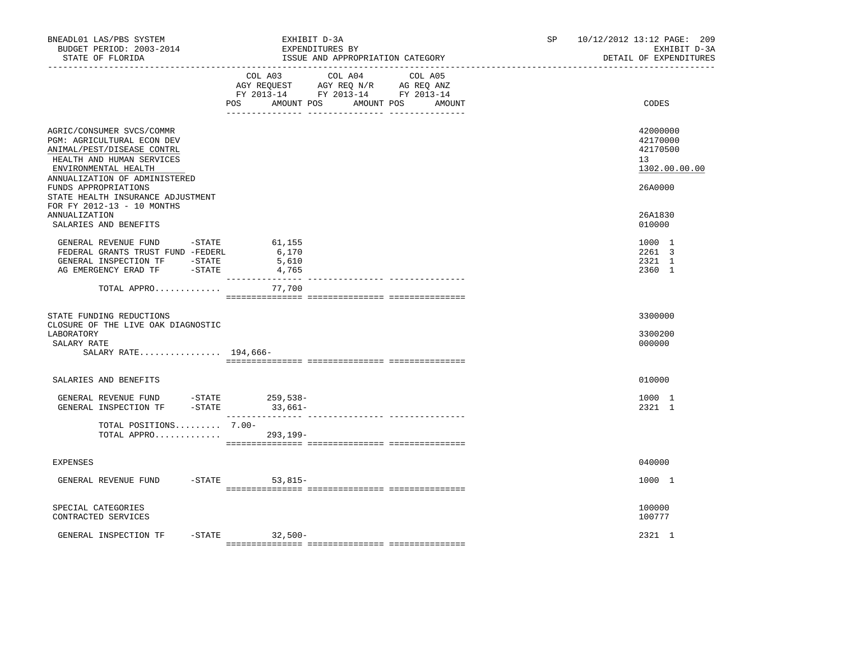| BNEADL01 LAS/PBS SYSTEM<br>BUDGET PERIOD: 2003-2014<br>STATE OF FLORIDA                                                                    | EXHIBIT D-3A<br>EXPENDITURES BY<br>ISSUE AND APPROPRIATION CATEGORY                                                                                                                                                                                                     | 10/12/2012 13:12 PAGE: 209<br>SP and the set of the set of the set of the set of the set of the set of the set of the set of the set of the set of the set of the set of the set of the set of the set of the set of the set of the set of the set of the se<br>EXHIBIT D-3A<br>DETAIL OF EXPENDITURES |
|--------------------------------------------------------------------------------------------------------------------------------------------|-------------------------------------------------------------------------------------------------------------------------------------------------------------------------------------------------------------------------------------------------------------------------|--------------------------------------------------------------------------------------------------------------------------------------------------------------------------------------------------------------------------------------------------------------------------------------------------------|
|                                                                                                                                            | COL A03 COL A04<br>COL A05<br>$\begin{tabular}{lllllll} AGY & \texttt{REQUEST} & \texttt{AGY} & \texttt{REG} & \texttt{N/R} & \texttt{AG} & \texttt{REQ} & \texttt{ANZ} \end{tabular}$<br>FY 2013-14 FY 2013-14 FY 2013-14<br>POS<br>AMOUNT POS<br>AMOUNT POS<br>AMOUNT | CODES                                                                                                                                                                                                                                                                                                  |
| AGRIC/CONSUMER SVCS/COMMR<br>PGM: AGRICULTURAL ECON DEV<br>ANIMAL/PEST/DISEASE CONTRL<br>HEALTH AND HUMAN SERVICES<br>ENVIRONMENTAL HEALTH |                                                                                                                                                                                                                                                                         | 42000000<br>42170000<br>42170500<br>13 <sup>°</sup><br>1302.00.00.00                                                                                                                                                                                                                                   |
| ANNUALIZATION OF ADMINISTERED<br>FUNDS APPROPRIATIONS<br>STATE HEALTH INSURANCE ADJUSTMENT<br>FOR FY 2012-13 - 10 MONTHS                   |                                                                                                                                                                                                                                                                         | 26A0000                                                                                                                                                                                                                                                                                                |
| <b>ANNUALIZATION</b><br>SALARIES AND BENEFITS                                                                                              |                                                                                                                                                                                                                                                                         | 26A1830<br>010000                                                                                                                                                                                                                                                                                      |
| GENERAL REVENUE FUND -STATE<br>FEDERAL GRANTS TRUST FUND -FEDERL<br>GENERAL INSPECTION TF -STATE<br>AG EMERGENCY ERAD TF -STATE            | 61,155<br>6,170<br>5,610<br>4,765<br>----------------                                                                                                                                                                                                                   | 1000 1<br>2261 3<br>2321 1<br>2360 1                                                                                                                                                                                                                                                                   |
| TOTAL APPRO                                                                                                                                | 77,700                                                                                                                                                                                                                                                                  |                                                                                                                                                                                                                                                                                                        |
| STATE FUNDING REDUCTIONS<br>CLOSURE OF THE LIVE OAK DIAGNOSTIC<br>LABORATORY<br>SALARY RATE                                                |                                                                                                                                                                                                                                                                         | 3300000<br>3300200<br>000000                                                                                                                                                                                                                                                                           |
| SALARY RATE 194,666-                                                                                                                       |                                                                                                                                                                                                                                                                         |                                                                                                                                                                                                                                                                                                        |
| SALARIES AND BENEFITS                                                                                                                      |                                                                                                                                                                                                                                                                         | 010000                                                                                                                                                                                                                                                                                                 |
| GENERAL REVENUE FUND -STATE<br>GENERAL INSPECTION TF                                                                                       | 259,538-<br>$-STATE$ 33,661-                                                                                                                                                                                                                                            | 1000 1<br>2321 1                                                                                                                                                                                                                                                                                       |
| TOTAL POSITIONS 7.00-<br>TOTAL APPRO 293,199-                                                                                              |                                                                                                                                                                                                                                                                         |                                                                                                                                                                                                                                                                                                        |
| <b>EXPENSES</b>                                                                                                                            |                                                                                                                                                                                                                                                                         | 040000                                                                                                                                                                                                                                                                                                 |
| $-$ STATE<br>GENERAL REVENUE FUND                                                                                                          | $53,815-$                                                                                                                                                                                                                                                               | 1000 1                                                                                                                                                                                                                                                                                                 |
| SPECIAL CATEGORIES<br>CONTRACTED SERVICES                                                                                                  |                                                                                                                                                                                                                                                                         | 100000<br>100777                                                                                                                                                                                                                                                                                       |
| GENERAL INSPECTION TF<br>-STATE                                                                                                            | $32,500-$                                                                                                                                                                                                                                                               | 2321 1                                                                                                                                                                                                                                                                                                 |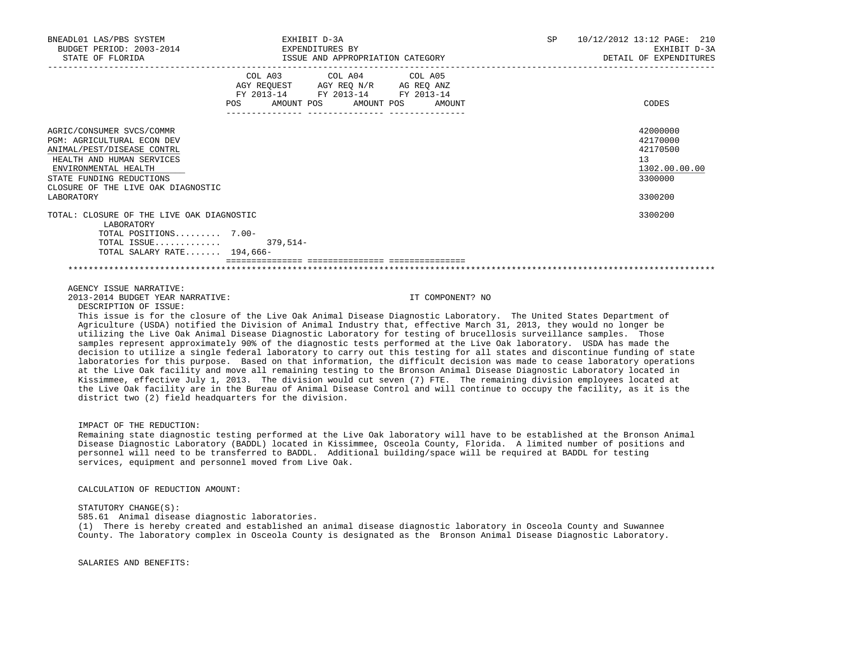| BNEADL01 LAS/PBS SYSTEM<br>BUDGET PERIOD: 2003-2014 EXPENDITURES BY<br>STATE OF FLORIDA                                                                                                                                           | EXHIBIT D-3A<br>ISSUE AND APPROPRIATION CATEGORY |                                                                                                   |                  | SP <sub>2</sub> | 10/12/2012 13:12 PAGE: 210<br>EXHIBIT D-3A<br>DETAIL OF EXPENDITURES          |
|-----------------------------------------------------------------------------------------------------------------------------------------------------------------------------------------------------------------------------------|--------------------------------------------------|---------------------------------------------------------------------------------------------------|------------------|-----------------|-------------------------------------------------------------------------------|
|                                                                                                                                                                                                                                   | POS AMOUNT POS AMOUNT POS                        | COL A03 COL A04 COL A05<br>AGY REQUEST AGY REQ N/R AG REQ ANZ<br>FY 2013-14 FY 2013-14 FY 2013-14 | AMOUNT           |                 | CODES                                                                         |
|                                                                                                                                                                                                                                   |                                                  |                                                                                                   |                  |                 |                                                                               |
| AGRIC/CONSUMER SVCS/COMMR<br><b>PGM: AGRICULTURAL ECON DEV</b><br>ANIMAL/PEST/DISEASE CONTRL<br>HEALTH AND HUMAN SERVICES<br>ENVIRONMENTAL HEALTH<br>STATE FUNDING REDUCTIONS<br>CLOSURE OF THE LIVE OAK DIAGNOSTIC<br>LABORATORY |                                                  |                                                                                                   |                  |                 | 42000000<br>42170000<br>42170500<br>13<br>1302.00.00.00<br>3300000<br>3300200 |
| TOTAL: CLOSURE OF THE LIVE OAK DIAGNOSTIC<br>LABORATORY                                                                                                                                                                           |                                                  |                                                                                                   |                  |                 | 3300200                                                                       |
| TOTAL POSITIONS 7.00-                                                                                                                                                                                                             |                                                  |                                                                                                   |                  |                 |                                                                               |
| TOTAL ISSUE 379,514-<br>TOTAL SALARY RATE $194.666-$                                                                                                                                                                              |                                                  |                                                                                                   |                  |                 |                                                                               |
|                                                                                                                                                                                                                                   |                                                  |                                                                                                   |                  |                 |                                                                               |
| AGENCY ISSUE NARRATIVE:                                                                                                                                                                                                           |                                                  |                                                                                                   |                  |                 |                                                                               |
| 2013-2014 BUDGET YEAR NARRATIVE:<br>DESCRIPTION OF ISSUE:<br>This issue is for the closure of the Live Oak Animal Disease Diagnostic Laboratory. The United States Department of                                                  |                                                  |                                                                                                   | IT COMPONENT? NO |                 |                                                                               |
| Agriculture (USDA) notified the Division of Animal Industry that, effective March 31, 2013, they would no longer be                                                                                                               |                                                  |                                                                                                   |                  |                 |                                                                               |

 utilizing the Live Oak Animal Disease Diagnostic Laboratory for testing of brucellosis surveillance samples. Those samples represent approximately 90% of the diagnostic tests performed at the Live Oak laboratory. USDA has made the decision to utilize a single federal laboratory to carry out this testing for all states and discontinue funding of state laboratories for this purpose. Based on that information, the difficult decision was made to cease laboratory operations at the Live Oak facility and move all remaining testing to the Bronson Animal Disease Diagnostic Laboratory located in Kissimmee, effective July 1, 2013. The division would cut seven (7) FTE. The remaining division employees located at the Live Oak facility are in the Bureau of Animal Disease Control and will continue to occupy the facility, as it is the district two (2) field headquarters for the division.

# IMPACT OF THE REDUCTION:

 Remaining state diagnostic testing performed at the Live Oak laboratory will have to be established at the Bronson Animal Disease Diagnostic Laboratory (BADDL) located in Kissimmee, Osceola County, Florida. A limited number of positions and personnel will need to be transferred to BADDL. Additional building/space will be required at BADDL for testing services, equipment and personnel moved from Live Oak.

CALCULATION OF REDUCTION AMOUNT:

## STATUTORY CHANGE(S):

585.61 Animal disease diagnostic laboratories.

 (1) There is hereby created and established an animal disease diagnostic laboratory in Osceola County and Suwannee County. The laboratory complex in Osceola County is designated as the Bronson Animal Disease Diagnostic Laboratory.

SALARIES AND BENEFITS: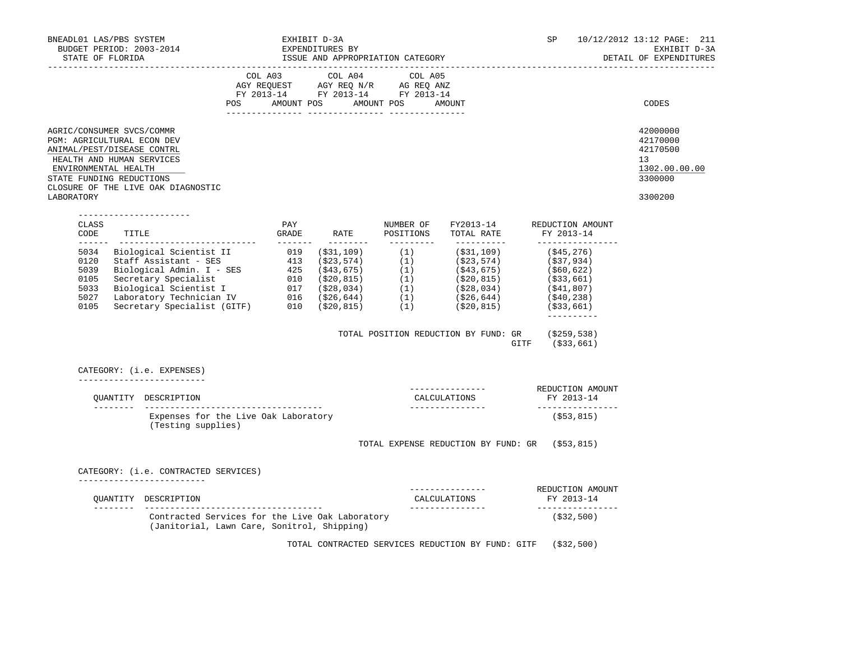| BNEADL01 LAS/PBS SYSTEM<br>EXPENDITURES BY<br>BUDGET PERIOD: 2003-2014<br>STATE OF FLORIDA STATE OF STATE AND APPROPRIATION CATEGORY                                                                                       |                                                                                                |     | EXHIBIT D-3A | SP and the set of the set of the set of the set of the set of the set of the set of the set of the set of the set of the set of the set of the set of the set of the set of the set of the set of the set of the set of the se                                                                                                                                                                                                                  | 10/12/2012 13:12 PAGE: 211<br>EXHIBIT D-3A<br>DETAIL OF EXPENDITURES |                                                                                             |                                                                               |
|----------------------------------------------------------------------------------------------------------------------------------------------------------------------------------------------------------------------------|------------------------------------------------------------------------------------------------|-----|--------------|-------------------------------------------------------------------------------------------------------------------------------------------------------------------------------------------------------------------------------------------------------------------------------------------------------------------------------------------------------------------------------------------------------------------------------------------------|----------------------------------------------------------------------|---------------------------------------------------------------------------------------------|-------------------------------------------------------------------------------|
|                                                                                                                                                                                                                            |                                                                                                |     |              | $\begin{tabular}{lllllllllllll} &\multicolumn{4}{c}{\text{COL A03}} &\multicolumn{4}{c}{\text{COL A04}} &\multicolumn{4}{c}{\text{COL A05}}\\ \text{AGY REQUEST} &\multicolumn{4}{c}{\text{AGY REQ N/R}} &\multicolumn{4}{c}{\text{AG REQ ANZ}}\\ \text{FY 2013--14} &\multicolumn{4}{c}{\text{FY 2013--14}} &\multicolumn{4}{c}{\text{FY 2013--14}} &\multicolumn{4}{c}{\text{FY 2013--14}} \end{tabular}$<br>POS AMOUNT POS AMOUNT POS AMOUNT |                                                                      |                                                                                             | CODES                                                                         |
| AGRIC/CONSUMER SVCS/COMMR<br>PGM: AGRICULTURAL ECON DEV<br>ANIMAL/PEST/DISEASE CONTRL<br>HEALTH AND HUMAN SERVICES<br>ENVIRONMENTAL HEALTH<br>STATE FUNDING REDUCTIONS<br>CLOSURE OF THE LIVE OAK DIAGNOSTIC<br>LABORATORY |                                                                                                |     |              |                                                                                                                                                                                                                                                                                                                                                                                                                                                 |                                                                      |                                                                                             | 42000000<br>42170000<br>42170500<br>13<br>1302.00.00.00<br>3300000<br>3300200 |
| ----------------------<br>CLASS<br>CODE TITLE : GRADE RATE POSITIONS TOTAL RATE FY 2013-14                                                                                                                                 |                                                                                                | PAY |              |                                                                                                                                                                                                                                                                                                                                                                                                                                                 |                                                                      | NUMBER OF FY2013-14 REDUCTION AMOUNT                                                        |                                                                               |
|                                                                                                                                                                                                                            |                                                                                                |     |              |                                                                                                                                                                                                                                                                                                                                                                                                                                                 |                                                                      | _________________<br>$-- - - - - - - -$<br>TOTAL POSITION REDUCTION BY FUND: GR (\$259,538) |                                                                               |
| CATEGORY: (i.e. EXPENSES)                                                                                                                                                                                                  |                                                                                                |     |              |                                                                                                                                                                                                                                                                                                                                                                                                                                                 |                                                                      | GITF (\$33,661)                                                                             |                                                                               |
| ___________________________<br>OUANTITY DESCRIPTION                                                                                                                                                                        |                                                                                                |     |              |                                                                                                                                                                                                                                                                                                                                                                                                                                                 | CALCULATIONS                                                         | -------------- REDUCTION AMOUNT<br>FY 2013-14                                               |                                                                               |
|                                                                                                                                                                                                                            | Expenses for the Live Oak Laboratory<br>(Testing supplies)                                     |     |              |                                                                                                                                                                                                                                                                                                                                                                                                                                                 |                                                                      | _________________<br>(\$53,815)                                                             |                                                                               |
|                                                                                                                                                                                                                            |                                                                                                |     |              |                                                                                                                                                                                                                                                                                                                                                                                                                                                 |                                                                      | TOTAL EXPENSE REDUCTION BY FUND: GR (\$53,815)                                              |                                                                               |
| CATEGORY: (i.e. CONTRACTED SERVICES)<br>___________________________<br>OUANTITY DESCRIPTION                                                                                                                                |                                                                                                |     |              |                                                                                                                                                                                                                                                                                                                                                                                                                                                 | ----------<br>CALCULATIONS                                           | REDUCTION AMOUNT<br>FY 2013-14                                                              |                                                                               |
|                                                                                                                                                                                                                            | Contracted Services for the Live Oak Laboratory<br>(Janitorial, Lawn Care, Sonitrol, Shipping) |     |              |                                                                                                                                                                                                                                                                                                                                                                                                                                                 |                                                                      | _________________<br>(\$32,500)                                                             |                                                                               |
|                                                                                                                                                                                                                            |                                                                                                |     |              |                                                                                                                                                                                                                                                                                                                                                                                                                                                 |                                                                      | TOTAL CONTRACTED SERVICES REDUCTION BY FUND: GITF (\$32,500)                                |                                                                               |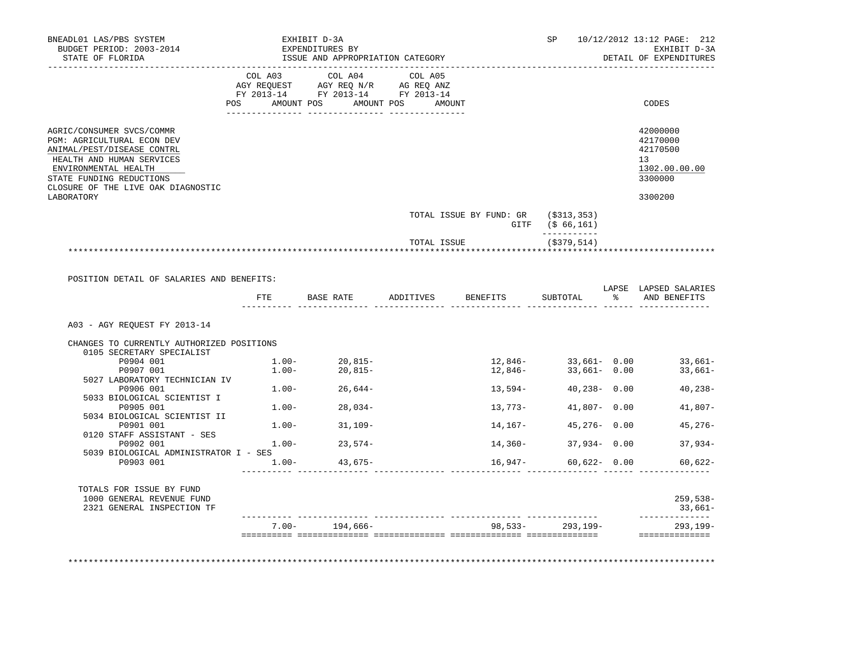| BNEADL01 LAS/PBS SYSTEM<br>BUDGET PERIOD: 2003-2014<br>STATE OF FLORIDA                                                                                                                                      |          | EXHIBIT D-3A<br>EXPENDITURES BY<br>ISSUE AND APPROPRIATION CATEGORY                                                                                                                                                                                                                                                                                                                                                                                                                                |             |                                                         | SP                            | 10/12/2012 13:12 PAGE: 212<br>EXHIBIT D-3A<br>DETAIL OF EXPENDITURES                                                                                 |
|--------------------------------------------------------------------------------------------------------------------------------------------------------------------------------------------------------------|----------|----------------------------------------------------------------------------------------------------------------------------------------------------------------------------------------------------------------------------------------------------------------------------------------------------------------------------------------------------------------------------------------------------------------------------------------------------------------------------------------------------|-------------|---------------------------------------------------------|-------------------------------|------------------------------------------------------------------------------------------------------------------------------------------------------|
|                                                                                                                                                                                                              |          | $\begin{tabular}{lllllllllllll} &\multicolumn{4}{c}{\text{COL A03}} &\multicolumn{4}{c}{\text{COL A04}} &\multicolumn{4}{c}{\text{COL A05}} \\ \multicolumn{4}{c}{\text{AGY REQUEST}} &\multicolumn{4}{c}{\text{AGY REQ N/R}} &\multicolumn{4}{c}{\text{AG REQ ANZ}} \\ \multicolumn{4}{c}{\text{FGULST}} &\multicolumn{4}{c}{\text{AGY REQ N/R}} &\multicolumn{4}{c}{\text{AG REQ ANZ}} \\ \multicolumn{4}{c}{\text{FY 2013--14}} &\multicolumn{4}{c}{\text{$<br>POS AMOUNT POS AMOUNT POS AMOUNT |             |                                                         |                               | CODES                                                                                                                                                |
|                                                                                                                                                                                                              |          |                                                                                                                                                                                                                                                                                                                                                                                                                                                                                                    |             |                                                         |                               |                                                                                                                                                      |
| AGRIC/CONSUMER SVCS/COMMR<br>PGM: AGRICULTURAL ECON DEV<br>ANIMAL/PEST/DISEASE CONTRL<br>HEALTH AND HUMAN SERVICES<br>ENVIRONMENTAL HEALTH<br>STATE FUNDING REDUCTIONS<br>CLOSURE OF THE LIVE OAK DIAGNOSTIC |          |                                                                                                                                                                                                                                                                                                                                                                                                                                                                                                    |             |                                                         |                               | 42000000<br>42170000<br>42170500<br>13<br>1302.00.00.00<br>3300000                                                                                   |
| LABORATORY                                                                                                                                                                                                   |          |                                                                                                                                                                                                                                                                                                                                                                                                                                                                                                    |             |                                                         |                               | 3300200                                                                                                                                              |
|                                                                                                                                                                                                              |          |                                                                                                                                                                                                                                                                                                                                                                                                                                                                                                    |             | TOTAL ISSUE BY FUND: GR (\$313,353)<br>GITF (\$ 66,161) |                               |                                                                                                                                                      |
|                                                                                                                                                                                                              |          |                                                                                                                                                                                                                                                                                                                                                                                                                                                                                                    | TOTAL ISSUE |                                                         | -----------<br>$($ \$379,514) |                                                                                                                                                      |
| POSITION DETAIL OF SALARIES AND BENEFITS:                                                                                                                                                                    |          |                                                                                                                                                                                                                                                                                                                                                                                                                                                                                                    |             | FTE BASE RATE ADDITIVES BENEFITS                        | SUBTOTAL                      | LAPSE LAPSED SALARIES<br>% AND BENEFITS                                                                                                              |
| A03 - AGY REOUEST FY 2013-14                                                                                                                                                                                 |          |                                                                                                                                                                                                                                                                                                                                                                                                                                                                                                    |             |                                                         |                               |                                                                                                                                                      |
| CHANGES TO CURRENTLY AUTHORIZED POSITIONS                                                                                                                                                                    |          |                                                                                                                                                                                                                                                                                                                                                                                                                                                                                                    |             |                                                         |                               |                                                                                                                                                      |
| 0105 SECRETARY SPECIALIST                                                                                                                                                                                    |          |                                                                                                                                                                                                                                                                                                                                                                                                                                                                                                    |             |                                                         |                               |                                                                                                                                                      |
| P0904 001<br>P0907 001                                                                                                                                                                                       |          | $1.00 20,815-$<br>$1.00 20,815-$                                                                                                                                                                                                                                                                                                                                                                                                                                                                   |             |                                                         |                               | $12,846-\qquad \qquad 33,661-\qquad 0.00 \qquad \qquad 33,661- \nonumber \\ 12,846-\qquad \qquad 33,661-\qquad 0.00 \qquad \qquad 33,661- \nonumber$ |
| 5027 LABORATORY TECHNICIAN IV                                                                                                                                                                                |          |                                                                                                                                                                                                                                                                                                                                                                                                                                                                                                    |             |                                                         |                               |                                                                                                                                                      |
| P0906 001 and the set of the set of the set of the set of the set of the set of the set of the set o                                                                                                         |          | $1.00 - 26,644 -$                                                                                                                                                                                                                                                                                                                                                                                                                                                                                  |             | 13,594-                                                 | $40,238 - 0.00$               | $40,238-$                                                                                                                                            |
| 5033 BIOLOGICAL SCIENTIST I<br>P0905 001                                                                                                                                                                     |          | $1.00 - 28,034 -$                                                                                                                                                                                                                                                                                                                                                                                                                                                                                  |             | 13,773-                                                 | $41,807 - 0.00$               | 41,807-                                                                                                                                              |
| 5034 BIOLOGICAL SCIENTIST II                                                                                                                                                                                 |          |                                                                                                                                                                                                                                                                                                                                                                                                                                                                                                    |             |                                                         |                               |                                                                                                                                                      |
| P0901 001                                                                                                                                                                                                    |          | $1.00 - 31,109 -$                                                                                                                                                                                                                                                                                                                                                                                                                                                                                  |             | 14,167-                                                 |                               | 45,276 - 0.00 45,276 -                                                                                                                               |
| 0120 STAFF ASSISTANT - SES<br>P0902 001                                                                                                                                                                      | $1.00 -$ | $23,574-$                                                                                                                                                                                                                                                                                                                                                                                                                                                                                          |             | 14,360-                                                 | $37,934 - 0.00$               | $37,934-$                                                                                                                                            |
| 5039 BIOLOGICAL ADMINISTRATOR I - SES                                                                                                                                                                        |          |                                                                                                                                                                                                                                                                                                                                                                                                                                                                                                    |             |                                                         |                               |                                                                                                                                                      |
| P0903 001                                                                                                                                                                                                    |          | $1.00 - 43,675 -$                                                                                                                                                                                                                                                                                                                                                                                                                                                                                  |             | 16,947-                                                 | $60,622 - 0.00$               | $60.622 -$                                                                                                                                           |
| TOTALS FOR ISSUE BY FUND<br>1000 GENERAL REVENUE FUND<br>2321 GENERAL INSPECTION TF                                                                                                                          |          |                                                                                                                                                                                                                                                                                                                                                                                                                                                                                                    |             |                                                         |                               | $259,538-$<br>33,661–                                                                                                                                |
|                                                                                                                                                                                                              |          | $7.00 - 194,666 -$                                                                                                                                                                                                                                                                                                                                                                                                                                                                                 |             |                                                         | 98,533-293,199-               | ______________<br>$293, 199 -$                                                                                                                       |
|                                                                                                                                                                                                              |          |                                                                                                                                                                                                                                                                                                                                                                                                                                                                                                    |             |                                                         |                               | ==============                                                                                                                                       |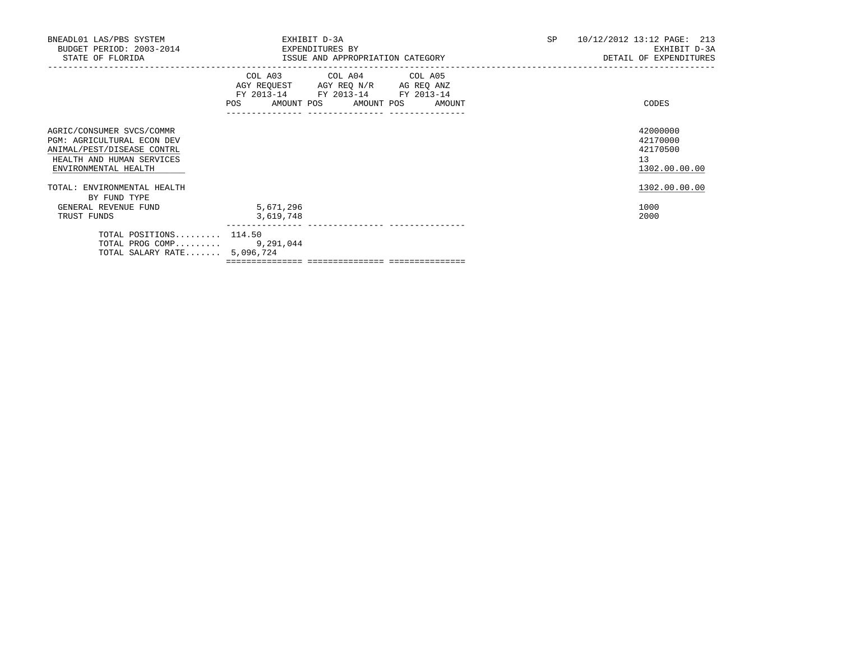| BNEADL01 LAS/PBS SYSTEM<br>BUDGET PERIOD: 2003-2014<br>STATE OF FLORIDA                                                                           | EXPENDITURES BY        | EXHIBIT D-3A<br>ISSUE AND APPROPRIATION CATEGORY                                                                                                                         | SP | 10/12/2012 13:12 PAGE: 213<br>EXHIBIT D-3A<br>DETAIL OF EXPENDITURES |
|---------------------------------------------------------------------------------------------------------------------------------------------------|------------------------|--------------------------------------------------------------------------------------------------------------------------------------------------------------------------|----|----------------------------------------------------------------------|
|                                                                                                                                                   |                        | COL A03 COL A04 COL A05<br>AGY REQUEST AGY REQ N/R AG REQ ANZ<br>FY 2013-14 FY 2013-14 FY 2013-14<br>POS AMOUNT POS AMOUNT POS AMOUNT<br>_______________________________ |    | CODES                                                                |
| AGRIC/CONSUMER SVCS/COMMR<br><b>PGM: AGRICULTURAL ECON DEV</b><br>ANIMAL/PEST/DISEASE CONTRL<br>HEALTH AND HUMAN SERVICES<br>ENVIRONMENTAL HEALTH |                        |                                                                                                                                                                          |    | 42000000<br>42170000<br>42170500<br>13<br>1302.00.00.00              |
| TOTAL: ENVIRONMENTAL HEALTH                                                                                                                       |                        |                                                                                                                                                                          |    | 1302.00.00.00                                                        |
| BY FUND TYPE<br>GENERAL REVENUE FUND<br>TRUST FUNDS                                                                                               | 5,671,296<br>3,619,748 |                                                                                                                                                                          |    | 1000<br>2000                                                         |
| TOTAL POSITIONS $114.50$<br>TOTAL PROG COMP 9,291,044<br>TOTAL SALARY RATE 5,096,724                                                              |                        |                                                                                                                                                                          |    |                                                                      |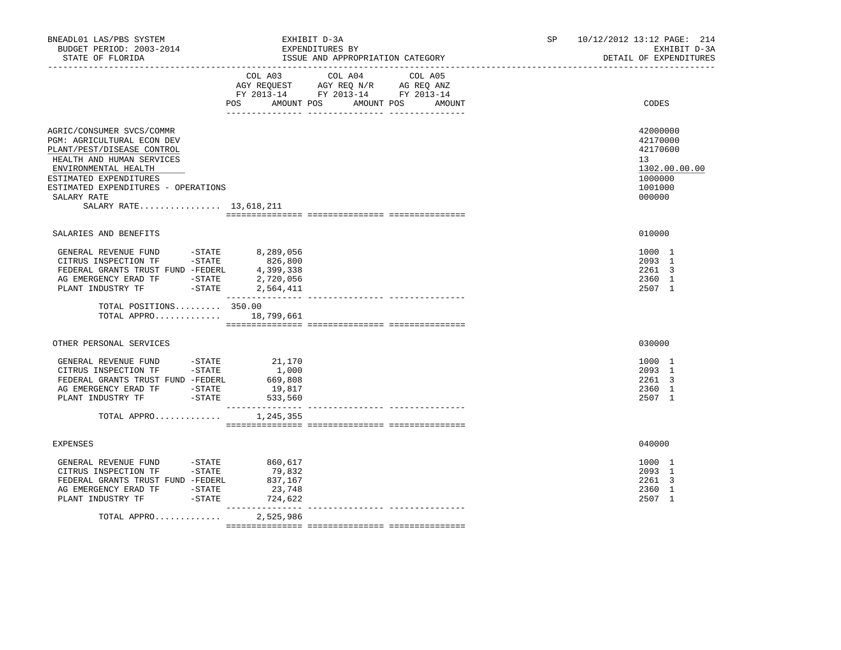| BNEADL01 LAS/PBS SYSTEM<br>BUDGET PERIOD: 2003-2014<br>STATE OF FLORIDA                                                                                                                                                                              |                                                                                    | EXHIBIT D-3A<br>EXPENDITURES BY<br>ISSUE AND APPROPRIATION CATEGORY                                                                 | SP and the set of the set of the set of the set of the set of the set of the set of the set of the set of the set of the set of the set of the set of the set of the set of the set of the set of the set of the set of the se | 10/12/2012 13:12 PAGE: 214<br>EXHIBIT D-3A<br>DETAIL OF EXPENDITURES                    |
|------------------------------------------------------------------------------------------------------------------------------------------------------------------------------------------------------------------------------------------------------|------------------------------------------------------------------------------------|-------------------------------------------------------------------------------------------------------------------------------------|--------------------------------------------------------------------------------------------------------------------------------------------------------------------------------------------------------------------------------|-----------------------------------------------------------------------------------------|
|                                                                                                                                                                                                                                                      | COL A03                                                                            | COL A04<br>COL A05<br>AGY REQUEST AGY REQ N/R AG REQ ANZ<br>FY 2013-14 FY 2013-14 FY 2013-14<br>POS AMOUNT POS AMOUNT POS<br>AMOUNT |                                                                                                                                                                                                                                | CODES                                                                                   |
| AGRIC/CONSUMER SVCS/COMMR<br>PGM: AGRICULTURAL ECON DEV<br>PLANT/PEST/DISEASE CONTROL<br>HEALTH AND HUMAN SERVICES<br>ENVIRONMENTAL HEALTH<br>ESTIMATED EXPENDITURES<br>ESTIMATED EXPENDITURES - OPERATIONS<br>SALARY RATE<br>SALARY RATE 13,618,211 |                                                                                    |                                                                                                                                     |                                                                                                                                                                                                                                | 42000000<br>42170000<br>42170600<br>13<br>1302.00.00.00<br>1000000<br>1001000<br>000000 |
| SALARIES AND BENEFITS                                                                                                                                                                                                                                |                                                                                    |                                                                                                                                     |                                                                                                                                                                                                                                | 010000                                                                                  |
| GENERAL REVENUE FUND -STATE<br>CITRUS INSPECTION TF -STATE<br>AG EMERGENCY ERAD TF - STATE<br>$-STATE$<br>PLANT INDUSTRY TF                                                                                                                          | 8,289,056<br>2,720,056<br>2,564,411<br>________________                            |                                                                                                                                     |                                                                                                                                                                                                                                | 1000 1<br>2093 1<br>2261 3<br>2360 1<br>2507 1                                          |
| TOTAL POSITIONS 350.00<br>TOTAL APPRO 18,799,661                                                                                                                                                                                                     |                                                                                    |                                                                                                                                     |                                                                                                                                                                                                                                |                                                                                         |
| OTHER PERSONAL SERVICES                                                                                                                                                                                                                              |                                                                                    |                                                                                                                                     |                                                                                                                                                                                                                                | 030000                                                                                  |
| GENERAL REVENUE FUND -STATE<br>CITRUS INSPECTION TF -STATE<br>FEDERAL GRANTS TRUST FUND -FEDERL<br>AG EMERGENCY ERAD TF -STATE<br>PLANT INDUSTRY TF<br>$-STATE$<br>TOTAL APPRO                                                                       | 21,170<br>1,000<br>669,808<br>19,817<br>533,560<br>________________<br>1,245,355   |                                                                                                                                     |                                                                                                                                                                                                                                | 1000 1<br>2093 1<br>2261 3<br>2360 1<br>2507 1                                          |
| <b>EXPENSES</b>                                                                                                                                                                                                                                      |                                                                                    |                                                                                                                                     |                                                                                                                                                                                                                                | 040000                                                                                  |
| GENERAL REVENUE FUND -STATE<br>CITRUS INSPECTION TF -STATE<br>FEDERAL GRANTS TRUST FUND -FEDERL<br>AG EMERGENCY ERAD TF -STATE<br>PLANT INDUSTRY TF<br>$-$ STATE<br>TOTAL APPRO                                                                      | 860,617<br>79,832<br>837,167<br>23,748<br>724,622<br>________________<br>2,525,986 |                                                                                                                                     |                                                                                                                                                                                                                                | 1000 1<br>2093 1<br>2261 3<br>2360 1<br>2507 1                                          |
|                                                                                                                                                                                                                                                      |                                                                                    |                                                                                                                                     |                                                                                                                                                                                                                                |                                                                                         |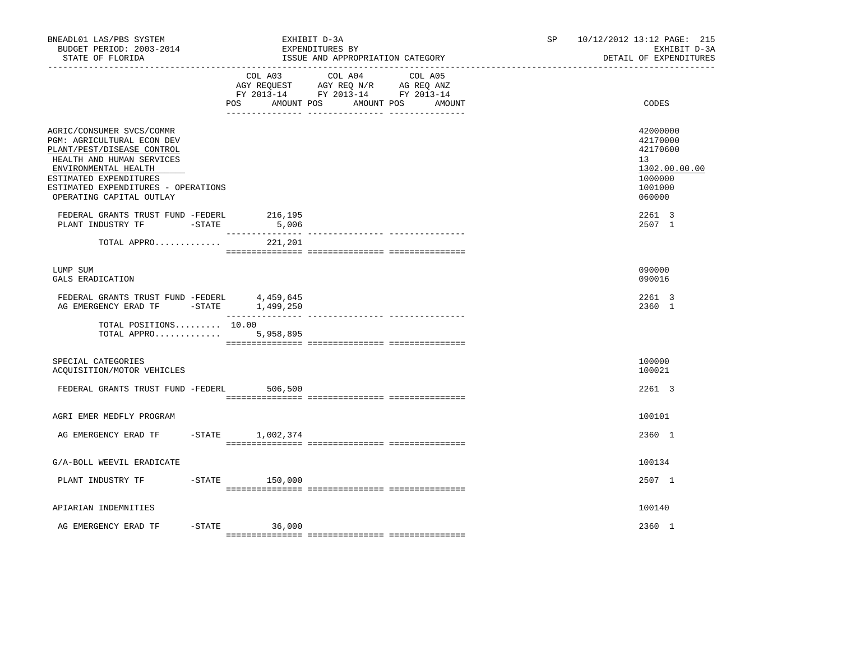| BNEADL01 LAS/PBS SYSTEM<br>BUDGET PERIOD: 2003-2014<br>STATE OF FLORIDA                                                                                                                                                                 | EXHIBIT D-3A<br>EXPENDITURES BY                                                                           | ISSUE AND APPROPRIATION CATEGORY           | SP | 10/12/2012 13:12 PAGE: 215<br>EXHIBIT D-3A<br>DETAIL OF EXPENDITURES                    |
|-----------------------------------------------------------------------------------------------------------------------------------------------------------------------------------------------------------------------------------------|-----------------------------------------------------------------------------------------------------------|--------------------------------------------|----|-----------------------------------------------------------------------------------------|
|                                                                                                                                                                                                                                         | COL A03<br>AGY REQUEST AGY REQ N/R AG REQ ANZ<br>FY 2013-14 FY 2013-14 FY 2013-14<br>POS DO<br>AMOUNT POS | COL A04<br>COL A05<br>AMOUNT POS<br>AMOUNT |    | CODES                                                                                   |
| AGRIC/CONSUMER SVCS/COMMR<br>PGM: AGRICULTURAL ECON DEV<br>PLANT/PEST/DISEASE CONTROL<br>HEALTH AND HUMAN SERVICES<br>ENVIRONMENTAL HEALTH<br>ESTIMATED EXPENDITURES<br>ESTIMATED EXPENDITURES - OPERATIONS<br>OPERATING CAPITAL OUTLAY |                                                                                                           |                                            |    | 42000000<br>42170000<br>42170600<br>13<br>1302.00.00.00<br>1000000<br>1001000<br>060000 |
| FEDERAL GRANTS TRUST FUND -FEDERL<br>PLANT INDUSTRY TF<br>$-STATE$                                                                                                                                                                      | 216,195<br>5,006                                                                                          |                                            |    | 2261 3<br>2507 1                                                                        |
| TOTAL APPRO                                                                                                                                                                                                                             | 221,201                                                                                                   |                                            |    |                                                                                         |
| LUMP SUM<br>GALS ERADICATION                                                                                                                                                                                                            |                                                                                                           |                                            |    | 090000<br>090016                                                                        |
| FEDERAL GRANTS TRUST FUND -FEDERL<br>AG EMERGENCY ERAD TF -STATE 1,499,250                                                                                                                                                              | 4,459,645                                                                                                 |                                            |    | 2261 3<br>2360 1                                                                        |
| TOTAL POSITIONS 10.00<br>TOTAL APPRO                                                                                                                                                                                                    | 5,958,895                                                                                                 |                                            |    |                                                                                         |
| SPECIAL CATEGORIES<br>ACQUISITION/MOTOR VEHICLES                                                                                                                                                                                        |                                                                                                           |                                            |    | 100000<br>100021                                                                        |
| FEDERAL GRANTS TRUST FUND -FEDERL 506,500                                                                                                                                                                                               |                                                                                                           |                                            |    | 2261 3                                                                                  |
| AGRI EMER MEDFLY PROGRAM                                                                                                                                                                                                                |                                                                                                           |                                            |    | 100101                                                                                  |
| AG EMERGENCY ERAD TF                                                                                                                                                                                                                    | -STATE 1,002,374                                                                                          |                                            |    | 2360 1                                                                                  |
| G/A-BOLL WEEVIL ERADICATE                                                                                                                                                                                                               |                                                                                                           |                                            |    | 100134                                                                                  |
| PLANT INDUSTRY TF                                                                                                                                                                                                                       | $-$ STATE 150,000                                                                                         |                                            |    | 2507 1                                                                                  |
| APIARIAN INDEMNITIES                                                                                                                                                                                                                    |                                                                                                           |                                            |    | 100140                                                                                  |
| $-$ STATE<br>AG EMERGENCY ERAD TF                                                                                                                                                                                                       | 36,000                                                                                                    |                                            |    | 2360 1                                                                                  |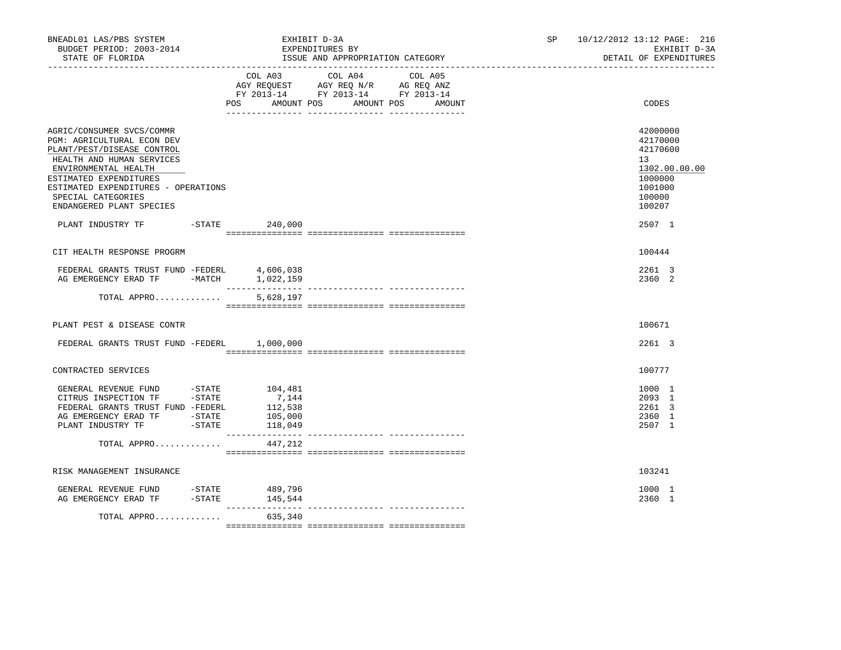| BNEADL01 LAS/PBS SYSTEM<br>BUDGET PERIOD: 2003-2014<br>STATE OF FLORIDA                                                                                                                                                                                       |                                                   | EXHIBIT D-3A<br>EXPENDITURES BY<br>ISSUE AND APPROPRIATION CATEGORY               | SP      | 10/12/2012 13:12 PAGE: 216<br>EXHIBIT D-3A<br>DETAIL OF EXPENDITURES |                                                                                                   |
|---------------------------------------------------------------------------------------------------------------------------------------------------------------------------------------------------------------------------------------------------------------|---------------------------------------------------|-----------------------------------------------------------------------------------|---------|----------------------------------------------------------------------|---------------------------------------------------------------------------------------------------|
|                                                                                                                                                                                                                                                               | COL A03<br>POS AMOUNT POS AMOUNT POS AMOUNT       | COL A04<br>AGY REQUEST AGY REQ N/R AG REQ ANZ<br>FY 2013-14 FY 2013-14 FY 2013-14 | COL A05 |                                                                      | CODES                                                                                             |
| AGRIC/CONSUMER SVCS/COMMR<br>PGM: AGRICULTURAL ECON DEV<br>PLANT/PEST/DISEASE CONTROL<br>HEALTH AND HUMAN SERVICES<br>ENVIRONMENTAL HEALTH<br>ESTIMATED EXPENDITURES<br>ESTIMATED EXPENDITURES - OPERATIONS<br>SPECIAL CATEGORIES<br>ENDANGERED PLANT SPECIES |                                                   |                                                                                   |         |                                                                      | 42000000<br>42170000<br>42170600<br>13<br>1302.00.00.00<br>1000000<br>1001000<br>100000<br>100207 |
| PLANT INDUSTRY TF -STATE 240,000                                                                                                                                                                                                                              |                                                   |                                                                                   |         |                                                                      | 2507 1                                                                                            |
| CIT HEALTH RESPONSE PROGRM                                                                                                                                                                                                                                    |                                                   |                                                                                   |         |                                                                      | 100444                                                                                            |
| FEDERAL GRANTS TRUST FUND -FEDERL<br>AG EMERGENCY ERAD TF -MATCH 1,022,159                                                                                                                                                                                    | 4,606,038                                         |                                                                                   |         |                                                                      | 2261 3<br>2360 2                                                                                  |
| TOTAL APPRO                                                                                                                                                                                                                                                   | 5,628,197                                         |                                                                                   |         |                                                                      |                                                                                                   |
| PLANT PEST & DISEASE CONTR                                                                                                                                                                                                                                    |                                                   |                                                                                   |         |                                                                      | 100671                                                                                            |
| FEDERAL GRANTS TRUST FUND -FEDERL 1,000,000                                                                                                                                                                                                                   |                                                   |                                                                                   |         |                                                                      | 2261 3                                                                                            |
| CONTRACTED SERVICES                                                                                                                                                                                                                                           |                                                   |                                                                                   |         |                                                                      | 100777                                                                                            |
| GENERAL REVENUE FUND -STATE<br>CITRUS INSPECTION TF -STATE<br>FEDERAL GRANTS TRUST FUND -FEDERL<br>AG EMERGENCY ERAD TF - STATE<br>PLANT INDUSTRY TF -STATE                                                                                                   | 104,481<br>7,144<br>112,538<br>105,000<br>118,049 |                                                                                   |         |                                                                      | 1000 1<br>2093 1<br>2261 3<br>2360 1<br>2507 1                                                    |
| TOTAL APPRO                                                                                                                                                                                                                                                   | 447,212                                           |                                                                                   |         |                                                                      |                                                                                                   |
| RISK MANAGEMENT INSURANCE                                                                                                                                                                                                                                     |                                                   |                                                                                   |         |                                                                      | 103241                                                                                            |
| GENERAL REVENUE FUND -STATE<br>AG EMERGENCY ERAD TF                                                                                                                                                                                                           | 489,796<br>$-$ STATE $145, 544$                   |                                                                                   |         |                                                                      | 1000 1<br>2360 1                                                                                  |
| TOTAL APPRO                                                                                                                                                                                                                                                   | _________________<br>635,340                      |                                                                                   |         |                                                                      |                                                                                                   |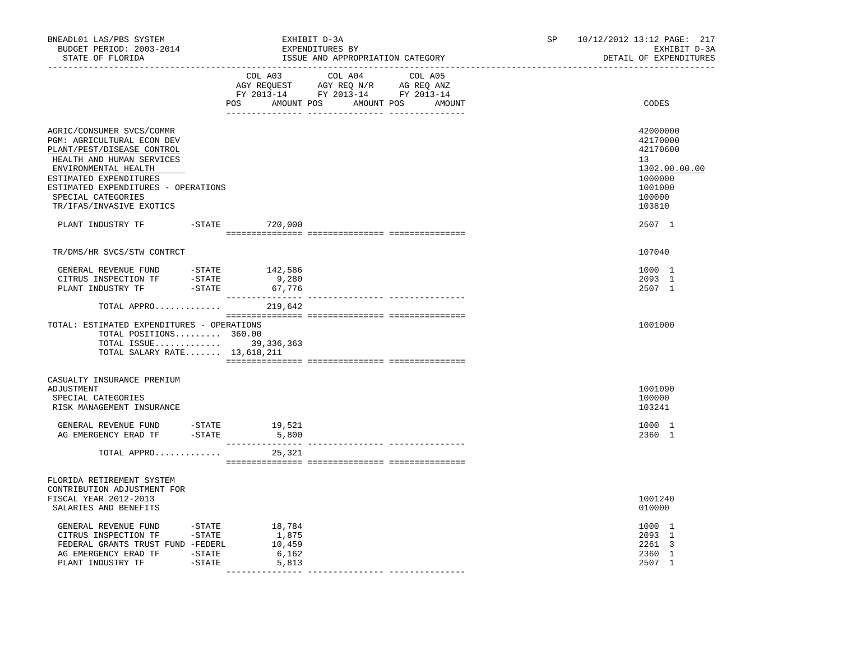| BNEADL01 LAS/PBS SYSTEM<br>BUDGET PERIOD: 2003-2014<br>STATE OF FLORIDA                                                                                                                                                                                       |                        |                                             | EXHIBIT D-3A<br>EXPENDITURES BY<br>ISSUE AND APPROPRIATION CATEGORY                               |  | SP and the set of the set of the set of the set of the set of the set of the set of the set of the set of the set of the set of the set of the set of the set of the set of the set of the set of the set of the set of the se | 10/12/2012 13:12 PAGE: 217<br>EXHIBIT D-3A<br>DETAIL OF EXPENDITURES                              |
|---------------------------------------------------------------------------------------------------------------------------------------------------------------------------------------------------------------------------------------------------------------|------------------------|---------------------------------------------|---------------------------------------------------------------------------------------------------|--|--------------------------------------------------------------------------------------------------------------------------------------------------------------------------------------------------------------------------------|---------------------------------------------------------------------------------------------------|
|                                                                                                                                                                                                                                                               |                        | POS AMOUNT POS AMOUNT POS AMOUNT            | COL A03 COL A04 COL A05<br>AGY REQUEST AGY REQ N/R AG REQ ANZ<br>FY 2013-14 FY 2013-14 FY 2013-14 |  |                                                                                                                                                                                                                                | CODES                                                                                             |
| AGRIC/CONSUMER SVCS/COMMR<br>PGM: AGRICULTURAL ECON DEV<br>PLANT/PEST/DISEASE CONTROL<br>HEALTH AND HUMAN SERVICES<br>ENVIRONMENTAL HEALTH<br>ESTIMATED EXPENDITURES<br>ESTIMATED EXPENDITURES - OPERATIONS<br>SPECIAL CATEGORIES<br>TR/IFAS/INVASIVE EXOTICS |                        |                                             |                                                                                                   |  |                                                                                                                                                                                                                                | 42000000<br>42170000<br>42170600<br>13<br>1302.00.00.00<br>1000000<br>1001000<br>100000<br>103810 |
| PLANT INDUSTRY TF -STATE 720,000                                                                                                                                                                                                                              |                        |                                             |                                                                                                   |  |                                                                                                                                                                                                                                | 2507 1                                                                                            |
| TR/DMS/HR SVCS/STW CONTRCT                                                                                                                                                                                                                                    |                        |                                             |                                                                                                   |  |                                                                                                                                                                                                                                | 107040                                                                                            |
|                                                                                                                                                                                                                                                               |                        |                                             |                                                                                                   |  |                                                                                                                                                                                                                                | 1000 1<br>2093 1<br>2507 1                                                                        |
| TOTAL APPRO                                                                                                                                                                                                                                                   |                        | 219,642                                     |                                                                                                   |  |                                                                                                                                                                                                                                |                                                                                                   |
| TOTAL: ESTIMATED EXPENDITURES - OPERATIONS<br>TOTAL POSITIONS 360.00<br>TOTAL ISSUE 39,336,363<br>TOTAL SALARY RATE 13,618,211                                                                                                                                |                        |                                             |                                                                                                   |  |                                                                                                                                                                                                                                | 1001000                                                                                           |
| CASUALTY INSURANCE PREMIUM<br>ADJUSTMENT<br>SPECIAL CATEGORIES<br>RISK MANAGEMENT INSURANCE                                                                                                                                                                   |                        |                                             |                                                                                                   |  |                                                                                                                                                                                                                                | 1001090<br>100000<br>103241                                                                       |
| GENERAL REVENUE FUND -STATE 19,521<br>AG EMERGENCY ERAD TF -STATE 5,800                                                                                                                                                                                       |                        |                                             |                                                                                                   |  |                                                                                                                                                                                                                                | 1000 1<br>2360 1                                                                                  |
| TOTAL APPRO                                                                                                                                                                                                                                                   |                        | 25,321                                      |                                                                                                   |  |                                                                                                                                                                                                                                |                                                                                                   |
| FLORIDA RETIREMENT SYSTEM<br>CONTRIBUTION ADJUSTMENT FOR<br>FISCAL YEAR 2012-2013<br>SALARIES AND BENEFITS                                                                                                                                                    |                        |                                             |                                                                                                   |  |                                                                                                                                                                                                                                | 1001240<br>010000                                                                                 |
| GENERAL REVENUE FUND<br>CITRUS INSPECTION TF -STATE<br>FEDERAL GRANTS TRUST FUND -FEDERL<br>AG EMERGENCY ERAD TF - STATE<br>PLANT INDUSTRY TF                                                                                                                 | $-$ STATE<br>$-$ STATE | 18,784<br>1,875<br>10,459<br>6,162<br>5,813 |                                                                                                   |  |                                                                                                                                                                                                                                | 1000 1<br>2093 1<br>2261 3<br>2360 1<br>2507 1                                                    |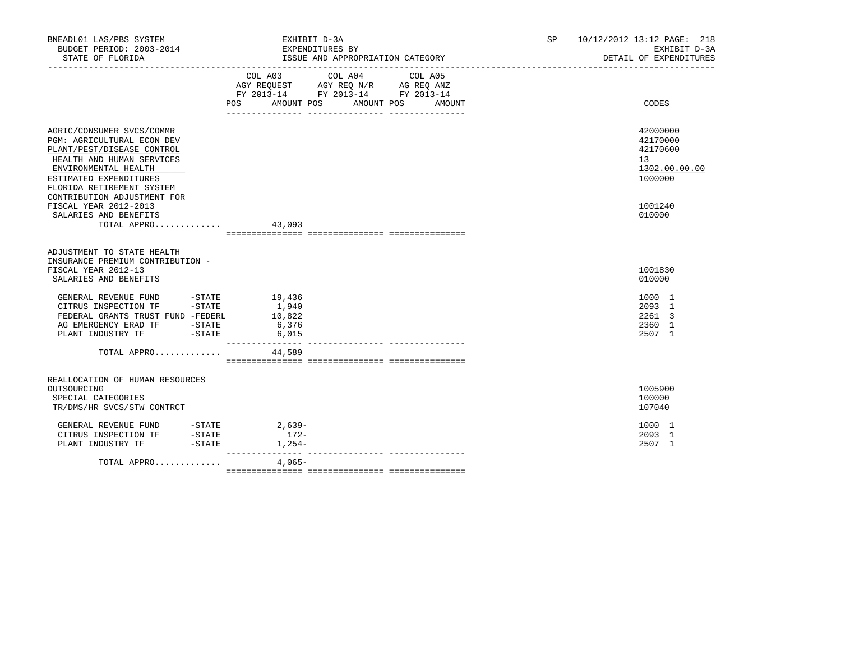| BNEADL01 LAS/PBS SYSTEM<br>BUDGET PERIOD: 2003-2014<br>STATE OF FLORIDA                                                                                                                                                                                                      | EXHIBIT D-3A<br>EXPENDITURES BY<br>ISSUE AND APPROPRIATION CATEGORY                                                                      | 10/12/2012 13:12 PAGE: 218<br>SP and the set of the set of the set of the set of the set of the set of the set of the set of the set of the set of the set of the set of the set of the set of the set of the set of the set of the set of the set of the se<br>EXHIBIT D-3A<br>DETAIL OF EXPENDITURES |
|------------------------------------------------------------------------------------------------------------------------------------------------------------------------------------------------------------------------------------------------------------------------------|------------------------------------------------------------------------------------------------------------------------------------------|--------------------------------------------------------------------------------------------------------------------------------------------------------------------------------------------------------------------------------------------------------------------------------------------------------|
|                                                                                                                                                                                                                                                                              | COL A03 COL A04 COL A05<br>AGY REQUEST AGY REQ N/R AG REQ ANZ<br>FY 2013-14 FY 2013-14 FY 2013-14<br>POS AMOUNT POS AMOUNT POS<br>AMOUNT | CODES                                                                                                                                                                                                                                                                                                  |
| AGRIC/CONSUMER SVCS/COMMR<br><b>PGM: AGRICULTURAL ECON DEV</b><br>PLANT/PEST/DISEASE CONTROL<br>HEALTH AND HUMAN SERVICES<br>ENVIRONMENTAL HEALTH<br>ESTIMATED EXPENDITURES<br>FLORIDA RETIREMENT SYSTEM<br>CONTRIBUTION ADJUSTMENT FOR                                      |                                                                                                                                          | 42000000<br>42170000<br>42170600<br>13<br>1302.00.00.00<br>1000000                                                                                                                                                                                                                                     |
| FISCAL YEAR 2012-2013<br>SALARIES AND BENEFITS<br>TOTAL APPRO 43,093                                                                                                                                                                                                         |                                                                                                                                          | 1001240<br>010000                                                                                                                                                                                                                                                                                      |
| ADJUSTMENT TO STATE HEALTH<br>INSURANCE PREMIUM CONTRIBUTION -<br>FISCAL YEAR 2012-13<br>SALARIES AND BENEFITS                                                                                                                                                               |                                                                                                                                          | 1001830<br>010000                                                                                                                                                                                                                                                                                      |
| GENERAL REVENUE FUND -STATE 19,436<br>CITRUS INSPECTION TF -STATE<br>FEDERAL GRANTS TRUST FUND -FEDERL<br>$\begin{tabular}{lllllll} \bf AG & \tt EMERGENCY & \tt ERAD & \tt TF & & & -STATE \\ \bf PLANT & \tt INDUSTRY & \tt TF & & & -STATE \\ \end{tabular}$              | 1,940<br>10,822<br>6,376<br>6,015<br>---------------                                                                                     | 1000 1<br>2093 1<br>2261 3<br>2360 1<br>2507 1                                                                                                                                                                                                                                                         |
| TOTAL APPRO                                                                                                                                                                                                                                                                  | 44,589                                                                                                                                   |                                                                                                                                                                                                                                                                                                        |
| REALLOCATION OF HUMAN RESOURCES<br>OUTSOURCING<br>SPECIAL CATEGORIES<br>TR/DMS/HR SVCS/STW CONTRCT                                                                                                                                                                           |                                                                                                                                          | 1005900<br>100000<br>107040                                                                                                                                                                                                                                                                            |
| $\begin{tabular}{lllllllllllll} \multicolumn{4}{c}{\tt GENERAL} & {\tt REVENUE} & {\tt FUND} & & -{\tt STATE} & & 2,639-- \\ {\tt CITRUS} & {\tt INSPECTION TF} & & -{\tt STATE} & & 172-- \\ {\tt PLANT} & {\tt INDUSTRY TF} & & -{\tt STATE} & & 1,254-- \\ \end{tabular}$ | $1,254-$                                                                                                                                 | 1000 1<br>2093 1<br>2507 1                                                                                                                                                                                                                                                                             |
| TOTAL APPRO                                                                                                                                                                                                                                                                  | 4,065-                                                                                                                                   |                                                                                                                                                                                                                                                                                                        |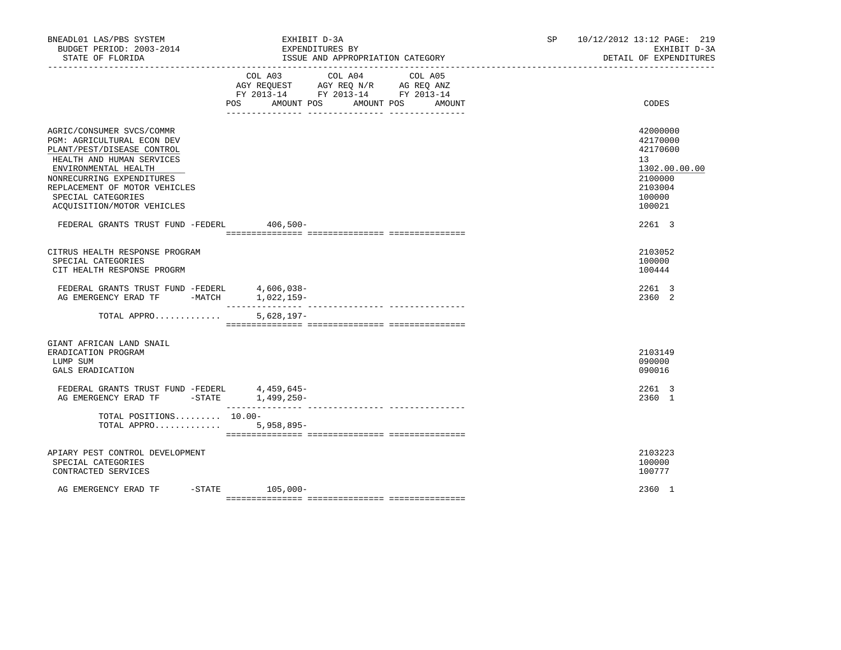| BNEADL01 LAS/PBS SYSTEM<br>BUDGET PERIOD: 2003-2014<br>STATE OF FLORIDA                                                                                                                                                                                      | EXHIBIT D-3A<br>EXPENDITURES BY<br>ISSUE AND APPROPRIATION CATEGORY                                                                            | 10/12/2012 13:12 PAGE: 219<br>SP <sub>2</sub><br>EXHIBIT D-3A<br>DETAIL OF EXPENDITURES           |
|--------------------------------------------------------------------------------------------------------------------------------------------------------------------------------------------------------------------------------------------------------------|------------------------------------------------------------------------------------------------------------------------------------------------|---------------------------------------------------------------------------------------------------|
|                                                                                                                                                                                                                                                              | COL A03<br>COL A04<br>COL A05<br>AGY REQUEST AGY REQ N/R AG REQ ANZ<br>FY 2013-14 FY 2013-14 FY 2013-14<br>POS AMOUNT POS AMOUNT POS<br>AMOUNT | CODES                                                                                             |
| AGRIC/CONSUMER SVCS/COMMR<br>PGM: AGRICULTURAL ECON DEV<br>PLANT/PEST/DISEASE CONTROL<br>HEALTH AND HUMAN SERVICES<br>ENVIRONMENTAL HEALTH<br>NONRECURRING EXPENDITURES<br>REPLACEMENT OF MOTOR VEHICLES<br>SPECIAL CATEGORIES<br>ACQUISITION/MOTOR VEHICLES |                                                                                                                                                | 42000000<br>42170000<br>42170600<br>13<br>1302.00.00.00<br>2100000<br>2103004<br>100000<br>100021 |
| FEDERAL GRANTS TRUST FUND -FEDERL 406,500-                                                                                                                                                                                                                   |                                                                                                                                                | 2261 3                                                                                            |
| CITRUS HEALTH RESPONSE PROGRAM<br>SPECIAL CATEGORIES<br>CIT HEALTH RESPONSE PROGRM<br>FEDERAL GRANTS TRUST FUND -FEDERL 4,606,038-<br>AG EMERGENCY ERAD TF -MATCH 1,022,159-                                                                                 |                                                                                                                                                | 2103052<br>100000<br>100444<br>2261 3<br>2360 2                                                   |
| TOTAL APPRO                                                                                                                                                                                                                                                  | $5,628,197-$                                                                                                                                   |                                                                                                   |
| GIANT AFRICAN LAND SNAIL<br>ERADICATION PROGRAM<br>LUMP SUM<br>GALS ERADICATION                                                                                                                                                                              |                                                                                                                                                | 2103149<br>090000<br>090016                                                                       |
| FEDERAL GRANTS TRUST FUND -FEDERL 4,459,645-<br>AG EMERGENCY ERAD TF -STATE 1,499,250-                                                                                                                                                                       |                                                                                                                                                | 2261 3<br>2360 1                                                                                  |
| TOTAL POSITIONS $10.00-$<br>TOTAL APPRO                                                                                                                                                                                                                      | $5,958,895-$                                                                                                                                   |                                                                                                   |
| APIARY PEST CONTROL DEVELOPMENT<br>SPECIAL CATEGORIES<br>CONTRACTED SERVICES                                                                                                                                                                                 |                                                                                                                                                | 2103223<br>100000<br>100777                                                                       |
| AG EMERGENCY ERAD TF                                                                                                                                                                                                                                         | $-STATE$ 105,000-                                                                                                                              | 2360 1                                                                                            |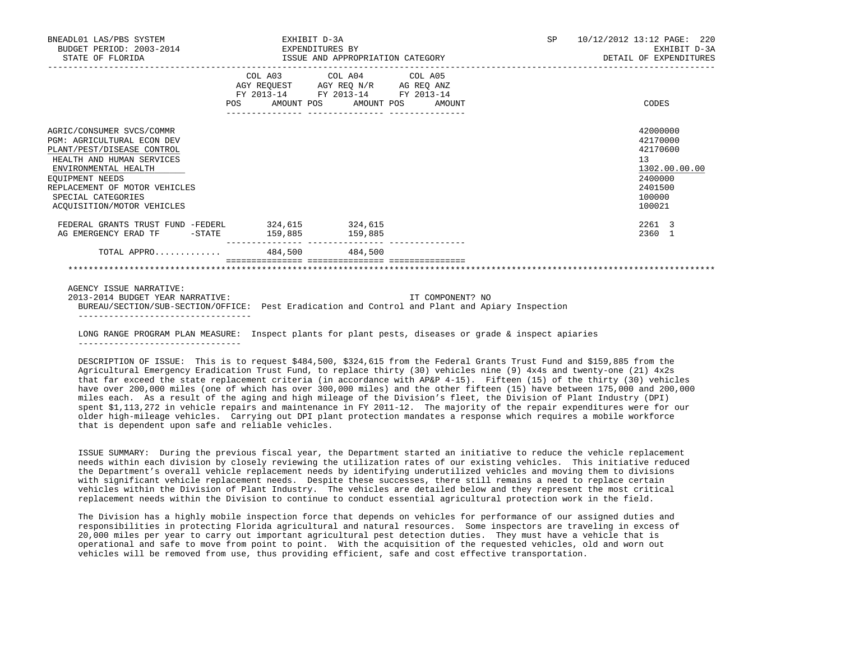| BNEADL01 LAS/PBS SYSTEM<br>BUDGET PERIOD: 2003-2014 EXPENDITURES BY<br>STATE OF FLORIDA                                                                                                                                                                   | EXHIBIT D-3A<br>ISSUE AND APPROPRIATION CATEGORY                                                                                                                                                                         |                  | SP 10/12/2012 13:12 PAGE: 220<br>EXHIBIT D-3A<br>DETAIL OF EXPENDITURES                           |
|-----------------------------------------------------------------------------------------------------------------------------------------------------------------------------------------------------------------------------------------------------------|--------------------------------------------------------------------------------------------------------------------------------------------------------------------------------------------------------------------------|------------------|---------------------------------------------------------------------------------------------------|
|                                                                                                                                                                                                                                                           | COL A03 COL A04 COL A05<br>$\begin{tabular}{lllllll} AGY & \texttt{REQUEST} & \texttt{AGY REQ} \texttt{N/R} & \texttt{AG REQ ANZ} \end{tabular}$<br>FY 2013-14 FY 2013-14 FY 2013-14<br>POS AMOUNT POS AMOUNT POS AMOUNT |                  | CODES                                                                                             |
| AGRIC/CONSUMER SVCS/COMMR<br><b>PGM: AGRICULTURAL ECON DEV</b><br>PLANT/PEST/DISEASE CONTROL<br>HEALTH AND HUMAN SERVICES<br>ENVIRONMENTAL HEALTH<br>EOUIPMENT NEEDS<br>REPLACEMENT OF MOTOR VEHICLES<br>SPECIAL CATEGORIES<br>ACOUISITION/MOTOR VEHICLES |                                                                                                                                                                                                                          |                  | 42000000<br>42170000<br>42170600<br>13<br>1302.00.00.00<br>2400000<br>2401500<br>100000<br>100021 |
| FEDERAL GRANTS TRUST FUND -FEDERL 324,615 324,615<br>AG EMERGENCY ERAD TF - STATE 159,885 159,885                                                                                                                                                         |                                                                                                                                                                                                                          |                  | 2261 3<br>2360 1                                                                                  |
| TOTAL APPRO 484,500 484,500                                                                                                                                                                                                                               |                                                                                                                                                                                                                          |                  |                                                                                                   |
|                                                                                                                                                                                                                                                           |                                                                                                                                                                                                                          |                  |                                                                                                   |
| AGENCY ISSUE NARRATIVE:<br>2013-2014 BUDGET YEAR NARRATIVE:<br>BUREAU/SECTION/SUB-SECTION/OFFICE: Pest Eradication and Control and Plant and Apiary Inspection<br>_________________________________                                                       |                                                                                                                                                                                                                          | IT COMPONENT? NO |                                                                                                   |

 LONG RANGE PROGRAM PLAN MEASURE: Inspect plants for plant pests, diseases or grade & inspect apiaries --------------------------------

 DESCRIPTION OF ISSUE: This is to request \$484,500, \$324,615 from the Federal Grants Trust Fund and \$159,885 from the Agricultural Emergency Eradication Trust Fund, to replace thirty (30) vehicles nine (9) 4x4s and twenty-one (21) 4x2s that far exceed the state replacement criteria (in accordance with AP&P 4-15). Fifteen (15) of the thirty (30) vehicles have over 200,000 miles (one of which has over 300,000 miles) and the other fifteen (15) have between 175,000 and 200,000 miles each. As a result of the aging and high mileage of the Division's fleet, the Division of Plant Industry (DPI) spent \$1,113,272 in vehicle repairs and maintenance in FY 2011-12. The majority of the repair expenditures were for our older high-mileage vehicles. Carrying out DPI plant protection mandates a response which requires a mobile workforce that is dependent upon safe and reliable vehicles.

 ISSUE SUMMARY: During the previous fiscal year, the Department started an initiative to reduce the vehicle replacement needs within each division by closely reviewing the utilization rates of our existing vehicles. This initiative reduced the Department's overall vehicle replacement needs by identifying underutilized vehicles and moving them to divisions with significant vehicle replacement needs. Despite these successes, there still remains a need to replace certain vehicles within the Division of Plant Industry. The vehicles are detailed below and they represent the most critical replacement needs within the Division to continue to conduct essential agricultural protection work in the field.

 The Division has a highly mobile inspection force that depends on vehicles for performance of our assigned duties and responsibilities in protecting Florida agricultural and natural resources. Some inspectors are traveling in excess of 20,000 miles per year to carry out important agricultural pest detection duties. They must have a vehicle that is operational and safe to move from point to point. With the acquisition of the requested vehicles, old and worn out vehicles will be removed from use, thus providing efficient, safe and cost effective transportation.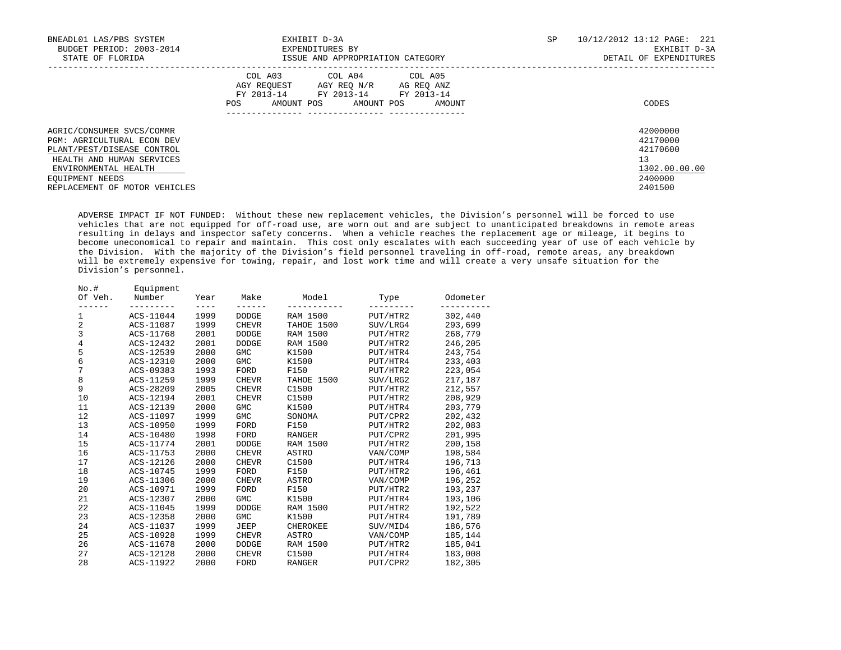| BNEADL01 LAS/PBS SYSTEM<br>BUDGET PERIOD: 2003-2014<br>STATE OF FLORIDA                                                                           | EXHIBIT D-3A<br>EXPENDITURES BY<br>ISSUE AND APPROPRIATION CATEGORY                                                                                                                                 | SP | 10/12/2012 13:12 PAGE: 221<br>EXHIBIT D-3A<br>DETAIL OF EXPENDITURES |
|---------------------------------------------------------------------------------------------------------------------------------------------------|-----------------------------------------------------------------------------------------------------------------------------------------------------------------------------------------------------|----|----------------------------------------------------------------------|
|                                                                                                                                                   | COL A04 COL A05<br>COL A03<br>AGY REOUEST AGY REO N/R AG REO ANZ<br>FY 2013-14 FY 2013-14<br>FY 2013-14<br><b>Contract Contract</b><br>AMOUNT POS<br>AMOUNT POS<br>POS<br>AMOUNT<br>--------------- |    | CODES                                                                |
| AGRIC/CONSUMER SVCS/COMMR<br><b>PGM: AGRICULTURAL ECON DEV</b><br>PLANT/PEST/DISEASE CONTROL<br>HEALTH AND HUMAN SERVICES<br>ENVIRONMENTAL HEALTH |                                                                                                                                                                                                     |    | 42000000<br>42170000<br>42170600<br>13<br>1302.00.00.00              |
| EOUIPMENT NEEDS<br>REPLACEMENT OF MOTOR VEHICLES                                                                                                  |                                                                                                                                                                                                     |    | 2400000<br>2401500                                                   |

 ADVERSE IMPACT IF NOT FUNDED: Without these new replacement vehicles, the Division's personnel will be forced to use vehicles that are not equipped for off-road use, are worn out and are subject to unanticipated breakdowns in remote areas resulting in delays and inspector safety concerns. When a vehicle reaches the replacement age or mileage, it begins to become uneconomical to repair and maintain. This cost only escalates with each succeeding year of use of each vehicle by the Division. With the majority of the Division's field personnel traveling in off-road, remote areas, any breakdown will be extremely expensive for towing, repair, and lost work time and will create a very unsafe situation for the Division's personnel.

| $No.+$<br>Of Veh. | Equipment<br>Number | Year | Make         | Model           | Type     | Odometer |
|-------------------|---------------------|------|--------------|-----------------|----------|----------|
| 1                 | ACS-11044           | 1999 | <b>DODGE</b> | <b>RAM 1500</b> | PUT/HTR2 | 302,440  |
| 2                 | ACS-11087           | 1999 | <b>CHEVR</b> | TAHOE 1500      | SUV/LRG4 | 293,699  |
| 3                 | ACS-11768           | 2001 | DODGE        | RAM 1500        | PUT/HTR2 | 268,779  |
| $\overline{4}$    | ACS-12432           | 2001 | <b>DODGE</b> | RAM 1500        | PUT/HTR2 | 246,205  |
| 5                 | ACS-12539           | 2000 | <b>GMC</b>   | K1500           | PUT/HTR4 | 243,754  |
| 6                 | ACS-12310           | 2000 | GMC          | K1500           | PUT/HTR4 | 233,403  |
| 7                 | ACS-09383           | 1993 | FORD         | F150            | PUT/HTR2 | 223,054  |
| 8                 | ACS-11259           | 1999 | <b>CHEVR</b> | TAHOE 1500      | SUV/LRG2 | 217,187  |
| 9                 | ACS-28209           | 2005 | <b>CHEVR</b> | C1500           | PUT/HTR2 | 212,557  |
| 10                | ACS-12194           | 2001 | <b>CHEVR</b> | C1500           | PUT/HTR2 | 208,929  |
| 11                | ACS-12139           | 2000 | <b>GMC</b>   | K1500           | PUT/HTR4 | 203,779  |
| 12                | ACS-11097           | 1999 | <b>GMC</b>   | SONOMA          | PUT/CPR2 | 202,432  |
| 13                | ACS-10950           | 1999 | FORD         | F150            | PUT/HTR2 | 202,083  |
| 14                | ACS-10480           | 1998 | FORD         | <b>RANGER</b>   | PUT/CPR2 | 201,995  |
| 15                | ACS-11774           | 2001 | DODGE        | RAM 1500        | PUT/HTR2 | 200,158  |
| 16                | ACS-11753           | 2000 | <b>CHEVR</b> | <b>ASTRO</b>    | VAN/COMP | 198,584  |
| 17                | ACS-12126           | 2000 | <b>CHEVR</b> | C1500           | PUT/HTR4 | 196,713  |
| 18                | ACS-10745           | 1999 | FORD         | F150            | PUT/HTR2 | 196,461  |
| 19                | ACS-11306           | 2000 | <b>CHEVR</b> | ASTRO           | VAN/COMP | 196,252  |
| 20                | ACS-10971           | 1999 | FORD         | F150            | PUT/HTR2 | 193,237  |
| 21                | ACS-12307           | 2000 | <b>GMC</b>   | K1500           | PUT/HTR4 | 193,106  |
| 22                | ACS-11045           | 1999 | <b>DODGE</b> | RAM 1500        | PUT/HTR2 | 192,522  |
| 23                | ACS-12358           | 2000 | GMC          | K1500           | PUT/HTR4 | 191,789  |
| 24                | ACS-11037           | 1999 | JEEP         | CHEROKEE        | SUV/MID4 | 186,576  |
| 25                | ACS-10928           | 1999 | <b>CHEVR</b> | ASTRO           | VAN/COMP | 185,144  |
| 26                | ACS-11678           | 2000 | DODGE        | RAM 1500        | PUT/HTR2 | 185,041  |
| 27                | ACS-12128           | 2000 | CHEVR        | C1500           | PUT/HTR4 | 183,008  |
| 28                | ACS-11922           | 2000 | FORD         | <b>RANGER</b>   | PUT/CPR2 | 182,305  |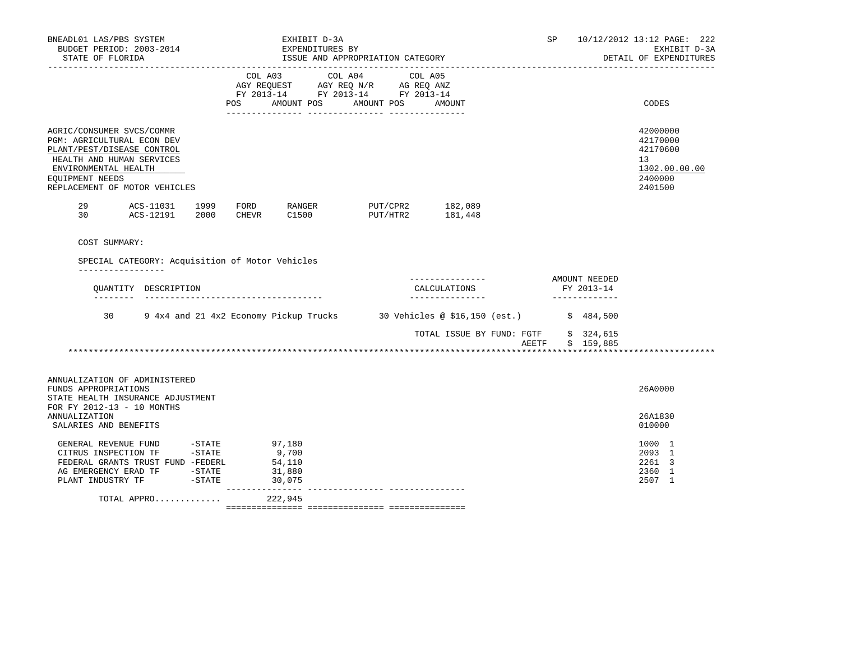| BNEADL01 LAS/PBS SYSTEM<br>BUDGET PERIOD: 2003-2014<br>STATE OF FLORIDA                                                                                                                        |                |           |                     | EXHIBIT D-3A<br>EXPENDITURES BY               | ISSUE AND APPROPRIATION CATEGORY                                                                                |                                                    |                                                                                 | SP             |                                              | 10/12/2012 13:12 PAGE: 222<br>EXHIBIT D-3A<br>DETAIL OF EXPENDITURES          |
|------------------------------------------------------------------------------------------------------------------------------------------------------------------------------------------------|----------------|-----------|---------------------|-----------------------------------------------|-----------------------------------------------------------------------------------------------------------------|----------------------------------------------------|---------------------------------------------------------------------------------|----------------|----------------------------------------------|-------------------------------------------------------------------------------|
|                                                                                                                                                                                                |                |           | POS                 | AMOUNT POS                                    | COL A03 COL A04 COL A05<br>AGY REQUEST AGY REQ N/R AG REQ ANZ<br>FY 2013-14 FY 2013-14 FY 2013-14<br>AMOUNT POS | AMOUNT                                             |                                                                                 |                |                                              | CODES                                                                         |
| AGRIC/CONSUMER SVCS/COMMR<br>PGM: AGRICULTURAL ECON DEV<br>PLANT/PEST/DISEASE CONTROL<br>HEALTH AND HUMAN SERVICES<br>ENVIRONMENTAL HEALTH<br>EQUIPMENT NEEDS<br>REPLACEMENT OF MOTOR VEHICLES |                |           |                     |                                               |                                                                                                                 |                                                    |                                                                                 |                |                                              | 42000000<br>42170000<br>42170600<br>13<br>1302.00.00.00<br>2400000<br>2401500 |
| 29<br>30<br>ACS-12191                                                                                                                                                                          | ACS-11031 1999 | 2000      | FORD<br>CHEVR       | RANGER<br>C1500                               | PUT/CPR2 182,089<br>PUT/HTR2                                                                                    | 181,448                                            |                                                                                 |                |                                              |                                                                               |
| SPECIAL CATEGORY: Acquisition of Motor Vehicles<br>__________________<br>OUANTITY DESCRIPTION<br>________                                                                                      |                |           |                     | ------------------------------------          |                                                                                                                 | ---------------<br>CALCULATIONS<br>_______________ |                                                                                 |                | AMOUNT NEEDED<br>FY 2013-14<br>_____________ |                                                                               |
| 30                                                                                                                                                                                             |                |           |                     |                                               |                                                                                                                 |                                                    | 9 4x4 and 21 4x2 Economy Pickup Trucks 30 Vehicles @ \$16,150 (est.) \$ 484,500 |                |                                              |                                                                               |
|                                                                                                                                                                                                |                |           |                     |                                               |                                                                                                                 |                                                    | TOTAL ISSUE BY FUND: FGTF<br>AEETF                                              | ************** | \$324,615<br>\$159,885                       |                                                                               |
| ANNUALIZATION OF ADMINISTERED<br>FUNDS APPROPRIATIONS<br>STATE HEALTH INSURANCE ADJUSTMENT<br>FOR FY 2012-13 - 10 MONTHS                                                                       |                |           |                     |                                               |                                                                                                                 |                                                    |                                                                                 |                |                                              | 26A0000                                                                       |
| <b>ANNUALIZATION</b><br>SALARIES AND BENEFITS                                                                                                                                                  |                |           |                     |                                               |                                                                                                                 |                                                    |                                                                                 |                |                                              | 26A1830<br>010000                                                             |
| GENERAL REVENUE FUND -STATE<br>CITRUS INSPECTION TF -STATE<br>FEDERAL GRANTS TRUST FUND -FEDERL<br>AG EMERGENCY ERAD TF -STATE<br>PLANT INDUSTRY TF                                            |                | $-$ STATE | $- - - - - - - - -$ | 97,180<br>9,700<br>54,110<br>31,880<br>30,075 |                                                                                                                 |                                                    |                                                                                 |                |                                              | 1000 1<br>2093 1<br>2261 3<br>2360 1<br>2507 1                                |
| TOTAL APPRO                                                                                                                                                                                    |                |           |                     | 222,945                                       |                                                                                                                 |                                                    |                                                                                 |                |                                              |                                                                               |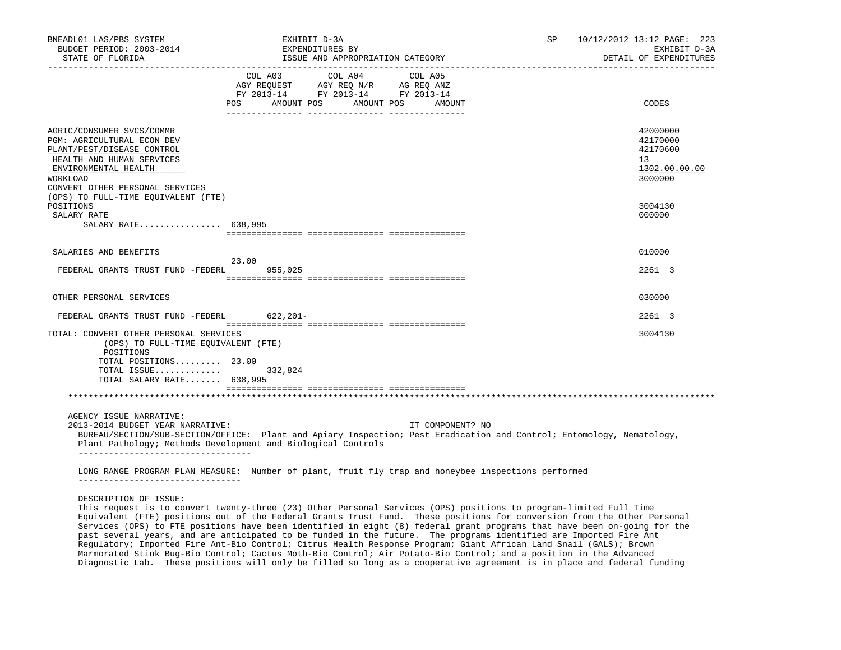| BNEADL01 LAS/PBS SYSTEM<br>BUDGET PERIOD: 2003-2014                                                                                                                                       | EXHIBIT D-3A<br>EXPENDITURES BY                                                                                                                                                                                                              | SP | 10/12/2012 13:12 PAGE: 223<br>EXHIBIT D-3A                         |
|-------------------------------------------------------------------------------------------------------------------------------------------------------------------------------------------|----------------------------------------------------------------------------------------------------------------------------------------------------------------------------------------------------------------------------------------------|----|--------------------------------------------------------------------|
| STATE OF FLORIDA                                                                                                                                                                          | ISSUE AND APPROPRIATION CATEGORY                                                                                                                                                                                                             |    | DETAIL OF EXPENDITURES                                             |
|                                                                                                                                                                                           | COL A03 COL A04 COL A05<br>AGY REQUEST AGY REQ N/R AG REQ ANZ<br>FY 2013-14 FY 2013-14 FY 2013-14<br>AMOUNT POS AMOUNT POS<br>POS FOR<br>AMOUNT                                                                                              |    | CODES                                                              |
| AGRIC/CONSUMER SVCS/COMMR<br>PGM: AGRICULTURAL ECON DEV<br>PLANT/PEST/DISEASE CONTROL<br>HEALTH AND HUMAN SERVICES<br>ENVIRONMENTAL HEALTH<br>WORKLOAD<br>CONVERT OTHER PERSONAL SERVICES |                                                                                                                                                                                                                                              |    | 42000000<br>42170000<br>42170600<br>13<br>1302.00.00.00<br>3000000 |
| (OPS) TO FULL-TIME EQUIVALENT (FTE)<br>POSITIONS<br>SALARY RATE<br>SALARY RATE 638,995                                                                                                    |                                                                                                                                                                                                                                              |    | 3004130<br>000000                                                  |
|                                                                                                                                                                                           |                                                                                                                                                                                                                                              |    |                                                                    |
| SALARIES AND BENEFITS                                                                                                                                                                     | 23.00                                                                                                                                                                                                                                        |    | 010000                                                             |
| FEDERAL GRANTS TRUST FUND -FEDERL                                                                                                                                                         | 955,025                                                                                                                                                                                                                                      |    | 2261 3                                                             |
| OTHER PERSONAL SERVICES                                                                                                                                                                   |                                                                                                                                                                                                                                              |    | 030000                                                             |
| FEDERAL GRANTS TRUST FUND -FEDERL 622,201-                                                                                                                                                |                                                                                                                                                                                                                                              |    | 2261 3                                                             |
| TOTAL: CONVERT OTHER PERSONAL SERVICES<br>(OPS) TO FULL-TIME EQUIVALENT (FTE)<br>POSITIONS<br>TOTAL POSITIONS $23.00$<br>TOTAL ISSUE<br>TOTAL SALARY RATE 638,995                         | 332,824                                                                                                                                                                                                                                      |    | 3004130                                                            |
|                                                                                                                                                                                           |                                                                                                                                                                                                                                              |    |                                                                    |
| AGENCY ISSUE NARRATIVE:<br>2013-2014 BUDGET YEAR NARRATIVE:<br>-----------------------------------                                                                                        | IT COMPONENT? NO<br>BUREAU/SECTION/SUB-SECTION/OFFICE: Plant and Apiary Inspection; Pest Eradication and Control; Entomology, Nematology,<br>Plant Pathology; Methods Development and Biological Controls                                    |    |                                                                    |
| ----------------------------------                                                                                                                                                        | LONG RANGE PROGRAM PLAN MEASURE: Number of plant, fruit fly trap and honeybee inspections performed                                                                                                                                          |    |                                                                    |
| DESCRIPTION OF ISSUE:                                                                                                                                                                     | This request is to convert twenty-three (23) Other Personal Services (OPS) positions to program-limited Full Time<br>Equivalent (FTE) positions out of the Federal Grants Trust Fund. These positions for conversion from the Other Personal |    |                                                                    |

 Services (OPS) to FTE positions have been identified in eight (8) federal grant programs that have been on-going for the past several years, and are anticipated to be funded in the future. The programs identified are Imported Fire Ant Regulatory; Imported Fire Ant-Bio Control; Citrus Health Response Program; Giant African Land Snail (GALS); Brown Marmorated Stink Bug-Bio Control; Cactus Moth-Bio Control; Air Potato-Bio Control; and a position in the Advanced Diagnostic Lab. These positions will only be filled so long as a cooperative agreement is in place and federal funding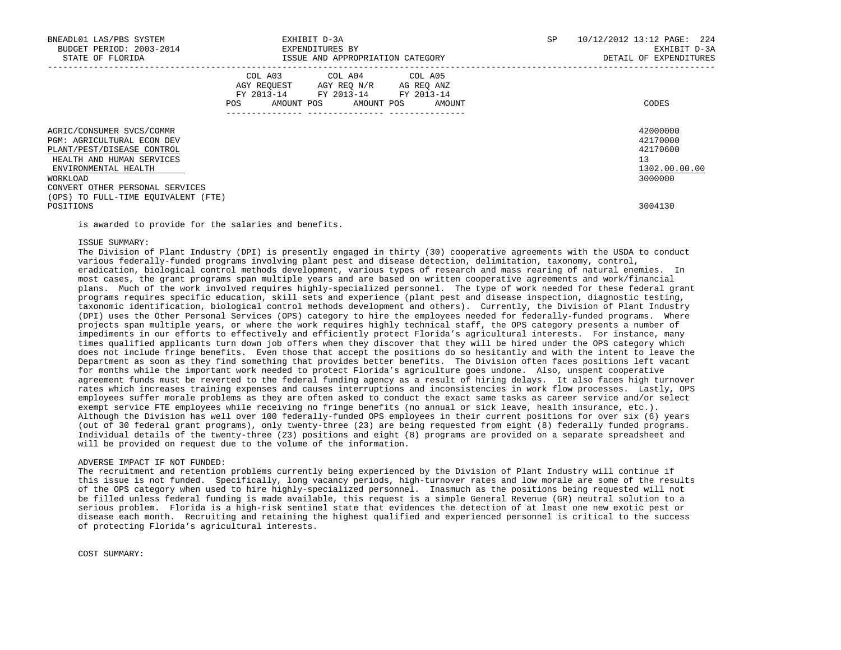| BNEADL01 LAS/PBS SYSTEM<br>BUDGET PERIOD: 2003-2014<br>STATE OF FLORIDA                                                                                                                   | ISSUE AND APPROPRIATION CATEGORY                                                                  | EXHIBIT D-3A<br>EXPENDITURES BY |  |                                  | SP | 10/12/2012 13:12 PAGE: 224<br>EXHIBIT D-3A<br>DETAIL OF EXPENDITURES |
|-------------------------------------------------------------------------------------------------------------------------------------------------------------------------------------------|---------------------------------------------------------------------------------------------------|---------------------------------|--|----------------------------------|----|----------------------------------------------------------------------|
|                                                                                                                                                                                           | COL A03 COL A04 COL A05<br>AGY REQUEST AGY REQ N/R AG REQ ANZ<br>FY 2013-14 FY 2013-14 FY 2013-14 |                                 |  | POS AMOUNT POS AMOUNT POS AMOUNT |    | CODES                                                                |
| AGRIC/CONSUMER SVCS/COMMR<br>PGM: AGRICULTURAL ECON DEV<br>PLANT/PEST/DISEASE CONTROL<br>HEALTH AND HUMAN SERVICES<br>ENVIRONMENTAL HEALTH<br>WORKLOAD<br>CONVERT OTHER PERSONAL SERVICES |                                                                                                   |                                 |  |                                  |    | 42000000<br>42170000<br>42170600<br>13<br>1302.00.00.00<br>3000000   |
| (OPS) TO FULL-TIME EQUIVALENT (FTE)<br>POSITIONS                                                                                                                                          |                                                                                                   |                                 |  |                                  |    | 3004130                                                              |

is awarded to provide for the salaries and benefits.

## ISSUE SUMMARY:

 The Division of Plant Industry (DPI) is presently engaged in thirty (30) cooperative agreements with the USDA to conduct various federally-funded programs involving plant pest and disease detection, delimitation, taxonomy, control, eradication, biological control methods development, various types of research and mass rearing of natural enemies. In most cases, the grant programs span multiple years and are based on written cooperative agreements and work/financial plans. Much of the work involved requires highly-specialized personnel. The type of work needed for these federal grant programs requires specific education, skill sets and experience (plant pest and disease inspection, diagnostic testing, taxonomic identification, biological control methods development and others). Currently, the Division of Plant Industry (DPI) uses the Other Personal Services (OPS) category to hire the employees needed for federally-funded programs. Where projects span multiple years, or where the work requires highly technical staff, the OPS category presents a number of impediments in our efforts to effectively and efficiently protect Florida's agricultural interests. For instance, many times qualified applicants turn down job offers when they discover that they will be hired under the OPS category which does not include fringe benefits. Even those that accept the positions do so hesitantly and with the intent to leave the Department as soon as they find something that provides better benefits. The Division often faces positions left vacant for months while the important work needed to protect Florida's agriculture goes undone. Also, unspent cooperative agreement funds must be reverted to the federal funding agency as a result of hiring delays. It also faces high turnover rates which increases training expenses and causes interruptions and inconsistencies in work flow processes. Lastly, OPS employees suffer morale problems as they are often asked to conduct the exact same tasks as career service and/or select exempt service FTE employees while receiving no fringe benefits (no annual or sick leave, health insurance, etc.). Although the Division has well over 100 federally-funded OPS employees in their current positions for over six (6) years (out of 30 federal grant programs), only twenty-three (23) are being requested from eight (8) federally funded programs. Individual details of the twenty-three (23) positions and eight (8) programs are provided on a separate spreadsheet and will be provided on request due to the volume of the information.

# ADVERSE IMPACT IF NOT FUNDED:

 The recruitment and retention problems currently being experienced by the Division of Plant Industry will continue if this issue is not funded. Specifically, long vacancy periods, high-turnover rates and low morale are some of the results of the OPS category when used to hire highly-specialized personnel. Inasmuch as the positions being requested will not be filled unless federal funding is made available, this request is a simple General Revenue (GR) neutral solution to a serious problem. Florida is a high-risk sentinel state that evidences the detection of at least one new exotic pest or disease each month. Recruiting and retaining the highest qualified and experienced personnel is critical to the success of protecting Florida's agricultural interests.

COST SUMMARY: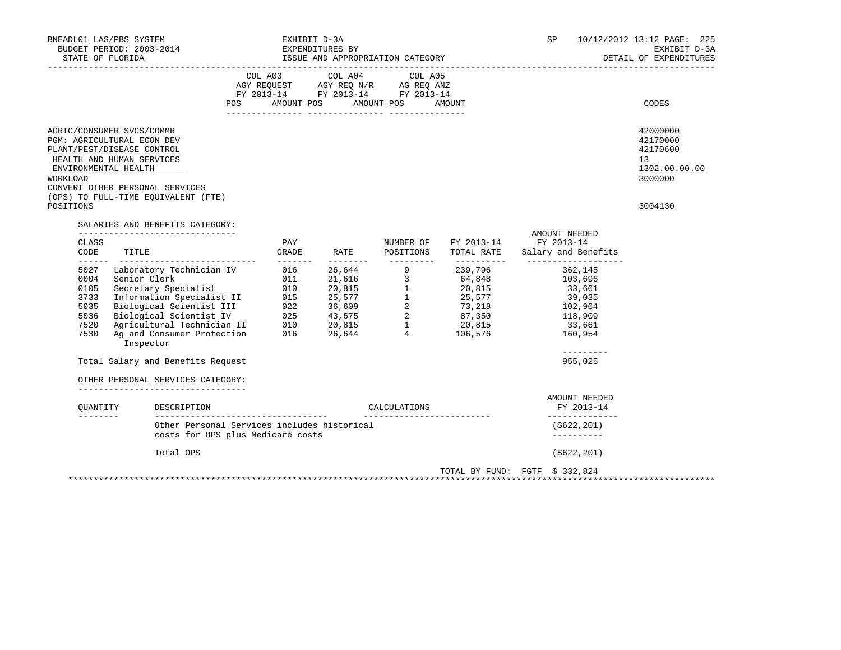| BNEADL01 LAS/PBS SYSTEM<br>BUDGET PERIOD: 2003-2014<br>STATE OF FLORIDA                                                                                                                                                                                                                                                                                                                                                                                       | EXHIBIT D-3A                                                                                                               | EXPENDITURES BY<br>ISSUE AND APPROPRIATION CATEGORY |                             |                      | SP and the set of the set of the set of the set of the set of the set of the set of the set of the set of the set of the set of the set of the set of the set of the set of the set of the set of the set of the set of the se | 10/12/2012 13:12 PAGE: 225<br>EXHIBIT D-3A<br>DETAIL OF EXPENDITURES          |
|---------------------------------------------------------------------------------------------------------------------------------------------------------------------------------------------------------------------------------------------------------------------------------------------------------------------------------------------------------------------------------------------------------------------------------------------------------------|----------------------------------------------------------------------------------------------------------------------------|-----------------------------------------------------|-----------------------------|----------------------|--------------------------------------------------------------------------------------------------------------------------------------------------------------------------------------------------------------------------------|-------------------------------------------------------------------------------|
|                                                                                                                                                                                                                                                                                                                                                                                                                                                               | COL A03 COL A04 COL A05<br>AGY REQUEST AGY REQ N/R AG REQ ANZ<br>FY 2013-14 FY 2013-14 FY 2013-14<br>POS                   | AMOUNT POS AMOUNT POS AMOUNT                        |                             |                      |                                                                                                                                                                                                                                | CODES                                                                         |
| AGRIC/CONSUMER SVCS/COMMR<br>PGM: AGRICULTURAL ECON DEV<br>PLANT/PEST/DISEASE CONTROL<br>HEALTH AND HUMAN SERVICES<br>ENVIRONMENTAL HEALTH<br><b>WORKLOAD</b><br>CONVERT OTHER PERSONAL SERVICES<br>(OPS) TO FULL-TIME EQUIVALENT (FTE)<br>POSITIONS                                                                                                                                                                                                          |                                                                                                                            |                                                     |                             |                      |                                                                                                                                                                                                                                | 42000000<br>42170000<br>42170600<br>13<br>1302.00.00.00<br>3000000<br>3004130 |
| SALARIES AND BENEFITS CATEGORY:<br>__________________________________<br>CLASS<br>CODE<br>TITLE                                                                                                                                                                                                                                                                                                                                                               | PAY<br>GRADE                                                                                                               |                                                     | RATE POSITIONS              | NUMBER OF FY 2013-14 | AMOUNT NEEDED<br>FY 2013-14<br>TOTAL RATE Salary and Benefits                                                                                                                                                                  |                                                                               |
| Laboratory Technician IV 016<br>5027<br>Example 10 11 20,815<br>Secretary Specialist 10 20,815<br>Secretary Specialist 10 20,815<br>Information Specialist II 015 25,577 1 25,577<br>Biological Scientist II 022 36,609 2 73,218<br>Biological Scientist IV 025 43,675 2 87,350<br><br>0004<br>0105<br>3733<br>5035<br>5036<br>7520<br>7530<br>Inspector<br>Total Salary and Benefits Request<br>OTHER PERSONAL SERVICES CATEGORY:<br>OUANTITY<br>DESCRIPTION | --------                                                                                                                   | ---------                                           | CALCULATIONS                | 26,644 9 239,796     | 362,145<br>103,696<br>33,661<br>39,035<br>102,964<br>118,909<br>33,661<br>160,954<br>$- - - - - - - - -$<br>955,025<br>AMOUNT NEEDED<br>FY 2013-14                                                                             |                                                                               |
| <u>________</u>                                                                                                                                                                                                                                                                                                                                                                                                                                               | ______________________________________<br>Other Personal Services includes historical<br>costs for OPS plus Medicare costs |                                                     | ___________________________ |                      | ______________<br>(\$622,201)<br>----------                                                                                                                                                                                    |                                                                               |
| Total OPS                                                                                                                                                                                                                                                                                                                                                                                                                                                     |                                                                                                                            |                                                     |                             |                      | $($ \$622,201)                                                                                                                                                                                                                 |                                                                               |
|                                                                                                                                                                                                                                                                                                                                                                                                                                                               |                                                                                                                            |                                                     |                             |                      | TOTAL BY FUND: FGTF \$ 332,824                                                                                                                                                                                                 |                                                                               |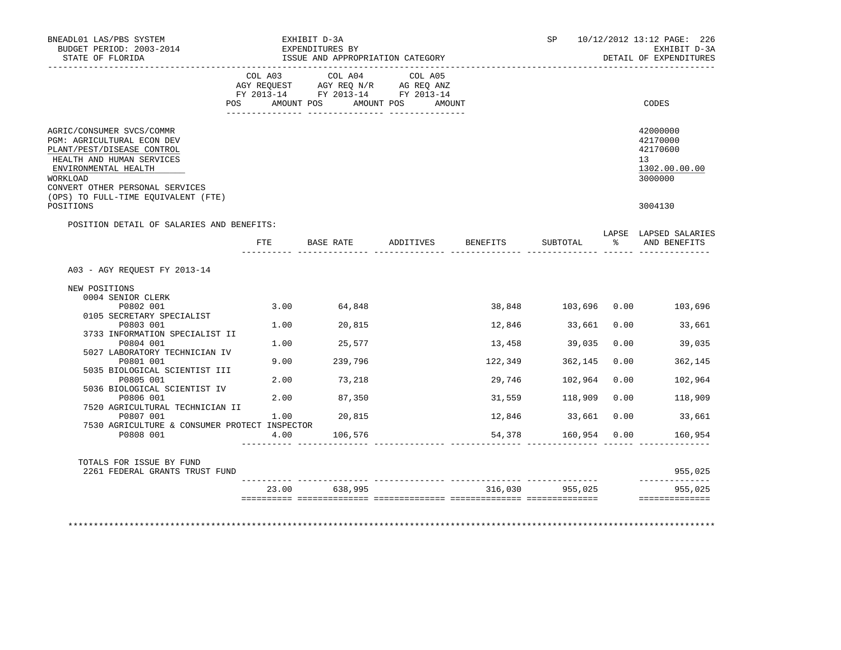| BNEADL01 LAS/PBS SYSTEM<br>BUDGET PERIOD: 2003-2014<br>STATE OF FLORIDA                                                                                                                                                          |         | EXHIBIT D-3A<br>EXPENDITURES BY<br>ISSUE AND APPROPRIATION CATEGORY                                                   |           |          | SP <sub>2</sub>    |      | 10/12/2012 13:12 PAGE: 226<br>EXHIBIT D-3A<br>DETAIL OF EXPENDITURES |
|----------------------------------------------------------------------------------------------------------------------------------------------------------------------------------------------------------------------------------|---------|-----------------------------------------------------------------------------------------------------------------------|-----------|----------|--------------------|------|----------------------------------------------------------------------|
|                                                                                                                                                                                                                                  | COL A03 | COL A04<br>AGY REQUEST AGY REQ N/R AG REQ ANZ<br>FY 2013-14 FY 2013-14 FY 2013-14<br>POS AMOUNT POS AMOUNT POS AMOUNT | COL A05   |          |                    |      | CODES                                                                |
| AGRIC/CONSUMER SVCS/COMMR<br>PGM: AGRICULTURAL ECON DEV<br>PLANT/PEST/DISEASE CONTROL<br>HEALTH AND HUMAN SERVICES<br>ENVIRONMENTAL HEALTH<br>WORKLOAD<br>CONVERT OTHER PERSONAL SERVICES<br>(OPS) TO FULL-TIME EOUIVALENT (FTE) |         |                                                                                                                       |           |          |                    |      | 42000000<br>42170000<br>42170600<br>13<br>1302.00.00.00<br>3000000   |
| POSITIONS                                                                                                                                                                                                                        |         |                                                                                                                       |           |          |                    |      | 3004130                                                              |
| POSITION DETAIL OF SALARIES AND BENEFITS:                                                                                                                                                                                        |         |                                                                                                                       |           |          |                    |      |                                                                      |
|                                                                                                                                                                                                                                  | FTE     | BASE RATE                                                                                                             | ADDITIVES | BENEFITS | SUBTOTAL           |      | LAPSE LAPSED SALARIES<br>% AND BENEFITS                              |
| A03 - AGY REOUEST FY 2013-14                                                                                                                                                                                                     |         |                                                                                                                       |           |          |                    |      |                                                                      |
| NEW POSITIONS                                                                                                                                                                                                                    |         |                                                                                                                       |           |          |                    |      |                                                                      |
| 0004 SENIOR CLERK<br>P0802 001                                                                                                                                                                                                   |         | 3.00 64,848                                                                                                           |           |          |                    |      | 38,848 103,696 0.00 103,696                                          |
| 0105 SECRETARY SPECIALIST                                                                                                                                                                                                        |         |                                                                                                                       |           |          |                    |      |                                                                      |
| P0803 001                                                                                                                                                                                                                        |         | 1.00 20,815                                                                                                           |           |          | 12,846 33,661 0.00 |      | 33,661                                                               |
| 3733 INFORMATION SPECIALIST II                                                                                                                                                                                                   |         |                                                                                                                       |           |          |                    |      |                                                                      |
| P0804 001                                                                                                                                                                                                                        |         | 1.00 25,577                                                                                                           |           | 13,458   | 39,035             | 0.00 | 39,035                                                               |
| 5027 LABORATORY TECHNICIAN IV                                                                                                                                                                                                    |         |                                                                                                                       |           |          |                    |      |                                                                      |
| P0801 001                                                                                                                                                                                                                        |         | 9.00 239,796                                                                                                          |           | 122,349  | 362,145            | 0.00 | 362,145                                                              |
| 5035 BIOLOGICAL SCIENTIST III<br>P0805 001                                                                                                                                                                                       |         | 2.00 73,218                                                                                                           |           | 29,746   | 102,964            | 0.00 | 102,964                                                              |
| 5036 BIOLOGICAL SCIENTIST IV                                                                                                                                                                                                     |         |                                                                                                                       |           |          |                    |      |                                                                      |
| P0806 001                                                                                                                                                                                                                        |         | 2.00 87,350                                                                                                           |           |          | 31,559 118,909     | 0.00 | 118,909                                                              |
| 7520 AGRICULTURAL TECHNICIAN II                                                                                                                                                                                                  |         |                                                                                                                       |           |          |                    |      |                                                                      |
| P0807 001                                                                                                                                                                                                                        |         | 1.00 20,815                                                                                                           |           | 12,846   | 33,661 0.00        |      | 33,661                                                               |
| 7530 AGRICULTURE & CONSUMER PROTECT INSPECTOR<br>P0808 001                                                                                                                                                                       | 4.00    | 106,576                                                                                                               |           | 54,378   | 160,954 0.00       |      | 160,954                                                              |
| TOTALS FOR ISSUE BY FUND                                                                                                                                                                                                         |         |                                                                                                                       |           |          |                    |      |                                                                      |
| 2261 FEDERAL GRANTS TRUST FUND                                                                                                                                                                                                   |         |                                                                                                                       |           |          |                    |      | 955,025                                                              |
|                                                                                                                                                                                                                                  |         | 23.00 638,995                                                                                                         |           |          | 316,030 955,025    |      | 955,025                                                              |
|                                                                                                                                                                                                                                  |         |                                                                                                                       |           |          |                    |      | ---------------                                                      |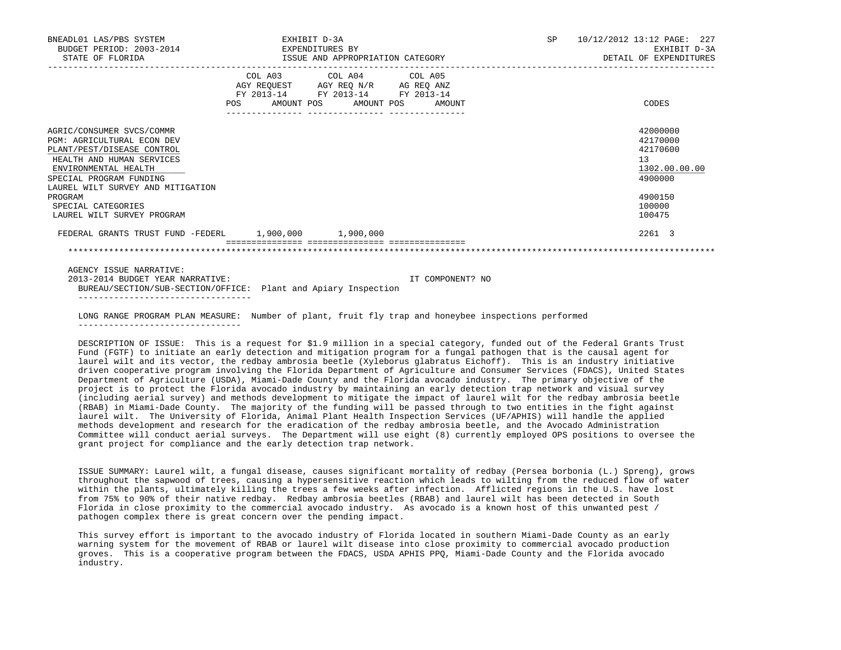| BNEADL01 LAS/PBS SYSTEM<br>BUDGET PERIOD: 2003-2014<br>STATE OF FLORIDA                                                                                                                                                                                                          | EXHIBIT D-3A<br>EXPENDITURES BY<br>ISSUE AND APPROPRIATION CATEGORY  |                                                                                                   |                  | SP 10/12/2012 13:12 PAGE: 227<br>EXHIBIT D-3A<br>DETAIL OF EXPENDITURES                                        |
|----------------------------------------------------------------------------------------------------------------------------------------------------------------------------------------------------------------------------------------------------------------------------------|----------------------------------------------------------------------|---------------------------------------------------------------------------------------------------|------------------|----------------------------------------------------------------------------------------------------------------|
|                                                                                                                                                                                                                                                                                  | POS AMOUNT POS AMOUNT POS AMOUNT<br>________________ _______________ | COL A03 COL A04 COL A05<br>AGY REQUEST AGY REQ N/R AG REQ ANZ<br>FY 2013-14 FY 2013-14 FY 2013-14 |                  | CODES                                                                                                          |
| AGRIC/CONSUMER SVCS/COMMR<br><b>PGM: AGRICULTURAL ECON DEV</b><br>PLANT/PEST/DISEASE CONTROL<br>HEALTH AND HUMAN SERVICES<br>ENVIRONMENTAL HEALTH<br>SPECIAL PROGRAM FUNDING<br>LAUREL WILT SURVEY AND MITIGATION<br>PROGRAM<br>SPECIAL CATEGORIES<br>LAUREL WILT SURVEY PROGRAM |                                                                      |                                                                                                   |                  | 42000000<br>42170000<br>42170600<br>13 <sup>7</sup><br>1302.00.00.00<br>4900000<br>4900150<br>100000<br>100475 |
| FEDERAL GRANTS TRUST FUND -FEDERL 1,900,000 1,900,000                                                                                                                                                                                                                            |                                                                      |                                                                                                   |                  | 2261 3                                                                                                         |
|                                                                                                                                                                                                                                                                                  |                                                                      |                                                                                                   |                  |                                                                                                                |
| AGENCY ISSUE NARRATIVE:<br>2013-2014 BUDGET YEAR NARRATIVE:                                                                                                                                                                                                                      |                                                                      |                                                                                                   | IT COMPONENT? NO |                                                                                                                |

 BUREAU/SECTION/SUB-SECTION/OFFICE: Plant and Apiary Inspection ----------------------------------

 LONG RANGE PROGRAM PLAN MEASURE: Number of plant, fruit fly trap and honeybee inspections performed --------------------------------

 DESCRIPTION OF ISSUE: This is a request for \$1.9 million in a special category, funded out of the Federal Grants Trust Fund (FGTF) to initiate an early detection and mitigation program for a fungal pathogen that is the causal agent for laurel wilt and its vector, the redbay ambrosia beetle (Xyleborus glabratus Eichoff). This is an industry initiative driven cooperative program involving the Florida Department of Agriculture and Consumer Services (FDACS), United States Department of Agriculture (USDA), Miami-Dade County and the Florida avocado industry. The primary objective of the project is to protect the Florida avocado industry by maintaining an early detection trap network and visual survey (including aerial survey) and methods development to mitigate the impact of laurel wilt for the redbay ambrosia beetle (RBAB) in Miami-Dade County. The majority of the funding will be passed through to two entities in the fight against laurel wilt. The University of Florida, Animal Plant Health Inspection Services (UF/APHIS) will handle the applied methods development and research for the eradication of the redbay ambrosia beetle, and the Avocado Administration Committee will conduct aerial surveys. The Department will use eight (8) currently employed OPS positions to oversee the grant project for compliance and the early detection trap network.

 ISSUE SUMMARY: Laurel wilt, a fungal disease, causes significant mortality of redbay (Persea borbonia (L.) Spreng), grows throughout the sapwood of trees, causing a hypersensitive reaction which leads to wilting from the reduced flow of water within the plants, ultimately killing the trees a few weeks after infection. Afflicted regions in the U.S. have lost from 75% to 90% of their native redbay. Redbay ambrosia beetles (RBAB) and laurel wilt has been detected in South Florida in close proximity to the commercial avocado industry. As avocado is a known host of this unwanted pest / pathogen complex there is great concern over the pending impact.

 This survey effort is important to the avocado industry of Florida located in southern Miami-Dade County as an early warning system for the movement of RBAB or laurel wilt disease into close proximity to commercial avocado production groves. This is a cooperative program between the FDACS, USDA APHIS PPQ, Miami-Dade County and the Florida avocado industry.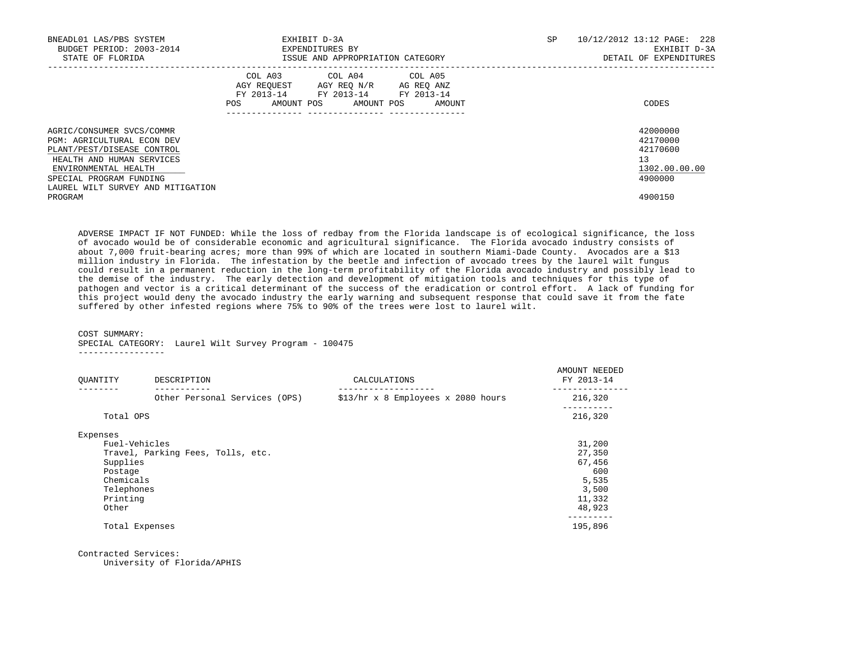| BNEADL01 LAS/PBS SYSTEM<br>BUDGET PERIOD: 2003-2014<br>STATE OF FLORIDA                                                                                                                                    | EXHIBIT D-3A<br>EXPENDITURES BY<br>ISSUE AND APPROPRIATION CATEGORY                                                                      | SP | 10/12/2012 13:12 PAGE: 228<br>EXHIBIT D-3A<br>DETAIL OF EXPENDITURES |
|------------------------------------------------------------------------------------------------------------------------------------------------------------------------------------------------------------|------------------------------------------------------------------------------------------------------------------------------------------|----|----------------------------------------------------------------------|
|                                                                                                                                                                                                            | COL A03 COL A04 COL A05<br>AGY REQUEST AGY REQ N/R AG REQ ANZ<br>FY 2013-14 FY 2013-14 FY 2013-14<br>AMOUNT POS AMOUNT POS AMOUNT<br>POS |    | CODES                                                                |
| AGRIC/CONSUMER SVCS/COMMR<br>PGM: AGRICULTURAL ECON DEV<br>PLANT/PEST/DISEASE CONTROL<br>HEALTH AND HUMAN SERVICES<br>ENVIRONMENTAL HEALTH<br>SPECIAL PROGRAM FUNDING<br>LAUREL WILT SURVEY AND MITIGATION |                                                                                                                                          |    | 42000000<br>42170000<br>42170600<br>13<br>1302.00.00.00<br>4900000   |
| PROGRAM                                                                                                                                                                                                    |                                                                                                                                          |    | 4900150                                                              |

 ADVERSE IMPACT IF NOT FUNDED: While the loss of redbay from the Florida landscape is of ecological significance, the loss of avocado would be of considerable economic and agricultural significance. The Florida avocado industry consists of about 7,000 fruit-bearing acres; more than 99% of which are located in southern Miami-Dade County. Avocados are a \$13 million industry in Florida. The infestation by the beetle and infection of avocado trees by the laurel wilt fungus could result in a permanent reduction in the long-term profitability of the Florida avocado industry and possibly lead to the demise of the industry. The early detection and development of mitigation tools and techniques for this type of pathogen and vector is a critical determinant of the success of the eradication or control effort. A lack of funding for this project would deny the avocado industry the early warning and subsequent response that could save it from the fate suffered by other infested regions where 75% to 90% of the trees were lost to laurel wilt.

COST SUMMARY:

SPECIAL CATEGORY: Laurel Wilt Survey Program - 100475

-----------------

| OUANTITY      | DESCRIPTION                       | CALCULATIONS                       | AMOUNT NEEDED<br>FY 2013-14 |
|---------------|-----------------------------------|------------------------------------|-----------------------------|
|               | Other Personal Services (OPS)     | \$13/hr x 8 Employees x 2080 hours | 216,320                     |
| Total OPS     |                                   |                                    | 216,320                     |
| Expenses      |                                   |                                    |                             |
| Fuel-Vehicles |                                   |                                    | 31,200                      |
|               | Travel, Parking Fees, Tolls, etc. |                                    | 27,350                      |
| Supplies      |                                   |                                    | 67,456                      |
| Postage       |                                   |                                    | 600                         |
| Chemicals     |                                   |                                    | 5,535                       |
| Telephones    |                                   |                                    | 3,500                       |
| Printing      |                                   |                                    | 11,332                      |
| Other         |                                   |                                    | 48,923                      |
|               | Total Expenses                    |                                    | 195,896                     |
|               |                                   |                                    |                             |

Contracted Services:

University of Florida/APHIS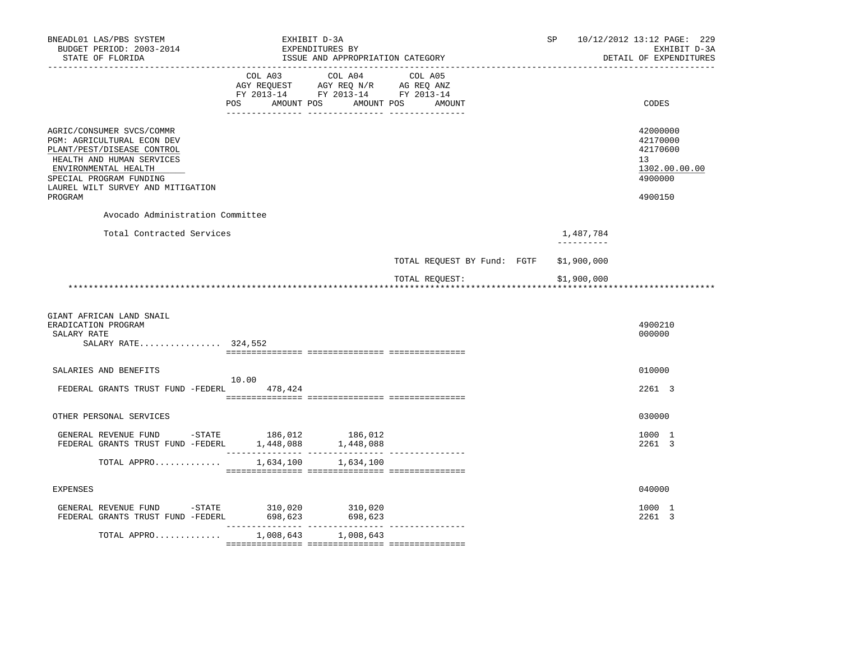| BNEADL01 LAS/PBS SYSTEM<br>BUDGET PERIOD: 2003-2014<br>STATE OF FLORIDA                                                                                                                                                                                             |                                  | EXHIBIT D-3A<br>EXPENDITURES BY<br>ISSUE AND APPROPRIATION CATEGORY |                             | SP |                         | 10/12/2012 13:12 PAGE: 229<br>EXHIBIT D-3A<br>DETAIL OF EXPENDITURES          |
|---------------------------------------------------------------------------------------------------------------------------------------------------------------------------------------------------------------------------------------------------------------------|----------------------------------|---------------------------------------------------------------------|-----------------------------|----|-------------------------|-------------------------------------------------------------------------------|
|                                                                                                                                                                                                                                                                     | POS AMOUNT POS AMOUNT POS AMOUNT | FY 2013-14 FY 2013-14 FY 2013-14                                    |                             |    |                         | CODES                                                                         |
| AGRIC/CONSUMER SVCS/COMMR<br>PGM: AGRICULTURAL ECON DEV<br>PLANT/PEST/DISEASE CONTROL<br>HEALTH AND HUMAN SERVICES<br>ENVIRONMENTAL HEALTH<br>SPECIAL PROGRAM FUNDING<br>LAUREL WILT SURVEY AND MITIGATION<br>PROGRAM                                               |                                  |                                                                     |                             |    |                         | 42000000<br>42170000<br>42170600<br>13<br>1302.00.00.00<br>4900000<br>4900150 |
| Avocado Administration Committee                                                                                                                                                                                                                                    |                                  |                                                                     |                             |    |                         |                                                                               |
| Total Contracted Services                                                                                                                                                                                                                                           |                                  |                                                                     |                             |    | 1,487,784<br>---------- |                                                                               |
|                                                                                                                                                                                                                                                                     |                                  |                                                                     | TOTAL REQUEST BY Fund: FGTF |    | \$1,900,000             |                                                                               |
|                                                                                                                                                                                                                                                                     |                                  |                                                                     | TOTAL REQUEST:              |    | \$1,900,000             |                                                                               |
| GIANT AFRICAN LAND SNAIL<br>ERADICATION PROGRAM<br>SALARY RATE<br>SALARY RATE 324,552                                                                                                                                                                               |                                  |                                                                     |                             |    |                         | 4900210<br>000000                                                             |
| SALARIES AND BENEFITS                                                                                                                                                                                                                                               |                                  |                                                                     |                             |    |                         | 010000                                                                        |
| FEDERAL GRANTS TRUST FUND -FEDERL 478,424                                                                                                                                                                                                                           | 10.00                            |                                                                     |                             |    |                         | 2261 3                                                                        |
| OTHER PERSONAL SERVICES                                                                                                                                                                                                                                             |                                  |                                                                     |                             |    |                         | 030000                                                                        |
| GENERAL REVENUE FUND -STATE 186,012 186,012<br>FEDERAL GRANTS TRUST FUND -FEDERL $1,448,088$ $1,448,088$                                                                                                                                                            |                                  |                                                                     |                             |    |                         | 1000 1<br>2261 3                                                              |
| TOTAL APPRO                                                                                                                                                                                                                                                         | 1,634,100                        | 1,634,100                                                           |                             |    |                         |                                                                               |
| <b>EXPENSES</b>                                                                                                                                                                                                                                                     |                                  |                                                                     |                             |    |                         | 040000                                                                        |
| ${\small \begin{tabular}{lcccccc} \texttt{GENERAL} & \texttt{REVENUE} & \texttt{FUND} & -\texttt{STATE} & & 310,020 & & 310,020 \\ \texttt{FEDERAL} & \texttt{GRANTS} & \texttt{FUST} & \texttt{FUND} & -\texttt{FEDERL} & & 698,623 & & 698,623 \\ \end{tabular}}$ |                                  |                                                                     |                             |    |                         | 1000 1<br>2261 3                                                              |
| TOTAL APPRO                                                                                                                                                                                                                                                         |                                  | 1,008,643 1,008,643                                                 |                             |    |                         |                                                                               |
|                                                                                                                                                                                                                                                                     |                                  |                                                                     |                             |    |                         |                                                                               |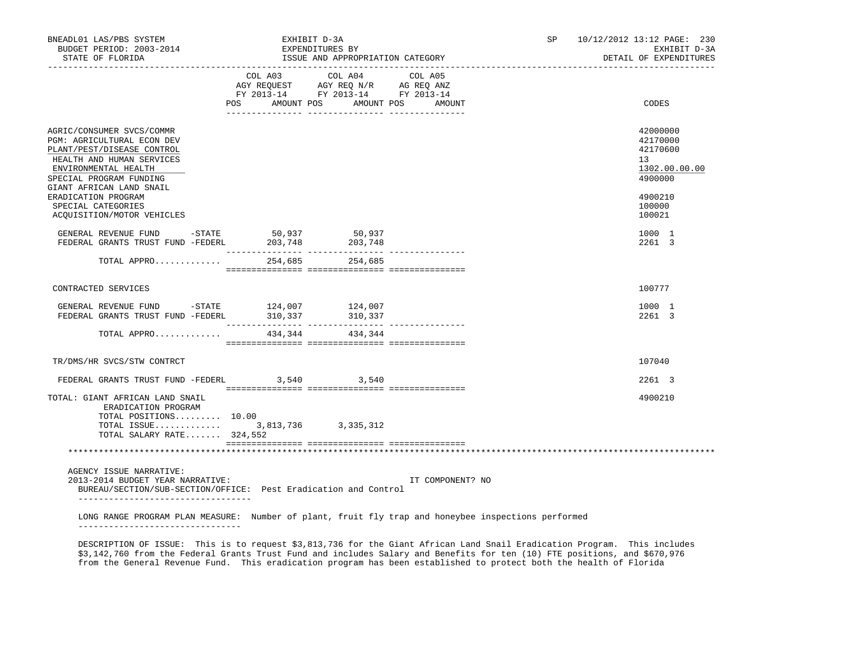| BNEADL01 LAS/PBS SYSTEM<br>BUDGET PERIOD: 2003-2014<br>STATE OF FLORIDA<br>______________________________________                                                                                 |                           | EXHIBIT D-3A<br>EXPENDITURES BY<br>ISSUE AND APPROPRIATION CATEGORY                               | SP <sub>2</sub>  | 10/12/2012 13:12 PAGE: 230<br>EXHIBIT D-3A<br>DETAIL OF EXPENDITURES |                                                                    |
|---------------------------------------------------------------------------------------------------------------------------------------------------------------------------------------------------|---------------------------|---------------------------------------------------------------------------------------------------|------------------|----------------------------------------------------------------------|--------------------------------------------------------------------|
|                                                                                                                                                                                                   | POS AMOUNT POS AMOUNT POS | COL A03 COL A04 COL A05<br>AGY REQUEST AGY REQ N/R AG REQ ANZ<br>FY 2013-14 FY 2013-14 FY 2013-14 | AMOUNT           |                                                                      | CODES                                                              |
| AGRIC/CONSUMER SVCS/COMMR<br>PGM: AGRICULTURAL ECON DEV<br>PLANT/PEST/DISEASE CONTROL<br>HEALTH AND HUMAN SERVICES<br>ENVIRONMENTAL HEALTH<br>SPECIAL PROGRAM FUNDING<br>GIANT AFRICAN LAND SNAIL |                           |                                                                                                   |                  |                                                                      | 42000000<br>42170000<br>42170600<br>13<br>1302.00.00.00<br>4900000 |
| ERADICATION PROGRAM<br>SPECIAL CATEGORIES<br>ACQUISITION/MOTOR VEHICLES                                                                                                                           |                           |                                                                                                   |                  |                                                                      | 4900210<br>100000<br>100021                                        |
| GENERAL REVENUE FUND $-$ STATE 50,937<br>FEDERAL GRANTS TRUST FUND $-$ FEDERL 203,748                                                                                                             |                           | 50,937<br>203,748                                                                                 |                  |                                                                      | 1000 1<br>2261 3                                                   |
| TOTAL APPRO                                                                                                                                                                                       |                           | 254,685 254,685                                                                                   |                  |                                                                      |                                                                    |
| CONTRACTED SERVICES                                                                                                                                                                               |                           |                                                                                                   |                  |                                                                      | 100777                                                             |
| GENERAL REVENUE FUND -STATE 124,007<br>FEDERAL GRANTS TRUST FUND -FEDERL 310,337                                                                                                                  |                           | 124,007<br>310,337                                                                                |                  |                                                                      | 1000 1<br>2261 3                                                   |
| TOTAL APPRO                                                                                                                                                                                       |                           | 434, 344 434, 344                                                                                 |                  |                                                                      |                                                                    |
| TR/DMS/HR SVCS/STW CONTRCT                                                                                                                                                                        |                           |                                                                                                   |                  |                                                                      | 107040                                                             |
| FEDERAL GRANTS TRUST FUND -FEDERL 3,540 3,540                                                                                                                                                     |                           |                                                                                                   |                  |                                                                      | 2261 3                                                             |
| TOTAL: GIANT AFRICAN LAND SNAIL<br>ERADICATION PROGRAM<br>TOTAL POSITIONS 10.00<br>TOTAL ISSUE 3,813,736 3,335,312<br>TOTAL SALARY RATE 324,552                                                   |                           |                                                                                                   |                  |                                                                      | 4900210                                                            |
|                                                                                                                                                                                                   |                           |                                                                                                   |                  |                                                                      |                                                                    |
| AGENCY ISSUE NARRATIVE:<br>2013-2014 BUDGET YEAR NARRATIVE:<br>BUREAU/SECTION/SUB-SECTION/OFFICE: Pest Eradication and Control                                                                    |                           |                                                                                                   | IT COMPONENT? NO |                                                                      |                                                                    |
| LONG RANGE PROGRAM PLAN MEASURE: Number of plant, fruit fly trap and honeybee inspections performed                                                                                               |                           |                                                                                                   |                  |                                                                      |                                                                    |

 DESCRIPTION OF ISSUE: This is to request \$3,813,736 for the Giant African Land Snail Eradication Program. This includes \$3,142,760 from the Federal Grants Trust Fund and includes Salary and Benefits for ten (10) FTE positions, and \$670,976 from the General Revenue Fund. This eradication program has been established to protect both the health of Florida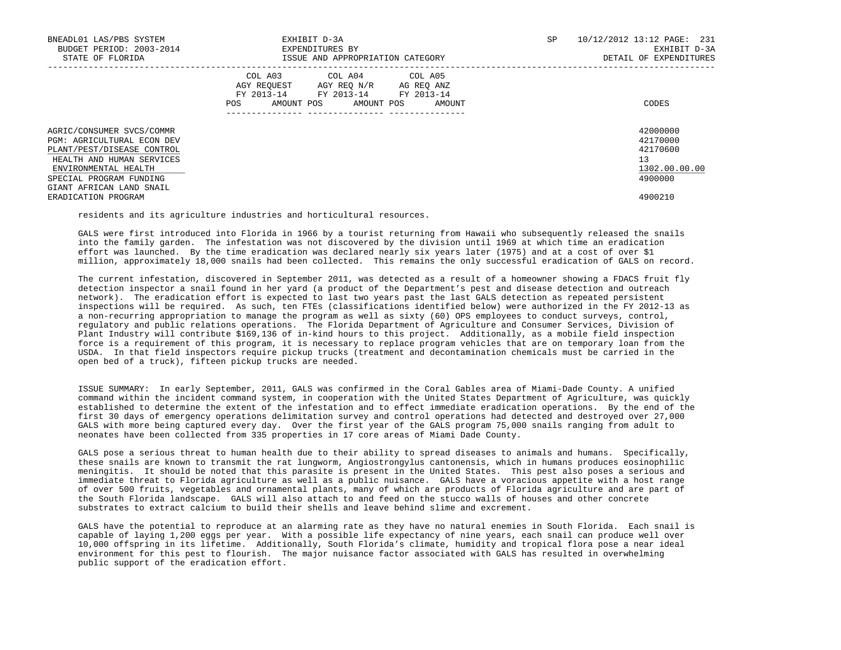| BNEADL01 LAS/PBS SYSTEM<br>BUDGET PERIOD: 2003-2014<br>STATE OF FLORIDA                                                                                                                                  | EXHIBIT D-3A<br>EXPENDITURES BY<br>ISSUE AND APPROPRIATION CATEGORY                                                                            | SP | 10/12/2012 13:12 PAGE: 231<br>EXHIBIT D-3A<br>DETAIL OF EXPENDITURES |
|----------------------------------------------------------------------------------------------------------------------------------------------------------------------------------------------------------|------------------------------------------------------------------------------------------------------------------------------------------------|----|----------------------------------------------------------------------|
|                                                                                                                                                                                                          | COL A03 COL A04 COL A05<br>AGY REQUEST AGY REQ N/R AG REQ ANZ<br>FY 2013-14 FY 2013-14 FY 2013-14<br>AMOUNT POS<br>AMOUNT POS<br>POS<br>AMOUNT |    | CODES                                                                |
| AGRIC/CONSUMER SVCS/COMMR<br><b>PGM: AGRICULTURAL ECON DEV</b><br>PLANT/PEST/DISEASE CONTROL<br>HEALTH AND HUMAN SERVICES<br>ENVIRONMENTAL HEALTH<br>SPECIAL PROGRAM FUNDING<br>GIANT AFRICAN LAND SNAIL |                                                                                                                                                |    | 42000000<br>42170000<br>42170600<br>13<br>1302.00.00.00<br>4900000   |
| ERADICATION PROGRAM                                                                                                                                                                                      |                                                                                                                                                |    | 4900210                                                              |

residents and its agriculture industries and horticultural resources.

 GALS were first introduced into Florida in 1966 by a tourist returning from Hawaii who subsequently released the snails into the family garden. The infestation was not discovered by the division until 1969 at which time an eradication effort was launched. By the time eradication was declared nearly six years later (1975) and at a cost of over \$1 million, approximately 18,000 snails had been collected. This remains the only successful eradication of GALS on record.

 The current infestation, discovered in September 2011, was detected as a result of a homeowner showing a FDACS fruit fly detection inspector a snail found in her yard (a product of the Department's pest and disease detection and outreach network). The eradication effort is expected to last two years past the last GALS detection as repeated persistent inspections will be required. As such, ten FTEs (classifications identified below) were authorized in the FY 2012-13 as a non-recurring appropriation to manage the program as well as sixty (60) OPS employees to conduct surveys, control, regulatory and public relations operations. The Florida Department of Agriculture and Consumer Services, Division of Plant Industry will contribute \$169,136 of in-kind hours to this project. Additionally, as a mobile field inspection force is a requirement of this program, it is necessary to replace program vehicles that are on temporary loan from the USDA. In that field inspectors require pickup trucks (treatment and decontamination chemicals must be carried in the open bed of a truck), fifteen pickup trucks are needed.

 ISSUE SUMMARY: In early September, 2011, GALS was confirmed in the Coral Gables area of Miami-Dade County. A unified command within the incident command system, in cooperation with the United States Department of Agriculture, was quickly established to determine the extent of the infestation and to effect immediate eradication operations. By the end of the first 30 days of emergency operations delimitation survey and control operations had detected and destroyed over 27,000 GALS with more being captured every day. Over the first year of the GALS program 75,000 snails ranging from adult to neonates have been collected from 335 properties in 17 core areas of Miami Dade County.

 GALS pose a serious threat to human health due to their ability to spread diseases to animals and humans. Specifically, these snails are known to transmit the rat lungworm, Angiostrongylus cantonensis, which in humans produces eosinophilic meningitis. It should be noted that this parasite is present in the United States. This pest also poses a serious and immediate threat to Florida agriculture as well as a public nuisance. GALS have a voracious appetite with a host range of over 500 fruits, vegetables and ornamental plants, many of which are products of Florida agriculture and are part of the South Florida landscape. GALS will also attach to and feed on the stucco walls of houses and other concrete substrates to extract calcium to build their shells and leave behind slime and excrement.

 GALS have the potential to reproduce at an alarming rate as they have no natural enemies in South Florida. Each snail is capable of laying 1,200 eggs per year. With a possible life expectancy of nine years, each snail can produce well over 10,000 offspring in its lifetime. Additionally, South Florida's climate, humidity and tropical flora pose a near ideal environment for this pest to flourish. The major nuisance factor associated with GALS has resulted in overwhelming public support of the eradication effort.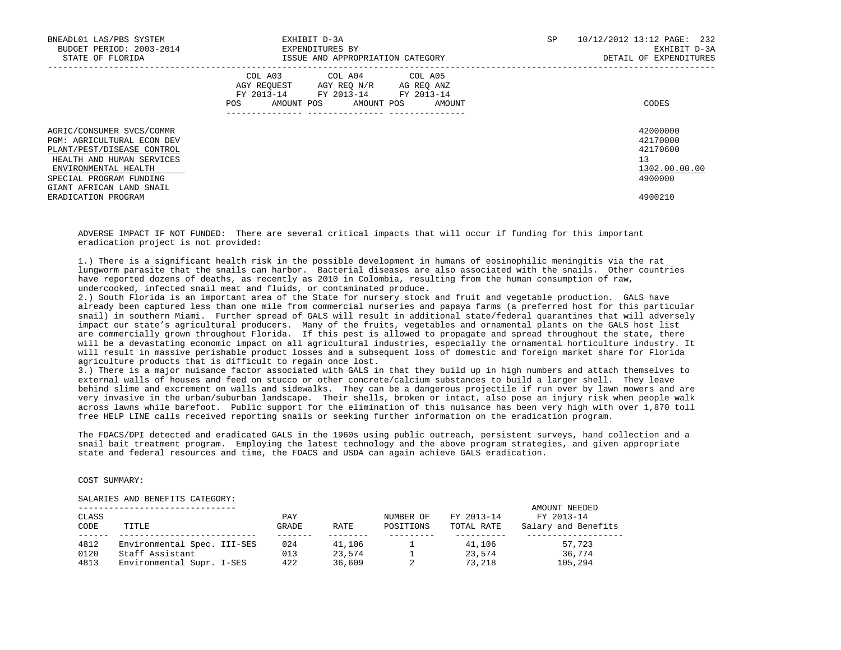| BNEADL01 LAS/PBS SYSTEM<br>BUDGET PERIOD: 2003-2014<br>STATE OF FLORIDA                                                                                                                                  | EXHIBIT D-3A<br>EXPENDITURES BY<br>ISSUE AND APPROPRIATION CATEGORY                                                                            | SP | 10/12/2012 13:12 PAGE: 232<br>EXHIBIT D-3A<br>DETAIL OF EXPENDITURES |
|----------------------------------------------------------------------------------------------------------------------------------------------------------------------------------------------------------|------------------------------------------------------------------------------------------------------------------------------------------------|----|----------------------------------------------------------------------|
|                                                                                                                                                                                                          | COL A03 COL A04 COL A05<br>AGY REOUEST AGY REO N/R AG REO ANZ<br>FY 2013-14 FY 2013-14 FY 2013-14<br>AMOUNT POS<br>AMOUNT POS<br>POS<br>AMOUNT |    | CODES                                                                |
| AGRIC/CONSUMER SVCS/COMMR<br><b>PGM: AGRICULTURAL ECON DEV</b><br>PLANT/PEST/DISEASE CONTROL<br>HEALTH AND HUMAN SERVICES<br>ENVIRONMENTAL HEALTH<br>SPECIAL PROGRAM FUNDING<br>GIANT AFRICAN LAND SNAIL |                                                                                                                                                |    | 42000000<br>42170000<br>42170600<br>13<br>1302.00.00.00<br>4900000   |
| ERADICATION PROGRAM                                                                                                                                                                                      |                                                                                                                                                |    | 4900210                                                              |

 ADVERSE IMPACT IF NOT FUNDED: There are several critical impacts that will occur if funding for this important eradication project is not provided:

 1.) There is a significant health risk in the possible development in humans of eosinophilic meningitis via the rat lungworm parasite that the snails can harbor. Bacterial diseases are also associated with the snails. Other countries have reported dozens of deaths, as recently as 2010 in Colombia, resulting from the human consumption of raw, undercooked, infected snail meat and fluids, or contaminated produce.

 2.) South Florida is an important area of the State for nursery stock and fruit and vegetable production. GALS have already been captured less than one mile from commercial nurseries and papaya farms (a preferred host for this particular snail) in southern Miami. Further spread of GALS will result in additional state/federal quarantines that will adversely impact our state's agricultural producers. Many of the fruits, vegetables and ornamental plants on the GALS host list are commercially grown throughout Florida. If this pest is allowed to propagate and spread throughout the state, there will be a devastating economic impact on all agricultural industries, especially the ornamental horticulture industry. It will result in massive perishable product losses and a subsequent loss of domestic and foreign market share for Florida agriculture products that is difficult to regain once lost.

 3.) There is a major nuisance factor associated with GALS in that they build up in high numbers and attach themselves to external walls of houses and feed on stucco or other concrete/calcium substances to build a larger shell. They leave behind slime and excrement on walls and sidewalks. They can be a dangerous projectile if run over by lawn mowers and are very invasive in the urban/suburban landscape. Their shells, broken or intact, also pose an injury risk when people walk across lawns while barefoot. Public support for the elimination of this nuisance has been very high with over 1,870 toll free HELP LINE calls received reporting snails or seeking further information on the eradication program.

 The FDACS/DPI detected and eradicated GALS in the 1960s using public outreach, persistent surveys, hand collection and a snail bait treatment program. Employing the latest technology and the above program strategies, and given appropriate state and federal resources and time, the FDACS and USDA can again achieve GALS eradication.

COST SUMMARY:

SALARIES AND BENEFITS CATEGORY:

| CLASS<br>CODE | TITLE                       | PAY<br>GRADE | RATE   | NUMBER OF<br>POSITIONS | FY 2013-14<br>TOTAL RATE | AMOUNT NEEDED<br>FY 2013-14<br>Salary and Benefits |
|---------------|-----------------------------|--------------|--------|------------------------|--------------------------|----------------------------------------------------|
| 4812          | Environmental Spec. III-SES | 024          | 41,106 |                        | 41,106                   | 57,723                                             |
| 0120          | Staff Assistant             | 013          | 23.574 |                        | 23,574                   | 36,774                                             |
| 4813          | Environmental Supr. I-SES   | 422          | 36,609 |                        | 73,218                   | 105,294                                            |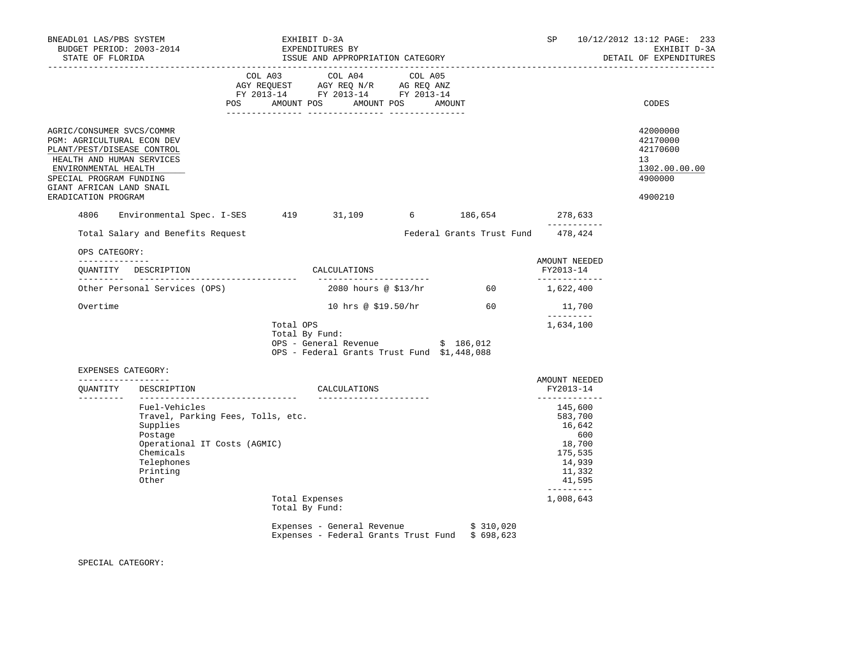| BNEADL01 LAS/PBS SYSTEM                                                                                                                                                                                                  | -----------------------------------                                                                                                                       |                                                                                                                | EXHIBIT D-3A                                                                                                                                                                                                                                           |                          |                                                                                                          | SP.                                  |                                                                                        | 10/12/2012 13:12 PAGE: 233<br>EXHIBIT D-3A<br>DETAIL OF EXPENDITURES          |
|--------------------------------------------------------------------------------------------------------------------------------------------------------------------------------------------------------------------------|-----------------------------------------------------------------------------------------------------------------------------------------------------------|----------------------------------------------------------------------------------------------------------------|--------------------------------------------------------------------------------------------------------------------------------------------------------------------------------------------------------------------------------------------------------|--------------------------|----------------------------------------------------------------------------------------------------------|--------------------------------------|----------------------------------------------------------------------------------------|-------------------------------------------------------------------------------|
|                                                                                                                                                                                                                          |                                                                                                                                                           | POS FOR THE POST OF THE STATE STATE STATE STATE STATE STATE STATE STATE STATE STATE STATE STATE STATE STATE ST | COL A03 COL A04 COL A05<br>$\begin{tabular}{lllllll} \bf AGY \,\, REQUEST \,\, &\bf AGY \,\, REQ \,\, N/R &\bf AG \,\, REQ \,\, ANZ \\ \bf FY \,\, 2013-14 &\bf FY \,\, 2013-14 &\bf FY \,\, 2013-14 \\ \end{tabular}$<br>AMOUNT POS AMOUNT POS AMOUNT |                          |                                                                                                          |                                      |                                                                                        | CODES                                                                         |
| AGRIC/CONSUMER SVCS/COMMR<br>PGM: AGRICULTURAL ECON DEV<br>PLANT/PEST/DISEASE CONTROL<br>HEALTH AND HUMAN SERVICES<br>ENVIRONMENTAL HEALTH<br>SPECIAL PROGRAM FUNDING<br>GIANT AFRICAN LAND SNAIL<br>ERADICATION PROGRAM |                                                                                                                                                           |                                                                                                                |                                                                                                                                                                                                                                                        |                          |                                                                                                          |                                      |                                                                                        | 42000000<br>42170000<br>42170600<br>13<br>1302.00.00.00<br>4900000<br>4900210 |
| 4806                                                                                                                                                                                                                     | Environmental Spec. I-SES 419 31,109 6 186,654 278,633                                                                                                    |                                                                                                                |                                                                                                                                                                                                                                                        |                          |                                                                                                          |                                      | -----------                                                                            |                                                                               |
|                                                                                                                                                                                                                          | Total Salary and Benefits Request                                                                                                                         |                                                                                                                |                                                                                                                                                                                                                                                        |                          | Federal Grants Trust Fund 478,424                                                                        |                                      |                                                                                        |                                                                               |
| OPS CATEGORY:<br>--------------                                                                                                                                                                                          | QUANTITY DESCRIPTION CALCULATIONS                                                                                                                         |                                                                                                                |                                                                                                                                                                                                                                                        |                          |                                                                                                          | AMOUNT NEEDED<br>FY2013-14           |                                                                                        |                                                                               |
|                                                                                                                                                                                                                          | Other Personal Services (OPS) $2080$ hours @ \$13/hr 60 $1,622,400$                                                                                       |                                                                                                                |                                                                                                                                                                                                                                                        |                          |                                                                                                          | ______________                       |                                                                                        |                                                                               |
| Overtime                                                                                                                                                                                                                 |                                                                                                                                                           |                                                                                                                |                                                                                                                                                                                                                                                        |                          | 10 hrs @ $$19.50/hr$ 60                                                                                  |                                      | 11,700                                                                                 |                                                                               |
|                                                                                                                                                                                                                          |                                                                                                                                                           |                                                                                                                | Total OPS<br>Total By Fund:<br>OPS - General Revenue \$ 186,012<br>OPS - Federal Grants Trust Fund \$1,448,088                                                                                                                                         |                          |                                                                                                          | $- - - - - - - - -$<br>1,634,100     |                                                                                        |                                                                               |
| EXPENSES CATEGORY:                                                                                                                                                                                                       |                                                                                                                                                           |                                                                                                                |                                                                                                                                                                                                                                                        |                          |                                                                                                          |                                      |                                                                                        |                                                                               |
| ___________________                                                                                                                                                                                                      | OUANTITY DESCRIPTION                                                                                                                                      |                                                                                                                | CALCULATIONS                                                                                                                                                                                                                                           |                          |                                                                                                          | AMOUNT NEEDED<br>FY2013-14           |                                                                                        |                                                                               |
|                                                                                                                                                                                                                          | Fuel-Vehicles<br>Travel, Parking Fees, Tolls, etc.<br>Supplies<br>Postage<br>Operational IT Costs (AGMIC)<br>Chemicals<br>Telephones<br>Printing<br>Other |                                                                                                                |                                                                                                                                                                                                                                                        | ________________________ |                                                                                                          | _____________<br>$- - - - - - - - -$ | 145,600<br>583,700<br>16,642<br>600<br>18,700<br>175,535<br>14,939<br>11,332<br>41,595 |                                                                               |
|                                                                                                                                                                                                                          |                                                                                                                                                           |                                                                                                                | Total Expenses<br>Total By Fund:                                                                                                                                                                                                                       |                          |                                                                                                          | 1,008,643                            |                                                                                        |                                                                               |
|                                                                                                                                                                                                                          |                                                                                                                                                           |                                                                                                                |                                                                                                                                                                                                                                                        |                          | Expenses - General Revenue $\qquad \qquad$ \$ 310,020<br>Expenses - Federal Grants Trust Fund \$ 698,623 |                                      |                                                                                        |                                                                               |

SPECIAL CATEGORY: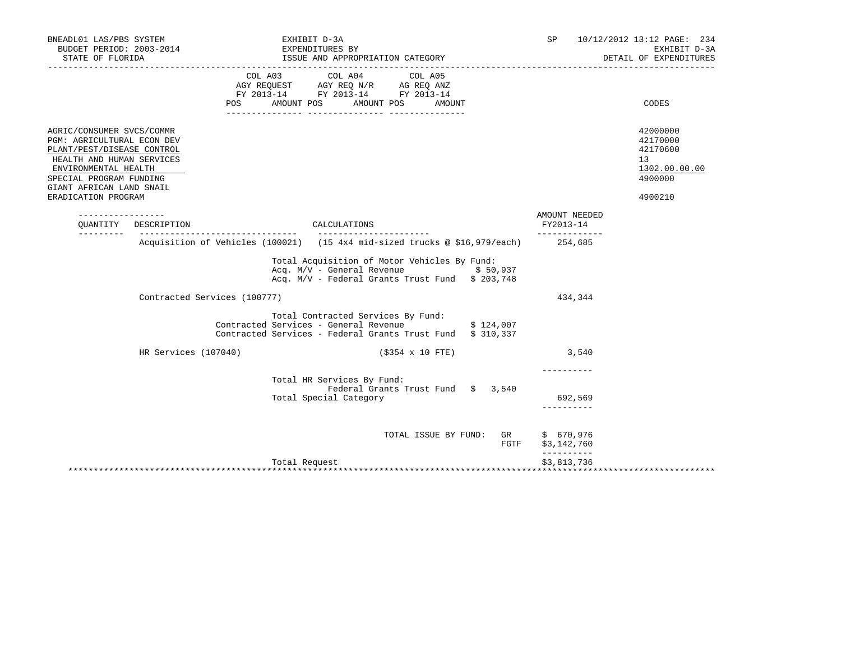| BNEADL01 LAS/PBS SYSTEM<br>BUDGET PERIOD: 2003-2014<br>STATE OF FLORIDA                                                                                                                                                  | EXHIBIT D-3A                                                                                                                                                | SP                                     | 10/12/2012 13:12 PAGE: 234<br>EXHIBIT D-3A<br>DETAIL OF EXPENDITURES          |
|--------------------------------------------------------------------------------------------------------------------------------------------------------------------------------------------------------------------------|-------------------------------------------------------------------------------------------------------------------------------------------------------------|----------------------------------------|-------------------------------------------------------------------------------|
| POS                                                                                                                                                                                                                      | COL A03 COL A04 COL A05<br>AGY REQUEST AGY REQ N/R AG REQ ANZ<br>FY 2013-14 FY 2013-14 FY 2013-14<br>AMOUNT POS AMOUNT POS AMOUNT                           |                                        | CODES                                                                         |
| AGRIC/CONSUMER SVCS/COMMR<br>PGM: AGRICULTURAL ECON DEV<br>PLANT/PEST/DISEASE CONTROL<br>HEALTH AND HUMAN SERVICES<br>ENVIRONMENTAL HEALTH<br>SPECIAL PROGRAM FUNDING<br>GIANT AFRICAN LAND SNAIL<br>ERADICATION PROGRAM |                                                                                                                                                             |                                        | 42000000<br>42170000<br>42170600<br>13<br>1302.00.00.00<br>4900000<br>4900210 |
| OUANTITY DESCRIPTION                                                                                                                                                                                                     | CALCULATIONS                                                                                                                                                | AMOUNT NEEDED<br>FY2013-14             |                                                                               |
| ----------                                                                                                                                                                                                               | Acquisition of Vehicles (100021) (15 4x4 mid-sized trucks @ \$16,979/each) 254,685                                                                          | -------------                          |                                                                               |
|                                                                                                                                                                                                                          | Total Acquisition of Motor Vehicles By Fund:<br>Acq. $M/V$ - General Revenue $$50,937$<br>Acq. M/V - Federal Grants Trust Fund \$ 203,748                   |                                        |                                                                               |
| Contracted Services (100777)                                                                                                                                                                                             |                                                                                                                                                             | 434,344                                |                                                                               |
|                                                                                                                                                                                                                          | Total Contracted Services By Fund:<br>Contracted Services - General Revenue $\dot{y}$ 124,007<br>Contracted Services - Federal Grants Trust Fund \$ 310,337 |                                        |                                                                               |
| HR Services (107040)                                                                                                                                                                                                     | $( $354 \times 10$ FTE)                                                                                                                                     | 3,540                                  |                                                                               |
|                                                                                                                                                                                                                          | Total HR Services By Fund:<br>Federal Grants Trust Fund \$ 3,540<br>Total Special Category                                                                  | 692,569<br>----------                  |                                                                               |
|                                                                                                                                                                                                                          | TOTAL ISSUE BY FUND: GR<br>FGTF                                                                                                                             | \$670,976<br>\$3,142,760<br>__________ |                                                                               |
|                                                                                                                                                                                                                          | Total Request                                                                                                                                               | \$3,813,736                            |                                                                               |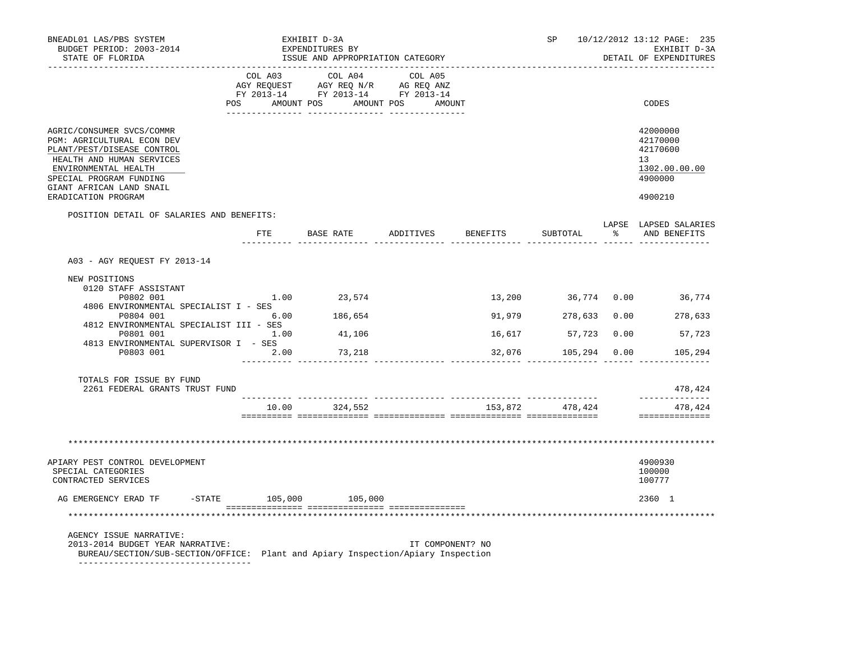| BNEADL01 LAS/PBS SYSTEM<br>BUDGET PERIOD: 2003-2014<br>STATE OF FLORIDA                                                                                                                           |       | EXHIBIT D-3A<br>EXPENDITURES BY<br>ISSUE AND APPROPRIATION CATEGORY                                                                   |                  |                     | SP 10/12/2012 13:12 PAGE: 235<br>EXHIBIT D-3A<br>DETAIL OF EXPENDITURES |
|---------------------------------------------------------------------------------------------------------------------------------------------------------------------------------------------------|-------|---------------------------------------------------------------------------------------------------------------------------------------|------------------|---------------------|-------------------------------------------------------------------------|
|                                                                                                                                                                                                   |       | COL A03 COL A04 COL A05<br>AGY REQUEST AGY REQ N/R AG REQ ANZ<br>FY 2013-14 FY 2013-14 FY 2013-14<br>POS AMOUNT POS AMOUNT POS AMOUNT |                  |                     | CODES                                                                   |
| AGRIC/CONSUMER SVCS/COMMR<br>PGM: AGRICULTURAL ECON DEV<br>PLANT/PEST/DISEASE CONTROL<br>HEALTH AND HUMAN SERVICES<br>ENVIRONMENTAL HEALTH<br>SPECIAL PROGRAM FUNDING<br>GIANT AFRICAN LAND SNAIL |       |                                                                                                                                       |                  |                     | 42000000<br>42170000<br>42170600<br>13<br>1302.00.00.00<br>4900000      |
| ERADICATION PROGRAM                                                                                                                                                                               |       |                                                                                                                                       |                  |                     | 4900210                                                                 |
| POSITION DETAIL OF SALARIES AND BENEFITS:                                                                                                                                                         |       | FTE BASE RATE ADDITIVES                                                                                                               | BENEFITS         | SUBTOTAL            | LAPSE LAPSED SALARIES<br>% AND BENEFITS                                 |
| A03 - AGY REQUEST FY 2013-14                                                                                                                                                                      |       |                                                                                                                                       |                  |                     |                                                                         |
| NEW POSITIONS                                                                                                                                                                                     |       |                                                                                                                                       |                  |                     |                                                                         |
| 0120 STAFF ASSISTANT<br>P0802 001                                                                                                                                                                 |       | $1.00$ 23,574                                                                                                                         |                  |                     | 13,200 36,774 0.00 36,774                                               |
| 4806 ENVIRONMENTAL SPECIALIST I - SES<br>P0804 001                                                                                                                                                |       | $6.00$ 186,654                                                                                                                        |                  |                     | 91,979 278,633 0.00 278,633                                             |
| 4812 ENVIRONMENTAL SPECIALIST III - SES<br>1.00<br>P0801 001                                                                                                                                      |       | 41,106                                                                                                                                |                  | 16,617 57,723 0.00  | 57,723                                                                  |
| 4813 ENVIRONMENTAL SUPERVISOR I - SES<br>P0803 001                                                                                                                                                | 2.00  | 73,218                                                                                                                                |                  | 32,076 105,294 0.00 | 105,294                                                                 |
|                                                                                                                                                                                                   |       |                                                                                                                                       |                  |                     |                                                                         |
| TOTALS FOR ISSUE BY FUND<br>2261 FEDERAL GRANTS TRUST FUND                                                                                                                                        |       |                                                                                                                                       |                  |                     | 478,424<br>--------------                                               |
|                                                                                                                                                                                                   | 10.00 | 324,552                                                                                                                               |                  | 153,872 478,424     | 478,424<br>==============                                               |
|                                                                                                                                                                                                   |       |                                                                                                                                       |                  |                     |                                                                         |
|                                                                                                                                                                                                   |       |                                                                                                                                       |                  |                     |                                                                         |
| APIARY PEST CONTROL DEVELOPMENT<br>SPECIAL CATEGORIES<br>CONTRACTED SERVICES                                                                                                                      |       |                                                                                                                                       |                  |                     | 4900930<br>100000<br>100777                                             |
| AG EMERGENCY ERAD TF                                                                                                                                                                              |       | $-$ STATE 105,000 105,000                                                                                                             |                  |                     | 2360 1                                                                  |
|                                                                                                                                                                                                   |       |                                                                                                                                       |                  |                     |                                                                         |
| AGENCY ISSUE NARRATIVE:<br>2013-2014 BUDGET YEAR NARRATIVE:<br>BUREAU/SECTION/SUB-SECTION/OFFICE: Plant and Apiary Inspection/Apiary Inspection                                                   |       |                                                                                                                                       | IT COMPONENT? NO |                     |                                                                         |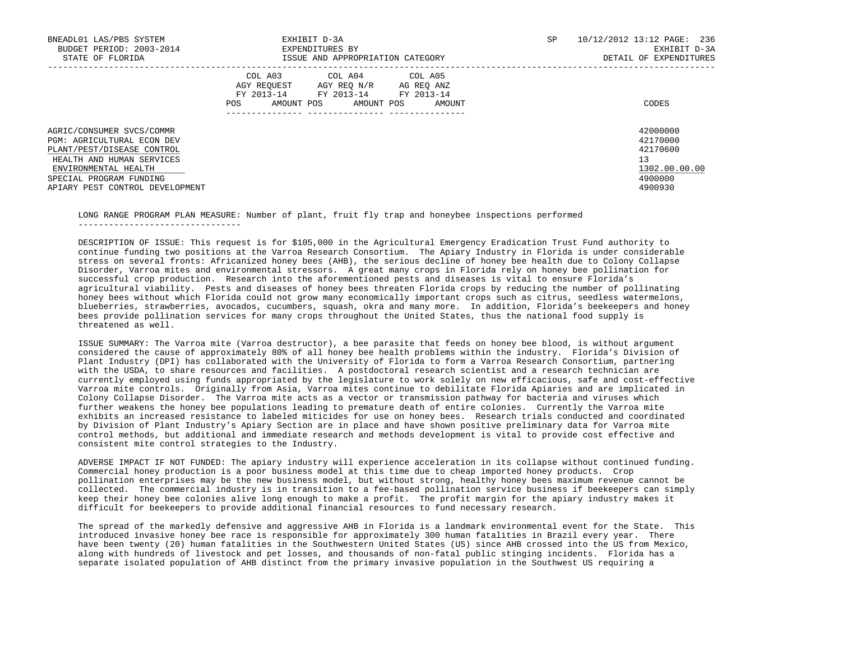| BNEADL01 LAS/PBS SYSTEM<br>BUDGET PERIOD: 2003-2014<br>STATE OF FLORIDA                                                                                                                                         | EXHIBIT D-3A<br>EXPENDITURES BY<br>ISSUE AND APPROPRIATION CATEGORY                                                                                     | 10/12/2012 13:12 PAGE: 236<br>SP<br>EXHIBIT D-3A<br>DETAIL OF EXPENDITURES    |
|-----------------------------------------------------------------------------------------------------------------------------------------------------------------------------------------------------------------|---------------------------------------------------------------------------------------------------------------------------------------------------------|-------------------------------------------------------------------------------|
|                                                                                                                                                                                                                 | COL A03<br>COL A04<br>COL A05<br>AGY REQUEST AGY REQ N/R AG REQ ANZ<br>FY 2013-14<br>FY 2013-14 FY 2013-14<br>AMOUNT POS<br>POS<br>AMOUNT POS<br>AMOUNT | CODES                                                                         |
| AGRIC/CONSUMER SVCS/COMMR<br><b>PGM: AGRICULTURAL ECON DEV</b><br>PLANT/PEST/DISEASE CONTROL<br>HEALTH AND HUMAN SERVICES<br>ENVIRONMENTAL HEALTH<br>SPECIAL PROGRAM FUNDING<br>APIARY PEST CONTROL DEVELOPMENT |                                                                                                                                                         | 42000000<br>42170000<br>42170600<br>13<br>1302.00.00.00<br>4900000<br>4900930 |

 LONG RANGE PROGRAM PLAN MEASURE: Number of plant, fruit fly trap and honeybee inspections performed --------------------------------

 DESCRIPTION OF ISSUE: This request is for \$105,000 in the Agricultural Emergency Eradication Trust Fund authority to continue funding two positions at the Varroa Research Consortium. The Apiary Industry in Florida is under considerable stress on several fronts: Africanized honey bees (AHB), the serious decline of honey bee health due to Colony Collapse Disorder, Varroa mites and environmental stressors. A great many crops in Florida rely on honey bee pollination for successful crop production. Research into the aforementioned pests and diseases is vital to ensure Florida's agricultural viability. Pests and diseases of honey bees threaten Florida crops by reducing the number of pollinating honey bees without which Florida could not grow many economically important crops such as citrus, seedless watermelons, blueberries, strawberries, avocados, cucumbers, squash, okra and many more. In addition, Florida's beekeepers and honey bees provide pollination services for many crops throughout the United States, thus the national food supply is threatened as well.

 ISSUE SUMMARY: The Varroa mite (Varroa destructor), a bee parasite that feeds on honey bee blood, is without argument considered the cause of approximately 80% of all honey bee health problems within the industry. Florida's Division of Plant Industry (DPI) has collaborated with the University of Florida to form a Varroa Research Consortium, partnering with the USDA, to share resources and facilities. A postdoctoral research scientist and a research technician are currently employed using funds appropriated by the legislature to work solely on new efficacious, safe and cost-effective Varroa mite controls. Originally from Asia, Varroa mites continue to debilitate Florida Apiaries and are implicated in Colony Collapse Disorder. The Varroa mite acts as a vector or transmission pathway for bacteria and viruses which further weakens the honey bee populations leading to premature death of entire colonies. Currently the Varroa mite exhibits an increased resistance to labeled miticides for use on honey bees. Research trials conducted and coordinated by Division of Plant Industry's Apiary Section are in place and have shown positive preliminary data for Varroa mite control methods, but additional and immediate research and methods development is vital to provide cost effective and consistent mite control strategies to the Industry.

 ADVERSE IMPACT IF NOT FUNDED: The apiary industry will experience acceleration in its collapse without continued funding. Commercial honey production is a poor business model at this time due to cheap imported honey products. Crop pollination enterprises may be the new business model, but without strong, healthy honey bees maximum revenue cannot be collected. The commercial industry is in transition to a fee-based pollination service business if beekeepers can simply keep their honey bee colonies alive long enough to make a profit. The profit margin for the apiary industry makes it difficult for beekeepers to provide additional financial resources to fund necessary research.

 The spread of the markedly defensive and aggressive AHB in Florida is a landmark environmental event for the State. This introduced invasive honey bee race is responsible for approximately 300 human fatalities in Brazil every year. There have been twenty (20) human fatalities in the Southwestern United States (US) since AHB crossed into the US from Mexico, along with hundreds of livestock and pet losses, and thousands of non-fatal public stinging incidents. Florida has a separate isolated population of AHB distinct from the primary invasive population in the Southwest US requiring a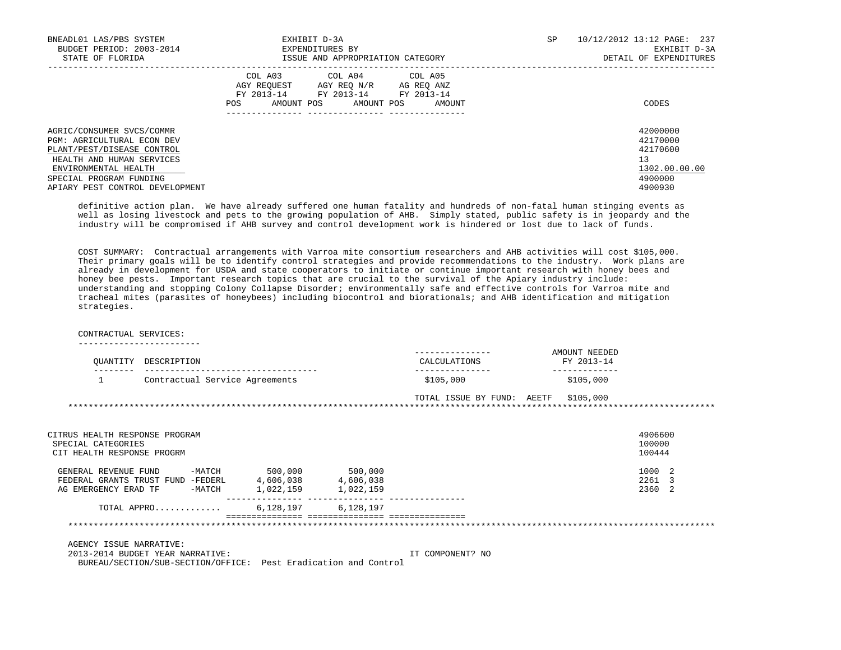| BNEADL01 LAS/PBS SYSTEM<br>BUDGET PERIOD: 2003-2014<br>STATE OF FLORIDA                                                                                                                                         | EXHIBIT D-3A<br>EXPENDITURES BY<br>ISSUE AND APPROPRIATION CATEGORY                                                                                  | SP | 10/12/2012 13:12 PAGE: 237<br>EXHIBIT D-3A<br>DETAIL OF EXPENDITURES          |
|-----------------------------------------------------------------------------------------------------------------------------------------------------------------------------------------------------------------|------------------------------------------------------------------------------------------------------------------------------------------------------|----|-------------------------------------------------------------------------------|
|                                                                                                                                                                                                                 | COL A04 COL A05<br>COL A03<br>AGY REOUEST AGY REO N/R<br>AG REQ ANZ<br>FY 2013-14 FY 2013-14 FY 2013-14<br>AMOUNT POS<br>AMOUNT POS<br>AMOUNT<br>POS |    | CODES                                                                         |
| AGRIC/CONSUMER SVCS/COMMR<br><b>PGM: AGRICULTURAL ECON DEV</b><br>PLANT/PEST/DISEASE CONTROL<br>HEALTH AND HUMAN SERVICES<br>ENVIRONMENTAL HEALTH<br>SPECIAL PROGRAM FUNDING<br>APIARY PEST CONTROL DEVELOPMENT |                                                                                                                                                      |    | 42000000<br>42170000<br>42170600<br>13<br>1302.00.00.00<br>4900000<br>4900930 |

 definitive action plan. We have already suffered one human fatality and hundreds of non-fatal human stinging events as well as losing livestock and pets to the growing population of AHB. Simply stated, public safety is in jeopardy and the industry will be compromised if AHB survey and control development work is hindered or lost due to lack of funds.

 COST SUMMARY: Contractual arrangements with Varroa mite consortium researchers and AHB activities will cost \$105,000. Their primary goals will be to identify control strategies and provide recommendations to the industry. Work plans are already in development for USDA and state cooperators to initiate or continue important research with honey bees and honey bee pests. Important research topics that are crucial to the survival of the Apiary industry include: understanding and stopping Colony Collapse Disorder; environmentally safe and effective controls for Varroa mite and tracheal mites (parasites of honeybees) including biocontrol and biorationals; and AHB identification and mitigation strategies.

## CONTRACTUAL SERVICES:

------------------------

| OUANTITY | DESCRIPTION                    | ---------------<br>CALCULATIONS | AMOUNT NEEDED<br>FY 2013-14 |
|----------|--------------------------------|---------------------------------|-----------------------------|
|          | Contractual Service Agreements | \$105.000                       | \$105.000                   |

 TOTAL ISSUE BY FUND: AEETF \$105,000 \*\*\*\*\*\*\*\*\*\*\*\*\*\*\*\*\*\*\*\*\*\*\*\*\*\*\*\*\*\*\*\*\*\*\*\*\*\*\*\*\*\*\*\*\*\*\*\*\*\*\*\*\*\*\*\*\*\*\*\*\*\*\*\*\*\*\*\*\*\*\*\*\*\*\*\*\*\*\*\*\*\*\*\*\*\*\*\*\*\*\*\*\*\*\*\*\*\*\*\*\*\*\*\*\*\*\*\*\*\*\*\*\*\*\*\*\*\*\*\*\*\*\*\*\*\*\*

| CITRUS HEALTH RESPONSE PROGRAM<br>SPECIAL CATEGORIES<br>CIT HEALTH RESPONSE PROGRM                      |                                   |                                   | 4906600<br>100000<br>100444 |
|---------------------------------------------------------------------------------------------------------|-----------------------------------|-----------------------------------|-----------------------------|
| $-MATCH$<br>GENERAL REVENUE FUND<br>FEDERAL GRANTS TRUST FUND -FEDERL<br>-MATCH<br>AG EMERGENCY ERAD TF | 500,000<br>4,606,038<br>1,022,159 | 500,000<br>4,606,038<br>1,022,159 | 1000 2<br>2261<br>2360 2    |
| TOTAL APPRO                                                                                             | 6,128,197                         | 6,128,197                         |                             |

## \*\*\*\*\*\*\*\*\*\*\*\*\*\*\*\*\*\*\*\*\*\*\*\*\*\*\*\*\*\*\*\*\*\*\*\*\*\*\*\*\*\*\*\*\*\*\*\*\*\*\*\*\*\*\*\*\*\*\*\*\*\*\*\*\*\*\*\*\*\*\*\*\*\*\*\*\*\*\*\*\*\*\*\*\*\*\*\*\*\*\*\*\*\*\*\*\*\*\*\*\*\*\*\*\*\*\*\*\*\*\*\*\*\*\*\*\*\*\*\*\*\*\*\*\*\*\*

AGENCY ISSUE NARRATIVE:

 2013-2014 BUDGET YEAR NARRATIVE: IT COMPONENT? NO BUREAU/SECTION/SUB-SECTION/OFFICE: Pest Eradication and Control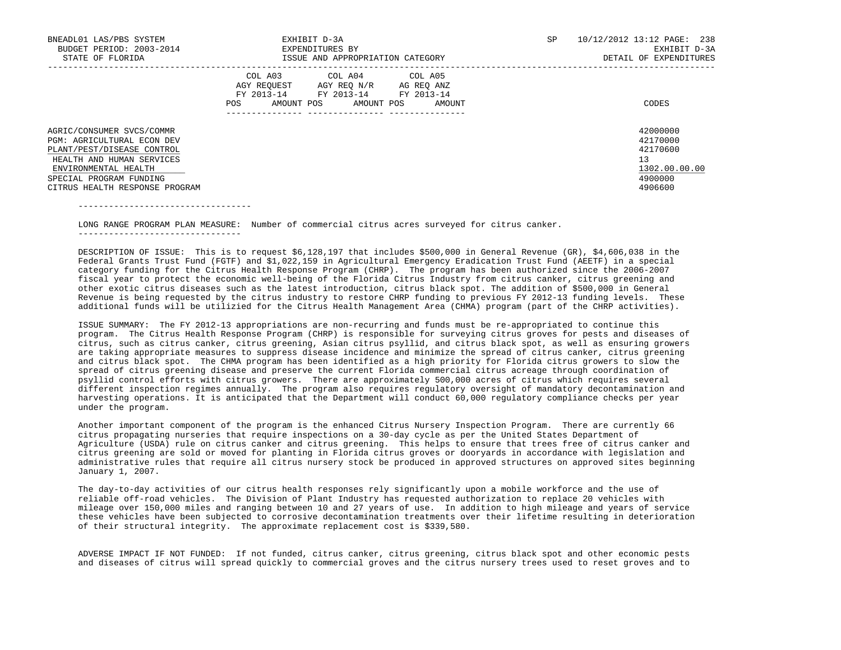| BNEADL01 LAS/PBS SYSTEM<br>BUDGET PERIOD: 2003-2014<br>STATE OF FLORIDA                                                                                                                                        | EXHIBIT D-3A<br>EXPENDITURES BY<br>ISSUE AND APPROPRIATION CATEGORY                                                                                        | 10/12/2012 13:12 PAGE: 238<br>SP.<br>EXHIBIT D-3A<br>DETAIL OF EXPENDITURES   |
|----------------------------------------------------------------------------------------------------------------------------------------------------------------------------------------------------------------|------------------------------------------------------------------------------------------------------------------------------------------------------------|-------------------------------------------------------------------------------|
|                                                                                                                                                                                                                | COL A04 COL A05<br>COL A03<br>AGY REOUEST<br>AGY REO N/R<br>AG REQ ANZ<br>FY 2013-14<br>FY 2013-14 FY 2013-14<br>POS<br>AMOUNT POS<br>AMOUNT POS<br>AMOUNT | CODES                                                                         |
| AGRIC/CONSUMER SVCS/COMMR<br><b>PGM: AGRICULTURAL ECON DEV</b><br>PLANT/PEST/DISEASE CONTROL<br>HEALTH AND HUMAN SERVICES<br>ENVIRONMENTAL HEALTH<br>SPECIAL PROGRAM FUNDING<br>CITRUS HEALTH RESPONSE PROGRAM |                                                                                                                                                            | 42000000<br>42170000<br>42170600<br>13<br>1302.00.00.00<br>4900000<br>4906600 |

----------------------------------

 LONG RANGE PROGRAM PLAN MEASURE: Number of commercial citrus acres surveyed for citrus canker. --------------------------------

 DESCRIPTION OF ISSUE: This is to request \$6,128,197 that includes \$500,000 in General Revenue (GR), \$4,606,038 in the Federal Grants Trust Fund (FGTF) and \$1,022,159 in Agricultural Emergency Eradication Trust Fund (AEETF) in a special category funding for the Citrus Health Response Program (CHRP). The program has been authorized since the 2006-2007 fiscal year to protect the economic well-being of the Florida Citrus Industry from citrus canker, citrus greening and other exotic citrus diseases such as the latest introduction, citrus black spot. The addition of \$500,000 in General Revenue is being requested by the citrus industry to restore CHRP funding to previous FY 2012-13 funding levels. These additional funds will be utilizied for the Citrus Health Management Area (CHMA) program (part of the CHRP activities).

 ISSUE SUMMARY: The FY 2012-13 appropriations are non-recurring and funds must be re-appropriated to continue this program. The Citrus Health Response Program (CHRP) is responsible for surveying citrus groves for pests and diseases of citrus, such as citrus canker, citrus greening, Asian citrus psyllid, and citrus black spot, as well as ensuring growers are taking appropriate measures to suppress disease incidence and minimize the spread of citrus canker, citrus greening and citrus black spot. The CHMA program has been identified as a high priority for Florida citrus growers to slow the spread of citrus greening disease and preserve the current Florida commercial citrus acreage through coordination of psyllid control efforts with citrus growers. There are approximately 500,000 acres of citrus which requires several different inspection regimes annually. The program also requires regulatory oversight of mandatory decontamination and harvesting operations. It is anticipated that the Department will conduct 60,000 regulatory compliance checks per year under the program.

 Another important component of the program is the enhanced Citrus Nursery Inspection Program. There are currently 66 citrus propagating nurseries that require inspections on a 30-day cycle as per the United States Department of Agriculture (USDA) rule on citrus canker and citrus greening. This helps to ensure that trees free of citrus canker and citrus greening are sold or moved for planting in Florida citrus groves or dooryards in accordance with legislation and administrative rules that require all citrus nursery stock be produced in approved structures on approved sites beginning January 1, 2007.

 The day-to-day activities of our citrus health responses rely significantly upon a mobile workforce and the use of reliable off-road vehicles. The Division of Plant Industry has requested authorization to replace 20 vehicles with mileage over 150,000 miles and ranging between 10 and 27 years of use. In addition to high mileage and years of service these vehicles have been subjected to corrosive decontamination treatments over their lifetime resulting in deterioration of their structural integrity. The approximate replacement cost is \$339,580.

 ADVERSE IMPACT IF NOT FUNDED: If not funded, citrus canker, citrus greening, citrus black spot and other economic pests and diseases of citrus will spread quickly to commercial groves and the citrus nursery trees used to reset groves and to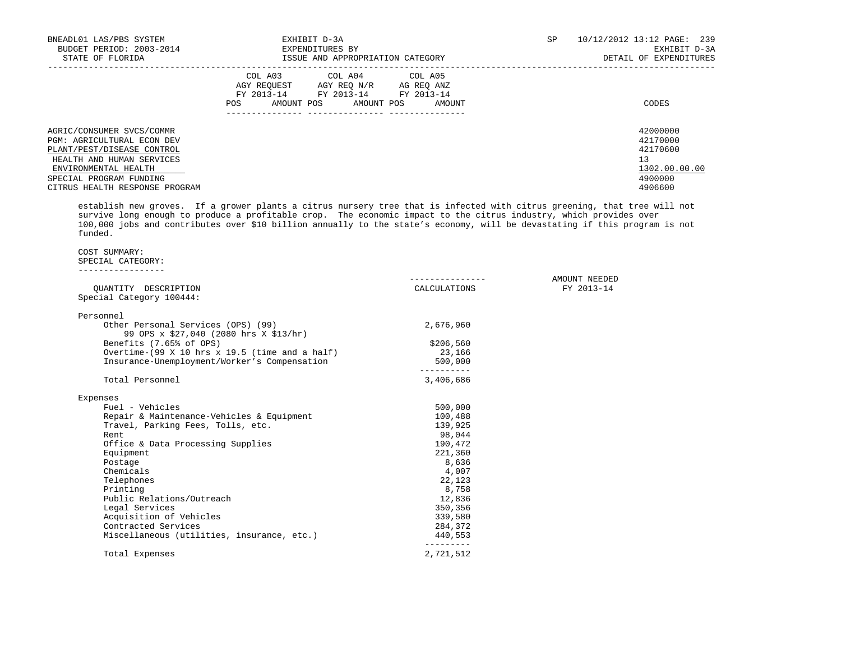| BNEADL01 LAS/PBS SYSTEM<br>BUDGET PERIOD: 2003-2014<br>STATE OF FLORIDA                                                                                                                                        | EXHIBIT D-3A<br>EXPENDITURES BY<br>ISSUE AND APPROPRIATION CATEGORY                                                                            | 10/12/2012 13:12 PAGE: 239<br>SP<br>EXHIBIT D-3A<br>DETAIL OF EXPENDITURES    |
|----------------------------------------------------------------------------------------------------------------------------------------------------------------------------------------------------------------|------------------------------------------------------------------------------------------------------------------------------------------------|-------------------------------------------------------------------------------|
|                                                                                                                                                                                                                | COL A03 COL A04 COL A05<br>AGY REOUEST AGY REO N/R<br>AG REO ANZ<br>FY 2013-14 FY 2013-14 FY 2013-14<br>POS<br>AMOUNT POS AMOUNT POS<br>AMOUNT | CODES                                                                         |
| AGRIC/CONSUMER SVCS/COMMR<br><b>PGM: AGRICULTURAL ECON DEV</b><br>PLANT/PEST/DISEASE CONTROL<br>HEALTH AND HUMAN SERVICES<br>ENVIRONMENTAL HEALTH<br>SPECIAL PROGRAM FUNDING<br>CITRUS HEALTH RESPONSE PROGRAM |                                                                                                                                                | 42000000<br>42170000<br>42170600<br>13<br>1302.00.00.00<br>4900000<br>4906600 |

 establish new groves. If a grower plants a citrus nursery tree that is infected with citrus greening, that tree will not survive long enough to produce a profitable crop. The economic impact to the citrus industry, which provides over 100,000 jobs and contributes over \$10 billion annually to the state's economy, will be devastating if this program is not funded.

# COST SUMMARY:

## SPECIAL CATEGORY: -----------------

| OUANTITY DESCRIPTION                                                         | CALCULATIONS | AMOUNT NEEDED<br>FY 2013-14 |
|------------------------------------------------------------------------------|--------------|-----------------------------|
| Special Category 100444:                                                     |              |                             |
| Personnel                                                                    |              |                             |
| Other Personal Services (OPS) (99)<br>99 OPS x \$27,040 (2080 hrs X \$13/hr) | 2,676,960    |                             |
| Benefits (7.65% of OPS)                                                      | \$206,560    |                             |
| Overtime- $(99 \times 10 \text{ hrs} \times 19.5 \text{ (time and a half)})$ | 23,166       |                             |
| Insurance-Unemployment/Worker's Compensation                                 | 500,000      |                             |
| Total Personnel                                                              | 3,406,686    |                             |
| Expenses                                                                     |              |                             |
| Fuel - Vehicles                                                              | 500,000      |                             |
| Repair & Maintenance-Vehicles & Equipment                                    | 100,488      |                             |
| Travel, Parking Fees, Tolls, etc.                                            | 139,925      |                             |
| Rent                                                                         | 98,044       |                             |
| Office & Data Processing Supplies                                            | 190,472      |                             |
| Equipment                                                                    | 221,360      |                             |
| Postage                                                                      | 8,636        |                             |
| Chemicals                                                                    | 4,007        |                             |
| Telephones                                                                   | 22,123       |                             |
| Printing                                                                     | 8,758        |                             |
| Public Relations/Outreach                                                    | 12,836       |                             |
| Legal Services                                                               | 350,356      |                             |
| Acquisition of Vehicles                                                      | 339,580      |                             |
| Contracted Services                                                          | 284,372      |                             |
| Miscellaneous (utilities, insurance, etc.)                                   | 440,553      |                             |
| Total Expenses                                                               | 2,721,512    |                             |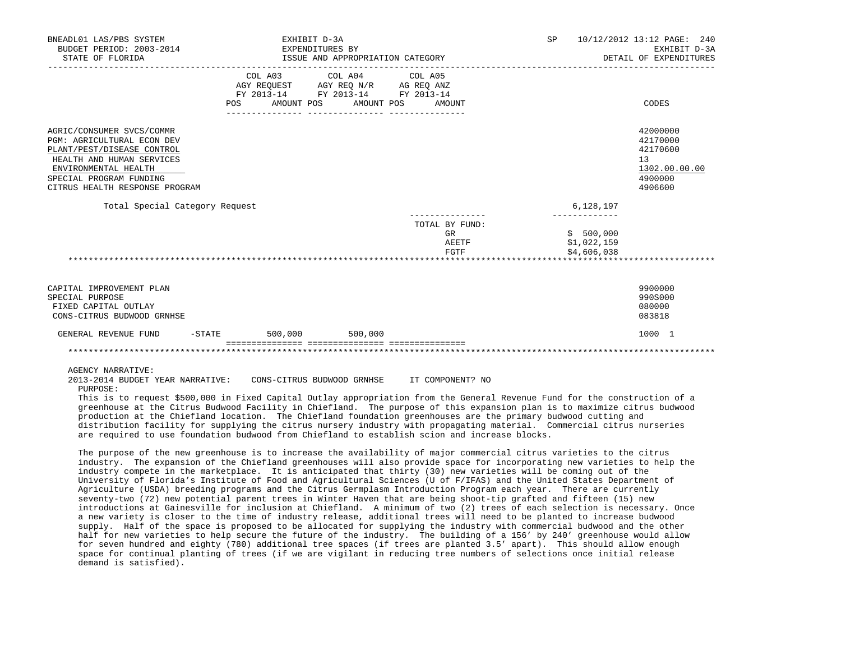| BNEADL01 LAS/PBS SYSTEM<br>BUDGET PERIOD: 2003-2014                                               |            | EXHIBIT D-3A<br>EXPENDITURES BY |                  |                                                                                                                 |                                       | <b>SP</b><br>10/12/2012 13:12 PAGE: 240<br>EXHIBIT D-3A |                                         |                                        |
|---------------------------------------------------------------------------------------------------|------------|---------------------------------|------------------|-----------------------------------------------------------------------------------------------------------------|---------------------------------------|---------------------------------------------------------|-----------------------------------------|----------------------------------------|
| STATE OF FLORIDA                                                                                  |            |                                 |                  | ISSUE AND APPROPRIATION CATEGORY                                                                                |                                       |                                                         |                                         | DETAIL OF EXPENDITURES                 |
|                                                                                                   | <b>POS</b> | AMOUNT POS                      |                  | COL A03 COL A04 COL A05<br>AGY REQUEST AGY REQ N/R AG REQ ANZ<br>FY 2013-14 FY 2013-14 FY 2013-14<br>AMOUNT POS | AMOUNT                                |                                                         |                                         | CODES                                  |
| AGRIC/CONSUMER SVCS/COMMR<br><b>PGM: AGRICULTURAL ECON DEV</b>                                    |            |                                 | ---------------- |                                                                                                                 |                                       |                                                         |                                         | 42000000<br>42170000                   |
| PLANT/PEST/DISEASE CONTROL<br>HEALTH AND HUMAN SERVICES<br>ENVIRONMENTAL HEALTH                   |            |                                 |                  |                                                                                                                 |                                       |                                                         |                                         | 42170600<br>13<br>1302.00.00.00        |
| SPECIAL PROGRAM FUNDING<br>CITRUS HEALTH RESPONSE PROGRAM                                         |            |                                 |                  |                                                                                                                 |                                       |                                                         |                                         | 4900000<br>4906600                     |
| Total Special Category Request                                                                    |            |                                 |                  |                                                                                                                 |                                       |                                                         | 6,128,197                               |                                        |
|                                                                                                   |            |                                 |                  |                                                                                                                 | TOTAL BY FUND:<br>GR<br>AEETF<br>FGTF |                                                         | \$500,000<br>\$1,022,159<br>\$4,606,038 |                                        |
|                                                                                                   |            |                                 |                  |                                                                                                                 |                                       |                                                         |                                         |                                        |
| CAPITAL IMPROVEMENT PLAN<br>SPECIAL PURPOSE<br>FIXED CAPITAL OUTLAY<br>CONS-CITRUS BUDWOOD GRNHSE |            |                                 |                  |                                                                                                                 |                                       |                                                         |                                         | 9900000<br>990S000<br>080000<br>083818 |
| GENERAL REVENUE FUND<br>$-$ STATE                                                                 |            | 500,000                         | 500,000          |                                                                                                                 |                                       |                                                         |                                         | 1000 1                                 |
|                                                                                                   |            |                                 |                  |                                                                                                                 |                                       |                                                         |                                         |                                        |

AGENCY NARRATIVE:

 2013-2014 BUDGET YEAR NARRATIVE: CONS-CITRUS BUDWOOD GRNHSE IT COMPONENT? NO PURPOSE:

 This is to request \$500,000 in Fixed Capital Outlay appropriation from the General Revenue Fund for the construction of a greenhouse at the Citrus Budwood Facility in Chiefland. The purpose of this expansion plan is to maximize citrus budwood production at the Chiefland location. The Chiefland foundation greenhouses are the primary budwood cutting and distribution facility for supplying the citrus nursery industry with propagating material. Commercial citrus nurseries are required to use foundation budwood from Chiefland to establish scion and increase blocks.

 The purpose of the new greenhouse is to increase the availability of major commercial citrus varieties to the citrus industry. The expansion of the Chiefland greenhouses will also provide space for incorporating new varieties to help the industry compete in the marketplace. It is anticipated that thirty (30) new varieties will be coming out of the University of Florida's Institute of Food and Agricultural Sciences (U of F/IFAS) and the United States Department of Agriculture (USDA) breeding programs and the Citrus Germplasm Introduction Program each year. There are currently seventy-two (72) new potential parent trees in Winter Haven that are being shoot-tip grafted and fifteen (15) new introductions at Gainesville for inclusion at Chiefland. A minimum of two (2) trees of each selection is necessary. Once a new variety is closer to the time of industry release, additional trees will need to be planted to increase budwood supply. Half of the space is proposed to be allocated for supplying the industry with commercial budwood and the other half for new varieties to help secure the future of the industry. The building of a 156' by 240' greenhouse would allow for seven hundred and eighty (780) additional tree spaces (if trees are planted 3.5' apart). This should allow enough space for continual planting of trees (if we are vigilant in reducing tree numbers of selections once initial release demand is satisfied).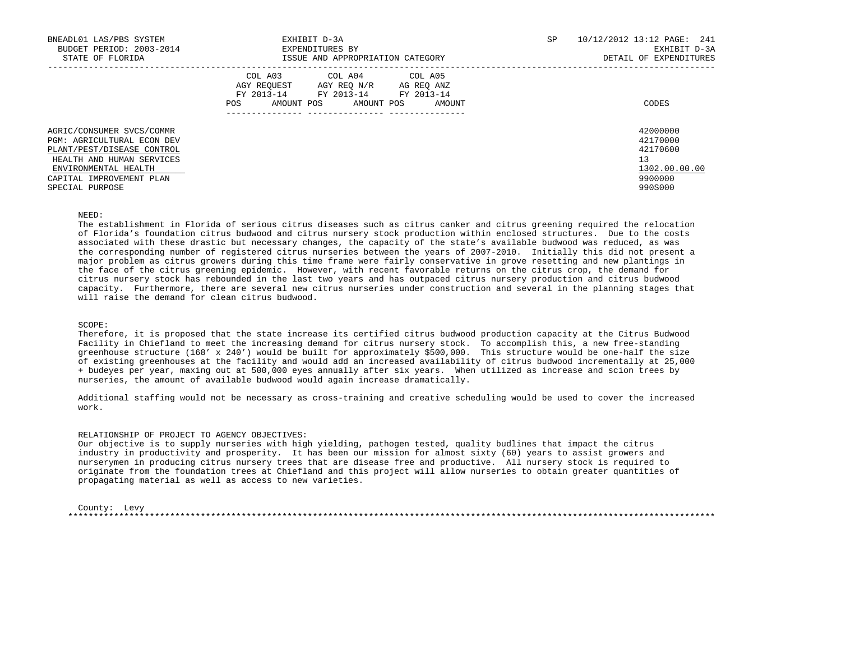| BNEADL01 LAS/PBS SYSTEM<br>BUDGET PERIOD: 2003-2014<br>STATE OF FLORIDA                                                                                                                   | EXHIBIT D-3A<br>EXPENDITURES BY<br>ISSUE AND APPROPRIATION CATEGORY                                                                               | SP | 10/12/2012 13:12 PAGE: 241<br>EXHIBIT D-3A<br>DETAIL OF EXPENDITURES          |
|-------------------------------------------------------------------------------------------------------------------------------------------------------------------------------------------|---------------------------------------------------------------------------------------------------------------------------------------------------|----|-------------------------------------------------------------------------------|
|                                                                                                                                                                                           | COL A04 COL A05<br>COL A03<br>AGY REOUEST AGY REO N/R AG REO ANZ<br>FY 2013-14 FY 2013-14 FY 2013-14<br>AMOUNT POS<br>POS<br>AMOUNT POS<br>AMOUNT |    | CODES                                                                         |
| AGRIC/CONSUMER SVCS/COMMR<br>PGM: AGRICULTURAL ECON DEV<br>PLANT/PEST/DISEASE CONTROL<br>HEALTH AND HUMAN SERVICES<br>ENVIRONMENTAL HEALTH<br>CAPITAL IMPROVEMENT PLAN<br>SPECIAL PURPOSE |                                                                                                                                                   |    | 42000000<br>42170000<br>42170600<br>13<br>1302.00.00.00<br>9900000<br>990S000 |

#### NEED:

 The establishment in Florida of serious citrus diseases such as citrus canker and citrus greening required the relocation of Florida's foundation citrus budwood and citrus nursery stock production within enclosed structures. Due to the costs associated with these drastic but necessary changes, the capacity of the state's available budwood was reduced, as was the corresponding number of registered citrus nurseries between the years of 2007-2010. Initially this did not present a major problem as citrus growers during this time frame were fairly conservative in grove resetting and new plantings in the face of the citrus greening epidemic. However, with recent favorable returns on the citrus crop, the demand for citrus nursery stock has rebounded in the last two years and has outpaced citrus nursery production and citrus budwood capacity. Furthermore, there are several new citrus nurseries under construction and several in the planning stages that will raise the demand for clean citrus budwood.

# SCOPE:

 Therefore, it is proposed that the state increase its certified citrus budwood production capacity at the Citrus Budwood Facility in Chiefland to meet the increasing demand for citrus nursery stock. To accomplish this, a new free-standing greenhouse structure (168' x 240') would be built for approximately \$500,000. This structure would be one-half the size of existing greenhouses at the facility and would add an increased availability of citrus budwood incrementally at 25,000 + budeyes per year, maxing out at 500,000 eyes annually after six years. When utilized as increase and scion trees by nurseries, the amount of available budwood would again increase dramatically.

 Additional staffing would not be necessary as cross-training and creative scheduling would be used to cover the increased work.

### RELATIONSHIP OF PROJECT TO AGENCY OBJECTIVES:

 Our objective is to supply nurseries with high yielding, pathogen tested, quality budlines that impact the citrus industry in productivity and prosperity. It has been our mission for almost sixty (60) years to assist growers and nurserymen in producing citrus nursery trees that are disease free and productive. All nursery stock is required to originate from the foundation trees at Chiefland and this project will allow nurseries to obtain greater quantities of propagating material as well as access to new varieties.

 County: Levy \*\*\*\*\*\*\*\*\*\*\*\*\*\*\*\*\*\*\*\*\*\*\*\*\*\*\*\*\*\*\*\*\*\*\*\*\*\*\*\*\*\*\*\*\*\*\*\*\*\*\*\*\*\*\*\*\*\*\*\*\*\*\*\*\*\*\*\*\*\*\*\*\*\*\*\*\*\*\*\*\*\*\*\*\*\*\*\*\*\*\*\*\*\*\*\*\*\*\*\*\*\*\*\*\*\*\*\*\*\*\*\*\*\*\*\*\*\*\*\*\*\*\*\*\*\*\*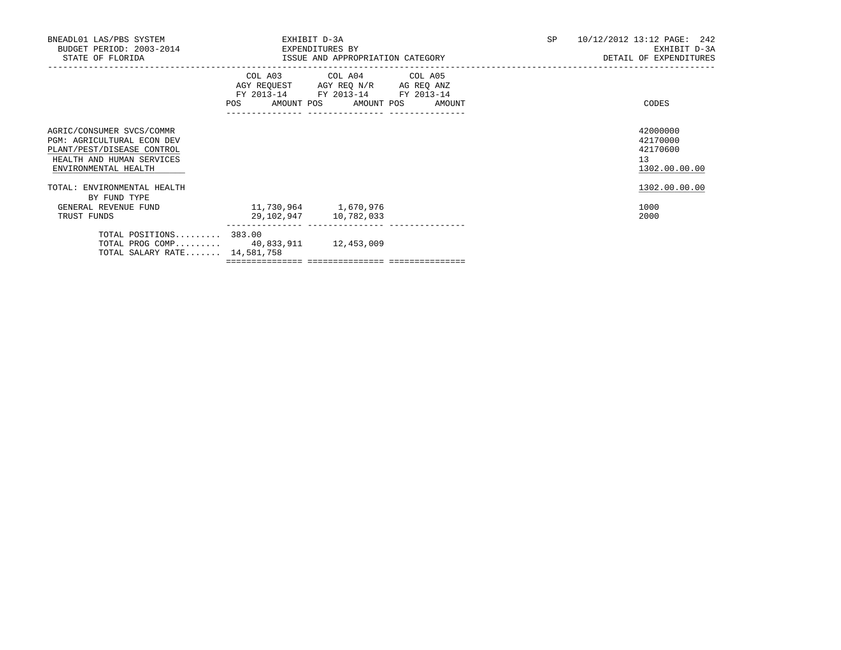| BNEADL01 LAS/PBS SYSTEM<br>BUDGET PERIOD: 2003-2014<br>STATE OF FLORIDA                                                                           | EXHIBIT D-3A<br>EXPENDITURES BY<br>ISSUE AND APPROPRIATION CATEGORY |                                                                                                                       |  |  | 10/12/2012 13:12 PAGE: 242<br><b>SP</b><br>EXHIBIT D-3A<br>DETAIL OF EXPENDITURES |                                                         |  |
|---------------------------------------------------------------------------------------------------------------------------------------------------|---------------------------------------------------------------------|-----------------------------------------------------------------------------------------------------------------------|--|--|-----------------------------------------------------------------------------------|---------------------------------------------------------|--|
|                                                                                                                                                   | POS AMOUNT POS AMOUNT POS AMOUNT                                    | COL A03 COL A04 COL A05<br>AGY REQUEST AGY REQ N/R AG REQ ANZ<br>FY 2013-14 FY 2013-14 FY 2013-14<br>---------------- |  |  |                                                                                   | CODES                                                   |  |
| AGRIC/CONSUMER SVCS/COMMR<br><b>PGM: AGRICULTURAL ECON DEV</b><br>PLANT/PEST/DISEASE CONTROL<br>HEALTH AND HUMAN SERVICES<br>ENVIRONMENTAL HEALTH |                                                                     |                                                                                                                       |  |  |                                                                                   | 42000000<br>42170000<br>42170600<br>13<br>1302.00.00.00 |  |
| TOTAL: ENVIRONMENTAL HEALTH                                                                                                                       |                                                                     |                                                                                                                       |  |  |                                                                                   | 1302.00.00.00                                           |  |
| BY FUND TYPE<br>GENERAL REVENUE FUND<br>TRUST FUNDS                                                                                               | 11,730,964 1,670,976                                                | 29,102,947 10,782,033                                                                                                 |  |  |                                                                                   | 1000<br>2000                                            |  |
| $TOTAL$ $POSITIONS$ 383.00<br>TOTAL PROG COMP 40,833,911 12,453,009<br>TOTAL SALARY RATE 14,581,758                                               |                                                                     |                                                                                                                       |  |  |                                                                                   |                                                         |  |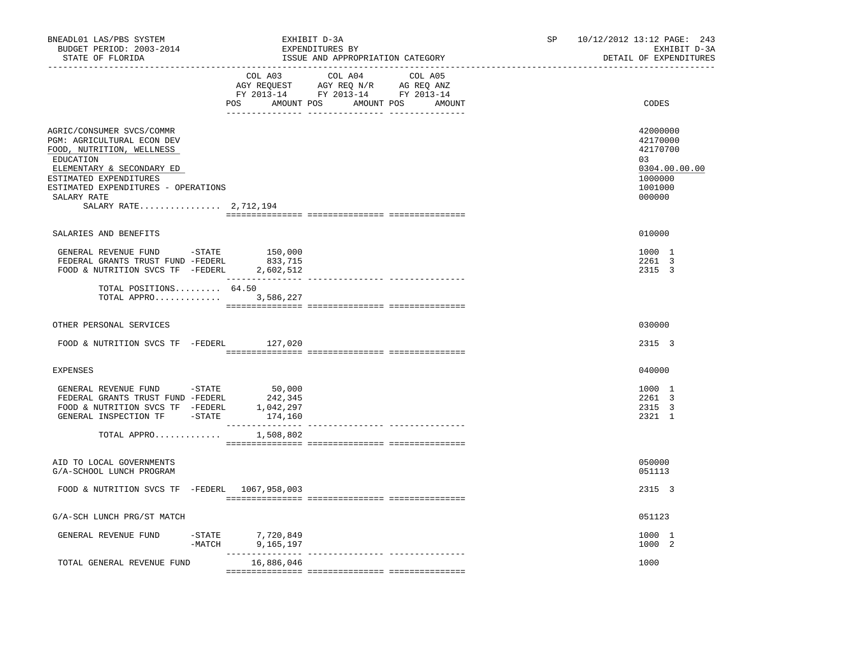| BNEADL01 LAS/PBS SYSTEM<br>BUDGET PERIOD: 2003-2014<br>STATE OF FLORIDA<br>---------------------<br>----------------                                                                                                                    | EXHIBIT D-3A<br>EXPENDITURES BY<br>ISSUE AND APPROPRIATION CATEGORY                                                                   | SP<br>10/12/2012 13:12 PAGE: 243<br>EXHIBIT D-3A<br>DETAIL OF EXPENDITURES              |
|-----------------------------------------------------------------------------------------------------------------------------------------------------------------------------------------------------------------------------------------|---------------------------------------------------------------------------------------------------------------------------------------|-----------------------------------------------------------------------------------------|
|                                                                                                                                                                                                                                         | COL A03 COL A04 COL A05<br>AGY REQUEST AGY REQ N/R AG REQ ANZ<br>FY 2013-14 FY 2013-14 FY 2013-14<br>POS AMOUNT POS AMOUNT POS AMOUNT | CODES                                                                                   |
| AGRIC/CONSUMER SVCS/COMMR<br>PGM: AGRICULTURAL ECON DEV<br>FOOD, NUTRITION, WELLNESS<br>EDUCATION<br>ELEMENTARY & SECONDARY ED<br>ESTIMATED EXPENDITURES<br>ESTIMATED EXPENDITURES - OPERATIONS<br>SALARY RATE<br>SALARY RATE 2,712,194 |                                                                                                                                       | 42000000<br>42170000<br>42170700<br>03<br>0304.00.00.00<br>1000000<br>1001000<br>000000 |
| SALARIES AND BENEFITS                                                                                                                                                                                                                   |                                                                                                                                       | 010000                                                                                  |
| GENERAL REVENUE FUND -STATE 150,000<br>FEDERAL GRANTS TRUST FUND -FEDERL 833,715<br>FOOD & NUTRITION SVCS TF -FEDERL 2,602,512                                                                                                          |                                                                                                                                       | 1000 1<br>2261 3<br>2315 3                                                              |
| TOTAL POSITIONS $64.50$<br>TOTAL APPRO 3,586,227                                                                                                                                                                                        |                                                                                                                                       |                                                                                         |
| OTHER PERSONAL SERVICES                                                                                                                                                                                                                 |                                                                                                                                       | 030000                                                                                  |
| FOOD & NUTRITION SVCS TF -FEDERL 127,020                                                                                                                                                                                                |                                                                                                                                       | 2315 3                                                                                  |
| EXPENSES                                                                                                                                                                                                                                |                                                                                                                                       | 040000                                                                                  |
| GENERAL REVENUE FUND - STATE<br>FEDERAL GRANTS TRUST FUND -FEDERL<br>FOOD & NUTRITION SVCS TF -FEDERL<br>GENERAL INSPECTION TF - STATE                                                                                                  | 50,000<br>242,345<br>1,042,297<br>174,160                                                                                             | 1000 1<br>2261 3<br>2315 3<br>2321 1                                                    |
| TOTAL APPRO                                                                                                                                                                                                                             | 1,508,802                                                                                                                             |                                                                                         |
| AID TO LOCAL GOVERNMENTS<br>G/A-SCHOOL LUNCH PROGRAM                                                                                                                                                                                    |                                                                                                                                       | 050000<br>051113                                                                        |
| FOOD & NUTRITION SVCS TF -FEDERL 1067,958,003                                                                                                                                                                                           |                                                                                                                                       | 2315 3                                                                                  |
| G/A-SCH LUNCH PRG/ST MATCH                                                                                                                                                                                                              |                                                                                                                                       | 051123                                                                                  |
| GENERAL REVENUE FUND                                                                                                                                                                                                                    | -STATE 7,720,849<br>-MATCH 9,165,197                                                                                                  | 1000 1<br>1000 2                                                                        |
| TOTAL GENERAL REVENUE FUND                                                                                                                                                                                                              | 16,886,046                                                                                                                            | 1000                                                                                    |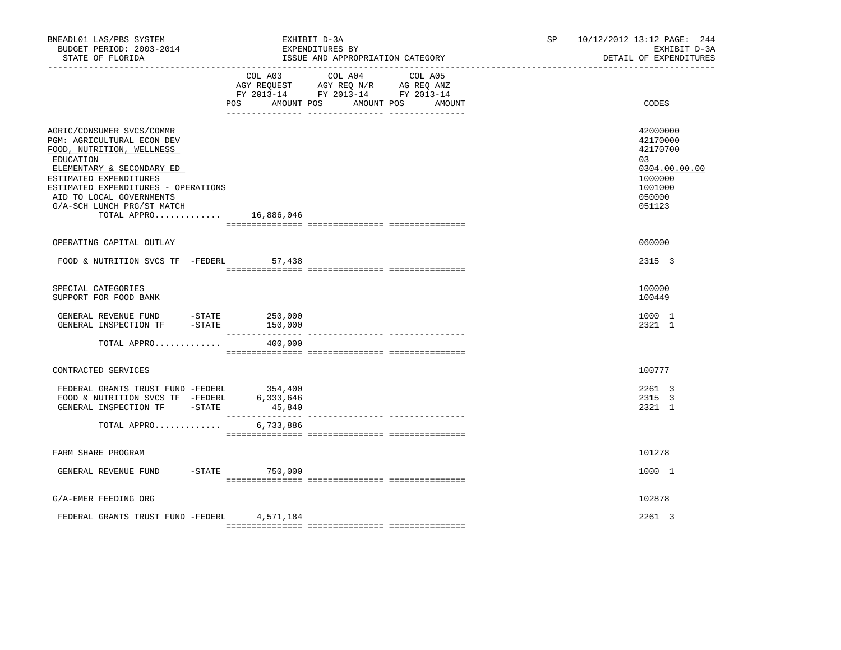| BNEADL01 LAS/PBS SYSTEM<br>BUDGET PERIOD: 2003-2014<br>STATE OF FLORIDA                                                                                                                                                                                                  | EXHIBIT D-3A<br>EXPENDITURES BY<br>ISSUE AND APPROPRIATION CATEGORY                                                                         | 10/12/2012 13:12 PAGE: 244<br>SP and the set of the set of the set of the set of the set of the set of the set of the set of the set of the set of the set of the set of the set of the set of the set of the set of the set of the set of the set of the se<br>EXHIBIT D-3A<br>DETAIL OF EXPENDITURES |
|--------------------------------------------------------------------------------------------------------------------------------------------------------------------------------------------------------------------------------------------------------------------------|---------------------------------------------------------------------------------------------------------------------------------------------|--------------------------------------------------------------------------------------------------------------------------------------------------------------------------------------------------------------------------------------------------------------------------------------------------------|
|                                                                                                                                                                                                                                                                          | COL A03 COL A04 COL A05<br>AGY REQUEST AGY REQ N/R AG REQ ANZ<br>FY 2013-14 FY 2013-14 FY 2013-14<br>POS AMOUNT POS<br>AMOUNT POS<br>AMOUNT | CODES                                                                                                                                                                                                                                                                                                  |
| AGRIC/CONSUMER SVCS/COMMR<br>PGM: AGRICULTURAL ECON DEV<br>FOOD, NUTRITION, WELLNESS<br>EDUCATION<br>ELEMENTARY & SECONDARY ED<br>ESTIMATED EXPENDITURES<br>ESTIMATED EXPENDITURES - OPERATIONS<br>AID TO LOCAL GOVERNMENTS<br>G/A-SCH LUNCH PRG/ST MATCH<br>TOTAL APPRO | 16,886,046                                                                                                                                  | 42000000<br>42170000<br>42170700<br>03<br>0304.00.00.00<br>1000000<br>1001000<br>050000<br>051123                                                                                                                                                                                                      |
| OPERATING CAPITAL OUTLAY                                                                                                                                                                                                                                                 |                                                                                                                                             | 060000                                                                                                                                                                                                                                                                                                 |
| FOOD & NUTRITION SVCS TF -FEDERL                                                                                                                                                                                                                                         | 57,438                                                                                                                                      | 2315 3                                                                                                                                                                                                                                                                                                 |
| SPECIAL CATEGORIES<br>SUPPORT FOR FOOD BANK                                                                                                                                                                                                                              |                                                                                                                                             | 100000<br>100449                                                                                                                                                                                                                                                                                       |
| GENERAL REVENUE FUND -STATE 250,000<br>$-$ STATE<br>GENERAL INSPECTION TF                                                                                                                                                                                                | 150,000<br>________________<br>---------------- ----------------                                                                            | 1000 1<br>2321 1                                                                                                                                                                                                                                                                                       |
| TOTAL APPRO                                                                                                                                                                                                                                                              | 400,000                                                                                                                                     |                                                                                                                                                                                                                                                                                                        |
| CONTRACTED SERVICES                                                                                                                                                                                                                                                      |                                                                                                                                             | 100777                                                                                                                                                                                                                                                                                                 |
| FEDERAL GRANTS TRUST FUND -FEDERL 354,400<br>FOOD & NUTRITION SVCS TF -FEDERL<br>GENERAL INSPECTION TF -STATE                                                                                                                                                            | 6,333,646<br>45,840                                                                                                                         | 2261 3<br>2315 3<br>2321 1                                                                                                                                                                                                                                                                             |
| TOTAL APPRO                                                                                                                                                                                                                                                              | 6,733,886                                                                                                                                   |                                                                                                                                                                                                                                                                                                        |
| FARM SHARE PROGRAM                                                                                                                                                                                                                                                       |                                                                                                                                             | 101278                                                                                                                                                                                                                                                                                                 |
| GENERAL REVENUE FUND -STATE 750,000                                                                                                                                                                                                                                      |                                                                                                                                             | 1000 1                                                                                                                                                                                                                                                                                                 |
| G/A-EMER FEEDING ORG                                                                                                                                                                                                                                                     |                                                                                                                                             | 102878                                                                                                                                                                                                                                                                                                 |
| FEDERAL GRANTS TRUST FUND -FEDERL 4,571,184                                                                                                                                                                                                                              |                                                                                                                                             | 2261 3                                                                                                                                                                                                                                                                                                 |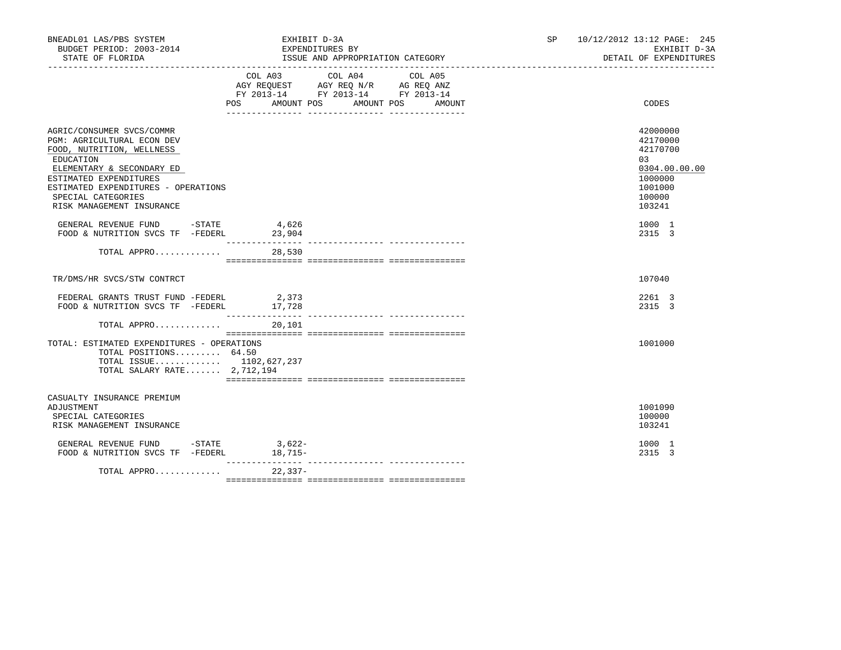| BNEADL01 LAS/PBS SYSTEM<br>BUDGET PERIOD: 2003-2014<br>STATE OF FLORIDA                                                                                                                                                                            | EXHIBIT D-3A<br>SP<br>EXPENDITURES BY<br>ISSUE AND APPROPRIATION CATEGORY |                                                                                                                                     |  | 10/12/2012 13:12 PAGE: 245<br>EXHIBIT D-3A<br>DETAIL OF EXPENDITURES                              |
|----------------------------------------------------------------------------------------------------------------------------------------------------------------------------------------------------------------------------------------------------|---------------------------------------------------------------------------|-------------------------------------------------------------------------------------------------------------------------------------|--|---------------------------------------------------------------------------------------------------|
|                                                                                                                                                                                                                                                    | COL A03                                                                   | COL A04<br>COL A05<br>AGY REQUEST AGY REQ N/R AG REQ ANZ<br>FY 2013-14 FY 2013-14 FY 2013-14<br>POS AMOUNT POS AMOUNT POS<br>AMOUNT |  | CODES                                                                                             |
| AGRIC/CONSUMER SVCS/COMMR<br>PGM: AGRICULTURAL ECON DEV<br>FOOD, NUTRITION, WELLNESS<br>EDUCATION<br>ELEMENTARY & SECONDARY ED<br>ESTIMATED EXPENDITURES<br>ESTIMATED EXPENDITURES - OPERATIONS<br>SPECIAL CATEGORIES<br>RISK MANAGEMENT INSURANCE |                                                                           |                                                                                                                                     |  | 42000000<br>42170000<br>42170700<br>03<br>0304.00.00.00<br>1000000<br>1001000<br>100000<br>103241 |
| GENERAL REVENUE FUND -STATE<br>FOOD & NUTRITION SVCS TF -FEDERL 23,904                                                                                                                                                                             | 4,626                                                                     |                                                                                                                                     |  | 1000 1<br>2315 3                                                                                  |
| TOTAL APPRO 28,530                                                                                                                                                                                                                                 |                                                                           |                                                                                                                                     |  |                                                                                                   |
| TR/DMS/HR SVCS/STW CONTRCT                                                                                                                                                                                                                         |                                                                           |                                                                                                                                     |  | 107040                                                                                            |
| FEDERAL GRANTS TRUST FUND -FEDERL<br>FOOD & NUTRITION SVCS TF -FEDERL 17,728<br>TOTAL APPRO                                                                                                                                                        | 2,373<br>20,101                                                           |                                                                                                                                     |  | 2261 3<br>2315 3                                                                                  |
| TOTAL: ESTIMATED EXPENDITURES - OPERATIONS<br>TOTAL POSITIONS 64.50<br>TOTAL ISSUE 1102,627,237<br>TOTAL SALARY RATE 2,712,194                                                                                                                     |                                                                           |                                                                                                                                     |  | 1001000                                                                                           |
| CASUALTY INSURANCE PREMIUM<br>ADJUSTMENT<br>SPECIAL CATEGORIES<br>RISK MANAGEMENT INSURANCE                                                                                                                                                        |                                                                           |                                                                                                                                     |  | 1001090<br>100000<br>103241                                                                       |
| GENERAL REVENUE FUND -STATE $3,622-F00D$ & NUTRITION SVCS TF -FEDERL $18,715-$                                                                                                                                                                     | __________                                                                |                                                                                                                                     |  | 1000 1<br>2315 3                                                                                  |
| TOTAL APPRO                                                                                                                                                                                                                                        | 22,337-                                                                   | -------------- ----------------                                                                                                     |  |                                                                                                   |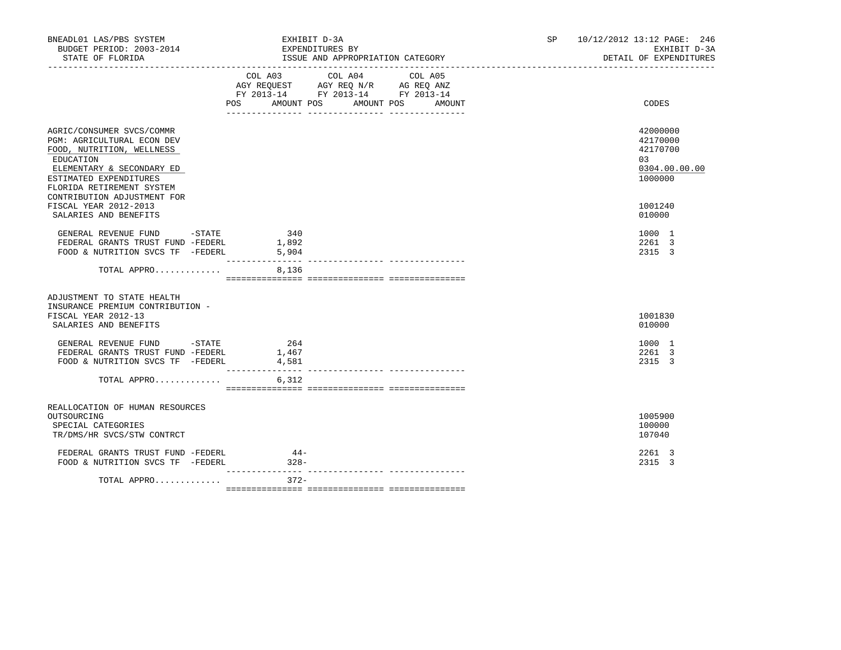| BNEADL01 LAS/PBS SYSTEM<br>BUDGET PERIOD: 2003-2014<br>STATE OF FLORIDA                                                                                                               | EXHIBIT D-3A<br>EXPENDITURES BY            | ISSUE AND APPROPRIATION CATEGORY                                                                                                    | SP | 10/12/2012 13:12 PAGE: 246<br>EXHIBIT D-3A<br>DETAIL OF EXPENDITURES |
|---------------------------------------------------------------------------------------------------------------------------------------------------------------------------------------|--------------------------------------------|-------------------------------------------------------------------------------------------------------------------------------------|----|----------------------------------------------------------------------|
|                                                                                                                                                                                       | COL A03                                    | COL A04<br>COL A05<br>AGY REQUEST AGY REQ N/R AG REQ ANZ<br>FY 2013-14 FY 2013-14 FY 2013-14<br>POS AMOUNT POS AMOUNT POS<br>AMOUNT |    | CODES                                                                |
| AGRIC/CONSUMER SVCS/COMMR<br>PGM: AGRICULTURAL ECON DEV<br>FOOD, NUTRITION, WELLNESS<br>EDUCATION<br>ELEMENTARY & SECONDARY ED<br>ESTIMATED EXPENDITURES<br>FLORIDA RETIREMENT SYSTEM |                                            |                                                                                                                                     |    | 42000000<br>42170000<br>42170700<br>03<br>0304.00.00.00<br>1000000   |
| CONTRIBUTION ADJUSTMENT FOR<br>FISCAL YEAR 2012-2013<br>SALARIES AND BENEFITS                                                                                                         |                                            |                                                                                                                                     |    | 1001240<br>010000                                                    |
| GENERAL REVENUE FUND -STATE<br>FEDERAL GRANTS TRUST FUND -FEDERL<br>FOOD & NUTRITION SVCS TF -FEDERL                                                                                  | 340<br>1,892<br>5,904<br>_________________ |                                                                                                                                     |    | 1000 1<br>2261 3<br>2315 3                                           |
| TOTAL APPRO                                                                                                                                                                           | 8,136                                      |                                                                                                                                     |    |                                                                      |
| ADJUSTMENT TO STATE HEALTH<br>INSURANCE PREMIUM CONTRIBUTION -<br>FISCAL YEAR 2012-13<br>SALARIES AND BENEFITS                                                                        |                                            |                                                                                                                                     |    | 1001830<br>010000                                                    |
| GENERAL REVENUE FUND -STATE<br>FEDERAL GRANTS TRUST FUND -FEDERL<br>FOOD & NUTRITION SVCS TF -FEDERL                                                                                  | 264<br>1,467<br>4,581<br>---------------   |                                                                                                                                     |    | 1000 1<br>2261 3<br>2315 3                                           |
| TOTAL APPRO                                                                                                                                                                           | 6,312                                      |                                                                                                                                     |    |                                                                      |
| REALLOCATION OF HUMAN RESOURCES<br>OUTSOURCING<br>SPECIAL CATEGORIES<br>TR/DMS/HR SVCS/STW CONTRCT                                                                                    |                                            |                                                                                                                                     |    | 1005900<br>100000<br>107040                                          |
| FEDERAL GRANTS TRUST FUND -FEDERL<br>FOOD & NUTRITION SVCS TF -FEDERL                                                                                                                 | $44-$<br>$328 -$                           |                                                                                                                                     |    | 2261 3<br>2315 3                                                     |
| TOTAL APPRO                                                                                                                                                                           | $372-$                                     |                                                                                                                                     |    |                                                                      |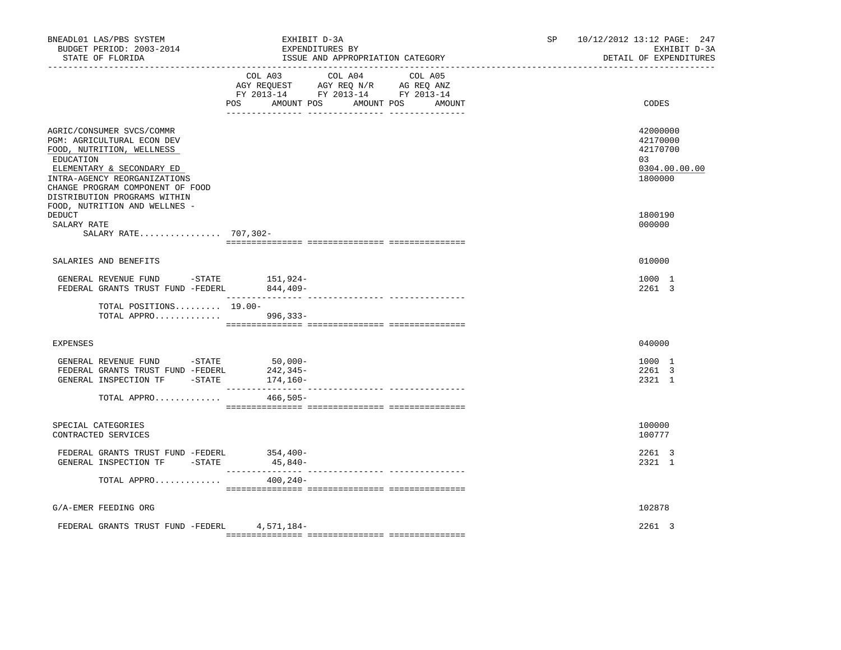| BNEADL01 LAS/PBS SYSTEM<br>BUDGET PERIOD: 2003-2014<br>STATE OF FLORIDA                                                                                                                                                                                             | EXHIBIT D-3A<br>EXPENDITURES BY<br>ISSUE AND APPROPRIATION CATEGORY                                                                      | 10/12/2012 13:12 PAGE: 247<br>SP<br>EXHIBIT D-3A<br>DETAIL OF EXPENDITURES |
|---------------------------------------------------------------------------------------------------------------------------------------------------------------------------------------------------------------------------------------------------------------------|------------------------------------------------------------------------------------------------------------------------------------------|----------------------------------------------------------------------------|
|                                                                                                                                                                                                                                                                     | COL A03 COL A04<br>COL A05<br>AGY REQUEST AGY REQ N/R AG REQ ANZ<br>FY 2013-14 FY 2013-14 FY 2013-14<br>POS AMOUNT POS AMOUNT POS AMOUNT | CODES                                                                      |
| AGRIC/CONSUMER SVCS/COMMR<br>PGM: AGRICULTURAL ECON DEV<br>FOOD, NUTRITION, WELLNESS<br>EDUCATION<br>ELEMENTARY & SECONDARY ED<br>INTRA-AGENCY REORGANIZATIONS<br>CHANGE PROGRAM COMPONENT OF FOOD<br>DISTRIBUTION PROGRAMS WITHIN<br>FOOD, NUTRITION AND WELLNES - |                                                                                                                                          | 42000000<br>42170000<br>42170700<br>03<br>0304.00.00.00<br>1800000         |
| <b>DEDUCT</b><br>SALARY RATE<br>SALARY RATE 707,302-                                                                                                                                                                                                                |                                                                                                                                          | 1800190<br>000000                                                          |
| SALARIES AND BENEFITS                                                                                                                                                                                                                                               |                                                                                                                                          | 010000                                                                     |
| GENERAL REVENUE FUND -STATE 151,924-<br>FEDERAL GRANTS TRUST FUND -FEDERL                                                                                                                                                                                           | 844,409-                                                                                                                                 | 1000 1<br>2261 3                                                           |
| TOTAL POSITIONS 19.00-<br>TOTAL APPRO 996,333-                                                                                                                                                                                                                      | _________________                                                                                                                        |                                                                            |
| <b>EXPENSES</b>                                                                                                                                                                                                                                                     |                                                                                                                                          | 040000                                                                     |
| GENERAL REVENUE FUND -STATE 50,000-<br>FEDERAL GRANTS TRUST FUND -FEDERL<br>GENERAL INSPECTION TF -STATE                                                                                                                                                            | 242,345-<br>174,160-                                                                                                                     | 1000 1<br>2261 3<br>2321 1                                                 |
| TOTAL APPRO                                                                                                                                                                                                                                                         | 466,505-                                                                                                                                 |                                                                            |
| SPECIAL CATEGORIES<br>CONTRACTED SERVICES                                                                                                                                                                                                                           |                                                                                                                                          | 100000<br>100777                                                           |
| FEDERAL GRANTS TRUST FUND -FEDERL 354,400-<br>GENERAL INSPECTION TF -STATE                                                                                                                                                                                          | 45,840-                                                                                                                                  | 2261 3<br>2321 1                                                           |
| TOTAL APPRO                                                                                                                                                                                                                                                         | 400,240-                                                                                                                                 |                                                                            |
| G/A-EMER FEEDING ORG                                                                                                                                                                                                                                                |                                                                                                                                          | 102878                                                                     |
| FEDERAL GRANTS TRUST FUND -FEDERL 4,571,184-                                                                                                                                                                                                                        |                                                                                                                                          | 2261 3                                                                     |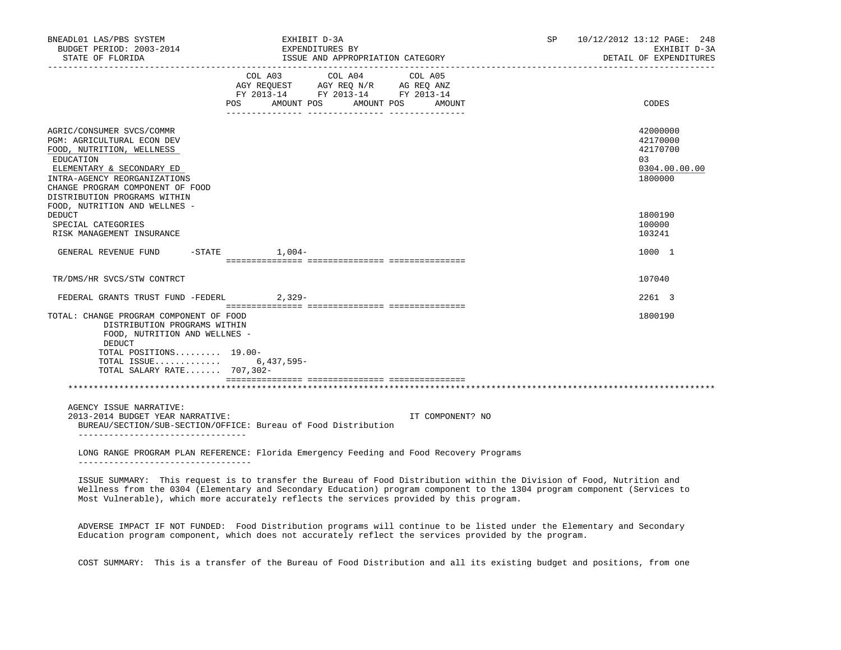| BNEADL01 LAS/PBS SYSTEM<br>BUDGET PERIOD: 2003-2014<br>STATE OF FLORIDA                                                                                                                                                            |                    | EXHIBIT D-3A<br>EXPENDITURES BY<br>ISSUE AND APPROPRIATION CATEGORY                                        | <b>SP</b>         | 10/12/2012 13:12 PAGE: 248<br>EXHIBIT D-3A<br>DETAIL OF EXPENDITURES |                                                                     |
|------------------------------------------------------------------------------------------------------------------------------------------------------------------------------------------------------------------------------------|--------------------|------------------------------------------------------------------------------------------------------------|-------------------|----------------------------------------------------------------------|---------------------------------------------------------------------|
|                                                                                                                                                                                                                                    | COL A03<br>POS DO  | COL A04<br>AGY REQUEST AGY REQ N/R AG REQ ANZ<br>FY 2013-14 FY 2013-14 FY 2013-14<br>AMOUNT POS AMOUNT POS | COL A05<br>AMOUNT |                                                                      | CODES                                                               |
| AGRIC/CONSUMER SVCS/COMMR<br>PGM: AGRICULTURAL ECON DEV<br>FOOD, NUTRITION, WELLNESS<br>EDUCATION<br>ELEMENTARY & SECONDARY ED<br>INTRA-AGENCY REORGANIZATIONS<br>CHANGE PROGRAM COMPONENT OF FOOD<br>DISTRIBUTION PROGRAMS WITHIN |                    |                                                                                                            |                   |                                                                      | 42000000<br>42170000<br>42170700<br>0.3<br>0304.00.00.00<br>1800000 |
| FOOD, NUTRITION AND WELLNES -<br><b>DEDUCT</b><br>SPECIAL CATEGORIES<br>RISK MANAGEMENT INSURANCE                                                                                                                                  |                    |                                                                                                            |                   |                                                                      | 1800190<br>100000<br>103241                                         |
| GENERAL REVENUE FUND                                                                                                                                                                                                               | $-$ STATE $1,004-$ |                                                                                                            |                   |                                                                      | 1000 1                                                              |
| TR/DMS/HR SVCS/STW CONTRCT                                                                                                                                                                                                         |                    |                                                                                                            |                   |                                                                      | 107040                                                              |
| FEDERAL GRANTS TRUST FUND -FEDERL                                                                                                                                                                                                  | $2,329-$           |                                                                                                            |                   |                                                                      | 2261 3                                                              |
| TOTAL: CHANGE PROGRAM COMPONENT OF FOOD<br>DISTRIBUTION PROGRAMS WITHIN<br>FOOD, NUTRITION AND WELLNES -<br>DEDUCT<br>TOTAL POSITIONS 19.00-<br>TOTAL ISSUE 6,437,595-<br>TOTAL SALARY RATE 707,302-                               |                    |                                                                                                            |                   |                                                                      | 1800190                                                             |
|                                                                                                                                                                                                                                    |                    |                                                                                                            |                   |                                                                      |                                                                     |
| AGENCY ISSUE NARRATIVE:<br>2013-2014 BUDGET YEAR NARRATIVE:<br>BUREAU/SECTION/SUB-SECTION/OFFICE: Bureau of Food Distribution                                                                                                      |                    |                                                                                                            | IT COMPONENT? NO  |                                                                      |                                                                     |
| -------------------------------<br>LONG RANGE PROGRAM PLAN REFERENCE: Florida Emergency Feeding and Food Recovery Programs                                                                                                         |                    |                                                                                                            |                   |                                                                      |                                                                     |
| ISSUE SUMMARY: This request is to transfer the Bureau of Food Distribution within the Division of Food, Nutrition and                                                                                                              |                    |                                                                                                            |                   |                                                                      |                                                                     |

 Wellness from the 0304 (Elementary and Secondary Education) program component to the 1304 program component (Services to Most Vulnerable), which more accurately reflects the services provided by this program.

 ADVERSE IMPACT IF NOT FUNDED: Food Distribution programs will continue to be listed under the Elementary and Secondary Education program component, which does not accurately reflect the services provided by the program.

COST SUMMARY: This is a transfer of the Bureau of Food Distribution and all its existing budget and positions, from one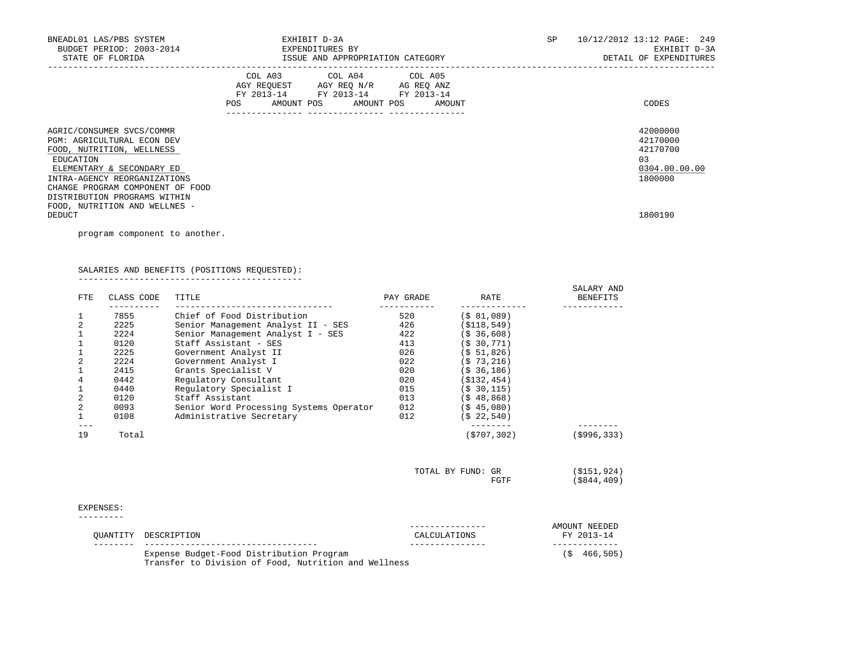| BNEADL01 LAS/PBS SYSTEM<br>BUDGET PERIOD: 2003-2014<br>STATE OF FLORIDA                                                                                               | EXHIBIT D-3A<br>EXPENDITURES BY<br>ISSUE AND APPROPRIATION CATEGORY                                                                      | 10/12/2012 13:12 PAGE: 249<br>SP.<br>EXHIBIT D-3A<br>DETAIL OF EXPENDITURES |
|-----------------------------------------------------------------------------------------------------------------------------------------------------------------------|------------------------------------------------------------------------------------------------------------------------------------------|-----------------------------------------------------------------------------|
|                                                                                                                                                                       | COL A03 COL A04 COL A05<br>AGY REQUEST AGY REQ N/R AG REQ ANZ<br>FY 2013-14 FY 2013-14 FY 2013-14<br>POS<br>AMOUNT POS AMOUNT POS AMOUNT | CODES                                                                       |
| AGRIC/CONSUMER SVCS/COMMR<br><b>PGM: AGRICULTURAL ECON DEV</b><br>FOOD, NUTRITION, WELLNESS<br>EDUCATION<br>ELEMENTARY & SECONDARY ED<br>INTRA-AGENCY REORGANIZATIONS |                                                                                                                                          | 42000000<br>42170000<br>42170700<br>03<br>0304.00.00.00<br>1800000          |
| CHANGE PROGRAM COMPONENT OF FOOD<br>DISTRIBUTION PROGRAMS WITHIN<br>FOOD, NUTRITION AND WELLNES -<br>DEDUCT                                                           |                                                                                                                                          | 1800190                                                                     |

program component to another.

# SALARIES AND BENEFITS (POSITIONS REQUESTED):

--------------------------------------------

| <b>FTE</b>     | CLASS CODE | TITLE                                   | PAY GRADE | RATE              | SALARY AND<br><b>BENEFITS</b> |
|----------------|------------|-----------------------------------------|-----------|-------------------|-------------------------------|
| 1              | 7855       | Chief of Food Distribution              | 520       | $($ \$ 81,089)    |                               |
| $\overline{2}$ | 2225       | Senior Management Analyst II - SES      | 426       | ( \$118, 549)     |                               |
| $\mathbf{1}$   | 2224       | Senior Management Analyst I - SES       | 422       | (S, 36, 608)      |                               |
| 1              | 0120       | Staff Assistant - SES                   | 413       | (S, 30, 771)      |                               |
| 1              | 2225       | Government Analyst II                   | 026       | (S 51, 826)       |                               |
| $\overline{2}$ | 2224       | Government Analyst I                    | 022       | $($ \$ 73,216)    |                               |
| 1              | 2415       | Grants Specialist V                     | 020       | (S, 36, 186)      |                               |
| 4              | 0442       | Regulatory Consultant                   | 020       | ( \$132, 454)     |                               |
| $\mathbf{1}$   | 0440       | Regulatory Specialist I                 | 015       | (S, 30, 115)      |                               |
| $\sqrt{2}$     | 0120       | Staff Assistant                         | 013       | $($ \$48,868)     |                               |
| $\sqrt{2}$     | 0093       | Senior Word Processing Systems Operator | 012       | $($ \$45,080)     |                               |
| $\mathbf{1}$   | 0108       | Administrative Secretary                | 012       | (S 22, 540)       |                               |
| 19             | Total      |                                         |           | (S707, 302)       | $($ \$996,333)                |
|                |            |                                         |           | TOTAL BY FUND: GR | (\$151,924)                   |
|                |            |                                         |           | FGTF              | $($ \$844,409)                |
| EXPENSES:      |            |                                         |           |                   |                               |
|                |            |                                         |           |                   | AMOUNT NEEDED                 |

| OUANTITY DESCRIPTION                                                                             | CALCULATIONS | AMOUNI NEEDED<br>FY 2013-14 |
|--------------------------------------------------------------------------------------------------|--------------|-----------------------------|
| Expense Budget-Food Distribution Program<br>Transfer to Division of Food, Nutrition and Wellness |              | (S 466, 505)                |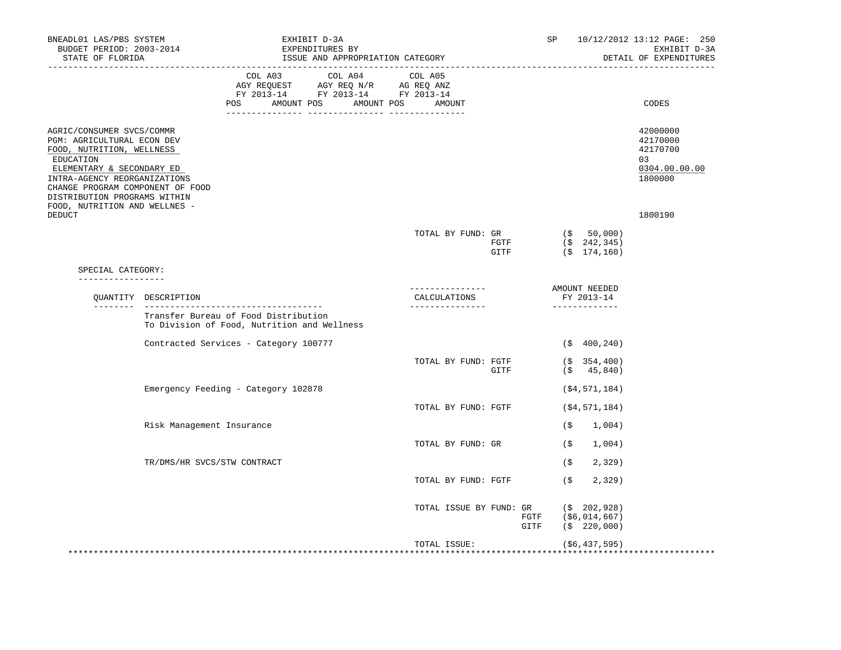| BNEADL01 LAS/PBS SYSTEM<br>BUDGET PERIOD: 2003-2014<br>STATE OF FLORIDA<br>_____________________________________                                                                                                                                                    |                                                                                     | EXHIBIT D-3A<br>EXPENDITURES BY<br>ISSUE AND APPROPRIATION CATEGORY |                                                                                                                                                            |  |  |                                 |              |  |                      |                                                                                 | 10/12/2012 13:12 PAGE: 250<br>EXHIBIT D-3A<br>DETAIL OF EXPENDITURES |  |
|---------------------------------------------------------------------------------------------------------------------------------------------------------------------------------------------------------------------------------------------------------------------|-------------------------------------------------------------------------------------|---------------------------------------------------------------------|------------------------------------------------------------------------------------------------------------------------------------------------------------|--|--|---------------------------------|--------------|--|----------------------|---------------------------------------------------------------------------------|----------------------------------------------------------------------|--|
|                                                                                                                                                                                                                                                                     |                                                                                     | POS AMOUNT POS AMOUNT POS AMOUNT                                    | $\begin{tabular}{lcccc} COL A03 & COL A04 & COL A05 \\ AGY REQUEST & AGY REQ N/R & AG REQ ANZ \\ FY & 2013-14 & FY & 2013-14 & FY & 2013-14 \end{tabular}$ |  |  |                                 |              |  |                      |                                                                                 | CODES                                                                |  |
| AGRIC/CONSUMER SVCS/COMMR<br>PGM: AGRICULTURAL ECON DEV<br>FOOD, NUTRITION, WELLNESS<br>EDUCATION<br>ELEMENTARY & SECONDARY ED<br>INTRA-AGENCY REORGANIZATIONS<br>CHANGE PROGRAM COMPONENT OF FOOD<br>DISTRIBUTION PROGRAMS WITHIN<br>FOOD, NUTRITION AND WELLNES - |                                                                                     |                                                                     |                                                                                                                                                            |  |  |                                 |              |  |                      |                                                                                 | 42000000<br>42170000<br>42170700<br>03<br>0304.00.00.00<br>1800000   |  |
| DEDUCT                                                                                                                                                                                                                                                              |                                                                                     |                                                                     |                                                                                                                                                            |  |  | TOTAL BY FUND: GR               | FGTF<br>GITF |  |                      | $($ \$50,000)<br>$(\$ 242, 345)$<br>$(\$ 174, 160)$                             | 1800190                                                              |  |
| SPECIAL CATEGORY:<br>_________________                                                                                                                                                                                                                              |                                                                                     |                                                                     |                                                                                                                                                            |  |  |                                 |              |  |                      |                                                                                 |                                                                      |  |
| --------                                                                                                                                                                                                                                                            | QUANTITY DESCRIPTION                                                                |                                                                     |                                                                                                                                                            |  |  | CALCULATIONS<br>_______________ |              |  |                      | AMOUNT NEEDED<br>FY 2013-14<br>_____________                                    |                                                                      |  |
|                                                                                                                                                                                                                                                                     | Transfer Bureau of Food Distribution<br>To Division of Food, Nutrition and Wellness |                                                                     |                                                                                                                                                            |  |  |                                 |              |  |                      |                                                                                 |                                                                      |  |
|                                                                                                                                                                                                                                                                     | Contracted Services - Category 100777                                               |                                                                     |                                                                                                                                                            |  |  |                                 |              |  |                      | $($ \$400,240)                                                                  |                                                                      |  |
|                                                                                                                                                                                                                                                                     |                                                                                     |                                                                     |                                                                                                                                                            |  |  | TOTAL BY FUND: FGTF             | GITF         |  |                      | $($ \$354,400)<br>$($ \$45,840)                                                 |                                                                      |  |
|                                                                                                                                                                                                                                                                     | Emergency Feeding - Category 102878                                                 |                                                                     |                                                                                                                                                            |  |  |                                 |              |  |                      | ( \$4, 571, 184)                                                                |                                                                      |  |
|                                                                                                                                                                                                                                                                     |                                                                                     |                                                                     |                                                                                                                                                            |  |  | TOTAL BY FUND: FGTF             |              |  |                      | $($ \$4,571,184)                                                                |                                                                      |  |
|                                                                                                                                                                                                                                                                     | Risk Management Insurance                                                           |                                                                     |                                                                                                                                                            |  |  |                                 |              |  |                      | $($ \$ 1,004)                                                                   |                                                                      |  |
|                                                                                                                                                                                                                                                                     | TR/DMS/HR SVCS/STW CONTRACT                                                         |                                                                     |                                                                                                                                                            |  |  | TOTAL BY FUND: GR               |              |  | (\$<br>(\$           | 1,004)<br>2,329)                                                                |                                                                      |  |
|                                                                                                                                                                                                                                                                     |                                                                                     |                                                                     |                                                                                                                                                            |  |  | TOTAL BY FUND: FGTF             |              |  | $(\hat{\mathbf{s}})$ | 2,329                                                                           |                                                                      |  |
|                                                                                                                                                                                                                                                                     |                                                                                     |                                                                     |                                                                                                                                                            |  |  |                                 |              |  |                      | TOTAL ISSUE BY FUND: GR (\$ 202,928)<br>FGTF (\$6,014,667)<br>GITF (\$ 220,000) |                                                                      |  |
|                                                                                                                                                                                                                                                                     |                                                                                     |                                                                     |                                                                                                                                                            |  |  | TOTAL ISSUE:                    |              |  |                      | (\$6,437,595)                                                                   |                                                                      |  |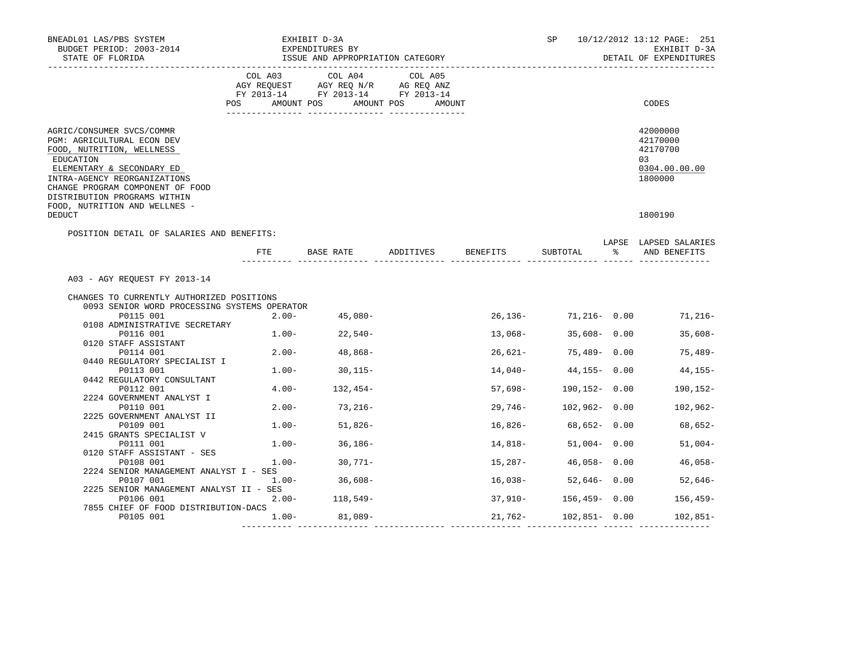| BNEADL01 LAS/PBS SYSTEM<br>BUDGET PERIOD: 2003-2014<br>STATE OF FLORIDA                                                                                                                                                                                             |          | EXHIBIT D-3A<br>EXPENDITURES BY<br>ISSUE AND APPROPRIATION CATEGORY                                                   | SP                  |          | 10/12/2012 13:12 PAGE: 251<br>EXHIBIT D-3A<br>DETAIL OF EXPENDITURES |     |                                                                    |
|---------------------------------------------------------------------------------------------------------------------------------------------------------------------------------------------------------------------------------------------------------------------|----------|-----------------------------------------------------------------------------------------------------------------------|---------------------|----------|----------------------------------------------------------------------|-----|--------------------------------------------------------------------|
|                                                                                                                                                                                                                                                                     | COL A03  | COL A04<br>AGY REQUEST AGY REQ N/R AG REQ ANZ<br>FY 2013-14 FY 2013-14 FY 2013-14<br>POS AMOUNT POS AMOUNT POS AMOUNT | COL A05             |          |                                                                      |     | CODES                                                              |
| AGRIC/CONSUMER SVCS/COMMR<br>PGM: AGRICULTURAL ECON DEV<br>FOOD, NUTRITION, WELLNESS<br>EDUCATION<br>ELEMENTARY & SECONDARY ED<br>INTRA-AGENCY REORGANIZATIONS<br>CHANGE PROGRAM COMPONENT OF FOOD<br>DISTRIBUTION PROGRAMS WITHIN<br>FOOD, NUTRITION AND WELLNES - |          |                                                                                                                       |                     |          |                                                                      |     | 42000000<br>42170000<br>42170700<br>03<br>0304.00.00.00<br>1800000 |
| DEDUCT                                                                                                                                                                                                                                                              |          |                                                                                                                       |                     |          |                                                                      |     | 1800190                                                            |
| POSITION DETAIL OF SALARIES AND BENEFITS:                                                                                                                                                                                                                           | ETE      |                                                                                                                       | BASE RATE ADDITIVES | BENEFITS | SUBTOTAL                                                             | န္က | LAPSE LAPSED SALARIES<br>AND BENEFITS                              |
| A03 - AGY REQUEST FY 2013-14<br>CHANGES TO CURRENTLY AUTHORIZED POSITIONS<br>0093 SENIOR WORD PROCESSING SYSTEMS OPERATOR                                                                                                                                           |          |                                                                                                                       |                     |          |                                                                      |     |                                                                    |
| P0115 001<br>0108 ADMINISTRATIVE SECRETARY<br>P0116 001                                                                                                                                                                                                             |          | $2.00 - 45,080 -$<br>$1.00 - 22.540 -$                                                                                |                     | 13,068-  | $26,136 - 71,216 - 0.00$<br>$35,608 - 0.00$                          |     | 71,216-<br>$35,608-$                                               |
| 0120 STAFF ASSISTANT                                                                                                                                                                                                                                                |          |                                                                                                                       |                     |          |                                                                      |     |                                                                    |
| P0114 001<br>0440 REGULATORY SPECIALIST I                                                                                                                                                                                                                           |          | $2.00 - 48,868 -$                                                                                                     |                     | 26,621-  | 75,489- 0.00                                                         |     | 75,489-                                                            |
| P0113 001<br>0442 REGULATORY CONSULTANT                                                                                                                                                                                                                             |          | $1.00 - 30,115 -$                                                                                                     |                     |          | $14,040-44,155-0.00$                                                 |     | 44,155-                                                            |
| P0112 001                                                                                                                                                                                                                                                           |          | $4.00 - 132,454 -$                                                                                                    |                     | 57,698-  | 190,152- 0.00                                                        |     | 190,152-                                                           |
| 2224 GOVERNMENT ANALYST I<br>P0110 001                                                                                                                                                                                                                              |          | $2.00 - 73,216 -$                                                                                                     |                     |          | 29,746- 102,962- 0.00                                                |     | $102,962-$                                                         |
| 2225 GOVERNMENT ANALYST II<br>P0109 001                                                                                                                                                                                                                             | $1.00 -$ | 51,826-                                                                                                               |                     | 16,826-  | 68,652- 0.00                                                         |     | 68,652-                                                            |
| 2415 GRANTS SPECIALIST V<br>P0111 001                                                                                                                                                                                                                               |          | $1.00 - 36,186 -$                                                                                                     |                     | 14,818-  | $51,004 - 0.00$                                                      |     | $51,004-$                                                          |
| 0120 STAFF ASSISTANT - SES                                                                                                                                                                                                                                          |          |                                                                                                                       |                     |          |                                                                      |     |                                                                    |
| P0108 001<br>2224 SENIOR MANAGEMENT ANALYST I - SES                                                                                                                                                                                                                 | $1.00 -$ | 30,771-                                                                                                               |                     | 15,287-  | $46,058 - 0.00$                                                      |     | $46,058-$                                                          |
| P0107 001<br>2225 SENIOR MANAGEMENT ANALYST II - SES                                                                                                                                                                                                                | $1.00 -$ | 36,608-                                                                                                               |                     | 16,038-  | 52,646-0.00                                                          |     | 52,646-                                                            |
| P0106 001                                                                                                                                                                                                                                                           |          | $2.00 - 118,549 -$                                                                                                    |                     | 37,910-  | $156,459 - 0.00$                                                     |     | $156, 459 -$                                                       |
| 7855 CHIEF OF FOOD DISTRIBUTION-DACS<br>P0105 001                                                                                                                                                                                                                   |          | $1.00 - 81,089 -$                                                                                                     |                     | 21,762-  | $102,851 - 0.00$                                                     |     | $102,851-$                                                         |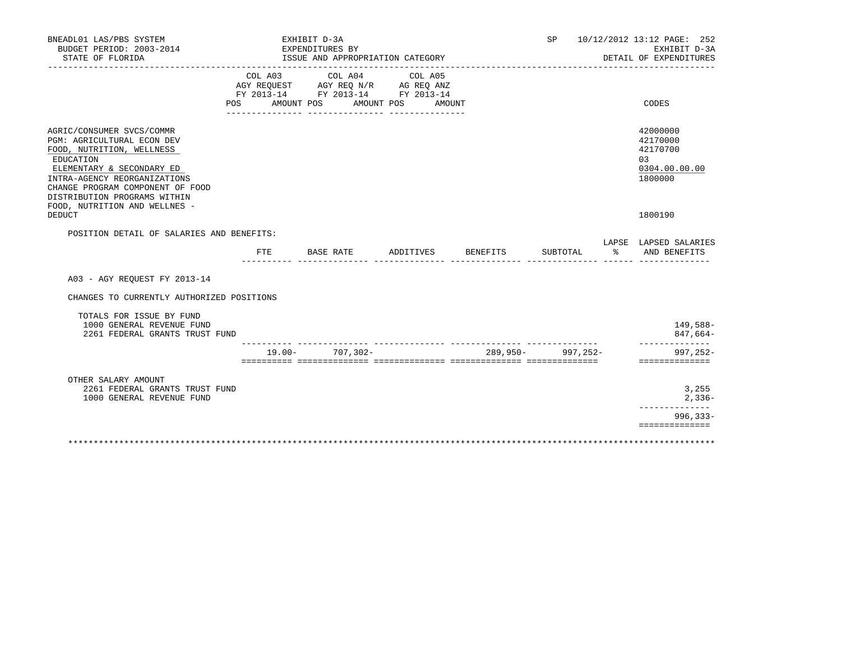| BNEADL01 LAS/PBS SYSTEM<br>BUDGET PERIOD: 2003-2014<br>STATE OF FLORIDA                                                                                                                                                            |            |                       | EXHIBIT D-3A<br>EXPENDITURES BY | ISSUE AND APPROPRIATION CATEGORY                                                                        |           |                                                                 | SP                |          |               | 10/12/2012 13:12 PAGE: 252<br>EXHIBIT D-3A<br>DETAIL OF EXPENDITURES |
|------------------------------------------------------------------------------------------------------------------------------------------------------------------------------------------------------------------------------------|------------|-----------------------|---------------------------------|---------------------------------------------------------------------------------------------------------|-----------|-----------------------------------------------------------------|-------------------|----------|---------------|----------------------------------------------------------------------|
|                                                                                                                                                                                                                                    | <b>POS</b> | COL A03<br>AMOUNT POS |                                 | COL A04 COL A05<br>AGY REQUEST AGY REQ N/R AG REQ ANZ<br>FY 2013-14 FY 2013-14 FY 2013-14<br>AMOUNT POS | AMOUNT    |                                                                 |                   |          |               | CODES                                                                |
| AGRIC/CONSUMER SVCS/COMMR<br>PGM: AGRICULTURAL ECON DEV<br>FOOD, NUTRITION, WELLNESS<br>EDUCATION<br>ELEMENTARY & SECONDARY ED<br>INTRA-AGENCY REORGANIZATIONS<br>CHANGE PROGRAM COMPONENT OF FOOD<br>DISTRIBUTION PROGRAMS WITHIN |            |                       |                                 |                                                                                                         |           |                                                                 |                   |          |               | 42000000<br>42170000<br>42170700<br>03<br>0304.00.00.00<br>1800000   |
| FOOD, NUTRITION AND WELLNES -<br><b>DEDUCT</b>                                                                                                                                                                                     |            |                       |                                 |                                                                                                         |           |                                                                 |                   |          |               | 1800190                                                              |
| POSITION DETAIL OF SALARIES AND BENEFITS:                                                                                                                                                                                          | FTE        |                       | BASE RATE                       |                                                                                                         | ADDITIVES | BENEFITS                                                        |                   | SUBTOTAL | $\frac{5}{6}$ | LAPSE LAPSED SALARIES<br>AND BENEFITS                                |
| A03 - AGY REQUEST FY 2013-14                                                                                                                                                                                                       |            |                       |                                 |                                                                                                         |           |                                                                 |                   |          |               |                                                                      |
| CHANGES TO CURRENTLY AUTHORIZED POSITIONS                                                                                                                                                                                          |            |                       |                                 |                                                                                                         |           |                                                                 |                   |          |               |                                                                      |
| TOTALS FOR ISSUE BY FUND<br>1000 GENERAL REVENUE FUND<br>2261 FEDERAL GRANTS TRUST FUND                                                                                                                                            |            |                       |                                 |                                                                                                         |           |                                                                 |                   |          |               | 149,588-<br>$847,664-$                                               |
|                                                                                                                                                                                                                                    |            |                       |                                 | $19.00 - 707,302 -$                                                                                     |           | soccoccos consecuentes consecuentes possecuentes consecuentes ( | 289,950- 997,252- |          |               | ______________<br>$997.252 -$<br>==============                      |
| OTHER SALARY AMOUNT<br>2261 FEDERAL GRANTS TRUST FUND<br>1000 GENERAL REVENUE FUND                                                                                                                                                 |            |                       |                                 |                                                                                                         |           |                                                                 |                   |          |               | 3,255<br>$2,336-$                                                    |
|                                                                                                                                                                                                                                    |            |                       |                                 |                                                                                                         |           |                                                                 |                   |          |               | $996, 333 -$<br>==============                                       |
|                                                                                                                                                                                                                                    |            |                       |                                 |                                                                                                         |           |                                                                 |                   |          |               |                                                                      |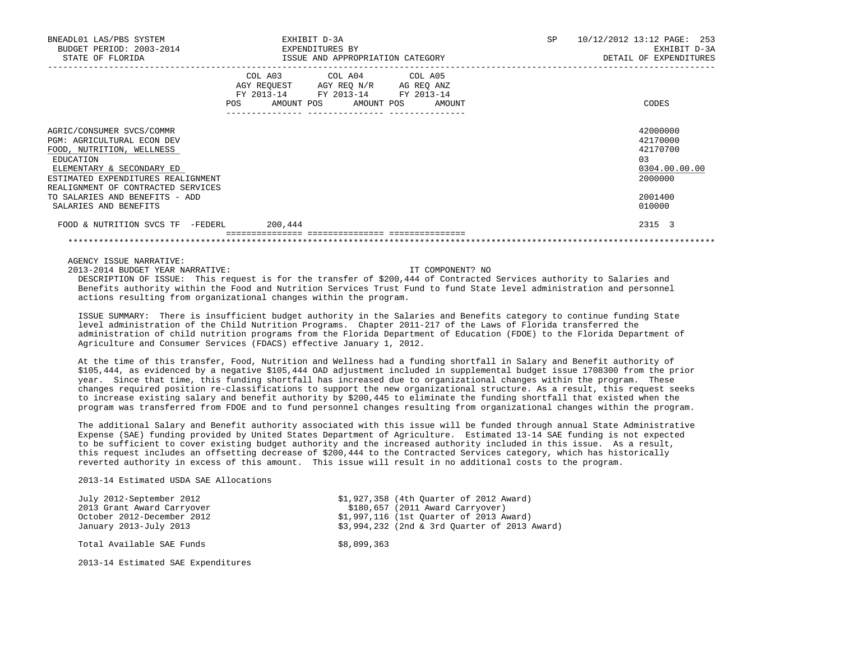| BNEADL01 LAS/PBS SYSTEM<br>BUDGET PERIOD: 2003-2014<br>STATE OF FLORIDA                                                                                                                                           |         | EXHIBIT D-3A<br>EXPENDITURES BY<br>ISSUE AND APPROPRIATION CATEGORY                                                                   | SP | 10/12/2012 13:12 PAGE: 253<br>EXHIBIT D-3A<br>DETAIL OF EXPENDITURES |
|-------------------------------------------------------------------------------------------------------------------------------------------------------------------------------------------------------------------|---------|---------------------------------------------------------------------------------------------------------------------------------------|----|----------------------------------------------------------------------|
|                                                                                                                                                                                                                   |         | COL A03 COL A04 COL A05<br>AGY REQUEST AGY REQ N/R AG REQ ANZ<br>FY 2013-14 FY 2013-14 FY 2013-14<br>POS AMOUNT POS AMOUNT POS AMOUNT |    | CODES                                                                |
| AGRIC/CONSUMER SVCS/COMMR<br><b>PGM: AGRICULTURAL ECON DEV</b><br>FOOD, NUTRITION, WELLNESS<br>EDUCATION<br>ELEMENTARY & SECONDARY ED<br>ESTIMATED EXPENDITURES REALIGNMENT<br>REALIGNMENT OF CONTRACTED SERVICES |         |                                                                                                                                       |    | 42000000<br>42170000<br>42170700<br>0.3<br>0304.00.00.00<br>2000000  |
| TO SALARIES AND BENEFITS - ADD<br>SALARIES AND BENEFITS                                                                                                                                                           |         |                                                                                                                                       |    | 2001400<br>010000                                                    |
| FOOD & NUTRITION SVCS TF -FEDERL                                                                                                                                                                                  | 200,444 |                                                                                                                                       |    | 2315 3                                                               |

AGENCY ISSUE NARRATIVE:

2013-2014 BUDGET YEAR NARRATIVE: IT COMPONENT? NO

 DESCRIPTION OF ISSUE: This request is for the transfer of \$200,444 of Contracted Services authority to Salaries and Benefits authority within the Food and Nutrition Services Trust Fund to fund State level administration and personnel actions resulting from organizational changes within the program.

\*\*\*\*\*\*\*\*\*\*\*\*\*\*\*\*\*\*\*\*\*\*\*\*\*\*\*\*\*\*\*\*\*\*\*\*\*\*\*\*\*\*\*\*\*\*\*\*\*\*\*\*\*\*\*\*\*\*\*\*\*\*\*\*\*\*\*\*\*\*\*\*\*\*\*\*\*\*\*\*\*\*\*\*\*\*\*\*\*\*\*\*\*\*\*\*\*\*\*\*\*\*\*\*\*\*\*\*\*\*\*\*\*\*\*\*\*\*\*\*\*\*\*\*\*\*\*

 ISSUE SUMMARY: There is insufficient budget authority in the Salaries and Benefits category to continue funding State level administration of the Child Nutrition Programs. Chapter 2011-217 of the Laws of Florida transferred the administration of child nutrition programs from the Florida Department of Education (FDOE) to the Florida Department of Agriculture and Consumer Services (FDACS) effective January 1, 2012.

 At the time of this transfer, Food, Nutrition and Wellness had a funding shortfall in Salary and Benefit authority of \$105,444, as evidenced by a negative \$105,444 OAD adjustment included in supplemental budget issue 1708300 from the prior year. Since that time, this funding shortfall has increased due to organizational changes within the program. These changes required position re-classifications to support the new organizational structure. As a result, this request seeks to increase existing salary and benefit authority by \$200,445 to eliminate the funding shortfall that existed when the program was transferred from FDOE and to fund personnel changes resulting from organizational changes within the program.

 The additional Salary and Benefit authority associated with this issue will be funded through annual State Administrative Expense (SAE) funding provided by United States Department of Agriculture. Estimated 13-14 SAE funding is not expected to be sufficient to cover existing budget authority and the increased authority included in this issue. As a result, this request includes an offsetting decrease of \$200,444 to the Contracted Services category, which has historically reverted authority in excess of this amount. This issue will result in no additional costs to the program.

2013-14 Estimated USDA SAE Allocations

| July 2012-September 2012   |             | \$1,927,358 (4th Ouarter of 2012 Award)       |
|----------------------------|-------------|-----------------------------------------------|
| 2013 Grant Award Carryover |             | \$180,657 (2011 Award Carryover)              |
| October 2012-December 2012 |             | \$1,997,116 (1st Ouarter of 2013 Award)       |
| January 2013-July 2013     |             | \$3,994,232 (2nd & 3rd Ouarter of 2013 Award) |
| Total Available SAE Funds  | \$8,099,363 |                                               |

2013-14 Estimated SAE Expenditures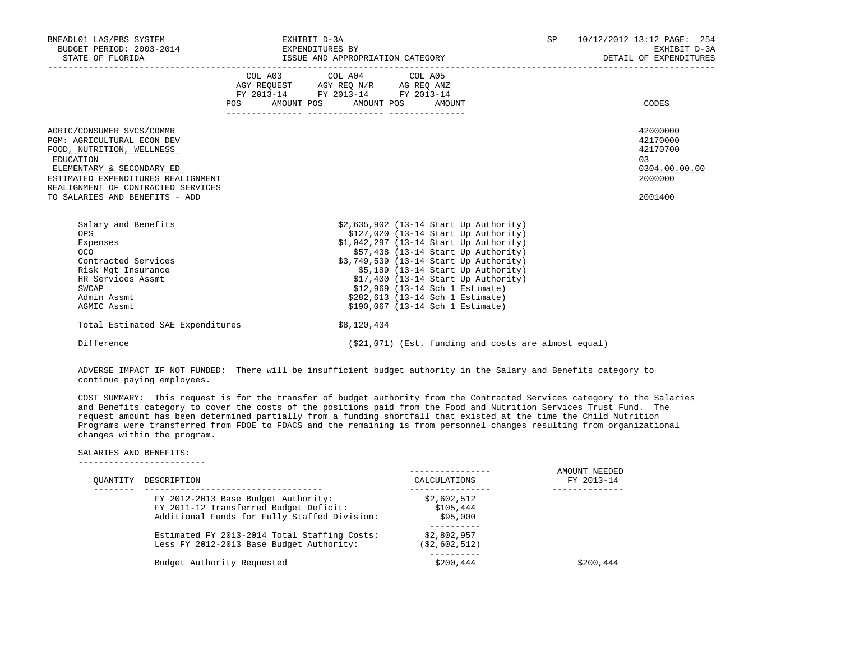| BNEADL01 LAS/PBS SYSTEM<br>BUDGET PERIOD: 2003-2014 EXPENDITURES BY                                                                                                                                                                                 | EXHIBIT D-3A |                                                                                                                                       |  |                                                                                                                                                                                                                                                                                                                                                                                                       |  | 10/12/2012 13:12 PAGE: 254<br>EXHIBIT D-3A<br>DETAIL OF EXPENDITURES          |  |
|-----------------------------------------------------------------------------------------------------------------------------------------------------------------------------------------------------------------------------------------------------|--------------|---------------------------------------------------------------------------------------------------------------------------------------|--|-------------------------------------------------------------------------------------------------------------------------------------------------------------------------------------------------------------------------------------------------------------------------------------------------------------------------------------------------------------------------------------------------------|--|-------------------------------------------------------------------------------|--|
|                                                                                                                                                                                                                                                     |              | COL A03 COL A04 COL A05<br>AGY REQUEST AGY REQ N/R AG REQ ANZ<br>FY 2013-14 FY 2013-14 FY 2013-14<br>POS AMOUNT POS AMOUNT POS AMOUNT |  |                                                                                                                                                                                                                                                                                                                                                                                                       |  | CODES                                                                         |  |
| AGRIC/CONSUMER SVCS/COMMR<br><b>PGM: AGRICULTURAL ECON DEV</b><br>FOOD, NUTRITION, WELLNESS<br>EDUCATION<br>ELEMENTARY & SECONDARY ED<br>ESTIMATED EXPENDITURES REALIGNMENT<br>REALIGNMENT OF CONTRACTED SERVICES<br>TO SALARIES AND BENEFITS - ADD |              |                                                                                                                                       |  |                                                                                                                                                                                                                                                                                                                                                                                                       |  | 42000000<br>42170000<br>42170700<br>03<br>0304.00.00.00<br>2000000<br>2001400 |  |
| Salary and Benefits<br><b>OPS</b><br>Expenses<br>OCO<br>Contracted Services<br>Risk Mgt Insurance<br>HR Services Assmt<br>SWCAP<br>Admin Assmt<br>AGMIC Assmt                                                                                       |              |                                                                                                                                       |  | \$2,635,902 (13-14 Start Up Authority)<br>$$127,020$ (13-14 Start Up Authority)<br>\$1,042,297 (13-14 Start Up Authority)<br>$$57,438$ (13-14 Start Up Authority)<br>\$3,749,539 (13-14 Start Up Authority)<br>$$5,189$ (13-14 Start Up Authority)<br>$$17,400$ (13-14 Start Up Authority)<br>\$12,969 (13-14 Sch 1 Estimate)<br>\$282,613 (13-14 Sch 1 Estimate)<br>\$190,067 (13-14 Sch 1 Estimate) |  |                                                                               |  |
| Total Estimated SAE Expenditures                                                                                                                                                                                                                    |              | \$8,120,434                                                                                                                           |  |                                                                                                                                                                                                                                                                                                                                                                                                       |  |                                                                               |  |
| Difference                                                                                                                                                                                                                                          |              |                                                                                                                                       |  | $(21, 071)$ (Est. funding and costs are almost equal)                                                                                                                                                                                                                                                                                                                                                 |  |                                                                               |  |

 ADVERSE IMPACT IF NOT FUNDED: There will be insufficient budget authority in the Salary and Benefits category to continue paying employees.

 COST SUMMARY: This request is for the transfer of budget authority from the Contracted Services category to the Salaries and Benefits category to cover the costs of the positions paid from the Food and Nutrition Services Trust Fund. The request amount has been determined partially from a funding shortfall that existed at the time the Child Nutrition Programs were transferred from FDOE to FDACS and the remaining is from personnel changes resulting from organizational changes within the program.

#### SALARIES AND BENEFITS: -------------------------

| OUANTITY | DESCRIPTION                                                                                                                   | CALCULATIONS                         | AMOUNT NEEDED<br>FY 2013-14 |
|----------|-------------------------------------------------------------------------------------------------------------------------------|--------------------------------------|-----------------------------|
|          | FY 2012-2013 Base Budget Authority:<br>FY 2011-12 Transferred Budget Deficit:<br>Additional Funds for Fully Staffed Division: | \$2,602,512<br>\$105,444<br>\$95,000 |                             |
|          | Estimated FY 2013-2014 Total Staffing Costs:<br>Less FY 2012-2013 Base Budget Authority:                                      | \$2,802,957<br>(\$2,602,512)         |                             |
|          | Budget Authority Requested                                                                                                    | \$200,444                            | \$200.444                   |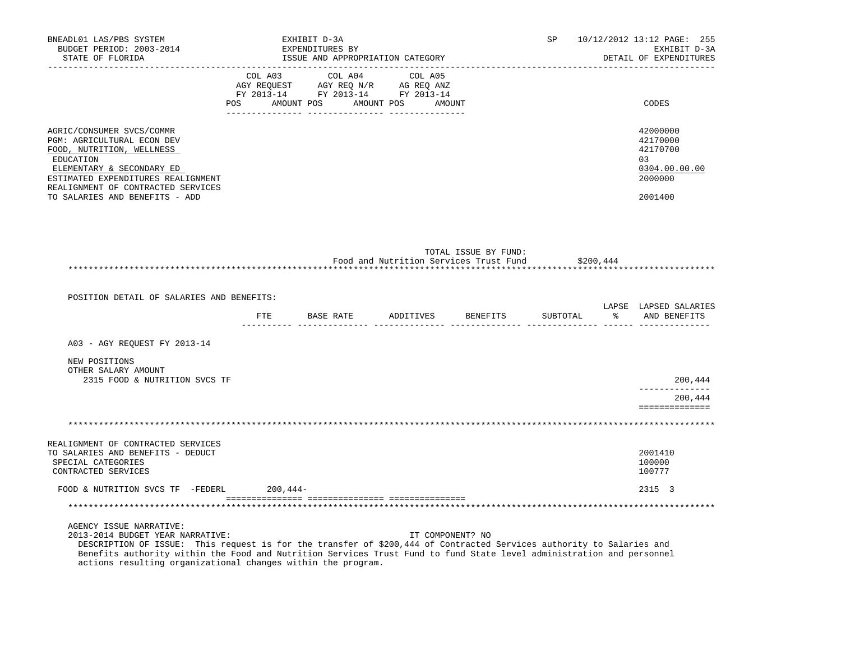| BNEADL01 LAS/PBS SYSTEM<br>BUDGET PERIOD: 2003-2014<br>STATE OF FLORIDA                                                                                                                                                                      |            | EXHIBIT D-3A<br>EXPENDITURES BY<br>ISSUE AND APPROPRIATION CATEGORY  |                                        |                      |           | SP 10/12/2012 13:12 PAGE: 255<br>EXHIBIT D-3A<br>DETAIL OF EXPENDITURES       |
|----------------------------------------------------------------------------------------------------------------------------------------------------------------------------------------------------------------------------------------------|------------|----------------------------------------------------------------------|----------------------------------------|----------------------|-----------|-------------------------------------------------------------------------------|
|                                                                                                                                                                                                                                              |            | FY 2013-14 FY 2013-14 FY 2013-14<br>POS AMOUNT POS AMOUNT POS AMOUNT |                                        |                      |           | CODES                                                                         |
| AGRIC/CONSUMER SVCS/COMMR<br>PGM: AGRICULTURAL ECON DEV<br>FOOD, NUTRITION, WELLNESS<br>EDUCATION<br>ELEMENTARY & SECONDARY ED<br>ESTIMATED EXPENDITURES REALIGNMENT<br>REALIGNMENT OF CONTRACTED SERVICES<br>TO SALARIES AND BENEFITS - ADD |            |                                                                      |                                        |                      |           | 42000000<br>42170000<br>42170700<br>03<br>0304.00.00.00<br>2000000<br>2001400 |
|                                                                                                                                                                                                                                              |            |                                                                      | Food and Nutrition Services Trust Fund | TOTAL ISSUE BY FUND: | \$200,444 |                                                                               |
| POSITION DETAIL OF SALARIES AND BENEFITS:                                                                                                                                                                                                    |            | FTE BASE RATE ADDITIVES BENEFITS                                     |                                        |                      |           | LAPSE LAPSED SALARIES<br>SUBTOTAL % AND BENEFITS                              |
| A03 - AGY REQUEST FY 2013-14                                                                                                                                                                                                                 |            |                                                                      |                                        |                      |           |                                                                               |
| NEW POSITIONS<br>OTHER SALARY AMOUNT<br>2315 FOOD & NUTRITION SVCS TF                                                                                                                                                                        |            |                                                                      |                                        |                      |           | 200,444<br>_____________                                                      |
|                                                                                                                                                                                                                                              |            |                                                                      |                                        |                      |           | 200,444<br>==============                                                     |
|                                                                                                                                                                                                                                              |            |                                                                      |                                        |                      |           |                                                                               |
| REALIGNMENT OF CONTRACTED SERVICES<br>TO SALARIES AND BENEFITS - DEDUCT<br>SPECIAL CATEGORIES<br>CONTRACTED SERVICES                                                                                                                         |            |                                                                      |                                        |                      |           | 2001410<br>100000<br>100777                                                   |
| FOOD & NUTRITION SVCS TF -FEDERL                                                                                                                                                                                                             | $200,444-$ |                                                                      |                                        |                      |           | 2315 3                                                                        |
| ***********************************                                                                                                                                                                                                          |            |                                                                      |                                        |                      |           |                                                                               |
| AGENCY ISSUE NARRATIVE:<br>2013-2014 BUDGET YEAR NARRATIVE:                                                                                                                                                                                  |            |                                                                      | IT COMPONENT? NO                       |                      |           |                                                                               |

 DESCRIPTION OF ISSUE: This request is for the transfer of \$200,444 of Contracted Services authority to Salaries and Benefits authority within the Food and Nutrition Services Trust Fund to fund State level administration and personnel actions resulting organizational changes within the program.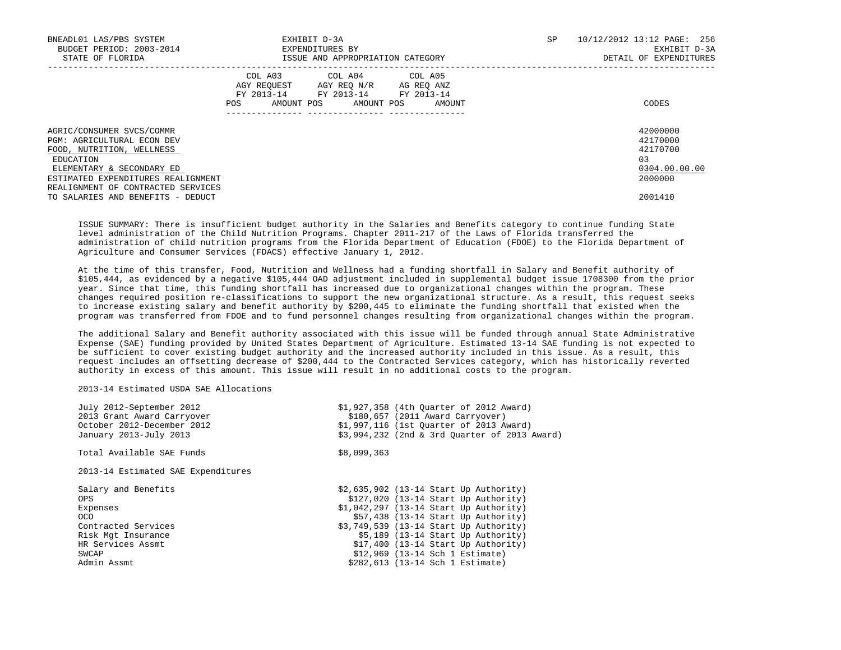| BNEADL01 LAS/PBS SYSTEM<br>BUDGET PERIOD: 2003-2014<br>STATE OF FLORIDA                                                                                                                                           | EXHIBIT D-3A<br>EXPENDITURES BY<br>ISSUE AND APPROPRIATION CATEGORY                                                                            | SP | 10/12/2012 13:12 PAGE: 256<br>EXHIBIT D-3A<br>DETAIL OF EXPENDITURES |
|-------------------------------------------------------------------------------------------------------------------------------------------------------------------------------------------------------------------|------------------------------------------------------------------------------------------------------------------------------------------------|----|----------------------------------------------------------------------|
|                                                                                                                                                                                                                   | COL A03 COL A04 COL A05<br>AGY REQUEST AGY REO N/R AG REO ANZ<br>FY 2013-14 FY 2013-14 FY 2013-14<br>AMOUNT POS<br>POS<br>AMOUNT POS<br>AMOUNT |    | CODES                                                                |
| AGRIC/CONSUMER SVCS/COMMR<br><b>PGM: AGRICULTURAL ECON DEV</b><br>FOOD, NUTRITION, WELLNESS<br>EDUCATION<br>ELEMENTARY & SECONDARY ED<br>ESTIMATED EXPENDITURES REALIGNMENT<br>REALIGNMENT OF CONTRACTED SERVICES |                                                                                                                                                |    | 42000000<br>42170000<br>42170700<br>03<br>0304.00.00.00<br>2000000   |
| TO SALARIES AND BENEFITS - DEDUCT                                                                                                                                                                                 |                                                                                                                                                |    | 2001410                                                              |

 ISSUE SUMMARY: There is insufficient budget authority in the Salaries and Benefits category to continue funding State level administration of the Child Nutrition Programs. Chapter 2011-217 of the Laws of Florida transferred the administration of child nutrition programs from the Florida Department of Education (FDOE) to the Florida Department of Agriculture and Consumer Services (FDACS) effective January 1, 2012.

 At the time of this transfer, Food, Nutrition and Wellness had a funding shortfall in Salary and Benefit authority of \$105,444, as evidenced by a negative \$105,444 OAD adjustment included in supplemental budget issue 1708300 from the prior year. Since that time, this funding shortfall has increased due to organizational changes within the program. These changes required position re-classifications to support the new organizational structure. As a result, this request seeks to increase existing salary and benefit authority by \$200,445 to eliminate the funding shortfall that existed when the program was transferred from FDOE and to fund personnel changes resulting from organizational changes within the program.

 The additional Salary and Benefit authority associated with this issue will be funded through annual State Administrative Expense (SAE) funding provided by United States Department of Agriculture. Estimated 13-14 SAE funding is not expected to be sufficient to cover existing budget authority and the increased authority included in this issue. As a result, this request includes an offsetting decrease of \$200,444 to the Contracted Services category, which has historically reverted authority in excess of this amount. This issue will result in no additional costs to the program.

# 2013-14 Estimated USDA SAE Allocations

| July 2012-September 2012           | \$1,927,358 (4th Ouarter of 2012 Award)       |
|------------------------------------|-----------------------------------------------|
| 2013 Grant Award Carryover         | \$180,657 (2011 Award Carryover)              |
| October 2012-December 2012         | \$1,997,116 (1st Ouarter of 2013 Award)       |
| January 2013-July 2013             | \$3,994,232 (2nd & 3rd Ouarter of 2013 Award) |
| Total Available SAE Funds          | \$8,099,363                                   |
| 2013-14 Estimated SAE Expenditures |                                               |
| Salary and Benefits                | $$2,635,902$ (13-14 Start Up Authority)       |
| <b>OPS</b>                         | $$127,020$ (13-14 Start Up Authority)         |
| Expenses                           | $$1,042,297$ (13-14 Start Up Authority)       |
| OCO.                               | $$57,438$ (13-14 Start Up Authority)          |
| Contracted Services                | \$3,749,539 (13-14 Start Up Authority)        |
| Risk Mgt Insurance                 | $$5,189$ (13-14 Start Up Authority)           |
| HR Services Assmt                  | $$17,400$ (13-14 Start Up Authority)          |
| SWCAP                              | \$12,969 (13-14 Sch 1 Estimate)               |
| Admin Assmt                        | \$282,613 (13-14 Sch 1 Estimate)              |
|                                    |                                               |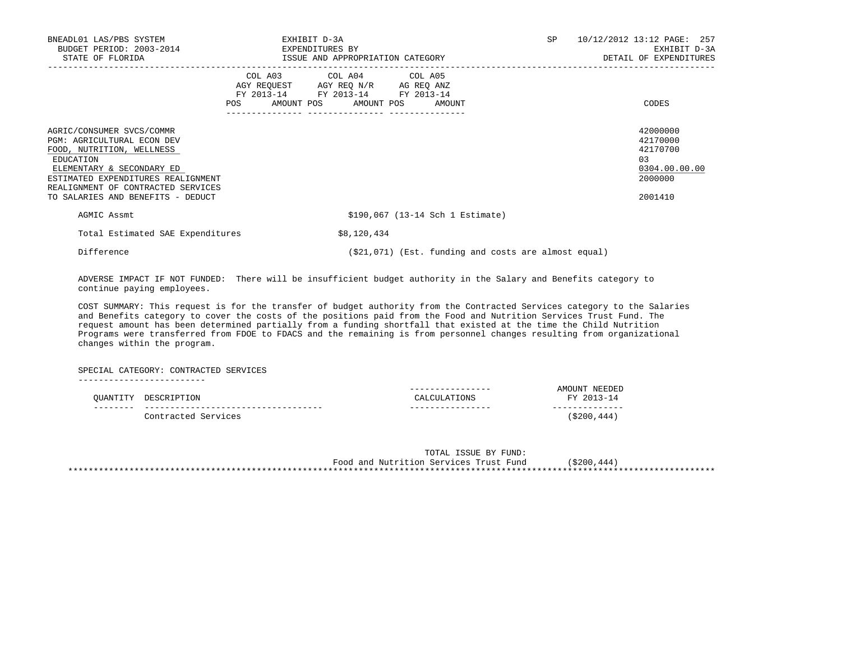| BNEADL01 LAS/PBS SYSTEM<br>BUDGET PERIOD: 2003-2014 EXPENDITURES BY<br>STATE OF FLORIDA                                                                                                                                                         | EXHIBIT D-3A<br><b>SP</b><br>ISSUE AND APPROPRIATION CATEGORY                                                                                                                                                                                       | 10/12/2012 13:12 PAGE: 257<br>EXHIBIT D-3A<br>DETAIL OF EXPENDITURES           |
|-------------------------------------------------------------------------------------------------------------------------------------------------------------------------------------------------------------------------------------------------|-----------------------------------------------------------------------------------------------------------------------------------------------------------------------------------------------------------------------------------------------------|--------------------------------------------------------------------------------|
|                                                                                                                                                                                                                                                 | COL A03 COL A04 COL A05<br>AGY REQUEST AGY REQ N/R AG REQ ANZ<br>FY 2013-14 FY 2013-14 FY 2013-14<br>POS FOR THE POST OF THE STATE STATE STATE STATE STATE STATE STATE STATE STATE STATE STATE STATE STATE STATE ST<br>AMOUNT POS AMOUNT POS AMOUNT | CODES                                                                          |
| AGRIC/CONSUMER SVCS/COMMR<br>PGM: AGRICULTURAL ECON DEV<br>FOOD, NUTRITION, WELLNESS<br>EDUCATION<br>ELEMENTARY & SECONDARY ED<br>ESTIMATED EXPENDITURES REALIGNMENT<br>REALIGNMENT OF CONTRACTED SERVICES<br>TO SALARIES AND BENEFITS - DEDUCT |                                                                                                                                                                                                                                                     | 42000000<br>42170000<br>42170700<br>0.3<br>0304.00.00.00<br>2000000<br>2001410 |
| AGMIC Assmt                                                                                                                                                                                                                                     | \$190,067 (13-14 Sch 1 Estimate)                                                                                                                                                                                                                    |                                                                                |
| Total Estimated SAE Expenditures                                                                                                                                                                                                                | \$8,120,434                                                                                                                                                                                                                                         |                                                                                |
| Difference                                                                                                                                                                                                                                      | (\$21,071) (Est. funding and costs are almost equal)                                                                                                                                                                                                |                                                                                |

 ADVERSE IMPACT IF NOT FUNDED: There will be insufficient budget authority in the Salary and Benefits category to continue paying employees.

 COST SUMMARY: This request is for the transfer of budget authority from the Contracted Services category to the Salaries and Benefits category to cover the costs of the positions paid from the Food and Nutrition Services Trust Fund. The request amount has been determined partially from a funding shortfall that existed at the time the Child Nutrition Programs were transferred from FDOE to FDACS and the remaining is from personnel changes resulting from organizational changes within the program.

 SPECIAL CATEGORY: CONTRACTED SERVICES -------------------------

|          |                     | ---<br>.                    | NEEDED<br>\ T\AT.                         |
|----------|---------------------|-----------------------------|-------------------------------------------|
| QUANTITY | DESCRIPTION         | TONS<br>$\cap$ $\Delta$ T.( | <b>FV</b><br>$2013 - 1$<br>$\overline{ }$ |
|          |                     |                             |                                           |
|          | Contracted Services |                             | 444<br>\$200                              |

|                                        | TOTAL ISSUE BY FUND: |             |
|----------------------------------------|----------------------|-------------|
| Food and Nutrition Services Trust Fund |                      | (\$200,444) |
|                                        |                      |             |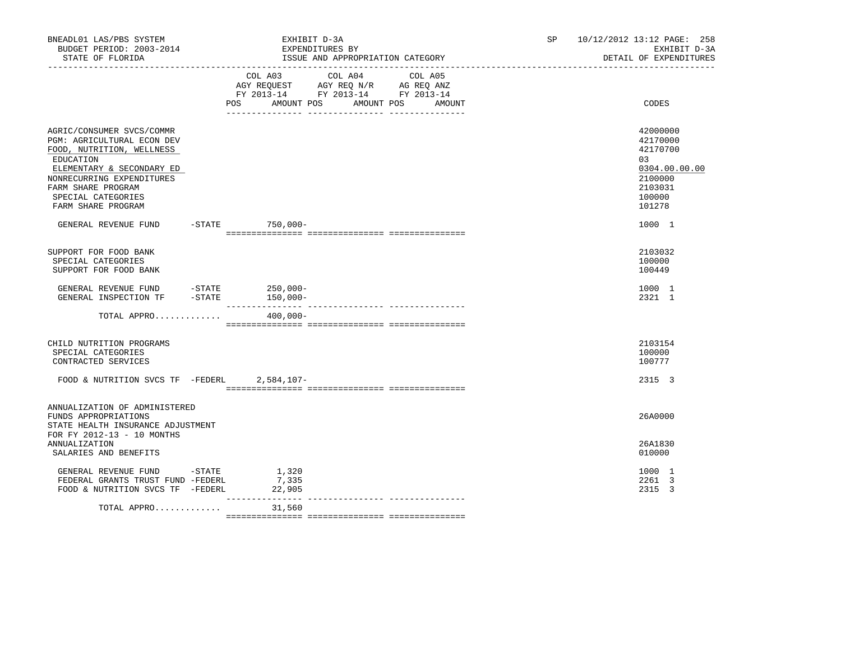| BNEADL01 LAS/PBS SYSTEM<br>BUDGET PERIOD: 2003-2014<br>STATE OF FLORIDA                                                                                                                                                       |                            | EXHIBIT D-3A<br>EXPENDITURES BY<br>ISSUE AND APPROPRIATION CATEGORY                                        | SP.               | 10/12/2012 13:12 PAGE: 258<br>EXHIBIT D-3A<br>DETAIL OF EXPENDITURES |                                                                                                   |
|-------------------------------------------------------------------------------------------------------------------------------------------------------------------------------------------------------------------------------|----------------------------|------------------------------------------------------------------------------------------------------------|-------------------|----------------------------------------------------------------------|---------------------------------------------------------------------------------------------------|
|                                                                                                                                                                                                                               | COL A03<br>POS             | COL A04<br>AGY REQUEST AGY REQ N/R AG REQ ANZ<br>FY 2013-14 FY 2013-14 FY 2013-14<br>AMOUNT POS AMOUNT POS | COL A05<br>AMOUNT |                                                                      | CODES                                                                                             |
| AGRIC/CONSUMER SVCS/COMMR<br>PGM: AGRICULTURAL ECON DEV<br>FOOD, NUTRITION, WELLNESS<br>EDUCATION<br>ELEMENTARY & SECONDARY ED<br>NONRECURRING EXPENDITURES<br>FARM SHARE PROGRAM<br>SPECIAL CATEGORIES<br>FARM SHARE PROGRAM |                            |                                                                                                            |                   |                                                                      | 42000000<br>42170000<br>42170700<br>03<br>0304.00.00.00<br>2100000<br>2103031<br>100000<br>101278 |
| GENERAL REVENUE FUND                                                                                                                                                                                                          | -STATE 750,000-            |                                                                                                            |                   |                                                                      | 1000 1                                                                                            |
| SUPPORT FOR FOOD BANK<br>SPECIAL CATEGORIES<br>SUPPORT FOR FOOD BANK                                                                                                                                                          |                            |                                                                                                            |                   |                                                                      | 2103032<br>100000<br>100449                                                                       |
| GENERAL REVENUE FUND -STATE 250,000-<br>GENERAL INSPECTION TF -STATE 150,000-                                                                                                                                                 |                            |                                                                                                            |                   |                                                                      | 1000 1<br>2321 1                                                                                  |
| TOTAL APPRO                                                                                                                                                                                                                   | 400,000-                   |                                                                                                            |                   |                                                                      |                                                                                                   |
| CHILD NUTRITION PROGRAMS<br>SPECIAL CATEGORIES<br>CONTRACTED SERVICES                                                                                                                                                         |                            |                                                                                                            |                   |                                                                      | 2103154<br>100000<br>100777                                                                       |
| FOOD & NUTRITION SVCS TF -FEDERL                                                                                                                                                                                              | $2.584.107 -$              |                                                                                                            |                   |                                                                      | 2315 3                                                                                            |
| ANNUALIZATION OF ADMINISTERED<br>FUNDS APPROPRIATIONS<br>STATE HEALTH INSURANCE ADJUSTMENT<br>FOR FY 2012-13 - 10 MONTHS                                                                                                      |                            |                                                                                                            |                   |                                                                      | 26A0000                                                                                           |
| <b>ANNUALIZATION</b><br>SALARIES AND BENEFITS                                                                                                                                                                                 |                            |                                                                                                            |                   |                                                                      | 26A1830<br>010000                                                                                 |
| GENERAL REVENUE FUND - STATE<br>FEDERAL GRANTS TRUST FUND -FEDERL<br>FOOD & NUTRITION SVCS TF -FEDERL                                                                                                                         | 1,320<br>7,335<br>22,905   |                                                                                                            |                   |                                                                      | 1000 1<br>2261 3<br>2315 3                                                                        |
| TOTAL APPRO                                                                                                                                                                                                                   | ________________<br>31,560 |                                                                                                            |                   |                                                                      |                                                                                                   |

=============== =============== ===============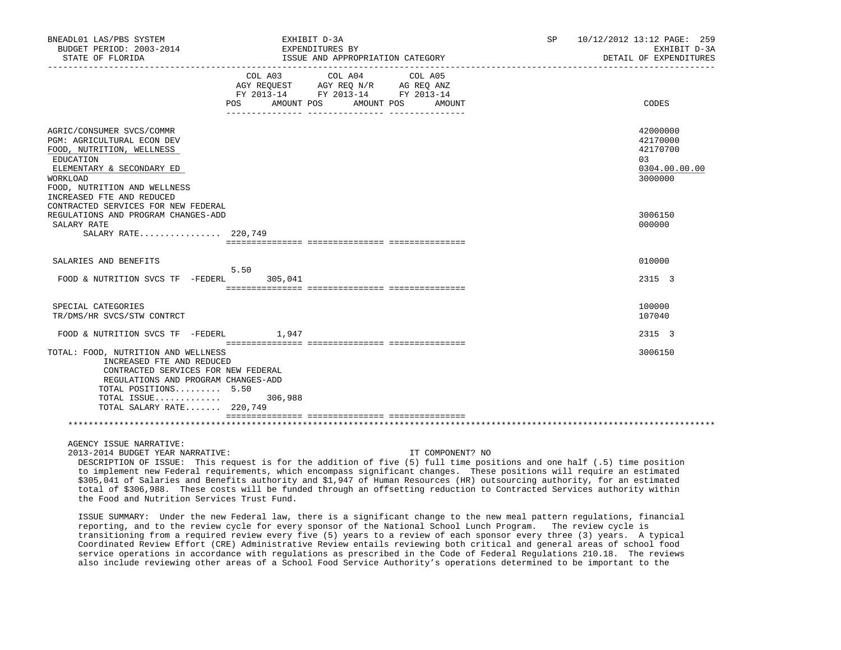| BNEADL01 LAS/PBS SYSTEM<br>BUDGET PERIOD: 2003-2014<br>STATE OF FLORIDA                                                                                                                                            | EXHIBIT D-3A<br>EXPENDITURES BY                                                                                                | ISSUE AND APPROPRIATION CATEGORY |        | SP <sub>2</sub> | 10/12/2012 13:12 PAGE: 259<br>EXHIBIT D-3A<br>DETAIL OF EXPENDITURES |  |
|--------------------------------------------------------------------------------------------------------------------------------------------------------------------------------------------------------------------|--------------------------------------------------------------------------------------------------------------------------------|----------------------------------|--------|-----------------|----------------------------------------------------------------------|--|
|                                                                                                                                                                                                                    | COL A03 COL A04 COL A05<br>AGY REQUEST AGY REQ N/R AG REQ ANZ<br>FY 2013-14 FY 2013-14 FY 2013-14<br>POS AMOUNT POS AMOUNT POS |                                  | AMOUNT |                 | CODES                                                                |  |
| AGRIC/CONSUMER SVCS/COMMR<br><b>PGM: AGRICULTURAL ECON DEV</b><br>FOOD, NUTRITION, WELLNESS<br>EDUCATION<br>ELEMENTARY & SECONDARY ED<br>WORKLOAD<br>FOOD, NUTRITION AND WELLNESS                                  |                                                                                                                                |                                  |        |                 | 42000000<br>42170000<br>42170700<br>0.3<br>0304.00.00.00<br>3000000  |  |
| INCREASED FTE AND REDUCED<br>CONTRACTED SERVICES FOR NEW FEDERAL<br>REGULATIONS AND PROGRAM CHANGES-ADD<br>SALARY RATE<br>SALARY RATE 220,749                                                                      |                                                                                                                                |                                  |        |                 | 3006150<br>000000                                                    |  |
| SALARIES AND BENEFITS                                                                                                                                                                                              |                                                                                                                                |                                  |        |                 | 010000                                                               |  |
| FOOD & NUTRITION SVCS TF -FEDERL 305,041                                                                                                                                                                           | 5.50                                                                                                                           |                                  |        |                 | 2315 3                                                               |  |
| SPECIAL CATEGORIES<br>TR/DMS/HR SVCS/STW CONTRCT                                                                                                                                                                   |                                                                                                                                |                                  |        |                 | 100000<br>107040                                                     |  |
| FOOD & NUTRITION SVCS TF $-FEDERL$ 1,947                                                                                                                                                                           |                                                                                                                                |                                  |        |                 | 2315 3                                                               |  |
| TOTAL: FOOD, NUTRITION AND WELLNESS<br>INCREASED FTE AND REDUCED<br>CONTRACTED SERVICES FOR NEW FEDERAL<br>REGULATIONS AND PROGRAM CHANGES-ADD<br>TOTAL POSITIONS 5.50<br>TOTAL ISSUE<br>TOTAL SALARY RATE 220,749 | 306,988                                                                                                                        |                                  |        |                 | 3006150                                                              |  |
|                                                                                                                                                                                                                    |                                                                                                                                |                                  |        |                 |                                                                      |  |

AGENCY ISSUE NARRATIVE:

2013-2014 BUDGET YEAR NARRATIVE: IT COMPONENT? NO

 DESCRIPTION OF ISSUE: This request is for the addition of five (5) full time positions and one half (.5) time position to implement new Federal requirements, which encompass significant changes. These positions will require an estimated \$305,041 of Salaries and Benefits authority and \$1,947 of Human Resources (HR) outsourcing authority, for an estimated total of \$306,988. These costs will be funded through an offsetting reduction to Contracted Services authority within the Food and Nutrition Services Trust Fund.

 ISSUE SUMMARY: Under the new Federal law, there is a significant change to the new meal pattern regulations, financial reporting, and to the review cycle for every sponsor of the National School Lunch Program. The review cycle is transitioning from a required review every five (5) years to a review of each sponsor every three (3) years. A typical Coordinated Review Effort (CRE) Administrative Review entails reviewing both critical and general areas of school food service operations in accordance with regulations as prescribed in the Code of Federal Regulations 210.18. The reviews also include reviewing other areas of a School Food Service Authority's operations determined to be important to the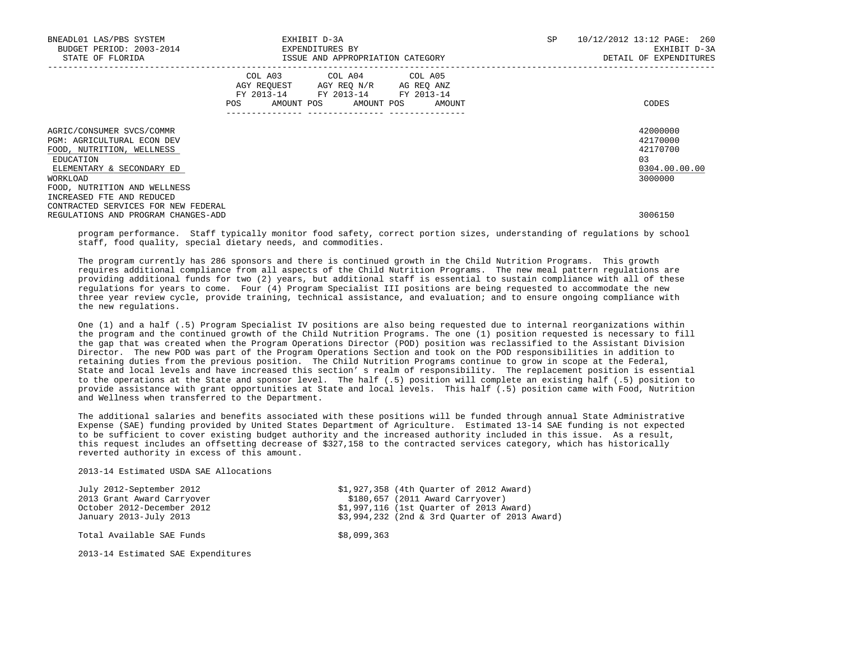| BNEADL01 LAS/PBS SYSTEM<br>BUDGET PERIOD: 2003-2014<br>STATE OF FLORIDA                                                                                                           | EXHIBIT D-3A<br>EXPENDITURES BY<br>ISSUE AND APPROPRIATION CATEGORY                                                               | 10/12/2012 13:12 PAGE: 260<br>SP<br>EXHIBIT D-3A<br>DETAIL OF EXPENDITURES |
|-----------------------------------------------------------------------------------------------------------------------------------------------------------------------------------|-----------------------------------------------------------------------------------------------------------------------------------|----------------------------------------------------------------------------|
|                                                                                                                                                                                   | COL A03 COL A04 COL A05<br>AGY REQUEST AGY REQ N/R AG REQ ANZ<br>FY 2013-14 FY 2013-14 FY 2013-14<br>AMOUNT POS AMOUNT POS<br>POS | CODES<br>AMOUNT                                                            |
| AGRIC/CONSUMER SVCS/COMMR<br><b>PGM: AGRICULTURAL ECON DEV</b><br>FOOD, NUTRITION, WELLNESS<br>EDUCATION<br>ELEMENTARY & SECONDARY ED<br>WORKLOAD<br>FOOD, NUTRITION AND WELLNESS |                                                                                                                                   | 42000000<br>42170000<br>42170700<br>0.3<br>0304.00.00.00<br>3000000        |
| INCREASED FTE AND REDUCED<br>CONTRACTED SERVICES FOR NEW FEDERAL<br>REGULATIONS AND PROGRAM CHANGES-ADD                                                                           |                                                                                                                                   | 3006150                                                                    |

 program performance. Staff typically monitor food safety, correct portion sizes, understanding of regulations by school staff, food quality, special dietary needs, and commodities.

 The program currently has 286 sponsors and there is continued growth in the Child Nutrition Programs. This growth requires additional compliance from all aspects of the Child Nutrition Programs. The new meal pattern regulations are providing additional funds for two (2) years, but additional staff is essential to sustain compliance with all of these regulations for years to come. Four (4) Program Specialist III positions are being requested to accommodate the new three year review cycle, provide training, technical assistance, and evaluation; and to ensure ongoing compliance with the new regulations.

 One (1) and a half (.5) Program Specialist IV positions are also being requested due to internal reorganizations within the program and the continued growth of the Child Nutrition Programs. The one (1) position requested is necessary to fill the gap that was created when the Program Operations Director (POD) position was reclassified to the Assistant Division Director. The new POD was part of the Program Operations Section and took on the POD responsibilities in addition to retaining duties from the previous position. The Child Nutrition Programs continue to grow in scope at the Federal, State and local levels and have increased this section' s realm of responsibility. The replacement position is essential to the operations at the State and sponsor level. The half (.5) position will complete an existing half (.5) position to provide assistance with grant opportunities at State and local levels. This half (.5) position came with Food, Nutrition and Wellness when transferred to the Department.

 The additional salaries and benefits associated with these positions will be funded through annual State Administrative Expense (SAE) funding provided by United States Department of Agriculture. Estimated 13-14 SAE funding is not expected to be sufficient to cover existing budget authority and the increased authority included in this issue. As a result, this request includes an offsetting decrease of \$327,158 to the contracted services category, which has historically reverted authority in excess of this amount.

2013-14 Estimated USDA SAE Allocations

| July 2012-September 2012           |             | \$1,927,358 (4th Ouarter of 2012 Award)       |
|------------------------------------|-------------|-----------------------------------------------|
| 2013 Grant Award Carryover         |             | $$180,657$ (2011 Award Carryover)             |
| October 2012-December 2012         |             | \$1,997,116 (1st Ouarter of 2013 Award)       |
| January 2013-July 2013             |             | \$3,994,232 (2nd & 3rd Ouarter of 2013 Award) |
| Total Available SAE Funds          | \$8,099,363 |                                               |
|                                    |             |                                               |
| 2012 14 Fetimated CAF Funeraitween |             |                                               |

2013-14 Estimated SAE Expenditures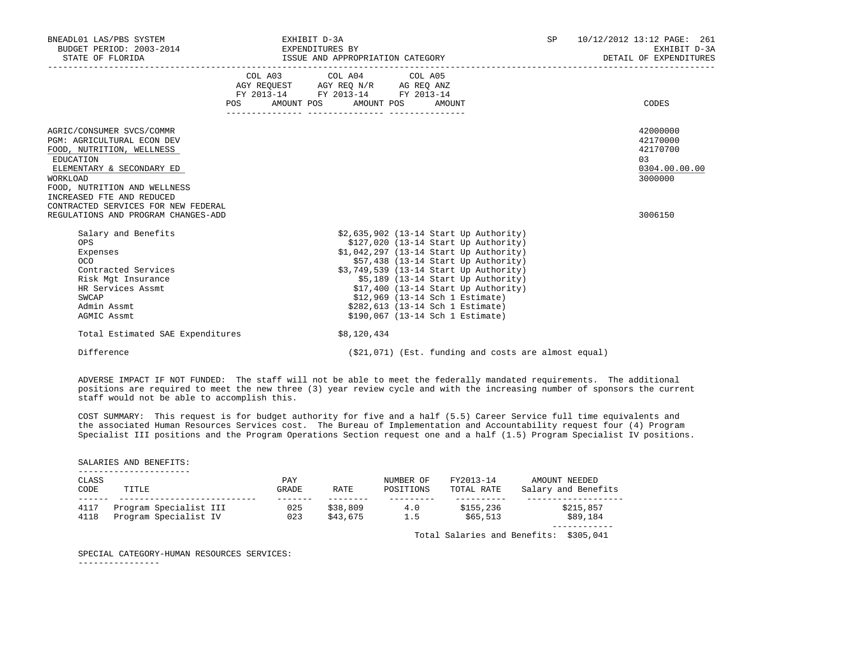| BNEADL01 LAS/PBS SYSTEM<br>BUDGET PERIOD: 2003-2014 EXPENDITURES BY                                                                                                                                                                            |         | EXHIBIT D-3A                                                                                                               |                                                                                                                                                                                                                                                                                                                                                                                                       | SP and the set of the set of the set of the set of the set of the set of the set of the set of the set of the set of the set of the set of the set of the set of the set of the set of the set of the set of the set of the se | 10/12/2012 13:12 PAGE: 261<br>EXHIBIT D-3A                         |
|------------------------------------------------------------------------------------------------------------------------------------------------------------------------------------------------------------------------------------------------|---------|----------------------------------------------------------------------------------------------------------------------------|-------------------------------------------------------------------------------------------------------------------------------------------------------------------------------------------------------------------------------------------------------------------------------------------------------------------------------------------------------------------------------------------------------|--------------------------------------------------------------------------------------------------------------------------------------------------------------------------------------------------------------------------------|--------------------------------------------------------------------|
|                                                                                                                                                                                                                                                | POS FOR | COL A03 COL A04 COL A05<br>AGY REQUEST AGY REQ N/R AG REQ ANZ<br>FY 2013-14 FY 2013-14 FY 2013-14<br>AMOUNT POS AMOUNT POS | AMOUNT                                                                                                                                                                                                                                                                                                                                                                                                |                                                                                                                                                                                                                                | CODES                                                              |
| AGRIC/CONSUMER SVCS/COMMR<br>PGM: AGRICULTURAL ECON DEV<br>FOOD, NUTRITION, WELLNESS<br>EDUCATION<br>ELEMENTARY & SECONDARY ED<br>WORKLOAD<br>FOOD, NUTRITION AND WELLNESS<br>INCREASED FTE AND REDUCED<br>CONTRACTED SERVICES FOR NEW FEDERAL |         |                                                                                                                            |                                                                                                                                                                                                                                                                                                                                                                                                       |                                                                                                                                                                                                                                | 42000000<br>42170000<br>42170700<br>03<br>0304.00.00.00<br>3000000 |
| REGULATIONS AND PROGRAM CHANGES-ADD                                                                                                                                                                                                            |         |                                                                                                                            |                                                                                                                                                                                                                                                                                                                                                                                                       |                                                                                                                                                                                                                                | 3006150                                                            |
| Salary and Benefits<br>OPS.<br>Expenses<br>OCO<br>Contracted Services<br>Risk Mgt Insurance<br>HR Services Assmt<br>SWCAP<br>Admin Assmt<br>AGMIC Assmt<br>Total Estimated SAE Expenditures                                                    |         | \$8,120,434                                                                                                                | \$2,635,902 (13-14 Start Up Authority)<br>$$127,020$ (13-14 Start Up Authority)<br>\$1,042,297 (13-14 Start Up Authority)<br>$$57,438$ (13-14 Start Up Authority)<br>\$3,749,539 (13-14 Start Up Authority)<br>$$5,189$ (13-14 Start Up Authority)<br>$$17,400$ (13-14 Start Up Authority)<br>\$12,969 (13-14 Sch 1 Estimate)<br>\$282,613 (13-14 Sch 1 Estimate)<br>\$190,067 (13-14 Sch 1 Estimate) |                                                                                                                                                                                                                                |                                                                    |
| Difference                                                                                                                                                                                                                                     |         |                                                                                                                            | $(21, 071)$ (Est. funding and costs are almost equal)                                                                                                                                                                                                                                                                                                                                                 |                                                                                                                                                                                                                                |                                                                    |

 ADVERSE IMPACT IF NOT FUNDED: The staff will not be able to meet the federally mandated requirements. The additional positions are required to meet the new three (3) year review cycle and with the increasing number of sponsors the current staff would not be able to accomplish this.

 COST SUMMARY: This request is for budget authority for five and a half (5.5) Career Service full time equivalents and the associated Human Resources Services cost. The Bureau of Implementation and Accountability request four (4) Program Specialist III positions and the Program Operations Section request one and a half (1.5) Program Specialist IV positions.

 ---------------------- CLASS PAY NUMBER OF FY2013-14 AMOUNT NEEDED POSITIONS TOTAL RATE Salary and Benefits ------ --------------------------- ------- -------- --------- ---------- ------------------- 4117 Program Specialist III 025 \$38,809 4.0 \$155,236 \$215,857 4118 Program Specialist IV 023 \$43,675 1.5 \$65,513 \$89,184 ------------

Total Salaries and Benefits: \$305,041

SPECIAL CATEGORY-HUMAN RESOURCES SERVICES:

----------------

SALARIES AND BENEFITS: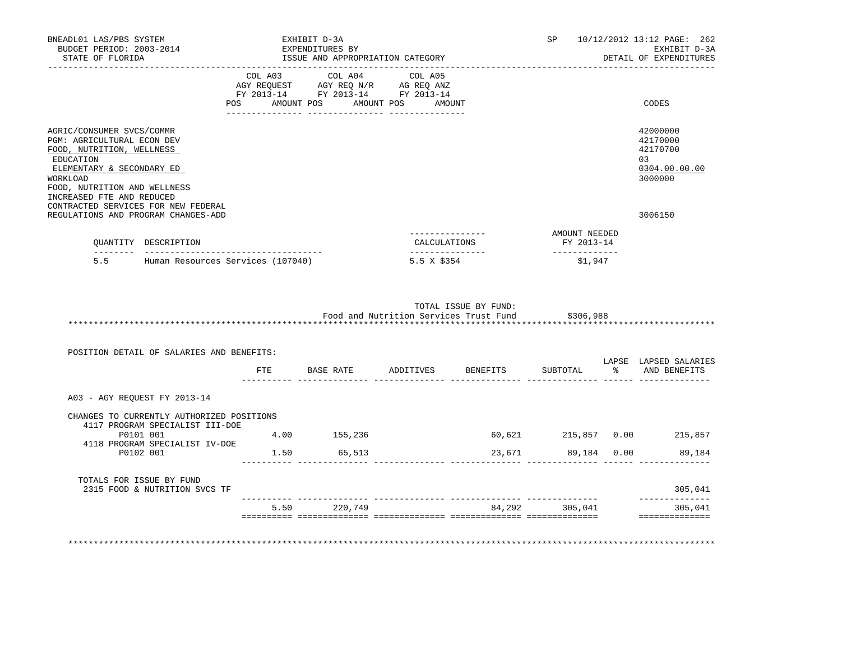|                                                                                                                                                                                                                                                                                                                                            |                                                                                                   |             |                                                                                                                                                                                                              |                                                                | 10/12/2012 13:12 PAGE: 262<br>EXHIBIT D-3A<br>DETAIL OF EXPENDITURES                                                                                                                                                                                                       |
|--------------------------------------------------------------------------------------------------------------------------------------------------------------------------------------------------------------------------------------------------------------------------------------------------------------------------------------------|---------------------------------------------------------------------------------------------------|-------------|--------------------------------------------------------------------------------------------------------------------------------------------------------------------------------------------------------------|----------------------------------------------------------------|----------------------------------------------------------------------------------------------------------------------------------------------------------------------------------------------------------------------------------------------------------------------------|
|                                                                                                                                                                                                                                                                                                                                            |                                                                                                   |             |                                                                                                                                                                                                              |                                                                | CODES                                                                                                                                                                                                                                                                      |
|                                                                                                                                                                                                                                                                                                                                            |                                                                                                   |             |                                                                                                                                                                                                              |                                                                | 42000000<br>42170000<br>42170700<br>0.3<br>0304.00.00.00<br>3000000<br>3006150                                                                                                                                                                                             |
|                                                                                                                                                                                                                                                                                                                                            |                                                                                                   |             |                                                                                                                                                                                                              |                                                                |                                                                                                                                                                                                                                                                            |
|                                                                                                                                                                                                                                                                                                                                            |                                                                                                   | 5.5 X \$354 |                                                                                                                                                                                                              | \$1,947                                                        |                                                                                                                                                                                                                                                                            |
|                                                                                                                                                                                                                                                                                                                                            |                                                                                                   |             |                                                                                                                                                                                                              |                                                                |                                                                                                                                                                                                                                                                            |
| BNEADL01 LAS/PBS SYSTEM<br>STATE OF FLORIDA<br>AGRIC/CONSUMER SVCS/COMMR<br><b>PGM: AGRICULTURAL ECON DEV</b><br>FOOD, NUTRITION, WELLNESS<br>ELEMENTARY & SECONDARY ED<br>FOOD, NUTRITION AND WELLNESS<br>INCREASED FTE AND REDUCED<br>CONTRACTED SERVICES FOR NEW FEDERAL<br>REGULATIONS AND PROGRAM CHANGES-ADD<br>OUANTITY DESCRIPTION | EXHIBIT D-3A<br>BUDGET PERIOD: 2003-2014 EXPENDITURES BY<br>5.5 Human Resources Services (107040) |             | ISSUE AND APPROPRIATION CATEGORY<br>COL A03 COL A04 COL A05<br>AGY REQUEST AGY REQ N/R AG REQ ANZ<br>FY 2013-14 FY 2013-14 FY 2013-14<br>POS AMOUNT POS AMOUNT POS AMOUNT<br>CALCULATIONS<br>--------------- | TOTAL ISSUE BY FUND:<br>Food and Nutrition Services Trust Fund | SP and the set of the set of the set of the set of the set of the set of the set of the set of the set of the set of the set of the set of the set of the set of the set of the set of the set of the set of the set of the se<br>AMOUNT NEEDED<br>FY 2013-14<br>\$306,988 |

| POSITION DETAIL OF SALARIES AND BENEFITS:                                    |      |           |           |          |              | LAPSE         | LAPSED SALARIES |
|------------------------------------------------------------------------------|------|-----------|-----------|----------|--------------|---------------|-----------------|
|                                                                              | FTE  | BASE RATE | ADDITIVES | BENEFITS | SUBTOTAL     | $\frac{1}{2}$ | AND BENEFITS    |
| A03 - AGY REQUEST FY 2013-14                                                 |      |           |           |          |              |               |                 |
| CHANGES TO CURRENTLY AUTHORIZED POSITIONS<br>4117 PROGRAM SPECIALIST III-DOE |      |           |           |          |              |               |                 |
| P0101 001<br>4118 PROGRAM SPECIALIST IV-DOE                                  | 4.00 | 155,236   |           | 60,621   | 215,857 0.00 |               | 215,857         |
| P0102 001                                                                    | 1.50 | 65,513    |           | 23,671   | 89,184 0.00  |               | 89,184          |
| TOTALS FOR ISSUE BY FUND<br>2315 FOOD & NUTRITION SVCS TF                    |      |           |           |          |              |               | 305,041         |
|                                                                              | 5.50 | 220,749   |           | 84,292   | 305,041      |               | 305,041         |

\*\*\*\*\*\*\*\*\*\*\*\*\*\*\*\*\*\*\*\*\*\*\*\*\*\*\*\*\*\*\*\*\*\*\*\*\*\*\*\*\*\*\*\*\*\*\*\*\*\*\*\*\*\*\*\*\*\*\*\*\*\*\*\*\*\*\*\*\*\*\*\*\*\*\*\*\*\*\*\*\*\*\*\*\*\*\*\*\*\*\*\*\*\*\*\*\*\*\*\*\*\*\*\*\*\*\*\*\*\*\*\*\*\*\*\*\*\*\*\*\*\*\*\*\*\*\*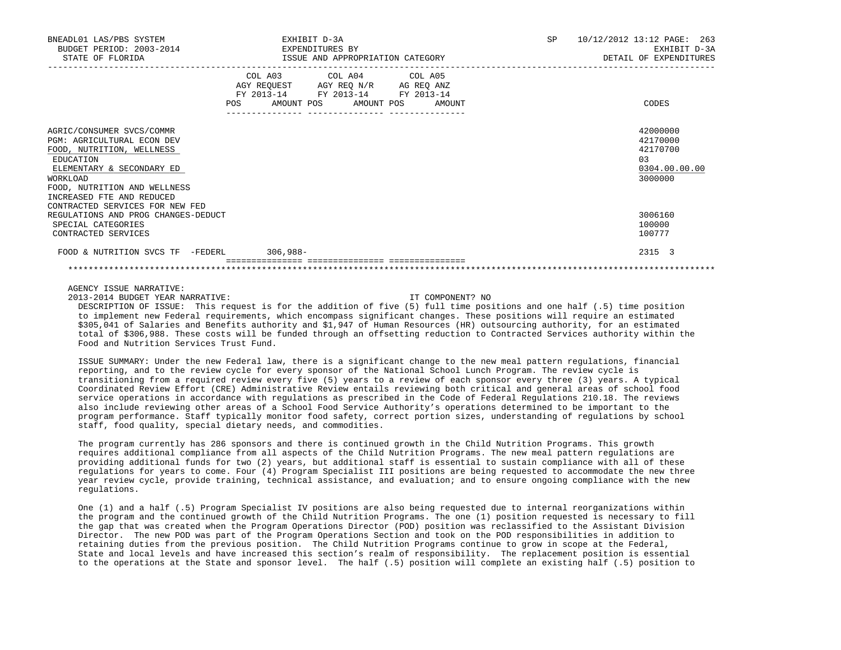| BNEADL01 LAS/PBS SYSTEM<br>BUDGET PERIOD: 2003-2014 EXPENDITURES BY<br>STATE OF FLORIDA                                                                                                                 | EXHIBIT D-3A<br>ISSUE AND APPROPRIATION CATEGORY                                                                                      | 10/12/2012 13:12 PAGE: 263<br>SP and the set of the set of the set of the set of the set of the set of the set of the set of the set of the set of the set of the set of the set of the set of the set of the set of the set of the set of the set of the se<br>EXHIBIT D-3A<br>DETAIL OF EXPENDITURES |
|---------------------------------------------------------------------------------------------------------------------------------------------------------------------------------------------------------|---------------------------------------------------------------------------------------------------------------------------------------|--------------------------------------------------------------------------------------------------------------------------------------------------------------------------------------------------------------------------------------------------------------------------------------------------------|
|                                                                                                                                                                                                         | COL A03 COL A04 COL A05<br>AGY REQUEST AGY REQ N/R AG REQ ANZ<br>FY 2013-14 FY 2013-14 FY 2013-14<br>POS AMOUNT POS AMOUNT POS AMOUNT | CODES                                                                                                                                                                                                                                                                                                  |
| AGRIC/CONSUMER SVCS/COMMR<br>PGM: AGRICULTURAL ECON DEV<br>FOOD, NUTRITION, WELLNESS<br>EDUCATION<br>ELEMENTARY & SECONDARY ED<br>WORKLOAD<br>FOOD, NUTRITION AND WELLNESS<br>INCREASED FTE AND REDUCED |                                                                                                                                       | 42000000<br>42170000<br>42170700<br>0.3<br>0304.00.00.00<br>3000000                                                                                                                                                                                                                                    |
| CONTRACTED SERVICES FOR NEW FED<br>REGULATIONS AND PROG CHANGES-DEDUCT<br>SPECIAL CATEGORIES<br>CONTRACTED SERVICES                                                                                     |                                                                                                                                       | 3006160<br>100000<br>100777                                                                                                                                                                                                                                                                            |
| FOOD & NUTRITION SVCS TF -FEDERL 306,988-                                                                                                                                                               |                                                                                                                                       | 2315 3                                                                                                                                                                                                                                                                                                 |
|                                                                                                                                                                                                         |                                                                                                                                       |                                                                                                                                                                                                                                                                                                        |

AGENCY ISSUE NARRATIVE:

2013-2014 BUDGET YEAR NARRATIVE: IT COMPONENT? NO

 DESCRIPTION OF ISSUE: This request is for the addition of five (5) full time positions and one half (.5) time position to implement new Federal requirements, which encompass significant changes. These positions will require an estimated \$305,041 of Salaries and Benefits authority and \$1,947 of Human Resources (HR) outsourcing authority, for an estimated total of \$306,988. These costs will be funded through an offsetting reduction to Contracted Services authority within the Food and Nutrition Services Trust Fund.

 ISSUE SUMMARY: Under the new Federal law, there is a significant change to the new meal pattern regulations, financial reporting, and to the review cycle for every sponsor of the National School Lunch Program. The review cycle is transitioning from a required review every five (5) years to a review of each sponsor every three (3) years. A typical Coordinated Review Effort (CRE) Administrative Review entails reviewing both critical and general areas of school food service operations in accordance with regulations as prescribed in the Code of Federal Regulations 210.18. The reviews also include reviewing other areas of a School Food Service Authority's operations determined to be important to the program performance. Staff typically monitor food safety, correct portion sizes, understanding of regulations by school staff, food quality, special dietary needs, and commodities.

 The program currently has 286 sponsors and there is continued growth in the Child Nutrition Programs. This growth requires additional compliance from all aspects of the Child Nutrition Programs. The new meal pattern regulations are providing additional funds for two (2) years, but additional staff is essential to sustain compliance with all of these regulations for years to come. Four (4) Program Specialist III positions are being requested to accommodate the new three year review cycle, provide training, technical assistance, and evaluation; and to ensure ongoing compliance with the new regulations.

 One (1) and a half (.5) Program Specialist IV positions are also being requested due to internal reorganizations within the program and the continued growth of the Child Nutrition Programs. The one (1) position requested is necessary to fill the gap that was created when the Program Operations Director (POD) position was reclassified to the Assistant Division Director. The new POD was part of the Program Operations Section and took on the POD responsibilities in addition to retaining duties from the previous position. The Child Nutrition Programs continue to grow in scope at the Federal, State and local levels and have increased this section's realm of responsibility. The replacement position is essential to the operations at the State and sponsor level. The half (.5) position will complete an existing half (.5) position to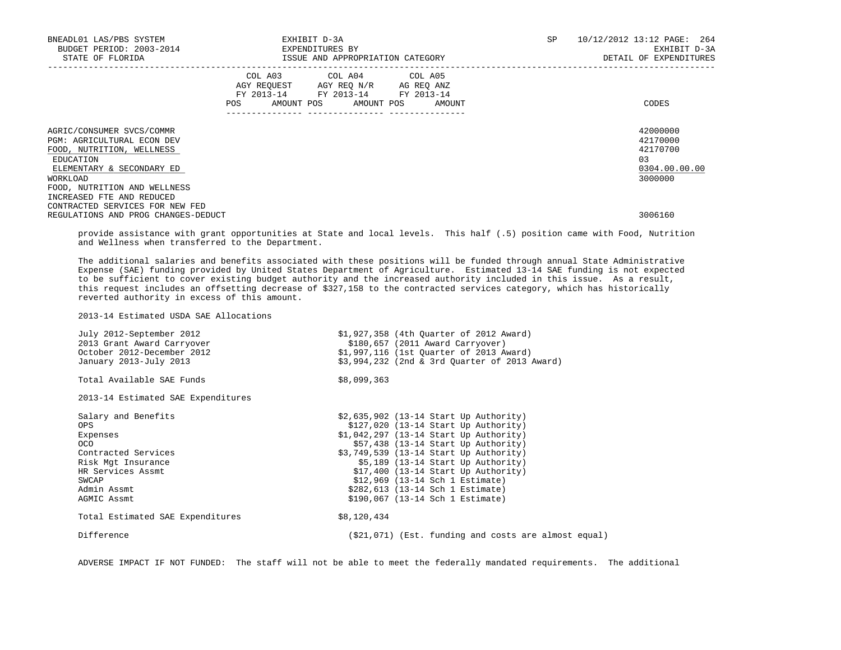| BNEADL01 LAS/PBS SYSTEM<br>BUDGET PERIOD: 2003-2014<br>STATE OF FLORIDA                                                                                                           | EXHIBIT D-3A<br>EXPENDITURES BY<br>ISSUE AND APPROPRIATION CATEGORY                                                                             | SP<br>10/12/2012 13:12 PAGE: 264<br>EXHIBIT D-3A<br>DETAIL OF EXPENDITURES |
|-----------------------------------------------------------------------------------------------------------------------------------------------------------------------------------|-------------------------------------------------------------------------------------------------------------------------------------------------|----------------------------------------------------------------------------|
|                                                                                                                                                                                   | COL A03 COL A04 COL A05<br>AGY REQUEST AGY REQ N/R AG REQ ANZ<br>FY 2013-14 FY 2013-14 FY 2013-14<br>AMOUNT POS AMOUNT POS AMOUNT<br><b>POS</b> | CODES                                                                      |
| AGRIC/CONSUMER SVCS/COMMR<br><b>PGM: AGRICULTURAL ECON DEV</b><br>FOOD, NUTRITION, WELLNESS<br>EDUCATION<br>ELEMENTARY & SECONDARY ED<br>WORKLOAD<br>FOOD, NUTRITION AND WELLNESS |                                                                                                                                                 | 42000000<br>42170000<br>42170700<br>0.3<br>0304.00.00.00<br>3000000        |
| INCREASED FTE AND REDUCED<br>CONTRACTED SERVICES FOR NEW FED<br>REGULATIONS AND PROG CHANGES-DEDUCT                                                                               |                                                                                                                                                 | 3006160                                                                    |

 provide assistance with grant opportunities at State and local levels. This half (.5) position came with Food, Nutrition and Wellness when transferred to the Department.

 The additional salaries and benefits associated with these positions will be funded through annual State Administrative Expense (SAE) funding provided by United States Department of Agriculture. Estimated 13-14 SAE funding is not expected to be sufficient to cover existing budget authority and the increased authority included in this issue. As a result, this request includes an offsetting decrease of \$327,158 to the contracted services category, which has historically reverted authority in excess of this amount.

2013-14 Estimated USDA SAE Allocations

| \$180,657 (2011 Award Carryover)<br>2013 Grant Award Carryover<br>October 2012-December 2012<br>\$1,997,116 (1st Ouarter of 2013 Award)<br>January 2013-July 2013<br>\$3,994,232 (2nd & 3rd Ouarter of 2013 Award)<br>Total Available SAE Funds<br>\$8,099,363<br>2013-14 Estimated SAE Expenditures<br>Salary and Benefits<br>\$2,635,902 (13-14 Start Up Authority)<br>\$127,020 (13-14 Start Up Authority)<br>OPS<br>\$1,042,297 (13-14 Start Up Authority)<br>Expenses<br>$$57,438$ (13-14 Start Up Authority)<br>OCO.<br>\$3,749,539 (13-14 Start Up Authority)<br>Contracted Services<br>$$5,189$ (13-14 Start Up Authority)<br>Risk Mgt Insurance<br>$$17,400$ (13-14 Start Up Authority)<br>HR Services Assmt<br>\$12,969 (13-14 Sch 1 Estimate)<br>SWCAP<br>Admin Assmt<br>\$282,613 (13-14 Sch 1 Estimate)<br>\$190,067 (13-14 Sch 1 Estimate)<br>AGMIC Assmt<br>Total Estimated SAE Expenditures<br>\$8,120,434<br>Difference | July 2012-September 2012 | \$1,927,358 (4th Quarter of 2012 Award)                |
|------------------------------------------------------------------------------------------------------------------------------------------------------------------------------------------------------------------------------------------------------------------------------------------------------------------------------------------------------------------------------------------------------------------------------------------------------------------------------------------------------------------------------------------------------------------------------------------------------------------------------------------------------------------------------------------------------------------------------------------------------------------------------------------------------------------------------------------------------------------------------------------------------------------------------------------|--------------------------|--------------------------------------------------------|
|                                                                                                                                                                                                                                                                                                                                                                                                                                                                                                                                                                                                                                                                                                                                                                                                                                                                                                                                          |                          |                                                        |
|                                                                                                                                                                                                                                                                                                                                                                                                                                                                                                                                                                                                                                                                                                                                                                                                                                                                                                                                          |                          |                                                        |
|                                                                                                                                                                                                                                                                                                                                                                                                                                                                                                                                                                                                                                                                                                                                                                                                                                                                                                                                          |                          |                                                        |
|                                                                                                                                                                                                                                                                                                                                                                                                                                                                                                                                                                                                                                                                                                                                                                                                                                                                                                                                          |                          |                                                        |
|                                                                                                                                                                                                                                                                                                                                                                                                                                                                                                                                                                                                                                                                                                                                                                                                                                                                                                                                          |                          |                                                        |
|                                                                                                                                                                                                                                                                                                                                                                                                                                                                                                                                                                                                                                                                                                                                                                                                                                                                                                                                          |                          |                                                        |
|                                                                                                                                                                                                                                                                                                                                                                                                                                                                                                                                                                                                                                                                                                                                                                                                                                                                                                                                          |                          |                                                        |
|                                                                                                                                                                                                                                                                                                                                                                                                                                                                                                                                                                                                                                                                                                                                                                                                                                                                                                                                          |                          |                                                        |
|                                                                                                                                                                                                                                                                                                                                                                                                                                                                                                                                                                                                                                                                                                                                                                                                                                                                                                                                          |                          |                                                        |
|                                                                                                                                                                                                                                                                                                                                                                                                                                                                                                                                                                                                                                                                                                                                                                                                                                                                                                                                          |                          |                                                        |
|                                                                                                                                                                                                                                                                                                                                                                                                                                                                                                                                                                                                                                                                                                                                                                                                                                                                                                                                          |                          |                                                        |
|                                                                                                                                                                                                                                                                                                                                                                                                                                                                                                                                                                                                                                                                                                                                                                                                                                                                                                                                          |                          |                                                        |
|                                                                                                                                                                                                                                                                                                                                                                                                                                                                                                                                                                                                                                                                                                                                                                                                                                                                                                                                          |                          |                                                        |
|                                                                                                                                                                                                                                                                                                                                                                                                                                                                                                                                                                                                                                                                                                                                                                                                                                                                                                                                          |                          |                                                        |
|                                                                                                                                                                                                                                                                                                                                                                                                                                                                                                                                                                                                                                                                                                                                                                                                                                                                                                                                          |                          |                                                        |
|                                                                                                                                                                                                                                                                                                                                                                                                                                                                                                                                                                                                                                                                                                                                                                                                                                                                                                                                          |                          |                                                        |
|                                                                                                                                                                                                                                                                                                                                                                                                                                                                                                                                                                                                                                                                                                                                                                                                                                                                                                                                          |                          | $(\$21,071)$ (Est. funding and costs are almost equal) |

ADVERSE IMPACT IF NOT FUNDED: The staff will not be able to meet the federally mandated requirements. The additional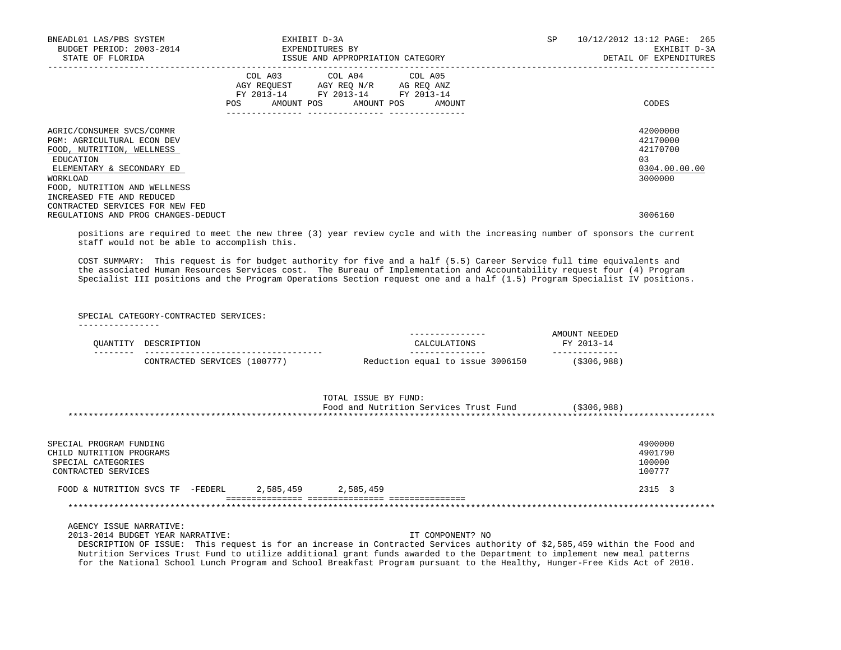| BNEADL01 LAS/PBS SYSTEM<br>BUDGET PERIOD: 2003-2014<br>STATE OF FLORIDA                                                                                                           |                                                                                                                | EXHIBIT D-3A<br>EXPENDITURES BY<br>ISSUE AND APPROPRIATION CATEGORY                                                               | SP. | 10/12/2012 13:12 PAGE: 265<br>EXHIBIT D-3A<br>DETAIL OF EXPENDITURES |
|-----------------------------------------------------------------------------------------------------------------------------------------------------------------------------------|----------------------------------------------------------------------------------------------------------------|-----------------------------------------------------------------------------------------------------------------------------------|-----|----------------------------------------------------------------------|
|                                                                                                                                                                                   | POS FOR THE POST OF THE POST OF THE POST OF THE POST OF THE POST OF THE POST OF THE POST OF THE POST OF THE PO | COL A03 COL A04 COL A05<br>AGY REQUEST AGY REQ N/R AG REQ ANZ<br>FY 2013-14 FY 2013-14 FY 2013-14<br>AMOUNT POS AMOUNT POS AMOUNT |     | CODES                                                                |
| AGRIC/CONSUMER SVCS/COMMR<br><b>PGM: AGRICULTURAL ECON DEV</b><br>FOOD, NUTRITION, WELLNESS<br>EDUCATION<br>ELEMENTARY & SECONDARY ED<br>WORKLOAD<br>FOOD, NUTRITION AND WELLNESS |                                                                                                                |                                                                                                                                   |     | 42000000<br>42170000<br>42170700<br>03<br>0304.00.00.00<br>3000000   |
| INCREASED FTE AND REDUCED<br>CONTRACTED SERVICES FOR NEW FED<br>REGULATIONS AND PROG CHANGES-DEDUCT                                                                               |                                                                                                                |                                                                                                                                   |     | 3006160                                                              |

 positions are required to meet the new three (3) year review cycle and with the increasing number of sponsors the current staff would not be able to accomplish this.

 COST SUMMARY: This request is for budget authority for five and a half (5.5) Career Service full time equivalents and the associated Human Resources Services cost. The Bureau of Implementation and Accountability request four (4) Program Specialist III positions and the Program Operations Section request one and a half (1.5) Program Specialist IV positions.

SPECIAL CATEGORY-CONTRACTED SERVICES:

----------------

|                 |                                   |                                  | NEEDED<br><b>MOTINT</b> |
|-----------------|-----------------------------------|----------------------------------|-------------------------|
| <u>ΩΠΑΝΤΙΤΎ</u> | DESCRIPTION                       |                                  | FY 2013-14              |
| -----           |                                   |                                  |                         |
|                 | 100777)<br>SERVICES<br>CONTRACTED | Reduction equal to issue 3006150 | $($ \$306,988)          |

|                                                  | TOTAL ISSUE BY FUND:<br>Food and Nutrition Services Trust Fund | ( \$306, 988) |
|--------------------------------------------------|----------------------------------------------------------------|---------------|
|                                                  |                                                                |               |
|                                                  |                                                                |               |
| SPECIAL PROGRAM FUNDING                          |                                                                | 4900000       |
| CHILD NUTRITION PROGRAMS                         |                                                                | 4901790       |
| SPECIAL CATEGORIES                               |                                                                | 100000        |
| CONTRACTED SERVICES                              |                                                                | 100777        |
| 2,585,459<br>-FEDERL<br>FOOD & NUTRITION SVCS TF | 2,585,459                                                      | 2315 3        |
|                                                  |                                                                |               |

AGENCY ISSUE NARRATIVE:

2013-2014 BUDGET YEAR NARRATIVE: IT COMPONENT? NO

 DESCRIPTION OF ISSUE: This request is for an increase in Contracted Services authority of \$2,585,459 within the Food and Nutrition Services Trust Fund to utilize additional grant funds awarded to the Department to implement new meal patterns for the National School Lunch Program and School Breakfast Program pursuant to the Healthy, Hunger-Free Kids Act of 2010.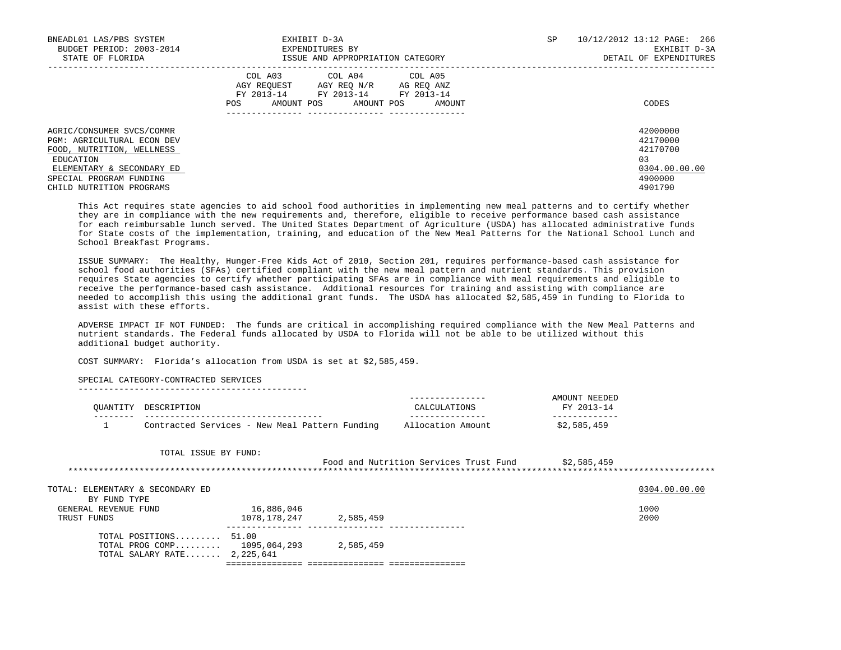| BNEADL01 LAS/PBS SYSTEM<br>BUDGET PERIOD: 2003-2014<br>STATE OF FLORIDA                                                                                                                      | EXHIBIT D-3A<br>EXPENDITURES BY<br>ISSUE AND APPROPRIATION CATEGORY                                                                                     | SP | 10/12/2012 13:12 PAGE: 266<br>EXHIBIT D-3A<br>DETAIL OF EXPENDITURES          |
|----------------------------------------------------------------------------------------------------------------------------------------------------------------------------------------------|---------------------------------------------------------------------------------------------------------------------------------------------------------|----|-------------------------------------------------------------------------------|
|                                                                                                                                                                                              | COL A03<br>COL A04 COL A05<br>AGY REOUEST AGY REO N/R<br>AG REO ANZ<br>FY 2013-14<br>FY 2013-14 FY 2013-14<br>AMOUNT POS<br>AMOUNT POS<br>AMOUNT<br>POS |    | CODES                                                                         |
| AGRIC/CONSUMER SVCS/COMMR<br><b>PGM: AGRICULTURAL ECON DEV</b><br>FOOD, NUTRITION, WELLNESS<br>EDUCATION<br>ELEMENTARY & SECONDARY ED<br>SPECIAL PROGRAM FUNDING<br>CHILD NUTRITION PROGRAMS |                                                                                                                                                         |    | 42000000<br>42170000<br>42170700<br>03<br>0304.00.00.00<br>4900000<br>4901790 |

 This Act requires state agencies to aid school food authorities in implementing new meal patterns and to certify whether they are in compliance with the new requirements and, therefore, eligible to receive performance based cash assistance for each reimbursable lunch served. The United States Department of Agriculture (USDA) has allocated administrative funds for State costs of the implementation, training, and education of the New Meal Patterns for the National School Lunch and School Breakfast Programs.

 ISSUE SUMMARY: The Healthy, Hunger-Free Kids Act of 2010, Section 201, requires performance-based cash assistance for school food authorities (SFAs) certified compliant with the new meal pattern and nutrient standards. This provision requires State agencies to certify whether participating SFAs are in compliance with meal requirements and eligible to receive the performance-based cash assistance. Additional resources for training and assisting with compliance are needed to accomplish this using the additional grant funds. The USDA has allocated \$2,585,459 in funding to Florida to assist with these efforts.

 ADVERSE IMPACT IF NOT FUNDED: The funds are critical in accomplishing required compliance with the New Meal Patterns and nutrient standards. The Federal funds allocated by USDA to Florida will not be able to be utilized without this additional budget authority.

COST SUMMARY: Florida's allocation from USDA is set at \$2,585,459.

SPECIAL CATEGORY-CONTRACTED SERVICES

|                                                |                   | AMOUNT NEEDED |
|------------------------------------------------|-------------------|---------------|
| OUANTITY DESCRIPTION                           | CALCULATIONS      | FY 2013-14    |
|                                                |                   |               |
| Contracted Services - New Meal Pattern Funding | Allocation Amount | \$2,585,459   |

TOTAL ISSUE BY FUND:

| Food and Nutrition Services Trust Fund | \$2,585,459 |  |
|----------------------------------------|-------------|--|
|                                        |             |  |

| TOTAL: ELEMENTARY & SECONDARY ED |              |           | 0304.00.00.00 |
|----------------------------------|--------------|-----------|---------------|
| BY FUND TYPE                     |              |           |               |
| GENERAL REVENUE FUND             | 16,886,046   |           | 1000          |
| TRUST FUNDS                      | 1078,178,247 | 2,585,459 | 2000          |
| TOTAL POSITIONS 51.00            |              |           |               |
| TOTAL PROG COMP 1095,064,293     |              | 2,585,459 |               |
| TOTAL SALARY RATE $2,225,641$    |              |           |               |
|                                  |              |           |               |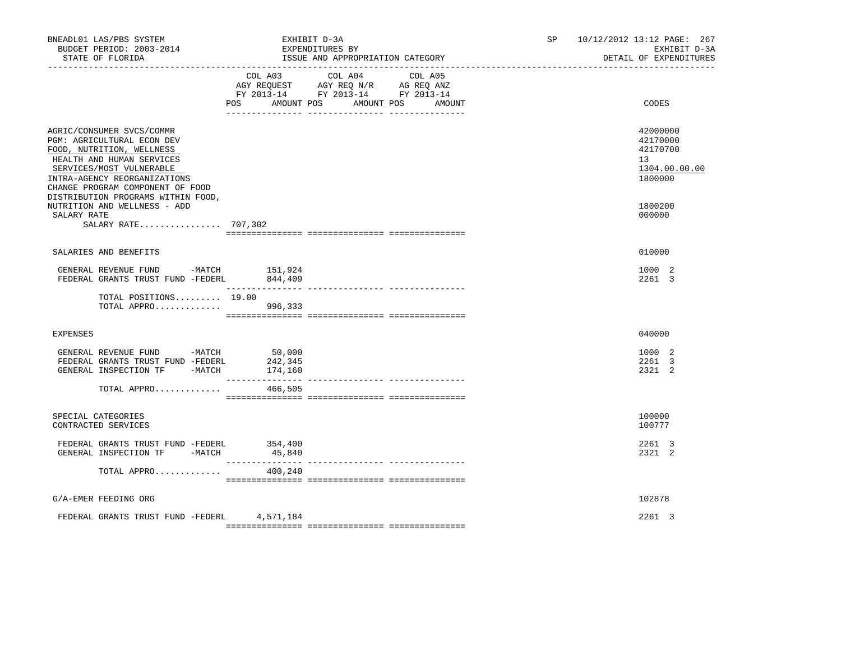| BNEADL01 LAS/PBS SYSTEM<br>BUDGET PERIOD: 2003-2014<br>STATE OF FLORIDA                                                                                                                                           | EXHIBIT D-3A<br>EXPENDITURES BY | ISSUE AND APPROPRIATION CATEGORY<br>--------------------------------                                                 | SP <sub>2</sub> | 10/12/2012 13:12 PAGE: 267<br>EXHIBIT D-3A<br>DETAIL OF EXPENDITURES |
|-------------------------------------------------------------------------------------------------------------------------------------------------------------------------------------------------------------------|---------------------------------|----------------------------------------------------------------------------------------------------------------------|-----------------|----------------------------------------------------------------------|
|                                                                                                                                                                                                                   | COL A03<br>POS<br>AMOUNT POS    | COL A04<br>COL A05<br>AGY REQUEST AGY REQ N/R AG REQ ANZ<br>FY 2013-14 FY 2013-14 FY 2013-14<br>AMOUNT POS<br>AMOUNT |                 | CODES                                                                |
| AGRIC/CONSUMER SVCS/COMMR<br>PGM: AGRICULTURAL ECON DEV<br>FOOD, NUTRITION, WELLNESS<br>HEALTH AND HUMAN SERVICES<br>SERVICES/MOST VULNERABLE<br>INTRA-AGENCY REORGANIZATIONS<br>CHANGE PROGRAM COMPONENT OF FOOD |                                 |                                                                                                                      |                 | 42000000<br>42170000<br>42170700<br>13<br>1304.00.00.00<br>1800000   |
| DISTRIBUTION PROGRAMS WITHIN FOOD,<br>NUTRITION AND WELLNESS - ADD<br>SALARY RATE<br>SALARY RATE 707,302                                                                                                          |                                 |                                                                                                                      |                 | 1800200<br>000000                                                    |
| SALARIES AND BENEFITS                                                                                                                                                                                             |                                 |                                                                                                                      |                 | 010000                                                               |
| GENERAL REVENUE FUND -MATCH<br>FEDERAL GRANTS TRUST FUND -FEDERL                                                                                                                                                  | 151,924<br>844,409              |                                                                                                                      |                 | 1000 2<br>2261 3                                                     |
| TOTAL POSITIONS 19.00<br>TOTAL APPRO                                                                                                                                                                              | 996,333                         |                                                                                                                      |                 |                                                                      |
| EXPENSES                                                                                                                                                                                                          |                                 |                                                                                                                      |                 | 040000                                                               |
| GENERAL REVENUE FUND -MATCH<br>FEDERAL GRANTS TRUST FUND -FEDERL<br>GENERAL INSPECTION TF -MATCH                                                                                                                  | 50,000<br>242,345<br>174,160    |                                                                                                                      |                 | 1000 2<br>2261 3<br>2321 2                                           |
| TOTAL APPRO                                                                                                                                                                                                       | ________________<br>466,505     | ________________ _________                                                                                           |                 |                                                                      |
| SPECIAL CATEGORIES<br>CONTRACTED SERVICES                                                                                                                                                                         |                                 |                                                                                                                      |                 | 100000<br>100777                                                     |
| FEDERAL GRANTS TRUST FUND -FEDERL<br>GENERAL INSPECTION TF -MATCH                                                                                                                                                 | 354,400<br>45,840               |                                                                                                                      |                 | 2261 3<br>2321 2                                                     |
| TOTAL APPRO                                                                                                                                                                                                       | 400,240                         |                                                                                                                      |                 |                                                                      |
| G/A-EMER FEEDING ORG                                                                                                                                                                                              |                                 |                                                                                                                      |                 | 102878                                                               |
| FEDERAL GRANTS TRUST FUND -FEDERL 4,571,184                                                                                                                                                                       |                                 |                                                                                                                      |                 | 2261 3                                                               |
|                                                                                                                                                                                                                   |                                 |                                                                                                                      |                 |                                                                      |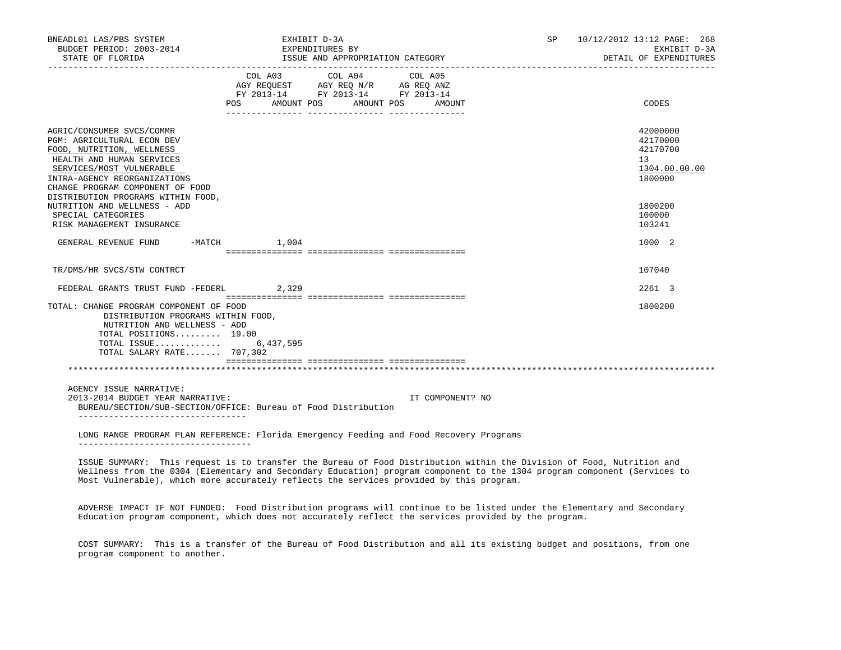| BNEADL01 LAS/PBS SYSTEM<br>BUDGET PERIOD: 2003-2014<br>STATE OF FLORIDA                                                                                                                                                                                 | EXHIBIT D-3A<br>EXPENDITURES BY<br>ISSUE AND APPROPRIATION CATEGORY                                                                                                                                                                                           |                  | <b>SP</b> | 10/12/2012 13:12 PAGE: 268<br>EXHIBIT D-3A<br>DETAIL OF EXPENDITURES |
|---------------------------------------------------------------------------------------------------------------------------------------------------------------------------------------------------------------------------------------------------------|---------------------------------------------------------------------------------------------------------------------------------------------------------------------------------------------------------------------------------------------------------------|------------------|-----------|----------------------------------------------------------------------|
|                                                                                                                                                                                                                                                         | COL A03 COL A04 COL A05<br>$\begin{tabular}{lllllll} \bf AGY \,\, REQUEST \,\, &\bf AGY \,\, REQ \,\, N/R &\bf AG \,\, REQ \,\, ANZ \\ \bf FY \,\, 2013-14 &\bf FY \,\, 2013-14 &\bf FY \,\, 2013-14 \\ \end{tabular}$<br>AMOUNT POS<br>AMOUNT POS<br>POS FOR | AMOUNT           |           | CODES                                                                |
| AGRIC/CONSUMER SVCS/COMMR<br>PGM: AGRICULTURAL ECON DEV<br>FOOD, NUTRITION, WELLNESS<br>HEALTH AND HUMAN SERVICES<br>SERVICES/MOST VULNERABLE<br>INTRA-AGENCY REORGANIZATIONS<br>CHANGE PROGRAM COMPONENT OF FOOD<br>DISTRIBUTION PROGRAMS WITHIN FOOD, |                                                                                                                                                                                                                                                               |                  |           | 42000000<br>42170000<br>42170700<br>13<br>1304.00.00.00<br>1800000   |
| NUTRITION AND WELLNESS - ADD<br>SPECIAL CATEGORIES<br>RISK MANAGEMENT INSURANCE                                                                                                                                                                         |                                                                                                                                                                                                                                                               |                  |           | 1800200<br>100000<br>103241                                          |
| GENERAL REVENUE FUND -MATCH                                                                                                                                                                                                                             | 1,004                                                                                                                                                                                                                                                         |                  |           | 1000 2                                                               |
| TR/DMS/HR SVCS/STW CONTRCT                                                                                                                                                                                                                              |                                                                                                                                                                                                                                                               |                  |           | 107040                                                               |
| FEDERAL GRANTS TRUST FUND -FEDERL                                                                                                                                                                                                                       | 2,329                                                                                                                                                                                                                                                         |                  |           | 2261 3                                                               |
| TOTAL: CHANGE PROGRAM COMPONENT OF FOOD<br>DISTRIBUTION PROGRAMS WITHIN FOOD,<br>NUTRITION AND WELLNESS - ADD<br>TOTAL POSITIONS 19.00<br>TOTAL ISSUE 6,437,595<br>TOTAL SALARY RATE 707,302                                                            |                                                                                                                                                                                                                                                               |                  |           | 1800200                                                              |
|                                                                                                                                                                                                                                                         |                                                                                                                                                                                                                                                               |                  |           |                                                                      |
| AGENCY ISSUE NARRATIVE:<br>2013-2014 BUDGET YEAR NARRATIVE:<br>____________________________________                                                                                                                                                     | BUREAU/SECTION/SUB-SECTION/OFFICE: Bureau of Food Distribution                                                                                                                                                                                                | IT COMPONENT? NO |           |                                                                      |
| ____________________________________                                                                                                                                                                                                                    | LONG RANGE PROGRAM PLAN REFERENCE: Florida Emergency Feeding and Food Recovery Programs                                                                                                                                                                       |                  |           |                                                                      |

 ISSUE SUMMARY: This request is to transfer the Bureau of Food Distribution within the Division of Food, Nutrition and Wellness from the 0304 (Elementary and Secondary Education) program component to the 1304 program component (Services to Most Vulnerable), which more accurately reflects the services provided by this program.

 ADVERSE IMPACT IF NOT FUNDED: Food Distribution programs will continue to be listed under the Elementary and Secondary Education program component, which does not accurately reflect the services provided by the program.

 COST SUMMARY: This is a transfer of the Bureau of Food Distribution and all its existing budget and positions, from one program component to another.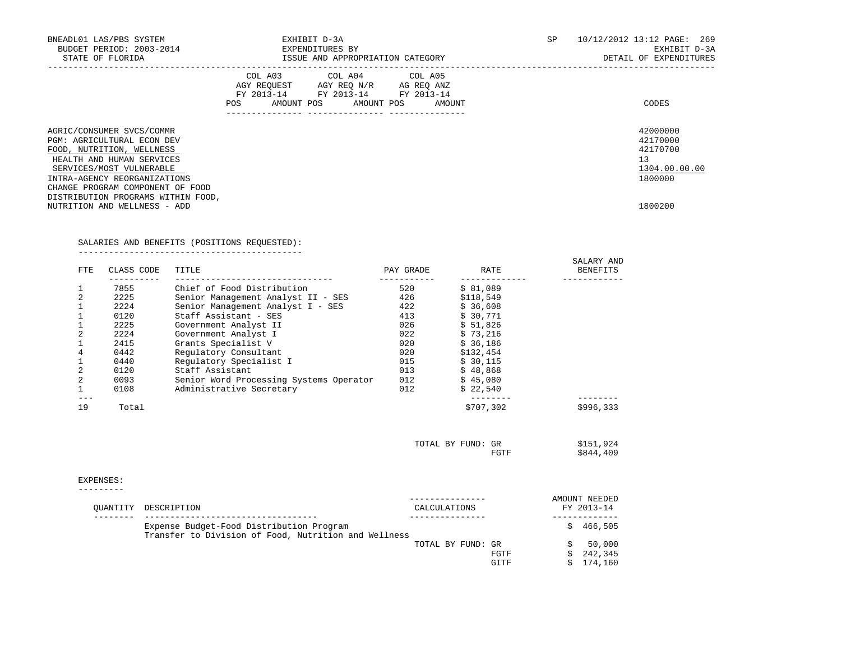| BNEADL01 LAS/PBS SYSTEM<br>BUDGET PERIOD: 2003-2014<br>STATE OF FLORIDA                     | EXHIBIT D-3A<br>EXPENDITURES BY<br>ISSUE AND APPROPRIATION CATEGORY |                                                                                                   |  |  |  |                              | SP | 10/12/2012 13:12 PAGE: 269<br>EXHIBIT D-3A<br>DETAIL OF EXPENDITURES |
|---------------------------------------------------------------------------------------------|---------------------------------------------------------------------|---------------------------------------------------------------------------------------------------|--|--|--|------------------------------|----|----------------------------------------------------------------------|
|                                                                                             | POS                                                                 | COL A03 COL A04 COL A05<br>AGY REQUEST AGY REQ N/R AG REQ ANZ<br>FY 2013-14 FY 2013-14 FY 2013-14 |  |  |  | AMOUNT POS AMOUNT POS AMOUNT |    | CODES                                                                |
| AGRIC/CONSUMER SVCS/COMMR<br><b>PGM: AGRICULTURAL ECON DEV</b><br>FOOD, NUTRITION, WELLNESS |                                                                     |                                                                                                   |  |  |  |                              |    | 42000000<br>42170000<br>42170700                                     |
| HEALTH AND HUMAN SERVICES<br>SERVICES/MOST VULNERABLE<br>INTRA-AGENCY REORGANIZATIONS       |                                                                     |                                                                                                   |  |  |  |                              |    | 13<br>1304.00.00.00<br>1800000                                       |
| CHANGE PROGRAM COMPONENT OF FOOD<br>DISTRIBUTION PROGRAMS WITHIN FOOD,                      |                                                                     |                                                                                                   |  |  |  |                              |    |                                                                      |
| NUTRITION AND WELLNESS - ADD                                                                |                                                                     |                                                                                                   |  |  |  |                              |    | 1800200                                                              |

# SALARIES AND BENEFITS (POSITIONS REQUESTED):

--------------------------------------------

| FTE.           | CLASS CODE | TITLE                                   | PAY GRADE | RATE      | SALARY AND<br><b>BENEFITS</b> |
|----------------|------------|-----------------------------------------|-----------|-----------|-------------------------------|
|                | 7855       | Chief of Food Distribution              | 520       | \$81,089  |                               |
| $\overline{2}$ | 2225       | Senior Management Analyst II - SES      | 426       | \$118,549 |                               |
|                | 2224       | Senior Management Analyst I - SES       | 422       | \$36,608  |                               |
|                | 0120       | Staff Assistant - SES                   | 413       | \$30.771  |                               |
|                | 2225       | Government Analyst II                   | 026       | \$51.826  |                               |
| $\overline{2}$ | 2224       | Government Analyst I                    | 022       | \$73,216  |                               |
|                | 2415       | Grants Specialist V                     | 020       | \$36.186  |                               |
| 4              | 0442       | Regulatory Consultant                   | 020       | \$132,454 |                               |
|                | 0440       | Requlatory Specialist I                 | 015       | \$30,115  |                               |
| 2              | 0120       | Staff Assistant                         | 013       | \$48.868  |                               |
| $\overline{2}$ | 0093       | Senior Word Processing Systems Operator | 012       | \$45,080  |                               |
|                | 0108       | Administrative Secretary                | 012       | \$22.540  |                               |
| 19             | Total      |                                         |           | \$707,302 | \$996,333                     |

| TOTAL BY FUND: GR |               | \$151,924 |
|-------------------|---------------|-----------|
|                   | ECHE<br>HGTT. | \$844,409 |

### EXPENSES:

---------

| OUANTITY DESCRIPTION                                                                             | CALCULATIONS      |              |    | AMOUNT NEEDED<br>FY 2013-14  |
|--------------------------------------------------------------------------------------------------|-------------------|--------------|----|------------------------------|
| Expense Budget-Food Distribution Program<br>Transfer to Division of Food, Nutrition and Wellness |                   |              | S. | 466,505                      |
|                                                                                                  | TOTAL BY FUND: GR | FGTF<br>GITF |    | 50,000<br>242,345<br>174,160 |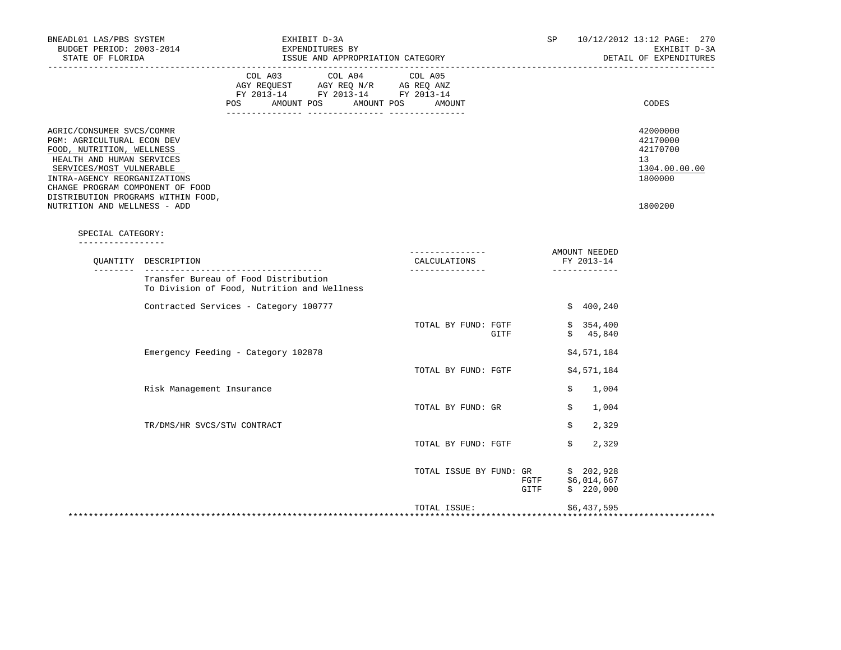| BNEADL01 LAS/PBS SYSTEM<br>BUDGET PERIOD: 2003-2014<br>STATE OF FLORIDA                                                                                                                                                                                 |                             | EXHIBIT D-3A<br>EXPENDITURES BY<br>ISSUE AND APPROPRIATION CATEGORY                 |                                                                                                                                                                                                                                                                                                             |                                                    |      |              | SP |                                              | 10/12/2012 13:12 PAGE: 270<br>EXHIBIT D-3A<br>DETAIL OF EXPENDITURES |
|---------------------------------------------------------------------------------------------------------------------------------------------------------------------------------------------------------------------------------------------------------|-----------------------------|-------------------------------------------------------------------------------------|-------------------------------------------------------------------------------------------------------------------------------------------------------------------------------------------------------------------------------------------------------------------------------------------------------------|----------------------------------------------------|------|--------------|----|----------------------------------------------|----------------------------------------------------------------------|
|                                                                                                                                                                                                                                                         |                             | <b>POS</b>                                                                          | COL A03 COL A04 COL A05<br>$\begin{tabular}{lllllll} \bf AGY \,\, &\bf REGUEST \,\, &\bf AGY \,\, &\bf REQ \,\, &\bf N/R \,\, &\bf AG \,\, &\bf REQ \,\, &\bf ANZ \,\, \\ \bf FY \,\, &\bf 2013-14 \,\, &\bf FY \,\, &\bf 2013-14 \,\, &\bf FY \,\, &\bf 2013-14 \end{tabular}$<br>AMOUNT POS<br>AMOUNT POS | AMOUNT                                             |      |              |    |                                              | CODES                                                                |
| AGRIC/CONSUMER SVCS/COMMR<br>PGM: AGRICULTURAL ECON DEV<br>FOOD, NUTRITION, WELLNESS<br>HEALTH AND HUMAN SERVICES<br>SERVICES/MOST VULNERABLE<br>INTRA-AGENCY REORGANIZATIONS<br>CHANGE PROGRAM COMPONENT OF FOOD<br>DISTRIBUTION PROGRAMS WITHIN FOOD, |                             |                                                                                     |                                                                                                                                                                                                                                                                                                             |                                                    |      |              |    |                                              | 42000000<br>42170000<br>42170700<br>13<br>1304.00.00.00<br>1800000   |
| NUTRITION AND WELLNESS - ADD                                                                                                                                                                                                                            |                             |                                                                                     |                                                                                                                                                                                                                                                                                                             |                                                    |      |              |    |                                              | 1800200                                                              |
| SPECIAL CATEGORY:                                                                                                                                                                                                                                       |                             |                                                                                     |                                                                                                                                                                                                                                                                                                             |                                                    |      |              |    |                                              |                                                                      |
|                                                                                                                                                                                                                                                         | OUANTITY DESCRIPTION        |                                                                                     |                                                                                                                                                                                                                                                                                                             | ---------------<br>CALCULATIONS<br>_______________ |      |              |    | AMOUNT NEEDED<br>FY 2013-14<br>_____________ |                                                                      |
|                                                                                                                                                                                                                                                         |                             | Transfer Bureau of Food Distribution<br>To Division of Food, Nutrition and Wellness |                                                                                                                                                                                                                                                                                                             |                                                    |      |              |    |                                              |                                                                      |
|                                                                                                                                                                                                                                                         |                             | Contracted Services - Category 100777                                               |                                                                                                                                                                                                                                                                                                             |                                                    |      |              |    | \$400, 240                                   |                                                                      |
|                                                                                                                                                                                                                                                         |                             |                                                                                     |                                                                                                                                                                                                                                                                                                             | TOTAL BY FUND: FGTF                                | GITF |              |    | \$354,400<br>\$45,840                        |                                                                      |
|                                                                                                                                                                                                                                                         |                             | Emergency Feeding - Category 102878                                                 |                                                                                                                                                                                                                                                                                                             |                                                    |      |              |    | \$4,571,184                                  |                                                                      |
|                                                                                                                                                                                                                                                         |                             |                                                                                     |                                                                                                                                                                                                                                                                                                             | TOTAL BY FUND: FGTF                                |      |              |    | \$4,571,184                                  |                                                                      |
|                                                                                                                                                                                                                                                         | Risk Management Insurance   |                                                                                     |                                                                                                                                                                                                                                                                                                             |                                                    |      |              | \$ | 1,004                                        |                                                                      |
|                                                                                                                                                                                                                                                         |                             |                                                                                     |                                                                                                                                                                                                                                                                                                             | TOTAL BY FUND: GR                                  |      |              | \$ | 1,004                                        |                                                                      |
|                                                                                                                                                                                                                                                         | TR/DMS/HR SVCS/STW CONTRACT |                                                                                     |                                                                                                                                                                                                                                                                                                             |                                                    |      |              | Ŝ. | 2,329                                        |                                                                      |
|                                                                                                                                                                                                                                                         |                             |                                                                                     |                                                                                                                                                                                                                                                                                                             | TOTAL BY FUND: FGTF                                |      |              | \$ | 2,329                                        |                                                                      |
|                                                                                                                                                                                                                                                         |                             |                                                                                     |                                                                                                                                                                                                                                                                                                             | TOTAL ISSUE BY FUND: GR                            |      | FGTF<br>GITF |    | \$202,928<br>\$6,014,667<br>\$220,000        |                                                                      |
|                                                                                                                                                                                                                                                         |                             |                                                                                     |                                                                                                                                                                                                                                                                                                             | TOTAL ISSUE:                                       |      |              |    | \$6,437,595                                  |                                                                      |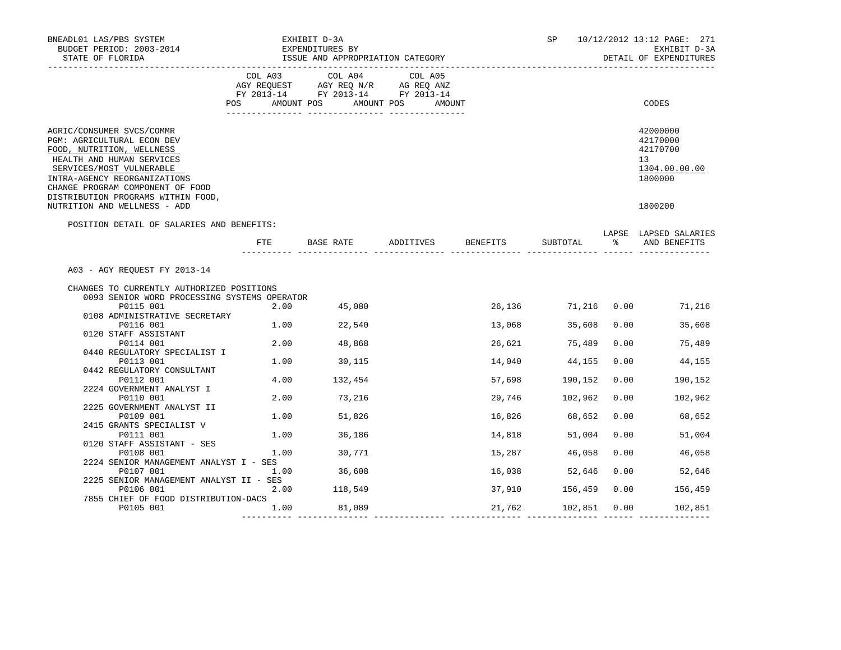| BNEADL01 LAS/PBS SYSTEM<br>BUDGET PERIOD: 2003-2014<br>STATE OF FLORIDA                                                                                                                                                                                 |         | EXHIBIT D-3A<br>EXPENDITURES BY<br>ISSUE AND APPROPRIATION CATEGORY |                                                                                             |          | SP                  |               | 10/12/2012 13:12 PAGE: 271<br>EXHIBIT D-3A<br>DETAIL OF EXPENDITURES |
|---------------------------------------------------------------------------------------------------------------------------------------------------------------------------------------------------------------------------------------------------------|---------|---------------------------------------------------------------------|---------------------------------------------------------------------------------------------|----------|---------------------|---------------|----------------------------------------------------------------------|
|                                                                                                                                                                                                                                                         | COL A03 | COL A04<br>POS AMOUNT POS AMOUNT POS                                | COL A05<br>AGY REQUEST AGY REQ N/R AG REQ ANZ<br>FY 2013-14 FY 2013-14 FY 2013-14<br>AMOUNT |          |                     |               | CODES                                                                |
| AGRIC/CONSUMER SVCS/COMMR<br>PGM: AGRICULTURAL ECON DEV<br>FOOD, NUTRITION, WELLNESS<br>HEALTH AND HUMAN SERVICES<br>SERVICES/MOST VULNERABLE<br>INTRA-AGENCY REORGANIZATIONS<br>CHANGE PROGRAM COMPONENT OF FOOD<br>DISTRIBUTION PROGRAMS WITHIN FOOD, |         |                                                                     |                                                                                             |          |                     |               | 42000000<br>42170000<br>42170700<br>13<br>1304.00.00.00<br>1800000   |
| NUTRITION AND WELLNESS - ADD                                                                                                                                                                                                                            |         |                                                                     |                                                                                             |          |                     |               | 1800200                                                              |
| POSITION DETAIL OF SALARIES AND BENEFITS:                                                                                                                                                                                                               | FTE.    | BASE RATE ADDITIVES                                                 |                                                                                             | BENEFITS | SUBTOTAL            | $\sim$ $\sim$ | LAPSE LAPSED SALARIES<br>AND BENEFITS                                |
| A03 - AGY REQUEST FY 2013-14                                                                                                                                                                                                                            |         |                                                                     |                                                                                             |          |                     |               |                                                                      |
| CHANGES TO CURRENTLY AUTHORIZED POSITIONS                                                                                                                                                                                                               |         |                                                                     |                                                                                             |          |                     |               |                                                                      |
| 0093 SENIOR WORD PROCESSING SYSTEMS OPERATOR                                                                                                                                                                                                            |         |                                                                     |                                                                                             |          |                     |               |                                                                      |
| P0115 001                                                                                                                                                                                                                                               |         | 2.00 45,080                                                         |                                                                                             |          | 26,136 71,216 0.00  |               | 71,216                                                               |
| 0108 ADMINISTRATIVE SECRETARY                                                                                                                                                                                                                           |         |                                                                     |                                                                                             |          |                     |               |                                                                      |
| P0116 001                                                                                                                                                                                                                                               |         | 1.00 22,540                                                         |                                                                                             | 13,068   | 35,608              | 0.00          | 35,608                                                               |
| 0120 STAFF ASSISTANT                                                                                                                                                                                                                                    |         |                                                                     |                                                                                             |          |                     |               |                                                                      |
| P0114 001                                                                                                                                                                                                                                               |         | 2.00 48,868                                                         |                                                                                             | 26,621   | 75,489              | 0.00          | 75,489                                                               |
| 0440 REGULATORY SPECIALIST I                                                                                                                                                                                                                            |         |                                                                     |                                                                                             |          |                     |               |                                                                      |
| P0113 001                                                                                                                                                                                                                                               |         | 1.00 30,115                                                         |                                                                                             | 14,040   | 44,155              | 0.00          | 44,155                                                               |
| 0442 REGULATORY CONSULTANT                                                                                                                                                                                                                              |         |                                                                     |                                                                                             |          |                     |               |                                                                      |
| P0112 001<br>2224 GOVERNMENT ANALYST I                                                                                                                                                                                                                  |         | 4.00 132,454                                                        |                                                                                             |          | 57,698 190,152      | 0.00          | 190,152                                                              |
| P0110 001                                                                                                                                                                                                                                               |         | 2.00 73,216                                                         |                                                                                             |          | 29,746 102,962      | 0.00          | 102,962                                                              |
| 2225 GOVERNMENT ANALYST II                                                                                                                                                                                                                              |         |                                                                     |                                                                                             |          |                     |               |                                                                      |
| P0109 001                                                                                                                                                                                                                                               |         | 1.00 51,826                                                         |                                                                                             |          | 16,826 68,652       | 0.00          | 68,652                                                               |
| 2415 GRANTS SPECIALIST V                                                                                                                                                                                                                                |         |                                                                     |                                                                                             |          |                     |               |                                                                      |
| P0111 001                                                                                                                                                                                                                                               |         | 1.00 36,186                                                         |                                                                                             | 14,818   | 51,004              | 0.00          | 51,004                                                               |
| 0120 STAFF ASSISTANT - SES                                                                                                                                                                                                                              |         |                                                                     |                                                                                             |          |                     |               |                                                                      |
| P0108 001                                                                                                                                                                                                                                               | 1.00    | 30,771                                                              |                                                                                             | 15,287   | 46,058              | 0.00          | 46,058                                                               |
| 2224 SENIOR MANAGEMENT ANALYST I - SES                                                                                                                                                                                                                  |         |                                                                     |                                                                                             |          |                     |               |                                                                      |
| P0107 001                                                                                                                                                                                                                                               | 1.00    | 36,608                                                              |                                                                                             | 16,038   | 52,646              |               | 0.00<br>52,646                                                       |
| 2225 SENIOR MANAGEMENT ANALYST II - SES<br>P0106 001                                                                                                                                                                                                    | 2.00    | 118,549                                                             |                                                                                             |          | 37,910 156,459      | 0.00          | 156,459                                                              |
| 7855 CHIEF OF FOOD DISTRIBUTION-DACS                                                                                                                                                                                                                    |         |                                                                     |                                                                                             |          |                     |               |                                                                      |
| P0105 001                                                                                                                                                                                                                                               | 1.00    | 81,089                                                              |                                                                                             |          | 21,762 102,851 0.00 |               | 102,851                                                              |
|                                                                                                                                                                                                                                                         |         |                                                                     |                                                                                             |          |                     |               |                                                                      |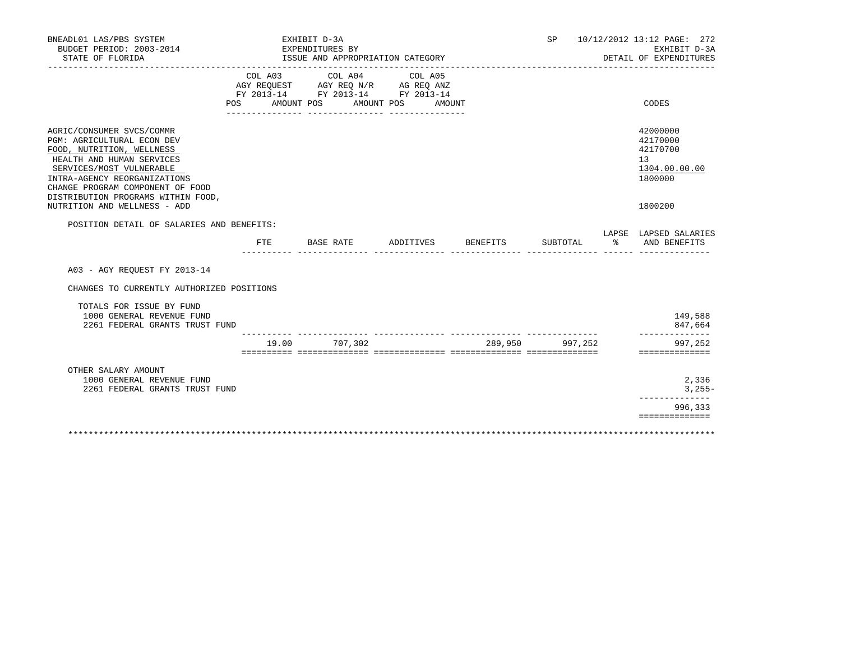| BNEADL01 LAS/PBS SYSTEM<br>BUDGET PERIOD: 2003-2014<br>STATE OF FLORIDA                                                                                                                                                                                                                 |                       | EXHIBIT D-3A<br>EXPENDITURES BY<br>ISSUE AND APPROPRIATION CATEGORY                                     |                   |                 | SP              |               | 10/12/2012 13:12 PAGE: 272<br>EXHIBIT D-3A<br>DETAIL OF EXPENDITURES                       |
|-----------------------------------------------------------------------------------------------------------------------------------------------------------------------------------------------------------------------------------------------------------------------------------------|-----------------------|---------------------------------------------------------------------------------------------------------|-------------------|-----------------|-----------------|---------------|--------------------------------------------------------------------------------------------|
|                                                                                                                                                                                                                                                                                         | COL A03<br><b>POS</b> | COL A04 COL A05<br>AGY REQUEST AGY REQ N/R AG REQ ANZ<br>FY 2013-14 FY 2013-14 FY 2013-14<br>AMOUNT POS | AMOUNT POS AMOUNT |                 |                 |               | CODES                                                                                      |
| AGRIC/CONSUMER SVCS/COMMR<br>PGM: AGRICULTURAL ECON DEV<br>FOOD, NUTRITION, WELLNESS<br>HEALTH AND HUMAN SERVICES<br>SERVICES/MOST VULNERABLE<br>INTRA-AGENCY REORGANIZATIONS<br>CHANGE PROGRAM COMPONENT OF FOOD<br>DISTRIBUTION PROGRAMS WITHIN FOOD,<br>NUTRITION AND WELLNESS - ADD |                       |                                                                                                         |                   |                 |                 |               | 42000000<br>42170000<br>42170700<br>13 <sup>°</sup><br>1304.00.00.00<br>1800000<br>1800200 |
| POSITION DETAIL OF SALARIES AND BENEFITS:                                                                                                                                                                                                                                               |                       |                                                                                                         |                   |                 |                 |               | LAPSE LAPSED SALARIES                                                                      |
|                                                                                                                                                                                                                                                                                         | FTE                   | BASE RATE                                                                                               | ADDITIVES         | <b>BENEFITS</b> | SUBTOTAL        | $\frac{1}{6}$ | AND BENEFITS                                                                               |
| A03 - AGY REOUEST FY 2013-14                                                                                                                                                                                                                                                            |                       |                                                                                                         |                   |                 |                 |               |                                                                                            |
| CHANGES TO CURRENTLY AUTHORIZED POSITIONS                                                                                                                                                                                                                                               |                       |                                                                                                         |                   |                 |                 |               |                                                                                            |
| TOTALS FOR ISSUE BY FUND<br>1000 GENERAL REVENUE FUND<br>2261 FEDERAL GRANTS TRUST FUND                                                                                                                                                                                                 |                       |                                                                                                         |                   |                 |                 |               | 149,588<br>847,664                                                                         |
|                                                                                                                                                                                                                                                                                         | 19.00                 | 707,302                                                                                                 |                   |                 | 289,950 997,252 |               | 997,252<br>==============                                                                  |
| OTHER SALARY AMOUNT<br>1000 GENERAL REVENUE FUND<br>2261 FEDERAL GRANTS TRUST FUND                                                                                                                                                                                                      |                       |                                                                                                         |                   |                 |                 |               | 2,336<br>$3,255-$<br>------------                                                          |
|                                                                                                                                                                                                                                                                                         |                       |                                                                                                         |                   |                 |                 |               | 996,333<br>==============                                                                  |
|                                                                                                                                                                                                                                                                                         |                       |                                                                                                         |                   |                 |                 |               |                                                                                            |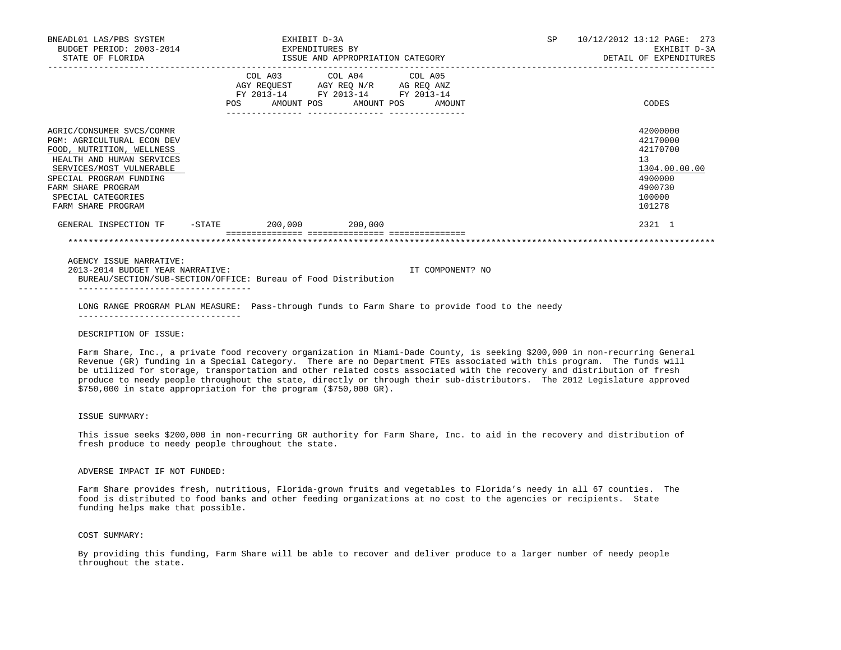| BNEADL01 LAS/PBS SYSTEM<br>BUDGET PERIOD: 2003-2014<br>STATE OF FLORIDA                                                                                                                                                                           | EXHIBIT D-3A<br>EXPENDITURES BY<br>ISSUE AND APPROPRIATION CATEGORY                                                                   |                              |  | SP | 10/12/2012 13:12 PAGE: 273<br>EXHIBIT D-3A<br>DETAIL OF EXPENDITURES |                                                                                                   |
|---------------------------------------------------------------------------------------------------------------------------------------------------------------------------------------------------------------------------------------------------|---------------------------------------------------------------------------------------------------------------------------------------|------------------------------|--|----|----------------------------------------------------------------------|---------------------------------------------------------------------------------------------------|
|                                                                                                                                                                                                                                                   | COL A03 COL A04 COL A05<br>AGY REQUEST AGY REQ N/R AG REQ ANZ<br>FY 2013-14 FY 2013-14 FY 2013-14<br>________________ _______________ | AMOUNT POS AMOUNT POS AMOUNT |  |    |                                                                      | CODES                                                                                             |
| AGRIC/CONSUMER SVCS/COMMR<br><b>PGM: AGRICULTURAL ECON DEV</b><br>FOOD, NUTRITION, WELLNESS<br>HEALTH AND HUMAN SERVICES<br>SERVICES/MOST VULNERABLE<br>SPECIAL PROGRAM FUNDING<br>FARM SHARE PROGRAM<br>SPECIAL CATEGORIES<br>FARM SHARE PROGRAM |                                                                                                                                       |                              |  |    |                                                                      | 42000000<br>42170000<br>42170700<br>13<br>1304.00.00.00<br>4900000<br>4900730<br>100000<br>101278 |
| GENERAL INSPECTION TF -STATE 200,000 200,000                                                                                                                                                                                                      |                                                                                                                                       |                              |  |    |                                                                      | 2321 1                                                                                            |
|                                                                                                                                                                                                                                                   |                                                                                                                                       |                              |  |    |                                                                      |                                                                                                   |
| AGENCY ISSUE NARRATIVE:                                                                                                                                                                                                                           |                                                                                                                                       |                              |  |    |                                                                      |                                                                                                   |

 2013-2014 BUDGET YEAR NARRATIVE: IT COMPONENT? NO BUREAU/SECTION/SUB-SECTION/OFFICE: Bureau of Food Distribution ----------------------------------

 LONG RANGE PROGRAM PLAN MEASURE: Pass-through funds to Farm Share to provide food to the needy --------------------------------

## DESCRIPTION OF ISSUE:

 Farm Share, Inc., a private food recovery organization in Miami-Dade County, is seeking \$200,000 in non-recurring General Revenue (GR) funding in a Special Category. There are no Department FTEs associated with this program. The funds will be utilized for storage, transportation and other related costs associated with the recovery and distribution of fresh produce to needy people throughout the state, directly or through their sub-distributors. The 2012 Legislature approved \$750,000 in state appropriation for the program (\$750,000 GR).

#### ISSUE SUMMARY:

 This issue seeks \$200,000 in non-recurring GR authority for Farm Share, Inc. to aid in the recovery and distribution of fresh produce to needy people throughout the state.

# ADVERSE IMPACT IF NOT FUNDED:

 Farm Share provides fresh, nutritious, Florida-grown fruits and vegetables to Florida's needy in all 67 counties. The food is distributed to food banks and other feeding organizations at no cost to the agencies or recipients. State funding helps make that possible.

# COST SUMMARY:

 By providing this funding, Farm Share will be able to recover and deliver produce to a larger number of needy people throughout the state.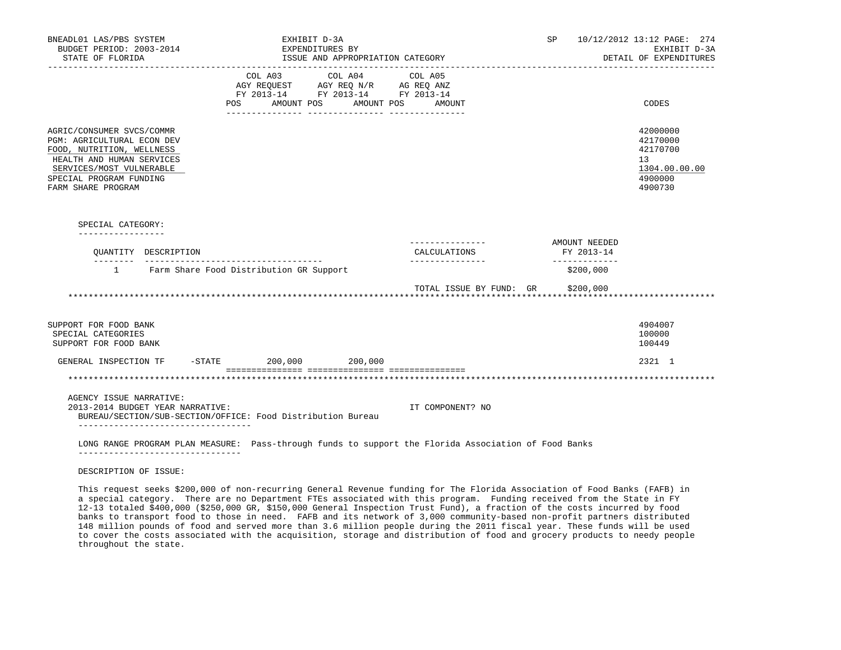| BNEADL01 LAS/PBS SYSTEM<br>BUDGET PERIOD: 2003-2014<br>STATE OF FLORIDA                                                                                                                               | EXHIBIT D-3A<br>EXPENDITURES BY                                                                                                                                                             | ISSUE AND APPROPRIATION CATEGORY      |                         | SP and the set of the set of the set of the set of the set of the set of the set of the set of the set of the set of the set of the set of the set of the set of the set of the set of the set of the set of the set of the se | 10/12/2012 13:12 PAGE: 274<br>EXHIBIT D-3A<br>DETAIL OF EXPENDITURES                       |
|-------------------------------------------------------------------------------------------------------------------------------------------------------------------------------------------------------|---------------------------------------------------------------------------------------------------------------------------------------------------------------------------------------------|---------------------------------------|-------------------------|--------------------------------------------------------------------------------------------------------------------------------------------------------------------------------------------------------------------------------|--------------------------------------------------------------------------------------------|
|                                                                                                                                                                                                       | $\begin{tabular}{lllllll} AGY & \texttt{REQUEST} & \texttt{AGY REQ} & \texttt{N/R} & \texttt{AG REQ} & \texttt{ANZ} \end{tabular}$<br>FY 2013-14 FY 2013-14 FY 2013-14<br>AMOUNT POS<br>POS | COL A03 COL A04 COL A05<br>AMOUNT POS | AMOUNT                  |                                                                                                                                                                                                                                | CODES                                                                                      |
| AGRIC/CONSUMER SVCS/COMMR<br><b>PGM: AGRICULTURAL ECON DEV</b><br>FOOD, NUTRITION, WELLNESS<br>HEALTH AND HUMAN SERVICES<br>SERVICES/MOST VULNERABLE<br>SPECIAL PROGRAM FUNDING<br>FARM SHARE PROGRAM |                                                                                                                                                                                             |                                       |                         |                                                                                                                                                                                                                                | 42000000<br>42170000<br>42170700<br>13 <sup>°</sup><br>1304.00.00.00<br>4900000<br>4900730 |
| SPECIAL CATEGORY:<br>-----------------                                                                                                                                                                |                                                                                                                                                                                             |                                       |                         |                                                                                                                                                                                                                                |                                                                                            |
| OUANTITY DESCRIPTION                                                                                                                                                                                  |                                                                                                                                                                                             |                                       | CALCULATIONS            | AMOUNT NEEDED<br>FY 2013-14                                                                                                                                                                                                    |                                                                                            |
|                                                                                                                                                                                                       | 1 Farm Share Food Distribution GR Support                                                                                                                                                   |                                       |                         | -------------<br>\$200,000                                                                                                                                                                                                     |                                                                                            |
|                                                                                                                                                                                                       |                                                                                                                                                                                             |                                       | TOTAL ISSUE BY FUND: GR | \$200,000                                                                                                                                                                                                                      |                                                                                            |
| SUPPORT FOR FOOD BANK<br>SPECIAL CATEGORIES<br>SUPPORT FOR FOOD BANK                                                                                                                                  |                                                                                                                                                                                             |                                       |                         |                                                                                                                                                                                                                                | 4904007<br>100000<br>100449                                                                |
| GENERAL INSPECTION TF                                                                                                                                                                                 | -STATE 200,000 200,000                                                                                                                                                                      |                                       |                         |                                                                                                                                                                                                                                | 2321 1                                                                                     |
|                                                                                                                                                                                                       |                                                                                                                                                                                             |                                       |                         |                                                                                                                                                                                                                                |                                                                                            |
| AGENCY ISSUE NARRATIVE:<br>2013-2014 BUDGET YEAR NARRATIVE:<br>BUREAU/SECTION/SUB-SECTION/OFFICE: Food Distribution Bureau                                                                            |                                                                                                                                                                                             |                                       | IT COMPONENT? NO        |                                                                                                                                                                                                                                |                                                                                            |
| ____________________________________<br>LONG RANGE PROGRAM PLAN MEASURE: Pass-through funds to support the Florida Association of Food Banks                                                          |                                                                                                                                                                                             |                                       |                         |                                                                                                                                                                                                                                |                                                                                            |

DESCRIPTION OF ISSUE:

 This request seeks \$200,000 of non-recurring General Revenue funding for The Florida Association of Food Banks (FAFB) in a special category. There are no Department FTEs associated with this program. Funding received from the State in FY 12-13 totaled \$400,000 (\$250,000 GR, \$150,000 General Inspection Trust Fund), a fraction of the costs incurred by food banks to transport food to those in need. FAFB and its network of 3,000 community-based non-profit partners distributed 148 million pounds of food and served more than 3.6 million people during the 2011 fiscal year. These funds will be used to cover the costs associated with the acquisition, storage and distribution of food and grocery products to needy people throughout the state.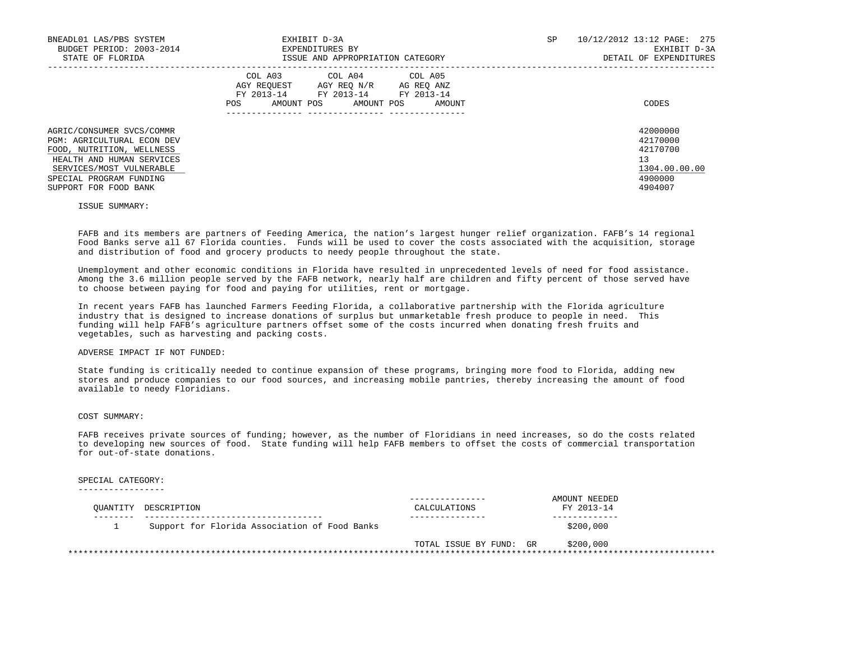| BNEADL01 LAS/PBS SYSTEM<br>BUDGET PERIOD: 2003-2014<br>STATE OF FLORIDA                                                                                                                                  | EXHIBIT D-3A<br>EXPENDITURES BY<br>ISSUE AND APPROPRIATION CATEGORY                                                                                  | SP | 10/12/2012 13:12 PAGE: 275<br>EXHIBIT D-3A<br>DETAIL OF EXPENDITURES          |
|----------------------------------------------------------------------------------------------------------------------------------------------------------------------------------------------------------|------------------------------------------------------------------------------------------------------------------------------------------------------|----|-------------------------------------------------------------------------------|
|                                                                                                                                                                                                          | COL A04 COL A05<br>COL A03<br>AGY REOUEST AGY REO N/R AG REO ANZ<br>FY 2013-14 FY 2013-14<br>FY 2013-14<br>AMOUNT POS<br>AMOUNT POS<br>POS<br>AMOUNT |    | CODES                                                                         |
| AGRIC/CONSUMER SVCS/COMMR<br><b>PGM: AGRICULTURAL ECON DEV</b><br>FOOD, NUTRITION, WELLNESS<br>HEALTH AND HUMAN SERVICES<br>SERVICES/MOST VULNERABLE<br>SPECIAL PROGRAM FUNDING<br>SUPPORT FOR FOOD BANK |                                                                                                                                                      |    | 42000000<br>42170000<br>42170700<br>13<br>1304.00.00.00<br>4900000<br>4904007 |

#### ISSUE SUMMARY:

 FAFB and its members are partners of Feeding America, the nation's largest hunger relief organization. FAFB's 14 regional Food Banks serve all 67 Florida counties. Funds will be used to cover the costs associated with the acquisition, storage and distribution of food and grocery products to needy people throughout the state.

 Unemployment and other economic conditions in Florida have resulted in unprecedented levels of need for food assistance. Among the 3.6 million people served by the FAFB network, nearly half are children and fifty percent of those served have to choose between paying for food and paying for utilities, rent or mortgage.

 In recent years FAFB has launched Farmers Feeding Florida, a collaborative partnership with the Florida agriculture industry that is designed to increase donations of surplus but unmarketable fresh produce to people in need. This funding will help FAFB's agriculture partners offset some of the costs incurred when donating fresh fruits and vegetables, such as harvesting and packing costs.

# ADVERSE IMPACT IF NOT FUNDED:

 State funding is critically needed to continue expansion of these programs, bringing more food to Florida, adding new stores and produce companies to our food sources, and increasing mobile pantries, thereby increasing the amount of food available to needy Floridians.

#### COST SUMMARY:

 FAFB receives private sources of funding; however, as the number of Floridians in need increases, so do the costs related to developing new sources of food. State funding will help FAFB members to offset the costs of commercial transportation for out-of-state donations.

### SPECIAL CATEGORY:

-----------------

| OUANTITY DESCRIPTION                          | - - - - - - - - - - - - -<br>CALCULATIONS | AMOUNT NEEDED<br>FY 2013-14 |  |
|-----------------------------------------------|-------------------------------------------|-----------------------------|--|
| Support for Florida Association of Food Banks |                                           | \$200,000                   |  |
|                                               | TOTAL ISSUE BY FUND: GR                   | \$200,000                   |  |